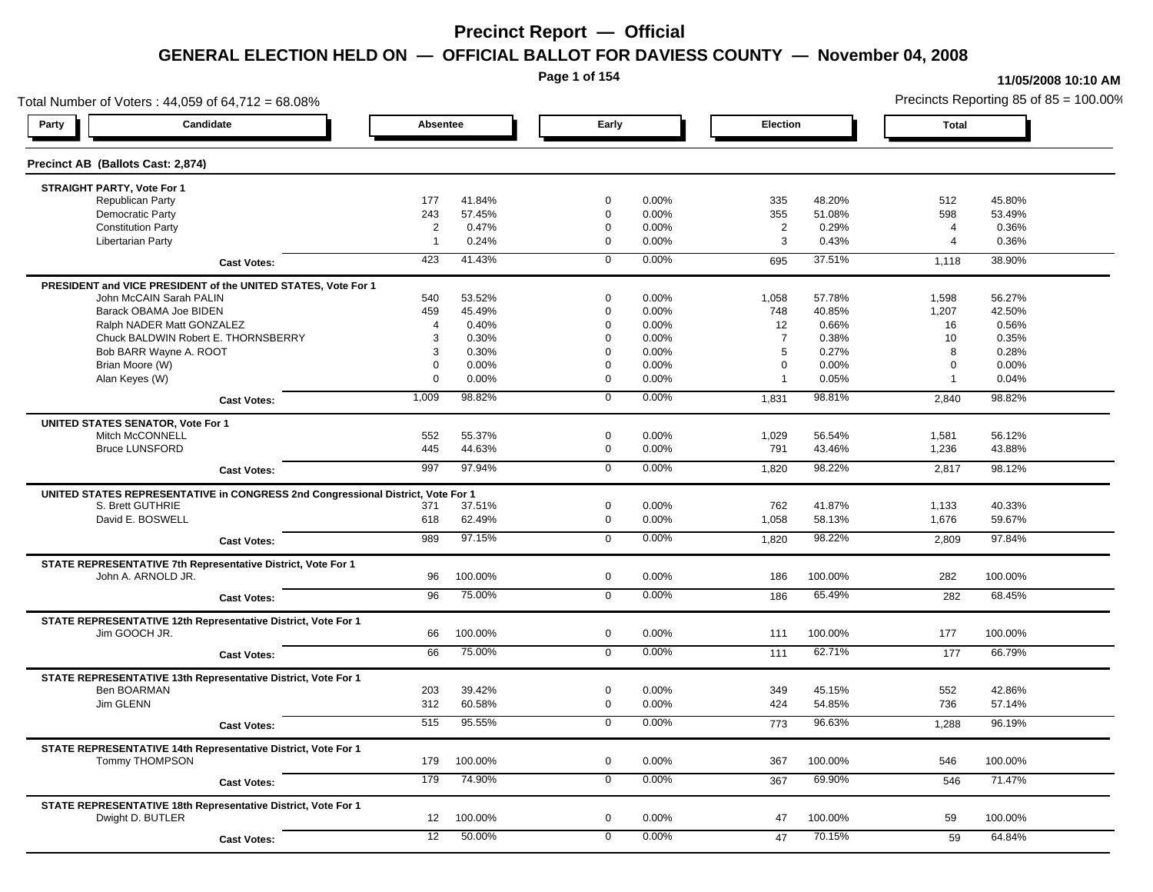**Page 1 of 154**

#### **11/05/2008 10:10 AM**

Total Number of Voters : 44,059 of 64,712 = 68.08% Precincts Reporting 85 of 85 = 100.00% **Party Candidate Absentee Early Election Total Precinct AB (Ballots Cast: 2,874) STRAIGHT PARTY, Vote For 1** Republican Party 177 41.84% 0 0.00% 335 48.20% 512 45.80% Democratic Party 243 57.45% 0 0.00% 355 51.08% 598 53.49% Constitution Party 2 0.47% 0 0.00% 2 0.29% 4 0.36% Libertarian Party 1 0.24% 0 0.00% 3 0.43% 4 0.36% **Cast Votes:** 423 41.43% 0 0.00% 695 37.51% 1,118 38.90% **PRESIDENT and VICE PRESIDENT of the UNITED STATES, Vote For 1** John McCAIN Sarah PALIN John McCAIN Sarah PALIN 540 53.52% 0 0.00% 1,058 57.78% 1,598 56.27% Barack OBAMA Joe BIDEN 459 45.49% 0 0.00% 748 40.85% 1,207 42.50% Ralph NADER Matt GONZALEZ  $\begin{array}{cccc} 4 & 0.40\% & 9 & 0.00\% & 0.00\% & 12 & 0.66\% & 16 & 0.56\% \end{array}$ Chuck BALDWIN Robert E. THORNSBERRY 3 0.30% 0 0.00% 7 0.38% 10 0.35% Bob BARR Wayne A. ROOT CONSULTED: THE SERVICE CONSULTED A SUBSEXTED AS CONSULTED A SUBSEXTED A SUBSEXTED A SUBSEXTED A SUBSEXTED A SUBSEXTED A SUBSEXTED A SUBSEXTED AS A DUBBEX 0.28% O A SUBSEXTED A SUBSEXTED AS A DUBBEX 0 Brian Moore (W) 0 0.00% 0 0.00% 0 0.00% 0 0.00% Alan Keyes (W) 0 0.00% 0 0.00% 1 0.05% 1 0.04% **Cast Votes:** 1,009 98.82% 0 0.00% 1,831 98.81% 2,840 98.82% **UNITED STATES SENATOR, Vote For 1** Mitch McCONNELL 552 55.37% 0 0.00% 1,029 56.54% 1,581 56.12% Bruce LUNSFORD 445 44.63% 0 0.00% 791 43.46% 1,236 43.88% **Cast Votes:** 997 97.94% 0 0.00% 1,820 98.22% 2,817 98.12% **UNITED STATES REPRESENTATIVE in CONGRESS 2nd Congressional District, Vote For 1** S. Brett GUTHRIE 371 37.51% 0 0.00% 762 41.87% 1,133 40.33% David E. BOSWELL 618 62.49% 0 0.00% 1,058 58.13% 1,676 59.67% **Cast Votes:** 989 97.15% 0 0.00% 1,820 98.22% 2,809 97.84% **STATE REPRESENTATIVE 7th Representative District, Vote For 1** John A. ARNOLD JR. 96 100.00% 0 0.00% 186 100.00% 282 100.00% **Cast Votes:** 96 75.00% 0 0.00% 186 65.49% 282 68.45% **STATE REPRESENTATIVE 12th Representative District, Vote For 1** Jim GOOCH JR. 66 100.00% 0 0.00% 111 100.00% 177 100.00% **Cast Votes:** 66 75.00% 0 0.00% 111 62.71% 177 66.79% **STATE REPRESENTATIVE 13th Representative District, Vote For 1 Ben BOARMAN Ben BOARMAN** 203 **39.42%** Ben BOARMAN 203 39.42% 0 0.00% 349 45.15% 552 42.86% Jim GLENN 312 60.58% 0 0.00% 424 54.85% 736 57.14% **Cast Votes:** 515 95.55% 0 0.00% 773 96.63% 1,288 96.19% **STATE REPRESENTATIVE 14th Representative District, Vote For 1** Tommy THOMPSON 179 100.00% 0 0.00% 367 100.00% 546 100.00% **Cast Votes:** 179 74.90% 0 0.00% 367 69.90% 546 71.47% **STATE REPRESENTATIVE 18th Representative District, Vote For 1** Dwight D. BUTLER 12 100.00% 0 0.00% 47 100.00% 59 100.00% **Cast Votes:** 12 50.00% 0 0.00% 47 70.15% 59 64.84%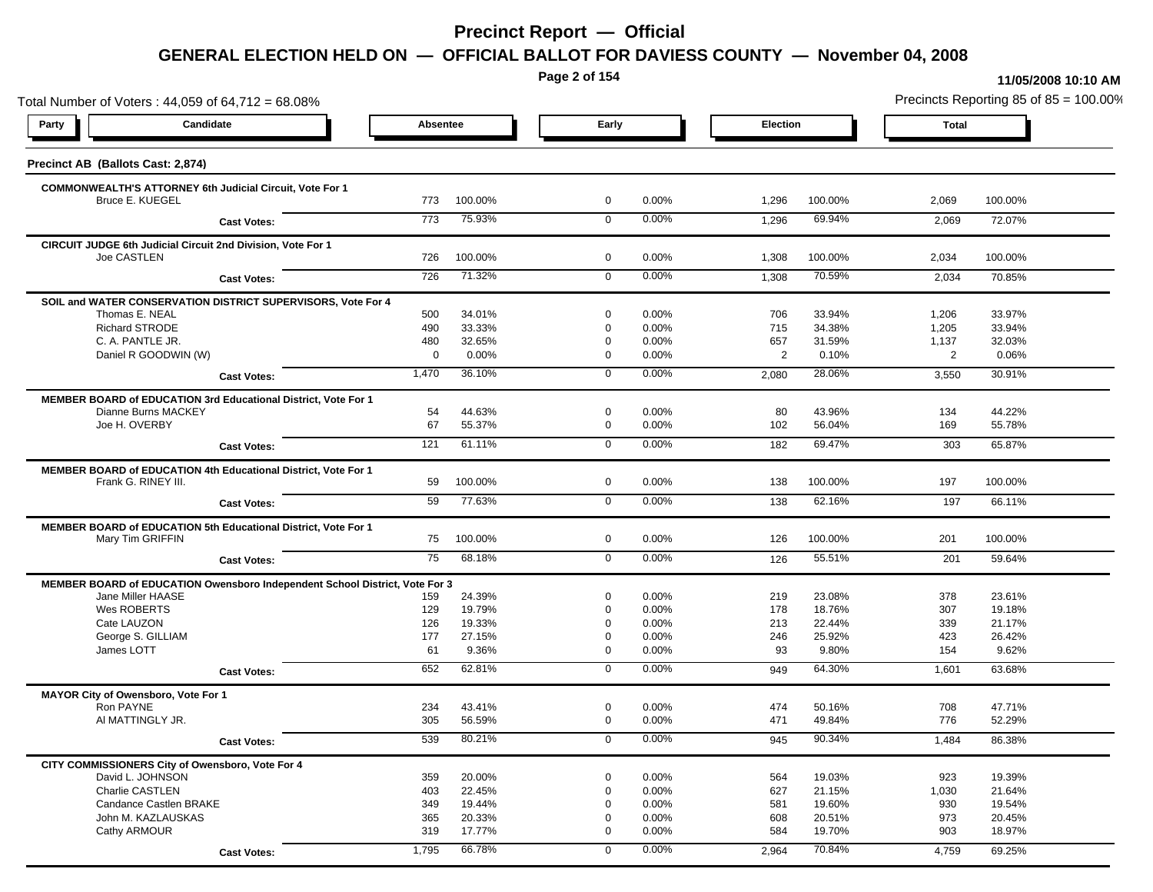**Page 2 of 154**

#### **11/05/2008 10:10 AM**

Total Number of Voters : 44,059 of 64,712 = 68.08% Precincts Reporting 85 of 85 = 100.00% **Party Candidate Absentee Early Election Total Precinct AB (Ballots Cast: 2,874) COMMONWEALTH'S ATTORNEY 6th Judicial Circuit, Vote For 1** Bruce E. KUEGEL 773 100.00% 0 0.00% 1,296 100.00% 2,069 100.00% **Cast Votes:** 773 75.93% 0 0.00% 1,296 69.94% 2,069 72.07% **CIRCUIT JUDGE 6th Judicial Circuit 2nd Division, Vote For 1** Joe CASTLEN 726 100.00% 0 0.00% 1,308 100.00% 2,034 100.00% **Cast Votes:** 726 71.32% 0 0.00% 1,308 70.59% 2,034 70.85% **SOIL and WATER CONSERVATION DISTRICT SUPERVISORS, Vote For 4** Thomas E. NEAL 500 34.01% 0 0.00% 706 33.94% 1,206 33.97% Richard STRODE 490 33.33% 0 0.00% 715 34.38% 1,205 33.94% C. A. PANTLE JR. 480 32.65% 0 0.00% 657 31.59% 1,137 32.03% Daniel R GOODWIN (W) 0 0.00% 0 0.00% 2 0.10% 2 0.06% **Cast Votes:** 1,470 36.10% 0 0.00% 2,080 28.06% 3,550 30.91% **MEMBER BOARD of EDUCATION 3rd Educational District, Vote For 1**<br>144.63% Dianne Burns MACKEY Dianne Burns MACKEY 54 44.63% 0 0.00% 80 43.96% 134 44.22% Joe H. OVERBY 67 55.37% 0 0.00% 102 56.04% 169 55.78% **Cast Votes:** 121 61.11% 0 0.00% 182 69.47% 303 65.87% **MEMBER BOARD of EDUCATION 4th Educational District, Vote For 1** Frank G. RINEY III. 59 100.00% 0 0.00% 138 100.00% 197 100.00% **Cast Votes:** 59 77.63% 0 0.00% 138 62.16% 197 66.11% **MEMBER BOARD of EDUCATION 5th Educational District, Vote For 1** Mary Tim GRIFFIN 75 100.00% 0 0.00% 126 100.00% 201 100.00% **Cast Votes:** 75 68.18% 0 0.00% 126 55.51% 201 59.64% **MEMBER BOARD of EDUCATION Owensboro Independent School District, Vote For 3** Jane Miller HAASE 159 24.39% 0 0.00% 219 23.08% 378 23.61% Wes ROBERTS 129 19.79% 0 0.00% 178 18.76% 307 19.18% Cate LAUZON 126 19.33% 0 0.00% 213 22.44% 339 21.17% George S. GILLIAM 177 27.15% 0 0.00% 246 25.92% 423 26.42% James LOTT 61 9.36% 0 0.00% 93 9.80% 154 9.62% **Cast Votes:** 652 62.81% 0 0.00% 949 64.30% 1,601 63.68% **MAYOR City of Owensboro, Vote For 1** Ron PAYNE 234 43.41% 0 0.00% 474 50.16% 708 47.71% Al MATTINGLY JR. 305 56.59% 0 0.00% 471 49.84% 776 52.29% **Cast Votes:** 539 80.21% 0 0.00% 945 90.34% 1,484 86.38% **CITY COMMISSIONERS City of Owensboro, Vote For 4** David L. JOHNSON 359 20.00% 0 0.00% 564 19.03% 923 19.39% Charlie CASTLEN 403 22.45% 0 0.00% 627 21.15% 1,030 21.64% Candance Castlen BRAKE 349 19.44% 0 0.00% 581 19.60% 930 19.54% John M. KAZLAUSKAS 365 20.33% 0 0.00% 608 20.51% 973 20.45% Cathy ARMOUR 319 17.77% 0 0.00% 584 19.70% 903 18.97% **Cast Votes:** 1,795 66.78% 0 0.00% 2,964 70.84% 4,759 69.25%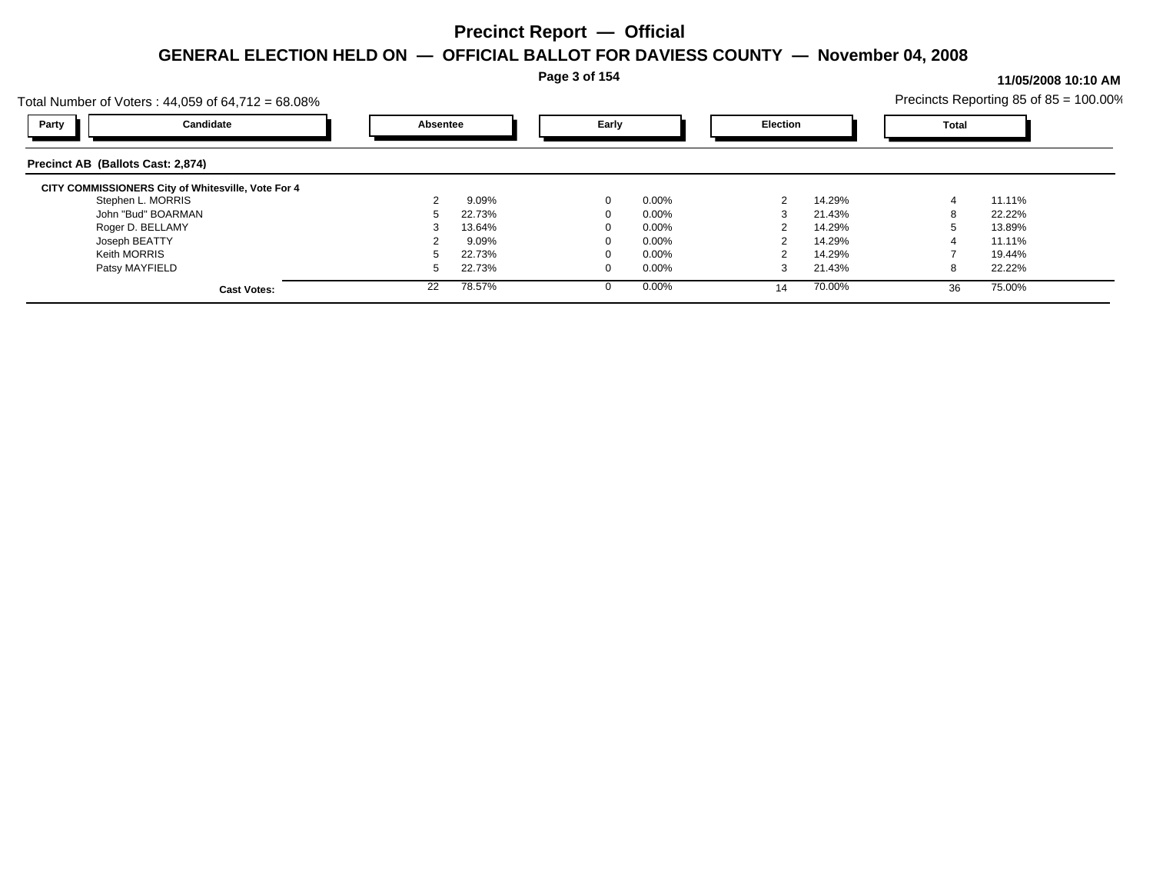**Page 3 of 154**

|                                   | Total Number of Voters : 44,059 of 64,712 = 68.08% |          |        |       |          |                 |        |              | Precincts Reporting 85 of 85 = 100.00% |  |
|-----------------------------------|----------------------------------------------------|----------|--------|-------|----------|-----------------|--------|--------------|----------------------------------------|--|
| Party                             | Candidate                                          | Absentee |        | Early |          | <b>Election</b> |        | <b>Total</b> |                                        |  |
| Precinct AB (Ballots Cast: 2,874) |                                                    |          |        |       |          |                 |        |              |                                        |  |
|                                   | CITY COMMISSIONERS City of Whitesville, Vote For 4 |          |        |       |          |                 |        |              |                                        |  |
|                                   | Stephen L. MORRIS                                  |          | 9.09%  | 0     | $0.00\%$ |                 | 14.29% |              | 11.11%                                 |  |
|                                   | John "Bud" BOARMAN                                 |          | 22.73% |       | $0.00\%$ |                 | 21.43% |              | 22.22%                                 |  |
|                                   | Roger D. BELLAMY                                   |          | 13.64% |       | $0.00\%$ |                 | 14.29% |              | 13.89%                                 |  |
| Joseph BEATTY                     |                                                    |          | 9.09%  |       | $0.00\%$ |                 | 14.29% |              | 11.11%                                 |  |
| Keith MORRIS                      |                                                    |          | 22.73% |       | $0.00\%$ |                 | 14.29% |              | 19.44%                                 |  |
| Patsy MAYFIELD                    |                                                    |          | 22.73% |       | $0.00\%$ |                 | 21.43% | 8            | 22.22%                                 |  |
|                                   | <b>Cast Votes:</b>                                 | 22       | 78.57% |       | $0.00\%$ | 14              | 70.00% | 36           | 75.00%                                 |  |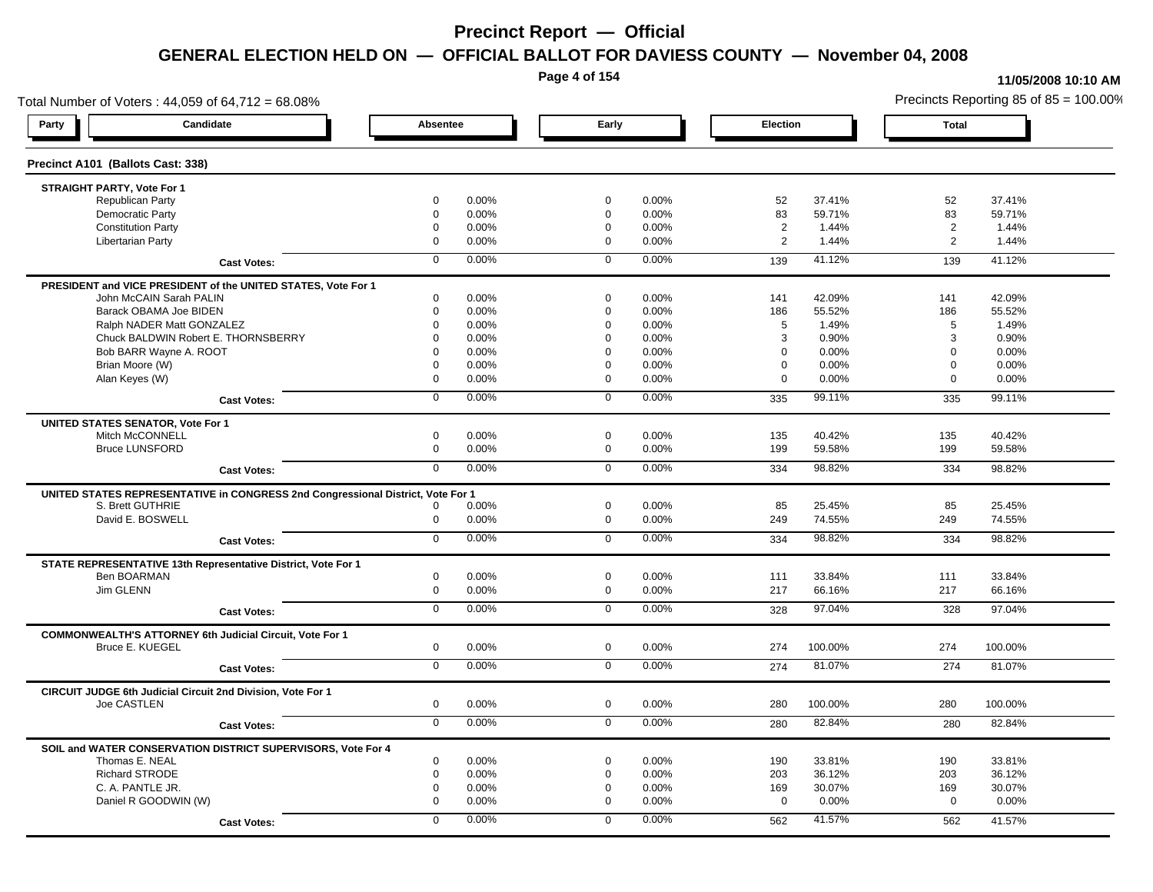**Page 4 of 154**

#### **11/05/2008 10:10 AM**

Total Number of Voters : 44,059 of 64,712 = 68.08% Precincts Reporting 85 of 85 = 100.00% **Party Candidate Absentee Early Election Total Precinct A101 (Ballots Cast: 338) STRAIGHT PARTY, Vote For 1** Republican Party 0 0.00% 0 0.00% 52 37.41% 52 37.41% Democratic Party 0 0.00% 0 0.00% 83 59.71% 83 59.71% Constitution Party 0 0.00% 0 0.00% 2 1.44% 2 1.44% Libertarian Party 0 0.00% 0 0.00% 2 1.44% 2 1.44% **Cast Votes:** 0 0.00% 0 0.00% 139 41.12% 139 41.12% **PRESIDENT and VICE PRESIDENT of the UNITED STATES, Vote For 1** John McCAIN Sarah PALIN John McCAIN Sarah PALIN 0 0.00% 0 0.00% 141 42.09% 141 42.09% Barack OBAMA Joe BIDEN 0 0.00% 0 0.00% 186 55.52% 186 55.52% Ralph NADER Matt GONZALEZ  $0$  0.00% 0 0.00% 5 1.49% 5 1.49% 5 1.49% Chuck BALDWIN Robert E. THORNSBERRY 0 0.00% 0 0.00% 3 0.90% 3 0.90%  $B$ ob BARR Wayne A. ROOT  $0.00\%$   $0.00\%$   $0.00\%$   $0.00\%$   $0.00\%$   $0.00\%$   $0.00\%$   $0.00\%$ Brian Moore (W) 0 0.00% 0 0.00% 0 0.00% 0 0.00% Alan Keyes (W) 0 0.00% 0 0.00% 0 0.00% 0 0.00% **Cast Votes:** 0 0.00% 0 0.00% 335 99.11% 335 99.11% **UNITED STATES SENATOR, Vote For 1** Mitch McCONNELL 0 0.00% 0 0.00% 135 40.42% 135 40.42% Bruce LUNSFORD 0 0.00% 0 0.00% 199 59.58% 199 59.58% **Cast Votes:** 0 0.00% 0 0.00% 334 98.82% 334 98.82% **UNITED STATES REPRESENTATIVE in CONGRESS 2nd Congressional District, Vote For 1** S. Brett GUTHRIE 0 0.00% 0 0.00% 85 25.45% 85 25.45% David E. BOSWELL 0 0.00% 0 0.00% 249 74.55% 249 74.55% **Cast Votes:** 0 0.00% 0 0.00% 334 98.82% 334 98.82% **STATE REPRESENTATIVE 13th Representative District, Vote For 1** Ben BOARMAN 0 0.00% 0 0.00% 111 33.84% 111 33.84% Jim GLENN 0 0.00% 0 0.00% 217 66.16% 217 66.16% **Cast Votes:** 0 0.00% 0 0.00% 328 97.04% 328 97.04% **COMMONWEALTH'S ATTORNEY 6th Judicial Circuit, Vote For 1** Bruce E. KUEGEL 0 0.00% 0 0.00% 274 100.00% 274 100.00% **Cast Votes:** 0 0.00% 0 0.00% 274 81.07% 274 81.07% **CIRCUIT JUDGE 6th Judicial Circuit 2nd Division, Vote For 1** Joe CASTLEN 0 0.00% 0 0.00% 280 100.00% 280 100.00% **Cast Votes:** 0 0.00% 0 0.00% 280 82.84% 280 82.84% **SOIL and WATER CONSERVATION DISTRICT SUPERVISORS, Vote For 4** Thomas E. NEAL 0 0.00% 0 0.00% 190 33.81% 190 33.81% Richard STRODE 0 0.00% 0 0.00% 203 36.12% 203 36.12% C. A. PANTLE JR. 0 0.00% 0 0.00% 169 30.07% 169 30.07% Daniel R GOODWIN (W) 0 0.00% 0 0.00% 0 0.00% 0 0.00% **Cast Votes:** 0 0.00% 0 0.00% 562 41.57% 562 41.57%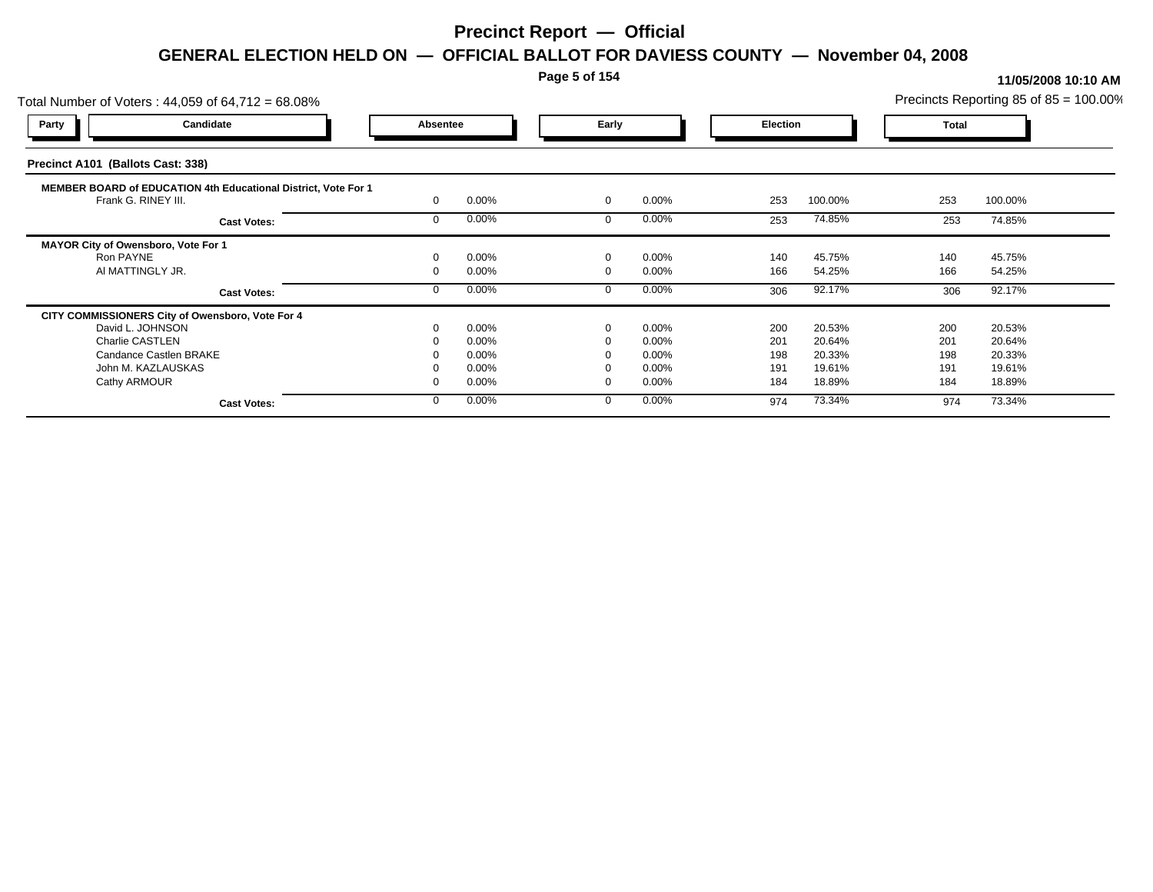### **Page 5 of 154**

| Candidate<br>Early<br><b>Party</b><br>Absentee<br><b>Election</b><br><b>Total</b><br>Precinct A101 (Ballots Cast: 338)<br>MEMBER BOARD of EDUCATION 4th Educational District, Vote For 1<br>0.00%<br>253<br>0.00%<br>253<br>100.00%<br>100.00%<br>Frank G. RINEY III.<br>$\mathbf 0$<br>0.00%<br>$0.00\%$<br>74.85%<br>74.85%<br>253<br>253<br><b>Cast Votes:</b><br>MAYOR City of Owensboro, Vote For 1<br>0.00%<br>0.00%<br>45.75%<br>45.75%<br>Ron PAYNE<br>$\Omega$<br>140<br>140<br>AI MATTINGLY JR.<br>0.00%<br>$0.00\%$<br>166<br>166<br>54.25%<br>54.25%<br>92.17%<br>0.00%<br>0.00%<br>306<br>92.17%<br>306<br><b>Cast Votes:</b><br>CITY COMMISSIONERS City of Owensboro, Vote For 4<br>0.00%<br>0.00%<br>20.53%<br>200<br>20.53%<br>David L. JOHNSON<br>200<br>$\Omega$<br>Charlie CASTLEN<br>0.00%<br>0.00%<br>201<br>201<br>20.64%<br>20.64%<br>Candance Castlen BRAKE<br>198<br>20.33%<br>0.00%<br>$0.00\%$<br>198<br>20.33%<br>0.00%<br>0.00%<br>191<br>19.61%<br>John M. KAZLAUSKAS<br>191<br>19.61% | Total Number of Voters: 44,059 of 64,712 = 68.08% |       |          |     |        |     | Precincts Reporting 85 of 85 = 100.00% |  |
|----------------------------------------------------------------------------------------------------------------------------------------------------------------------------------------------------------------------------------------------------------------------------------------------------------------------------------------------------------------------------------------------------------------------------------------------------------------------------------------------------------------------------------------------------------------------------------------------------------------------------------------------------------------------------------------------------------------------------------------------------------------------------------------------------------------------------------------------------------------------------------------------------------------------------------------------------------------------------------------------------------------------|---------------------------------------------------|-------|----------|-----|--------|-----|----------------------------------------|--|
|                                                                                                                                                                                                                                                                                                                                                                                                                                                                                                                                                                                                                                                                                                                                                                                                                                                                                                                                                                                                                      |                                                   |       |          |     |        |     |                                        |  |
|                                                                                                                                                                                                                                                                                                                                                                                                                                                                                                                                                                                                                                                                                                                                                                                                                                                                                                                                                                                                                      |                                                   |       |          |     |        |     |                                        |  |
|                                                                                                                                                                                                                                                                                                                                                                                                                                                                                                                                                                                                                                                                                                                                                                                                                                                                                                                                                                                                                      |                                                   |       |          |     |        |     |                                        |  |
|                                                                                                                                                                                                                                                                                                                                                                                                                                                                                                                                                                                                                                                                                                                                                                                                                                                                                                                                                                                                                      |                                                   |       |          |     |        |     |                                        |  |
|                                                                                                                                                                                                                                                                                                                                                                                                                                                                                                                                                                                                                                                                                                                                                                                                                                                                                                                                                                                                                      |                                                   |       |          |     |        |     |                                        |  |
|                                                                                                                                                                                                                                                                                                                                                                                                                                                                                                                                                                                                                                                                                                                                                                                                                                                                                                                                                                                                                      |                                                   |       |          |     |        |     |                                        |  |
|                                                                                                                                                                                                                                                                                                                                                                                                                                                                                                                                                                                                                                                                                                                                                                                                                                                                                                                                                                                                                      |                                                   |       |          |     |        |     |                                        |  |
|                                                                                                                                                                                                                                                                                                                                                                                                                                                                                                                                                                                                                                                                                                                                                                                                                                                                                                                                                                                                                      |                                                   |       |          |     |        |     |                                        |  |
|                                                                                                                                                                                                                                                                                                                                                                                                                                                                                                                                                                                                                                                                                                                                                                                                                                                                                                                                                                                                                      |                                                   |       |          |     |        |     |                                        |  |
|                                                                                                                                                                                                                                                                                                                                                                                                                                                                                                                                                                                                                                                                                                                                                                                                                                                                                                                                                                                                                      |                                                   |       |          |     |        |     |                                        |  |
|                                                                                                                                                                                                                                                                                                                                                                                                                                                                                                                                                                                                                                                                                                                                                                                                                                                                                                                                                                                                                      |                                                   |       |          |     |        |     |                                        |  |
|                                                                                                                                                                                                                                                                                                                                                                                                                                                                                                                                                                                                                                                                                                                                                                                                                                                                                                                                                                                                                      |                                                   |       |          |     |        |     |                                        |  |
|                                                                                                                                                                                                                                                                                                                                                                                                                                                                                                                                                                                                                                                                                                                                                                                                                                                                                                                                                                                                                      |                                                   |       |          |     |        |     |                                        |  |
|                                                                                                                                                                                                                                                                                                                                                                                                                                                                                                                                                                                                                                                                                                                                                                                                                                                                                                                                                                                                                      |                                                   |       |          |     |        |     |                                        |  |
|                                                                                                                                                                                                                                                                                                                                                                                                                                                                                                                                                                                                                                                                                                                                                                                                                                                                                                                                                                                                                      | Cathy ARMOUR                                      | 0.00% | $0.00\%$ | 184 | 18.89% | 184 | 18.89%                                 |  |
| 0.00%<br>$0.00\%$<br>73.34%<br>974<br>73.34%<br>974<br><b>Cast Votes:</b>                                                                                                                                                                                                                                                                                                                                                                                                                                                                                                                                                                                                                                                                                                                                                                                                                                                                                                                                            |                                                   |       |          |     |        |     |                                        |  |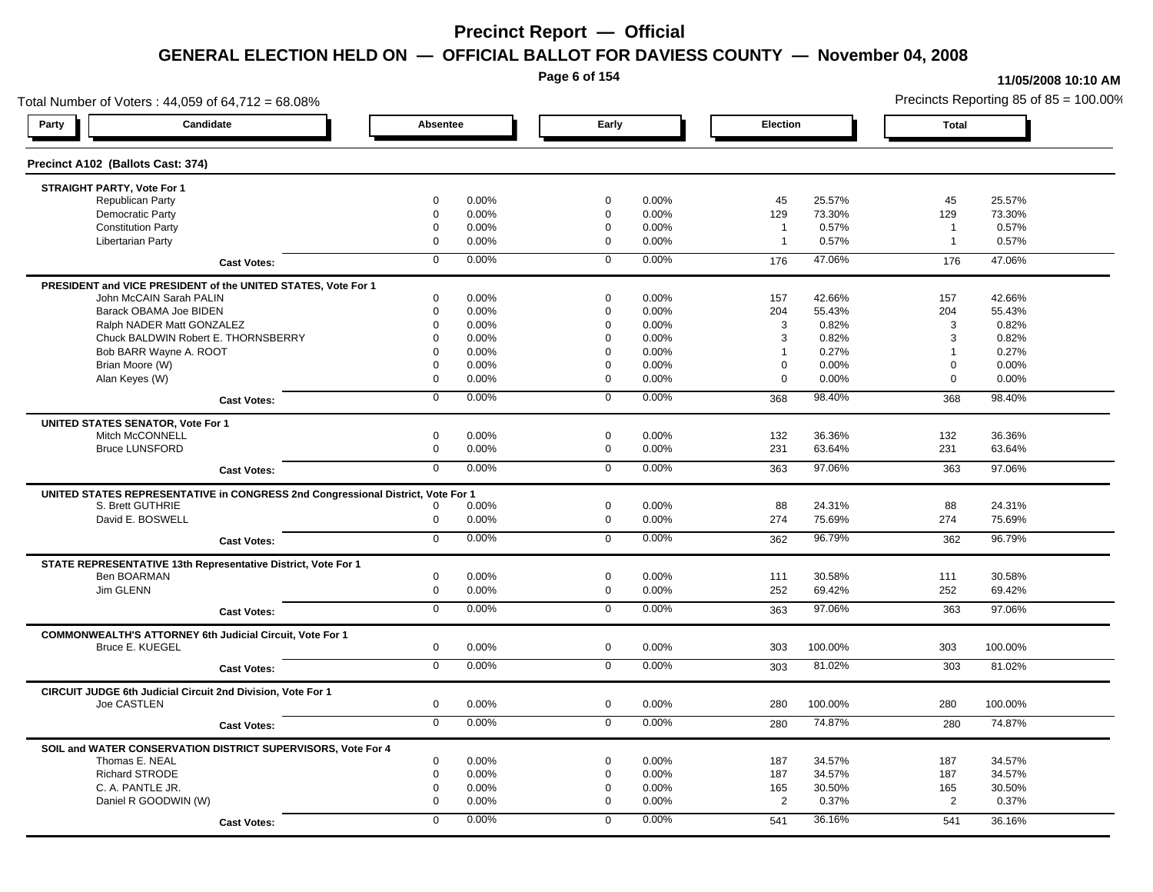**Page 6 of 154**

#### **11/05/2008 10:10 AM**

Total Number of Voters : 44,059 of 64,712 = 68.08% Precincts Reporting 85 of 85 = 100.00% **Party Candidate Absentee Early Election Total Precinct A102 (Ballots Cast: 374) STRAIGHT PARTY, Vote For 1** Republican Party 0 0.00% 0 0.00% 45 25.57% 45 25.57% Democratic Party 0 0.00% 0 0.00% 129 73.30% 129 73.30% Constitution Party 0 0.00% 0 0.00% 1 0.57% 1 0.57% Libertarian Party 0 0.00% 0 0.00% 1 0.57% 1 0.57% **Cast Votes:** 0 0.00% 0 0.00% 176 47.06% 176 47.06% **PRESIDENT and VICE PRESIDENT of the UNITED STATES, Vote For 1** John McCAIN Sarah PALIN John McCAIN Sarah PALIN 0 0.00% 0 0.00% 157 42.66% 157 42.66% Barack OBAMA Joe BIDEN 0 0.00% 0 0.00% 204 55.43% 204 55.43% Ralph NADER Matt GONZALEZ  $0$  0.00%  $0$  0.00%  $0$  0.00% 3 0.82% 3 0.82% Chuck BALDWIN Robert E. THORNSBERRY 0 0.00% 0 0.00% 3 0.82% 3 0.82% Bob BARR Wayne A. ROOT **1** 0.27% 1 0.27% 1 0.27% 1 0.27% 1 0.27% 1 0.27% 1 0.27% 1 0.27% 1 0.27% 1 0.27% 1 0.27% 1 0.27% 1 0.27% 1 0.27% 1 0.27% 1 0.27% 1 0.27% 1 0.27% 1 0.27% 1 0.27% 1 0.27% 1 0.27% 1 0.27% 1 0.27% 1 0.2 Brian Moore (W) 0 0.00% 0 0.00% 0 0.00% 0 0.00% Alan Keyes (W) 0 0.00% 0 0.00% 0 0.00% 0 0.00% **Cast Votes:** 0 0.00% 0 0.00% 368 98.40% 368 98.40% **UNITED STATES SENATOR, Vote For 1** Mitch McCONNELL 0 0.00% 0 0.00% 132 36.36% 132 36.36% Bruce LUNSFORD 0 0.00% 0 0.00% 231 63.64% 231 63.64% **Cast Votes:** 0 0.00% 0 0.00% 363 97.06% 363 97.06% **UNITED STATES REPRESENTATIVE in CONGRESS 2nd Congressional District, Vote For 1** S. Brett GUTHRIE 0 0.00% 0 0.00% 88 24.31% 88 24.31% David E. BOSWELL 0 0.00% 0 0.00% 274 75.69% 274 75.69% **Cast Votes:** 0 0.00% 0 0.00% 362 96.79% 362 96.79% **STATE REPRESENTATIVE 13th Representative District, Vote For 1** Ben BOARMAN 0 0.00% 0 0.00% 111 30.58% 111 30.58% Jim GLENN 0 0.00% 0 0.00% 252 69.42% 252 69.42% **Cast Votes:** 0 0.00% 0 0.00% 363 97.06% 363 97.06% **COMMONWEALTH'S ATTORNEY 6th Judicial Circuit, Vote For 1** Bruce E. KUEGEL 0 0.00% 0 0.00% 303 100.00% 303 100.00% **Cast Votes:** 0 0.00% 0 0.00% 303 81.02% 303 81.02% **CIRCUIT JUDGE 6th Judicial Circuit 2nd Division, Vote For 1** Joe CASTLEN 0 0.00% 0 0.00% 280 100.00% 280 100.00% **Cast Votes:** 0 0.00% 0 0.00% 280 74.87% 280 74.87% **SOIL and WATER CONSERVATION DISTRICT SUPERVISORS, Vote For 4** Thomas E. NEAL 0 0.00% 0 0.00% 187 34.57% 187 34.57% Richard STRODE 0 0.00% 0 0.00% 187 34.57% 187 34.57% C. A. PANTLE JR. 0 0.00% 0 0.00% 165 30.50% 165 30.50% Daniel R GOODWIN (W) 0 0.00% 0 0.00% 2 0.37% 2 0.37% **Cast Votes:** 0 0.00% 0 0.00% 541 36.16% 541 36.16%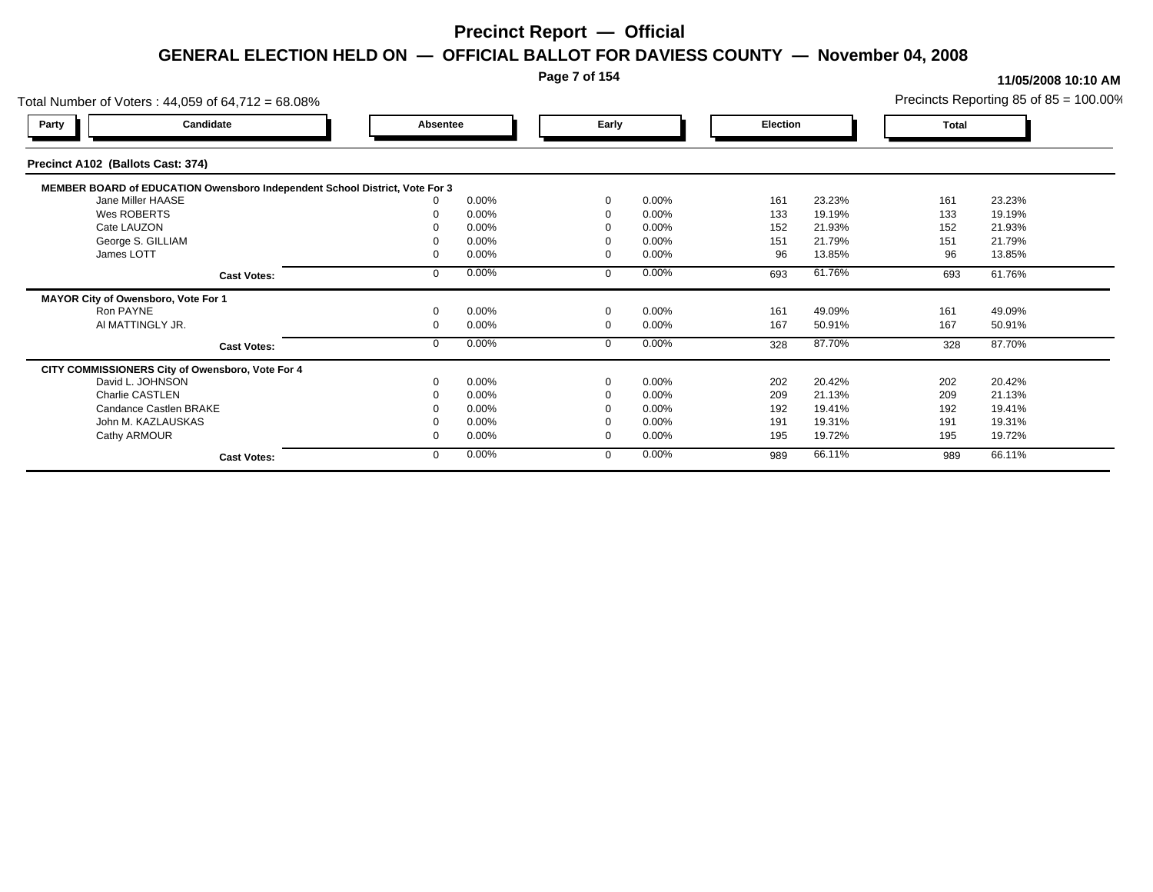### **Page 7 of 154**

| Total Number of Voters: 44,059 of 64,712 = 68.08%                           |          |       |          |          |          |        |       | Precincts Reporting 85 of $85 = 100.00\%$ |
|-----------------------------------------------------------------------------|----------|-------|----------|----------|----------|--------|-------|-------------------------------------------|
| Candidate<br>Party                                                          | Absentee |       | Early    |          | Election |        | Total |                                           |
| Precinct A102 (Ballots Cast: 374)                                           |          |       |          |          |          |        |       |                                           |
| MEMBER BOARD of EDUCATION Owensboro Independent School District, Vote For 3 |          |       |          |          |          |        |       |                                           |
| Jane Miller HAASE                                                           |          | 0.00% | $\Omega$ | $0.00\%$ | 161      | 23.23% | 161   | 23.23%                                    |
| Wes ROBERTS                                                                 |          | 0.00% |          | 0.00%    | 133      | 19.19% | 133   | 19.19%                                    |
| Cate LAUZON                                                                 |          | 0.00% |          | 0.00%    | 152      | 21.93% | 152   | 21.93%                                    |
| George S. GILLIAM                                                           |          | 0.00% |          | 0.00%    | 151      | 21.79% | 151   | 21.79%                                    |
| James LOTT                                                                  |          | 0.00% |          | 0.00%    | 96       | 13.85% | 96    | 13.85%                                    |
| <b>Cast Votes:</b>                                                          |          | 0.00% | $\Omega$ | 0.00%    | 693      | 61.76% | 693   | 61.76%                                    |
| MAYOR City of Owensboro, Vote For 1                                         |          |       |          |          |          |        |       |                                           |
| Ron PAYNE                                                                   |          | 0.00% | $\Omega$ | 0.00%    | 161      | 49.09% | 161   | 49.09%                                    |
| AI MATTINGLY JR.                                                            |          | 0.00% | $\Omega$ | 0.00%    | 167      | 50.91% | 167   | 50.91%                                    |
| <b>Cast Votes:</b>                                                          |          | 0.00% | $\Omega$ | 0.00%    | 328      | 87.70% | 328   | 87.70%                                    |
| CITY COMMISSIONERS City of Owensboro, Vote For 4                            |          |       |          |          |          |        |       |                                           |
| David L. JOHNSON                                                            |          | 0.00% | $\Omega$ | 0.00%    | 202      | 20.42% | 202   | 20.42%                                    |
| Charlie CASTLEN                                                             |          | 0.00% |          | 0.00%    | 209      | 21.13% | 209   | 21.13%                                    |
| Candance Castlen BRAKE                                                      |          | 0.00% |          | 0.00%    | 192      | 19.41% | 192   | 19.41%                                    |
| John M. KAZLAUSKAS                                                          |          | 0.00% |          | 0.00%    | 191      | 19.31% | 191   | 19.31%                                    |
| Cathy ARMOUR                                                                |          | 0.00% | - 0      | 0.00%    | 195      | 19.72% | 195   | 19.72%                                    |
| <b>Cast Votes:</b>                                                          |          | 0.00% | $\Omega$ | 0.00%    | 989      | 66.11% | 989   | 66.11%                                    |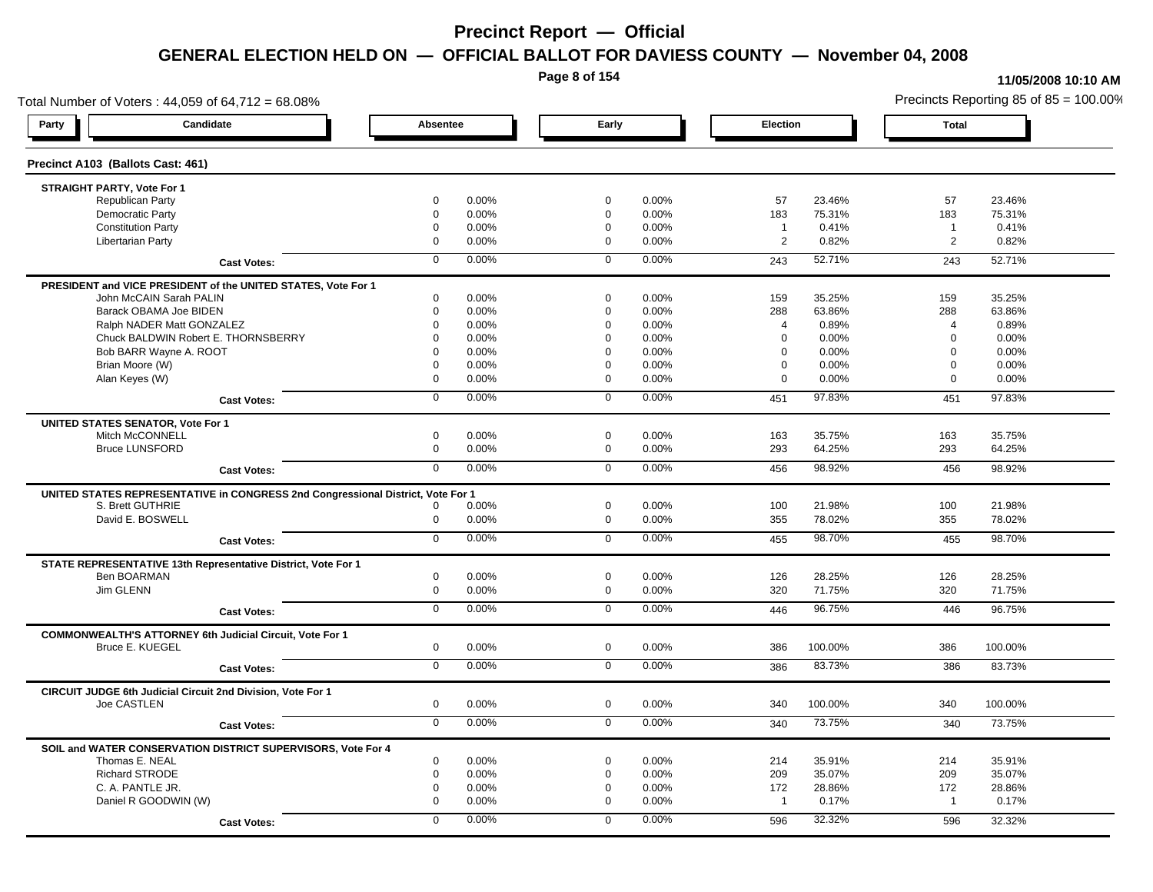**Page 8 of 154**

#### **11/05/2008 10:10 AM**

Total Number of Voters : 44,059 of 64,712 = 68.08% Precincts Reporting 85 of 85 = 100.00% **Party Candidate Absentee Early Election Total Precinct A103 (Ballots Cast: 461) STRAIGHT PARTY, Vote For 1** Republican Party 0 0.00% 0 0.00% 57 23.46% 57 23.46% Democratic Party 0 0.00% 0 0.00% 183 75.31% 183 75.31% Constitution Party 0 0.00% 0 0.00% 1 0.41% 1 0.41% Libertarian Party 0 0.00% 0 0.00% 2 0.82% 2 0.82% **Cast Votes:** 0 0.00% 0 0.00% 243 52.71% 243 52.71% **PRESIDENT and VICE PRESIDENT of the UNITED STATES, Vote For 1** John McCAIN Sarah PALIN John McCAIN Sarah PALIN 0 0.00% 0 0.00% 159 35.25% 159 35.25% Barack OBAMA Joe BIDEN 0 0.00% 0 0.00% 288 63.86% 288 63.86% Ralph NADER Matt GONZALEZ  $0$  0.00% 0 0.00% 4 0.89% 4 0.89% 4 0.89% Chuck BALDWIN Robert E. THORNSBERRY 0 0.00% 0 0.00% 0 0.00% 0 0.00%  $B$ ob BARR Wayne A. ROOT  $0.00\%$   $0.00\%$   $0.00\%$   $0.00\%$   $0.00\%$   $0.00\%$   $0.00\%$   $0.00\%$ Brian Moore (W) 0 0.00% 0 0.00% 0 0.00% 0 0.00% Alan Keyes (W) 0 0.00% 0 0.00% 0 0.00% 0 0.00% **Cast Votes:** 0 0.00% 0 0.00% 451 97.83% 451 97.83% **UNITED STATES SENATOR, Vote For 1** Mitch McCONNELL 0 0.00% 0 0.00% 163 35.75% 163 35.75% Bruce LUNSFORD 0 0.00% 0 0.00% 293 64.25% 293 64.25% **Cast Votes:** 0 0.00% 0 0.00% 456 98.92% 456 98.92% **UNITED STATES REPRESENTATIVE in CONGRESS 2nd Congressional District, Vote For 1** S. Brett GUTHRIE 0 0.00% 0 0.00% 100 21.98% 100 21.98% David E. BOSWELL 0 0.00% 0 0.00% 355 78.02% 355 78.02% **Cast Votes:** 0 0.00% 0 0.00% 455 98.70% 455 98.70% **STATE REPRESENTATIVE 13th Representative District, Vote For 1** Ben BOARMAN 0 0.00% 0 0.00% 126 28.25% 126 28.25% Jim GLENN 0 0.00% 0 0.00% 320 71.75% 320 71.75% **Cast Votes:** 0 0.00% 0 0.00% 446 96.75% 446 96.75% **COMMONWEALTH'S ATTORNEY 6th Judicial Circuit, Vote For 1** Bruce E. KUEGEL 0 0.00% 0 0.00% 386 100.00% 386 100.00% **Cast Votes:** 0 0.00% 0 0.00% 386 83.73% 386 83.73% **CIRCUIT JUDGE 6th Judicial Circuit 2nd Division, Vote For 1** Joe CASTLEN 0 0.00% 0 0.00% 340 100.00% 340 100.00% **Cast Votes:** 0 0.00% 0 0.00% 340 73.75% 340 73.75% **SOIL and WATER CONSERVATION DISTRICT SUPERVISORS, Vote For 4** Thomas E. NEAL 0 0.00% 0 0.00% 214 35.91% 214 35.91% Richard STRODE 0 0.00% 0 0.00% 209 35.07% 209 35.07% C. A. PANTLE JR. 0 0.00% 0 0.00% 172 28.86% 172 28.86% Daniel R GOODWIN (W) 0 0.00% 0 0.00% 1 0.17% 1 0.17% **Cast Votes:** 0 0.00% 0 0.00% 596 32.32% 596 32.32%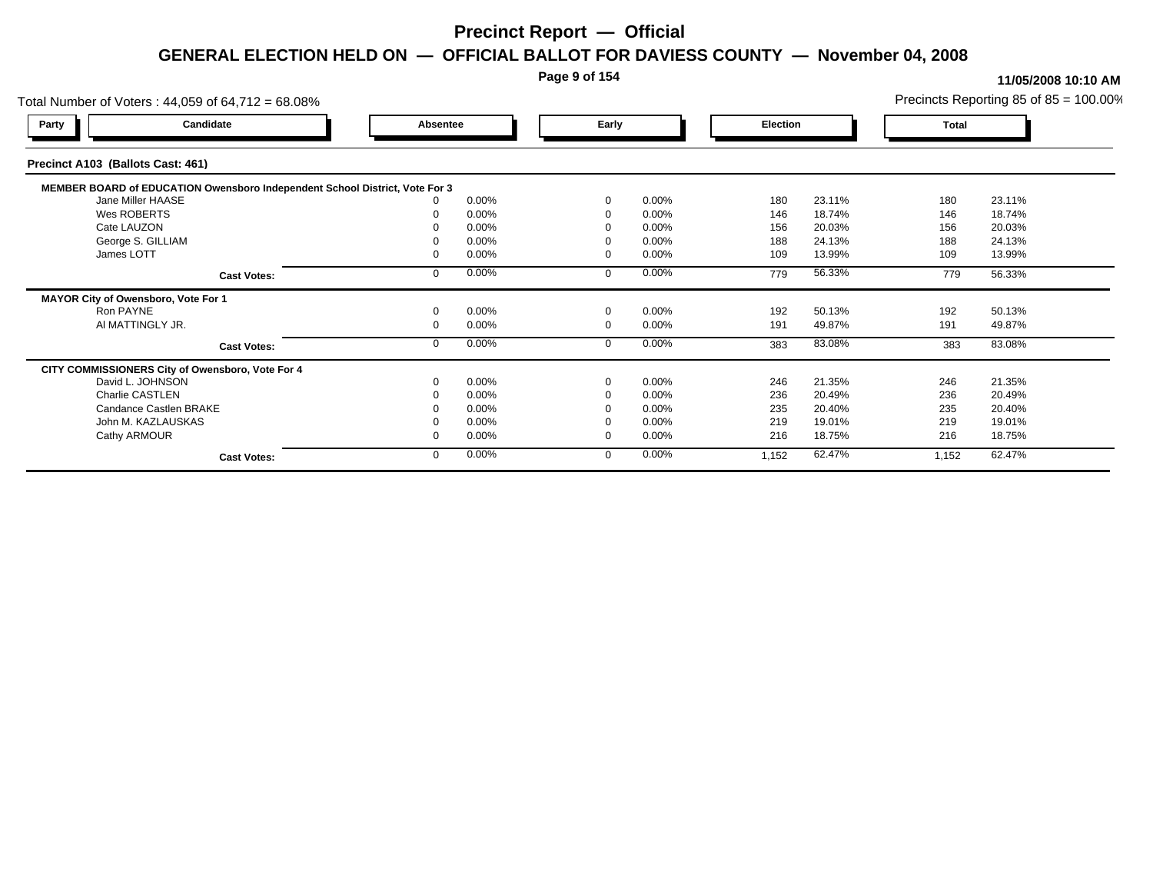### **Page 9 of 154**

| Total Number of Voters: 44,059 of 64,712 = 68.08%                           |          |       |             |       |          |          |        |       | Precincts Reporting 85 of $85 = 100.00\%$ |
|-----------------------------------------------------------------------------|----------|-------|-------------|-------|----------|----------|--------|-------|-------------------------------------------|
| Candidate<br>Party                                                          | Absentee |       |             | Early |          | Election |        | Total |                                           |
| Precinct A103 (Ballots Cast: 461)                                           |          |       |             |       |          |          |        |       |                                           |
| MEMBER BOARD of EDUCATION Owensboro Independent School District, Vote For 3 |          |       |             |       |          |          |        |       |                                           |
| Jane Miller HAASE                                                           |          | 0.00% | $\Omega$    |       | 0.00%    | 180      | 23.11% | 180   | 23.11%                                    |
| Wes ROBERTS                                                                 |          | 0.00% | $\Omega$    |       | 0.00%    | 146      | 18.74% | 146   | 18.74%                                    |
| Cate LAUZON                                                                 |          | 0.00% |             |       | 0.00%    | 156      | 20.03% | 156   | 20.03%                                    |
| George S. GILLIAM                                                           |          | 0.00% |             |       | 0.00%    | 188      | 24.13% | 188   | 24.13%                                    |
| James LOTT                                                                  |          | 0.00% | $\Omega$    |       | 0.00%    | 109      | 13.99% | 109   | 13.99%                                    |
| <b>Cast Votes:</b>                                                          |          | 0.00% | $\Omega$    |       | 0.00%    | 779      | 56.33% | 779   | 56.33%                                    |
| MAYOR City of Owensboro, Vote For 1                                         |          |       |             |       |          |          |        |       |                                           |
| Ron PAYNE                                                                   |          | 0.00% | $\mathbf 0$ |       | 0.00%    | 192      | 50.13% | 192   | 50.13%                                    |
| AI MATTINGLY JR.                                                            |          | 0.00% | $\mathbf 0$ |       | 0.00%    | 191      | 49.87% | 191   | 49.87%                                    |
| <b>Cast Votes:</b>                                                          |          | 0.00% | $\mathbf 0$ |       | 0.00%    | 383      | 83.08% | 383   | 83.08%                                    |
| CITY COMMISSIONERS City of Owensboro, Vote For 4                            |          |       |             |       |          |          |        |       |                                           |
| David L. JOHNSON                                                            |          | 0.00% | $\Omega$    |       | 0.00%    | 246      | 21.35% | 246   | 21.35%                                    |
| Charlie CASTLEN                                                             |          | 0.00% |             |       | 0.00%    | 236      | 20.49% | 236   | 20.49%                                    |
| Candance Castlen BRAKE                                                      |          | 0.00% |             |       | 0.00%    | 235      | 20.40% | 235   | 20.40%                                    |
| John M. KAZLAUSKAS                                                          |          | 0.00% |             |       | $0.00\%$ | 219      | 19.01% | 219   | 19.01%                                    |
| Cathy ARMOUR                                                                |          | 0.00% | $\Omega$    |       | 0.00%    | 216      | 18.75% | 216   | 18.75%                                    |
| <b>Cast Votes:</b>                                                          |          | 0.00% | $\mathbf 0$ |       | 0.00%    | 1,152    | 62.47% | 1,152 | 62.47%                                    |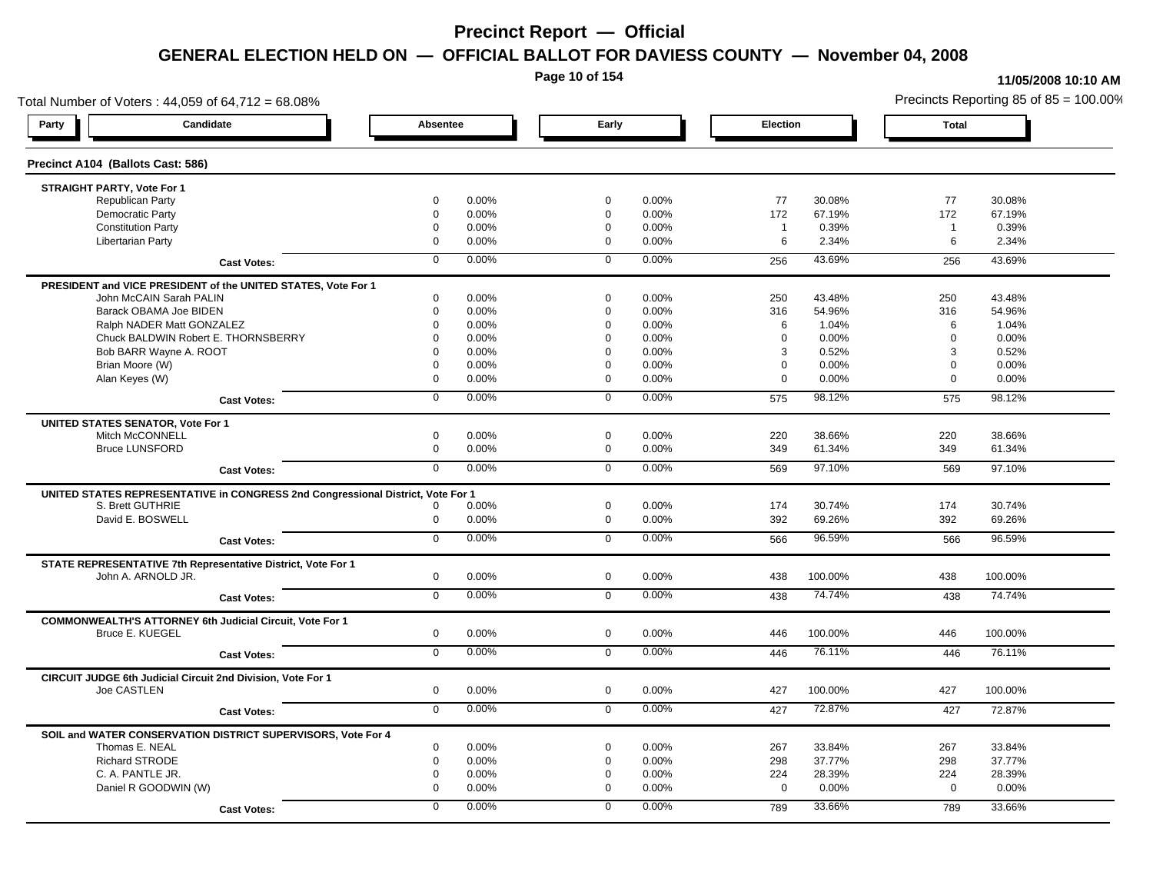**Page 10 of 154**

#### **11/05/2008 10:10 AM**

Total Number of Voters : 44,059 of 64,712 = 68.08% Precincts Reporting 85 of 85 = 100.00% **Party Candidate Absentee Early Election Total Precinct A104 (Ballots Cast: 586) STRAIGHT PARTY, Vote For 1** Republican Party 0 0.00% 0 0.00% 77 30.08% 77 30.08% Democratic Party 0 0.00% 0 0.00% 172 67.19% 172 67.19% Constitution Party 0 0.00% 0 0.00% 1 0.39% 1 0.39% Libertarian Party 0 0.00% 0 0.00% 6 2.34% 6 2.34% **Cast Votes:** 0 0.00% 0 0.00% 256 43.69% 256 43.69% **PRESIDENT and VICE PRESIDENT of the UNITED STATES, Vote For 1** John McCAIN Sarah PALIN John McCAIN Sarah PALIN 0 0.00% 0 0.00% 250 43.48% 250 43.48% Barack OBAMA Joe BIDEN 0 0.00% 0 0.00% 316 54.96% 316 54.96% Ralph NADER Matt GONZALEZ  $\begin{array}{cccc} 0 & 0.00\% & 0 & 0.00\% & 0.00\% & 6 & 1.04\% \end{array}$  6 1.04% 6 1.04% Chuck BALDWIN Robert E. THORNSBERRY 0 0.00% 0 0.00% 0 0.00% 0 0.00% Bob BARR Wayne A. ROOT **8 2010 10 0.00%** 0 0.00% 0 0.00% 0 0.00% 3 0.52% 3 0.52% 3 0.52% Brian Moore (W) 0 0.00% 0 0.00% 0 0.00% 0 0.00% Alan Keyes (W) 0 0.00% 0 0.00% 0 0.00% 0 0.00% **Cast Votes:** 0 0.00% 0 0.00% 575 98.12% 575 98.12% **UNITED STATES SENATOR, Vote For 1** Mitch McCONNELL 0 0.00% 0 0.00% 220 38.66% 220 38.66% Bruce LUNSFORD 0 0.00% 0 0.00% 349 61.34% 349 61.34% **Cast Votes:** 0 0.00% 0 0.00% 569 97.10% 569 97.10% **UNITED STATES REPRESENTATIVE in CONGRESS 2nd Congressional District, Vote For 1** S. Brett GUTHRIE 0 0.00% 0 0.00% 174 30.74% 174 30.74% David E. BOSWELL 0 0.00% 0 0.00% 392 69.26% 392 69.26% **Cast Votes:** 0 0.00% 0 0.00% 566 96.59% 566 96.59% **STATE REPRESENTATIVE 7th Representative District, Vote For 1** John A. ARNOLD JR. 0 0.00% 0 0.00% 438 100.00% 438 100.00% **Cast Votes:** 0 0.00% 0 0.00% 438 74.74% 438 74.74% **COMMONWEALTH'S ATTORNEY 6th Judicial Circuit, Vote For 1** Bruce E. KUEGEL 0 0.00% 0 0.00% 446 100.00% 446 100.00% **Cast Votes:** 0 0.00% 0 0.00% 446 76.11% 446 76.11% **CIRCUIT JUDGE 6th Judicial Circuit 2nd Division, Vote For 1** Joe CASTLEN 0 0.00% 0 0.00% 427 100.00% 427 100.00% **Cast Votes:** 0 0.00% 0 0.00% 427 72.87% 427 72.87% **SOIL and WATER CONSERVATION DISTRICT SUPERVISORS, Vote For 4** Thomas E. NEAL 0 0.00% 0 0.00% 267 33.84% 267 33.84% Richard STRODE 0 0.00% 0 0.00% 298 37.77% 298 37.77% C. A. PANTLE JR. 0 0.00% 0 0.00% 224 28.39% 224 28.39% Daniel R GOODWIN (W) 0 0.00% 0 0.00% 0 0.00% 0 0.00% **Cast Votes:** 0 0.00% 0 0.00% 789 33.66% 789 33.66%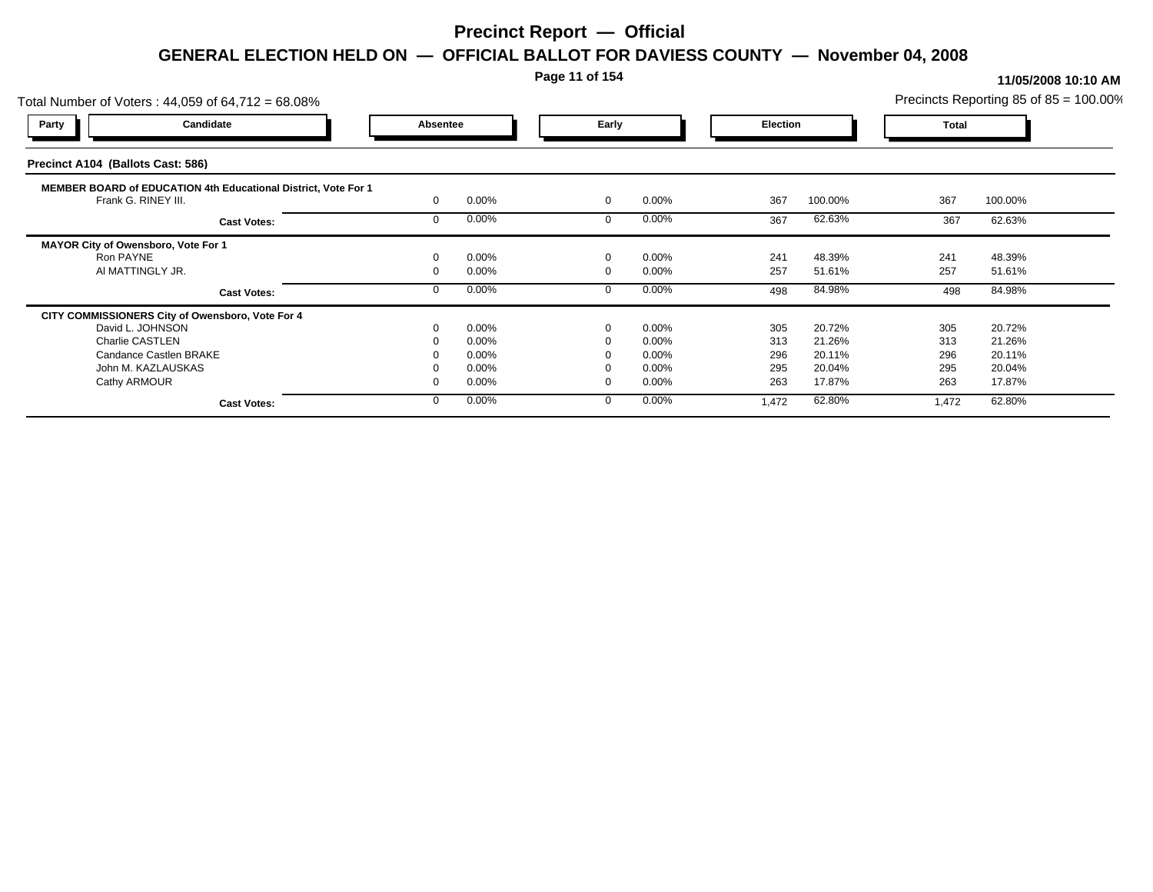### **Page 11 of 154**

| Candidate<br>Early<br>Party<br>Absentee<br><b>Election</b><br><b>Total</b><br><b>MEMBER BOARD of EDUCATION 4th Educational District, Vote For 1</b><br>367<br>Frank G. RINEY III.<br>0.00%<br>0.00%<br>367<br>100.00%<br>100.00%<br>$\mathbf 0$<br>0.00%<br>$0.00\%$<br>62.63%<br>62.63%<br>367<br>367<br>$\Omega$<br><b>Cast Votes:</b><br>MAYOR City of Owensboro, Vote For 1<br>0.00%<br>0.00%<br>48.39%<br>48.39%<br>241<br>241<br>Ron PAYNE<br>$\Omega$<br>257<br>AI MATTINGLY JR.<br>0.00%<br>$0.00\%$<br>257<br>51.61%<br>51.61%<br>0.00%<br>0.00%<br>84.98%<br>84.98%<br>498<br>498<br><b>Cast Votes:</b><br>CITY COMMISSIONERS City of Owensboro, Vote For 4<br>0.00%<br>0.00%<br>305<br>20.72%<br>305<br>20.72%<br>David L. JOHNSON<br>0<br>Charlie CASTLEN<br>0.00%<br>0.00%<br>313<br>21.26%<br>313<br>21.26%<br>296<br>Candance Castlen BRAKE<br>0.00%<br>$0.00\%$<br>296<br>20.11%<br>20.11%<br>295<br>0.00%<br>0.00%<br>295<br>20.04%<br>20.04%<br>John M. KAZLAUSKAS<br>Cathy ARMOUR<br>263<br>0.00%<br>0.00%<br>263<br>17.87%<br>17.87%<br>0.00%<br>0.00%<br>62.80%<br>62.80%<br>1,472<br>$\Omega$<br>1,472<br><b>Cast Votes:</b> | Total Number of Voters: 44,059 of 64,712 = 68.08% |  |  |  | Precincts Reporting 85 of 85 = 100.00% |  |
|----------------------------------------------------------------------------------------------------------------------------------------------------------------------------------------------------------------------------------------------------------------------------------------------------------------------------------------------------------------------------------------------------------------------------------------------------------------------------------------------------------------------------------------------------------------------------------------------------------------------------------------------------------------------------------------------------------------------------------------------------------------------------------------------------------------------------------------------------------------------------------------------------------------------------------------------------------------------------------------------------------------------------------------------------------------------------------------------------------------------------------------------------|---------------------------------------------------|--|--|--|----------------------------------------|--|
|                                                                                                                                                                                                                                                                                                                                                                                                                                                                                                                                                                                                                                                                                                                                                                                                                                                                                                                                                                                                                                                                                                                                                    |                                                   |  |  |  |                                        |  |
|                                                                                                                                                                                                                                                                                                                                                                                                                                                                                                                                                                                                                                                                                                                                                                                                                                                                                                                                                                                                                                                                                                                                                    | Precinct A104 (Ballots Cast: 586)                 |  |  |  |                                        |  |
|                                                                                                                                                                                                                                                                                                                                                                                                                                                                                                                                                                                                                                                                                                                                                                                                                                                                                                                                                                                                                                                                                                                                                    |                                                   |  |  |  |                                        |  |
|                                                                                                                                                                                                                                                                                                                                                                                                                                                                                                                                                                                                                                                                                                                                                                                                                                                                                                                                                                                                                                                                                                                                                    |                                                   |  |  |  |                                        |  |
|                                                                                                                                                                                                                                                                                                                                                                                                                                                                                                                                                                                                                                                                                                                                                                                                                                                                                                                                                                                                                                                                                                                                                    |                                                   |  |  |  |                                        |  |
|                                                                                                                                                                                                                                                                                                                                                                                                                                                                                                                                                                                                                                                                                                                                                                                                                                                                                                                                                                                                                                                                                                                                                    |                                                   |  |  |  |                                        |  |
|                                                                                                                                                                                                                                                                                                                                                                                                                                                                                                                                                                                                                                                                                                                                                                                                                                                                                                                                                                                                                                                                                                                                                    |                                                   |  |  |  |                                        |  |
|                                                                                                                                                                                                                                                                                                                                                                                                                                                                                                                                                                                                                                                                                                                                                                                                                                                                                                                                                                                                                                                                                                                                                    |                                                   |  |  |  |                                        |  |
|                                                                                                                                                                                                                                                                                                                                                                                                                                                                                                                                                                                                                                                                                                                                                                                                                                                                                                                                                                                                                                                                                                                                                    |                                                   |  |  |  |                                        |  |
|                                                                                                                                                                                                                                                                                                                                                                                                                                                                                                                                                                                                                                                                                                                                                                                                                                                                                                                                                                                                                                                                                                                                                    |                                                   |  |  |  |                                        |  |
|                                                                                                                                                                                                                                                                                                                                                                                                                                                                                                                                                                                                                                                                                                                                                                                                                                                                                                                                                                                                                                                                                                                                                    |                                                   |  |  |  |                                        |  |
|                                                                                                                                                                                                                                                                                                                                                                                                                                                                                                                                                                                                                                                                                                                                                                                                                                                                                                                                                                                                                                                                                                                                                    |                                                   |  |  |  |                                        |  |
|                                                                                                                                                                                                                                                                                                                                                                                                                                                                                                                                                                                                                                                                                                                                                                                                                                                                                                                                                                                                                                                                                                                                                    |                                                   |  |  |  |                                        |  |
|                                                                                                                                                                                                                                                                                                                                                                                                                                                                                                                                                                                                                                                                                                                                                                                                                                                                                                                                                                                                                                                                                                                                                    |                                                   |  |  |  |                                        |  |
|                                                                                                                                                                                                                                                                                                                                                                                                                                                                                                                                                                                                                                                                                                                                                                                                                                                                                                                                                                                                                                                                                                                                                    |                                                   |  |  |  |                                        |  |
|                                                                                                                                                                                                                                                                                                                                                                                                                                                                                                                                                                                                                                                                                                                                                                                                                                                                                                                                                                                                                                                                                                                                                    |                                                   |  |  |  |                                        |  |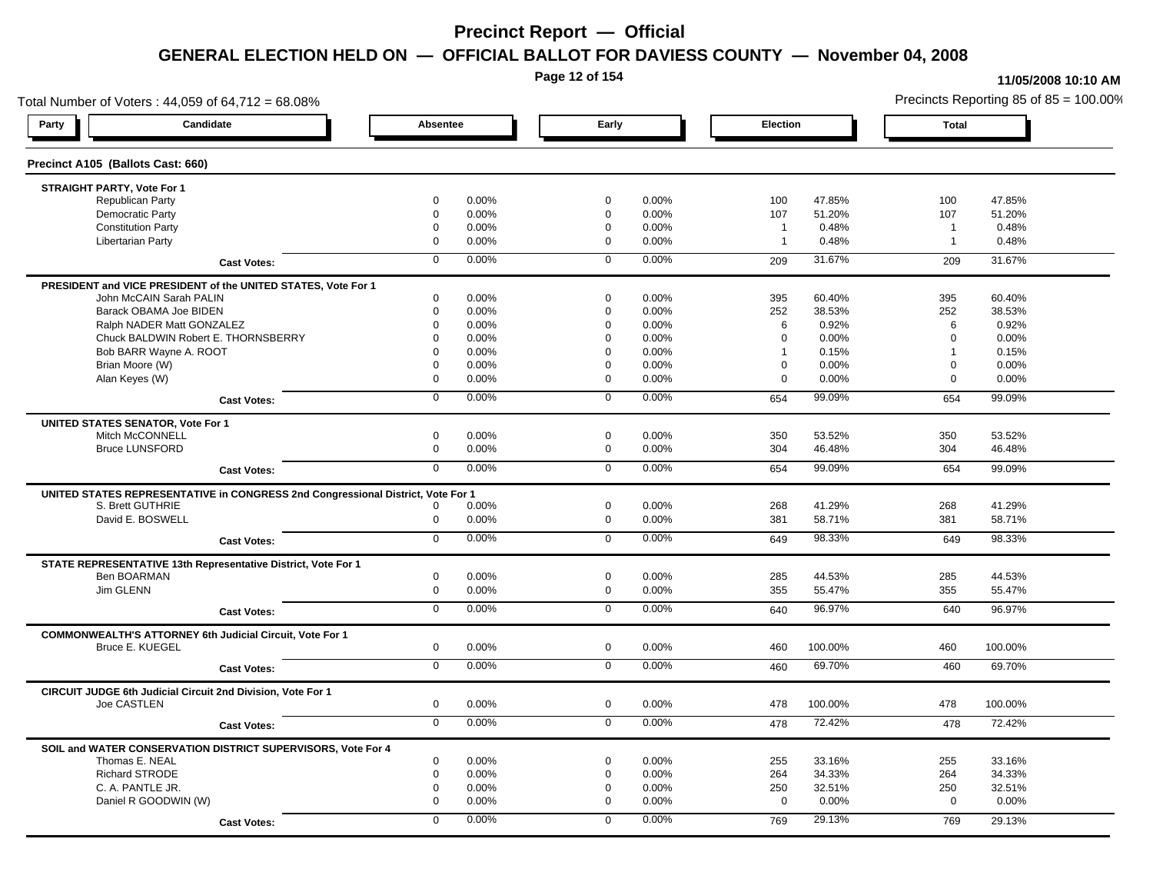**Page 12 of 154**

#### **11/05/2008 10:10 AM**

Total Number of Voters : 44,059 of 64,712 = 68.08% Precincts Reporting 85 of 85 = 100.00% **Party Candidate Absentee Early Election Total Precinct A105 (Ballots Cast: 660) STRAIGHT PARTY, Vote For 1** Republican Party 0 0.00% 0 0.00% 100 47.85% 100 47.85% Democratic Party 0 0.00% 0 0.00% 107 51.20% 107 51.20% Constitution Party 0 0.00% 0 0.00% 1 0.48% 1 0.48% Libertarian Party 0 0.00% 0 0.00% 1 0.48% 1 0.48% **Cast Votes:** 0 0.00% 0 0.00% 209 31.67% 209 31.67% **PRESIDENT and VICE PRESIDENT of the UNITED STATES, Vote For 1** John McCAIN Sarah PALIN John McCAIN Sarah PALIN 0 0.00% 0 0.00% 395 60.40% 395 60.40% Barack OBAMA Joe BIDEN 0 0.00% 0 0.00% 252 38.53% 252 38.53% Ralph NADER Matt GONZALEZ  $\begin{matrix} 0 & 0.00\% & 0 & 0.00\% \end{matrix}$  0 0.00% 6 0.92% 6 0.92% 6 0.92% Chuck BALDWIN Robert E. THORNSBERRY 0 0.00% 0 0.00% 0 0.00% 0 0.00% Bob BARR Wayne A. ROOT **1** 0.15% **0 0.00%** 1 0.00% 0 0.00% 1 0.15% 1 0.15% 1 0.15% Brian Moore (W) 0 0.00% 0 0.00% 0 0.00% 0 0.00% Alan Keyes (W) 0 0.00% 0 0.00% 0 0.00% 0 0.00% **Cast Votes:** 0 0.00% 0 0.00% 654 99.09% 654 99.09% **UNITED STATES SENATOR, Vote For 1** Mitch McCONNELL 0 0.00% 0 0.00% 350 53.52% 350 53.52% Bruce LUNSFORD 0 0.00% 0 0.00% 304 46.48% 304 46.48% **Cast Votes:** 0 0.00% 0 0.00% 654 99.09% 654 99.09% **UNITED STATES REPRESENTATIVE in CONGRESS 2nd Congressional District, Vote For 1** S. Brett GUTHRIE 0 0.00% 0 0.00% 268 41.29% 268 41.29% David E. BOSWELL 0 0.00% 0 0.00% 381 58.71% 381 58.71% **Cast Votes:** 0 0.00% 0 0.00% 649 98.33% 649 98.33% **STATE REPRESENTATIVE 13th Representative District, Vote For 1** Ben BOARMAN 0 0.00% 0 0.00% 285 44.53% 285 44.53% Jim GLENN 0 0.00% 0 0.00% 355 55.47% 355 55.47% **Cast Votes:** 0 0.00% 0 0.00% 640 96.97% 640 96.97% **COMMONWEALTH'S ATTORNEY 6th Judicial Circuit, Vote For 1** Bruce E. KUEGEL 0 0.00% 0 0.00% 460 100.00% 460 100.00% **Cast Votes:** 0 0.00% 0 0.00% 460 69.70% 460 69.70% **CIRCUIT JUDGE 6th Judicial Circuit 2nd Division, Vote For 1** Joe CASTLEN 0 0.00% 0 0.00% 478 100.00% 478 100.00% **Cast Votes:** 0 0.00% 0 0.00% 478 72.42% 478 72.42% **SOIL and WATER CONSERVATION DISTRICT SUPERVISORS, Vote For 4** Thomas E. NEAL 0 0.00% 0 0.00% 255 33.16% 255 33.16% Richard STRODE 0 0.00% 0 0.00% 264 34.33% 264 34.33% C. A. PANTLE JR. 0 0.00% 0 0.00% 250 32.51% 250 32.51% Daniel R GOODWIN (W) 0 0.00% 0 0.00% 0 0.00% 0 0.00% **Cast Votes:** 0 0.00% 0 0.00% 769 29.13% 769 29.13%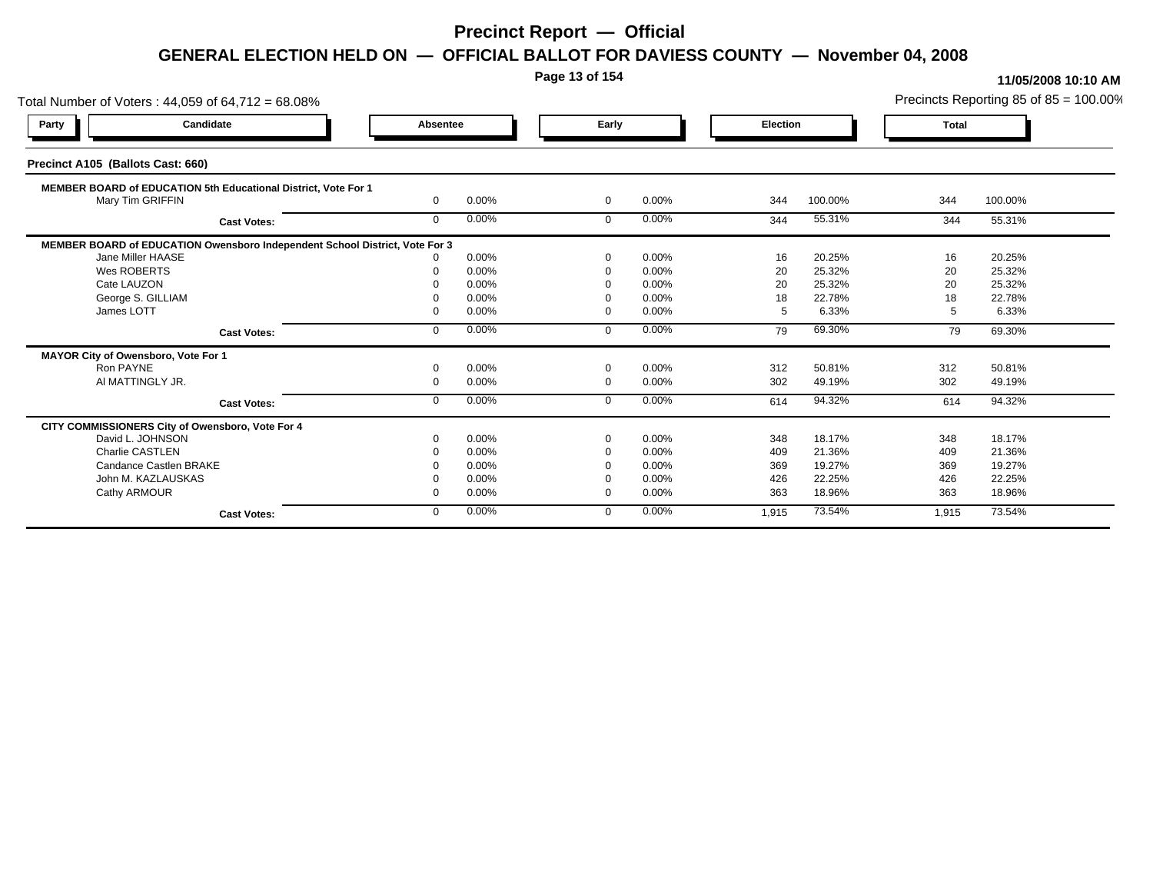**Page 13 of 154**

| Total Number of Voters: 44,059 of 64,712 = 68.08%                           |              |       |                |       |                 |         |              | Precincts Reporting 85 of 85 = 100.00% |
|-----------------------------------------------------------------------------|--------------|-------|----------------|-------|-----------------|---------|--------------|----------------------------------------|
| Candidate<br>Party                                                          | Absentee     |       | Early          |       | <b>Election</b> |         | <b>Total</b> |                                        |
| Precinct A105 (Ballots Cast: 660)                                           |              |       |                |       |                 |         |              |                                        |
| MEMBER BOARD of EDUCATION 5th Educational District, Vote For 1              |              |       |                |       |                 |         |              |                                        |
| Mary Tim GRIFFIN                                                            | $\Omega$     | 0.00% | $\overline{0}$ | 0.00% | 344             | 100.00% | 344          | 100.00%                                |
| <b>Cast Votes:</b>                                                          | $\mathbf{0}$ | 0.00% | $\mathbf 0$    | 0.00% | 344             | 55.31%  | 344          | 55.31%                                 |
| MEMBER BOARD of EDUCATION Owensboro Independent School District, Vote For 3 |              |       |                |       |                 |         |              |                                        |
| Jane Miller HAASE                                                           |              | 0.00% | $\Omega$       | 0.00% | 16              | 20.25%  | 16           | 20.25%                                 |
| Wes ROBERTS                                                                 |              | 0.00% | $\Omega$       | 0.00% | 20              | 25.32%  | 20           | 25.32%                                 |
| Cate LAUZON                                                                 |              | 0.00% |                | 0.00% | 20              | 25.32%  | 20           | 25.32%                                 |
| George S. GILLIAM                                                           |              | 0.00% |                | 0.00% | 18              | 22.78%  | 18           | 22.78%                                 |
| James LOTT                                                                  |              | 0.00% | $\Omega$       | 0.00% | -5              | 6.33%   | 5            | 6.33%                                  |
| <b>Cast Votes:</b>                                                          | $\mathbf{0}$ | 0.00% | $\mathbf 0$    | 0.00% | 79              | 69.30%  | 79           | 69.30%                                 |
| MAYOR City of Owensboro, Vote For 1                                         |              |       |                |       |                 |         |              |                                        |
| Ron PAYNE                                                                   |              | 0.00% | $\Omega$       | 0.00% | 312             | 50.81%  | 312          | 50.81%                                 |
| AI MATTINGLY JR.                                                            | $\Omega$     | 0.00% | $\mathbf 0$    | 0.00% | 302             | 49.19%  | 302          | 49.19%                                 |
| <b>Cast Votes:</b>                                                          | $\Omega$     | 0.00% | $\Omega$       | 0.00% | 614             | 94.32%  | 614          | 94.32%                                 |
| CITY COMMISSIONERS City of Owensboro, Vote For 4                            |              |       |                |       |                 |         |              |                                        |
| David L. JOHNSON                                                            |              | 0.00% | $\Omega$       | 0.00% | 348             | 18.17%  | 348          | 18.17%                                 |
| <b>Charlie CASTLEN</b>                                                      |              | 0.00% | $\Omega$       | 0.00% | 409             | 21.36%  | 409          | 21.36%                                 |
| Candance Castlen BRAKE                                                      |              | 0.00% |                | 0.00% | 369             | 19.27%  | 369          | 19.27%                                 |
| John M. KAZLAUSKAS                                                          |              | 0.00% |                | 0.00% | 426             | 22.25%  | 426          | 22.25%                                 |
| Cathy ARMOUR                                                                |              | 0.00% | $\Omega$       | 0.00% | 363             | 18.96%  | 363          | 18.96%                                 |
| <b>Cast Votes:</b>                                                          | $\mathbf{0}$ | 0.00% | $\Omega$       | 0.00% | 1,915           | 73.54%  | 1,915        | 73.54%                                 |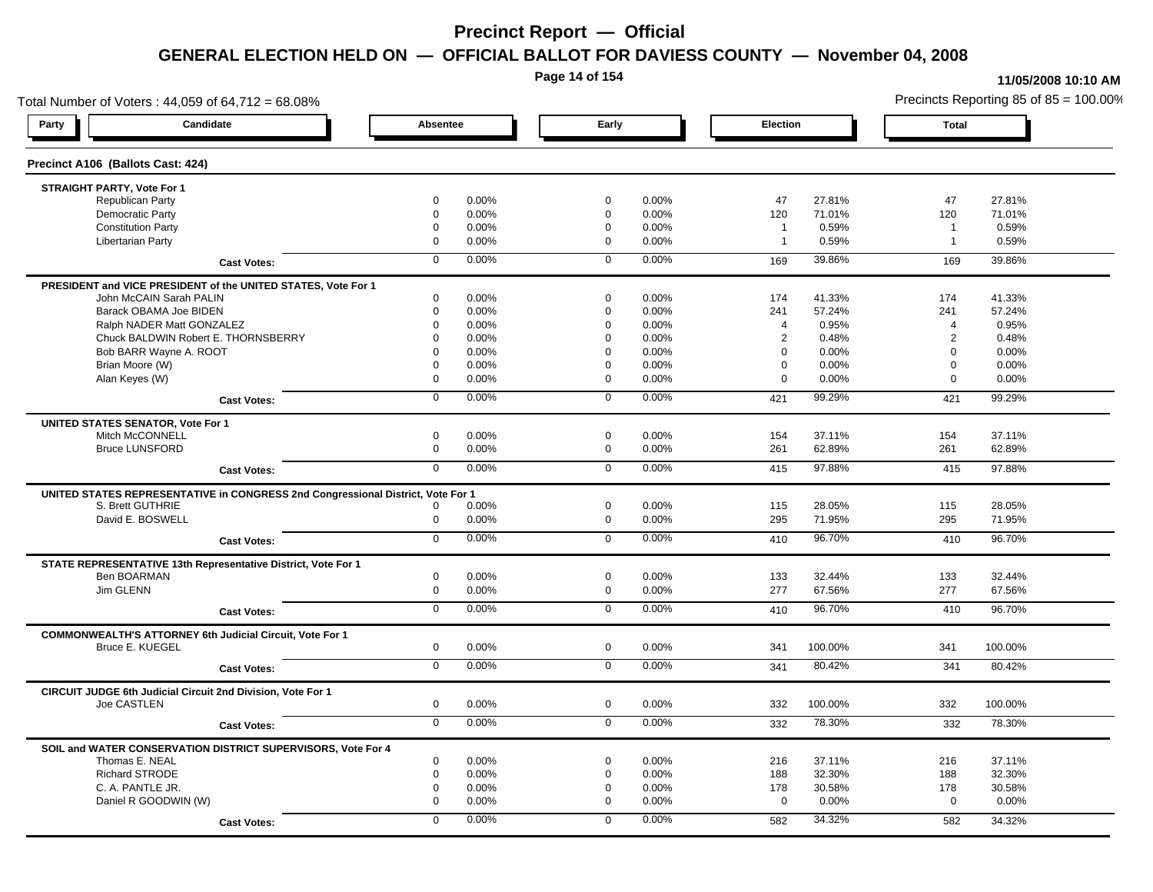**Page 14 of 154**

#### **11/05/2008 10:10 AM**

Total Number of Voters : 44,059 of 64,712 = 68.08% Precincts Reporting 85 of 85 = 100.00% **Party Candidate Absentee Early Election Total Precinct A106 (Ballots Cast: 424) STRAIGHT PARTY, Vote For 1** Republican Party 0 0.00% 0 0.00% 47 27.81% 47 27.81% Democratic Party 0 0.00% 0 0.00% 120 71.01% 120 71.01% Constitution Party 0 0.00% 0 0.00% 1 0.59% 1 0.59% Libertarian Party 0 0.00% 0 0.00% 1 0.59% 1 0.59% **Cast Votes:** 0 0.00% 0 0.00% 169 39.86% 169 39.86% **PRESIDENT and VICE PRESIDENT of the UNITED STATES, Vote For 1** John McCAIN Sarah PALIN John McCAIN Sarah PALIN 0 0.00% 0 0.00% 174 41.33% 174 41.33% Barack OBAMA Joe BIDEN 0 0.00% 0 0.00% 241 57.24% 241 57.24% Ralph NADER Matt GONZALEZ  $0$  0.00% 0 0.00% 4 0.95% 4 0.95% 4 0.95% Chuck BALDWIN Robert E. THORNSBERRY 0 0.00% 0 0.00% 2 0.48% 2 0.48%  $B$ ob BARR Wayne A. ROOT  $0.00\%$   $0.00\%$   $0.00\%$   $0.00\%$   $0.00\%$   $0.00\%$   $0.00\%$   $0.00\%$ Brian Moore (W) 0 0.00% 0 0.00% 0 0.00% 0 0.00% Alan Keyes (W) 0 0.00% 0 0.00% 0 0.00% 0 0.00% **Cast Votes:** 0 0.00% 0 0.00% 421 99.29% 421 99.29% **UNITED STATES SENATOR, Vote For 1** Mitch McCONNELL 0 0.00% 0 0.00% 154 37.11% 154 37.11% Bruce LUNSFORD 0 0.00% 0 0.00% 261 62.89% 261 62.89% **Cast Votes:** 0 0.00% 0 0.00% 415 97.88% 415 97.88% **UNITED STATES REPRESENTATIVE in CONGRESS 2nd Congressional District, Vote For 1** S. Brett GUTHRIE 0 0.00% 0 0.00% 115 28.05% 115 28.05% David E. BOSWELL 0 0.00% 0 0.00% 295 71.95% 295 71.95% **Cast Votes:** 0 0.00% 0 0.00% 410 96.70% 410 96.70% **STATE REPRESENTATIVE 13th Representative District, Vote For 1** Ben BOARMAN 0 0.00% 0 0.00% 133 32.44% 133 32.44% Jim GLENN 0 0.00% 0 0.00% 277 67.56% 277 67.56% **Cast Votes:** 0 0.00% 0 0.00% 410 96.70% 410 96.70% **COMMONWEALTH'S ATTORNEY 6th Judicial Circuit, Vote For 1** Bruce E. KUEGEL 0 0.00% 0 0.00% 341 100.00% 341 100.00% **Cast Votes:** 0 0.00% 0 0.00% 341 80.42% 341 80.42% **CIRCUIT JUDGE 6th Judicial Circuit 2nd Division, Vote For 1** Joe CASTLEN 0 0.00% 0 0.00% 332 100.00% 332 100.00% **Cast Votes:** 0 0.00% 0 0.00% 332 78.30% 332 78.30% **SOIL and WATER CONSERVATION DISTRICT SUPERVISORS, Vote For 4** Thomas E. NEAL 0 0.00% 0 0.00% 216 37.11% 216 37.11% Richard STRODE 0 0.00% 0 0.00% 188 32.30% 188 32.30% C. A. PANTLE JR. 0 0.00% 0 0.00% 178 30.58% 178 30.58% Daniel R GOODWIN (W) 0 0.00% 0 0.00% 0 0.00% 0 0.00% **Cast Votes:** 0 0.00% 0 0.00% 582 34.32% 582 34.32%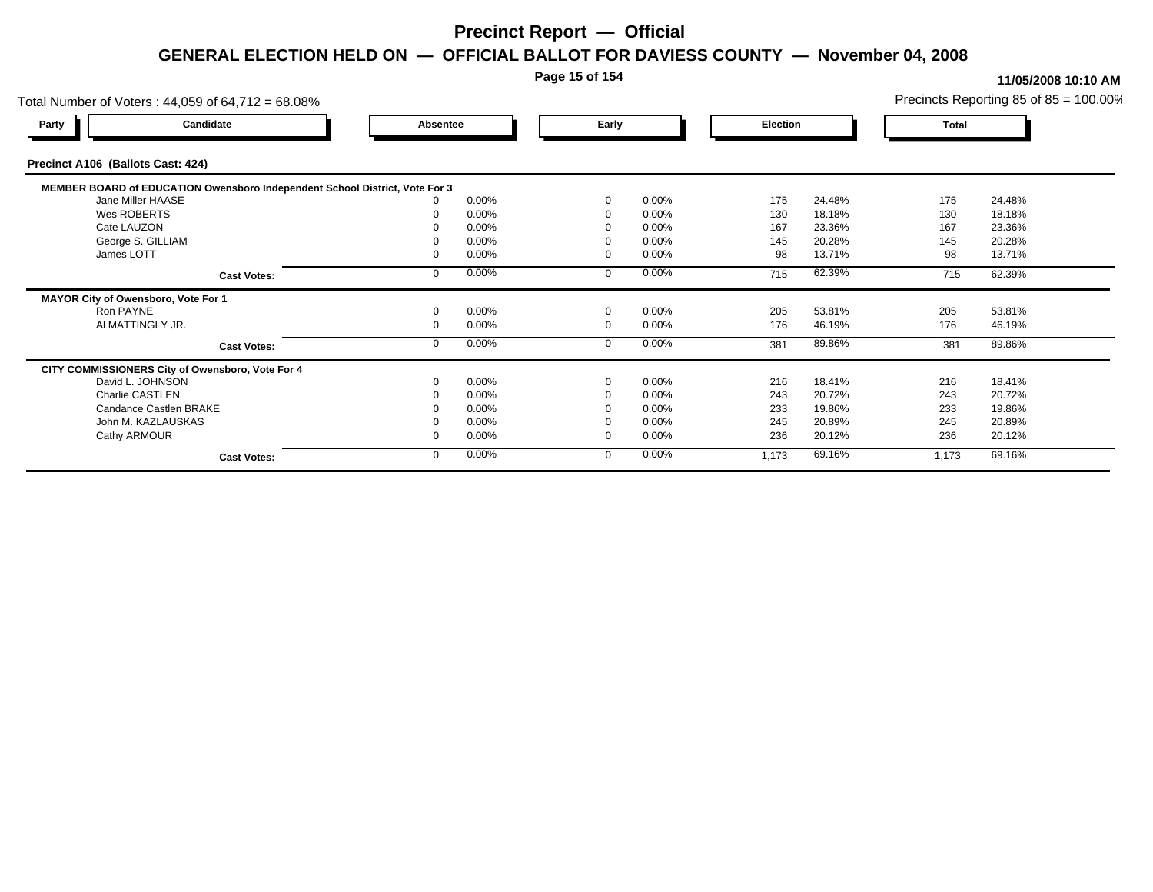### **Page 15 of 154**

| Total Number of Voters: 44,059 of 64,712 = 68.08%                           |          |       |             |          |          |        |       | Precincts Reporting 85 of $85 = 100.00\%$ |
|-----------------------------------------------------------------------------|----------|-------|-------------|----------|----------|--------|-------|-------------------------------------------|
| Candidate<br>Party                                                          | Absentee |       | Early       |          | Election |        | Total |                                           |
| Precinct A106 (Ballots Cast: 424)                                           |          |       |             |          |          |        |       |                                           |
| MEMBER BOARD of EDUCATION Owensboro Independent School District, Vote For 3 |          |       |             |          |          |        |       |                                           |
| Jane Miller HAASE                                                           |          | 0.00% | $\Omega$    | 0.00%    | 175      | 24.48% | 175   | 24.48%                                    |
| Wes ROBERTS                                                                 |          | 0.00% | $\Omega$    | 0.00%    | 130      | 18.18% | 130   | 18.18%                                    |
| Cate LAUZON                                                                 |          | 0.00% |             | 0.00%    | 167      | 23.36% | 167   | 23.36%                                    |
| George S. GILLIAM                                                           |          | 0.00% |             | 0.00%    | 145      | 20.28% | 145   | 20.28%                                    |
| James LOTT                                                                  |          | 0.00% | $\Omega$    | 0.00%    | 98       | 13.71% | 98    | 13.71%                                    |
| <b>Cast Votes:</b>                                                          |          | 0.00% | $\Omega$    | 0.00%    | 715      | 62.39% | 715   | 62.39%                                    |
| MAYOR City of Owensboro, Vote For 1                                         |          |       |             |          |          |        |       |                                           |
| Ron PAYNE                                                                   |          | 0.00% | $\mathbf 0$ | 0.00%    | 205      | 53.81% | 205   | 53.81%                                    |
| AI MATTINGLY JR.                                                            |          | 0.00% | $\mathbf 0$ | 0.00%    | 176      | 46.19% | 176   | 46.19%                                    |
| <b>Cast Votes:</b>                                                          |          | 0.00% | $\mathbf 0$ | 0.00%    | 381      | 89.86% | 381   | 89.86%                                    |
| CITY COMMISSIONERS City of Owensboro, Vote For 4                            |          |       |             |          |          |        |       |                                           |
| David L. JOHNSON                                                            |          | 0.00% | $\Omega$    | 0.00%    | 216      | 18.41% | 216   | 18.41%                                    |
| Charlie CASTLEN                                                             |          | 0.00% |             | 0.00%    | 243      | 20.72% | 243   | 20.72%                                    |
| Candance Castlen BRAKE                                                      |          | 0.00% |             | 0.00%    | 233      | 19.86% | 233   | 19.86%                                    |
| John M. KAZLAUSKAS                                                          |          | 0.00% |             | $0.00\%$ | 245      | 20.89% | 245   | 20.89%                                    |
| Cathy ARMOUR                                                                |          | 0.00% | $\Omega$    | 0.00%    | 236      | 20.12% | 236   | 20.12%                                    |
| <b>Cast Votes:</b>                                                          |          | 0.00% | $\mathbf 0$ | 0.00%    | 1,173    | 69.16% | 1,173 | 69.16%                                    |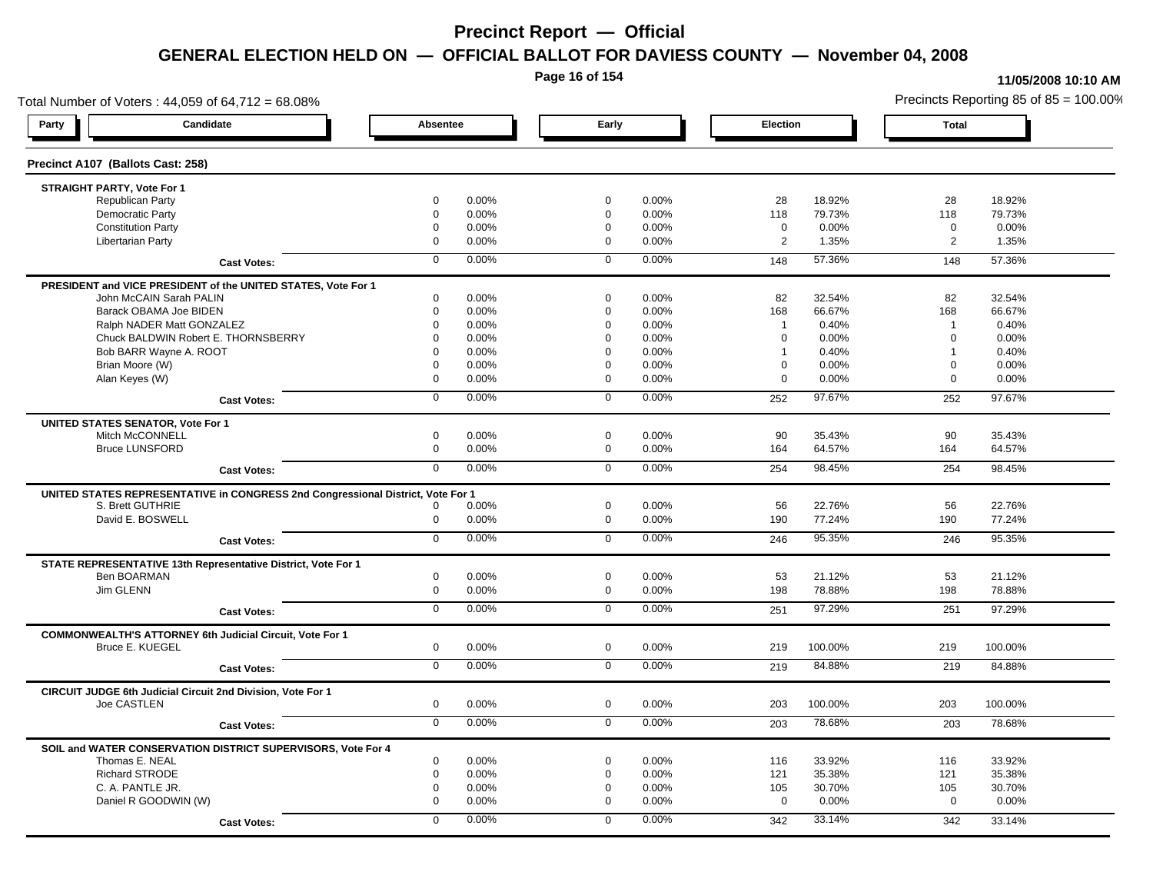**Page 16 of 154**

#### **11/05/2008 10:10 AM**

Total Number of Voters : 44,059 of 64,712 = 68.08% Precincts Reporting 85 of 85 = 100.00% **Party Candidate Absentee Early Election Total Precinct A107 (Ballots Cast: 258) STRAIGHT PARTY, Vote For 1** Republican Party 0 0.00% 0 0.00% 28 18.92% 28 18.92% Democratic Party 0 0.00% 0 0.00% 118 79.73% 118 79.73% Constitution Party 0 0.00% 0 0.00% 0 0.00% 0 0.00% Libertarian Party 0 0.00% 0 0.00% 2 1.35% 2 1.35% **Cast Votes:** 0 0.00% 0 0.00% 148 57.36% 148 57.36% **PRESIDENT and VICE PRESIDENT of the UNITED STATES, Vote For 1** John McCAIN Sarah PALIN John McCAIN Sarah PALIN 0 0.00% 0 0.00% 82 32.54% 82 32.54% Barack OBAMA Joe BIDEN 0 0.00% 0 0.00% 168 66.67% 168 66.67% Ralph NADER Matt GONZALEZ  $\begin{array}{cccc} 0 & 0.00\% & 0 & 0.00\% & 1 & 0.40\% \end{array}$  1 0.40% 1 0.40% Chuck BALDWIN Robert E. THORNSBERRY 0 0.00% 0 0.00% 0 0.00% 0 0.00% Bob BARR Wayne A. ROOT **1** 0.40% 0 0.00% 0 0.00% 0 0.00% 1 0.40% 1 0.40% 1 0.40% Brian Moore (W) 0 0.00% 0 0.00% 0 0.00% 0 0.00% Alan Keyes (W) 0 0.00% 0 0.00% 0 0.00% 0 0.00% **Cast Votes:** 0 0.00% 0 0.00% 252 97.67% 252 97.67% **UNITED STATES SENATOR, Vote For 1** Mitch McCONNELL 0 0.00% 0 0.00% 90 35.43% 90 35.43% Bruce LUNSFORD 0 0.00% 0 0.00% 164 64.57% 164 64.57% **Cast Votes:** 0 0.00% 0 0.00% 254 98.45% 254 98.45% **UNITED STATES REPRESENTATIVE in CONGRESS 2nd Congressional District, Vote For 1** S. Brett GUTHRIE 0 0.00% 0 0.00% 56 22.76% 56 22.76% David E. BOSWELL 0 0.00% 0 0.00% 190 77.24% 190 77.24% **Cast Votes:** 0 0.00% 0 0.00% 246 95.35% 246 95.35% **STATE REPRESENTATIVE 13th Representative District, Vote For 1** Ben BOARMAN 0 0.00% 0 0.00% 53 21.12% 53 21.12% Jim GLENN 0 0.00% 0 0.00% 198 78.88% 198 78.88% **Cast Votes:** 0 0.00% 0 0.00% 251 97.29% 251 97.29% **COMMONWEALTH'S ATTORNEY 6th Judicial Circuit, Vote For 1** Bruce E. KUEGEL 0 0.00% 0 0.00% 219 100.00% 219 100.00% **Cast Votes:** 0 0.00% 0 0.00% 219 84.88% 219 84.88% **CIRCUIT JUDGE 6th Judicial Circuit 2nd Division, Vote For 1** Joe CASTLEN 0 0.00% 0 0.00% 203 100.00% 203 100.00% **Cast Votes:** 0 0.00% 0 0.00% 203 78.68% 203 78.68% **SOIL and WATER CONSERVATION DISTRICT SUPERVISORS, Vote For 4** Thomas E. NEAL 0 0.00% 0 0.00% 116 33.92% 116 33.92% Richard STRODE 0 0.00% 0 0.00% 121 35.38% 121 35.38% C. A. PANTLE JR. 0 0.00% 0 0.00% 105 30.70% 105 30.70% Daniel R GOODWIN (W) 0 0.00% 0 0.00% 0 0.00% 0 0.00% **Cast Votes:** 0 0.00% 0 0.00% 342 33.14% 342 33.14%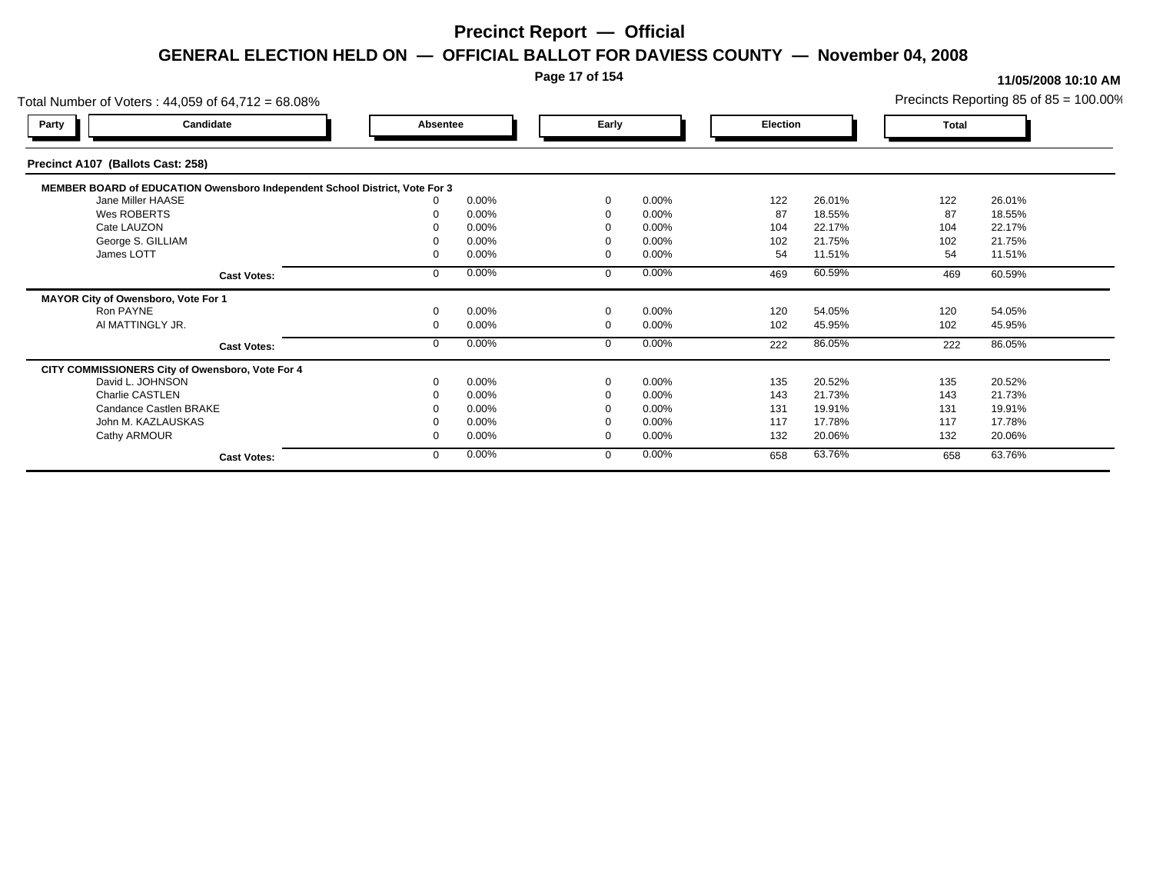#### **Page 17 of 154**

#### **11/05/2008 10:10 AM**

Total Number of Voters : 44,059 of 64,712 = 68.08% Precincts Reporting 85 of 85 = 100.00% **Party Candidate Absentee Early Election Total Precinct A107 (Ballots Cast: 258) MEMBER BOARD of EDUCATION Owensboro Independent School District, Vote For 3**<br>10.00% 0.00% Jane Miller HAASE 0 0.00% 0 0.00% 122 26.01% 122 26.01% Wes ROBERTS 0 0.00% 0 0.00% 87 18.55% 87 18.55% Cate LAUZON 0 0.00% 0 0.00% 104 22.17% 104 22.17% George S. GILLIAM 0 0.00% 0 0.00% 102 21.75% 102 21.75% James LOTT 0 0.00% 0 0.00% 54 11.51% 54 11.51% **Cast Votes:** 0 0.00% 0 0.00% 469 60.59% 469 60.59% **MAYOR City of Owensboro, Vote For 1** Ron PAYNE 0 0.00% 0 0.00% 120 54.05% 120 54.05% Al MATTINGLY JR. 0 0.00% 0 0.00% 102 45.95% 102 45.95% **Cast Votes:** 0 0.00% 0 0.00% 222 86.05% 222 86.05% **CITY COMMISSIONERS City of Owensboro, Vote For 4** David L. JOHNSON 0 0.00% 0 0.00% 135 20.52% 135 20.52% Charlie CASTLEN 0 0.00% 0 0.00% 143 21.73% 143 21.73% Candance Castlen BRAKE 0 0.00% 0 0.00% 131 19.91% 131 19.91% John M. KAZLAUSKAS 0 0.00% 0 0.00% 117 17.78% 117 17.78% Cathy ARMOUR 0 0.00% 0 0.00% 132 20.06% 132 20.06% **Cast Votes:** 0 0.00% 0 0.00% 658 63.76% 658 63.76%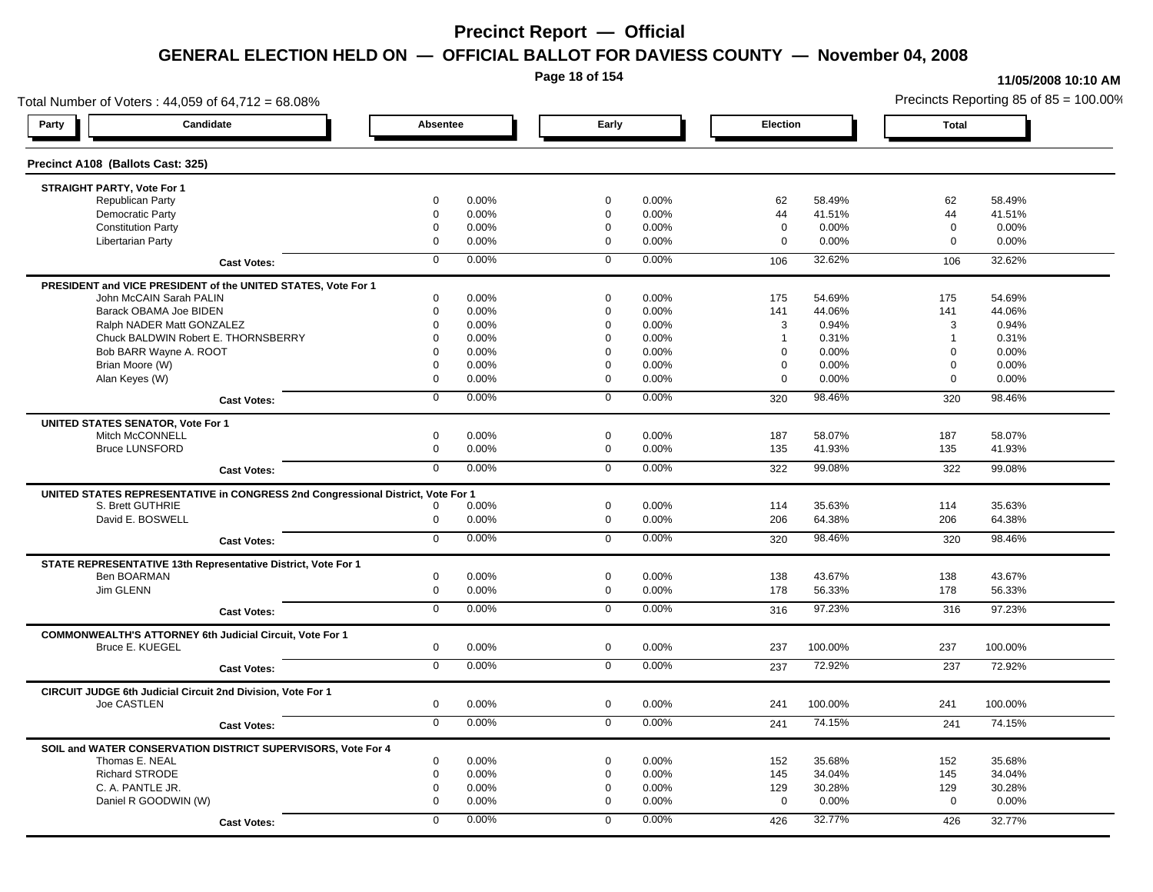**Page 18 of 154**

#### **11/05/2008 10:10 AM**

Total Number of Voters : 44,059 of 64,712 = 68.08% Precincts Reporting 85 of 85 = 100.00% **Party Candidate Absentee Early Election Total Precinct A108 (Ballots Cast: 325) STRAIGHT PARTY, Vote For 1** Republican Party 0 0.00% 0 0.00% 62 58.49% 62 58.49% Democratic Party 0 0.00% 0 0.00% 44 41.51% 44 41.51% Constitution Party 0 0.00% 0 0.00% 0 0.00% 0 0.00% Libertarian Party 0 0.00% 0 0.00% 0 0.00% 0 0.00% **Cast Votes:** 0 0.00% 0 0.00% 106 32.62% 106 32.62% **PRESIDENT and VICE PRESIDENT of the UNITED STATES, Vote For 1** John McCAIN Sarah PALIN John McCAIN Sarah PALIN 0 0.00% 0 0.00% 175 54.69% 175 54.69% Barack OBAMA Joe BIDEN 0 0.00% 0 0.00% 141 44.06% 141 44.06% Ralph NADER Matt GONZALEZ  $0$  0.00%  $0$  0.00%  $0$  0.00%  $3$  0.94%  $3$  0.94%  $3$  0.94% Chuck BALDWIN Robert E. THORNSBERRY 0 0.00% 0 0.00% 1 0.31% 1 0.31%  $B$ ob BARR Wayne A. ROOT  $0.00\%$   $0.00\%$   $0.00\%$   $0.00\%$   $0.00\%$   $0.00\%$   $0.00\%$   $0.00\%$ Brian Moore (W) 0 0.00% 0 0.00% 0 0.00% 0 0.00% Alan Keyes (W) 0 0.00% 0 0.00% 0 0.00% 0 0.00% **Cast Votes:** 0 0.00% 0 0.00% 320 98.46% 320 98.46% **UNITED STATES SENATOR, Vote For 1** Mitch McCONNELL 0 0.00% 0 0.00% 187 58.07% 187 58.07% Bruce LUNSFORD 0 0.00% 0 0.00% 135 41.93% 135 41.93% **Cast Votes:** 0 0.00% 0 0.00% 322 99.08% 322 99.08% **UNITED STATES REPRESENTATIVE in CONGRESS 2nd Congressional District, Vote For 1** S. Brett GUTHRIE 0 0.00% 0 0.00% 114 35.63% 114 35.63% David E. BOSWELL 0 0.00% 0 0.00% 206 64.38% 206 64.38% **Cast Votes:** 0 0.00% 0 0.00% 320 98.46% 320 98.46% **STATE REPRESENTATIVE 13th Representative District, Vote For 1** Ben BOARMAN 0 0.00% 0 0.00% 138 43.67% 138 43.67% Jim GLENN 0 0.00% 0 0.00% 178 56.33% 178 56.33% **Cast Votes:** 0 0.00% 0 0.00% 316 97.23% 316 97.23% **COMMONWEALTH'S ATTORNEY 6th Judicial Circuit, Vote For 1** Bruce E. KUEGEL 0 0.00% 0 0.00% 237 100.00% 237 100.00% **Cast Votes:** 0 0.00% 0 0.00% 237 72.92% 237 72.92% **CIRCUIT JUDGE 6th Judicial Circuit 2nd Division, Vote For 1** Joe CASTLEN 0 0.00% 0 0.00% 241 100.00% 241 100.00% **Cast Votes:** 0 0.00% 0 0.00% 241 74.15% 241 74.15% **SOIL and WATER CONSERVATION DISTRICT SUPERVISORS, Vote For 4** Thomas E. NEAL 0 0.00% 0 0.00% 152 35.68% 152 35.68% Richard STRODE 0 0.00% 0 0.00% 145 34.04% 145 34.04% C. A. PANTLE JR. 0 0.00% 0 0.00% 129 30.28% 129 30.28% Daniel R GOODWIN (W) 0 0.00% 0 0.00% 0 0.00% 0 0.00% **Cast Votes:** 0 0.00% 0 0.00% 426 32.77% 426 32.77%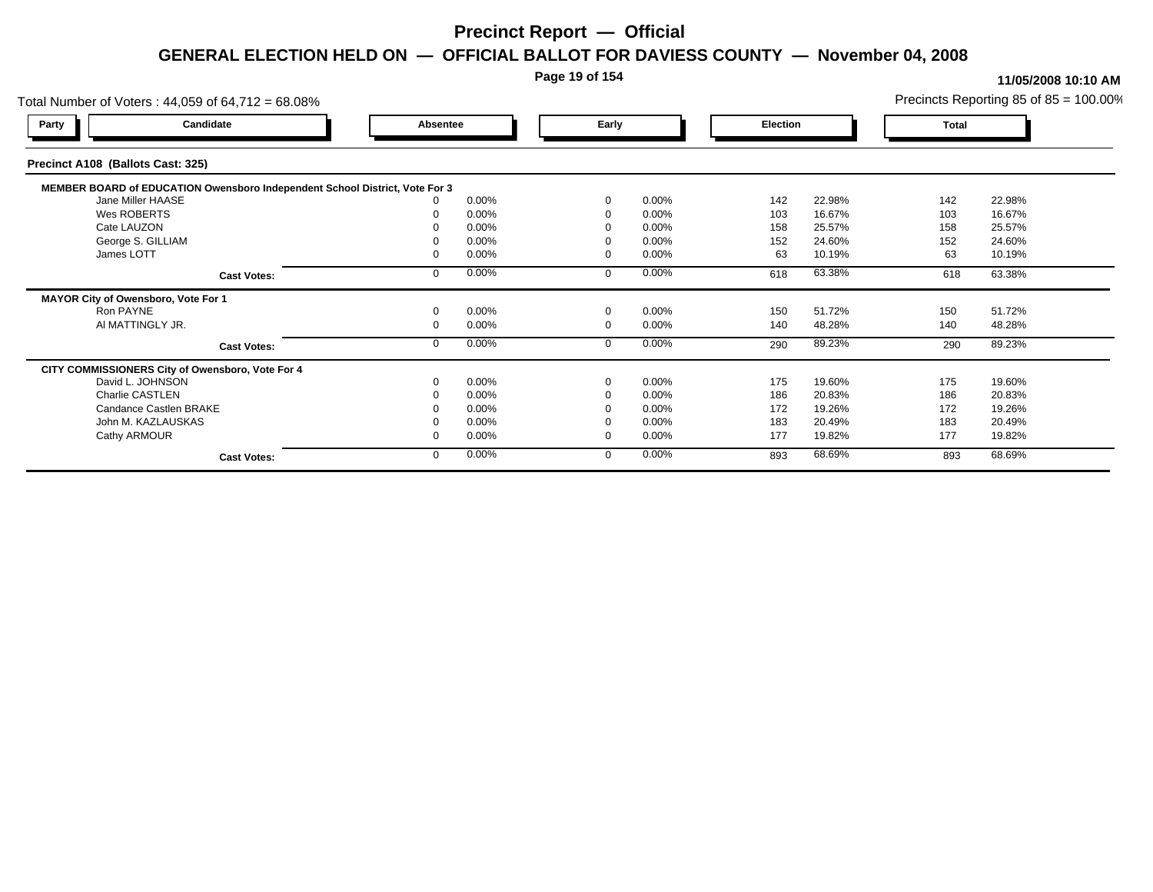### **Page 19 of 154**

| Total Number of Voters: 44,059 of 64,712 = 68.08%                           |          |       |          |          |          |        |       | Precincts Reporting 85 of $85 = 100.00\%$ |
|-----------------------------------------------------------------------------|----------|-------|----------|----------|----------|--------|-------|-------------------------------------------|
| Candidate<br>Party                                                          | Absentee |       | Early    |          | Election |        | Total |                                           |
| Precinct A108 (Ballots Cast: 325)                                           |          |       |          |          |          |        |       |                                           |
| MEMBER BOARD of EDUCATION Owensboro Independent School District, Vote For 3 |          |       |          |          |          |        |       |                                           |
| Jane Miller HAASE                                                           |          | 0.00% | $\Omega$ | $0.00\%$ | 142      | 22.98% | 142   | 22.98%                                    |
| Wes ROBERTS                                                                 |          | 0.00% |          | 0.00%    | 103      | 16.67% | 103   | 16.67%                                    |
| Cate LAUZON                                                                 |          | 0.00% |          | 0.00%    | 158      | 25.57% | 158   | 25.57%                                    |
| George S. GILLIAM                                                           |          | 0.00% |          | 0.00%    | 152      | 24.60% | 152   | 24.60%                                    |
| James LOTT                                                                  |          | 0.00% |          | 0.00%    | 63       | 10.19% | 63    | 10.19%                                    |
| <b>Cast Votes:</b>                                                          |          | 0.00% | $\Omega$ | 0.00%    | 618      | 63.38% | 618   | 63.38%                                    |
| MAYOR City of Owensboro, Vote For 1                                         |          |       |          |          |          |        |       |                                           |
| Ron PAYNE                                                                   |          | 0.00% | $\Omega$ | 0.00%    | 150      | 51.72% | 150   | 51.72%                                    |
| AI MATTINGLY JR.                                                            |          | 0.00% | $\Omega$ | 0.00%    | 140      | 48.28% | 140   | 48.28%                                    |
| <b>Cast Votes:</b>                                                          |          | 0.00% | $\Omega$ | 0.00%    | 290      | 89.23% | 290   | 89.23%                                    |
| CITY COMMISSIONERS City of Owensboro, Vote For 4                            |          |       |          |          |          |        |       |                                           |
| David L. JOHNSON                                                            |          | 0.00% | $\Omega$ | 0.00%    | 175      | 19.60% | 175   | 19.60%                                    |
| Charlie CASTLEN                                                             |          | 0.00% |          | 0.00%    | 186      | 20.83% | 186   | 20.83%                                    |
| Candance Castlen BRAKE                                                      |          | 0.00% |          | 0.00%    | 172      | 19.26% | 172   | 19.26%                                    |
| John M. KAZLAUSKAS                                                          |          | 0.00% |          | 0.00%    | 183      | 20.49% | 183   | 20.49%                                    |
| Cathy ARMOUR                                                                |          | 0.00% | $\Omega$ | 0.00%    | 177      | 19.82% | 177   | 19.82%                                    |
| <b>Cast Votes:</b>                                                          |          | 0.00% | $\Omega$ | 0.00%    | 893      | 68.69% | 893   | 68.69%                                    |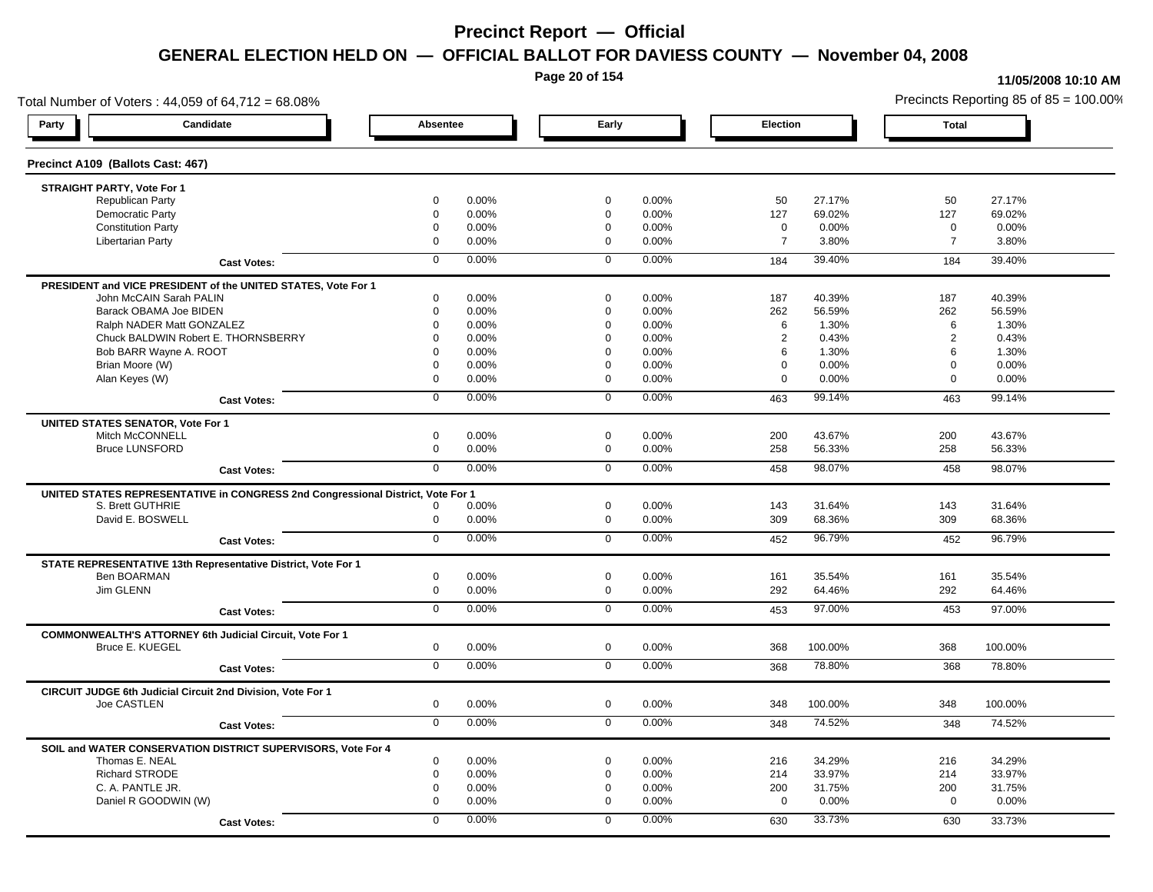**Page 20 of 154**

#### **11/05/2008 10:10 AM**

Total Number of Voters : 44,059 of 64,712 = 68.08% Precincts Reporting 85 of 85 = 100.00% **Party Candidate Absentee Early Election Total Precinct A109 (Ballots Cast: 467) STRAIGHT PARTY, Vote For 1** Republican Party 0 0.00% 0 0.00% 50 27.17% 50 27.17% Democratic Party 0 0.00% 0 0.00% 127 69.02% 127 69.02% Constitution Party 0 0.00% 0 0.00% 0 0.00% 0 0.00% Libertarian Party 0 0.00% 0 0.00% 7 3.80% 7 3.80% **Cast Votes:** 0 0.00% 0 0.00% 184 39.40% 184 39.40% **PRESIDENT and VICE PRESIDENT of the UNITED STATES, Vote For 1** John McCAIN Sarah PALIN John McCAIN Sarah PALIN 0 0.00% 0 0.00% 187 40.39% 187 40.39% Barack OBAMA Joe BIDEN 0 0.00% 0 0.00% 262 56.59% 262 56.59% Ralph NADER Matt GONZALEZ  $\begin{array}{cccc} 6 & 1.30\%\\ 6 & 1.30\% \end{array}$  6 1.30% 6 1.30% Chuck BALDWIN Robert E. THORNSBERRY 0 0.00% 0 0.00% 2 0.43% 2 0.43% Bob BARR Wayne A. ROOT COME COME COME COME COME COME COME O 0.00% 0 0.00% 6 1.30% 6 1.30% 6 1.30% Brian Moore (W) 0 0.00% 0 0.00% 0 0.00% 0 0.00% Alan Keyes (W) 0 0.00% 0 0.00% 0 0.00% 0 0.00% **Cast Votes:** 0 0.00% 0 0.00% 463 99.14% 463 99.14% **UNITED STATES SENATOR, Vote For 1** Mitch McCONNELL 0 0.00% 0 0.00% 200 43.67% 200 43.67% Bruce LUNSFORD 0 0.00% 0 0.00% 258 56.33% 258 56.33% **Cast Votes:** 0 0.00% 0 0.00% 458 98.07% 458 98.07% **UNITED STATES REPRESENTATIVE in CONGRESS 2nd Congressional District, Vote For 1** S. Brett GUTHRIE 0 0.00% 0 0.00% 143 31.64% 143 31.64% David E. BOSWELL 0 0.00% 0 0.00% 309 68.36% 309 68.36% **Cast Votes:** 0 0.00% 0 0.00% 452 96.79% 452 96.79% **STATE REPRESENTATIVE 13th Representative District, Vote For 1** Ben BOARMAN 0 0.00% 0 0.00% 161 35.54% 161 35.54% Jim GLENN 0 0.00% 0 0.00% 292 64.46% 292 64.46% **Cast Votes:** 0 0.00% 0 0.00% 453 97.00% 453 97.00% **COMMONWEALTH'S ATTORNEY 6th Judicial Circuit, Vote For 1** Bruce E. KUEGEL 0 0.00% 0 0.00% 368 100.00% 368 100.00% **Cast Votes:** 0 0.00% 0 0.00% 368 78.80% 368 78.80% **CIRCUIT JUDGE 6th Judicial Circuit 2nd Division, Vote For 1** Joe CASTLEN 0 0.00% 0 0.00% 348 100.00% 348 100.00% **Cast Votes:** 0 0.00% 0 0.00% 348 74.52% 348 74.52% **SOIL and WATER CONSERVATION DISTRICT SUPERVISORS, Vote For 4** Thomas E. NEAL 0 0.00% 0 0.00% 216 34.29% 216 34.29% Richard STRODE 0 0.00% 0 0.00% 214 33.97% 214 33.97% C. A. PANTLE JR. 0 0.00% 0 0.00% 200 31.75% 200 31.75% Daniel R GOODWIN (W) 0 0.00% 0 0.00% 0 0.00% 0 0.00% **Cast Votes:** 0 0.00% 0 0.00% 630 33.73% 630 33.73%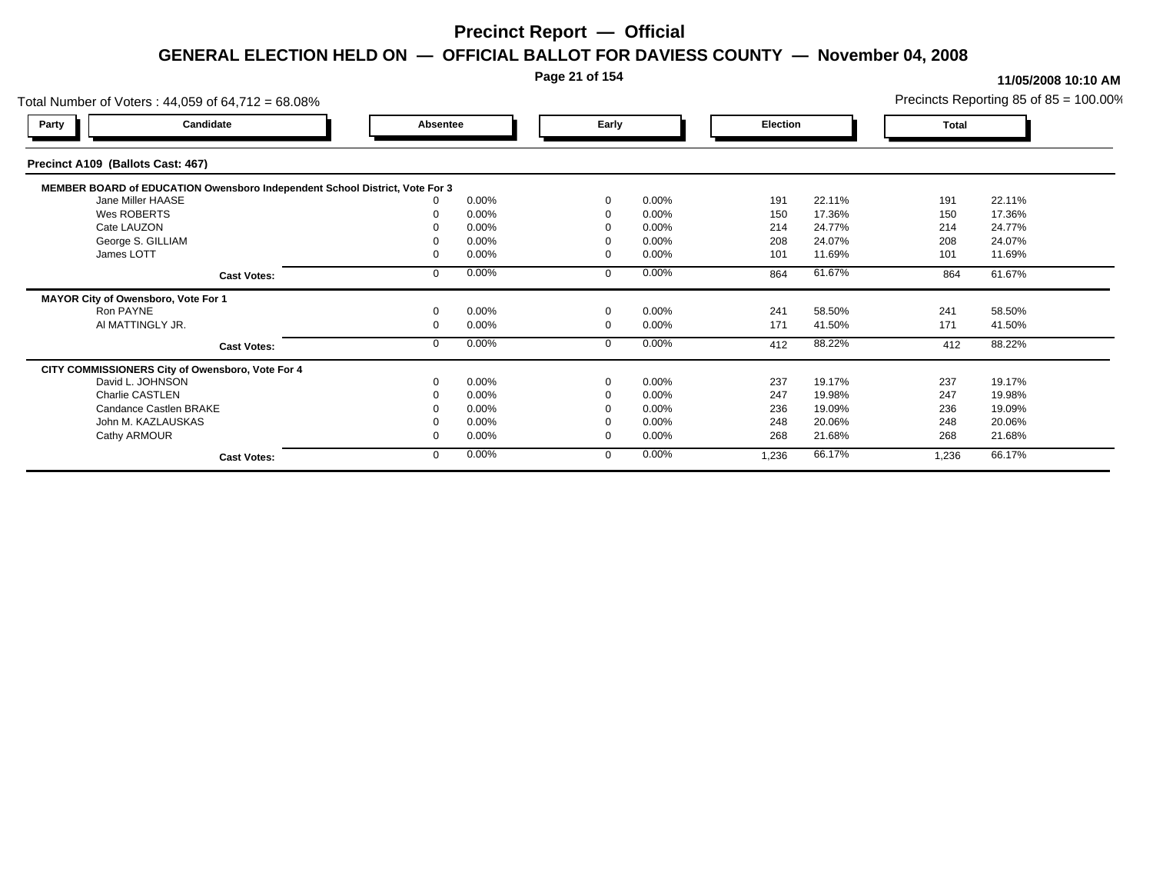#### **Page 21 of 154**

#### **11/05/2008 10:10 AM**

Total Number of Voters : 44,059 of 64,712 = 68.08% Precincts Reporting 85 of 85 = 100.00% **Party Candidate Absentee Early Election Total Precinct A109 (Ballots Cast: 467) MEMBER BOARD of EDUCATION Owensboro Independent School District, Vote For 3**<br>10.00% 0.00% Jane Miller HAASE 0 0.00% 0 0.00% 191 22.11% 191 22.11% Wes ROBERTS 0 0.00% 0 0.00% 150 17.36% 150 17.36% Cate LAUZON 0 0.00% 0 0.00% 214 24.77% 214 24.77% George S. GILLIAM 0 0.00% 0 0.00% 208 24.07% 208 24.07% James LOTT 0 0.00% 0 0.00% 101 11.69% 101 11.69% **Cast Votes:** 0 0.00% 0 0.00% 864 61.67% 864 61.67% **MAYOR City of Owensboro, Vote For 1** Ron PAYNE 0 0.00% 0 0.00% 241 58.50% 241 58.50% Al MATTINGLY JR. 0 0.00% 0 0.00% 171 41.50% 171 41.50% **Cast Votes:** 0 0.00% 0 0.00% 412 88.22% 412 88.22% **CITY COMMISSIONERS City of Owensboro, Vote For 4** David L. JOHNSON 0 0.00% 0 0.00% 237 19.17% 237 19.17% Charlie CASTLEN 0 0.00% 0 0.00% 247 19.98% 247 19.98% Candance Castlen BRAKE 0 0.00% 0 0.00% 236 19.09% 236 19.09% John M. KAZLAUSKAS 0 0.00% 0 0.00% 248 20.06% 248 20.06% Cathy ARMOUR 0 0.00% 0 0.00% 268 21.68% 268 21.68% **Cast Votes:** 0 0.00% 0 0.00% 1,236 66.17% 1,236 66.17%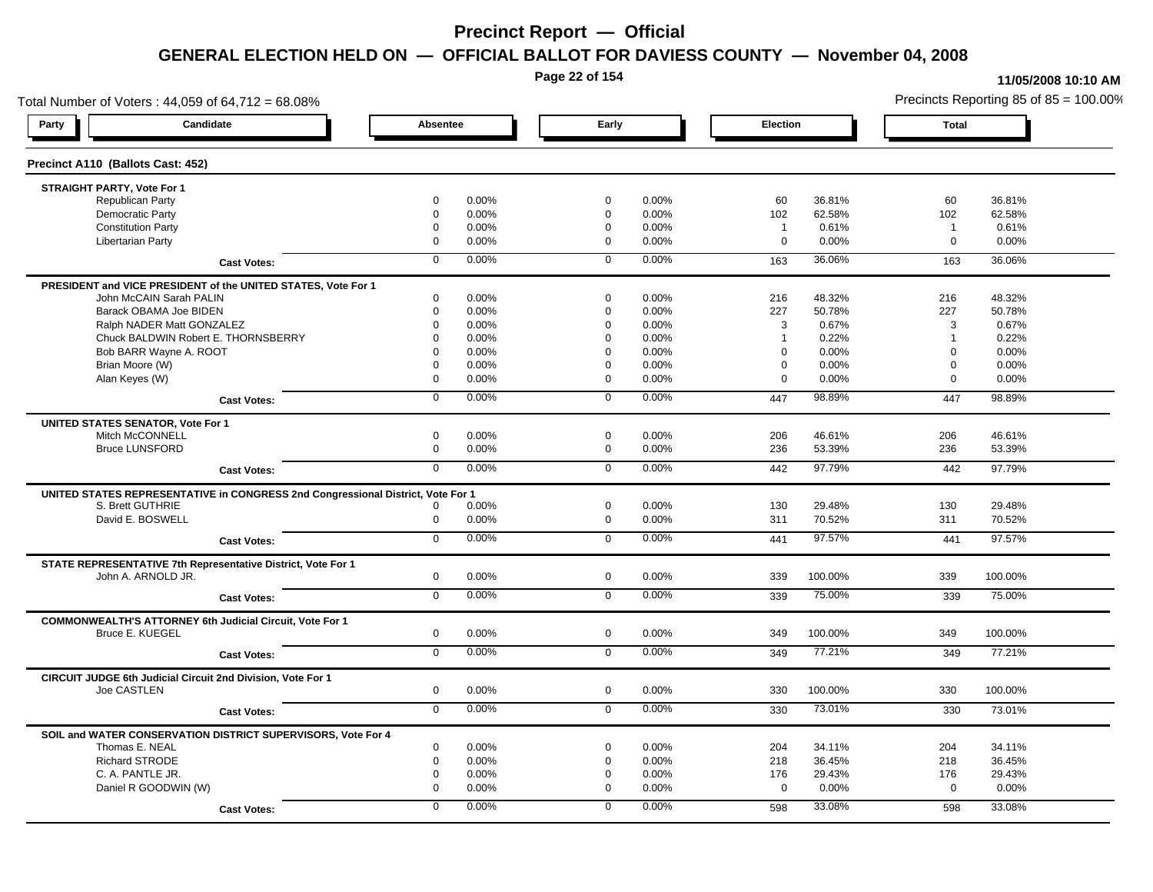**Page 22 of 154**

#### **11/05/2008 10:10 AM**

Total Number of Voters : 44,059 of 64,712 = 68.08% Precincts Reporting 85 of 85 = 100.00% **Party Candidate Absentee Early Election Total Precinct A110 (Ballots Cast: 452) STRAIGHT PARTY, Vote For 1** Republican Party 0 0.00% 0 0.00% 60 36.81% 60 36.81% Democratic Party 0 0.00% 0 0.00% 102 62.58% 102 62.58% Constitution Party 0 0.00% 0 0.00% 1 0.61% 1 0.61% Libertarian Party 0 0.00% 0 0.00% 0 0.00% 0 0.00% **Cast Votes:** 0 0.00% 0 0.00% 163 36.06% 163 36.06% **PRESIDENT and VICE PRESIDENT of the UNITED STATES, Vote For 1** John McCAIN Sarah PALIN John McCAIN Sarah PALIN 0 0.00% 0 0.00% 216 48.32% 216 48.32% Barack OBAMA Joe BIDEN 0 0.00% 0 0.00% 227 50.78% 227 50.78% Ralph NADER Matt GONZALEZ  $0$  0.00%  $0$  0.00%  $0$  0.00%  $3$  0.67%  $3$  0.67%  $3$  0.67% Chuck BALDWIN Robert E. THORNSBERRY 0 0.00% 0 0.00% 1 0.22% 1 0.22%  $B$ ob BARR Wayne A. ROOT  $0.00\%$   $0.00\%$   $0.00\%$   $0.00\%$   $0.00\%$   $0.00\%$   $0.00\%$   $0.00\%$ Brian Moore (W) 0 0.00% 0 0.00% 0 0.00% 0 0.00% Alan Keyes (W) 0 0.00% 0 0.00% 0 0.00% 0 0.00% **Cast Votes:** 0 0.00% 0 0.00% 447 98.89% 447 98.89% **UNITED STATES SENATOR, Vote For 1** Mitch McCONNELL 0 0.00% 0 0.00% 206 46.61% 206 46.61% Bruce LUNSFORD 0 0.00% 0 0.00% 236 53.39% 236 53.39% **Cast Votes:** 0 0.00% 0 0.00% 442 97.79% 442 97.79% **UNITED STATES REPRESENTATIVE in CONGRESS 2nd Congressional District, Vote For 1** S. Brett GUTHRIE 0 0.00% 0 0.00% 130 29.48% 130 29.48% David E. BOSWELL 0 0.00% 0 0.00% 311 70.52% 311 70.52% **Cast Votes:** 0 0.00% 0 0.00% 441 97.57% 441 97.57% **STATE REPRESENTATIVE 7th Representative District, Vote For 1** John A. ARNOLD JR. 0 0.00% 0 0.00% 339 100.00% 339 100.00% **Cast Votes:** 0 0.00% 0 0.00% 339 75.00% 339 75.00% **COMMONWEALTH'S ATTORNEY 6th Judicial Circuit, Vote For 1** Bruce E. KUEGEL 0 0.00% 0 0.00% 349 100.00% 349 100.00% **Cast Votes:** 0 0.00% 0 0.00% 349 77.21% 349 77.21% **CIRCUIT JUDGE 6th Judicial Circuit 2nd Division, Vote For 1** Joe CASTLEN 0 0.00% 0 0.00% 330 100.00% 330 100.00% **Cast Votes:** 0 0.00% 0 0.00% 330 73.01% 330 73.01% **SOIL and WATER CONSERVATION DISTRICT SUPERVISORS, Vote For 4** Thomas E. NEAL 0 0.00% 0 0.00% 204 34.11% 204 34.11% Richard STRODE 0 0.00% 0 0.00% 218 36.45% 218 36.45% C. A. PANTLE JR. 0 0.00% 0 0.00% 176 29.43% 176 29.43% Daniel R GOODWIN (W) 0 0.00% 0 0.00% 0 0.00% 0 0.00% **Cast Votes:** 0 0.00% 0 0.00% 598 33.08% 598 33.08%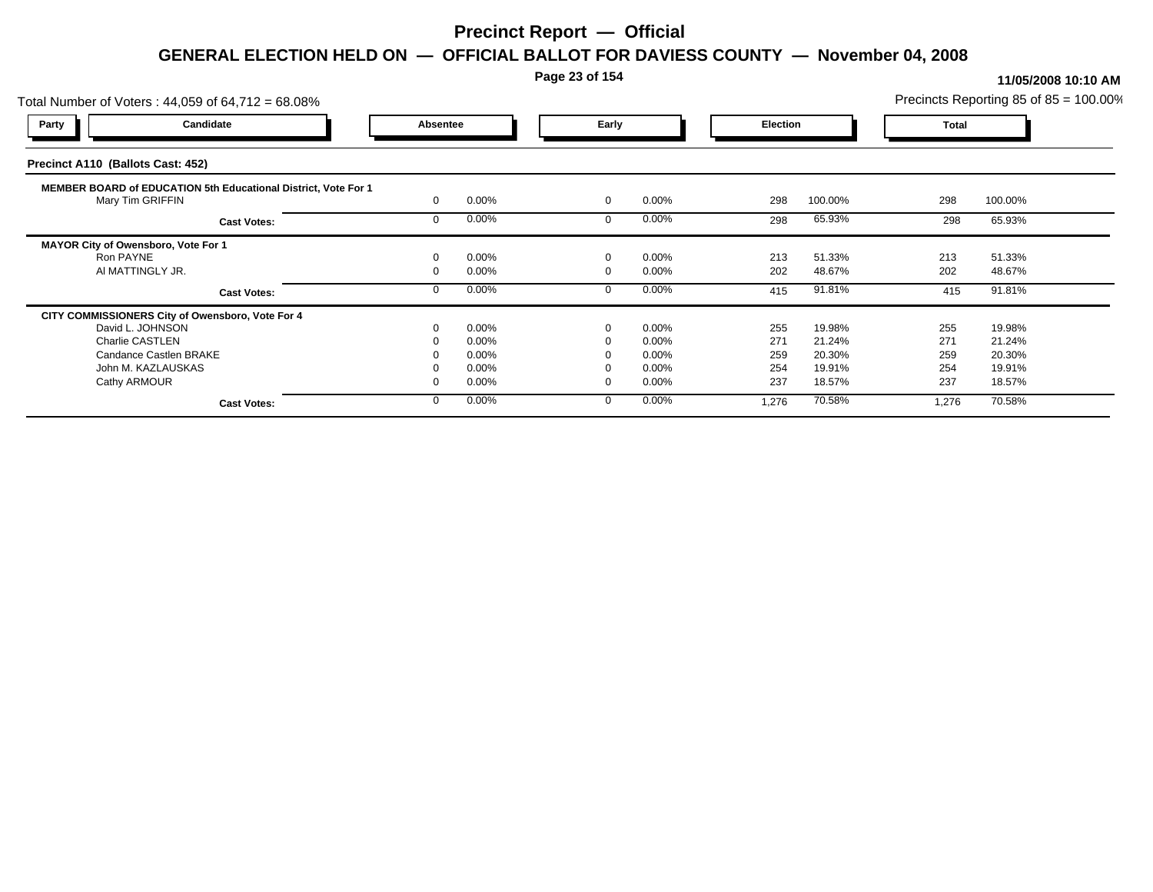### **Page 23 of 154**

| Total Number of Voters: 44,059 of 64,712 = 68.08%              |          |       |          |          |                 |         |              | Precincts Reporting 85 of 85 = 100.00% |  |
|----------------------------------------------------------------|----------|-------|----------|----------|-----------------|---------|--------------|----------------------------------------|--|
| Candidate<br>Party                                             | Absentee |       | Early    |          | <b>Election</b> |         | <b>Total</b> |                                        |  |
| Precinct A110 (Ballots Cast: 452)                              |          |       |          |          |                 |         |              |                                        |  |
| MEMBER BOARD of EDUCATION 5th Educational District, Vote For 1 |          |       |          |          |                 |         |              |                                        |  |
| Mary Tim GRIFFIN                                               |          | 0.00% | $\Omega$ | 0.00%    | 298             | 100.00% | 298          | 100.00%                                |  |
| <b>Cast Votes:</b>                                             |          | 0.00% |          | 0.00%    | 298             | 65.93%  | 298          | 65.93%                                 |  |
| MAYOR City of Owensboro, Vote For 1                            |          |       |          |          |                 |         |              |                                        |  |
| Ron PAYNE                                                      |          | 0.00% | $\Omega$ | 0.00%    | 213             | 51.33%  | 213          | 51.33%                                 |  |
| AI MATTINGLY JR.                                               |          | 0.00% |          | $0.00\%$ | 202             | 48.67%  | 202          | 48.67%                                 |  |
| <b>Cast Votes:</b>                                             |          | 0.00% |          | 0.00%    | 415             | 91.81%  | 415          | 91.81%                                 |  |
| CITY COMMISSIONERS City of Owensboro, Vote For 4               |          |       |          |          |                 |         |              |                                        |  |
| David L. JOHNSON                                               |          | 0.00% | $\Omega$ | $0.00\%$ | 255             | 19.98%  | 255          | 19.98%                                 |  |
| <b>Charlie CASTLEN</b>                                         |          | 0.00% |          | 0.00%    | 271             | 21.24%  | 271          | 21.24%                                 |  |
| Candance Castlen BRAKE                                         |          | 0.00% |          | 0.00%    | 259             | 20.30%  | 259          | 20.30%                                 |  |
| John M. KAZLAUSKAS                                             |          | 0.00% |          | 0.00%    | 254             | 19.91%  | 254          | 19.91%                                 |  |
| Cathy ARMOUR                                                   |          | 0.00% |          | 0.00%    | 237             | 18.57%  | 237          | 18.57%                                 |  |
| <b>Cast Votes:</b>                                             |          | 0.00% | $\Omega$ | 0.00%    | 1,276           | 70.58%  | 1,276        | 70.58%                                 |  |
|                                                                |          |       |          |          |                 |         |              |                                        |  |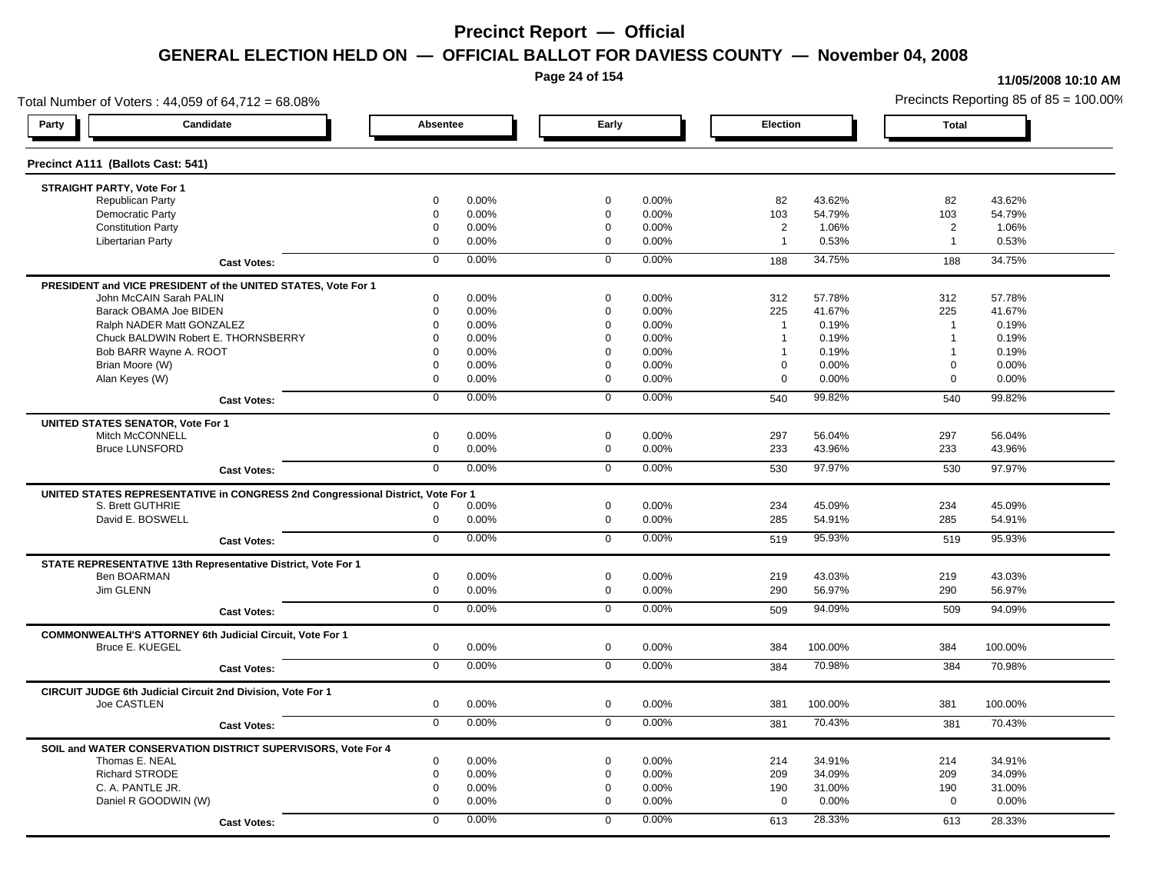**Page 24 of 154**

#### **11/05/2008 10:10 AM**

Total Number of Voters : 44,059 of 64,712 = 68.08% Precincts Reporting 85 of 85 = 100.00% **Party Candidate Absentee Early Election Total Precinct A111 (Ballots Cast: 541) STRAIGHT PARTY, Vote For 1** Republican Party 0 0.00% 0 0.00% 82 43.62% 82 43.62% Democratic Party 0 0.00% 0 0.00% 103 54.79% 103 54.79% Constitution Party 0 0.00% 0 0.00% 2 1.06% 2 1.06% Libertarian Party 0 0.00% 0 0.00% 1 0.53% 1 0.53% **Cast Votes:** 0 0.00% 0 0.00% 188 34.75% 188 34.75% **PRESIDENT and VICE PRESIDENT of the UNITED STATES, Vote For 1** John McCAIN Sarah PALIN John McCAIN Sarah PALIN 0 0.00% 0 0.00% 312 57.78% 312 57.78% Barack OBAMA Joe BIDEN 0 0.00% 0 0.00% 225 41.67% 225 41.67% Ralph NADER Matt GONZALEZ  $\begin{array}{cccc} 0 & 0.00\% & 0 & 0.00\% & 1 & 0.19\% \end{array}$  1 0.19% 1 0.19% Chuck BALDWIN Robert E. THORNSBERRY 0 0.00% 0 0.00% 1 0.19% 1 0.19% Bob BARR Wayne A. ROOT **1** 0.19% 0 0.00% 0 0.00% 0 0.00% 1 0.19% 1 0.19% 1 0.19% Brian Moore (W) 0 0.00% 0 0.00% 0 0.00% 0 0.00% Alan Keyes (W) 0 0.00% 0 0.00% 0 0.00% 0 0.00% **Cast Votes:** 0 0.00% 0 0.00% 540 99.82% 540 99.82% **UNITED STATES SENATOR, Vote For 1** Mitch McCONNELL 0 0.00% 0 0.00% 297 56.04% 297 56.04% Bruce LUNSFORD 0 0.00% 0 0.00% 233 43.96% 233 43.96% **Cast Votes:** 0 0.00% 0 0.00% 530 97.97% 530 97.97% **UNITED STATES REPRESENTATIVE in CONGRESS 2nd Congressional District, Vote For 1** S. Brett GUTHRIE 0 0.00% 0 0.00% 234 45.09% 234 45.09% David E. BOSWELL 0 0.00% 0 0.00% 285 54.91% 285 54.91% **Cast Votes:** 0 0.00% 0 0.00% 519 95.93% 519 95.93% **STATE REPRESENTATIVE 13th Representative District, Vote For 1** Ben BOARMAN 0 0.00% 0 0.00% 219 43.03% 219 43.03% Jim GLENN 0 0.00% 0 0.00% 290 56.97% 290 56.97% **Cast Votes:** 0 0.00% 0 0.00% 509 94.09% 509 94.09% **COMMONWEALTH'S ATTORNEY 6th Judicial Circuit, Vote For 1** Bruce E. KUEGEL 0 0.00% 0 0.00% 384 100.00% 384 100.00% **Cast Votes:** 0 0.00% 0 0.00% 384 70.98% 384 70.98% **CIRCUIT JUDGE 6th Judicial Circuit 2nd Division, Vote For 1** Joe CASTLEN 0 0.00% 0 0.00% 381 100.00% 381 100.00% **Cast Votes:** 0 0.00% 0 0.00% 381 70.43% 381 70.43% **SOIL and WATER CONSERVATION DISTRICT SUPERVISORS, Vote For 4** Thomas E. NEAL 0 0.00% 0 0.00% 214 34.91% 214 34.91% Richard STRODE 0 0.00% 0 0.00% 209 34.09% 209 34.09% C. A. PANTLE JR. 0 0.00% 0 0.00% 190 31.00% 190 31.00% Daniel R GOODWIN (W) 0 0.00% 0 0.00% 0 0.00% 0 0.00% **Cast Votes:** 0 0.00% 0 0.00% 613 28.33% 613 28.33%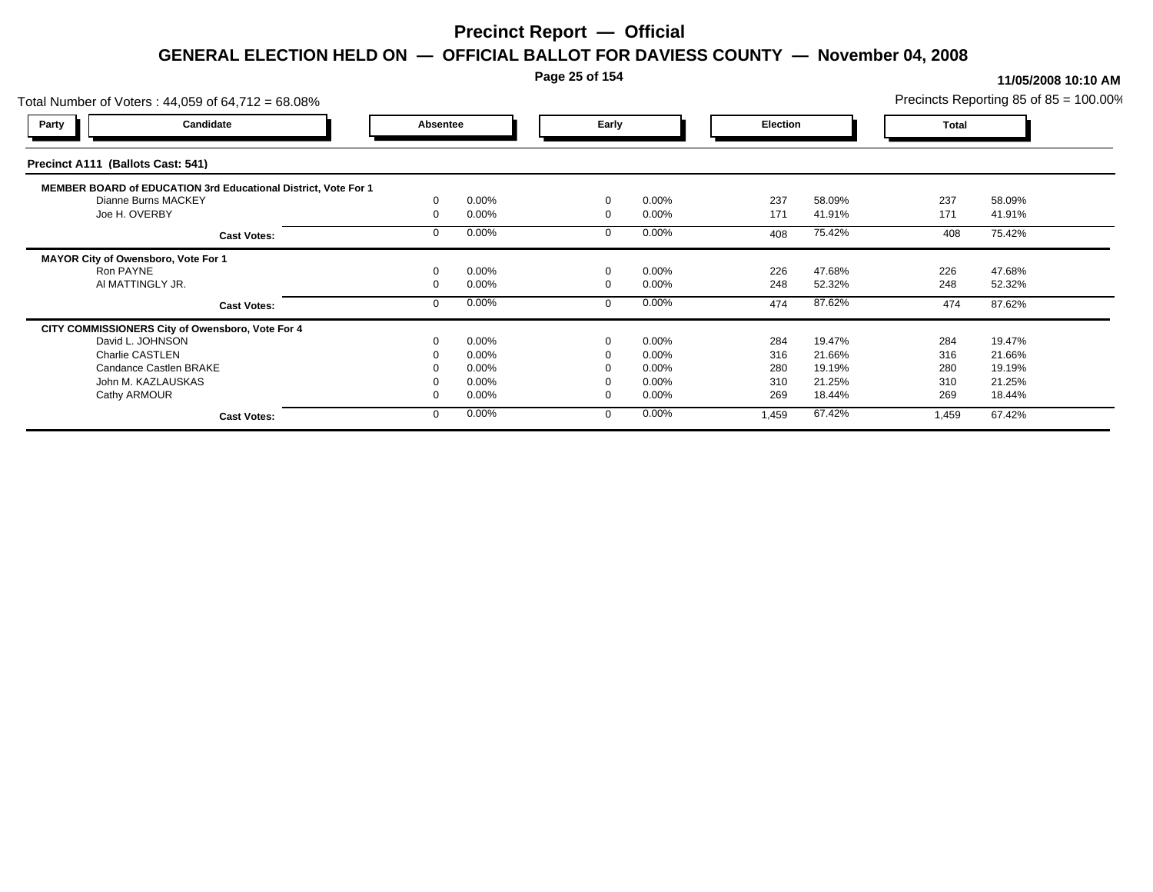### **Page 25 of 154**

| Total Number of Voters: 44,059 of 64,712 = 68.08%              |          |       |          |          |                 |        |              | Precincts Reporting 85 of $85 = 100.00\%$ |
|----------------------------------------------------------------|----------|-------|----------|----------|-----------------|--------|--------------|-------------------------------------------|
| Candidate<br><b>Party</b>                                      | Absentee |       | Early    |          | <b>Election</b> |        | <b>Total</b> |                                           |
| Precinct A111 (Ballots Cast: 541)                              |          |       |          |          |                 |        |              |                                           |
| MEMBER BOARD of EDUCATION 3rd Educational District, Vote For 1 |          |       |          |          |                 |        |              |                                           |
| Dianne Burns MACKEY                                            |          | 0.00% | $\Omega$ | 0.00%    | 237             | 58.09% | 237          | 58.09%                                    |
| Joe H. OVERBY                                                  |          | 0.00% | $\Omega$ | 0.00%    | 171             | 41.91% | 171          | 41.91%                                    |
| <b>Cast Votes:</b>                                             |          | 0.00% |          | 0.00%    | 408             | 75.42% | 408          | 75.42%                                    |
| MAYOR City of Owensboro, Vote For 1                            |          |       |          |          |                 |        |              |                                           |
| Ron PAYNE                                                      |          | 0.00% | $\Omega$ | 0.00%    | 226             | 47.68% | 226          | 47.68%                                    |
| AI MATTINGLY JR.                                               |          | 0.00% |          | 0.00%    | 248             | 52.32% | 248          | 52.32%                                    |
| <b>Cast Votes:</b>                                             |          | 0.00% |          | 0.00%    | 474             | 87.62% | 474          | 87.62%                                    |
| CITY COMMISSIONERS City of Owensboro, Vote For 4               |          |       |          |          |                 |        |              |                                           |
| David L. JOHNSON                                               |          | 0.00% | $\Omega$ | 0.00%    | 284             | 19.47% | 284          | 19.47%                                    |
| Charlie CASTLEN                                                |          | 0.00% |          | 0.00%    | 316             | 21.66% | 316          | 21.66%                                    |
| Candance Castlen BRAKE                                         |          | 0.00% |          | $0.00\%$ | 280             | 19.19% | 280          | 19.19%                                    |
| John M. KAZLAUSKAS                                             |          | 0.00% |          | 0.00%    | 310             | 21.25% | 310          | 21.25%                                    |
| Cathy ARMOUR                                                   |          | 0.00% | $\Omega$ | 0.00%    | 269             | 18.44% | 269          | 18.44%                                    |
| <b>Cast Votes:</b>                                             |          | 0.00% |          | 0.00%    | 1,459           | 67.42% | 1,459        | 67.42%                                    |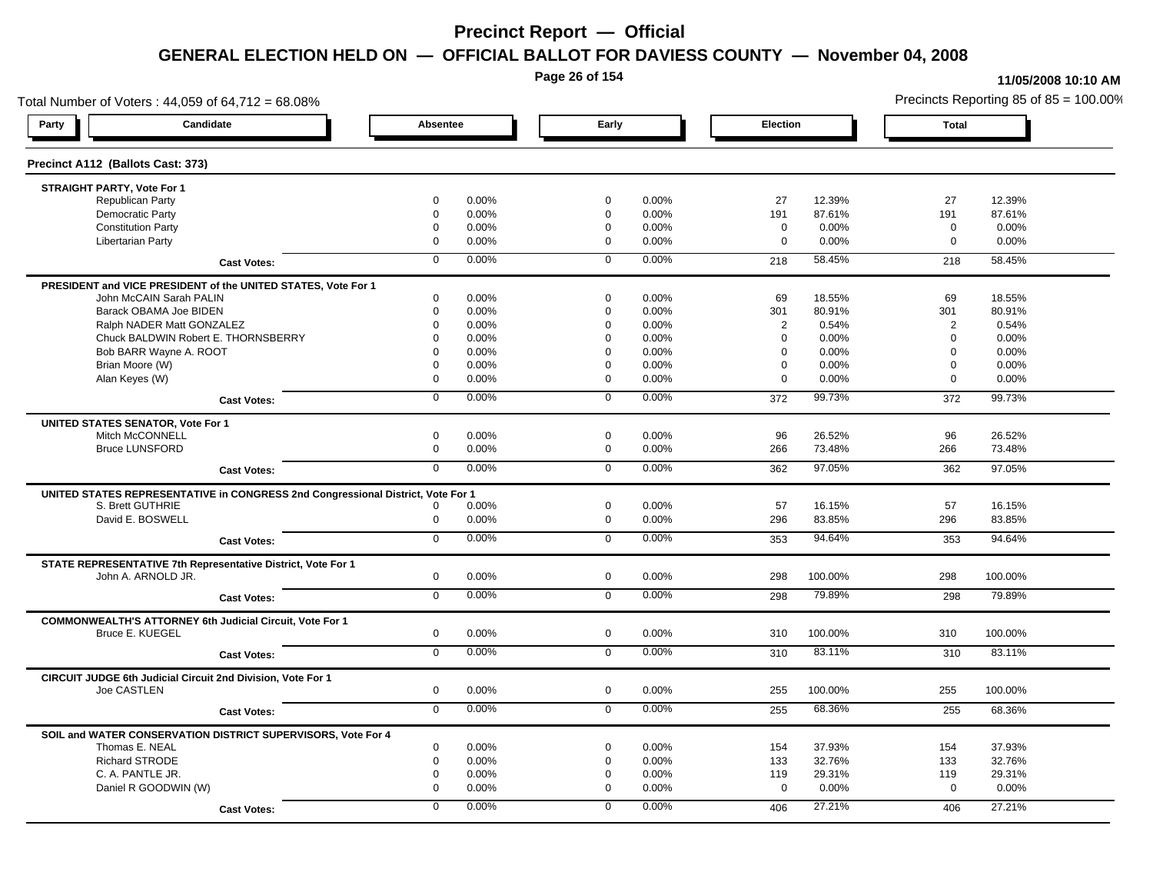**Page 26 of 154**

#### **11/05/2008 10:10 AM**

Total Number of Voters : 44,059 of 64,712 = 68.08% Precincts Reporting 85 of 85 = 100.00% **Party Candidate Absentee Early Election Total Precinct A112 (Ballots Cast: 373) STRAIGHT PARTY, Vote For 1** Republican Party 0 0.00% 0 0.00% 27 12.39% 27 12.39% Democratic Party 0 0.00% 0 0.00% 191 87.61% 191 87.61% Constitution Party 0 0.00% 0 0.00% 0 0.00% 0 0.00% Libertarian Party 0 0.00% 0 0.00% 0 0.00% 0 0.00% **Cast Votes:** 0 0.00% 0 0.00% 218 58.45% 218 58.45% **PRESIDENT and VICE PRESIDENT of the UNITED STATES, Vote For 1** John McCAIN Sarah PALIN John McCAIN Sarah PALIN 0 0.00% 0 0.00% 69 18.55% 69 18.55% Barack OBAMA Joe BIDEN 0 0.00% 0 0.00% 301 80.91% 301 80.91% Ralph NADER Matt GONZALEZ  $0$  0.00% 0 0.00% 0 0.00% 2 0.54% 2 0.54% Chuck BALDWIN Robert E. THORNSBERRY 0 0.00% 0 0.00% 0 0.00% 0 0.00%  $B$ ob BARR Wayne A. ROOT  $0.00\%$   $0.00\%$   $0.00\%$   $0.00\%$   $0.00\%$   $0.00\%$   $0.00\%$   $0.00\%$ Brian Moore (W) 0 0.00% 0 0.00% 0 0.00% 0 0.00% Alan Keyes (W) 0 0.00% 0 0.00% 0 0.00% 0 0.00% **Cast Votes:** 0 0.00% 0 0.00% 372 99.73% 372 99.73% **UNITED STATES SENATOR, Vote For 1** Mitch McCONNELL 0 0.00% 0 0.00% 96 26.52% 96 26.52% Bruce LUNSFORD 0 0.00% 0 0.00% 266 73.48% 266 73.48% **Cast Votes:** 0 0.00% 0 0.00% 362 97.05% 362 97.05% **UNITED STATES REPRESENTATIVE in CONGRESS 2nd Congressional District, Vote For 1** S. Brett GUTHRIE 0 0.00% 0 0.00% 57 16.15% 57 16.15% David E. BOSWELL 0 0.00% 0 0.00% 296 83.85% 296 83.85% **Cast Votes:** 0 0.00% 0 0.00% 353 94.64% 353 94.64% **STATE REPRESENTATIVE 7th Representative District, Vote For 1** John A. ARNOLD JR. 0 0.00% 0 0.00% 298 100.00% 298 100.00% **Cast Votes:** 0 0.00% 0 0.00% 298 79.89% 298 79.89% **COMMONWEALTH'S ATTORNEY 6th Judicial Circuit, Vote For 1** Bruce E. KUEGEL 0 0.00% 0 0.00% 310 100.00% 310 100.00% **Cast Votes:** 0 0.00% 0 0.00% 310 83.11% 310 83.11% **CIRCUIT JUDGE 6th Judicial Circuit 2nd Division, Vote For 1** Joe CASTLEN 0 0.00% 0 0.00% 255 100.00% 255 100.00% **Cast Votes:** 0 0.00% 0 0.00% 255 68.36% 255 68.36% **SOIL and WATER CONSERVATION DISTRICT SUPERVISORS, Vote For 4** Thomas E. NEAL 0 0.00% 0 0.00% 154 37.93% 154 37.93% Richard STRODE 0 0.00% 0 0.00% 133 32.76% 133 32.76% C. A. PANTLE JR. 0 0.00% 0 0.00% 119 29.31% 119 29.31% Daniel R GOODWIN (W) 0 0.00% 0 0.00% 0 0.00% 0 0.00% **Cast Votes:** 0 0.00% 0 0.00% 406 27.21% 406 27.21%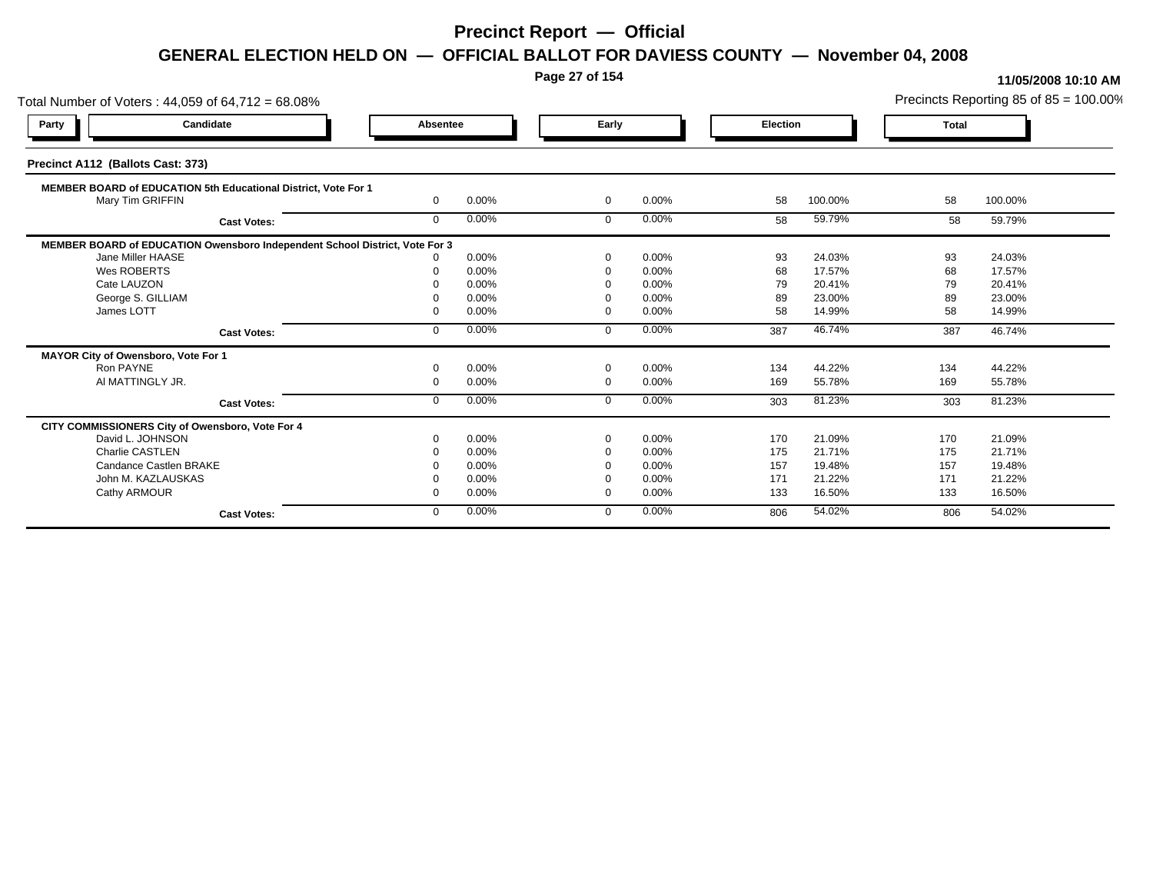**Page 27 of 154**

| Total Number of Voters: 44,059 of 64,712 = 68.08%                           |          |       |                |       |          |         |              | Precincts Reporting 85 of $85 = 100.00\%$ |
|-----------------------------------------------------------------------------|----------|-------|----------------|-------|----------|---------|--------------|-------------------------------------------|
| Candidate<br>Party                                                          | Absentee |       | Early          |       | Election |         | <b>Total</b> |                                           |
| Precinct A112 (Ballots Cast: 373)                                           |          |       |                |       |          |         |              |                                           |
| MEMBER BOARD of EDUCATION 5th Educational District, Vote For 1              |          |       |                |       |          |         |              |                                           |
| Mary Tim GRIFFIN                                                            | $\Omega$ | 0.00% | $\mathbf{0}$   | 0.00% | 58       | 100.00% | 58           | 100.00%                                   |
| <b>Cast Votes:</b>                                                          | $\Omega$ | 0.00% | $\Omega$       | 0.00% | 58       | 59.79%  | 58           | 59.79%                                    |
| MEMBER BOARD of EDUCATION Owensboro Independent School District, Vote For 3 |          |       |                |       |          |         |              |                                           |
| Jane Miller HAASE                                                           |          | 0.00% | $\Omega$       | 0.00% | 93       | 24.03%  | 93           | 24.03%                                    |
| Wes ROBERTS                                                                 |          | 0.00% | $\Omega$       | 0.00% | 68       | 17.57%  | 68           | 17.57%                                    |
| Cate LAUZON                                                                 |          | 0.00% |                | 0.00% | 79       | 20.41%  | 79           | 20.41%                                    |
| George S. GILLIAM                                                           |          | 0.00% | $\Omega$       | 0.00% | 89       | 23.00%  | 89           | 23.00%                                    |
| James LOTT                                                                  |          | 0.00% | $\Omega$       | 0.00% | 58       | 14.99%  | 58           | 14.99%                                    |
| <b>Cast Votes:</b>                                                          | $\Omega$ | 0.00% | $\Omega$       | 0.00% | 387      | 46.74%  | 387          | 46.74%                                    |
| MAYOR City of Owensboro, Vote For 1                                         |          |       |                |       |          |         |              |                                           |
| Ron PAYNE                                                                   |          | 0.00% | $\Omega$       | 0.00% | 134      | 44.22%  | 134          | 44.22%                                    |
| AI MATTINGLY JR.                                                            | $\Omega$ | 0.00% | $\overline{0}$ | 0.00% | 169      | 55.78%  | 169          | 55.78%                                    |
| <b>Cast Votes:</b>                                                          | $\Omega$ | 0.00% | $\Omega$       | 0.00% | 303      | 81.23%  | 303          | 81.23%                                    |
| CITY COMMISSIONERS City of Owensboro, Vote For 4                            |          |       |                |       |          |         |              |                                           |
| David L. JOHNSON                                                            |          | 0.00% | $\Omega$       | 0.00% | 170      | 21.09%  | 170          | 21.09%                                    |
| <b>Charlie CASTLEN</b>                                                      |          | 0.00% |                | 0.00% | 175      | 21.71%  | 175          | 21.71%                                    |
| Candance Castlen BRAKE                                                      |          | 0.00% |                | 0.00% | 157      | 19.48%  | 157          | 19.48%                                    |
| John M. KAZLAUSKAS                                                          |          | 0.00% |                | 0.00% | 171      | 21.22%  | 171          | 21.22%                                    |
| Cathy ARMOUR                                                                |          | 0.00% | $\Omega$       | 0.00% | 133      | 16.50%  | 133          | 16.50%                                    |
| <b>Cast Votes:</b>                                                          | $\Omega$ | 0.00% | $\Omega$       | 0.00% | 806      | 54.02%  | 806          | 54.02%                                    |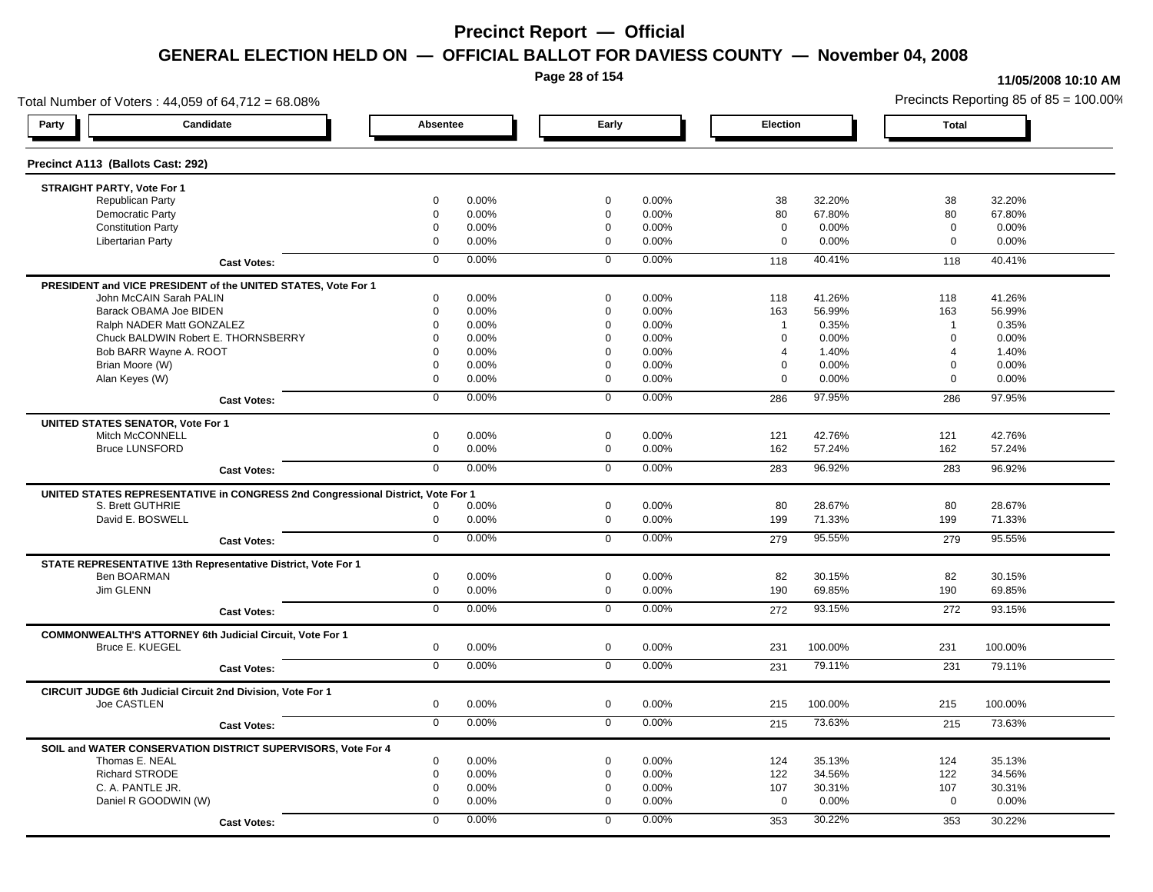**Page 28 of 154**

#### **11/05/2008 10:10 AM**

Total Number of Voters : 44,059 of 64,712 = 68.08% Precincts Reporting 85 of 85 = 100.00% **Party Candidate Absentee Early Election Total Precinct A113 (Ballots Cast: 292) STRAIGHT PARTY, Vote For 1** Republican Party 0 0.00% 0 0.00% 38 32.20% 38 32.20% Democratic Party 0 0.00% 0 0.00% 80 67.80% 80 67.80% Constitution Party 0 0.00% 0 0.00% 0 0.00% 0 0.00% Libertarian Party 0 0.00% 0 0.00% 0 0.00% 0 0.00% **Cast Votes:** 0 0.00% 0 0.00% 118 40.41% 118 40.41% **PRESIDENT and VICE PRESIDENT of the UNITED STATES, Vote For 1** John McCAIN Sarah PALIN John McCAIN Sarah PALIN 0 0.00% 0 0.00% 118 41.26% 118 41.26% Barack OBAMA Joe BIDEN 0 0.00% 0 0.00% 163 56.99% 163 56.99% Ralph NADER Matt GONZALEZ  $0$  0.00% 0 0.00% 1 0.35% 1 0.35% 1 0.35% Chuck BALDWIN Robert E. THORNSBERRY 0 0.00% 0 0.00% 0 0.00% 0 0.00% Bob BARR Wayne A. ROOT **8 1.40%** 0 0.00% 0 0.00% 0 0.00% 0 0.00% 0 1.40% 4 1.40% 4 1.40% 4 1.40% Brian Moore (W) 0 0.00% 0 0.00% 0 0.00% 0 0.00% Alan Keyes (W) 0 0.00% 0 0.00% 0 0.00% 0 0.00% **Cast Votes:** 0 0.00% 0 0.00% 286 97.95% 286 97.95% **UNITED STATES SENATOR, Vote For 1** Mitch McCONNELL 0 0.00% 0 0.00% 121 42.76% 121 42.76% Bruce LUNSFORD 0 0.00% 0 0.00% 162 57.24% 162 57.24% **Cast Votes:** 0 0.00% 0 0.00% 283 96.92% 283 96.92% **UNITED STATES REPRESENTATIVE in CONGRESS 2nd Congressional District, Vote For 1** S. Brett GUTHRIE 0 0.00% 0 0.00% 80 28.67% 80 28.67% David E. BOSWELL 0 0.00% 0 0.00% 199 71.33% 199 71.33% **Cast Votes:** 0 0.00% 0 0.00% 279 95.55% 279 95.55% **STATE REPRESENTATIVE 13th Representative District, Vote For 1** Ben BOARMAN 0 0.00% 0 0.00% 82 30.15% 82 30.15% Jim GLENN 0 0.00% 0 0.00% 190 69.85% 190 69.85% **Cast Votes:** 0 0.00% 0 0.00% 272 93.15% 272 93.15% **COMMONWEALTH'S ATTORNEY 6th Judicial Circuit, Vote For 1** Bruce E. KUEGEL 0 0.00% 0 0.00% 231 100.00% 231 100.00% **Cast Votes:** 0 0.00% 0 0.00% 231 79.11% 231 79.11% **CIRCUIT JUDGE 6th Judicial Circuit 2nd Division, Vote For 1** Joe CASTLEN 0 0.00% 0 0.00% 215 100.00% 215 100.00% **Cast Votes:** 0 0.00% 0 0.00% 215 73.63% 215 73.63% **SOIL and WATER CONSERVATION DISTRICT SUPERVISORS, Vote For 4** Thomas E. NEAL 0 0.00% 0 0.00% 124 35.13% 124 35.13% Richard STRODE 0 0.00% 0 0.00% 122 34.56% 122 34.56% C. A. PANTLE JR. 0 0.00% 0 0.00% 107 30.31% 107 30.31% Daniel R GOODWIN (W) 0 0.00% 0 0.00% 0 0.00% 0 0.00% **Cast Votes:** 0 0.00% 0 0.00% 353 30.22% 353 30.22%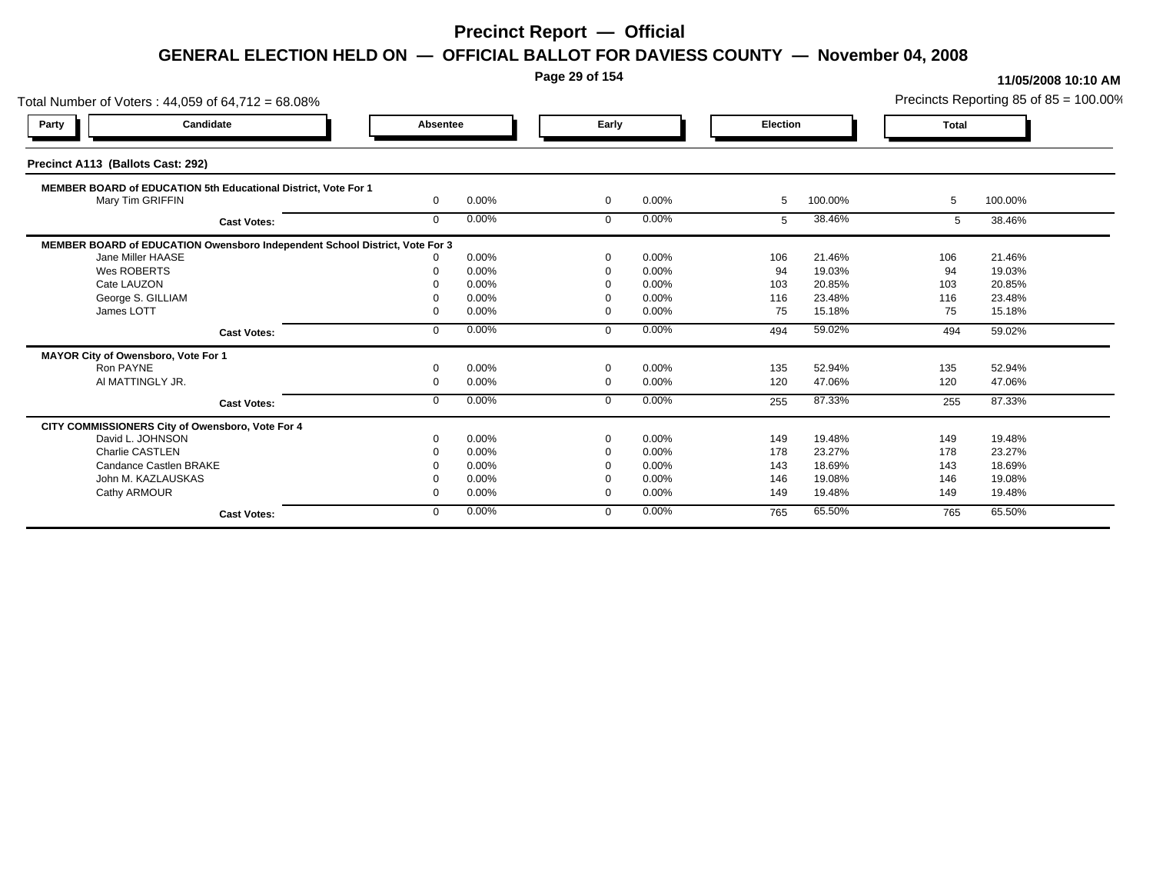**Page 29 of 154**

| Total Number of Voters: 44,059 of 64,712 = 68.08%                           |          |       |                |       |          |         |              | Precincts Reporting 85 of $85 = 100.00\%$ |
|-----------------------------------------------------------------------------|----------|-------|----------------|-------|----------|---------|--------------|-------------------------------------------|
| Candidate<br>Party                                                          | Absentee |       | Early          |       | Election |         | <b>Total</b> |                                           |
| Precinct A113 (Ballots Cast: 292)                                           |          |       |                |       |          |         |              |                                           |
| MEMBER BOARD of EDUCATION 5th Educational District, Vote For 1              |          |       |                |       |          |         |              |                                           |
| Mary Tim GRIFFIN                                                            | $\Omega$ | 0.00% | $\mathbf{0}$   | 0.00% | -5       | 100.00% | 5            | 100.00%                                   |
| <b>Cast Votes:</b>                                                          | $\Omega$ | 0.00% | $\Omega$       | 0.00% | 5        | 38.46%  | 5            | 38.46%                                    |
| MEMBER BOARD of EDUCATION Owensboro Independent School District, Vote For 3 |          |       |                |       |          |         |              |                                           |
| Jane Miller HAASE                                                           |          | 0.00% | $\Omega$       | 0.00% | 106      | 21.46%  | 106          | 21.46%                                    |
| Wes ROBERTS                                                                 |          | 0.00% | $\Omega$       | 0.00% | 94       | 19.03%  | 94           | 19.03%                                    |
| Cate LAUZON                                                                 |          | 0.00% |                | 0.00% | 103      | 20.85%  | 103          | 20.85%                                    |
| George S. GILLIAM                                                           |          | 0.00% | $\Omega$       | 0.00% | 116      | 23.48%  | 116          | 23.48%                                    |
| James LOTT                                                                  |          | 0.00% | $\Omega$       | 0.00% | 75       | 15.18%  | 75           | 15.18%                                    |
| <b>Cast Votes:</b>                                                          | $\Omega$ | 0.00% | $\Omega$       | 0.00% | 494      | 59.02%  | 494          | 59.02%                                    |
| MAYOR City of Owensboro, Vote For 1                                         |          |       |                |       |          |         |              |                                           |
| Ron PAYNE                                                                   |          | 0.00% | $\Omega$       | 0.00% | 135      | 52.94%  | 135          | 52.94%                                    |
| AI MATTINGLY JR.                                                            | $\Omega$ | 0.00% | $\overline{0}$ | 0.00% | 120      | 47.06%  | 120          | 47.06%                                    |
| <b>Cast Votes:</b>                                                          | $\Omega$ | 0.00% | $\Omega$       | 0.00% | 255      | 87.33%  | 255          | 87.33%                                    |
| CITY COMMISSIONERS City of Owensboro, Vote For 4                            |          |       |                |       |          |         |              |                                           |
| David L. JOHNSON                                                            |          | 0.00% | $\Omega$       | 0.00% | 149      | 19.48%  | 149          | 19.48%                                    |
| <b>Charlie CASTLEN</b>                                                      |          | 0.00% |                | 0.00% | 178      | 23.27%  | 178          | 23.27%                                    |
| Candance Castlen BRAKE                                                      |          | 0.00% |                | 0.00% | 143      | 18.69%  | 143          | 18.69%                                    |
| John M. KAZLAUSKAS                                                          |          | 0.00% |                | 0.00% | 146      | 19.08%  | 146          | 19.08%                                    |
| Cathy ARMOUR                                                                |          | 0.00% | $\Omega$       | 0.00% | 149      | 19.48%  | 149          | 19.48%                                    |
| <b>Cast Votes:</b>                                                          | $\Omega$ | 0.00% | $\Omega$       | 0.00% | 765      | 65.50%  | 765          | 65.50%                                    |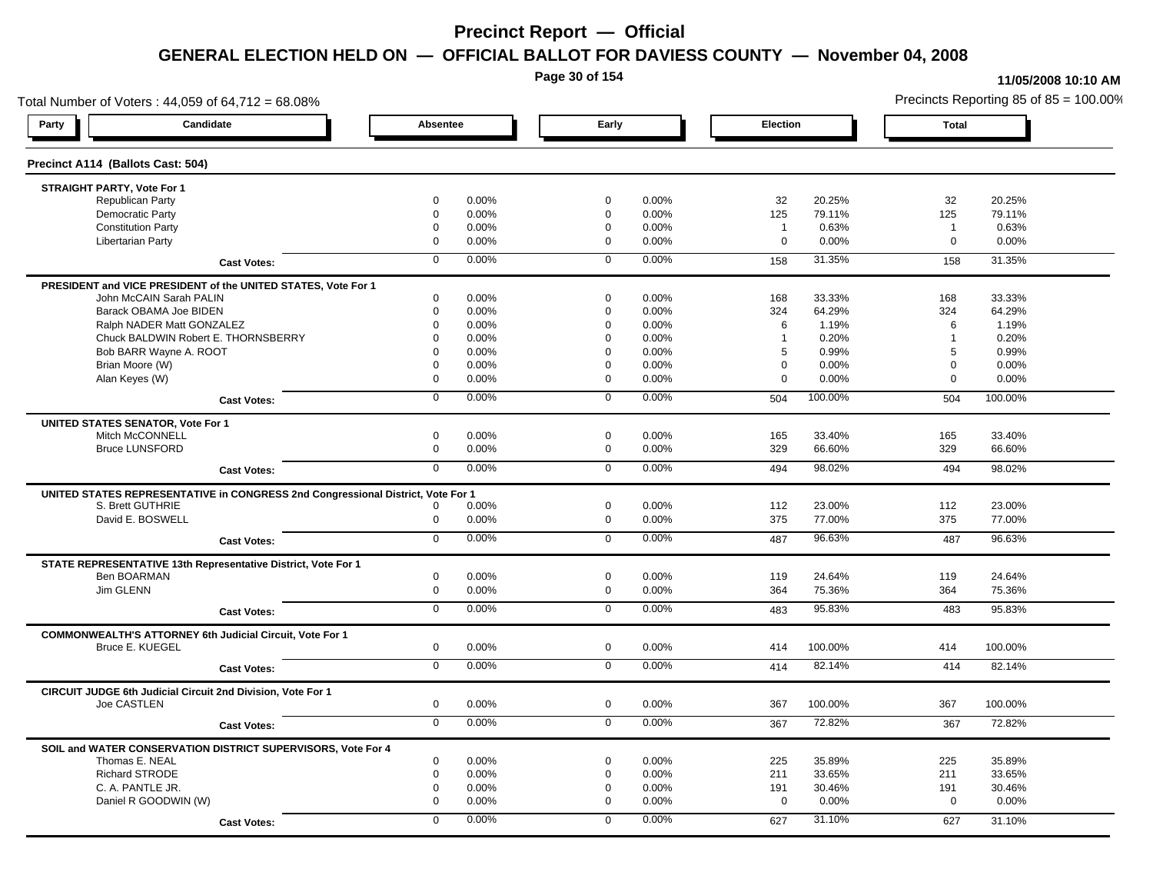**Page 30 of 154**

#### **11/05/2008 10:10 AM**

Total Number of Voters : 44,059 of 64,712 = 68.08% Precincts Reporting 85 of 85 = 100.00% **Party Candidate Absentee Early Election Total Precinct A114 (Ballots Cast: 504) STRAIGHT PARTY, Vote For 1** Republican Party 0 0.00% 0 0.00% 32 20.25% 32 20.25% Democratic Party 0 0.00% 0 0.00% 125 79.11% 125 79.11% Constitution Party 0 0.00% 0 0.00% 1 0.63% 1 0.63% Libertarian Party 0 0.00% 0 0.00% 0 0.00% 0 0.00% **Cast Votes:** 0 0.00% 0 0.00% 158 31.35% 158 31.35% **PRESIDENT and VICE PRESIDENT of the UNITED STATES, Vote For 1** John McCAIN Sarah PALIN John McCAIN Sarah PALIN 0 0.00% 0 0.00% 168 33.33% 168 33.33% Barack OBAMA Joe BIDEN 0 0.00% 0 0.00% 324 64.29% 324 64.29% Ralph NADER Matt GONZALEZ 0 0.00% 0 0.00% 6 1.19% 6 1.19% Chuck BALDWIN Robert E. THORNSBERRY 0 0.00% 0 0.00% 1 0.20% 1 0.20% Bob BARR Wayne A. ROOT 0 0.00% 0 0.00% 5 0.99% 5 0.99% Brian Moore (W) 0 0.00% 0 0.00% 0 0.00% 0 0.00% Alan Keyes (W) 0 0.00% 0 0.00% 0 0.00% 0 0.00% **Cast Votes:** 0 0.00% 0 0.00% 504 100.00% 504 100.00% **UNITED STATES SENATOR, Vote For 1** Mitch McCONNELL 0 0.00% 0 0.00% 165 33.40% 165 33.40% Bruce LUNSFORD 0 0.00% 0 0.00% 329 66.60% 329 66.60% **Cast Votes:** 0 0.00% 0 0.00% 494 98.02% 494 98.02% **UNITED STATES REPRESENTATIVE in CONGRESS 2nd Congressional District, Vote For 1** S. Brett GUTHRIE 0 0.00% 0 0.00% 112 23.00% 112 23.00% David E. BOSWELL 0 0.00% 0 0.00% 375 77.00% 375 77.00% **Cast Votes:** 0 0.00% 0 0.00% 487 96.63% 487 96.63% **STATE REPRESENTATIVE 13th Representative District, Vote For 1** Ben BOARMAN 0 0.00% 0 0.00% 119 24.64% 119 24.64% Jim GLENN 0 0.00% 0 0.00% 364 75.36% 364 75.36% **Cast Votes:** 0 0.00% 0 0.00% 483 95.83% 483 95.83% **COMMONWEALTH'S ATTORNEY 6th Judicial Circuit, Vote For 1** Bruce E. KUEGEL 0 0.00% 0 0.00% 414 100.00% 414 100.00% **Cast Votes:** 0 0.00% 0 0.00% 414 82.14% 414 82.14% **CIRCUIT JUDGE 6th Judicial Circuit 2nd Division, Vote For 1** Joe CASTLEN 0 0.00% 0 0.00% 367 100.00% 367 100.00% **Cast Votes:** 0 0.00% 0 0.00% 367 72.82% 367 72.82% **SOIL and WATER CONSERVATION DISTRICT SUPERVISORS, Vote For 4** Thomas E. NEAL 0 0.00% 0 0.00% 225 35.89% 225 35.89% Richard STRODE 0 0.00% 0 0.00% 211 33.65% 211 33.65% C. A. PANTLE JR. 0 0.00% 0 0.00% 191 30.46% 191 30.46% Daniel R GOODWIN (W) 0 0.00% 0 0.00% 0 0.00% 0 0.00% **Cast Votes:** 0 0.00% 0 0.00% 627 31.10% 627 31.10%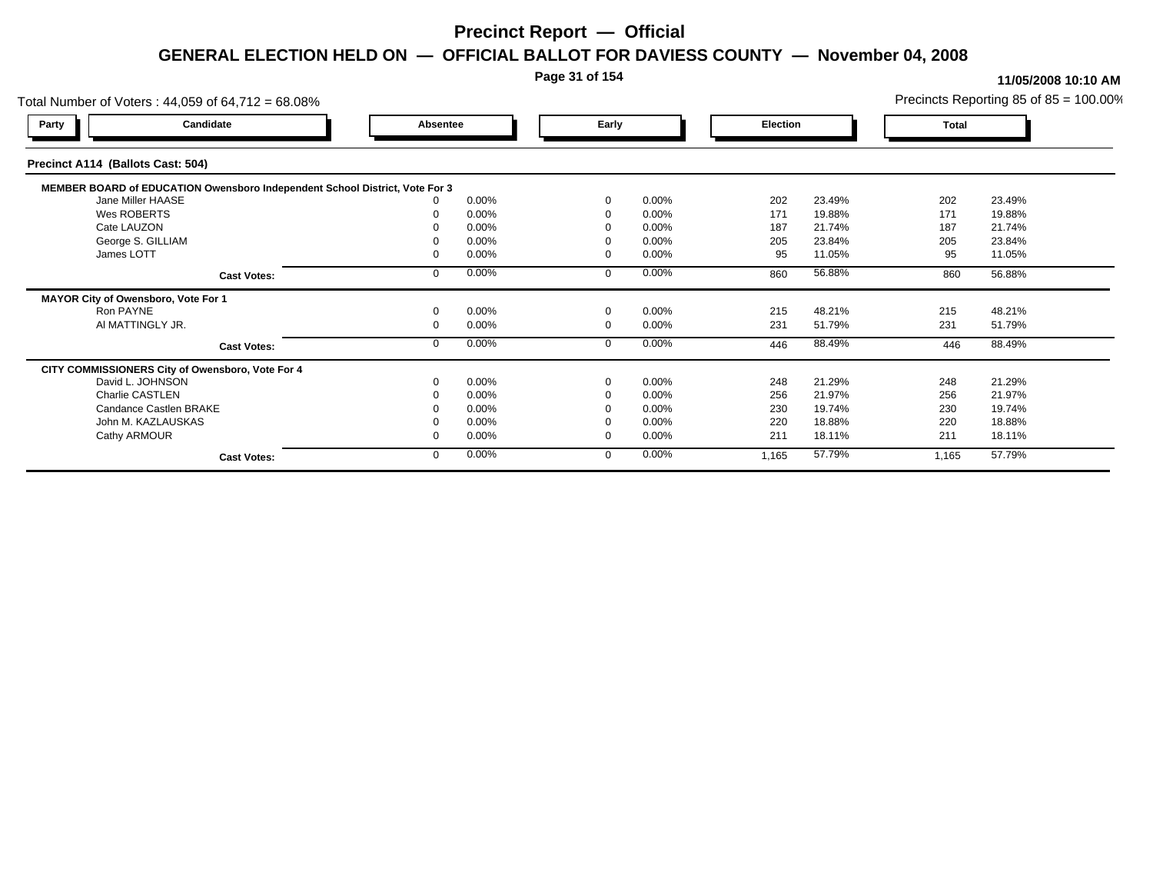#### **Page 31 of 154**

#### **11/05/2008 10:10 AM**

Total Number of Voters : 44,059 of 64,712 = 68.08% Precincts Reporting 85 of 85 = 100.00% **Party Candidate Absentee Early Election Total Precinct A114 (Ballots Cast: 504) MEMBER BOARD of EDUCATION Owensboro Independent School District, Vote For 3**<br>10.00% 0.00% Jane Miller HAASE 0 0.00% 0 0.00% 202 23.49% 202 23.49% Wes ROBERTS 0 0.00% 0 0.00% 171 19.88% 171 19.88% Cate LAUZON 0 0.00% 0 0.00% 187 21.74% 187 21.74% George S. GILLIAM 0 0.00% 0 0.00% 205 23.84% 205 23.84% James LOTT 0 0.00% 0 0.00% 95 11.05% 95 11.05% **Cast Votes:** 0 0.00% 0 0.00% 860 56.88% 860 56.88% **MAYOR City of Owensboro, Vote For 1** Ron PAYNE 0 0.00% 0 0.00% 215 48.21% 215 48.21% Al MATTINGLY JR. 0 0.00% 0 0.00% 231 51.79% 231 51.79% **Cast Votes:** 0 0.00% 0 0.00% 446 88.49% 446 88.49% **CITY COMMISSIONERS City of Owensboro, Vote For 4** David L. JOHNSON 0 0.00% 0 0.00% 248 21.29% 248 21.29% Charlie CASTLEN 0 0.00% 0 0.00% 256 21.97% 256 21.97% Candance Castlen BRAKE 0 0.00% 0 0.00% 230 19.74% 230 19.74% John M. KAZLAUSKAS 0 0.00% 0 0.00% 220 18.88% 220 18.88% Cathy ARMOUR 0 0.00% 0 0.00% 211 18.11% 211 18.11% **Cast Votes:** 0 0.00% 0 0.00% 1,165 57.79% 1,165 57.79%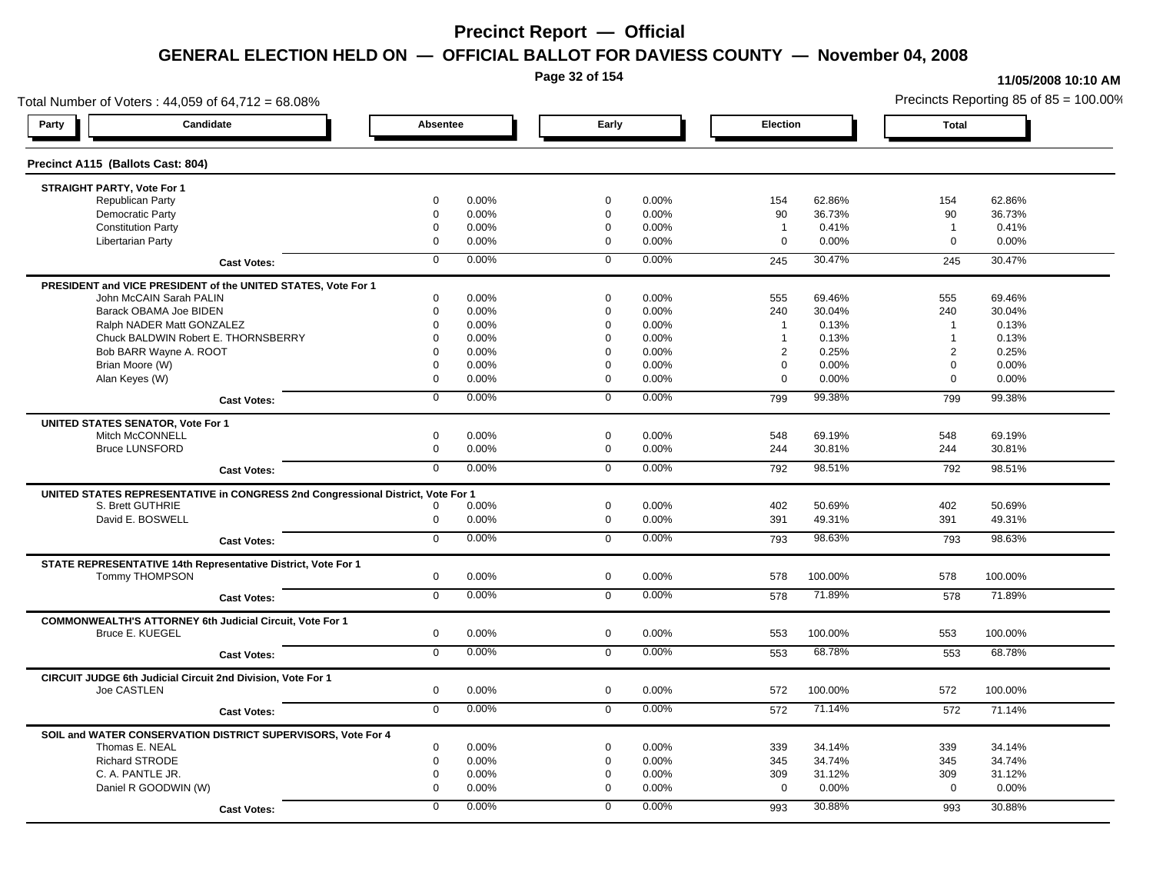**Page 32 of 154**

#### **11/05/2008 10:10 AM**

Total Number of Voters : 44,059 of 64,712 = 68.08% Precincts Reporting 85 of 85 = 100.00% **Party Candidate Absentee Early Election Total Precinct A115 (Ballots Cast: 804) STRAIGHT PARTY, Vote For 1** Republican Party 0 0.00% 0 0.00% 154 62.86% 154 62.86% Democratic Party 0 0.00% 0 0.00% 90 36.73% 90 36.73% Constitution Party 0 0.00% 0 0.00% 1 0.41% 1 0.41% Libertarian Party 0 0.00% 0 0.00% 0 0.00% 0 0.00% **Cast Votes:** 0 0.00% 0 0.00% 245 30.47% 245 30.47% **PRESIDENT and VICE PRESIDENT of the UNITED STATES, Vote For 1** John McCAIN Sarah PALIN John McCAIN Sarah PALIN 0 0.00% 0 0.00% 555 69.46% 555 69.46% Barack OBAMA Joe BIDEN 0 0.00% 0 0.00% 240 30.04% 240 30.04% Ralph NADER Matt GONZALEZ  $\begin{array}{cccc} 0 & 0.00\% & 0 & 0.00\% & 1 & 0.13\% \end{array}$  1 0.13% 1 0.13% Chuck BALDWIN Robert E. THORNSBERRY 0 0.00% 0 0.00% 1 0.13% 1 0.13% Bob BARR Wayne A. ROOT **2 2 0.25% 2 0.25% 2 0.25% 2 0.25% 2 0.25%** 2 0.25% 2 0.25% 2 0.25% 2 0.25% 2 0.25% 2 0.25% Brian Moore (W) 0 0.00% 0 0.00% 0 0.00% 0 0.00% Alan Keyes (W) 0 0.00% 0 0.00% 0 0.00% 0 0.00% **Cast Votes:** 0 0.00% 0 0.00% 799 99.38% 799 99.38% **UNITED STATES SENATOR, Vote For 1** Mitch McCONNELL 0 0.00% 0 0.00% 548 69.19% 548 69.19% Bruce LUNSFORD 0 0.00% 0 0.00% 244 30.81% 244 30.81% **Cast Votes:** 0 0.00% 0 0.00% 792 98.51% 792 98.51% **UNITED STATES REPRESENTATIVE in CONGRESS 2nd Congressional District, Vote For 1** S. Brett GUTHRIE 0 0.00% 0 0.00% 402 50.69% 402 50.69% David E. BOSWELL 0 0.00% 0 0.00% 391 49.31% 391 49.31% **Cast Votes:** 0 0.00% 0 0.00% 793 98.63% 793 98.63% **STATE REPRESENTATIVE 14th Representative District, Vote For 1** Tommy THOMPSON 0 0.00% 0 0.00% 578 100.00% 578 100.00% **Cast Votes:** 0 0.00% 0 0.00% 578 71.89% 578 71.89% **COMMONWEALTH'S ATTORNEY 6th Judicial Circuit, Vote For 1** Bruce E. KUEGEL 0 0.00% 0 0.00% 553 100.00% 553 100.00% **Cast Votes:** 0 0.00% 0 0.00% 553 68.78% 553 68.78% **CIRCUIT JUDGE 6th Judicial Circuit 2nd Division, Vote For 1** Joe CASTLEN 0 0.00% 0 0.00% 572 100.00% 572 100.00% **Cast Votes:** 0 0.00% 0 0.00% 572 71.14% 572 71.14% **SOIL and WATER CONSERVATION DISTRICT SUPERVISORS, Vote For 4** Thomas E. NEAL 0 0.00% 0 0.00% 339 34.14% 339 34.14% Richard STRODE 0 0.00% 0 0.00% 345 34.74% 345 34.74% C. A. PANTLE JR. 0 0.00% 0 0.00% 309 31.12% 309 31.12% Daniel R GOODWIN (W) 0 0.00% 0 0.00% 0 0.00% 0 0.00% **Cast Votes:** 0 0.00% 0 0.00% 993 30.88% 993 30.88%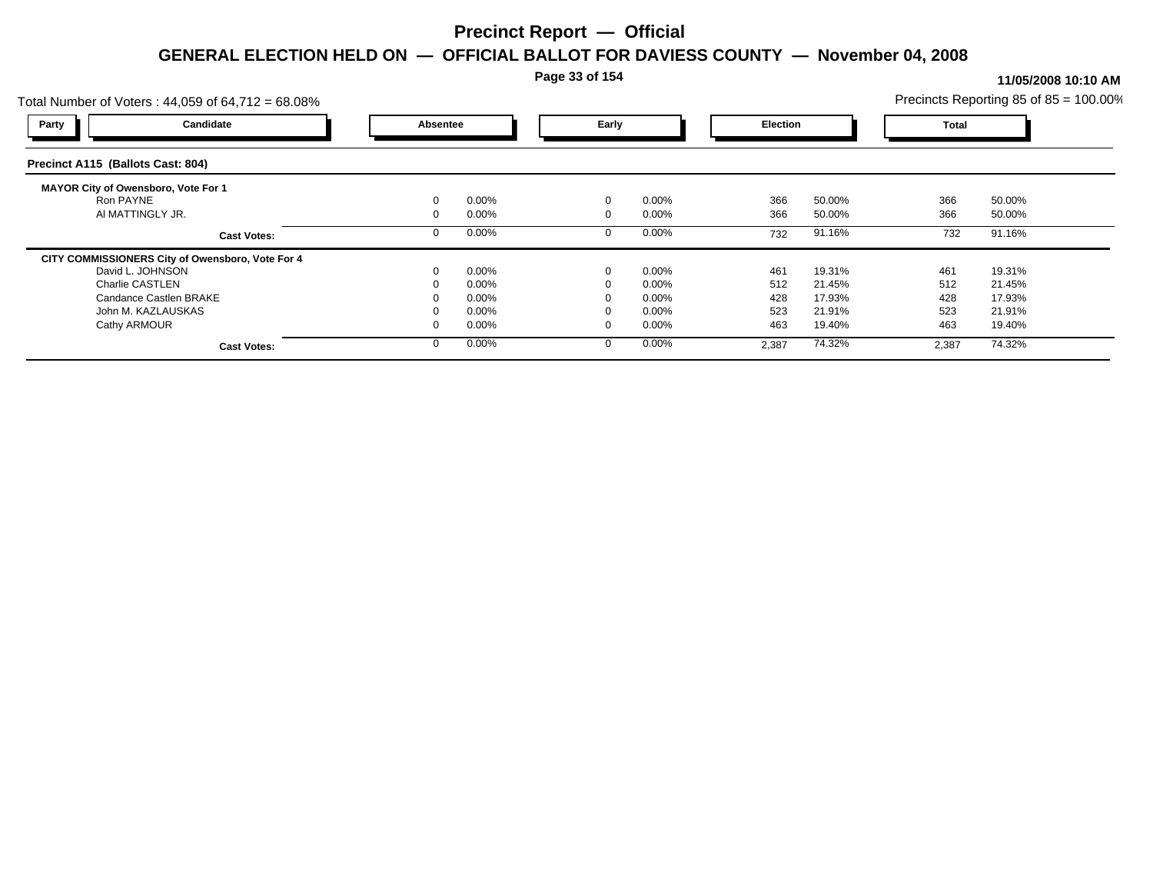**Page 33 of 154**

| Precincts Reporting 85 of $85 = 100.00\%$<br>Total Number of Voters: 44,059 of 64,712 = 68.08% |          |       |             |          |       |                 |       |              |  |
|------------------------------------------------------------------------------------------------|----------|-------|-------------|----------|-------|-----------------|-------|--------------|--|
| Candidate<br>Party                                                                             | Absentee |       | Early       |          |       | <b>Election</b> |       | <b>Total</b> |  |
| Precinct A115 (Ballots Cast: 804)                                                              |          |       |             |          |       |                 |       |              |  |
| MAYOR City of Owensboro, Vote For 1                                                            |          |       |             |          |       |                 |       |              |  |
| Ron PAYNE                                                                                      |          | 0.00% | $\mathbf 0$ | 0.00%    | 366   | 50.00%          | 366   | 50.00%       |  |
| AI MATTINGLY JR.                                                                               |          | 0.00% | $\Omega$    | $0.00\%$ | 366   | 50.00%          | 366   | 50.00%       |  |
| <b>Cast Votes:</b>                                                                             |          | 0.00% |             | $0.00\%$ | 732   | 91.16%          | 732   | 91.16%       |  |
| CITY COMMISSIONERS City of Owensboro, Vote For 4                                               |          |       |             |          |       |                 |       |              |  |
| David L. JOHNSON                                                                               |          | 0.00% | $\Omega$    | $0.00\%$ | 461   | 19.31%          | 461   | 19.31%       |  |
| <b>Charlie CASTLEN</b>                                                                         |          | 0.00% |             | $0.00\%$ | 512   | 21.45%          | 512   | 21.45%       |  |
| Candance Castlen BRAKE                                                                         |          | 0.00% |             | $0.00\%$ | 428   | 17.93%          | 428   | 17.93%       |  |
| John M. KAZLAUSKAS                                                                             |          | 0.00% |             | $0.00\%$ | 523   | 21.91%          | 523   | 21.91%       |  |
| Cathy ARMOUR                                                                                   |          | 0.00% |             | 0.00%    | 463   | 19.40%          | 463   | 19.40%       |  |
| <b>Cast Votes:</b>                                                                             |          | 0.00% |             | $0.00\%$ | 2,387 | 74.32%          | 2,387 | 74.32%       |  |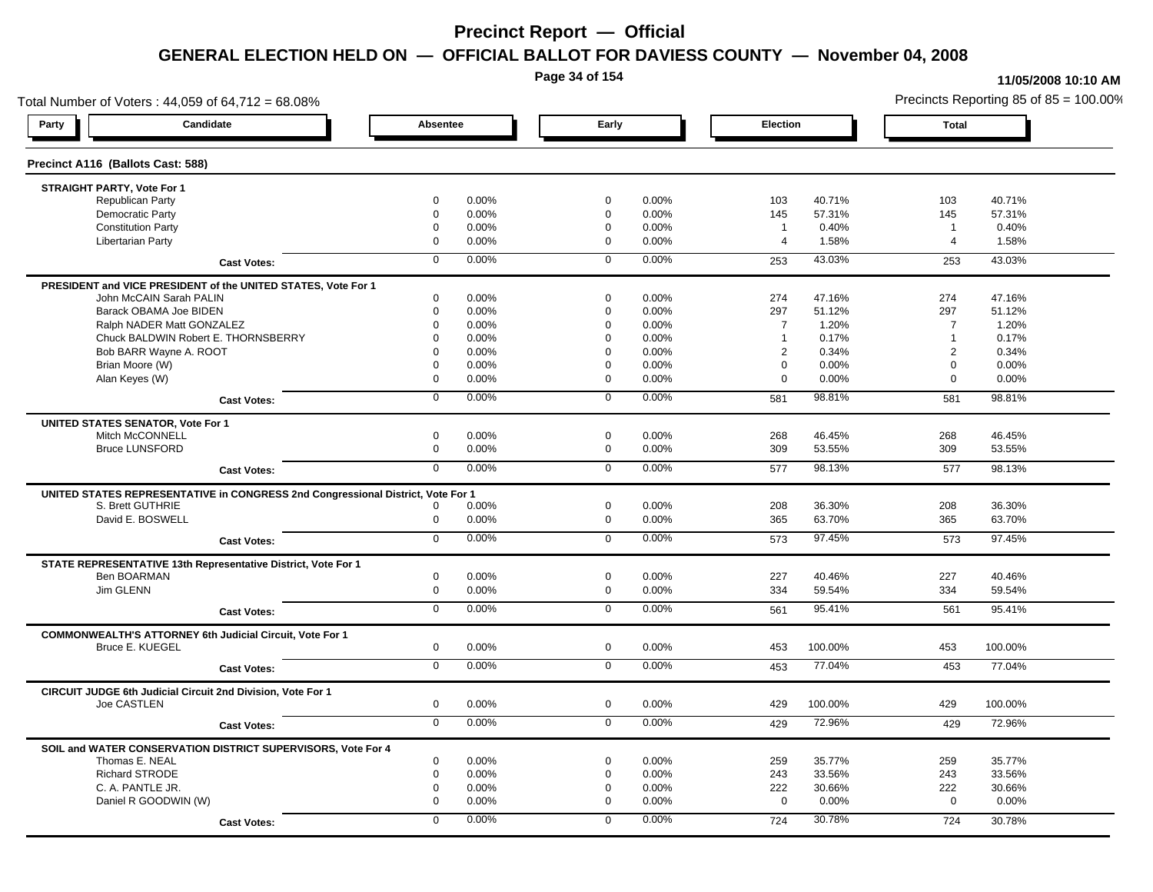**Page 34 of 154**

#### **11/05/2008 10:10 AM**

Total Number of Voters : 44,059 of 64,712 = 68.08% Precincts Reporting 85 of 85 = 100.00% **Party Candidate Absentee Early Election Total Precinct A116 (Ballots Cast: 588) STRAIGHT PARTY, Vote For 1** Republican Party 0 0.00% 0 0.00% 103 40.71% 103 40.71% Democratic Party 0 0.00% 0 0.00% 145 57.31% 145 57.31% Constitution Party 0 0.00% 0 0.00% 1 0.40% 1 0.40% Libertarian Party 0 0.00% 0 0.00% 4 1.58% 4 1.58% **Cast Votes:** 0 0.00% 0 0.00% 253 43.03% 253 43.03% **PRESIDENT and VICE PRESIDENT of the UNITED STATES, Vote For 1** John McCAIN Sarah PALIN John McCAIN Sarah PALIN 0 0.00% 0 0.00% 274 47.16% 274 47.16% Barack OBAMA Joe BIDEN 0 0.00% 0 0.00% 297 51.12% 297 51.12% Ralph NADER Matt GONZALEZ  $0$  0.00% 0 0.00% 7 1.20% 7 1.20% 7 1.20% Chuck BALDWIN Robert E. THORNSBERRY 0 0.00% 0 0.00% 1 0.17% 1 0.17% Bob BARR Wayne A. ROOT **2 0.34% 0 0.00% 0 0.00% 0 0.00% 0 0.00%** 2 0.34% 2 0.34% 2 0.34% Brian Moore (W) 0 0.00% 0 0.00% 0 0.00% 0 0.00% Alan Keyes (W) 0 0.00% 0 0.00% 0 0.00% 0 0.00% **Cast Votes:** 0 0.00% 0 0.00% 581 98.81% 581 98.81% **UNITED STATES SENATOR, Vote For 1** Mitch McCONNELL 0 0.00% 0 0.00% 268 46.45% 268 46.45% Bruce LUNSFORD 0 0.00% 0 0.00% 309 53.55% 309 53.55% **Cast Votes:** 0 0.00% 0 0.00% 577 98.13% 577 98.13% **UNITED STATES REPRESENTATIVE in CONGRESS 2nd Congressional District, Vote For 1** S. Brett GUTHRIE 0 0.00% 0 0.00% 208 36.30% 208 36.30% David E. BOSWELL 0 0.00% 0 0.00% 365 63.70% 365 63.70% **Cast Votes:** 0 0.00% 0 0.00% 573 97.45% 573 97.45% **STATE REPRESENTATIVE 13th Representative District, Vote For 1** Ben BOARMAN 0 0.00% 0 0.00% 227 40.46% 227 40.46% Jim GLENN 0 0.00% 0 0.00% 334 59.54% 334 59.54% **Cast Votes:** 0 0.00% 0 0.00% 561 95.41% 561 95.41% **COMMONWEALTH'S ATTORNEY 6th Judicial Circuit, Vote For 1** Bruce E. KUEGEL 0 0.00% 0 0.00% 453 100.00% 453 100.00% **Cast Votes:** 0 0.00% 0 0.00% 453 77.04% 453 77.04% **CIRCUIT JUDGE 6th Judicial Circuit 2nd Division, Vote For 1** Joe CASTLEN 0 0.00% 0 0.00% 429 100.00% 429 100.00% **Cast Votes:** 0 0.00% 0 0.00% 429 72.96% 429 72.96% **SOIL and WATER CONSERVATION DISTRICT SUPERVISORS, Vote For 4** Thomas E. NEAL 0 0.00% 0 0.00% 259 35.77% 259 35.77% Richard STRODE 0 0.00% 0 0.00% 243 33.56% 243 33.56% C. A. PANTLE JR. 0 0.00% 0 0.00% 222 30.66% 222 30.66% Daniel R GOODWIN (W) 0 0.00% 0 0.00% 0 0.00% 0 0.00% **Cast Votes:** 0 0.00% 0 0.00% 724 30.78% 724 30.78%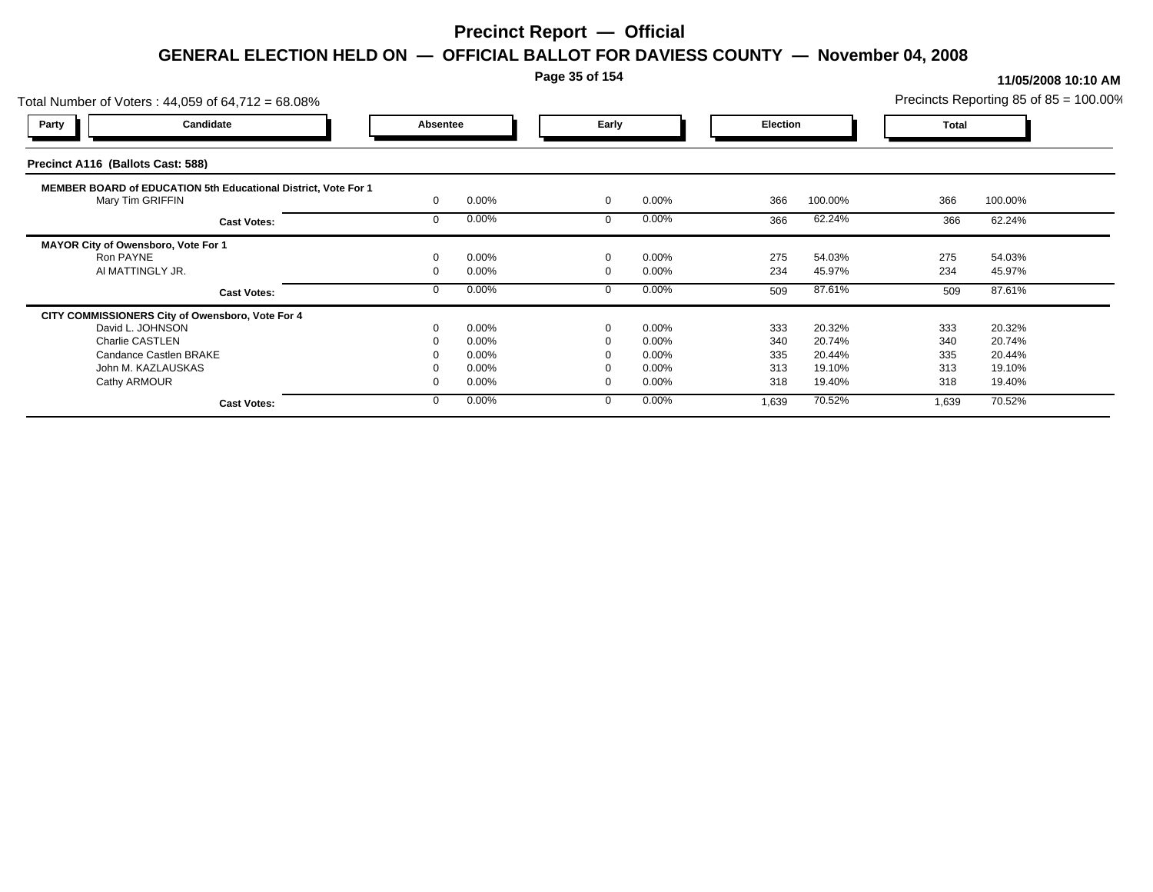### **Page 35 of 154**

|                                                  | Total Number of Voters: 44,059 of 64,712 = 68.08%                                  |  |       |             |          |       |                 |       | Precincts Reporting 85 of 85 = 100.00% |  |
|--------------------------------------------------|------------------------------------------------------------------------------------|--|-------|-------------|----------|-------|-----------------|-------|----------------------------------------|--|
| Party                                            | Candidate                                                                          |  |       |             | Early    |       | <b>Election</b> |       | <b>Total</b>                           |  |
| Precinct A116 (Ballots Cast: 588)                |                                                                                    |  |       |             |          |       |                 |       |                                        |  |
|                                                  | MEMBER BOARD of EDUCATION 5th Educational District, Vote For 1<br>Mary Tim GRIFFIN |  | 0.00% | $\mathbf 0$ | 0.00%    | 366   | 100.00%         | 366   | 100.00%                                |  |
|                                                  | <b>Cast Votes:</b>                                                                 |  | 0.00% |             | 0.00%    | 366   | 62.24%          | 366   | 62.24%                                 |  |
| MAYOR City of Owensboro, Vote For 1<br>Ron PAYNE |                                                                                    |  | 0.00% | $\Omega$    | 0.00%    | 275   | 54.03%          | 275   | 54.03%                                 |  |
|                                                  | AI MATTINGLY JR.                                                                   |  | 0.00% |             | $0.00\%$ | 234   | 45.97%          | 234   | 45.97%                                 |  |
|                                                  | <b>Cast Votes:</b>                                                                 |  | 0.00% |             | 0.00%    | 509   | 87.61%          | 509   | 87.61%                                 |  |
|                                                  | CITY COMMISSIONERS City of Owensboro, Vote For 4                                   |  |       |             |          |       |                 |       |                                        |  |
|                                                  | David L. JOHNSON                                                                   |  | 0.00% | $\mathbf 0$ | 0.00%    | 333   | 20.32%          | 333   | 20.32%                                 |  |
| <b>Charlie CASTLEN</b>                           |                                                                                    |  | 0.00% |             | $0.00\%$ | 340   | 20.74%          | 340   | 20.74%                                 |  |
|                                                  | Candance Castlen BRAKE                                                             |  | 0.00% |             | $0.00\%$ | 335   | 20.44%          | 335   | 20.44%                                 |  |
|                                                  | John M. KAZLAUSKAS                                                                 |  | 0.00% |             | 0.00%    | 313   | 19.10%          | 313   | 19.10%                                 |  |
| Cathy ARMOUR                                     |                                                                                    |  | 0.00% |             | 0.00%    | 318   | 19.40%          | 318   | 19.40%                                 |  |
|                                                  | <b>Cast Votes:</b>                                                                 |  | 0.00% | $\Omega$    | $0.00\%$ | 1,639 | 70.52%          | 1,639 | 70.52%                                 |  |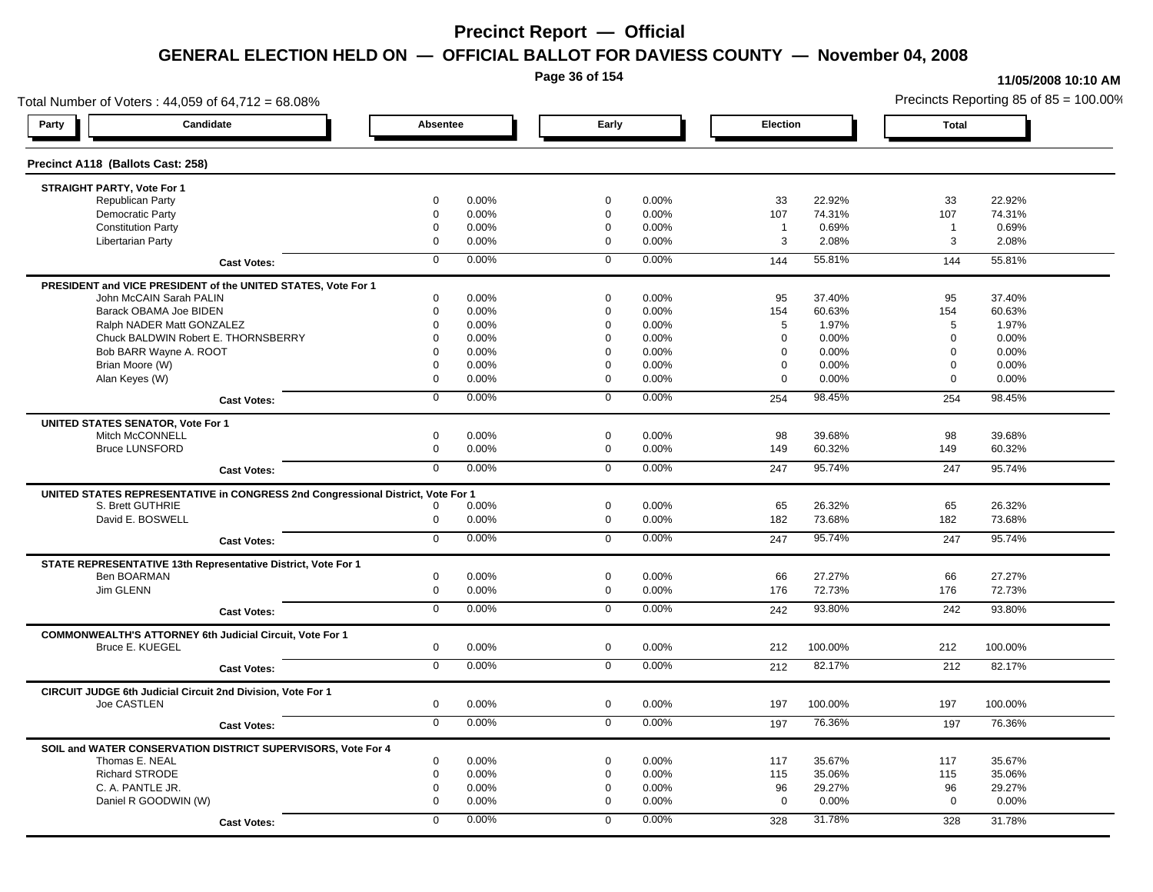**Page 36 of 154**

#### **11/05/2008 10:10 AM**

Total Number of Voters : 44,059 of 64,712 = 68.08% Precincts Reporting 85 of 85 = 100.00% **Party Candidate Absentee Early Election Total Precinct A118 (Ballots Cast: 258) STRAIGHT PARTY, Vote For 1** Republican Party 0 0.00% 0 0.00% 33 22.92% 33 22.92% Democratic Party 0 0.00% 0 0.00% 107 74.31% 107 74.31% Constitution Party 0 0.00% 0 0.00% 1 0.69% 1 0.69% Libertarian Party 0 0.00% 0 0.00% 3 2.08% 3 2.08% **Cast Votes:** 0 0.00% 0 0.00% 144 55.81% 144 55.81% **PRESIDENT and VICE PRESIDENT of the UNITED STATES, Vote For 1** John McCAIN Sarah PALIN John McCAIN Sarah PALIN 0 0.00% 0 0.00% 95 37.40% 95 37.40% Barack OBAMA Joe BIDEN 0 0.00% 0 0.00% 154 60.63% 154 60.63% Ralph NADER Matt GONZALEZ  $0$  0.00% 0 0.00% 5 1.97% 5 1.97% 5 1.97% Chuck BALDWIN Robert E. THORNSBERRY 0 0.00% 0 0.00% 0 0.00% 0 0.00%  $B$ ob BARR Wayne A. ROOT  $0.00\%$   $0.00\%$   $0.00\%$   $0.00\%$   $0.00\%$   $0.00\%$   $0.00\%$   $0.00\%$ Brian Moore (W) 0 0.00% 0 0.00% 0 0.00% 0 0.00% Alan Keyes (W) 0 0.00% 0 0.00% 0 0.00% 0 0.00% **Cast Votes:** 0 0.00% 0 0.00% 254 98.45% 254 98.45% **UNITED STATES SENATOR, Vote For 1** Mitch McCONNELL 0 0.00% 0 0.00% 98 39.68% 98 39.68% Bruce LUNSFORD 0 0.00% 0 0.00% 149 60.32% 149 60.32% **Cast Votes:** 0 0.00% 0 0.00% 247 95.74% 247 95.74% **UNITED STATES REPRESENTATIVE in CONGRESS 2nd Congressional District, Vote For 1** S. Brett GUTHRIE 0 0.00% 0 0.00% 65 26.32% 65 26.32% David E. BOSWELL 0 0.00% 0 0.00% 182 73.68% 182 73.68% **Cast Votes:** 0 0.00% 0 0.00% 247 95.74% 247 95.74% **STATE REPRESENTATIVE 13th Representative District, Vote For 1** Ben BOARMAN 0 0.00% 0 0.00% 66 27.27% 66 27.27% Jim GLENN 0 0.00% 0 0.00% 176 72.73% 176 72.73% **Cast Votes:** 0 0.00% 0 0.00% 242 93.80% 242 93.80% **COMMONWEALTH'S ATTORNEY 6th Judicial Circuit, Vote For 1** Bruce E. KUEGEL 0 0.00% 0 0.00% 212 100.00% 212 100.00% **Cast Votes:** 0 0.00% 0 0.00% 212 82.17% 212 82.17% **CIRCUIT JUDGE 6th Judicial Circuit 2nd Division, Vote For 1** Joe CASTLEN 0 0.00% 0 0.00% 197 100.00% 197 100.00% **Cast Votes:** 0 0.00% 0 0.00% 197 76.36% 197 76.36% **SOIL and WATER CONSERVATION DISTRICT SUPERVISORS, Vote For 4** Thomas E. NEAL 0 0.00% 0 0.00% 117 35.67% 117 35.67% Richard STRODE 0 0.00% 0 0.00% 115 35.06% 115 35.06% C. A. PANTLE JR. 0 0.00% 0 0.00% 96 29.27% 96 29.27% Daniel R GOODWIN (W) 0 0.00% 0 0.00% 0 0.00% 0 0.00% **Cast Votes:** 0 0.00% 0 0.00% 328 31.78% 328 31.78%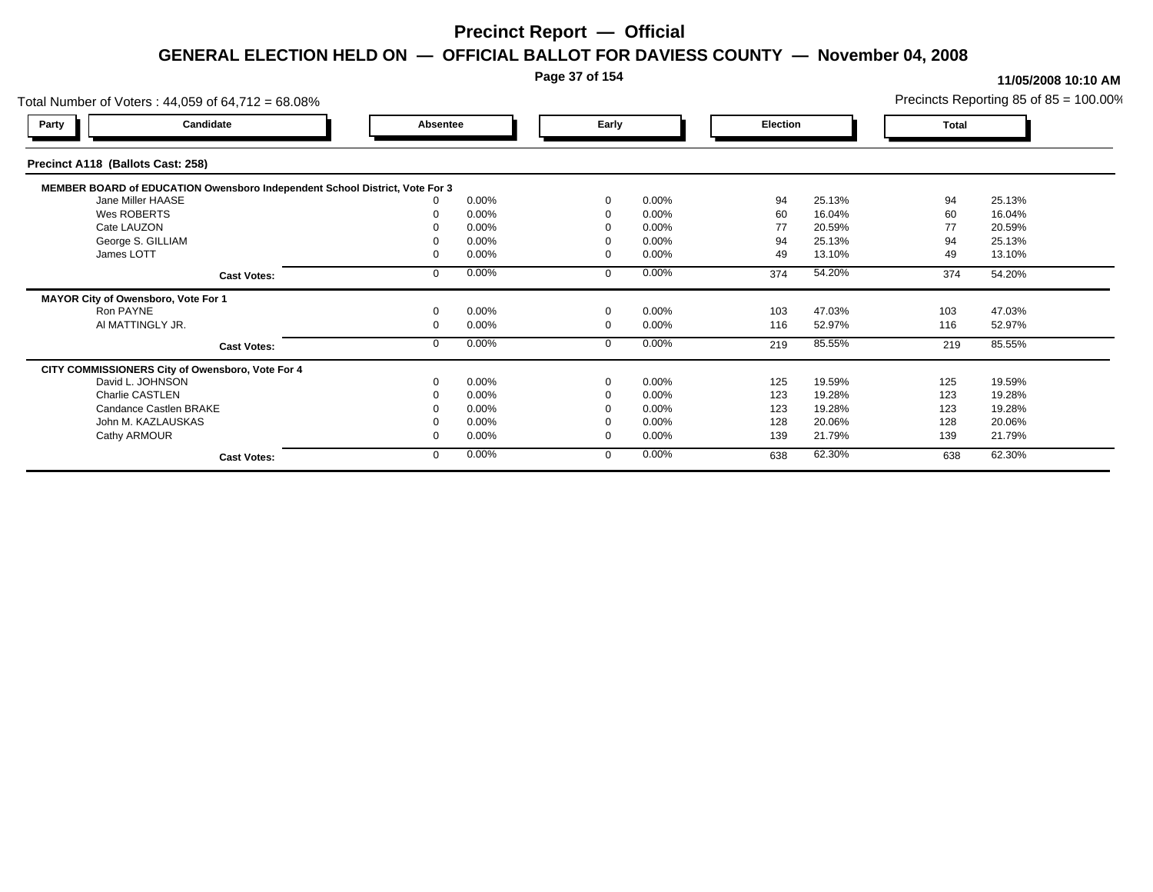### **Page 37 of 154**

| Total Number of Voters: 44,059 of 64,712 = 68.08% |                                                                             |          |       |             |          |          |        |       | Precincts Reporting 85 of $85 = 100.00\%$ |
|---------------------------------------------------|-----------------------------------------------------------------------------|----------|-------|-------------|----------|----------|--------|-------|-------------------------------------------|
| Party                                             | Candidate                                                                   | Absentee |       | Early       |          | Election |        | Total |                                           |
| Precinct A118 (Ballots Cast: 258)                 |                                                                             |          |       |             |          |          |        |       |                                           |
|                                                   | MEMBER BOARD of EDUCATION Owensboro Independent School District, Vote For 3 |          |       |             |          |          |        |       |                                           |
| Jane Miller HAASE                                 |                                                                             |          | 0.00% | $\Omega$    | 0.00%    | 94       | 25.13% | 94    | 25.13%                                    |
| Wes ROBERTS                                       |                                                                             |          | 0.00% | $\Omega$    | 0.00%    | 60       | 16.04% | 60    | 16.04%                                    |
| Cate LAUZON                                       |                                                                             |          | 0.00% |             | 0.00%    | 77       | 20.59% | 77    | 20.59%                                    |
| George S. GILLIAM                                 |                                                                             |          | 0.00% |             | 0.00%    | 94       | 25.13% | 94    | 25.13%                                    |
| James LOTT                                        |                                                                             |          | 0.00% |             | 0.00%    | 49       | 13.10% | 49    | 13.10%                                    |
|                                                   | <b>Cast Votes:</b>                                                          |          | 0.00% | $\Omega$    | 0.00%    | 374      | 54.20% | 374   | 54.20%                                    |
| MAYOR City of Owensboro, Vote For 1               |                                                                             |          |       |             |          |          |        |       |                                           |
| Ron PAYNE                                         |                                                                             |          | 0.00% | $\mathbf 0$ | 0.00%    | 103      | 47.03% | 103   | 47.03%                                    |
| AI MATTINGLY JR.                                  |                                                                             |          | 0.00% | $\mathbf 0$ | 0.00%    | 116      | 52.97% | 116   | 52.97%                                    |
|                                                   | <b>Cast Votes:</b>                                                          |          | 0.00% | $\mathbf 0$ | 0.00%    | 219      | 85.55% | 219   | 85.55%                                    |
| CITY COMMISSIONERS City of Owensboro, Vote For 4  |                                                                             |          |       |             |          |          |        |       |                                           |
| David L. JOHNSON                                  |                                                                             |          | 0.00% | $\Omega$    | 0.00%    | 125      | 19.59% | 125   | 19.59%                                    |
| Charlie CASTLEN                                   |                                                                             |          | 0.00% |             | 0.00%    | 123      | 19.28% | 123   | 19.28%                                    |
| Candance Castlen BRAKE                            |                                                                             |          | 0.00% |             | 0.00%    | 123      | 19.28% | 123   | 19.28%                                    |
| John M. KAZLAUSKAS                                |                                                                             |          | 0.00% |             | $0.00\%$ | 128      | 20.06% | 128   | 20.06%                                    |
| Cathy ARMOUR                                      |                                                                             |          | 0.00% | $\Omega$    | 0.00%    | 139      | 21.79% | 139   | 21.79%                                    |
|                                                   | <b>Cast Votes:</b>                                                          |          | 0.00% | $\mathbf 0$ | 0.00%    | 638      | 62.30% | 638   | 62.30%                                    |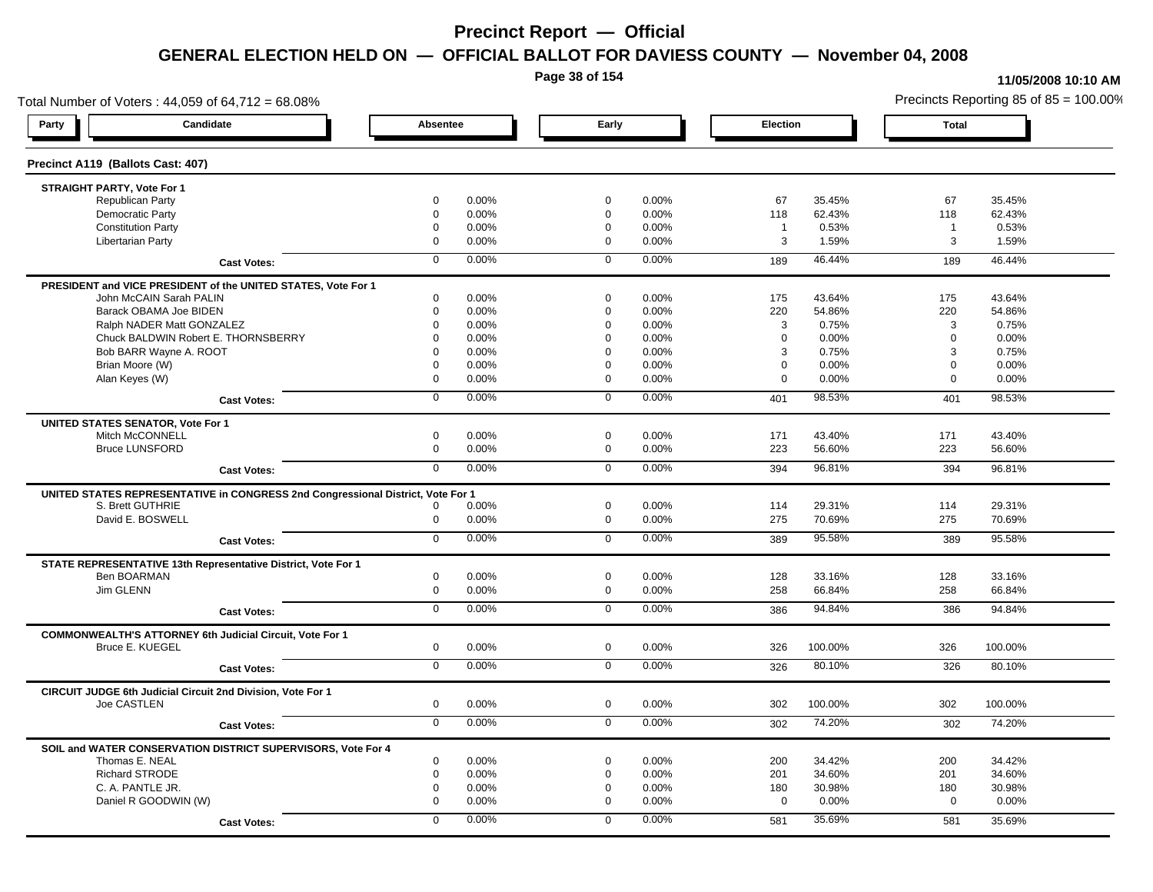**Page 38 of 154**

### **11/05/2008 10:10 AM**

Total Number of Voters : 44,059 of 64,712 = 68.08% Precincts Reporting 85 of 85 = 100.00% **Party Candidate Absentee Early Election Total Precinct A119 (Ballots Cast: 407) STRAIGHT PARTY, Vote For 1** Republican Party 0 0.00% 0 0.00% 67 35.45% 67 35.45% Democratic Party 0 0.00% 0 0.00% 118 62.43% 118 62.43% Constitution Party 0 0.00% 0 0.00% 1 0.53% 1 0.53% Libertarian Party 0 0.00% 0 0.00% 3 1.59% 3 1.59% **Cast Votes:** 0 0.00% 0 0.00% 189 46.44% 189 46.44% **PRESIDENT and VICE PRESIDENT of the UNITED STATES, Vote For 1** John McCAIN Sarah PALIN John McCAIN Sarah PALIN 0 0.00% 0 0.00% 175 43.64% 175 43.64% Barack OBAMA Joe BIDEN 0 0.00% 0 0.00% 220 54.86% 220 54.86% Ralph NADER Matt GONZALEZ  $0$  0.00%  $0$  0.00% 0 0.00% 3 0.75% 3 0.75% 3 0.75% Chuck BALDWIN Robert E. THORNSBERRY 0 0.00% 0 0.00% 0 0.00% 0 0.00% Bob BARR Wayne A. ROOT 0 0.00% 0 0.00% 3 0.75% 3 0.75% Brian Moore (W) 0 0.00% 0 0.00% 0 0.00% 0 0.00% Alan Keyes (W) 0 0.00% 0 0.00% 0 0.00% 0 0.00% **Cast Votes:** 0 0.00% 0 0.00% 401 98.53% 401 98.53% **UNITED STATES SENATOR, Vote For 1** Mitch McCONNELL 0 0.00% 0 0.00% 171 43.40% 171 43.40% Bruce LUNSFORD 0 0.00% 0 0.00% 223 56.60% 223 56.60% **Cast Votes:** 0 0.00% 0 0.00% 394 96.81% 394 96.81% **UNITED STATES REPRESENTATIVE in CONGRESS 2nd Congressional District, Vote For 1** S. Brett GUTHRIE 0 0.00% 0 0.00% 114 29.31% 114 29.31% David E. BOSWELL 0 0.00% 0 0.00% 275 70.69% 275 70.69% **Cast Votes:** 0 0.00% 0 0.00% 389 95.58% 389 95.58% **STATE REPRESENTATIVE 13th Representative District, Vote For 1** Ben BOARMAN 0 0.00% 0 0.00% 128 33.16% 128 33.16% Jim GLENN 0 0.00% 0 0.00% 258 66.84% 258 66.84% **Cast Votes:** 0 0.00% 0 0.00% 386 94.84% 386 94.84% **COMMONWEALTH'S ATTORNEY 6th Judicial Circuit, Vote For 1** Bruce E. KUEGEL 0 0.00% 0 0.00% 326 100.00% 326 100.00% **Cast Votes:** 0 0.00% 0 0.00% 326 80.10% 326 80.10% **CIRCUIT JUDGE 6th Judicial Circuit 2nd Division, Vote For 1** Joe CASTLEN 0 0.00% 0 0.00% 302 100.00% 302 100.00% **Cast Votes:** 0 0.00% 0 0.00% 302 74.20% 302 74.20% **SOIL and WATER CONSERVATION DISTRICT SUPERVISORS, Vote For 4** Thomas E. NEAL 0 0.00% 0 0.00% 200 34.42% 200 34.42% Richard STRODE 0 0.00% 0 0.00% 201 34.60% 201 34.60% C. A. PANTLE JR. 0 0.00% 0 0.00% 180 30.98% 180 30.98% Daniel R GOODWIN (W) 0 0.00% 0 0.00% 0 0.00% 0 0.00% **Cast Votes:** 0 0.00% 0 0.00% 581 35.69% 581 35.69%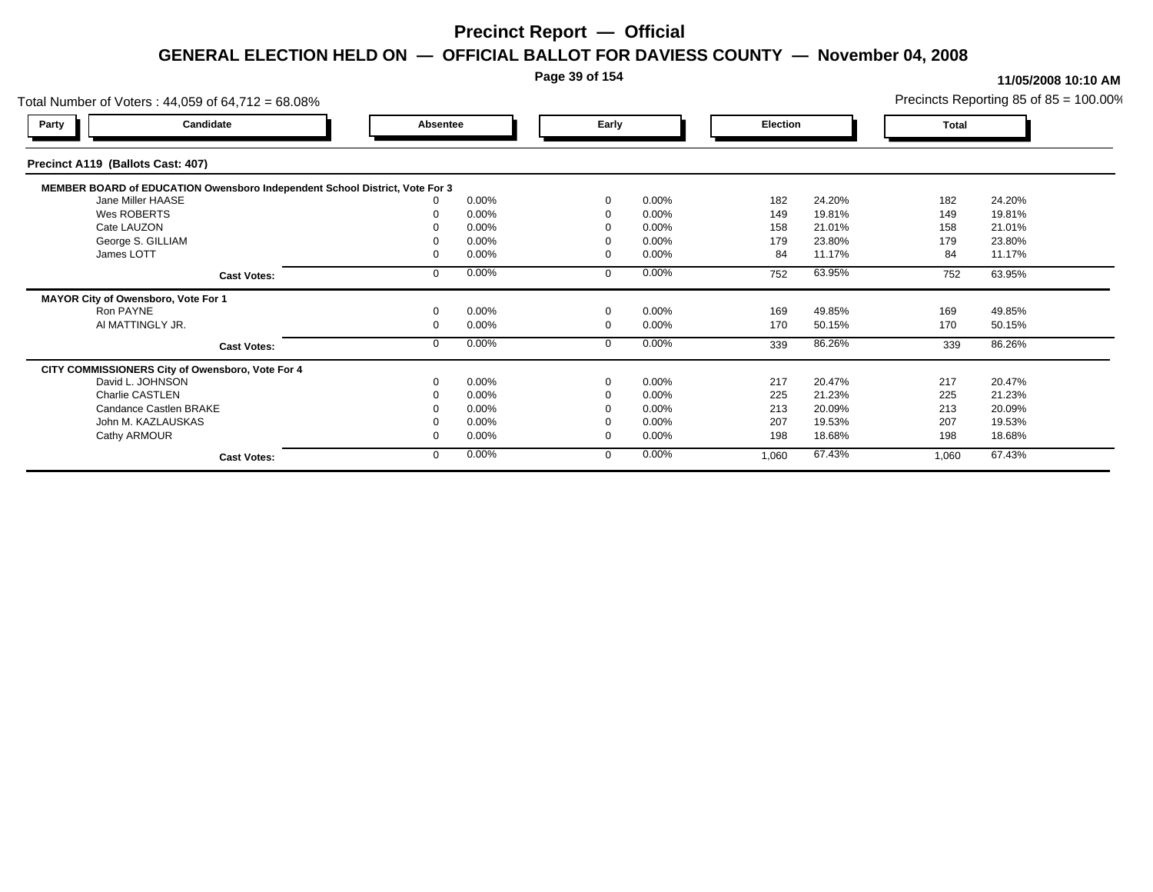### **Page 39 of 154**

| Total Number of Voters: 44,059 of 64,712 = 68.08%                           |          |       |          |          |          |        |       | Precincts Reporting 85 of $85 = 100.00\%$ |
|-----------------------------------------------------------------------------|----------|-------|----------|----------|----------|--------|-------|-------------------------------------------|
| Candidate<br>Party                                                          | Absentee |       | Early    |          | Election |        | Total |                                           |
| Precinct A119 (Ballots Cast: 407)                                           |          |       |          |          |          |        |       |                                           |
| MEMBER BOARD of EDUCATION Owensboro Independent School District, Vote For 3 |          |       |          |          |          |        |       |                                           |
| Jane Miller HAASE                                                           |          | 0.00% | $\Omega$ | $0.00\%$ | 182      | 24.20% | 182   | 24.20%                                    |
| Wes ROBERTS                                                                 |          | 0.00% |          | 0.00%    | 149      | 19.81% | 149   | 19.81%                                    |
| Cate LAUZON                                                                 |          | 0.00% |          | 0.00%    | 158      | 21.01% | 158   | 21.01%                                    |
| George S. GILLIAM                                                           |          | 0.00% |          | 0.00%    | 179      | 23.80% | 179   | 23.80%                                    |
| James LOTT                                                                  |          | 0.00% |          | 0.00%    | 84       | 11.17% | 84    | 11.17%                                    |
| <b>Cast Votes:</b>                                                          |          | 0.00% | $\Omega$ | 0.00%    | 752      | 63.95% | 752   | 63.95%                                    |
| MAYOR City of Owensboro, Vote For 1                                         |          |       |          |          |          |        |       |                                           |
| Ron PAYNE                                                                   |          | 0.00% | $\Omega$ | 0.00%    | 169      | 49.85% | 169   | 49.85%                                    |
| AI MATTINGLY JR.                                                            |          | 0.00% | $\Omega$ | 0.00%    | 170      | 50.15% | 170   | 50.15%                                    |
| <b>Cast Votes:</b>                                                          |          | 0.00% | $\Omega$ | 0.00%    | 339      | 86.26% | 339   | 86.26%                                    |
| CITY COMMISSIONERS City of Owensboro, Vote For 4                            |          |       |          |          |          |        |       |                                           |
| David L. JOHNSON                                                            |          | 0.00% | $\Omega$ | 0.00%    | 217      | 20.47% | 217   | 20.47%                                    |
| Charlie CASTLEN                                                             |          | 0.00% |          | 0.00%    | 225      | 21.23% | 225   | 21.23%                                    |
| Candance Castlen BRAKE                                                      |          | 0.00% |          | 0.00%    | 213      | 20.09% | 213   | 20.09%                                    |
| John M. KAZLAUSKAS                                                          |          | 0.00% |          | 0.00%    | 207      | 19.53% | 207   | 19.53%                                    |
| Cathy ARMOUR                                                                |          | 0.00% | - 0      | 0.00%    | 198      | 18.68% | 198   | 18.68%                                    |
| <b>Cast Votes:</b>                                                          |          | 0.00% | $\Omega$ | 0.00%    | 1,060    | 67.43% | 1,060 | 67.43%                                    |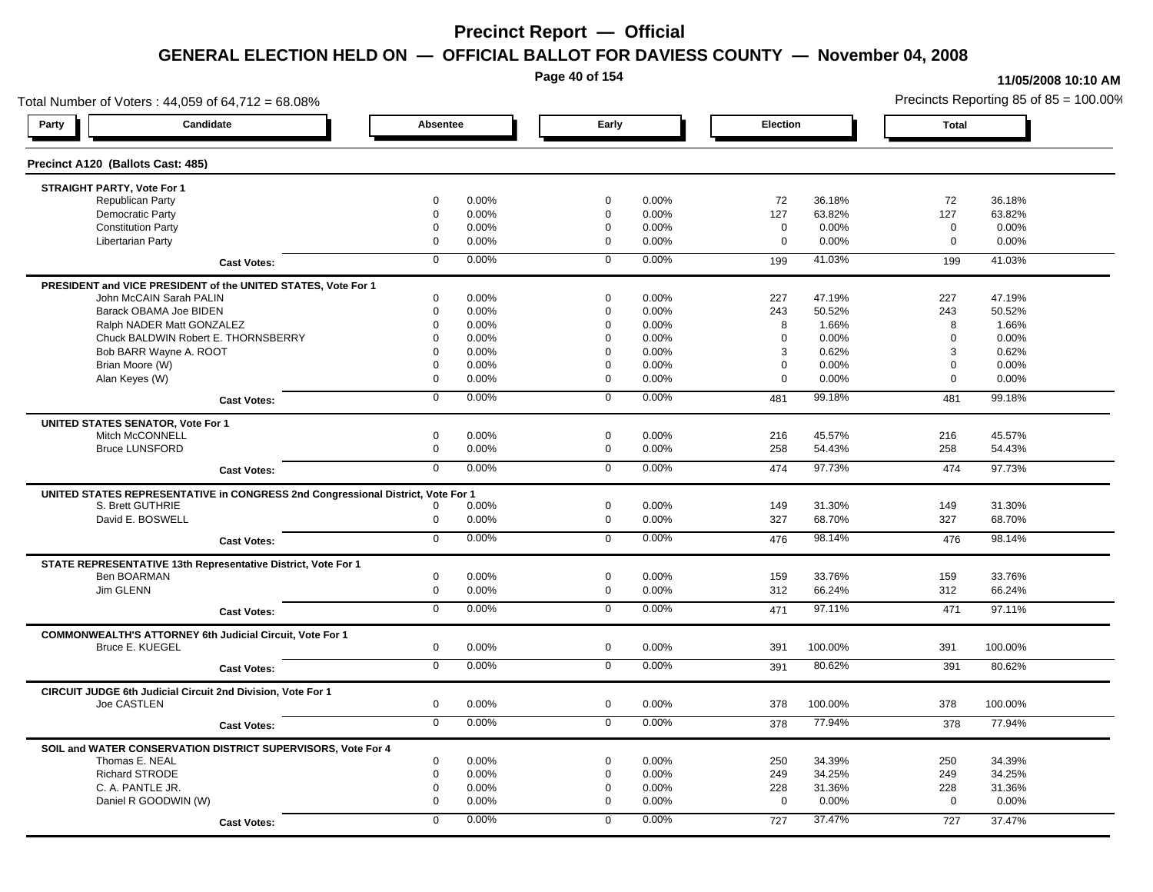**Page 40 of 154**

#### **11/05/2008 10:10 AM**

Total Number of Voters : 44,059 of 64,712 = 68.08% Precincts Reporting 85 of 85 = 100.00% **Party Candidate Absentee Early Election Total Precinct A120 (Ballots Cast: 485) STRAIGHT PARTY, Vote For 1** Republican Party 0 0.00% 0 0.00% 72 36.18% 72 36.18% Democratic Party 0 0.00% 0 0.00% 127 63.82% 127 63.82% Constitution Party 0 0.00% 0 0.00% 0 0.00% 0 0.00% Libertarian Party 0 0.00% 0 0.00% 0 0.00% 0 0.00% **Cast Votes:** 0 0.00% 0 0.00% 199 41.03% 199 41.03% **PRESIDENT and VICE PRESIDENT of the UNITED STATES, Vote For 1** John McCAIN Sarah PALIN John McCAIN Sarah PALIN 0 0.00% 0 0.00% 227 47.19% 227 47.19% Barack OBAMA Joe BIDEN 0 0.00% 0 0.00% 243 50.52% 243 50.52% Ralph NADER Matt GONZALEZ  $\begin{array}{cccc} 0 & 0.00\% & 0 & 0.00\% & 8 & 1.66\% \end{array}$  8 1.66% 8 1.66% Chuck BALDWIN Robert E. THORNSBERRY 0 0.00% 0 0.00% 0 0.00% 0 0.00% Bob BARR Wayne A. ROOT 0 0.00% 0 0.00% 3 0.62% 3 0.62% Brian Moore (W) 0 0.00% 0 0.00% 0 0.00% 0 0.00% Alan Keyes (W) 0 0.00% 0 0.00% 0 0.00% 0 0.00% **Cast Votes:** 0 0.00% 0 0.00% 481 99.18% 481 99.18% **UNITED STATES SENATOR, Vote For 1** Mitch McCONNELL 0 0.00% 0 0.00% 216 45.57% 216 45.57% Bruce LUNSFORD 0 0.00% 0 0.00% 258 54.43% 258 54.43% **Cast Votes:** 0 0.00% 0 0.00% 474 97.73% 474 97.73% **UNITED STATES REPRESENTATIVE in CONGRESS 2nd Congressional District, Vote For 1** S. Brett GUTHRIE 0 0.00% 0 0.00% 149 31.30% 149 31.30% David E. BOSWELL 0 0.00% 0 0.00% 327 68.70% 327 68.70% **Cast Votes:** 0 0.00% 0 0.00% 476 98.14% 476 98.14% **STATE REPRESENTATIVE 13th Representative District, Vote For 1** Ben BOARMAN 0 0.00% 0 0.00% 159 33.76% 159 33.76% Jim GLENN 0 0.00% 0 0.00% 312 66.24% 312 66.24% **Cast Votes:** 0 0.00% 0 0.00% 471 97.11% 471 97.11% **COMMONWEALTH'S ATTORNEY 6th Judicial Circuit, Vote For 1** Bruce E. KUEGEL 0 0.00% 0 0.00% 391 100.00% 391 100.00% **Cast Votes:** 0 0.00% 0 0.00% 391 80.62% 391 80.62% **CIRCUIT JUDGE 6th Judicial Circuit 2nd Division, Vote For 1** Joe CASTLEN 0 0.00% 0 0.00% 378 100.00% 378 100.00% **Cast Votes:** 0 0.00% 0 0.00% 378 77.94% 378 77.94% **SOIL and WATER CONSERVATION DISTRICT SUPERVISORS, Vote For 4** Thomas E. NEAL 0 0.00% 0 0.00% 250 34.39% 250 34.39% Richard STRODE 0 0.00% 0 0.00% 249 34.25% 249 34.25% C. A. PANTLE JR. 0 0.00% 0 0.00% 228 31.36% 228 31.36% Daniel R GOODWIN (W) 0 0.00% 0 0.00% 0 0.00% 0 0.00% **Cast Votes:** 0 0.00% 0 0.00% 727 37.47% 727 37.47%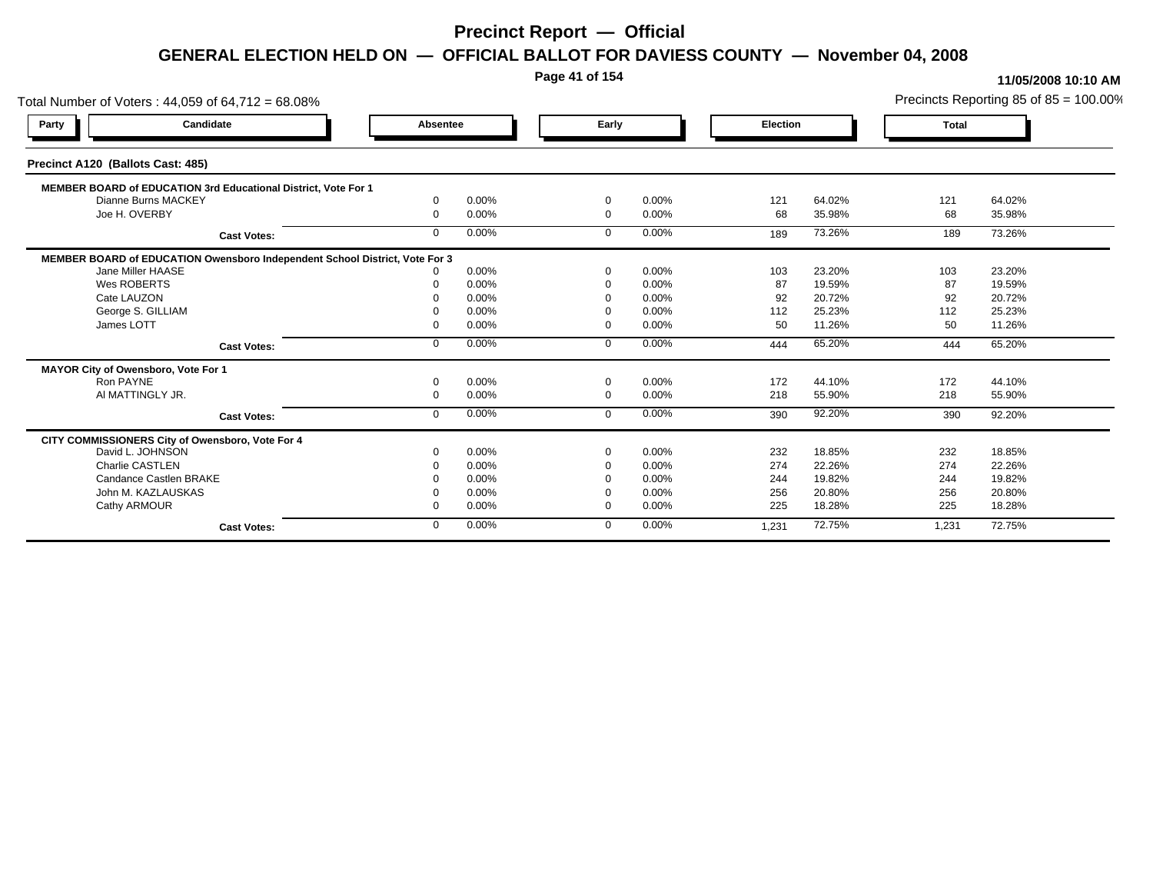**Page 41 of 154**

| Total Number of Voters: 44,059 of 64,712 = 68.08%                           |              |       |              |       |          |        |              | Precincts Reporting 85 of 85 = 100.00% |
|-----------------------------------------------------------------------------|--------------|-------|--------------|-------|----------|--------|--------------|----------------------------------------|
| Candidate<br>Party                                                          | Absentee     |       | Early        |       | Election |        | <b>Total</b> |                                        |
| Precinct A120 (Ballots Cast: 485)                                           |              |       |              |       |          |        |              |                                        |
| MEMBER BOARD of EDUCATION 3rd Educational District, Vote For 1              |              |       |              |       |          |        |              |                                        |
| Dianne Burns MACKEY                                                         | $\Omega$     | 0.00% | $\mathbf 0$  | 0.00% | 121      | 64.02% | 121          | 64.02%                                 |
| Joe H. OVERBY                                                               | $\Omega$     | 0.00% | $\mathbf{0}$ | 0.00% | 68       | 35.98% | 68           | 35.98%                                 |
| <b>Cast Votes:</b>                                                          | $\Omega$     | 0.00% | $\Omega$     | 0.00% | 189      | 73.26% | 189          | 73.26%                                 |
| MEMBER BOARD of EDUCATION Owensboro Independent School District, Vote For 3 |              |       |              |       |          |        |              |                                        |
| Jane Miller HAASE                                                           |              | 0.00% | $\Omega$     | 0.00% | 103      | 23.20% | 103          | 23.20%                                 |
| Wes ROBERTS                                                                 |              | 0.00% |              | 0.00% | 87       | 19.59% | 87           | 19.59%                                 |
| Cate LAUZON                                                                 |              | 0.00% |              | 0.00% | 92       | 20.72% | 92           | 20.72%                                 |
| George S. GILLIAM                                                           |              | 0.00% | $\Omega$     | 0.00% | 112      | 25.23% | 112          | 25.23%                                 |
| James LOTT                                                                  |              | 0.00% | $\Omega$     | 0.00% | 50       | 11.26% | 50           | 11.26%                                 |
| <b>Cast Votes:</b>                                                          | $\mathbf{0}$ | 0.00% | $\mathbf 0$  | 0.00% | 444      | 65.20% | 444          | 65.20%                                 |
| MAYOR City of Owensboro, Vote For 1                                         |              |       |              |       |          |        |              |                                        |
| Ron PAYNE                                                                   | $\Omega$     | 0.00% | $\Omega$     | 0.00% | 172      | 44.10% | 172          | 44.10%                                 |
| AI MATTINGLY JR.                                                            | $\Omega$     | 0.00% | $\Omega$     | 0.00% | 218      | 55.90% | 218          | 55.90%                                 |
| <b>Cast Votes:</b>                                                          | $\mathbf{0}$ | 0.00% | $\mathbf 0$  | 0.00% | 390      | 92.20% | 390          | 92.20%                                 |
| CITY COMMISSIONERS City of Owensboro, Vote For 4                            |              |       |              |       |          |        |              |                                        |
| David L. JOHNSON                                                            |              | 0.00% | $\mathbf 0$  | 0.00% | 232      | 18.85% | 232          | 18.85%                                 |
| Charlie CASTLEN                                                             |              | 0.00% | $\Omega$     | 0.00% | 274      | 22.26% | 274          | 22.26%                                 |
| Candance Castlen BRAKE                                                      |              | 0.00% | $\Omega$     | 0.00% | 244      | 19.82% | 244          | 19.82%                                 |
| John M. KAZLAUSKAS                                                          |              | 0.00% | $\Omega$     | 0.00% | 256      | 20.80% | 256          | 20.80%                                 |
| Cathy ARMOUR                                                                |              | 0.00% | $\Omega$     | 0.00% | 225      | 18.28% | 225          | 18.28%                                 |
| <b>Cast Votes:</b>                                                          | $\Omega$     | 0.00% | $\Omega$     | 0.00% | 1,231    | 72.75% | 1,231        | 72.75%                                 |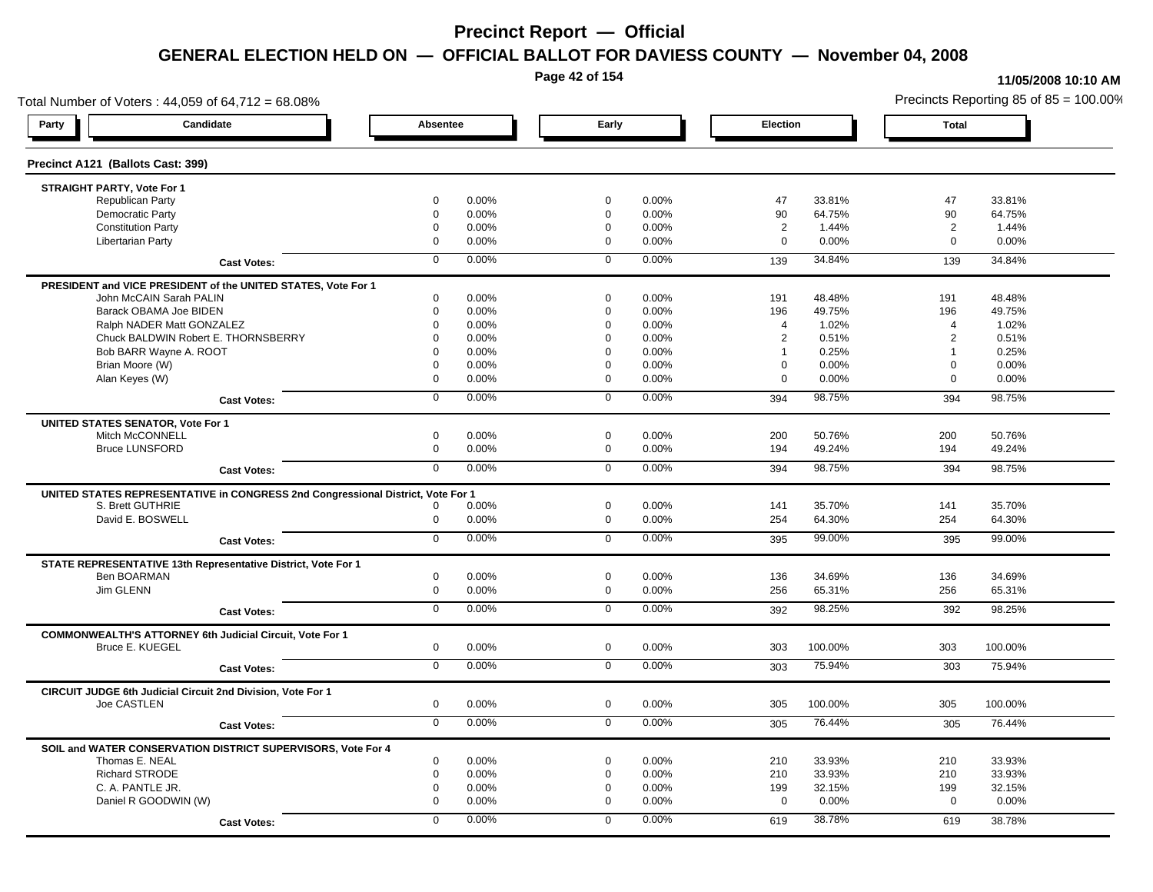**Page 42 of 154**

### **11/05/2008 10:10 AM**

Total Number of Voters : 44,059 of 64,712 = 68.08% Precincts Reporting 85 of 85 = 100.00% **Party Candidate Absentee Early Election Total Precinct A121 (Ballots Cast: 399) STRAIGHT PARTY, Vote For 1** Republican Party 0 0.00% 0 0.00% 47 33.81% 47 33.81% Democratic Party 0 0.00% 0 0.00% 90 64.75% 90 64.75% Constitution Party 0 0.00% 0 0.00% 2 1.44% 2 1.44% Libertarian Party 0 0.00% 0 0.00% 0 0.00% 0 0.00% **Cast Votes:** 0 0.00% 0 0.00% 139 34.84% 139 34.84% **PRESIDENT and VICE PRESIDENT of the UNITED STATES, Vote For 1** John McCAIN Sarah PALIN John McCAIN Sarah PALIN 0 0.00% 0 0.00% 191 48.48% 191 48.48% Barack OBAMA Joe BIDEN 0 0.00% 0 0.00% 196 49.75% 196 49.75% Ralph NADER Matt GONZALEZ  $\begin{array}{cccc} 0 & 0.00\% & 0 & 0.00\% & 4 & 1.02\% \end{array}$  4 1.02% 4 1.02% Chuck BALDWIN Robert E. THORNSBERRY 0 0.00% 0 0.00% 2 0.51% 2 0.51% Bob BARR Wayne A. ROOT **1** 0.25% 0 0.00% 0 0.00% 0 0.00% 1 0.25% 1 0.25% 1 0.25% Brian Moore (W) 0 0.00% 0 0.00% 0 0.00% 0 0.00% Alan Keyes (W) 0 0.00% 0 0.00% 0 0.00% 0 0.00% **Cast Votes:** 0 0.00% 0 0.00% 394 98.75% 394 98.75% **UNITED STATES SENATOR, Vote For 1** Mitch McCONNELL 0 0.00% 0 0.00% 200 50.76% 200 50.76% Bruce LUNSFORD 0 0.00% 0 0.00% 194 49.24% 194 49.24% **Cast Votes:** 0 0.00% 0 0.00% 394 98.75% 394 98.75% **UNITED STATES REPRESENTATIVE in CONGRESS 2nd Congressional District, Vote For 1** S. Brett GUTHRIE 0 0.00% 0 0.00% 141 35.70% 141 35.70% David E. BOSWELL 0 0.00% 0 0.00% 254 64.30% 254 64.30% **Cast Votes:** 0 0.00% 0 0.00% 395 99.00% 395 99.00% **STATE REPRESENTATIVE 13th Representative District, Vote For 1** Ben BOARMAN 0 0.00% 0 0.00% 136 34.69% 136 34.69% Jim GLENN 0 0.00% 0 0.00% 256 65.31% 256 65.31% **Cast Votes:** 0 0.00% 0 0.00% 392 98.25% 392 98.25% **COMMONWEALTH'S ATTORNEY 6th Judicial Circuit, Vote For 1** Bruce E. KUEGEL 0 0.00% 0 0.00% 303 100.00% 303 100.00% **Cast Votes:** 0 0.00% 0 0.00% 303 75.94% 303 75.94% **CIRCUIT JUDGE 6th Judicial Circuit 2nd Division, Vote For 1** Joe CASTLEN 0 0.00% 0 0.00% 305 100.00% 305 100.00% **Cast Votes:** 0 0.00% 0 0.00% 305 76.44% 305 76.44% **SOIL and WATER CONSERVATION DISTRICT SUPERVISORS, Vote For 4** Thomas E. NEAL 0 0.00% 0 0.00% 210 33.93% 210 33.93% Richard STRODE 0 0.00% 0 0.00% 210 33.93% 210 33.93% C. A. PANTLE JR. 0 0.00% 0 0.00% 199 32.15% 199 32.15% Daniel R GOODWIN (W) 0 0.00% 0 0.00% 0 0.00% 0 0.00% **Cast Votes:** 0 0.00% 0 0.00% 619 38.78% 619 38.78%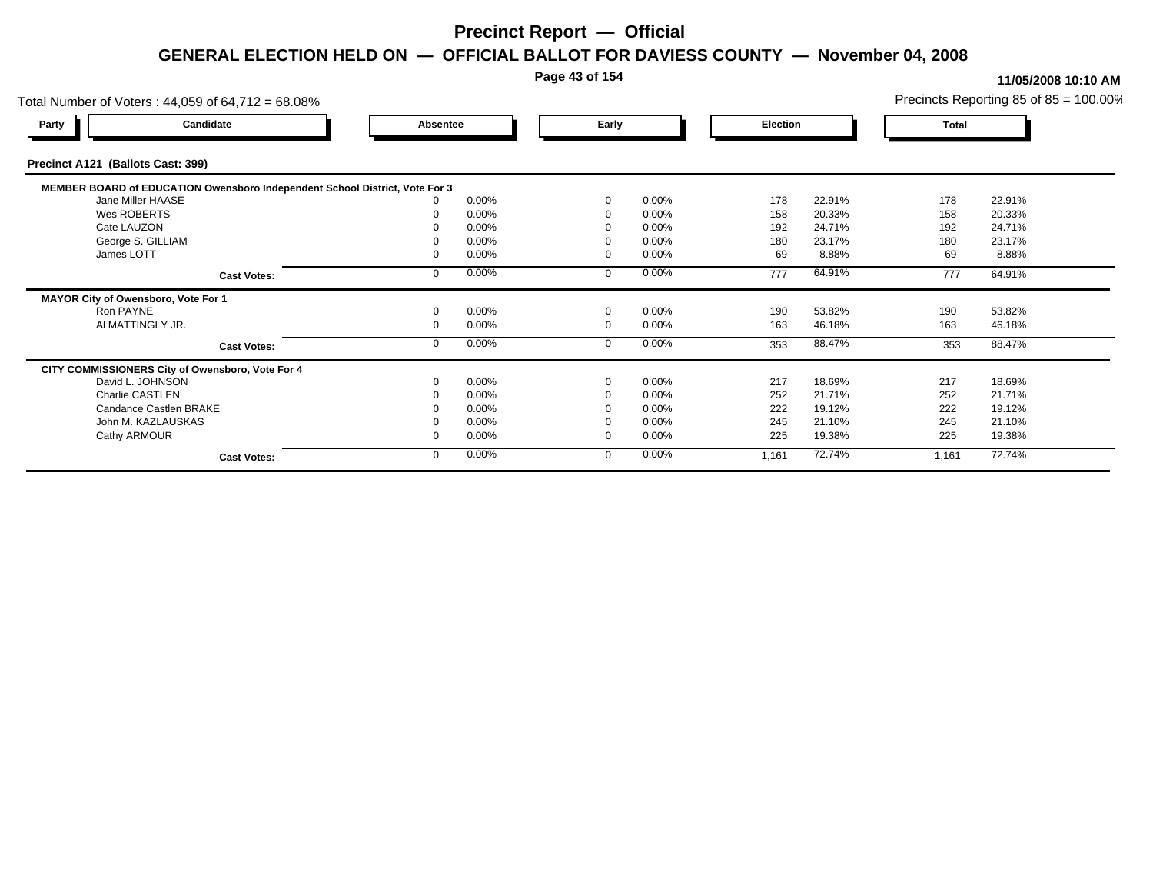### **Page 43 of 154**

| Total Number of Voters: 44,059 of 64,712 = 68.08%                           |          |       |             |          |          |        |       | Precincts Reporting 85 of $85 = 100.00\%$ |
|-----------------------------------------------------------------------------|----------|-------|-------------|----------|----------|--------|-------|-------------------------------------------|
| Candidate<br>Party                                                          | Absentee |       | Early       |          | Election |        | Total |                                           |
| Precinct A121 (Ballots Cast: 399)                                           |          |       |             |          |          |        |       |                                           |
| MEMBER BOARD of EDUCATION Owensboro Independent School District, Vote For 3 |          |       |             |          |          |        |       |                                           |
| Jane Miller HAASE                                                           |          | 0.00% | $\Omega$    | 0.00%    | 178      | 22.91% | 178   | 22.91%                                    |
| Wes ROBERTS                                                                 |          | 0.00% | $\Omega$    | 0.00%    | 158      | 20.33% | 158   | 20.33%                                    |
| Cate LAUZON                                                                 |          | 0.00% |             | 0.00%    | 192      | 24.71% | 192   | 24.71%                                    |
| George S. GILLIAM                                                           |          | 0.00% |             | 0.00%    | 180      | 23.17% | 180   | 23.17%                                    |
| James LOTT                                                                  |          | 0.00% | $\Omega$    | 0.00%    | 69       | 8.88%  | 69    | 8.88%                                     |
| <b>Cast Votes:</b>                                                          |          | 0.00% | $\Omega$    | 0.00%    | 777      | 64.91% | 777   | 64.91%                                    |
| MAYOR City of Owensboro, Vote For 1                                         |          |       |             |          |          |        |       |                                           |
| Ron PAYNE                                                                   |          | 0.00% | $\mathbf 0$ | 0.00%    | 190      | 53.82% | 190   | 53.82%                                    |
| AI MATTINGLY JR.                                                            |          | 0.00% | $\mathbf 0$ | 0.00%    | 163      | 46.18% | 163   | 46.18%                                    |
| <b>Cast Votes:</b>                                                          |          | 0.00% | $\mathbf 0$ | 0.00%    | 353      | 88.47% | 353   | 88.47%                                    |
| CITY COMMISSIONERS City of Owensboro, Vote For 4                            |          |       |             |          |          |        |       |                                           |
| David L. JOHNSON                                                            |          | 0.00% | $\Omega$    | 0.00%    | 217      | 18.69% | 217   | 18.69%                                    |
| Charlie CASTLEN                                                             |          | 0.00% |             | 0.00%    | 252      | 21.71% | 252   | 21.71%                                    |
| Candance Castlen BRAKE                                                      |          | 0.00% |             | 0.00%    | 222      | 19.12% | 222   | 19.12%                                    |
| John M. KAZLAUSKAS                                                          |          | 0.00% |             | $0.00\%$ | 245      | 21.10% | 245   | 21.10%                                    |
| Cathy ARMOUR                                                                |          | 0.00% | $\Omega$    | 0.00%    | 225      | 19.38% | 225   | 19.38%                                    |
| <b>Cast Votes:</b>                                                          |          | 0.00% | $\mathbf 0$ | 0.00%    | 1,161    | 72.74% | 1,161 | 72.74%                                    |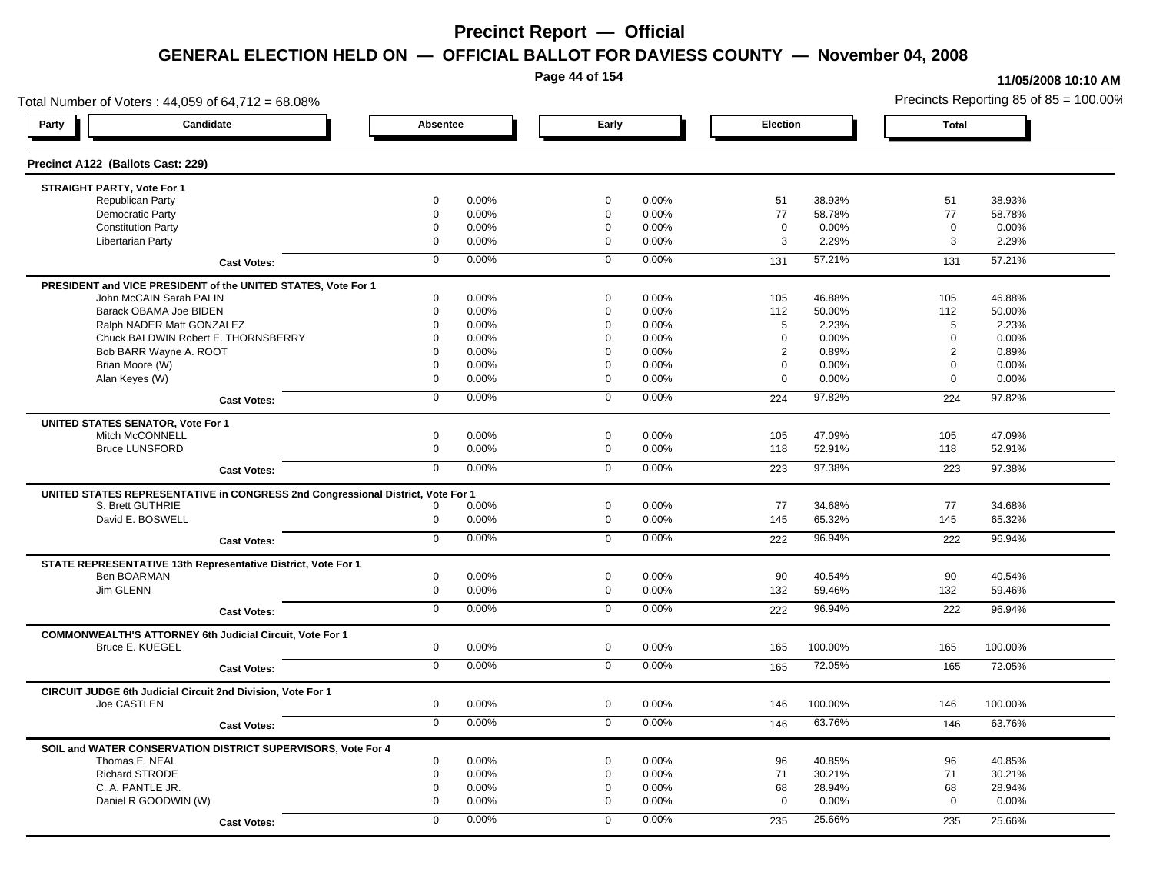**Page 44 of 154**

#### **11/05/2008 10:10 AM**

Total Number of Voters : 44,059 of 64,712 = 68.08% Precincts Reporting 85 of 85 = 100.00% **Party Candidate Absentee Early Election Total Precinct A122 (Ballots Cast: 229) STRAIGHT PARTY, Vote For 1** Republican Party 0 0.00% 0 0.00% 51 38.93% 51 38.93% Democratic Party 0 0.00% 0 0.00% 77 58.78% 77 58.78% Constitution Party 0 0.00% 0 0.00% 0 0.00% 0 0.00% Libertarian Party 0 0.00% 0 0.00% 3 2.29% 3 2.29% **Cast Votes:** 0 0.00% 0 0.00% 131 57.21% 131 57.21% **PRESIDENT and VICE PRESIDENT of the UNITED STATES, Vote For 1** John McCAIN Sarah PALIN John McCAIN Sarah PALIN 0 0.00% 0 0.00% 105 46.88% 105 46.88% Barack OBAMA Joe BIDEN 0 0.00% 0 0.00% 112 50.00% 112 50.00% Ralph NADER Matt GONZALEZ  $0$  0.00% 0 0.00% 5 2.23% 5 2.23% 5 2.23% Chuck BALDWIN Robert E. THORNSBERRY 0 0.00% 0 0.00% 0 0.00% 0 0.00% Bob BARR Wayne A. ROOT **2 0.89% 0 0.00% 0 0.000% 0 0.00% 0 0.00%** 2 0.89% 2 0.89% 2 0.89% Brian Moore (W) 0 0.00% 0 0.00% 0 0.00% 0 0.00% Alan Keyes (W) 0 0.00% 0 0.00% 0 0.00% 0 0.00% **Cast Votes:** 0 0.00% 0 0.00% 224 97.82% 224 97.82% **UNITED STATES SENATOR, Vote For 1** Mitch McCONNELL 0 0.00% 0 0.00% 105 47.09% 105 47.09% Bruce LUNSFORD 0 0.00% 0 0.00% 118 52.91% 118 52.91% **Cast Votes:** 0 0.00% 0 0.00% 223 97.38% 223 97.38% **UNITED STATES REPRESENTATIVE in CONGRESS 2nd Congressional District, Vote For 1** S. Brett GUTHRIE 0 0.00% 0 0.00% 77 34.68% 77 34.68% David E. BOSWELL 0 0.00% 0 0.00% 145 65.32% 145 65.32% **Cast Votes:** 0 0.00% 0 0.00% 222 96.94% 222 96.94% **STATE REPRESENTATIVE 13th Representative District, Vote For 1** Ben BOARMAN 0 0.00% 0 0.00% 90 40.54% 90 40.54% Jim GLENN 0 0.00% 0 0.00% 132 59.46% 132 59.46% **Cast Votes:** 0 0.00% 0 0.00% 222 96.94% 222 96.94% **COMMONWEALTH'S ATTORNEY 6th Judicial Circuit, Vote For 1** Bruce E. KUEGEL 0 0.00% 0 0.00% 165 100.00% 165 100.00% **Cast Votes:** 0 0.00% 0 0.00% 165 72.05% 165 72.05% **CIRCUIT JUDGE 6th Judicial Circuit 2nd Division, Vote For 1** Joe CASTLEN 0 0.00% 0 0.00% 146 100.00% 146 100.00% **Cast Votes:** 0 0.00% 0 0.00% 146 63.76% 146 63.76% **SOIL and WATER CONSERVATION DISTRICT SUPERVISORS, Vote For 4** Thomas E. NEAL 0 0.00% 0 0.00% 96 40.85% 96 40.85% Richard STRODE 0 0.00% 0 0.00% 71 30.21% 71 30.21% C. A. PANTLE JR. 0 0.00% 0 0.00% 68 28.94% 68 28.94% Daniel R GOODWIN (W) 0 0.00% 0 0.00% 0 0.00% 0 0.00% **Cast Votes:** 0 0.00% 0 0.00% 235 25.66% 235 25.66%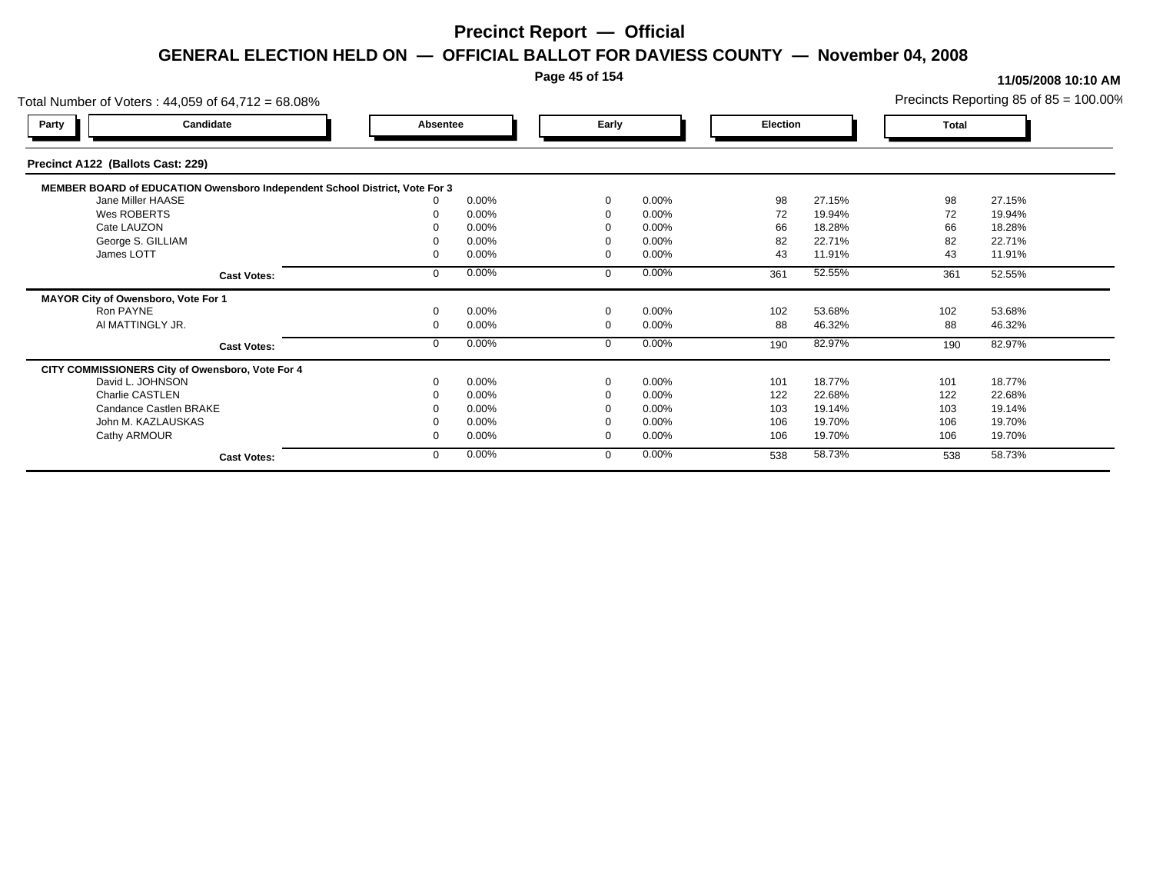### **Page 45 of 154**

| Total Number of Voters: 44,059 of 64,712 = 68.08%                           |                    |          |       |             |       |          |          |        |       | Precincts Reporting 85 of $85 = 100.00\%$ |
|-----------------------------------------------------------------------------|--------------------|----------|-------|-------------|-------|----------|----------|--------|-------|-------------------------------------------|
| Candidate<br>Party                                                          |                    | Absentee |       |             | Early |          | Election |        | Total |                                           |
| Precinct A122 (Ballots Cast: 229)                                           |                    |          |       |             |       |          |          |        |       |                                           |
| MEMBER BOARD of EDUCATION Owensboro Independent School District, Vote For 3 |                    |          |       |             |       |          |          |        |       |                                           |
| Jane Miller HAASE                                                           |                    |          | 0.00% | $\Omega$    |       | 0.00%    | 98       | 27.15% | 98    | 27.15%                                    |
| Wes ROBERTS                                                                 |                    |          | 0.00% | $\Omega$    |       | 0.00%    | 72       | 19.94% | 72    | 19.94%                                    |
| Cate LAUZON                                                                 |                    |          | 0.00% |             |       | 0.00%    | 66       | 18.28% | 66    | 18.28%                                    |
| George S. GILLIAM                                                           |                    |          | 0.00% |             |       | 0.00%    | 82       | 22.71% | 82    | 22.71%                                    |
| James LOTT                                                                  |                    |          | 0.00% | $\Omega$    |       | 0.00%    | 43       | 11.91% | 43    | 11.91%                                    |
|                                                                             | <b>Cast Votes:</b> |          | 0.00% | $\Omega$    |       | 0.00%    | 361      | 52.55% | 361   | 52.55%                                    |
| MAYOR City of Owensboro, Vote For 1                                         |                    |          |       |             |       |          |          |        |       |                                           |
| Ron PAYNE                                                                   |                    |          | 0.00% | $\mathbf 0$ |       | 0.00%    | 102      | 53.68% | 102   | 53.68%                                    |
| AI MATTINGLY JR.                                                            |                    |          | 0.00% | $\mathbf 0$ |       | 0.00%    | 88       | 46.32% | 88    | 46.32%                                    |
|                                                                             | <b>Cast Votes:</b> |          | 0.00% | $\mathbf 0$ |       | 0.00%    | 190      | 82.97% | 190   | 82.97%                                    |
| CITY COMMISSIONERS City of Owensboro, Vote For 4                            |                    |          |       |             |       |          |          |        |       |                                           |
| David L. JOHNSON                                                            |                    |          | 0.00% | $\Omega$    |       | 0.00%    | 101      | 18.77% | 101   | 18.77%                                    |
| Charlie CASTLEN                                                             |                    |          | 0.00% | - 0         |       | 0.00%    | 122      | 22.68% | 122   | 22.68%                                    |
| Candance Castlen BRAKE                                                      |                    |          | 0.00% |             |       | 0.00%    | 103      | 19.14% | 103   | 19.14%                                    |
| John M. KAZLAUSKAS                                                          |                    |          | 0.00% |             |       | $0.00\%$ | 106      | 19.70% | 106   | 19.70%                                    |
| Cathy ARMOUR                                                                |                    |          | 0.00% | $\Omega$    |       | 0.00%    | 106      | 19.70% | 106   | 19.70%                                    |
|                                                                             | <b>Cast Votes:</b> |          | 0.00% | $\mathbf 0$ |       | 0.00%    | 538      | 58.73% | 538   | 58.73%                                    |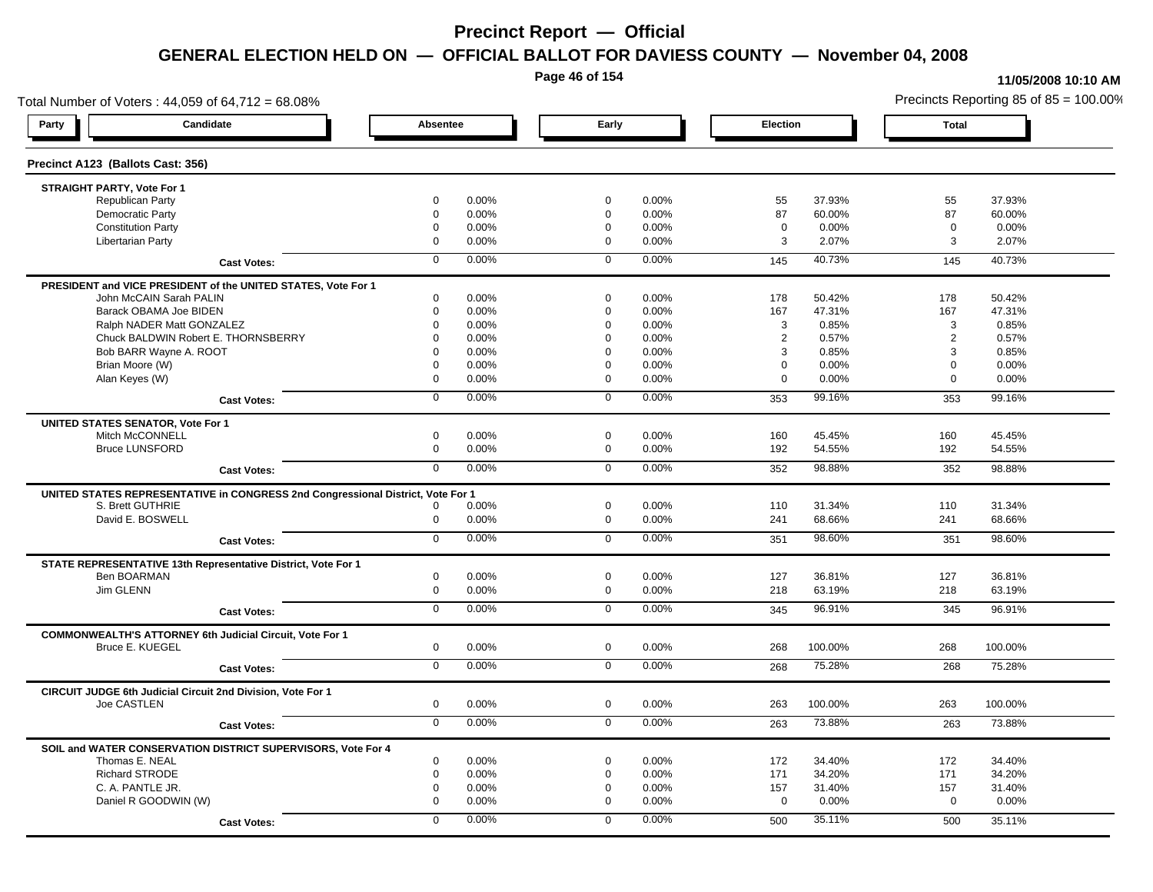**Page 46 of 154**

#### **11/05/2008 10:10 AM**

Total Number of Voters : 44,059 of 64,712 = 68.08% Precincts Reporting 85 of 85 = 100.00% **Party Candidate Absentee Early Election Total Precinct A123 (Ballots Cast: 356) STRAIGHT PARTY, Vote For 1** Republican Party 0 0.00% 0 0.00% 55 37.93% 55 37.93% Democratic Party 0 0.00% 0 0.00% 87 60.00% 87 60.00% Constitution Party 0 0.00% 0 0.00% 0 0.00% 0 0.00% Libertarian Party 0 0.00% 0 0.00% 3 2.07% 3 2.07% **Cast Votes:** 0 0.00% 0 0.00% 145 40.73% 145 40.73% **PRESIDENT and VICE PRESIDENT of the UNITED STATES, Vote For 1** John McCAIN Sarah PALIN John McCAIN Sarah PALIN 0 0.00% 0 0.00% 178 50.42% 178 50.42% Barack OBAMA Joe BIDEN 0 0.00% 0 0.00% 167 47.31% 167 47.31% Ralph NADER Matt GONZALEZ  $0$  0.00%  $0$  0.00%  $0$  0.00% 3 0.85% 3 0.85% 3 0.85% Chuck BALDWIN Robert E. THORNSBERRY 0 0.00% 0 0.00% 2 0.57% 2 0.57% Bob BARR Wayne A. ROOT 0 0.00% 0 0.00% 3 0.85% 3 0.85% Brian Moore (W) 0 0.00% 0 0.00% 0 0.00% 0 0.00% Alan Keyes (W) 0 0.00% 0 0.00% 0 0.00% 0 0.00% **Cast Votes:** 0 0.00% 0 0.00% 353 99.16% 353 99.16% **UNITED STATES SENATOR, Vote For 1** Mitch McCONNELL 0 0.00% 0 0.00% 160 45.45% 160 45.45% Bruce LUNSFORD 0 0.00% 0 0.00% 192 54.55% 192 54.55% **Cast Votes:** 0 0.00% 0 0.00% 352 98.88% 352 98.88% **UNITED STATES REPRESENTATIVE in CONGRESS 2nd Congressional District, Vote For 1** S. Brett GUTHRIE 0 0.00% 0 0.00% 110 31.34% 110 31.34% David E. BOSWELL 0 0.00% 0 0.00% 241 68.66% 241 68.66% **Cast Votes:** 0 0.00% 0 0.00% 351 98.60% 351 98.60% **STATE REPRESENTATIVE 13th Representative District, Vote For 1** Ben BOARMAN 0 0.00% 0 0.00% 127 36.81% 127 36.81% Jim GLENN 0 0.00% 0 0.00% 218 63.19% 218 63.19% **Cast Votes:** 0 0.00% 0 0.00% 345 96.91% 345 96.91% **COMMONWEALTH'S ATTORNEY 6th Judicial Circuit, Vote For 1** Bruce E. KUEGEL 0 0.00% 0 0.00% 268 100.00% 268 100.00% **Cast Votes:** 0 0.00% 0 0.00% 268 75.28% 268 75.28% **CIRCUIT JUDGE 6th Judicial Circuit 2nd Division, Vote For 1** Joe CASTLEN 0 0.00% 0 0.00% 263 100.00% 263 100.00% **Cast Votes:** 0 0.00% 0 0.00% 263 73.88% 263 73.88% **SOIL and WATER CONSERVATION DISTRICT SUPERVISORS, Vote For 4** Thomas E. NEAL 0 0.00% 0 0.00% 172 34.40% 172 34.40% Richard STRODE 0 0.00% 0 0.00% 171 34.20% 171 34.20% C. A. PANTLE JR. 0 0.00% 0 0.00% 157 31.40% 157 31.40% Daniel R GOODWIN (W) 0 0.00% 0 0.00% 0 0.00% 0 0.00% **Cast Votes:** 0 0.00% 0 0.00% 500 35.11% 500 35.11%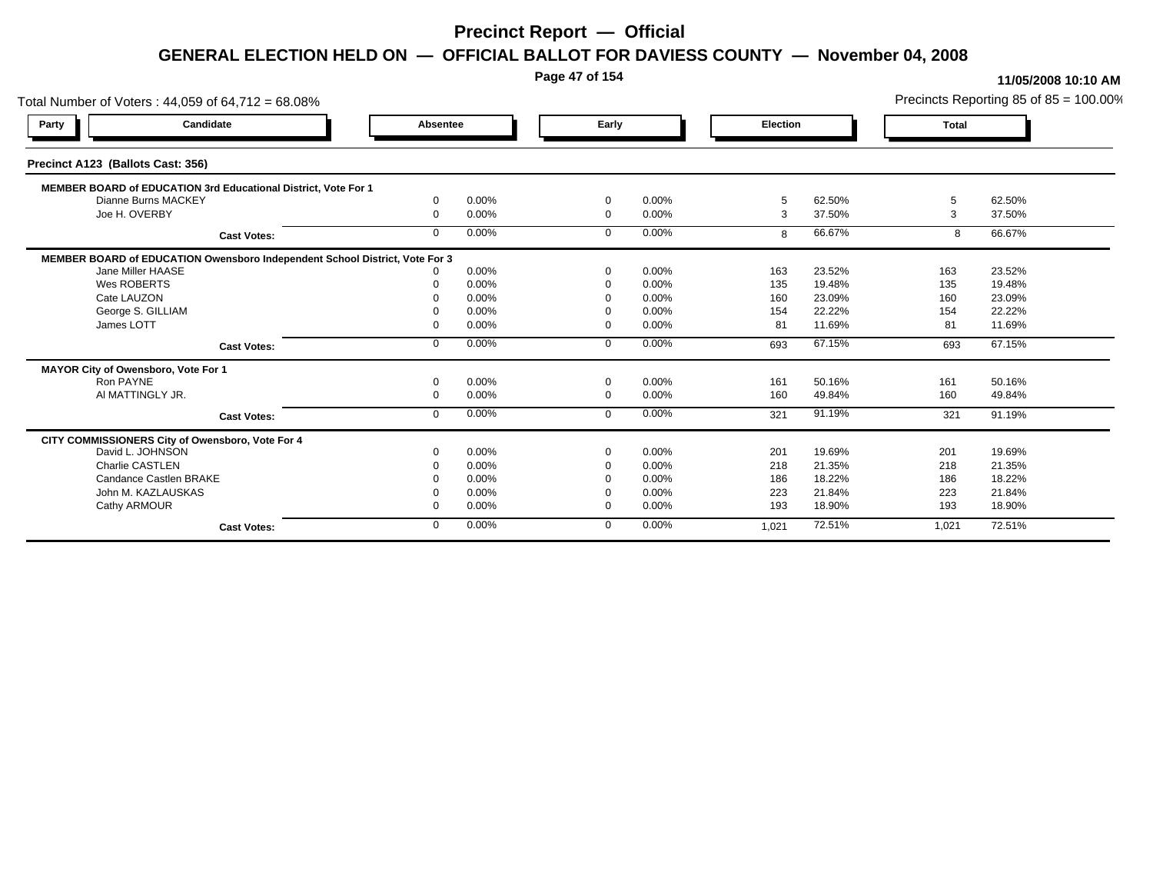**Page 47 of 154**

### **11/05/2008 10:10 AM**

Total Number of Voters : 44,059 of 64,712 = 68.08% Precincts Reporting 85 of 85 = 100.00% **Party Candidate Absentee Early Election Total Precinct A123 (Ballots Cast: 356) MEMBER BOARD of EDUCATION 3rd Educational District, Vote For 1** Dianne Burns MACKEY Dianne Burns MACKEY 0 0.00% 0 0.00% 5 62.50% 5 62.50% Joe H. OVERBY 0 0.00% 0 0.00% 3 37.50% 3 37.50% **Cast Votes:** 0 0.00% 0 0.00% 8 66.67% 8 66.67% **MEMBER BOARD of EDUCATION Owensboro Independent School District, Vote For 3**<br>10.00% 0.00% Jane Miller HAASE 0 0.00% 0 0.00% 163 23.52% 163 23.52% Wes ROBERTS 0 0.00% 0 0.00% 135 19.48% 135 19.48% Cate LAUZON 0 0.00% 0 0.00% 160 23.09% 160 23.09% George S. GILLIAM 0 0.00% 0 0.00% 154 22.22% 154 22.22% James LOTT 0 0.00% 0 0.00% 81 11.69% 81 11.69% **Cast Votes:** 0 0.00% 0 0.00% 693 67.15% 693 67.15% **MAYOR City of Owensboro, Vote For 1** Ron PAYNE 0 0.00% 0 0.00% 161 50.16% 161 50.16% Al MATTINGLY JR. 0 0.00% 0 0.00% 160 49.84% 160 49.84% **Cast Votes:** 0 0.00% 0 0.00% 321 91.19% 321 91.19% **CITY COMMISSIONERS City of Owensboro, Vote For 4** David L. JOHNSON 0 0.00% 0 0.00% 201 19.69% 201 19.69% Charlie CASTLEN 0 0.00% 0 0.00% 218 21.35% 218 21.35% Candance Castlen BRAKE 0 0.00% 0 0.00% 186 18.22% 186 18.22% John M. KAZLAUSKAS 0 0.00% 0 0.00% 223 21.84% 223 21.84% Cathy ARMOUR 0 0.00% 0 0.00% 193 18.90% 193 18.90% **Cast Votes:** 0 0.00% 0 0.00% 1,021 72.51% 1,021 72.51%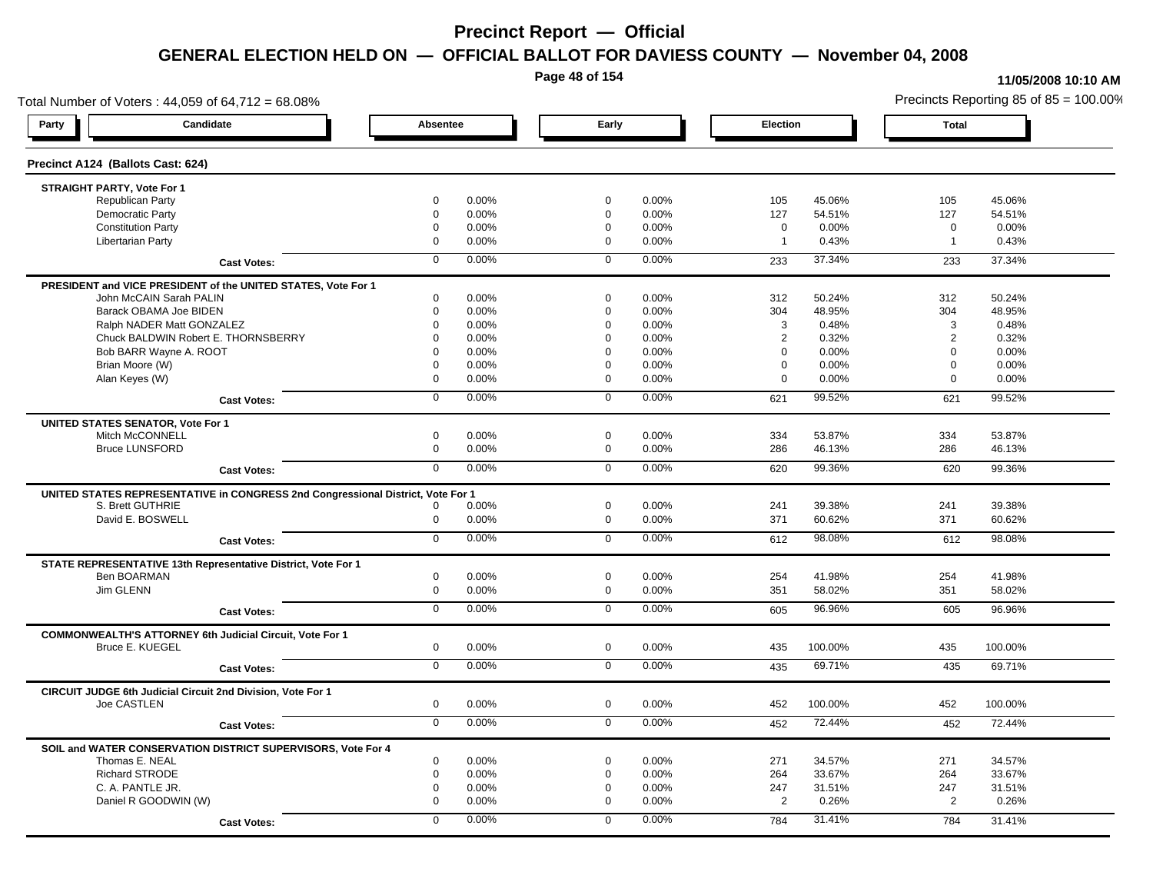**Page 48 of 154**

#### **11/05/2008 10:10 AM**

Total Number of Voters : 44,059 of 64,712 = 68.08% Precincts Reporting 85 of 85 = 100.00% **Party Candidate Absentee Early Election Total Precinct A124 (Ballots Cast: 624) STRAIGHT PARTY, Vote For 1** Republican Party 0 0.00% 0 0.00% 105 45.06% 105 45.06% Democratic Party 0 0.00% 0 0.00% 127 54.51% 127 54.51% Constitution Party 0 0.00% 0 0.00% 0 0.00% 0 0.00% Libertarian Party 0 0.00% 0 0.00% 1 0.43% 1 0.43% **Cast Votes:** 0 0.00% 0 0.00% 233 37.34% 233 37.34% **PRESIDENT and VICE PRESIDENT of the UNITED STATES, Vote For 1** John McCAIN Sarah PALIN John McCAIN Sarah PALIN 0 0.00% 0 0.00% 312 50.24% 312 50.24% Barack OBAMA Joe BIDEN 0 0.00% 0 0.00% 304 48.95% 304 48.95% Ralph NADER Matt GONZALEZ  $0$  0.00%  $0$  0.00%  $0$  0.00%  $3$  0.48%  $3$  0.48%  $3$  0.48% Chuck BALDWIN Robert E. THORNSBERRY 0 0.00% 0 0.00% 2 0.32% 2 0.32%  $Bob$  BARR Wayne A. ROOT  $0.00\%$   $0.00\%$   $0.00\%$   $0.00\%$   $0.00\%$   $0.00\%$   $0.00\%$   $0.00\%$ Brian Moore (W) 0 0.00% 0 0.00% 0 0.00% 0 0.00% Alan Keyes (W) 0 0.00% 0 0.00% 0 0.00% 0 0.00% **Cast Votes:** 0 0.00% 0 0.00% 621 99.52% 621 99.52% **UNITED STATES SENATOR, Vote For 1** Mitch McCONNELL 0 0.00% 0 0.00% 334 53.87% 334 53.87% Bruce LUNSFORD 0 0.00% 0 0.00% 286 46.13% 286 46.13% **Cast Votes:** 0 0.00% 0 0.00% 620 99.36% 620 99.36% **UNITED STATES REPRESENTATIVE in CONGRESS 2nd Congressional District, Vote For 1** S. Brett GUTHRIE 0 0.00% 0 0.00% 241 39.38% 241 39.38% David E. BOSWELL 0 0.00% 0 0.00% 371 60.62% 371 60.62% **Cast Votes:** 0 0.00% 0 0.00% 612 98.08% 612 98.08% **STATE REPRESENTATIVE 13th Representative District, Vote For 1** Ben BOARMAN 0 0.00% 0 0.00% 254 41.98% 254 41.98% Jim GLENN 0 0.00% 0 0.00% 351 58.02% 351 58.02% **Cast Votes:** 0 0.00% 0 0.00% 605 96.96% 605 96.96% **COMMONWEALTH'S ATTORNEY 6th Judicial Circuit, Vote For 1** Bruce E. KUEGEL 0 0.00% 0 0.00% 435 100.00% 435 100.00% **Cast Votes:** 0 0.00% 0 0.00% 435 69.71% 435 69.71% **CIRCUIT JUDGE 6th Judicial Circuit 2nd Division, Vote For 1** Joe CASTLEN 0 0.00% 0 0.00% 452 100.00% 452 100.00% **Cast Votes:** 0 0.00% 0 0.00% 452 72.44% 452 72.44% **SOIL and WATER CONSERVATION DISTRICT SUPERVISORS, Vote For 4** Thomas E. NEAL 0 0.00% 0 0.00% 271 34.57% 271 34.57% Richard STRODE 0 0.00% 0 0.00% 264 33.67% 264 33.67% C. A. PANTLE JR. 0 0.00% 0 0.00% 247 31.51% 247 31.51% Daniel R GOODWIN (W) 0 0.00% 0 0.00% 2 0.26% 2 0.26% **Cast Votes:** 0 0.00% 0 0.00% 784 31.41% 784 31.41%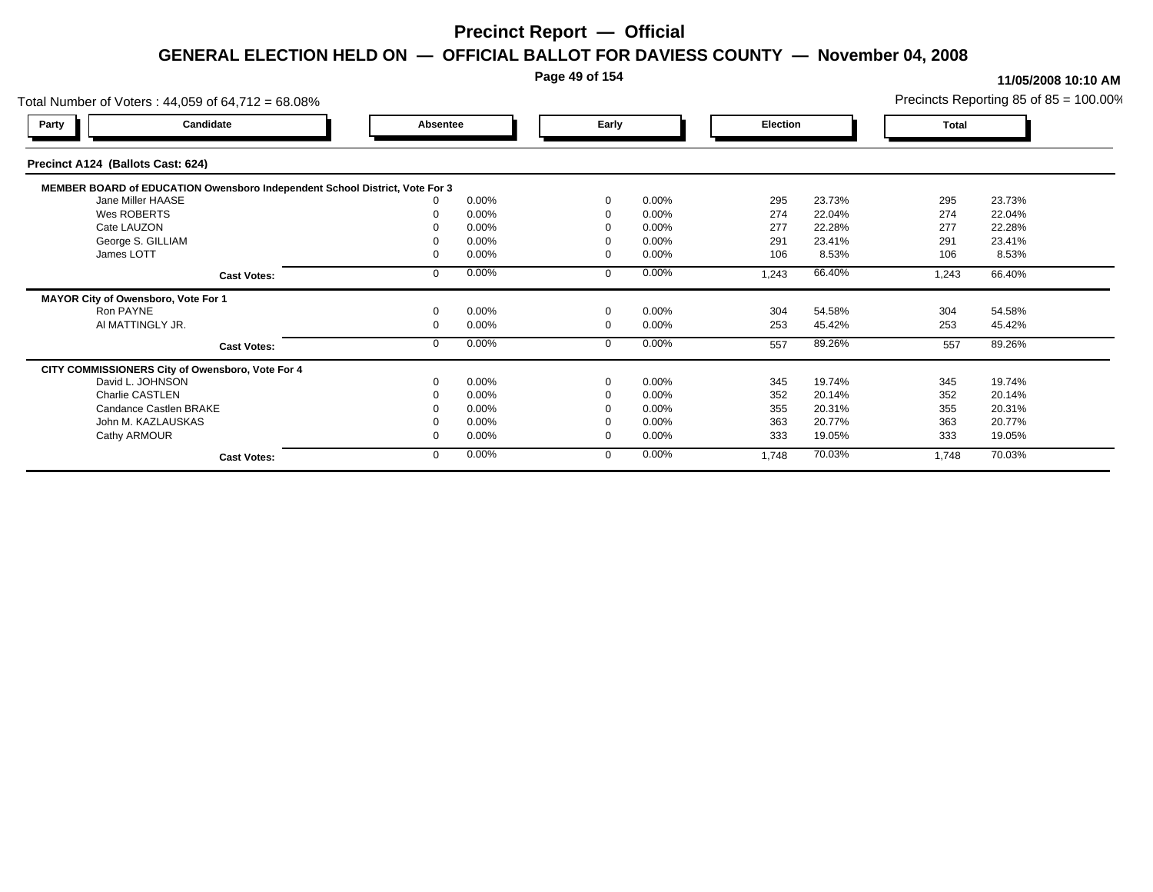### **Page 49 of 154**

| Total Number of Voters: 44,059 of 64,712 = 68.08%                           |          |       |          |          |          |        |       | Precincts Reporting 85 of $85 = 100.00\%$ |
|-----------------------------------------------------------------------------|----------|-------|----------|----------|----------|--------|-------|-------------------------------------------|
| Candidate<br>Party                                                          | Absentee |       | Early    |          | Election |        | Total |                                           |
| Precinct A124 (Ballots Cast: 624)                                           |          |       |          |          |          |        |       |                                           |
| MEMBER BOARD of EDUCATION Owensboro Independent School District, Vote For 3 |          |       |          |          |          |        |       |                                           |
| Jane Miller HAASE                                                           |          | 0.00% | $\Omega$ | 0.00%    | 295      | 23.73% | 295   | 23.73%                                    |
| Wes ROBERTS                                                                 |          | 0.00% |          | 0.00%    | 274      | 22.04% | 274   | 22.04%                                    |
| Cate LAUZON                                                                 |          | 0.00% |          | $0.00\%$ | 277      | 22.28% | 277   | 22.28%                                    |
| George S. GILLIAM                                                           |          | 0.00% |          | 0.00%    | 291      | 23.41% | 291   | 23.41%                                    |
| James LOTT                                                                  |          | 0.00% | $\Omega$ | 0.00%    | 106      | 8.53%  | 106   | 8.53%                                     |
| <b>Cast Votes:</b>                                                          |          | 0.00% | $\Omega$ | 0.00%    | 1,243    | 66.40% | 1,243 | 66.40%                                    |
| MAYOR City of Owensboro, Vote For 1                                         |          |       |          |          |          |        |       |                                           |
| Ron PAYNE                                                                   |          | 0.00% | $\Omega$ | 0.00%    | 304      | 54.58% | 304   | 54.58%                                    |
| AI MATTINGLY JR.                                                            |          | 0.00% | $\Omega$ | 0.00%    | 253      | 45.42% | 253   | 45.42%                                    |
| <b>Cast Votes:</b>                                                          |          | 0.00% | $\Omega$ | 0.00%    | 557      | 89.26% | 557   | 89.26%                                    |
| CITY COMMISSIONERS City of Owensboro, Vote For 4                            |          |       |          |          |          |        |       |                                           |
| David L. JOHNSON                                                            |          | 0.00% | $\Omega$ | 0.00%    | 345      | 19.74% | 345   | 19.74%                                    |
| Charlie CASTLEN                                                             |          | 0.00% | $\Omega$ | $0.00\%$ | 352      | 20.14% | 352   | 20.14%                                    |
| Candance Castlen BRAKE                                                      |          | 0.00% |          | $0.00\%$ | 355      | 20.31% | 355   | 20.31%                                    |
| John M. KAZLAUSKAS                                                          |          | 0.00% |          | 0.00%    | 363      | 20.77% | 363   | 20.77%                                    |
| Cathy ARMOUR                                                                |          | 0.00% | $\Omega$ | 0.00%    | 333      | 19.05% | 333   | 19.05%                                    |
| <b>Cast Votes:</b>                                                          |          | 0.00% | $\Omega$ | 0.00%    | 1,748    | 70.03% | 1,748 | 70.03%                                    |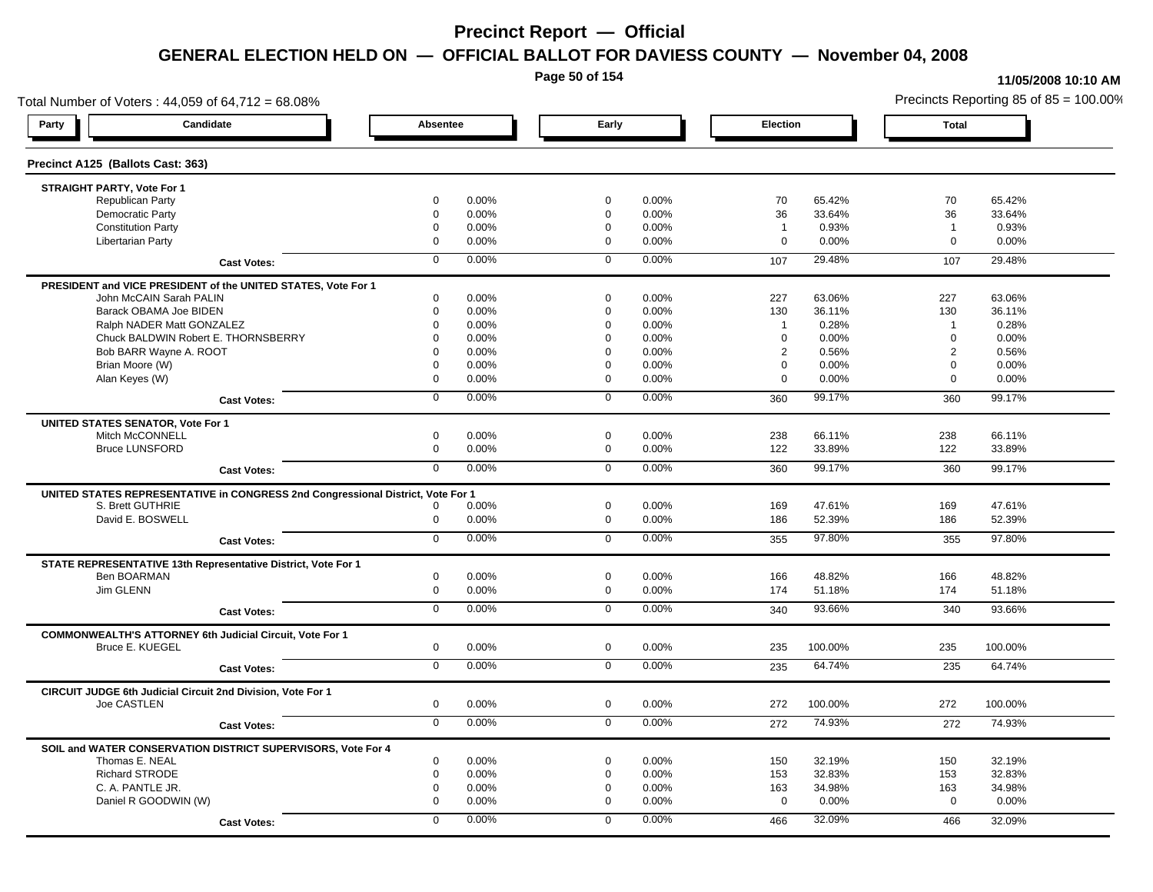**Page 50 of 154**

### **11/05/2008 10:10 AM**

Total Number of Voters : 44,059 of 64,712 = 68.08% Precincts Reporting 85 of 85 = 100.00% **Party Candidate Absentee Early Election Total Precinct A125 (Ballots Cast: 363) STRAIGHT PARTY, Vote For 1** Republican Party 0 0.00% 0 0.00% 70 65.42% 70 65.42% Democratic Party 0 0.00% 0 0.00% 36 33.64% 36 33.64% Constitution Party 0 0.00% 0 0.00% 1 0.93% 1 0.93% Libertarian Party 0 0.00% 0 0.00% 0 0.00% 0 0.00% **Cast Votes:** 0 0.00% 0 0.00% 107 29.48% 107 29.48% **PRESIDENT and VICE PRESIDENT of the UNITED STATES, Vote For 1** John McCAIN Sarah PALIN John McCAIN Sarah PALIN 0 0.00% 0 0.00% 227 63.06% 227 63.06% Barack OBAMA Joe BIDEN 0 0.00% 0 0.00% 130 36.11% 130 36.11% Ralph NADER Matt GONZALEZ  $0$  0.00% 0 0.00% 1 0.28% 1 0.28% 1 0.28% Chuck BALDWIN Robert E. THORNSBERRY 0 0.00% 0 0.00% 0 0.00% 0 0.00% Bob BARR Wayne A. ROOT **2** 0.56% 0 0.00% 0 0.00% 0 0.00% 0 0.00% 0 0.56% 2 0.56% 2 0.56% Brian Moore (W) 0 0.00% 0 0.00% 0 0.00% 0 0.00% Alan Keyes (W) 0 0.00% 0 0.00% 0 0.00% 0 0.00% **Cast Votes:** 0 0.00% 0 0.00% 360 99.17% 360 99.17% **UNITED STATES SENATOR, Vote For 1** Mitch McCONNELL 0 0.00% 0 0.00% 238 66.11% 238 66.11% Bruce LUNSFORD 0 0.00% 0 0.00% 122 33.89% 122 33.89% **Cast Votes:** 0 0.00% 0 0.00% 360 99.17% 360 99.17% **UNITED STATES REPRESENTATIVE in CONGRESS 2nd Congressional District, Vote For 1** S. Brett GUTHRIE 0 0.00% 0 0.00% 169 47.61% 169 47.61% David E. BOSWELL 0 0.00% 0 0.00% 186 52.39% 186 52.39% **Cast Votes:** 0 0.00% 0 0.00% 355 97.80% 355 97.80% **STATE REPRESENTATIVE 13th Representative District, Vote For 1** Ben BOARMAN 0 0.00% 0 0.00% 166 48.82% 166 48.82% Jim GLENN 0 0.00% 0 0.00% 174 51.18% 174 51.18% **Cast Votes:** 0 0.00% 0 0.00% 340 93.66% 340 93.66% **COMMONWEALTH'S ATTORNEY 6th Judicial Circuit, Vote For 1** Bruce E. KUEGEL 0 0.00% 0 0.00% 235 100.00% 235 100.00% **Cast Votes:** 0 0.00% 0 0.00% 235 64.74% 235 64.74% **CIRCUIT JUDGE 6th Judicial Circuit 2nd Division, Vote For 1** Joe CASTLEN 0 0.00% 0 0.00% 272 100.00% 272 100.00% **Cast Votes:** 0 0.00% 0 0.00% 272 74.93% 272 74.93% **SOIL and WATER CONSERVATION DISTRICT SUPERVISORS, Vote For 4** Thomas E. NEAL 0 0.00% 0 0.00% 150 32.19% 150 32.19% Richard STRODE 0 0.00% 0 0.00% 153 32.83% 153 32.83% C. A. PANTLE JR. 0 0.00% 0 0.00% 163 34.98% 163 34.98% Daniel R GOODWIN (W) 0 0.00% 0 0.00% 0 0.00% 0 0.00% **Cast Votes:** 0 0.00% 0 0.00% 466 32.09% 466 32.09%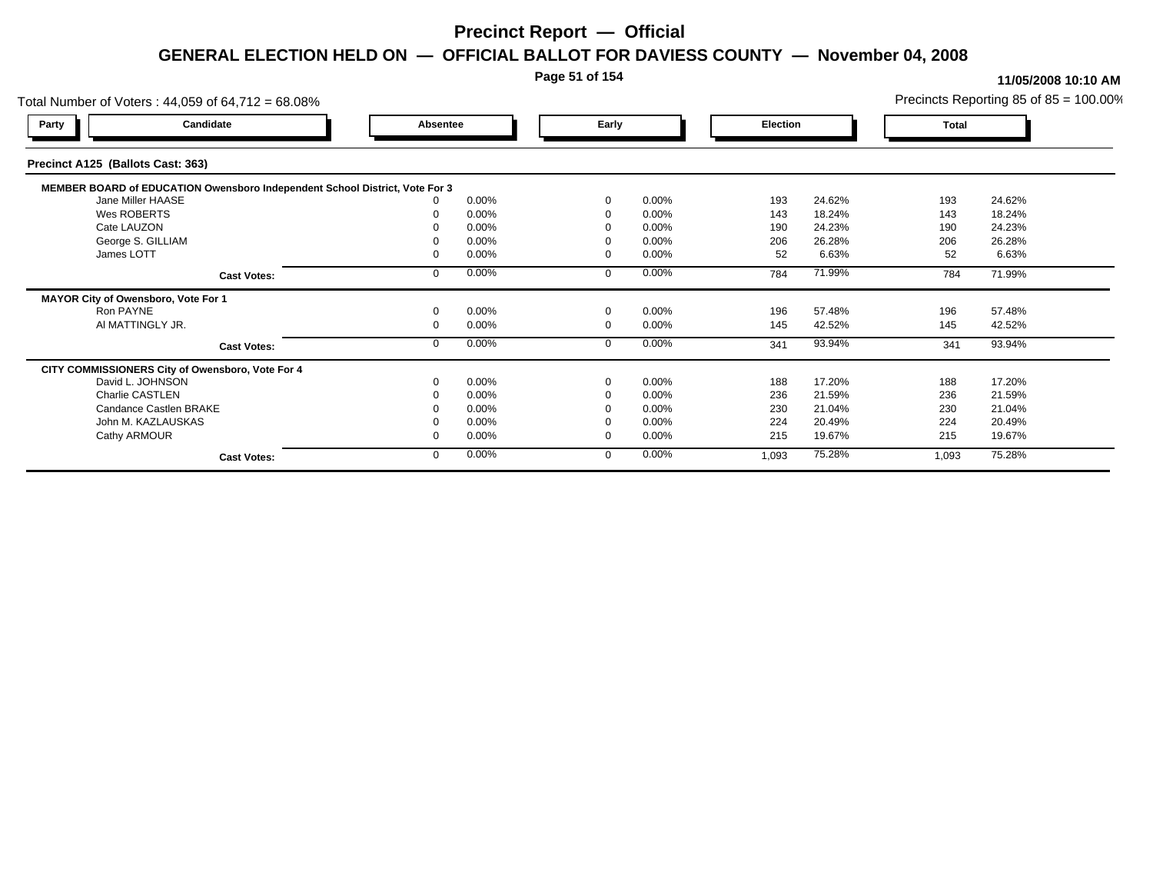### **Page 51 of 154**

|                                     | Total Number of Voters: 44,059 of 64,712 = 68.08%                           |          |       |             |       |          |        |       | Precincts Reporting 85 of $85 = 100.00\%$ |
|-------------------------------------|-----------------------------------------------------------------------------|----------|-------|-------------|-------|----------|--------|-------|-------------------------------------------|
| Party                               | Candidate                                                                   | Absentee |       | Early       |       | Election |        | Total |                                           |
| Precinct A125 (Ballots Cast: 363)   |                                                                             |          |       |             |       |          |        |       |                                           |
|                                     | MEMBER BOARD of EDUCATION Owensboro Independent School District, Vote For 3 |          |       |             |       |          |        |       |                                           |
|                                     | Jane Miller HAASE                                                           |          | 0.00% | $\Omega$    | 0.00% | 193      | 24.62% | 193   | 24.62%                                    |
| Wes ROBERTS                         |                                                                             |          | 0.00% | $\Omega$    | 0.00% | 143      | 18.24% | 143   | 18.24%                                    |
| Cate LAUZON                         |                                                                             |          | 0.00% |             | 0.00% | 190      | 24.23% | 190   | 24.23%                                    |
|                                     | George S. GILLIAM                                                           |          | 0.00% |             | 0.00% | 206      | 26.28% | 206   | 26.28%                                    |
| James LOTT                          |                                                                             |          | 0.00% | $\Omega$    | 0.00% | 52       | 6.63%  | 52    | 6.63%                                     |
|                                     | <b>Cast Votes:</b>                                                          |          | 0.00% | $\Omega$    | 0.00% | 784      | 71.99% | 784   | 71.99%                                    |
| MAYOR City of Owensboro, Vote For 1 |                                                                             |          |       |             |       |          |        |       |                                           |
| Ron PAYNE                           |                                                                             |          | 0.00% | $\mathbf 0$ | 0.00% | 196      | 57.48% | 196   | 57.48%                                    |
|                                     | AI MATTINGLY JR.                                                            |          | 0.00% | $\mathbf 0$ | 0.00% | 145      | 42.52% | 145   | 42.52%                                    |
|                                     | <b>Cast Votes:</b>                                                          |          | 0.00% | $\mathbf 0$ | 0.00% | 341      | 93.94% | 341   | 93.94%                                    |
|                                     | CITY COMMISSIONERS City of Owensboro, Vote For 4                            |          |       |             |       |          |        |       |                                           |
|                                     | David L. JOHNSON                                                            |          | 0.00% | $\Omega$    | 0.00% | 188      | 17.20% | 188   | 17.20%                                    |
| Charlie CASTLEN                     |                                                                             |          | 0.00% |             | 0.00% | 236      | 21.59% | 236   | 21.59%                                    |
|                                     | Candance Castlen BRAKE                                                      |          | 0.00% |             | 0.00% | 230      | 21.04% | 230   | 21.04%                                    |
|                                     | John M. KAZLAUSKAS                                                          |          | 0.00% |             | 0.00% | 224      | 20.49% | 224   | 20.49%                                    |
| Cathy ARMOUR                        |                                                                             |          | 0.00% | $\Omega$    | 0.00% | 215      | 19.67% | 215   | 19.67%                                    |
|                                     | <b>Cast Votes:</b>                                                          |          | 0.00% | $\mathbf 0$ | 0.00% | 1,093    | 75.28% | 1,093 | 75.28%                                    |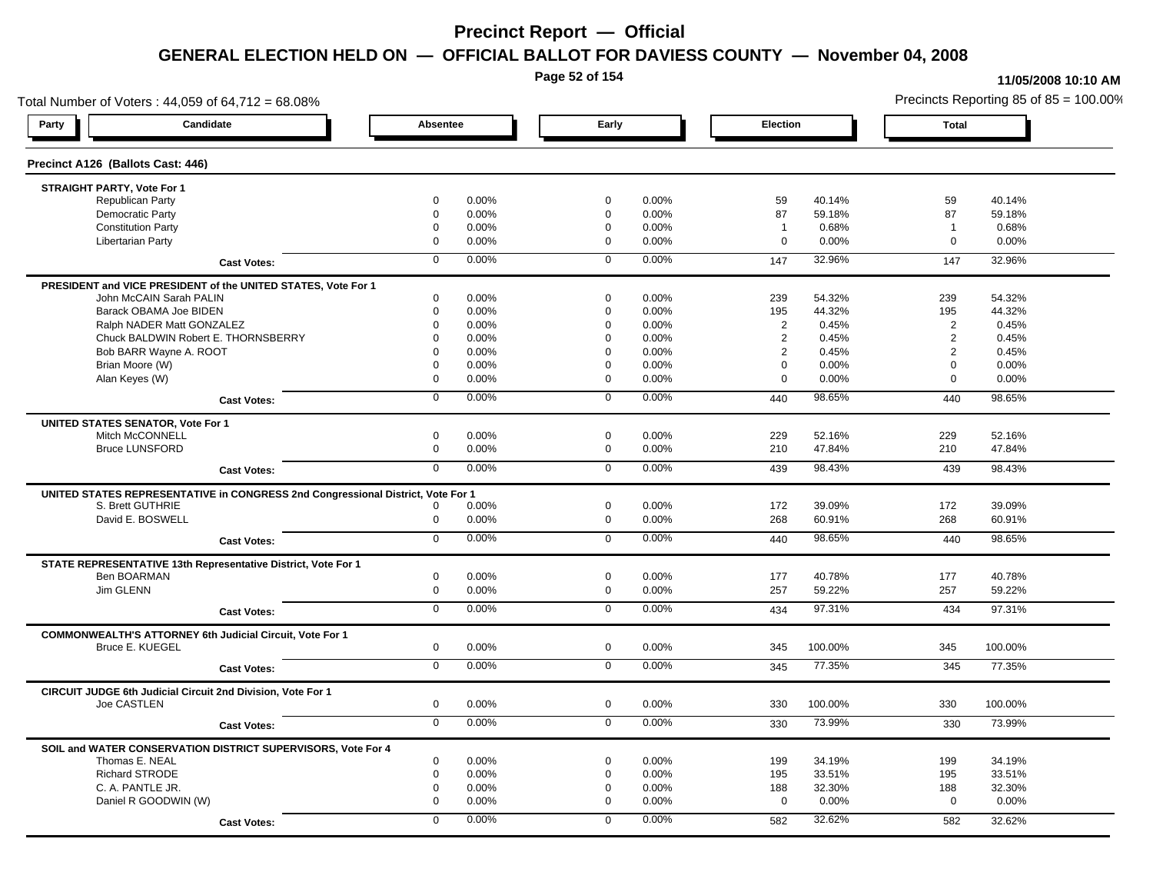**Page 52 of 154**

### **11/05/2008 10:10 AM**

Total Number of Voters : 44,059 of 64,712 = 68.08% Precincts Reporting 85 of 85 = 100.00% **Party Candidate Absentee Early Election Total Precinct A126 (Ballots Cast: 446) STRAIGHT PARTY, Vote For 1** Republican Party 0 0.00% 0 0.00% 59 40.14% 59 40.14% Democratic Party 0 0.00% 0 0.00% 87 59.18% 87 59.18% Constitution Party 0 0.00% 0 0.00% 1 0.68% 1 0.68% Libertarian Party 0 0.00% 0 0.00% 0 0.00% 0 0.00% **Cast Votes:** 0 0.00% 0 0.00% 147 32.96% 147 32.96% **PRESIDENT and VICE PRESIDENT of the UNITED STATES, Vote For 1** John McCAIN Sarah PALIN John McCAIN Sarah PALIN 0 0.00% 0 0.00% 239 54.32% 239 54.32% Barack OBAMA Joe BIDEN 0 0.00% 0 0.00% 195 44.32% 195 44.32% Ralph NADER Matt GONZALEZ  $0$  0.00% 0 0.00% 0 0.00% 2 0.45% 2 0.45% Chuck BALDWIN Robert E. THORNSBERRY 0 0.00% 0 0.00% 2 0.45% 2 0.45% Bob BARR Wayne A. ROOT **2** 0.45% 0 0.00% 0 0.00% 0 0.00% 0 0.00% 0 0.45% 2 0.45% 2 0.45% Brian Moore (W) 0 0.00% 0 0.00% 0 0.00% 0 0.00% Alan Keyes (W) 0 0.00% 0 0.00% 0 0.00% 0 0.00% **Cast Votes:** 0 0.00% 0 0.00% 440 98.65% 440 98.65% **UNITED STATES SENATOR, Vote For 1** Mitch McCONNELL 0 0.00% 0 0.00% 229 52.16% 229 52.16% Bruce LUNSFORD 0 0.00% 0 0.00% 210 47.84% 210 47.84% **Cast Votes:** 0 0.00% 0 0.00% 439 98.43% 439 98.43% **UNITED STATES REPRESENTATIVE in CONGRESS 2nd Congressional District, Vote For 1** S. Brett GUTHRIE 0 0.00% 0 0.00% 172 39.09% 172 39.09% David E. BOSWELL 0 0.00% 0 0.00% 268 60.91% 268 60.91% **Cast Votes:** 0 0.00% 0 0.00% 440 98.65% 440 98.65% **STATE REPRESENTATIVE 13th Representative District, Vote For 1** Ben BOARMAN 0 0.00% 0 0.00% 177 40.78% 177 40.78% Jim GLENN 0 0.00% 0 0.00% 257 59.22% 257 59.22% **Cast Votes:** 0 0.00% 0 0.00% 434 97.31% 434 97.31% **COMMONWEALTH'S ATTORNEY 6th Judicial Circuit, Vote For 1** Bruce E. KUEGEL 0 0.00% 0 0.00% 345 100.00% 345 100.00% **Cast Votes:** 0 0.00% 0 0.00% 345 77.35% 345 77.35% **CIRCUIT JUDGE 6th Judicial Circuit 2nd Division, Vote For 1** Joe CASTLEN 0 0.00% 0 0.00% 330 100.00% 330 100.00% **Cast Votes:** 0 0.00% 0 0.00% 330 73.99% 330 73.99% **SOIL and WATER CONSERVATION DISTRICT SUPERVISORS, Vote For 4** Thomas E. NEAL 0 0.00% 0 0.00% 199 34.19% 199 34.19% Richard STRODE 0 0.00% 0 0.00% 195 33.51% 195 33.51% C. A. PANTLE JR. 0 0.00% 0 0.00% 188 32.30% 188 32.30% Daniel R GOODWIN (W) 0 0.00% 0 0.00% 0 0.00% 0 0.00% **Cast Votes:** 0 0.00% 0 0.00% 582 32.62% 582 32.62%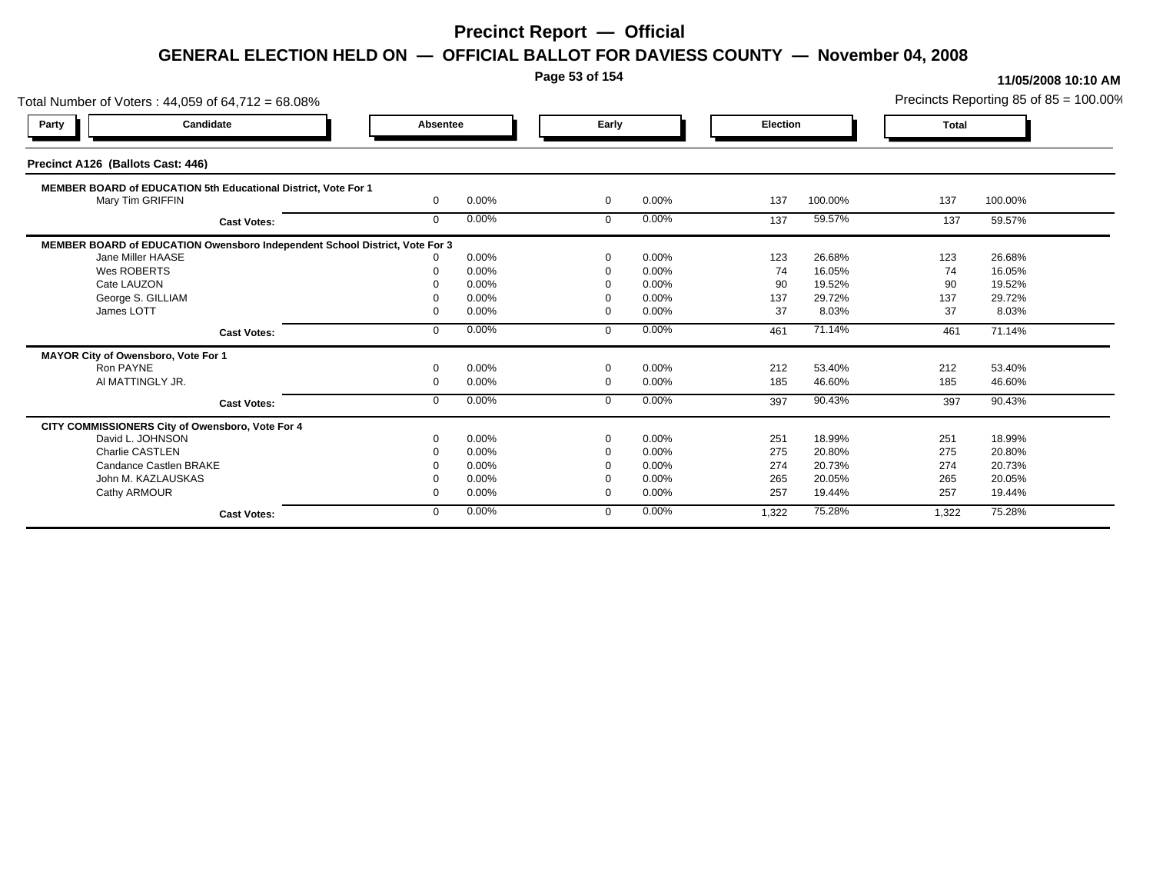**Page 53 of 154**

| Total Number of Voters: 44,059 of 64,712 = 68.08%                           |              |       |                |       |                 |         |              | Precincts Reporting 85 of 85 = 100.00% |
|-----------------------------------------------------------------------------|--------------|-------|----------------|-------|-----------------|---------|--------------|----------------------------------------|
| Candidate<br>Party                                                          | Absentee     |       | Early          |       | <b>Election</b> |         | <b>Total</b> |                                        |
| Precinct A126 (Ballots Cast: 446)                                           |              |       |                |       |                 |         |              |                                        |
| MEMBER BOARD of EDUCATION 5th Educational District, Vote For 1              |              |       |                |       |                 |         |              |                                        |
| Mary Tim GRIFFIN                                                            | $\Omega$     | 0.00% | $\overline{0}$ | 0.00% | 137             | 100.00% | 137          | 100.00%                                |
| <b>Cast Votes:</b>                                                          | $\mathbf{0}$ | 0.00% | $\mathbf 0$    | 0.00% | 137             | 59.57%  | 137          | 59.57%                                 |
| MEMBER BOARD of EDUCATION Owensboro Independent School District, Vote For 3 |              |       |                |       |                 |         |              |                                        |
| Jane Miller HAASE                                                           |              | 0.00% | $\Omega$       | 0.00% | 123             | 26.68%  | 123          | 26.68%                                 |
| Wes ROBERTS                                                                 |              | 0.00% | $\Omega$       | 0.00% | 74              | 16.05%  | 74           | 16.05%                                 |
| Cate LAUZON                                                                 |              | 0.00% |                | 0.00% | 90              | 19.52%  | 90           | 19.52%                                 |
| George S. GILLIAM                                                           |              | 0.00% |                | 0.00% | 137             | 29.72%  | 137          | 29.72%                                 |
| James LOTT                                                                  |              | 0.00% | $\Omega$       | 0.00% | 37              | 8.03%   | 37           | 8.03%                                  |
| <b>Cast Votes:</b>                                                          | $\mathbf{0}$ | 0.00% | $\mathbf 0$    | 0.00% | 461             | 71.14%  | 461          | 71.14%                                 |
| MAYOR City of Owensboro, Vote For 1                                         |              |       |                |       |                 |         |              |                                        |
| Ron PAYNE                                                                   |              | 0.00% | $\Omega$       | 0.00% | 212             | 53.40%  | 212          | 53.40%                                 |
| AI MATTINGLY JR.                                                            | $\Omega$     | 0.00% | $\overline{0}$ | 0.00% | 185             | 46.60%  | 185          | 46.60%                                 |
| <b>Cast Votes:</b>                                                          | $\Omega$     | 0.00% | $\Omega$       | 0.00% | 397             | 90.43%  | 397          | 90.43%                                 |
| CITY COMMISSIONERS City of Owensboro, Vote For 4                            |              |       |                |       |                 |         |              |                                        |
| David L. JOHNSON                                                            |              | 0.00% | $\Omega$       | 0.00% | 251             | 18.99%  | 251          | 18.99%                                 |
| <b>Charlie CASTLEN</b>                                                      |              | 0.00% | $\Omega$       | 0.00% | 275             | 20.80%  | 275          | 20.80%                                 |
| Candance Castlen BRAKE                                                      |              | 0.00% |                | 0.00% | 274             | 20.73%  | 274          | 20.73%                                 |
| John M. KAZLAUSKAS                                                          |              | 0.00% |                | 0.00% | 265             | 20.05%  | 265          | 20.05%                                 |
| Cathy ARMOUR                                                                |              | 0.00% | $\Omega$       | 0.00% | 257             | 19.44%  | 257          | 19.44%                                 |
| <b>Cast Votes:</b>                                                          | $\mathbf{0}$ | 0.00% | $\Omega$       | 0.00% | 1,322           | 75.28%  | 1,322        | 75.28%                                 |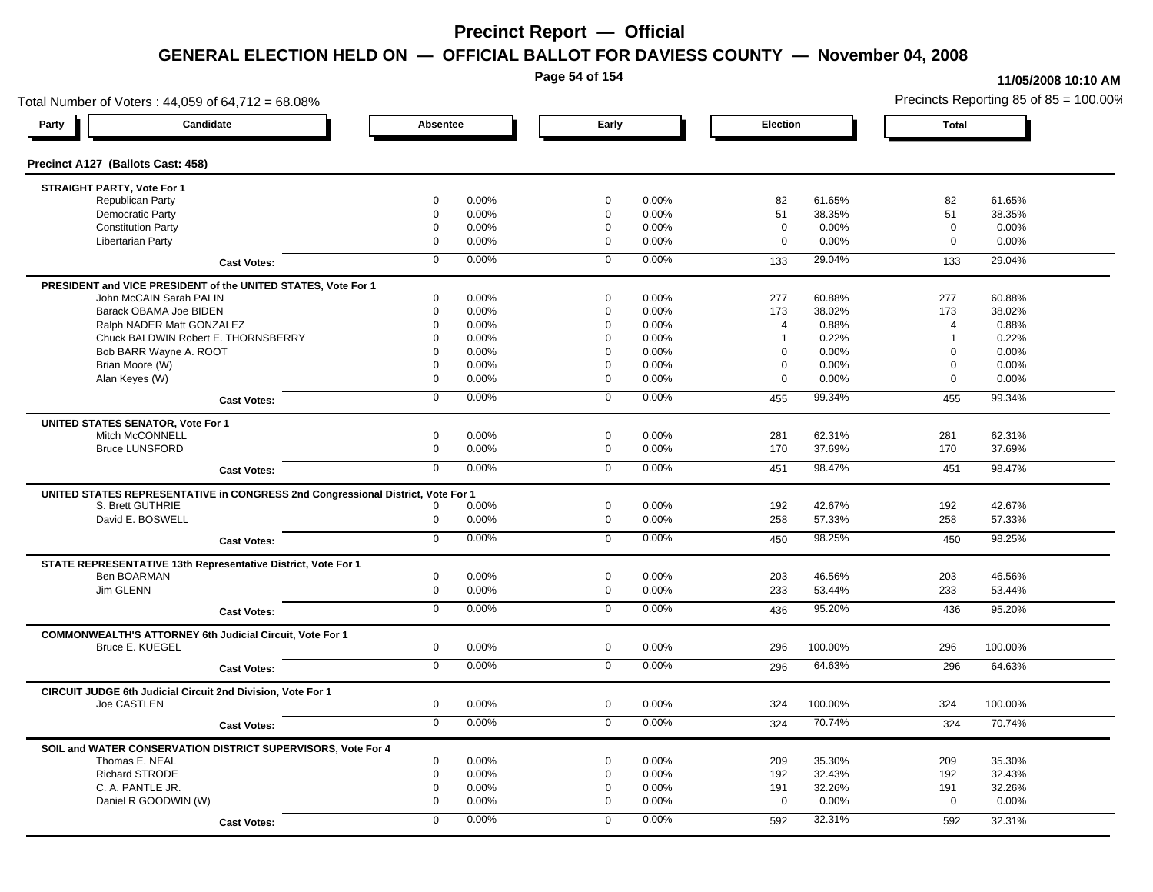**Page 54 of 154**

### **11/05/2008 10:10 AM**

Total Number of Voters : 44,059 of 64,712 = 68.08% Precincts Reporting 85 of 85 = 100.00% **Party Candidate Absentee Early Election Total Precinct A127 (Ballots Cast: 458) STRAIGHT PARTY, Vote For 1** Republican Party 0 0.00% 0 0.00% 82 61.65% 82 61.65% Democratic Party 0 0.00% 0 0.00% 51 38.35% 51 38.35% Constitution Party 0 0.00% 0 0.00% 0 0.00% 0 0.00% Libertarian Party 0 0.00% 0 0.00% 0 0.00% 0 0.00% **Cast Votes:** 0 0.00% 0 0.00% 133 29.04% 133 29.04% **PRESIDENT and VICE PRESIDENT of the UNITED STATES, Vote For 1** John McCAIN Sarah PALIN John McCAIN Sarah PALIN 0 0.00% 0 0.00% 277 60.88% 277 60.88% Barack OBAMA Joe BIDEN 0 0.00% 0 0.00% 173 38.02% 173 38.02% Ralph NADER Matt GONZALEZ  $\begin{array}{cccc} 0 & 0.00\% & 0 & 0.00\% & 4 & 0.88\% \end{array}$  4 0.88% 4 0.88% Chuck BALDWIN Robert E. THORNSBERRY 0 0.00% 0 0.00% 1 0.22% 1 0.22%  $Bob$  BARR Wayne A. ROOT  $0.00\%$   $0.00\%$   $0.00\%$   $0.00\%$   $0.00\%$   $0.00\%$   $0.00\%$   $0.00\%$ Brian Moore (W) 0 0.00% 0 0.00% 0 0.00% 0 0.00% Alan Keyes (W) 0 0.00% 0 0.00% 0 0.00% 0 0.00% **Cast Votes:** 0 0.00% 0 0.00% 455 99.34% 455 99.34% **UNITED STATES SENATOR, Vote For 1** Mitch McCONNELL 0 0.00% 0 0.00% 281 62.31% 281 62.31% Bruce LUNSFORD 0 0.00% 0 0.00% 170 37.69% 170 37.69% **Cast Votes:** 0 0.00% 0 0.00% 451 98.47% 451 98.47% **UNITED STATES REPRESENTATIVE in CONGRESS 2nd Congressional District, Vote For 1** S. Brett GUTHRIE 0 0.00% 0 0.00% 192 42.67% 192 42.67% David E. BOSWELL 0 0.00% 0 0.00% 258 57.33% 258 57.33% **Cast Votes:** 0 0.00% 0 0.00% 450 98.25% 450 98.25% **STATE REPRESENTATIVE 13th Representative District, Vote For 1** Ben BOARMAN 0 0.00% 0 0.00% 203 46.56% 203 46.56% Jim GLENN 0 0.00% 0 0.00% 233 53.44% 233 53.44% **Cast Votes:** 0 0.00% 0 0.00% 436 95.20% 436 95.20% **COMMONWEALTH'S ATTORNEY 6th Judicial Circuit, Vote For 1** Bruce E. KUEGEL 0 0.00% 0 0.00% 296 100.00% 296 100.00% **Cast Votes:** 0 0.00% 0 0.00% 296 64.63% 296 64.63% **CIRCUIT JUDGE 6th Judicial Circuit 2nd Division, Vote For 1** Joe CASTLEN 0 0.00% 0 0.00% 324 100.00% 324 100.00% **Cast Votes:** 0 0.00% 0 0.00% 324 70.74% 324 70.74% **SOIL and WATER CONSERVATION DISTRICT SUPERVISORS, Vote For 4** Thomas E. NEAL 0 0.00% 0 0.00% 209 35.30% 209 35.30% Richard STRODE 0 0.00% 0 0.00% 192 32.43% 192 32.43% C. A. PANTLE JR. 0 0.00% 0 0.00% 191 32.26% 191 32.26% Daniel R GOODWIN (W) 0 0.00% 0 0.00% 0 0.00% 0 0.00% **Cast Votes:** 0 0.00% 0 0.00% 592 32.31% 592 32.31%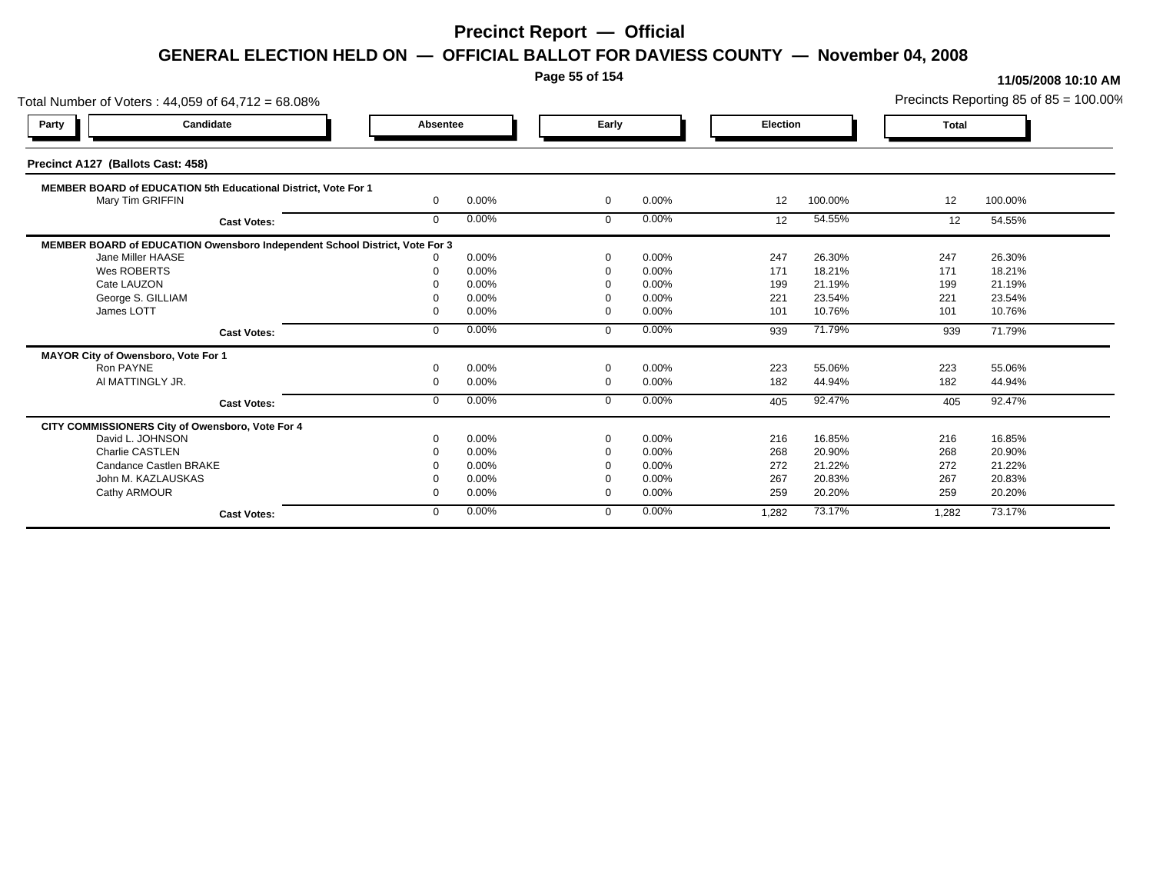**Page 55 of 154**

### **11/05/2008 10:10 AM**

Total Number of Voters : 44,059 of 64,712 = 68.08% Precincts Reporting 85 of 85 = 100.00% **Party Candidate Absentee Early Election Total Precinct A127 (Ballots Cast: 458) MEMBER BOARD of EDUCATION 5th Educational District, Vote For 1** Mary Tim GRIFFIN **10** Mary Tim GRIFFIN 0 0.00% 0 0.00% 12 100.00% 12 100.00% **Cast Votes:** 0 0.00% 0 0.00% 12 54.55% 12 54.55% **MEMBER BOARD of EDUCATION Owensboro Independent School District, Vote For 3**<br>10.00% 0.00% Jane Miller HAASE 0 0.00% 0 0.00% 247 26.30% 247 26.30% Wes ROBERTS 0 0.00% 0 0.00% 171 18.21% 171 18.21% Cate LAUZON 0 0.00% 0 0.00% 199 21.19% 199 21.19% George S. GILLIAM 0 0.00% 0 0.00% 221 23.54% 221 23.54% James LOTT 0 0.00% 0 0.00% 101 10.76% 101 10.76% **Cast Votes:** 0 0.00% 0 0.00% 939 71.79% 939 71.79% **MAYOR City of Owensboro, Vote For 1** Ron PAYNE 0 0.00% 0 0.00% 223 55.06% 223 55.06% Al MATTINGLY JR. 0 0.00% 0 0.00% 182 44.94% 182 44.94% **Cast Votes:** 0 0.00% 0 0.00% 405 92.47% 405 92.47% **CITY COMMISSIONERS City of Owensboro, Vote For 4** David L. JOHNSON 0 0.00% 0 0.00% 216 16.85% 216 16.85% Charlie CASTLEN 0 0.00% 0 0.00% 268 20.90% 268 20.90% Candance Castlen BRAKE 0 0.00% 0 0.00% 272 21.22% 272 21.22% John M. KAZLAUSKAS 0 0.00% 0 0.00% 267 20.83% 267 20.83% Cathy ARMOUR 0 0.00% 0 0.00% 259 20.20% 259 20.20% **Cast Votes:** 0 0.00% 0 0.00% 1,282 73.17% 1,282 73.17%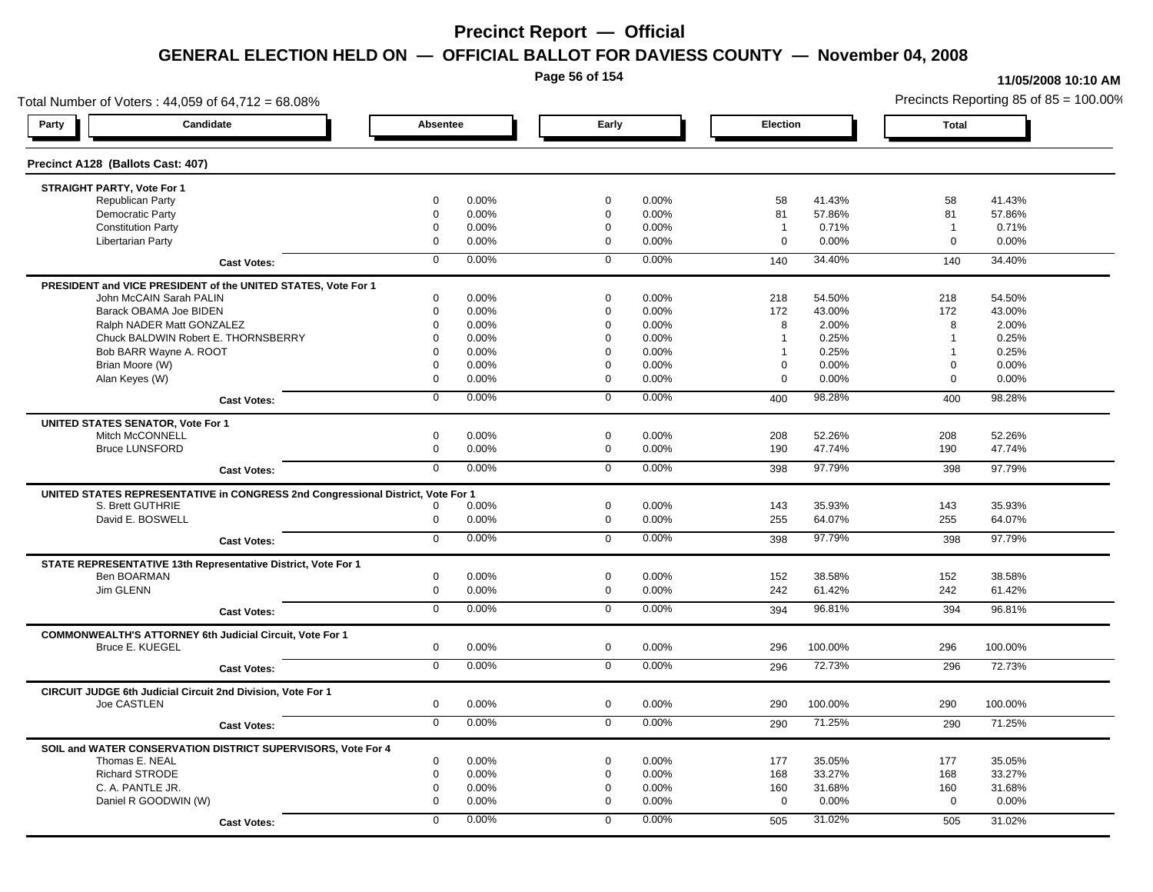**Page 56 of 154**

#### **11/05/2008 10:10 AM**

Total Number of Voters : 44,059 of 64,712 = 68.08% Precincts Reporting 85 of 85 = 100.00% **Party Candidate Absentee Early Election Total Precinct A128 (Ballots Cast: 407) STRAIGHT PARTY, Vote For 1** Republican Party 0 0.00% 0 0.00% 58 41.43% 58 41.43% Democratic Party 0 0.00% 0 0.00% 81 57.86% 81 57.86% Constitution Party 0 0.00% 0 0.00% 1 0.71% 1 0.71% Libertarian Party 0 0.00% 0 0.00% 0 0.00% 0 0.00% **Cast Votes:** 0 0.00% 0 0.00% 140 34.40% 140 34.40% **PRESIDENT and VICE PRESIDENT of the UNITED STATES, Vote For 1** John McCAIN Sarah PALIN John McCAIN Sarah PALIN 0 0.00% 0 0.00% 218 54.50% 218 54.50% Barack OBAMA Joe BIDEN 0 0.00% 0 0.00% 172 43.00% 172 43.00% Ralph NADER Matt GONZALEZ  $0$  0.00% 0 0.00% 8 2.00% 8 2.00% 8 2.00% Chuck BALDWIN Robert E. THORNSBERRY 0 0.00% 0 0.00% 1 0.25% 1 0.25% Bob BARR Wayne A. ROOT **1** 0.25% 0 0.00% 0 0.00% 0 0.00% 1 0.25% 1 0.25% 1 0.25% Brian Moore (W) 0 0.00% 0 0.00% 0 0.00% 0 0.00% Alan Keyes (W) 0 0.00% 0 0.00% 0 0.00% 0 0.00% **Cast Votes:** 0 0.00% 0 0.00% 400 98.28% 400 98.28% **UNITED STATES SENATOR, Vote For 1** Mitch McCONNELL 0 0.00% 0 0.00% 208 52.26% 208 52.26% Bruce LUNSFORD 0 0.00% 0 0.00% 190 47.74% 190 47.74% **Cast Votes:** 0 0.00% 0 0.00% 398 97.79% 398 97.79% **UNITED STATES REPRESENTATIVE in CONGRESS 2nd Congressional District, Vote For 1** S. Brett GUTHRIE 0 0.00% 0 0.00% 143 35.93% 143 35.93% David E. BOSWELL 0 0.00% 0 0.00% 255 64.07% 255 64.07% **Cast Votes:** 0 0.00% 0 0.00% 398 97.79% 398 97.79% **STATE REPRESENTATIVE 13th Representative District, Vote For 1** Ben BOARMAN 0 0.00% 0 0.00% 152 38.58% 152 38.58% Jim GLENN 0 0.00% 0 0.00% 242 61.42% 242 61.42% **Cast Votes:** 0 0.00% 0 0.00% 394 96.81% 394 96.81% **COMMONWEALTH'S ATTORNEY 6th Judicial Circuit, Vote For 1** Bruce E. KUEGEL 0 0.00% 0 0.00% 296 100.00% 296 100.00% **Cast Votes:** 0 0.00% 0 0.00% 296 72.73% 296 72.73% **CIRCUIT JUDGE 6th Judicial Circuit 2nd Division, Vote For 1** Joe CASTLEN 0 0.00% 0 0.00% 290 100.00% 290 100.00% **Cast Votes:** 0 0.00% 0 0.00% 290 71.25% 290 71.25% **SOIL and WATER CONSERVATION DISTRICT SUPERVISORS, Vote For 4** Thomas E. NEAL 0 0.00% 0 0.00% 177 35.05% 177 35.05% Richard STRODE 0 0.00% 0 0.00% 168 33.27% 168 33.27% C. A. PANTLE JR. 0 0.00% 0 0.00% 160 31.68% 160 31.68% Daniel R GOODWIN (W) 0 0.00% 0 0.00% 0 0.00% 0 0.00% **Cast Votes:** 0 0.00% 0 0.00% 505 31.02% 505 31.02%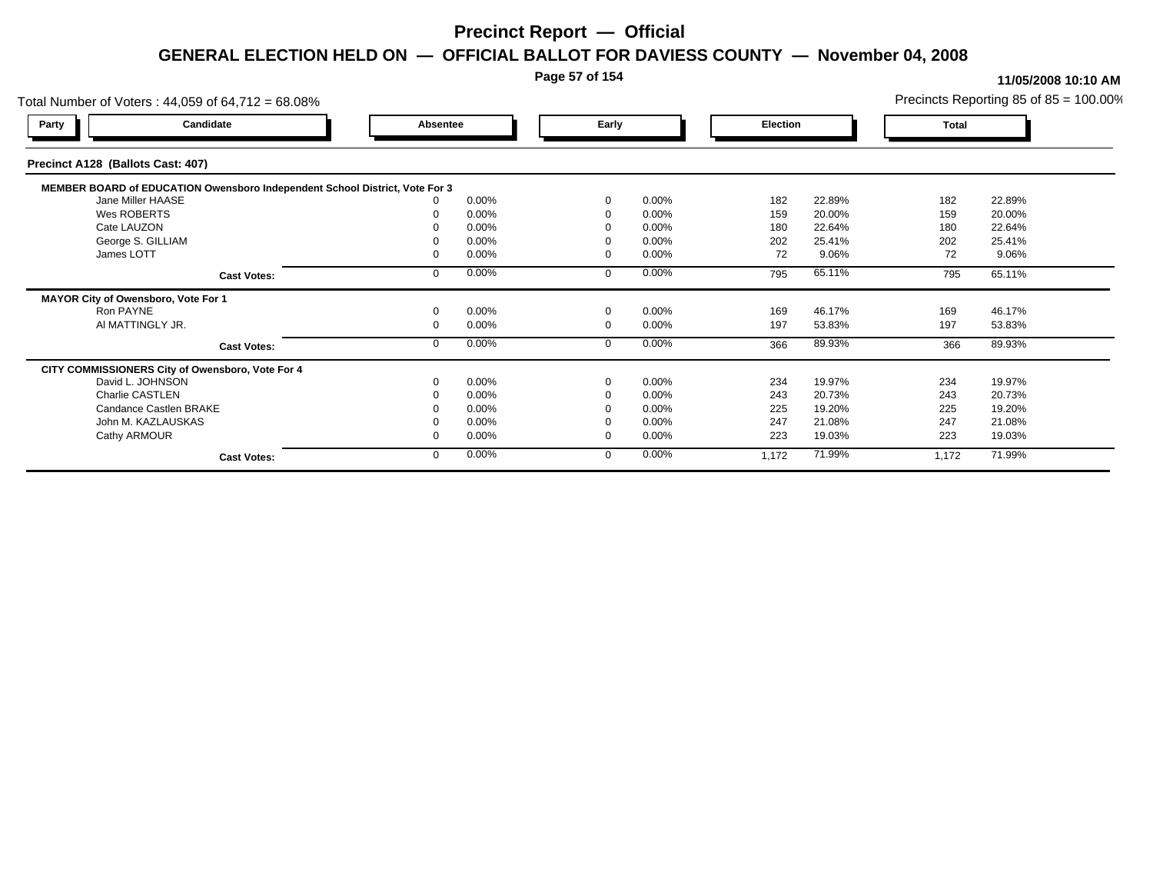### **Page 57 of 154**

| Total Number of Voters: 44,059 of 64,712 = 68.08%                           |          |       |             |       |          |        |       | Precincts Reporting 85 of $85 = 100.00\%$ |
|-----------------------------------------------------------------------------|----------|-------|-------------|-------|----------|--------|-------|-------------------------------------------|
| Candidate<br>Party                                                          | Absentee |       | Early       |       | Election |        | Total |                                           |
| Precinct A128 (Ballots Cast: 407)                                           |          |       |             |       |          |        |       |                                           |
| MEMBER BOARD of EDUCATION Owensboro Independent School District, Vote For 3 |          |       |             |       |          |        |       |                                           |
| Jane Miller HAASE                                                           |          | 0.00% | $\Omega$    | 0.00% | 182      | 22.89% | 182   | 22.89%                                    |
| Wes ROBERTS                                                                 |          | 0.00% |             | 0.00% | 159      | 20.00% | 159   | 20.00%                                    |
| Cate LAUZON                                                                 |          | 0.00% |             | 0.00% | 180      | 22.64% | 180   | 22.64%                                    |
| George S. GILLIAM                                                           |          | 0.00% |             | 0.00% | 202      | 25.41% | 202   | 25.41%                                    |
| James LOTT                                                                  |          | 0.00% |             | 0.00% | 72       | 9.06%  | 72    | 9.06%                                     |
| <b>Cast Votes:</b>                                                          |          | 0.00% | $\mathbf 0$ | 0.00% | 795      | 65.11% | 795   | 65.11%                                    |
| MAYOR City of Owensboro, Vote For 1                                         |          |       |             |       |          |        |       |                                           |
| Ron PAYNE                                                                   |          | 0.00% | $\Omega$    | 0.00% | 169      | 46.17% | 169   | 46.17%                                    |
| AI MATTINGLY JR.                                                            |          | 0.00% | $\Omega$    | 0.00% | 197      | 53.83% | 197   | 53.83%                                    |
| <b>Cast Votes:</b>                                                          |          | 0.00% | $\Omega$    | 0.00% | 366      | 89.93% | 366   | 89.93%                                    |
| CITY COMMISSIONERS City of Owensboro, Vote For 4                            |          |       |             |       |          |        |       |                                           |
| David L. JOHNSON                                                            |          | 0.00% | $\Omega$    | 0.00% | 234      | 19.97% | 234   | 19.97%                                    |
| <b>Charlie CASTLEN</b>                                                      |          | 0.00% |             | 0.00% | 243      | 20.73% | 243   | 20.73%                                    |
| Candance Castlen BRAKE                                                      |          | 0.00% |             | 0.00% | 225      | 19.20% | 225   | 19.20%                                    |
| John M. KAZLAUSKAS                                                          |          | 0.00% |             | 0.00% | 247      | 21.08% | 247   | 21.08%                                    |
| Cathy ARMOUR                                                                |          | 0.00% | $\Omega$    | 0.00% | 223      | 19.03% | 223   | 19.03%                                    |
| <b>Cast Votes:</b>                                                          |          | 0.00% | $\Omega$    | 0.00% | 1,172    | 71.99% | 1,172 | 71.99%                                    |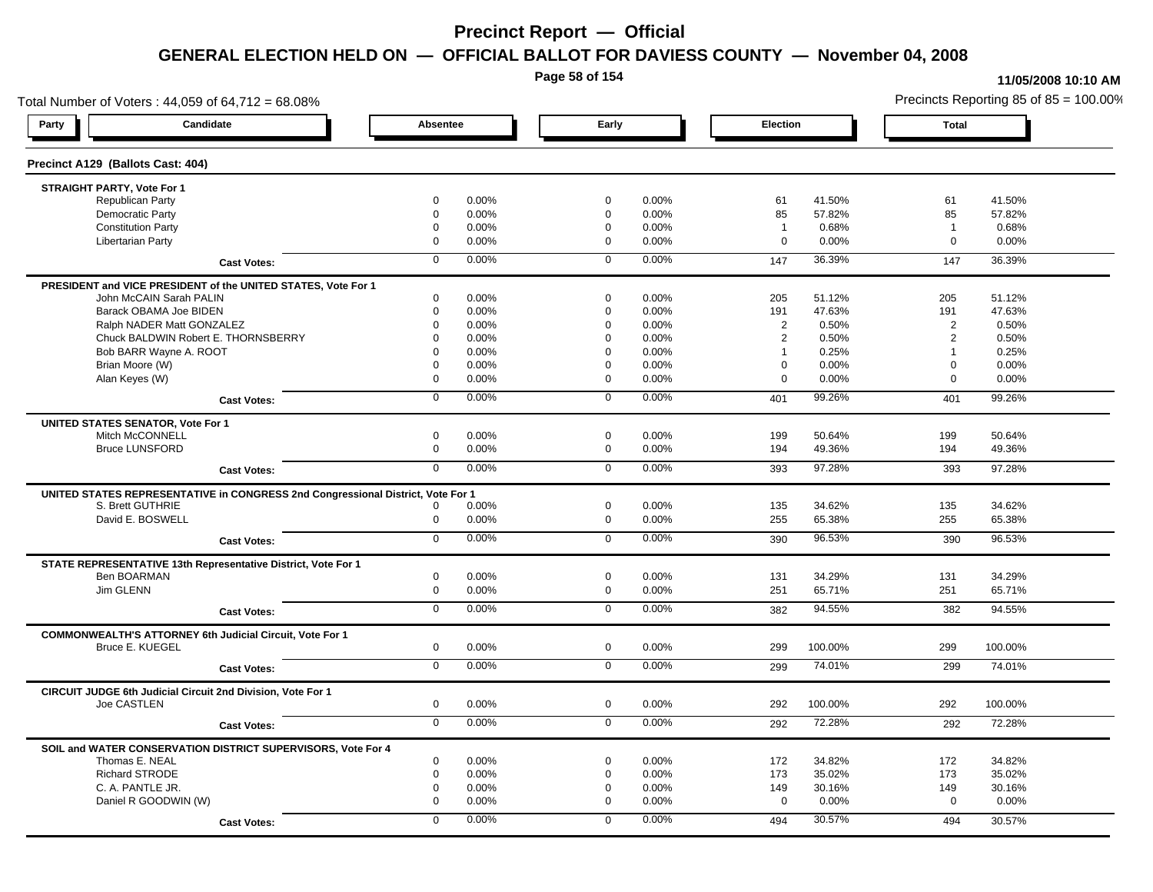**Page 58 of 154**

### **11/05/2008 10:10 AM**

Total Number of Voters : 44,059 of 64,712 = 68.08% Precincts Reporting 85 of 85 = 100.00% **Party Candidate Absentee Early Election Total Precinct A129 (Ballots Cast: 404) STRAIGHT PARTY, Vote For 1** Republican Party 0 0.00% 0 0.00% 61 41.50% 61 41.50% Democratic Party 0 0.00% 0 0.00% 85 57.82% 85 57.82% Constitution Party 0 0.00% 0 0.00% 1 0.68% 1 0.68% Libertarian Party 0 0.00% 0 0.00% 0 0.00% 0 0.00% **Cast Votes:** 0 0.00% 0 0.00% 147 36.39% 147 36.39% **PRESIDENT and VICE PRESIDENT of the UNITED STATES, Vote For 1** John McCAIN Sarah PALIN John McCAIN Sarah PALIN 0 0.00% 0 0.00% 205 51.12% 205 51.12% Barack OBAMA Joe BIDEN 0 0.00% 0 0.00% 191 47.63% 191 47.63% Ralph NADER Matt GONZALEZ  $0$  0.00% 0 0.00% 0 0.00% 2 0.50% 2 0.50% 2 0.50% Chuck BALDWIN Robert E. THORNSBERRY 0 0.00% 0 0.00% 2 0.50% 2 0.50% Bob BARR Wayne A. ROOT **1** 0.25% 0 0.00% 0 0.00% 0 0.00% 1 0.25% 1 0.25% 1 0.25% Brian Moore (W) 0 0.00% 0 0.00% 0 0.00% 0 0.00% Alan Keyes (W) 0 0.00% 0 0.00% 0 0.00% 0 0.00% **Cast Votes:** 0 0.00% 0 0.00% 401 99.26% 401 99.26% **UNITED STATES SENATOR, Vote For 1** Mitch McCONNELL 0 0.00% 0 0.00% 199 50.64% 199 50.64% Bruce LUNSFORD 0 0.00% 0 0.00% 194 49.36% 194 49.36% **Cast Votes:** 0 0.00% 0 0.00% 393 97.28% 393 97.28% **UNITED STATES REPRESENTATIVE in CONGRESS 2nd Congressional District, Vote For 1** S. Brett GUTHRIE 0 0.00% 0 0.00% 135 34.62% 135 34.62% David E. BOSWELL 0 0.00% 0 0.00% 255 65.38% 255 65.38% **Cast Votes:** 0 0.00% 0 0.00% 390 96.53% 390 96.53% **STATE REPRESENTATIVE 13th Representative District, Vote For 1** Ben BOARMAN 0 0.00% 0 0.00% 131 34.29% 131 34.29% Jim GLENN 0 0.00% 0 0.00% 251 65.71% 251 65.71% **Cast Votes:** 0 0.00% 0 0.00% 382 94.55% 382 94.55% **COMMONWEALTH'S ATTORNEY 6th Judicial Circuit, Vote For 1** Bruce E. KUEGEL 0 0.00% 0 0.00% 299 100.00% 299 100.00% **Cast Votes:** 0 0.00% 0 0.00% 299 74.01% 299 74.01% **CIRCUIT JUDGE 6th Judicial Circuit 2nd Division, Vote For 1** Joe CASTLEN 0 0.00% 0 0.00% 292 100.00% 292 100.00% **Cast Votes:** 0 0.00% 0 0.00% 292 72.28% 292 72.28% **SOIL and WATER CONSERVATION DISTRICT SUPERVISORS, Vote For 4** Thomas E. NEAL 0 0.00% 0 0.00% 172 34.82% 172 34.82% Richard STRODE 0 0.00% 0 0.00% 173 35.02% 173 35.02% C. A. PANTLE JR. 0 0.00% 0 0.00% 149 30.16% 149 30.16% Daniel R GOODWIN (W) 0 0.00% 0 0.00% 0 0.00% 0 0.00% **Cast Votes:** 0 0.00% 0 0.00% 494 30.57% 494 30.57%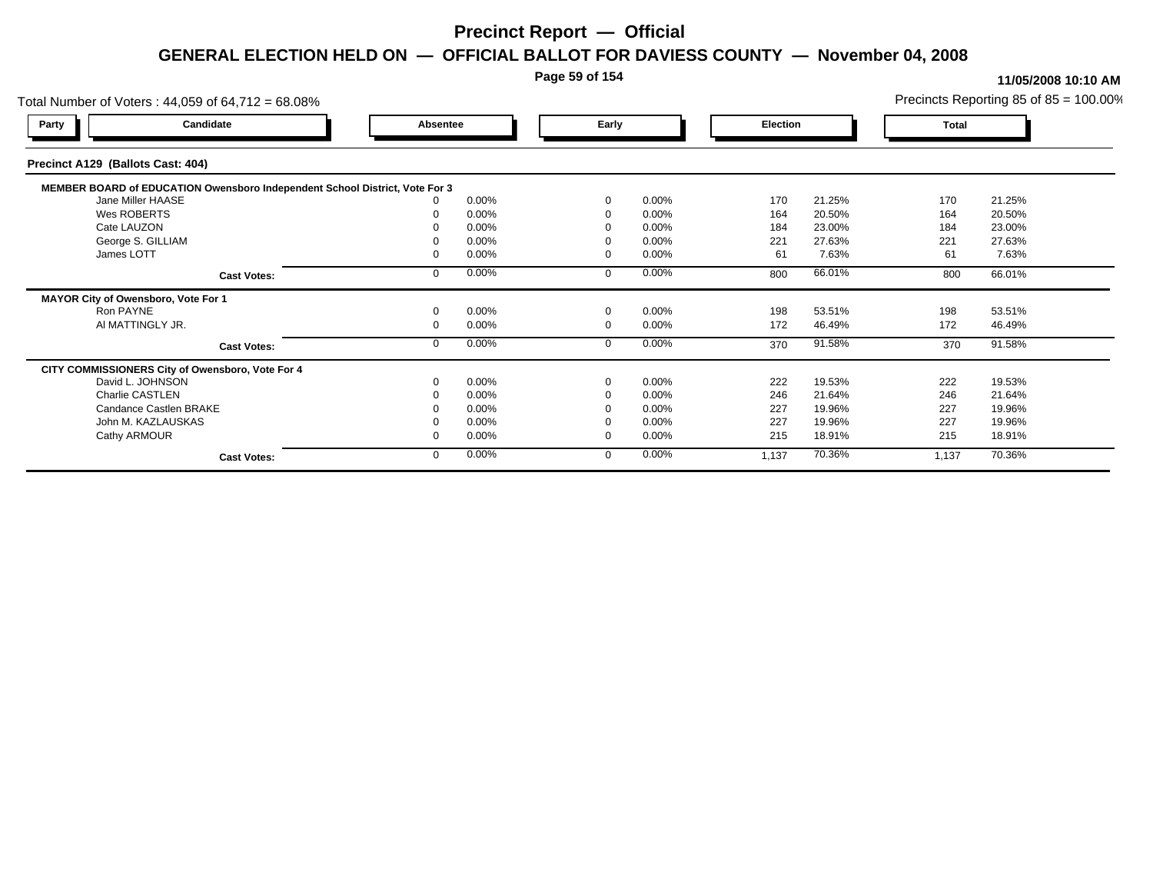### **Page 59 of 154**

| Total Number of Voters: 44,059 of 64,712 = 68.08%                           |                    |          |       |             |       |          |        |       | Precincts Reporting 85 of $85 = 100.00\%$ |
|-----------------------------------------------------------------------------|--------------------|----------|-------|-------------|-------|----------|--------|-------|-------------------------------------------|
| Candidate<br>Party                                                          |                    | Absentee |       | Early       |       | Election |        | Total |                                           |
| Precinct A129 (Ballots Cast: 404)                                           |                    |          |       |             |       |          |        |       |                                           |
| MEMBER BOARD of EDUCATION Owensboro Independent School District, Vote For 3 |                    |          |       |             |       |          |        |       |                                           |
| Jane Miller HAASE                                                           |                    |          | 0.00% | $\Omega$    | 0.00% | 170      | 21.25% | 170   | 21.25%                                    |
| Wes ROBERTS                                                                 |                    |          | 0.00% | $\Omega$    | 0.00% | 164      | 20.50% | 164   | 20.50%                                    |
| Cate LAUZON                                                                 |                    |          | 0.00% |             | 0.00% | 184      | 23.00% | 184   | 23.00%                                    |
| George S. GILLIAM                                                           |                    |          | 0.00% |             | 0.00% | 221      | 27.63% | 221   | 27.63%                                    |
| James LOTT                                                                  |                    |          | 0.00% | $\Omega$    | 0.00% | 61       | 7.63%  | 61    | 7.63%                                     |
|                                                                             | <b>Cast Votes:</b> |          | 0.00% | $\Omega$    | 0.00% | 800      | 66.01% | 800   | 66.01%                                    |
| MAYOR City of Owensboro, Vote For 1                                         |                    |          |       |             |       |          |        |       |                                           |
| Ron PAYNE                                                                   |                    |          | 0.00% | $\mathbf 0$ | 0.00% | 198      | 53.51% | 198   | 53.51%                                    |
| AI MATTINGLY JR.                                                            |                    |          | 0.00% | $\mathbf 0$ | 0.00% | 172      | 46.49% | 172   | 46.49%                                    |
|                                                                             | <b>Cast Votes:</b> |          | 0.00% | $\mathbf 0$ | 0.00% | 370      | 91.58% | 370   | 91.58%                                    |
| CITY COMMISSIONERS City of Owensboro, Vote For 4                            |                    |          |       |             |       |          |        |       |                                           |
| David L. JOHNSON                                                            |                    |          | 0.00% | $\Omega$    | 0.00% | 222      | 19.53% | 222   | 19.53%                                    |
| Charlie CASTLEN                                                             |                    |          | 0.00% |             | 0.00% | 246      | 21.64% | 246   | 21.64%                                    |
| Candance Castlen BRAKE                                                      |                    |          | 0.00% |             | 0.00% | 227      | 19.96% | 227   | 19.96%                                    |
| John M. KAZLAUSKAS                                                          |                    |          | 0.00% |             | 0.00% | 227      | 19.96% | 227   | 19.96%                                    |
| Cathy ARMOUR                                                                |                    |          | 0.00% | $\Omega$    | 0.00% | 215      | 18.91% | 215   | 18.91%                                    |
|                                                                             | <b>Cast Votes:</b> |          | 0.00% | $\mathbf 0$ | 0.00% | 1,137    | 70.36% | 1,137 | 70.36%                                    |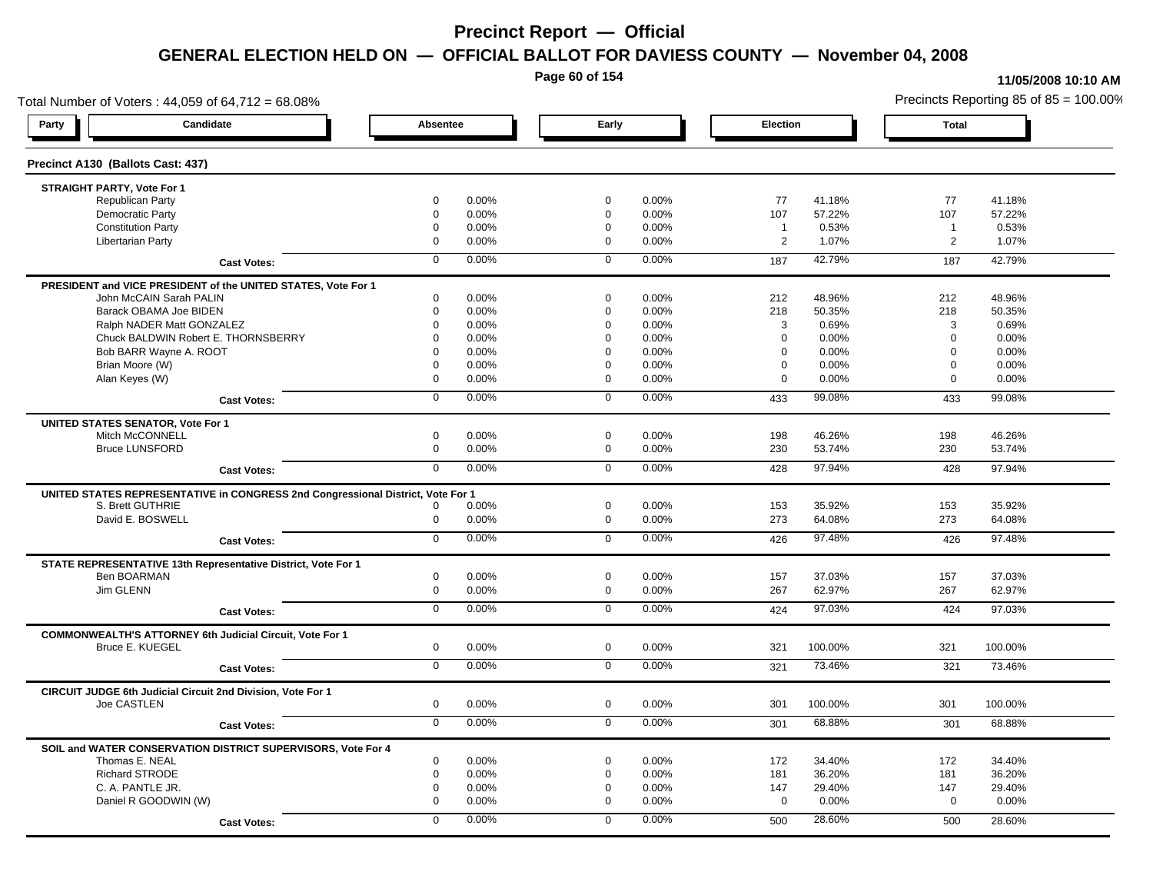**Page 60 of 154**

#### **11/05/2008 10:10 AM**

Total Number of Voters : 44,059 of 64,712 = 68.08% Precincts Reporting 85 of 85 = 100.00% **Party Candidate Absentee Early Election Total Precinct A130 (Ballots Cast: 437) STRAIGHT PARTY, Vote For 1** Republican Party 0 0.00% 0 0.00% 77 41.18% 77 41.18% Democratic Party 0 0.00% 0 0.00% 107 57.22% 107 57.22% Constitution Party 0 0.00% 0 0.00% 1 0.53% 1 0.53% Libertarian Party 0 0.00% 0 0.00% 2 1.07% 2 1.07% **Cast Votes:** 0 0.00% 0 0.00% 187 42.79% 187 42.79% **PRESIDENT and VICE PRESIDENT of the UNITED STATES, Vote For 1** John McCAIN Sarah PALIN John McCAIN Sarah PALIN 0 0.00% 0 0.00% 212 48.96% 212 48.96% Barack OBAMA Joe BIDEN 0 0.00% 0 0.00% 218 50.35% 218 50.35% Ralph NADER Matt GONZALEZ  $0$  0.00%  $0$  0.00%  $0$  0.00%  $3$  0.69%  $3$  0.69%  $3$  0.69% Chuck BALDWIN Robert E. THORNSBERRY 0 0.00% 0 0.00% 0 0.00% 0 0.00%  $Bob$  BARR Wayne A. ROOT  $0.00\%$   $0.00\%$   $0.00\%$   $0.00\%$   $0.00\%$   $0.00\%$   $0.00\%$   $0.00\%$ Brian Moore (W) 0 0.00% 0 0.00% 0 0.00% 0 0.00% Alan Keyes (W) 0 0.00% 0 0.00% 0 0.00% 0 0.00% **Cast Votes:** 0 0.00% 0 0.00% 433 99.08% 433 99.08% **UNITED STATES SENATOR, Vote For 1** Mitch McCONNELL 0 0.00% 0 0.00% 198 46.26% 198 46.26% Bruce LUNSFORD 0 0.00% 0 0.00% 230 53.74% 230 53.74% **Cast Votes:** 0 0.00% 0 0.00% 428 97.94% 428 97.94% **UNITED STATES REPRESENTATIVE in CONGRESS 2nd Congressional District, Vote For 1** S. Brett GUTHRIE 0 0.00% 0 0.00% 153 35.92% 153 35.92% David E. BOSWELL 0 0.00% 0 0.00% 273 64.08% 273 64.08% **Cast Votes:** 0 0.00% 0 0.00% 426 97.48% 426 97.48% **STATE REPRESENTATIVE 13th Representative District, Vote For 1** Ben BOARMAN 0 0.00% 0 0.00% 157 37.03% 157 37.03% Jim GLENN 0 0.00% 0 0.00% 267 62.97% 267 62.97% **Cast Votes:** 0 0.00% 0 0.00% 424 97.03% 424 97.03% **COMMONWEALTH'S ATTORNEY 6th Judicial Circuit, Vote For 1** Bruce E. KUEGEL 0 0.00% 0 0.00% 321 100.00% 321 100.00% **Cast Votes:** 0 0.00% 0 0.00% 321 73.46% 321 73.46% **CIRCUIT JUDGE 6th Judicial Circuit 2nd Division, Vote For 1** Joe CASTLEN 0 0.00% 0 0.00% 301 100.00% 301 100.00% **Cast Votes:** 0 0.00% 0 0.00% 301 68.88% 301 68.88% **SOIL and WATER CONSERVATION DISTRICT SUPERVISORS, Vote For 4** Thomas E. NEAL 0 0.00% 0 0.00% 172 34.40% 172 34.40% Richard STRODE 0 0.00% 0 0.00% 181 36.20% 181 36.20% C. A. PANTLE JR. 0 0.00% 0 0.00% 147 29.40% 147 29.40% Daniel R GOODWIN (W) 0 0.00% 0 0.00% 0 0.00% 0 0.00% **Cast Votes:** 0 0.00% 0 0.00% 500 28.60% 500 28.60%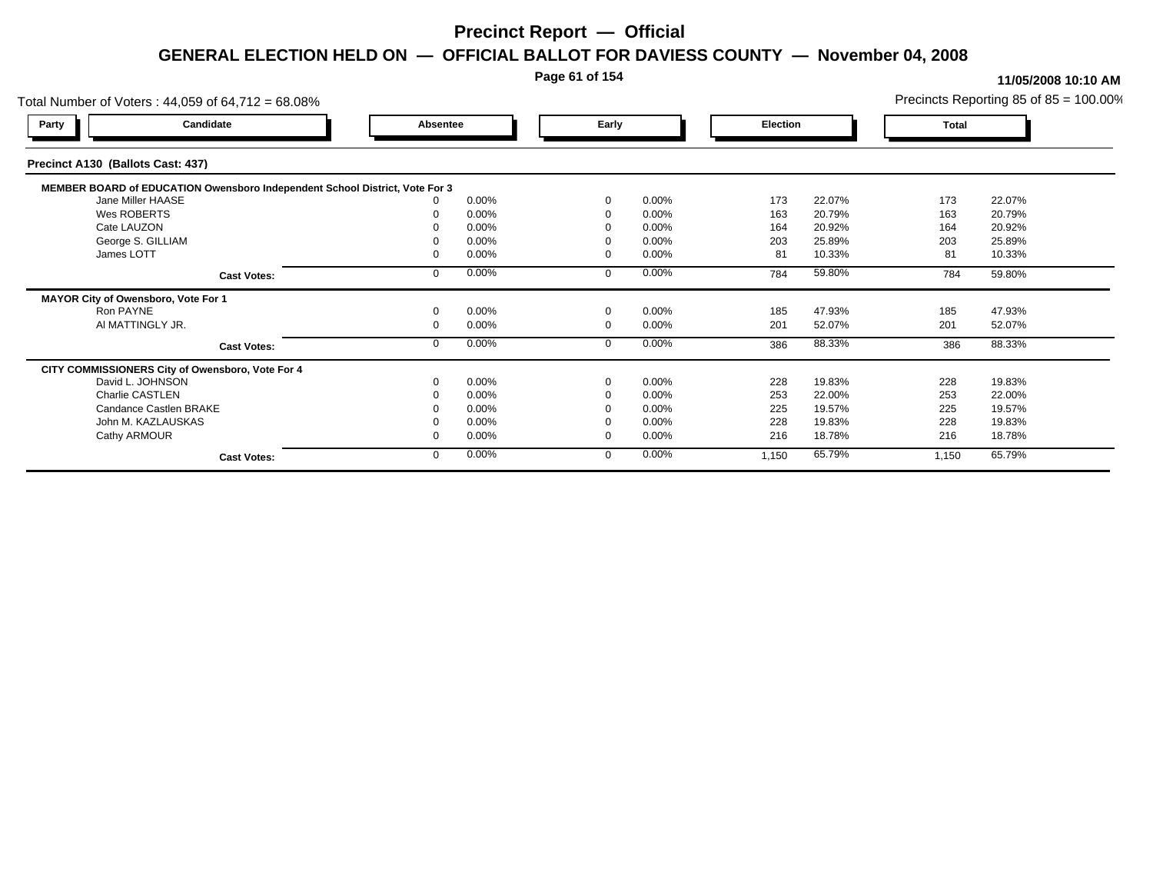### **Page 61 of 154**

| Total Number of Voters: 44,059 of 64,712 = 68.08%                           |          |       |             |          |          |        |       | Precincts Reporting 85 of $85 = 100.00\%$ |
|-----------------------------------------------------------------------------|----------|-------|-------------|----------|----------|--------|-------|-------------------------------------------|
| Candidate<br>Party                                                          | Absentee |       | Early       |          | Election |        | Total |                                           |
| Precinct A130 (Ballots Cast: 437)                                           |          |       |             |          |          |        |       |                                           |
| MEMBER BOARD of EDUCATION Owensboro Independent School District, Vote For 3 |          |       |             |          |          |        |       |                                           |
| Jane Miller HAASE                                                           |          | 0.00% | $\Omega$    | 0.00%    | 173      | 22.07% | 173   | 22.07%                                    |
| Wes ROBERTS                                                                 |          | 0.00% |             | 0.00%    | 163      | 20.79% | 163   | 20.79%                                    |
| Cate LAUZON                                                                 |          | 0.00% |             | 0.00%    | 164      | 20.92% | 164   | 20.92%                                    |
| George S. GILLIAM                                                           |          | 0.00% |             | 0.00%    | 203      | 25.89% | 203   | 25.89%                                    |
| James LOTT                                                                  |          | 0.00% |             | 0.00%    | 81       | 10.33% | 81    | 10.33%                                    |
| <b>Cast Votes:</b>                                                          |          | 0.00% | $\mathbf 0$ | 0.00%    | 784      | 59.80% | 784   | 59.80%                                    |
| MAYOR City of Owensboro, Vote For 1                                         |          |       |             |          |          |        |       |                                           |
| Ron PAYNE                                                                   |          | 0.00% | $\Omega$    | 0.00%    | 185      | 47.93% | 185   | 47.93%                                    |
| AI MATTINGLY JR.                                                            |          | 0.00% | $\Omega$    | 0.00%    | 201      | 52.07% | 201   | 52.07%                                    |
| <b>Cast Votes:</b>                                                          |          | 0.00% | $\Omega$    | 0.00%    | 386      | 88.33% | 386   | 88.33%                                    |
| CITY COMMISSIONERS City of Owensboro, Vote For 4                            |          |       |             |          |          |        |       |                                           |
| David L. JOHNSON                                                            |          | 0.00% | $\Omega$    | $0.00\%$ | 228      | 19.83% | 228   | 19.83%                                    |
| <b>Charlie CASTLEN</b>                                                      |          | 0.00% |             | 0.00%    | 253      | 22.00% | 253   | 22.00%                                    |
| Candance Castlen BRAKE                                                      |          | 0.00% |             | $0.00\%$ | 225      | 19.57% | 225   | 19.57%                                    |
| John M. KAZLAUSKAS                                                          |          | 0.00% |             | $0.00\%$ | 228      | 19.83% | 228   | 19.83%                                    |
| Cathy ARMOUR                                                                |          | 0.00% | $\Omega$    | 0.00%    | 216      | 18.78% | 216   | 18.78%                                    |
| <b>Cast Votes:</b>                                                          |          | 0.00% | $\Omega$    | 0.00%    | 1,150    | 65.79% | 1,150 | 65.79%                                    |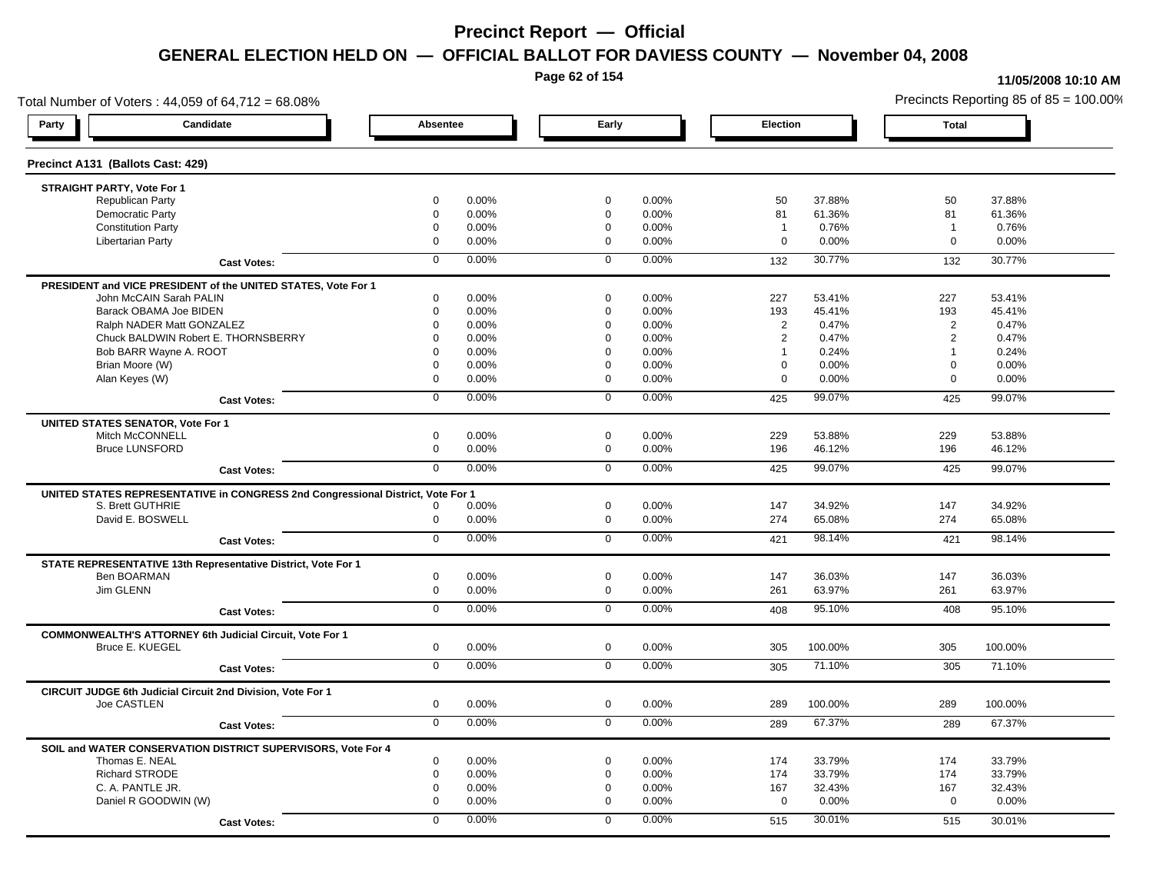**Page 62 of 154**

#### **11/05/2008 10:10 AM**

Total Number of Voters : 44,059 of 64,712 = 68.08% Precincts Reporting 85 of 85 = 100.00% **Party Candidate Absentee Early Election Total Precinct A131 (Ballots Cast: 429) STRAIGHT PARTY, Vote For 1** Republican Party 0 0.00% 0 0.00% 50 37.88% 50 37.88% Democratic Party 0 0.00% 0 0.00% 81 61.36% 81 61.36% Constitution Party 0 0.00% 0 0.00% 1 0.76% 1 0.76% Libertarian Party 0 0.00% 0 0.00% 0 0.00% 0 0.00% **Cast Votes:** 0 0.00% 0 0.00% 132 30.77% 132 30.77% **PRESIDENT and VICE PRESIDENT of the UNITED STATES, Vote For 1** John McCAIN Sarah PALIN John McCAIN Sarah PALIN 0 0.00% 0 0.00% 227 53.41% 227 53.41% Barack OBAMA Joe BIDEN 0 0.00% 0 0.00% 193 45.41% 193 45.41% Ralph NADER Matt GONZALEZ  $0$  0.00% 0 0.00% 0 0.00% 2 0.47% 2 0.47% Chuck BALDWIN Robert E. THORNSBERRY 0 0.00% 0 0.00% 2 0.47% 2 0.47% Bob BARR Wayne A. ROOT **1** 0.24% **0 0.00%** 1 0.24% 1 0.24% 1 0.24% 1 0.24% 1 0.24% 1 0.24% 1 0.24% 1 0.24% 1 0.24% Brian Moore (W) 0 0.00% 0 0.00% 0 0.00% 0 0.00% Alan Keyes (W) 0 0.00% 0 0.00% 0 0.00% 0 0.00% **Cast Votes:** 0 0.00% 0 0.00% 425 99.07% 425 99.07% **UNITED STATES SENATOR, Vote For 1** Mitch McCONNELL 0 0.00% 0 0.00% 229 53.88% 229 53.88% Bruce LUNSFORD 0 0.00% 0 0.00% 196 46.12% 196 46.12% **Cast Votes:** 0 0.00% 0 0.00% 425 99.07% 425 99.07% **UNITED STATES REPRESENTATIVE in CONGRESS 2nd Congressional District, Vote For 1** S. Brett GUTHRIE 0 0.00% 0 0.00% 147 34.92% 147 34.92% David E. BOSWELL 0 0.00% 0 0.00% 274 65.08% 274 65.08% **Cast Votes:** 0 0.00% 0 0.00% 421 98.14% 421 98.14% **STATE REPRESENTATIVE 13th Representative District, Vote For 1** Ben BOARMAN 0 0.00% 0 0.00% 147 36.03% 147 36.03% Jim GLENN 0 0.00% 0 0.00% 261 63.97% 261 63.97% **Cast Votes:** 0 0.00% 0 0.00% 408 95.10% 408 95.10% **COMMONWEALTH'S ATTORNEY 6th Judicial Circuit, Vote For 1** Bruce E. KUEGEL 0 0.00% 0 0.00% 305 100.00% 305 100.00% **Cast Votes:** 0 0.00% 0 0.00% 305 71.10% 305 71.10% **CIRCUIT JUDGE 6th Judicial Circuit 2nd Division, Vote For 1** Joe CASTLEN 0 0.00% 0 0.00% 289 100.00% 289 100.00% **Cast Votes:** 0 0.00% 0 0.00% 289 67.37% 289 67.37% **SOIL and WATER CONSERVATION DISTRICT SUPERVISORS, Vote For 4** Thomas E. NEAL 0 0.00% 0 0.00% 174 33.79% 174 33.79% Richard STRODE 0 0.00% 0 0.00% 174 33.79% 174 33.79% C. A. PANTLE JR. 0 0.00% 0 0.00% 167 32.43% 167 32.43% Daniel R GOODWIN (W) 0 0.00% 0 0.00% 0 0.00% 0 0.00% **Cast Votes:** 0 0.00% 0 0.00% 515 30.01% 515 30.01%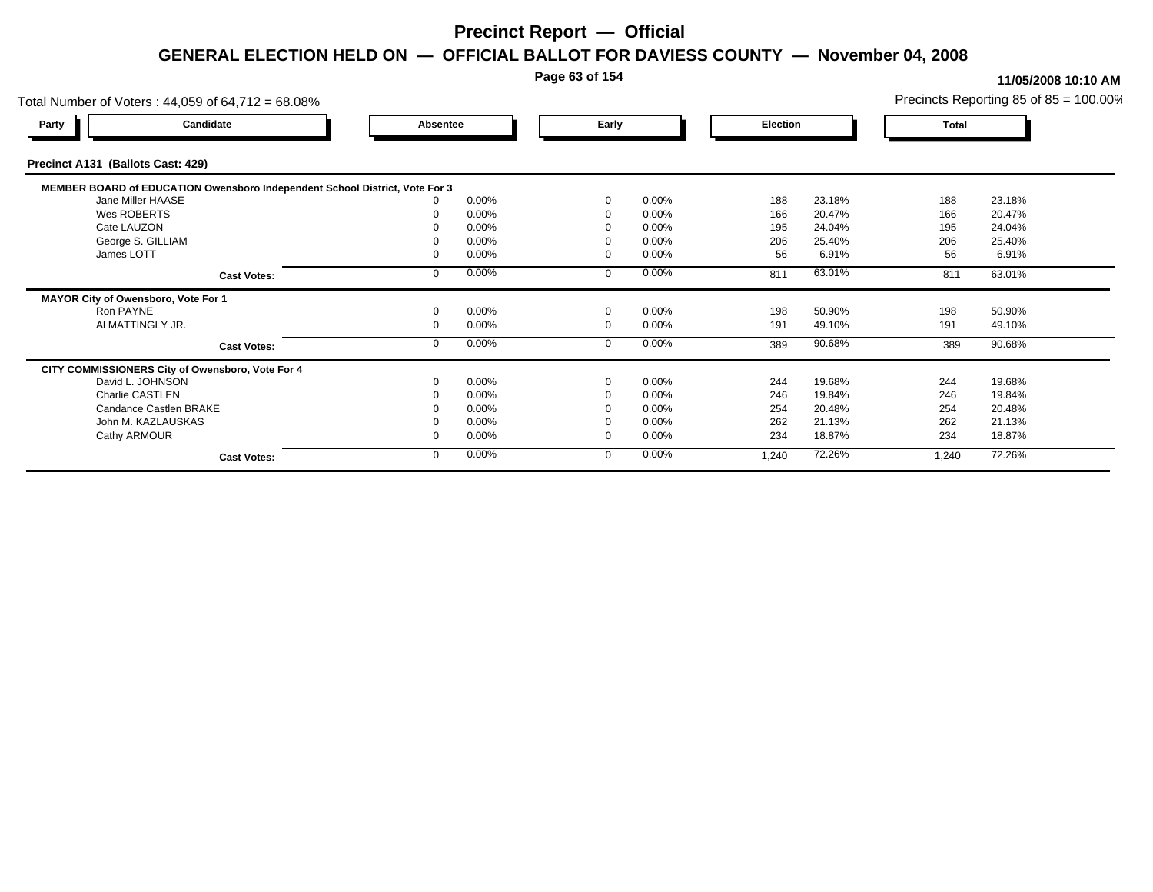### **Page 63 of 154**

| Total Number of Voters: 44,059 of 64,712 = 68.08%                           |                    |          |       |             |          |          |        |       | Precincts Reporting 85 of $85 = 100.00\%$ |
|-----------------------------------------------------------------------------|--------------------|----------|-------|-------------|----------|----------|--------|-------|-------------------------------------------|
| Party                                                                       | Candidate          | Absentee |       | Early       |          | Election |        | Total |                                           |
| Precinct A131 (Ballots Cast: 429)                                           |                    |          |       |             |          |          |        |       |                                           |
| MEMBER BOARD of EDUCATION Owensboro Independent School District, Vote For 3 |                    |          |       |             |          |          |        |       |                                           |
| Jane Miller HAASE                                                           |                    |          | 0.00% | $\Omega$    | 0.00%    | 188      | 23.18% | 188   | 23.18%                                    |
| Wes ROBERTS                                                                 |                    |          | 0.00% | $\Omega$    | 0.00%    | 166      | 20.47% | 166   | 20.47%                                    |
| Cate LAUZON                                                                 |                    |          | 0.00% |             | 0.00%    | 195      | 24.04% | 195   | 24.04%                                    |
| George S. GILLIAM                                                           |                    |          | 0.00% |             | 0.00%    | 206      | 25.40% | 206   | 25.40%                                    |
| James LOTT                                                                  |                    |          | 0.00% | $\Omega$    | 0.00%    | 56       | 6.91%  | 56    | 6.91%                                     |
|                                                                             | <b>Cast Votes:</b> |          | 0.00% | $\Omega$    | 0.00%    | 811      | 63.01% | 811   | 63.01%                                    |
| MAYOR City of Owensboro, Vote For 1                                         |                    |          |       |             |          |          |        |       |                                           |
| Ron PAYNE                                                                   |                    |          | 0.00% | $\mathbf 0$ | 0.00%    | 198      | 50.90% | 198   | 50.90%                                    |
| AI MATTINGLY JR.                                                            |                    |          | 0.00% | $\mathbf 0$ | 0.00%    | 191      | 49.10% | 191   | 49.10%                                    |
|                                                                             | <b>Cast Votes:</b> |          | 0.00% | $\mathbf 0$ | 0.00%    | 389      | 90.68% | 389   | 90.68%                                    |
| CITY COMMISSIONERS City of Owensboro, Vote For 4                            |                    |          |       |             |          |          |        |       |                                           |
| David L. JOHNSON                                                            |                    |          | 0.00% | $\Omega$    | 0.00%    | 244      | 19.68% | 244   | 19.68%                                    |
| Charlie CASTLEN                                                             |                    |          | 0.00% |             | 0.00%    | 246      | 19.84% | 246   | 19.84%                                    |
| Candance Castlen BRAKE                                                      |                    |          | 0.00% |             | 0.00%    | 254      | 20.48% | 254   | 20.48%                                    |
| John M. KAZLAUSKAS                                                          |                    |          | 0.00% |             | $0.00\%$ | 262      | 21.13% | 262   | 21.13%                                    |
| Cathy ARMOUR                                                                |                    |          | 0.00% | $\Omega$    | 0.00%    | 234      | 18.87% | 234   | 18.87%                                    |
|                                                                             | <b>Cast Votes:</b> |          | 0.00% | $\mathbf 0$ | 0.00%    | 1,240    | 72.26% | 1,240 | 72.26%                                    |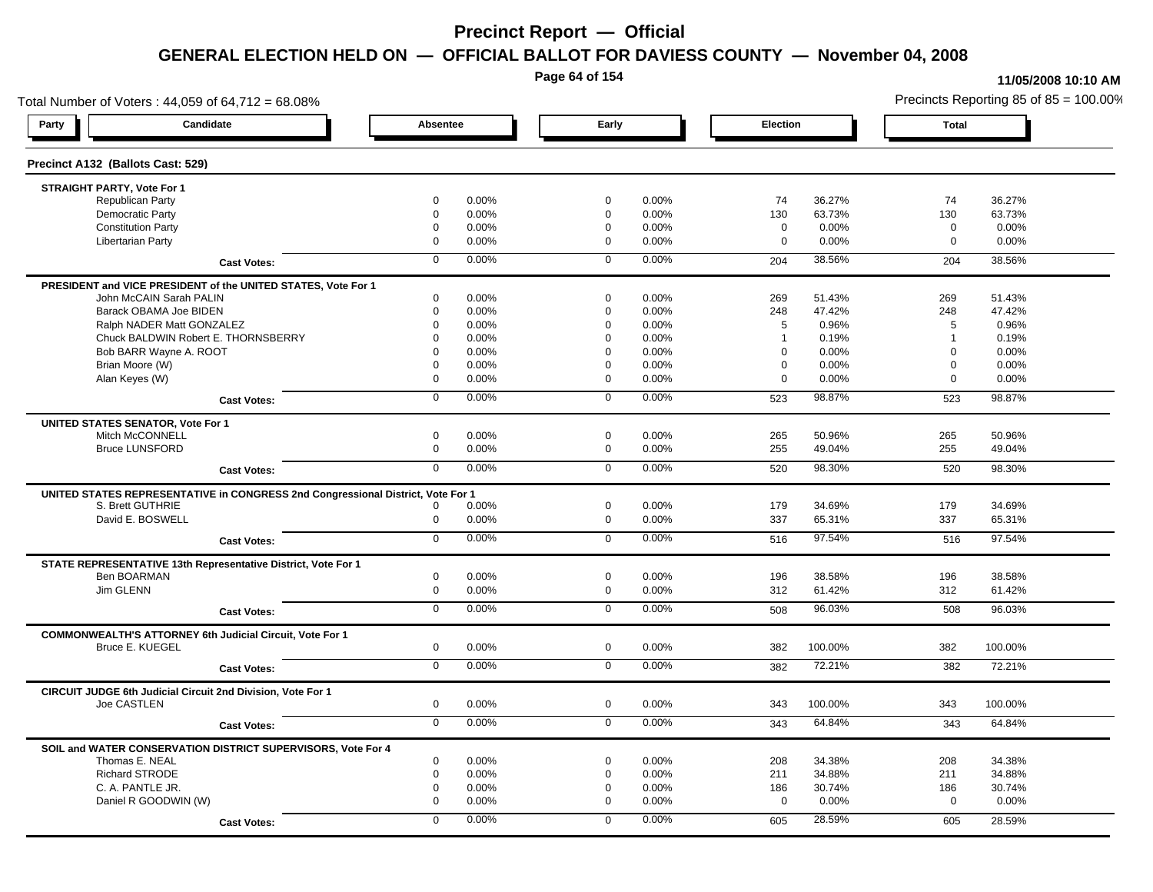**Page 64 of 154**

#### **11/05/2008 10:10 AM**

Total Number of Voters : 44,059 of 64,712 = 68.08% Precincts Reporting 85 of 85 = 100.00% **Party Candidate Absentee Early Election Total Precinct A132 (Ballots Cast: 529) STRAIGHT PARTY, Vote For 1** Republican Party 0 0.00% 0 0.00% 74 36.27% 74 36.27% Democratic Party 0 0.00% 0 0.00% 130 63.73% 130 63.73% Constitution Party 0 0.00% 0 0.00% 0 0.00% 0 0.00% Libertarian Party 0 0.00% 0 0.00% 0 0.00% 0 0.00% **Cast Votes:** 0 0.00% 0 0.00% 204 38.56% 204 38.56% **PRESIDENT and VICE PRESIDENT of the UNITED STATES, Vote For 1** John McCAIN Sarah PALIN John McCAIN Sarah PALIN 0 0.00% 0 0.00% 269 51.43% 269 51.43% Barack OBAMA Joe BIDEN 0 0.00% 0 0.00% 248 47.42% 248 47.42% Ralph NADER Matt GONZALEZ  $0$  0.00% 0 0.00% 5 0.96% 5 0.96% 5 0.96% Chuck BALDWIN Robert E. THORNSBERRY 0 0.00% 0 0.00% 1 0.19% 1 0.19%  $B$ ob BARR Wayne A. ROOT  $0.00\%$   $0.00\%$   $0.00\%$   $0.00\%$   $0.00\%$   $0.00\%$   $0.00\%$   $0.00\%$ Brian Moore (W) 0 0.00% 0 0.00% 0 0.00% 0 0.00% Alan Keyes (W) 0 0.00% 0 0.00% 0 0.00% 0 0.00% **Cast Votes:** 0 0.00% 0 0.00% 523 98.87% 523 98.87% **UNITED STATES SENATOR, Vote For 1** Mitch McCONNELL 0 0.00% 0 0.00% 265 50.96% 265 50.96% Bruce LUNSFORD 0 0.00% 0 0.00% 255 49.04% 255 49.04% **Cast Votes:** 0 0.00% 0 0.00% 520 98.30% 520 98.30% **UNITED STATES REPRESENTATIVE in CONGRESS 2nd Congressional District, Vote For 1** S. Brett GUTHRIE 0 0.00% 0 0.00% 179 34.69% 179 34.69% David E. BOSWELL 0 0.00% 0 0.00% 337 65.31% 337 65.31% **Cast Votes:** 0 0.00% 0 0.00% 516 97.54% 516 97.54% **STATE REPRESENTATIVE 13th Representative District, Vote For 1** Ben BOARMAN 0 0.00% 0 0.00% 196 38.58% 196 38.58% Jim GLENN 0 0.00% 0 0.00% 312 61.42% 312 61.42% **Cast Votes:** 0 0.00% 0 0.00% 508 96.03% 508 96.03% **COMMONWEALTH'S ATTORNEY 6th Judicial Circuit, Vote For 1** Bruce E. KUEGEL 0 0.00% 0 0.00% 382 100.00% 382 100.00% **Cast Votes:** 0 0.00% 0 0.00% 382 72.21% 382 72.21% **CIRCUIT JUDGE 6th Judicial Circuit 2nd Division, Vote For 1** Joe CASTLEN 0 0.00% 0 0.00% 343 100.00% 343 100.00% **Cast Votes:** 0 0.00% 0 0.00% 343 64.84% 343 64.84% **SOIL and WATER CONSERVATION DISTRICT SUPERVISORS, Vote For 4** Thomas E. NEAL 0 0.00% 0 0.00% 208 34.38% 208 34.38% Richard STRODE 0 0.00% 0 0.00% 211 34.88% 211 34.88% C. A. PANTLE JR. 0 0.00% 0 0.00% 186 30.74% 186 30.74% Daniel R GOODWIN (W) 0 0.00% 0 0.00% 0 0.00% 0 0.00% **Cast Votes:** 0 0.00% 0 0.00% 605 28.59% 605 28.59%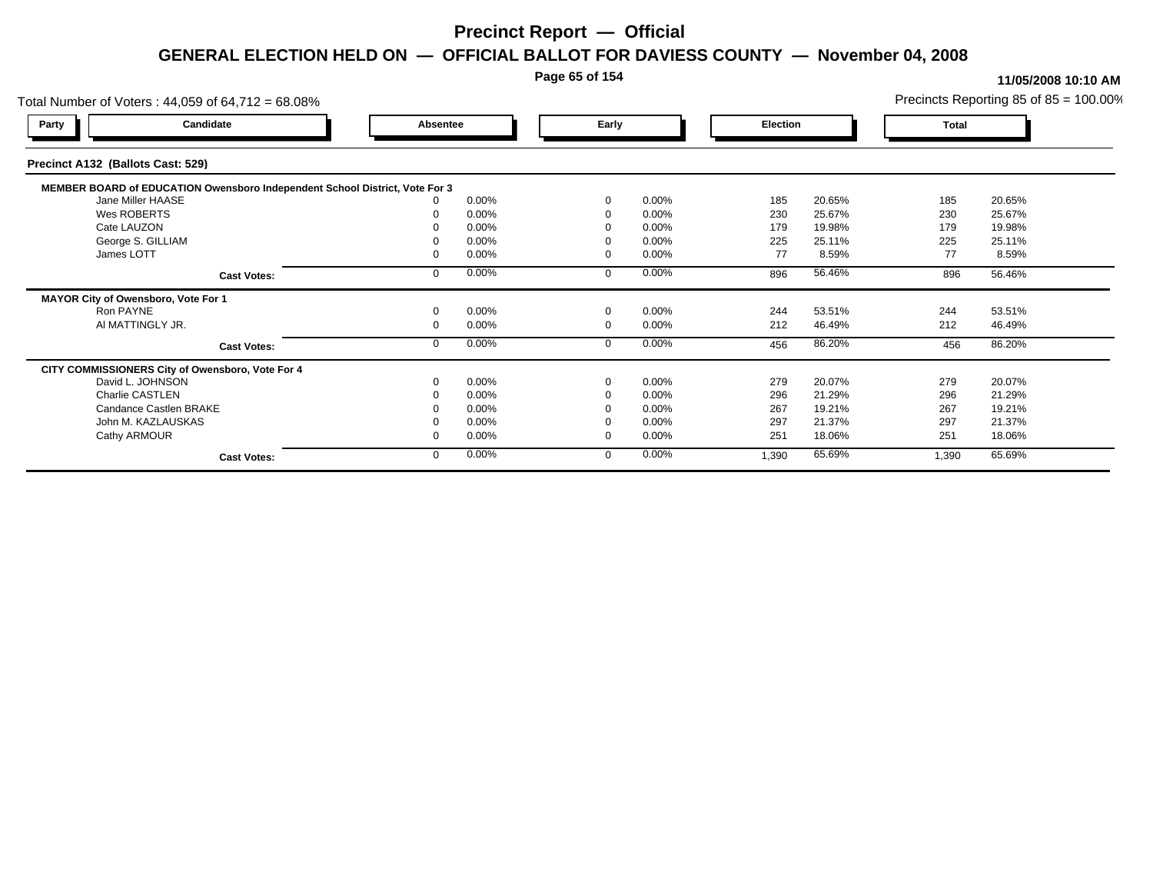### **Page 65 of 154**

| Total Number of Voters: 44,059 of 64,712 = 68.08% |                                                                             |          |       |             |          |       |          |       | Precincts Reporting 85 of $85 = 100.00\%$ |  |
|---------------------------------------------------|-----------------------------------------------------------------------------|----------|-------|-------------|----------|-------|----------|-------|-------------------------------------------|--|
| Party                                             | Candidate                                                                   | Absentee |       | Early       |          |       | Election |       | Total                                     |  |
| Precinct A132 (Ballots Cast: 529)                 |                                                                             |          |       |             |          |       |          |       |                                           |  |
|                                                   | MEMBER BOARD of EDUCATION Owensboro Independent School District, Vote For 3 |          |       |             |          |       |          |       |                                           |  |
| Jane Miller HAASE                                 |                                                                             |          | 0.00% | $\Omega$    | 0.00%    | 185   | 20.65%   | 185   | 20.65%                                    |  |
| Wes ROBERTS                                       |                                                                             |          | 0.00% | $\Omega$    | 0.00%    | 230   | 25.67%   | 230   | 25.67%                                    |  |
| Cate LAUZON                                       |                                                                             |          | 0.00% |             | 0.00%    | 179   | 19.98%   | 179   | 19.98%                                    |  |
| George S. GILLIAM                                 |                                                                             |          | 0.00% |             | 0.00%    | 225   | 25.11%   | 225   | 25.11%                                    |  |
| James LOTT                                        |                                                                             |          | 0.00% | $\Omega$    | 0.00%    | 77    | 8.59%    | 77    | 8.59%                                     |  |
|                                                   | <b>Cast Votes:</b>                                                          |          | 0.00% | $\Omega$    | 0.00%    | 896   | 56.46%   | 896   | 56.46%                                    |  |
| MAYOR City of Owensboro, Vote For 1               |                                                                             |          |       |             |          |       |          |       |                                           |  |
| Ron PAYNE                                         |                                                                             |          | 0.00% | $\mathbf 0$ | 0.00%    | 244   | 53.51%   | 244   | 53.51%                                    |  |
| AI MATTINGLY JR.                                  |                                                                             |          | 0.00% | $\mathbf 0$ | 0.00%    | 212   | 46.49%   | 212   | 46.49%                                    |  |
|                                                   | <b>Cast Votes:</b>                                                          |          | 0.00% | $\mathbf 0$ | 0.00%    | 456   | 86.20%   | 456   | 86.20%                                    |  |
| CITY COMMISSIONERS City of Owensboro, Vote For 4  |                                                                             |          |       |             |          |       |          |       |                                           |  |
| David L. JOHNSON                                  |                                                                             |          | 0.00% | $\Omega$    | 0.00%    | 279   | 20.07%   | 279   | 20.07%                                    |  |
| Charlie CASTLEN                                   |                                                                             |          | 0.00% |             | 0.00%    | 296   | 21.29%   | 296   | 21.29%                                    |  |
| Candance Castlen BRAKE                            |                                                                             |          | 0.00% |             | 0.00%    | 267   | 19.21%   | 267   | 19.21%                                    |  |
| John M. KAZLAUSKAS                                |                                                                             |          | 0.00% |             | $0.00\%$ | 297   | 21.37%   | 297   | 21.37%                                    |  |
| Cathy ARMOUR                                      |                                                                             |          | 0.00% | $\Omega$    | 0.00%    | 251   | 18.06%   | 251   | 18.06%                                    |  |
|                                                   | <b>Cast Votes:</b>                                                          |          | 0.00% | $\mathbf 0$ | 0.00%    | 1,390 | 65.69%   | 1,390 | 65.69%                                    |  |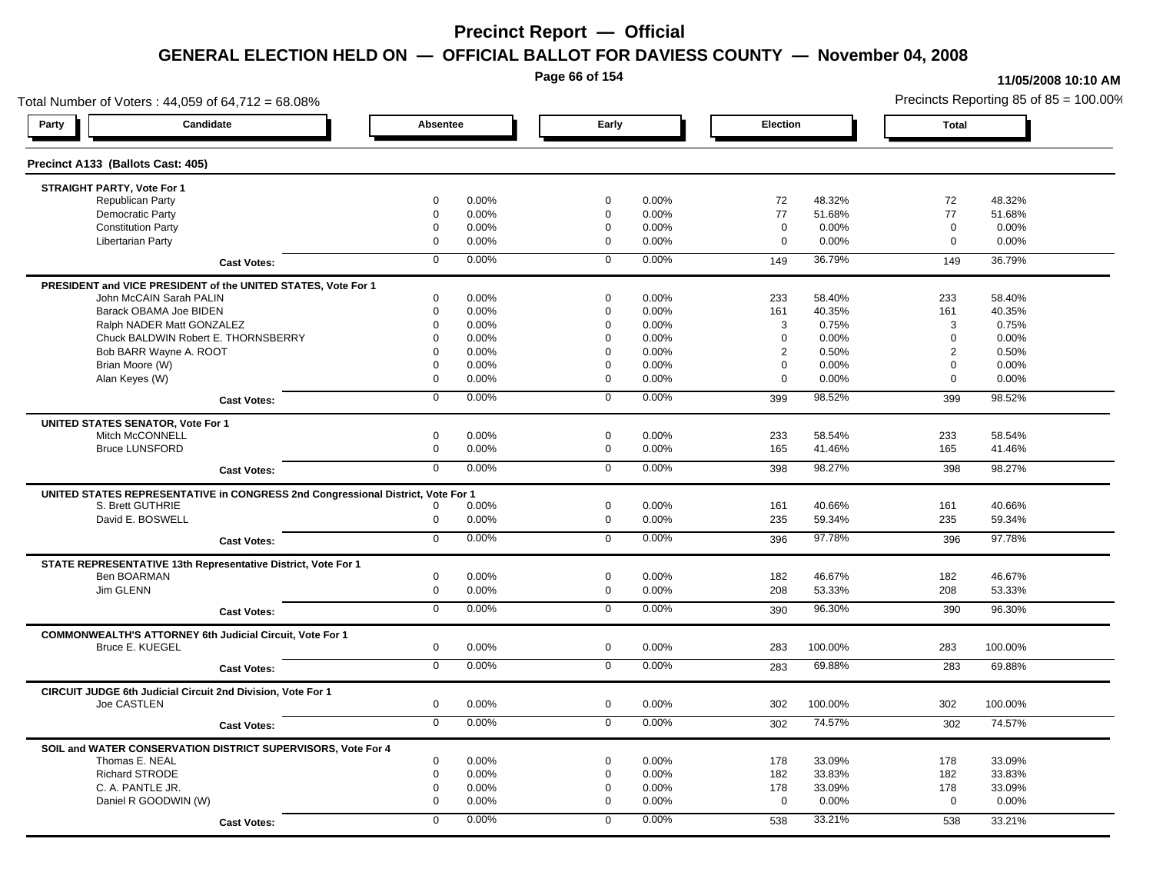**Page 66 of 154**

#### **11/05/2008 10:10 AM**

Total Number of Voters : 44,059 of 64,712 = 68.08% Precincts Reporting 85 of 85 = 100.00% **Party Candidate Absentee Early Election Total Precinct A133 (Ballots Cast: 405) STRAIGHT PARTY, Vote For 1** Republican Party 0 0.00% 0 0.00% 72 48.32% 72 48.32% Democratic Party 0 0.00% 0 0.00% 77 51.68% 77 51.68% Constitution Party 0 0.00% 0 0.00% 0 0.00% 0 0.00% Libertarian Party 0 0.00% 0 0.00% 0 0.00% 0 0.00% **Cast Votes:** 0 0.00% 0 0.00% 149 36.79% 149 36.79% **PRESIDENT and VICE PRESIDENT of the UNITED STATES, Vote For 1** John McCAIN Sarah PALIN John McCAIN Sarah PALIN 0 0.00% 0 0.00% 233 58.40% 233 58.40% Barack OBAMA Joe BIDEN 0 0.00% 0 0.00% 161 40.35% 161 40.35% Ralph NADER Matt GONZALEZ  $0$  0.00% 0 0.00% 3 0.75% 3 0.75% 3 0.75% Chuck BALDWIN Robert E. THORNSBERRY 0 0.00% 0 0.00% 0 0.00% 0 0.00% Bob BARR Wayne A. ROOT **2** 0.50% 0 0.00% 0 0.00% 0 0.00% 0 0.00% 2 0.50% 2 0.50% 2 0.50% Brian Moore (W) 0 0.00% 0 0.00% 0 0.00% 0 0.00% Alan Keyes (W) 0 0.00% 0 0.00% 0 0.00% 0 0.00% **Cast Votes:** 0 0.00% 0 0.00% 399 98.52% 399 98.52% **UNITED STATES SENATOR, Vote For 1** Mitch McCONNELL 0 0.00% 0 0.00% 233 58.54% 233 58.54% Bruce LUNSFORD 0 0.00% 0 0.00% 165 41.46% 165 41.46% **Cast Votes:** 0 0.00% 0 0.00% 398 98.27% 398 98.27% **UNITED STATES REPRESENTATIVE in CONGRESS 2nd Congressional District, Vote For 1** S. Brett GUTHRIE 0 0.00% 0 0.00% 161 40.66% 161 40.66% David E. BOSWELL 0 0.00% 0 0.00% 235 59.34% 235 59.34% **Cast Votes:** 0 0.00% 0 0.00% 396 97.78% 396 97.78% **STATE REPRESENTATIVE 13th Representative District, Vote For 1** Ben BOARMAN 0 0.00% 0 0.00% 182 46.67% 182 46.67% Jim GLENN 0 0.00% 0 0.00% 208 53.33% 208 53.33% **Cast Votes:** 0 0.00% 0 0.00% 390 96.30% 390 96.30% **COMMONWEALTH'S ATTORNEY 6th Judicial Circuit, Vote For 1** Bruce E. KUEGEL 0 0.00% 0 0.00% 283 100.00% 283 100.00% **Cast Votes:** 0 0.00% 0 0.00% 283 69.88% 283 69.88% **CIRCUIT JUDGE 6th Judicial Circuit 2nd Division, Vote For 1** Joe CASTLEN 0 0.00% 0 0.00% 302 100.00% 302 100.00% **Cast Votes:** 0 0.00% 0 0.00% 302 74.57% 302 74.57% **SOIL and WATER CONSERVATION DISTRICT SUPERVISORS, Vote For 4** Thomas E. NEAL 0 0.00% 0 0.00% 178 33.09% 178 33.09% Richard STRODE 0 0.00% 0 0.00% 182 33.83% 182 33.83% C. A. PANTLE JR. 0 0.00% 0 0.00% 178 33.09% 178 33.09% Daniel R GOODWIN (W) 0 0.00% 0 0.00% 0 0.00% 0 0.00% **Cast Votes:** 0 0.00% 0 0.00% 538 33.21% 538 33.21%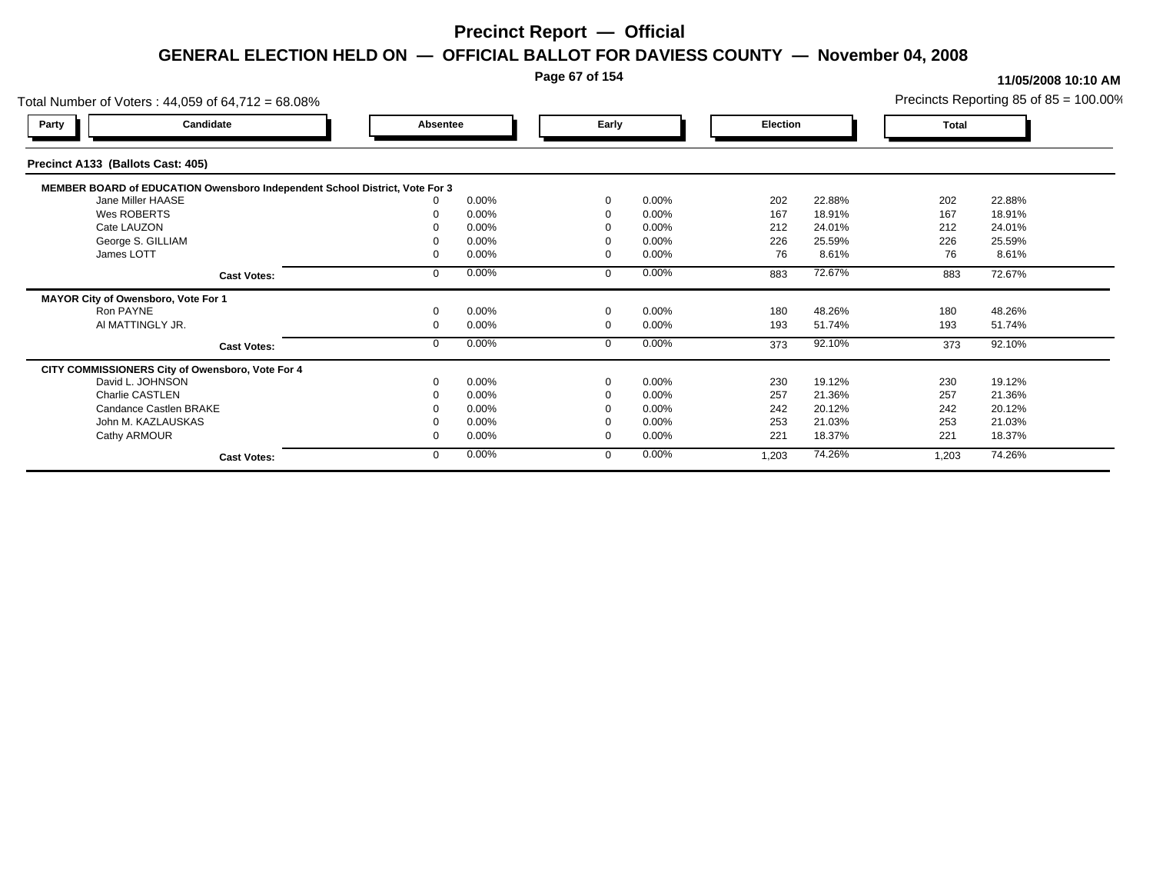### **Page 67 of 154**

| Total Number of Voters: 44,059 of 64,712 = 68.08%                           |                    |          |       |             |          |          |        |       | Precincts Reporting 85 of $85 = 100.00\%$ |
|-----------------------------------------------------------------------------|--------------------|----------|-------|-------------|----------|----------|--------|-------|-------------------------------------------|
| Party                                                                       | Candidate          | Absentee |       | Early       |          | Election |        | Total |                                           |
| Precinct A133 (Ballots Cast: 405)                                           |                    |          |       |             |          |          |        |       |                                           |
| MEMBER BOARD of EDUCATION Owensboro Independent School District, Vote For 3 |                    |          |       |             |          |          |        |       |                                           |
| Jane Miller HAASE                                                           |                    |          | 0.00% | $\Omega$    | 0.00%    | 202      | 22.88% | 202   | 22.88%                                    |
| Wes ROBERTS                                                                 |                    |          | 0.00% | $\Omega$    | 0.00%    | 167      | 18.91% | 167   | 18.91%                                    |
| Cate LAUZON                                                                 |                    |          | 0.00% |             | 0.00%    | 212      | 24.01% | 212   | 24.01%                                    |
| George S. GILLIAM                                                           |                    |          | 0.00% |             | 0.00%    | 226      | 25.59% | 226   | 25.59%                                    |
| James LOTT                                                                  |                    |          | 0.00% | $\Omega$    | 0.00%    | 76       | 8.61%  | 76    | 8.61%                                     |
|                                                                             | <b>Cast Votes:</b> |          | 0.00% | $\Omega$    | 0.00%    | 883      | 72.67% | 883   | 72.67%                                    |
| MAYOR City of Owensboro, Vote For 1                                         |                    |          |       |             |          |          |        |       |                                           |
| Ron PAYNE                                                                   |                    |          | 0.00% | $\mathbf 0$ | 0.00%    | 180      | 48.26% | 180   | 48.26%                                    |
| AI MATTINGLY JR.                                                            |                    |          | 0.00% | $\mathbf 0$ | 0.00%    | 193      | 51.74% | 193   | 51.74%                                    |
|                                                                             | <b>Cast Votes:</b> |          | 0.00% | $\mathbf 0$ | 0.00%    | 373      | 92.10% | 373   | 92.10%                                    |
| CITY COMMISSIONERS City of Owensboro, Vote For 4                            |                    |          |       |             |          |          |        |       |                                           |
| David L. JOHNSON                                                            |                    |          | 0.00% | $\Omega$    | 0.00%    | 230      | 19.12% | 230   | 19.12%                                    |
| Charlie CASTLEN                                                             |                    |          | 0.00% |             | 0.00%    | 257      | 21.36% | 257   | 21.36%                                    |
| Candance Castlen BRAKE                                                      |                    |          | 0.00% |             | 0.00%    | 242      | 20.12% | 242   | 20.12%                                    |
| John M. KAZLAUSKAS                                                          |                    |          | 0.00% |             | $0.00\%$ | 253      | 21.03% | 253   | 21.03%                                    |
| Cathy ARMOUR                                                                |                    |          | 0.00% | $\Omega$    | 0.00%    | 221      | 18.37% | 221   | 18.37%                                    |
|                                                                             | <b>Cast Votes:</b> |          | 0.00% | $\mathbf 0$ | 0.00%    | 1,203    | 74.26% | 1,203 | 74.26%                                    |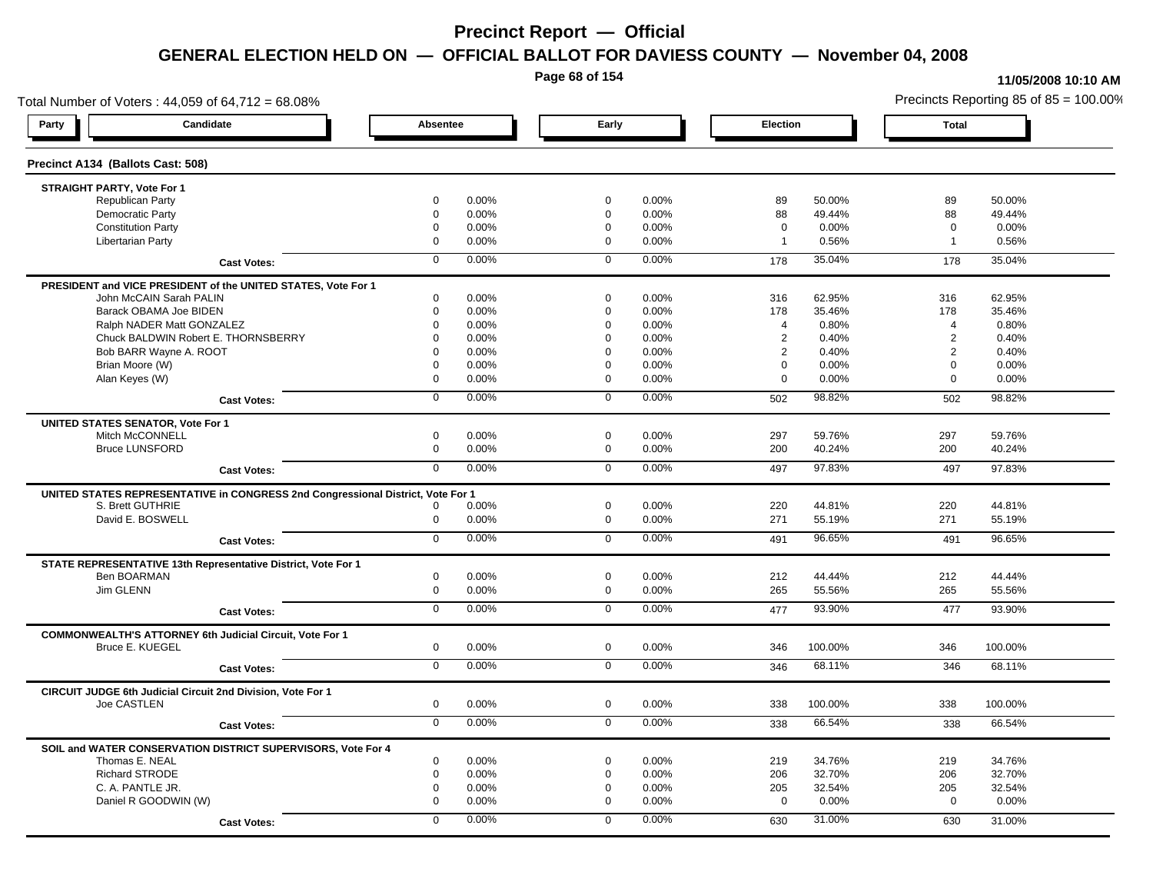**Page 68 of 154**

#### **11/05/2008 10:10 AM**

Total Number of Voters : 44,059 of 64,712 = 68.08% Precincts Reporting 85 of 85 = 100.00% **Party Candidate Absentee Early Election Total Precinct A134 (Ballots Cast: 508) STRAIGHT PARTY, Vote For 1** Republican Party 0 0.00% 0 0.00% 89 50.00% 89 50.00% Democratic Party 0 0.00% 0 0.00% 88 49.44% 88 49.44% Constitution Party 0 0.00% 0 0.00% 0 0.00% 0 0.00% Libertarian Party 0 0.00% 0 0.00% 1 0.56% 1 0.56% **Cast Votes:** 0 0.00% 0 0.00% 178 35.04% 178 35.04% **PRESIDENT and VICE PRESIDENT of the UNITED STATES, Vote For 1** John McCAIN Sarah PALIN John McCAIN Sarah PALIN 0 0.00% 0 0.00% 316 62.95% 316 62.95% Barack OBAMA Joe BIDEN 0 0.00% 0 0.00% 178 35.46% 178 35.46% Ralph NADER Matt GONZALEZ  $\begin{array}{cccc} 0 & 0.00\% & 0.00\% & 0.00\% & 4 & 0.80\% \end{array}$  4 0.80% 4 0.80% Chuck BALDWIN Robert E. THORNSBERRY 0 0.00% 0 0.00% 2 0.40% 2 0.40% Bob BARR Wayne A. ROOT **2** 0.40% 0 0.00% 0 0.00% 0 0.00% 0 0.00% 2 0.40% 2 0.40% 2 0.40% Brian Moore (W) 0 0.00% 0 0.00% 0 0.00% 0 0.00% Alan Keyes (W) 0 0.00% 0 0.00% 0 0.00% 0 0.00% **Cast Votes:** 0 0.00% 0 0.00% 502 98.82% 502 98.82% **UNITED STATES SENATOR, Vote For 1** Mitch McCONNELL 0 0.00% 0 0.00% 297 59.76% 297 59.76% Bruce LUNSFORD 0 0.00% 0 0.00% 200 40.24% 200 40.24% **Cast Votes:** 0 0.00% 0 0.00% 497 97.83% 497 97.83% **UNITED STATES REPRESENTATIVE in CONGRESS 2nd Congressional District, Vote For 1** S. Brett GUTHRIE 0 0.00% 0 0.00% 220 44.81% 220 44.81% David E. BOSWELL 0 0.00% 0 0.00% 271 55.19% 271 55.19% **Cast Votes:** 0 0.00% 0 0.00% 491 96.65% 491 96.65% **STATE REPRESENTATIVE 13th Representative District, Vote For 1** Ben BOARMAN 0 0.00% 0 0.00% 212 44.44% 212 44.44% Jim GLENN 0 0.00% 0 0.00% 265 55.56% 265 55.56% **Cast Votes:** 0 0.00% 0 0.00% 477 93.90% 477 93.90% **COMMONWEALTH'S ATTORNEY 6th Judicial Circuit, Vote For 1** Bruce E. KUEGEL 0 0.00% 0 0.00% 346 100.00% 346 100.00% **Cast Votes:** 0 0.00% 0 0.00% 346 68.11% 346 68.11% **CIRCUIT JUDGE 6th Judicial Circuit 2nd Division, Vote For 1** Joe CASTLEN 0 0.00% 0 0.00% 338 100.00% 338 100.00% **Cast Votes:** 0 0.00% 0 0.00% 338 66.54% 338 66.54% **SOIL and WATER CONSERVATION DISTRICT SUPERVISORS, Vote For 4** Thomas E. NEAL 0 0.00% 0 0.00% 219 34.76% 219 34.76% Richard STRODE 0 0.00% 0 0.00% 206 32.70% 206 32.70% C. A. PANTLE JR. 0 0.00% 0 0.00% 205 32.54% 205 32.54% Daniel R GOODWIN (W) 0 0.00% 0 0.00% 0 0.00% 0 0.00% **Cast Votes:** 0 0.00% 0 0.00% 630 31.00% 630 31.00%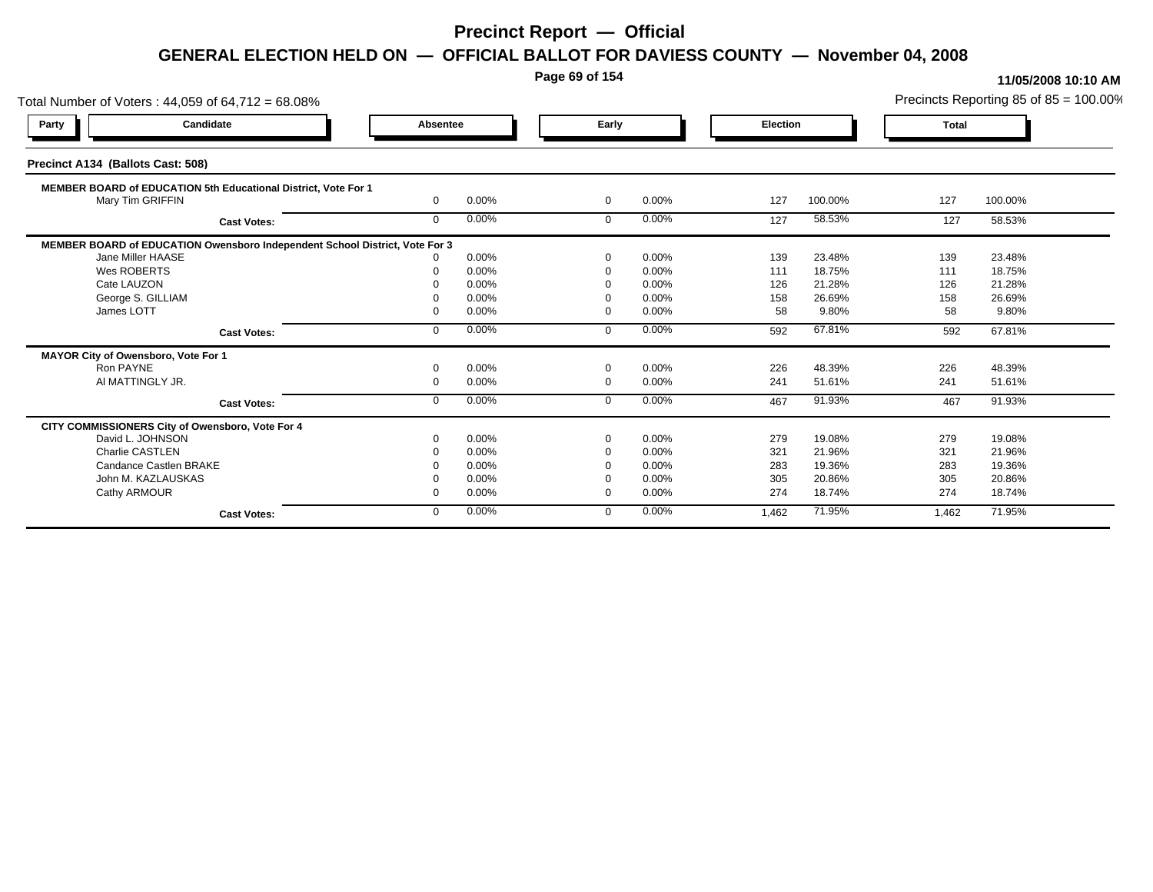**Page 69 of 154**

| Total Number of Voters: 44,059 of 64,712 = 68.08%                           |              | Precincts Reporting 85 of 85 = 100.00% |                |       |          |         |              |         |
|-----------------------------------------------------------------------------|--------------|----------------------------------------|----------------|-------|----------|---------|--------------|---------|
| Candidate<br>Party                                                          | Absentee     |                                        | Early          |       | Election |         | <b>Total</b> |         |
| Precinct A134 (Ballots Cast: 508)                                           |              |                                        |                |       |          |         |              |         |
| MEMBER BOARD of EDUCATION 5th Educational District, Vote For 1              |              |                                        |                |       |          |         |              |         |
| Mary Tim GRIFFIN                                                            | $\mathbf{0}$ | 0.00%                                  | $\overline{0}$ | 0.00% | 127      | 100.00% | 127          | 100.00% |
| <b>Cast Votes:</b>                                                          | $\mathbf{0}$ | 0.00%                                  | $\mathbf 0$    | 0.00% | 127      | 58.53%  | 127          | 58.53%  |
| MEMBER BOARD of EDUCATION Owensboro Independent School District, Vote For 3 |              |                                        |                |       |          |         |              |         |
| Jane Miller HAASE                                                           |              | 0.00%                                  | $\Omega$       | 0.00% | 139      | 23.48%  | 139          | 23.48%  |
| Wes ROBERTS                                                                 |              | 0.00%                                  | $\Omega$       | 0.00% | 111      | 18.75%  | 111          | 18.75%  |
| Cate LAUZON                                                                 |              | 0.00%                                  |                | 0.00% | 126      | 21.28%  | 126          | 21.28%  |
| George S. GILLIAM                                                           |              | 0.00%                                  | - 0            | 0.00% | 158      | 26.69%  | 158          | 26.69%  |
| James LOTT                                                                  |              | 0.00%                                  | $\Omega$       | 0.00% | 58       | 9.80%   | 58           | 9.80%   |
| <b>Cast Votes:</b>                                                          | $\Omega$     | 0.00%                                  | $\Omega$       | 0.00% | 592      | 67.81%  | 592          | 67.81%  |
| MAYOR City of Owensboro, Vote For 1                                         |              |                                        |                |       |          |         |              |         |
| Ron PAYNE                                                                   |              | 0.00%                                  | $\Omega$       | 0.00% | 226      | 48.39%  | 226          | 48.39%  |
| AI MATTINGLY JR.                                                            | $\Omega$     | 0.00%                                  | $\overline{0}$ | 0.00% | 241      | 51.61%  | 241          | 51.61%  |
| <b>Cast Votes:</b>                                                          | $\Omega$     | 0.00%                                  | $\Omega$       | 0.00% | 467      | 91.93%  | 467          | 91.93%  |
| CITY COMMISSIONERS City of Owensboro, Vote For 4                            |              |                                        |                |       |          |         |              |         |
| David L. JOHNSON                                                            |              | 0.00%                                  | $\Omega$       | 0.00% | 279      | 19.08%  | 279          | 19.08%  |
| <b>Charlie CASTLEN</b>                                                      |              | 0.00%                                  | $\Omega$       | 0.00% | 321      | 21.96%  | 321          | 21.96%  |
| Candance Castlen BRAKE                                                      |              | 0.00%                                  |                | 0.00% | 283      | 19.36%  | 283          | 19.36%  |
| John M. KAZLAUSKAS                                                          |              | 0.00%                                  |                | 0.00% | 305      | 20.86%  | 305          | 20.86%  |
| Cathy ARMOUR                                                                |              | 0.00%                                  | $\Omega$       | 0.00% | 274      | 18.74%  | 274          | 18.74%  |
| <b>Cast Votes:</b>                                                          | $\mathbf{0}$ | 0.00%                                  | $\Omega$       | 0.00% | 1,462    | 71.95%  | 1,462        | 71.95%  |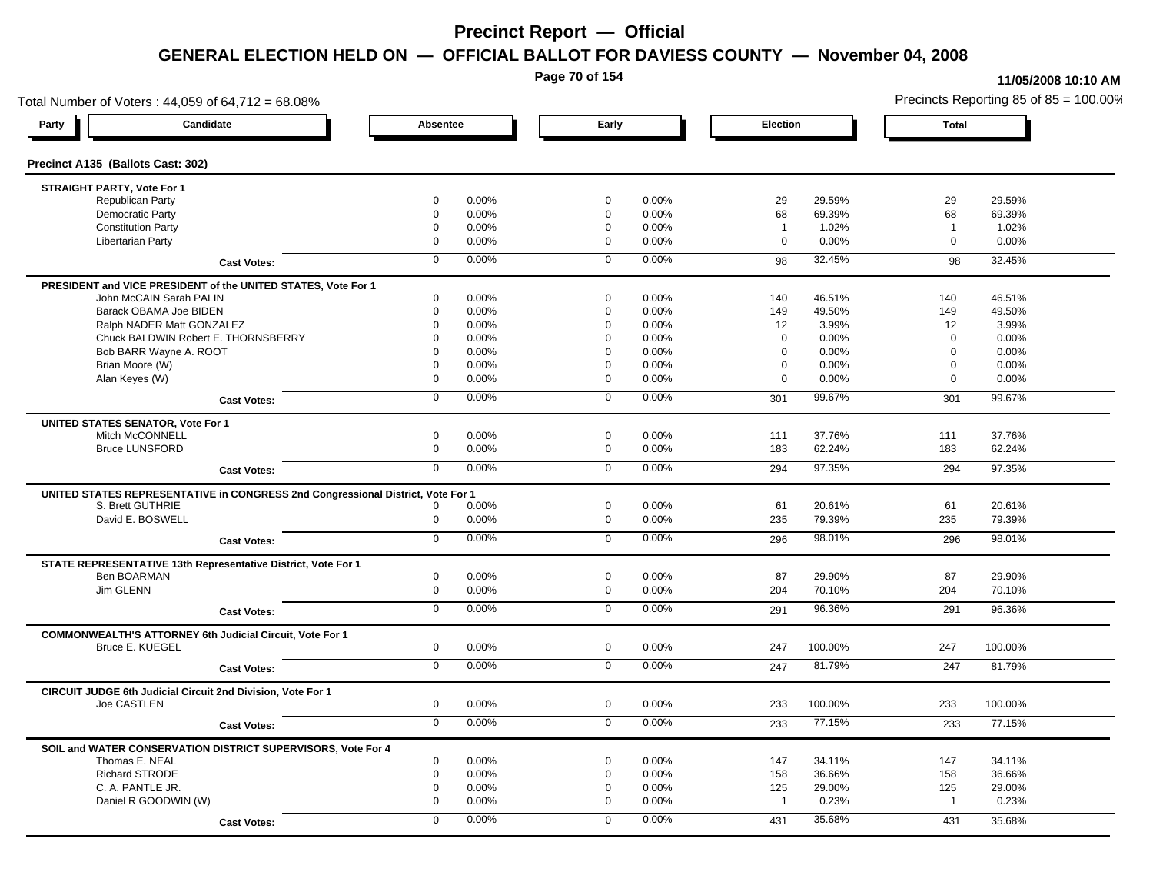**Page 70 of 154**

### **11/05/2008 10:10 AM**

Total Number of Voters : 44,059 of 64,712 = 68.08% Precincts Reporting 85 of 85 = 100.00% **Party Candidate Absentee Early Election Total Precinct A135 (Ballots Cast: 302) STRAIGHT PARTY, Vote For 1** Republican Party 0 0.00% 0 0.00% 29 29.59% 29 29.59% Democratic Party 0 0.00% 0 0.00% 68 69.39% 68 69.39% Constitution Party 0 0.00% 0 0.00% 1 1.02% 1 1.02% Libertarian Party 0 0.00% 0 0.00% 0 0.00% 0 0.00% **Cast Votes:** 0 0.00% 0 0.00% 98 32.45% 98 32.45% **PRESIDENT and VICE PRESIDENT of the UNITED STATES, Vote For 1** John McCAIN Sarah PALIN John McCAIN Sarah PALIN 0 0.00% 0 0.00% 140 46.51% 140 46.51% Barack OBAMA Joe BIDEN 0 0.00% 0 0.00% 149 49.50% 149 49.50% Ralph NADER Matt GONZALEZ  $0$  0.00% 0 0.00% 12 3.99% 12 3.99% Chuck BALDWIN Robert E. THORNSBERRY 0 0.00% 0 0.00% 0 0.00% 0 0.00%  $B$ ob BARR Wayne A. ROOT  $0.00\%$   $0.00\%$   $0.00\%$   $0.00\%$   $0.00\%$   $0.00\%$   $0.00\%$   $0.00\%$ Brian Moore (W) 0 0.00% 0 0.00% 0 0.00% 0 0.00% Alan Keyes (W) 0 0.00% 0 0.00% 0 0.00% 0 0.00% **Cast Votes:** 0 0.00% 0 0.00% 301 99.67% 301 99.67% **UNITED STATES SENATOR, Vote For 1** Mitch McCONNELL 0 0.00% 0 0.00% 111 37.76% 111 37.76% Bruce LUNSFORD 0 0.00% 0 0.00% 183 62.24% 183 62.24% **Cast Votes:** 0 0.00% 0 0.00% 294 97.35% 294 97.35% **UNITED STATES REPRESENTATIVE in CONGRESS 2nd Congressional District, Vote For 1** S. Brett GUTHRIE 0 0.00% 0 0.00% 61 20.61% 61 20.61% David E. BOSWELL 0 0.00% 0 0.00% 235 79.39% 235 79.39% **Cast Votes:** 0 0.00% 0 0.00% 296 98.01% 296 98.01% **STATE REPRESENTATIVE 13th Representative District, Vote For 1** Ben BOARMAN 0 0.00% 0 0.00% 87 29.90% 87 29.90% Jim GLENN 0 0.00% 0 0.00% 204 70.10% 204 70.10% **Cast Votes:** 0 0.00% 0 0.00% 291 96.36% 291 96.36% **COMMONWEALTH'S ATTORNEY 6th Judicial Circuit, Vote For 1** Bruce E. KUEGEL 0 0.00% 0 0.00% 247 100.00% 247 100.00% **Cast Votes:** 0 0.00% 0 0.00% 247 81.79% 247 81.79% **CIRCUIT JUDGE 6th Judicial Circuit 2nd Division, Vote For 1** Joe CASTLEN 0 0.00% 0 0.00% 233 100.00% 233 100.00% **Cast Votes:** 0 0.00% 0 0.00% 233 77.15% 233 77.15% **SOIL and WATER CONSERVATION DISTRICT SUPERVISORS, Vote For 4** Thomas E. NEAL 0 0.00% 0 0.00% 147 34.11% 147 34.11% Richard STRODE 0 0.00% 0 0.00% 158 36.66% 158 36.66% C. A. PANTLE JR. 0 0.00% 0 0.00% 125 29.00% 125 29.00% Daniel R GOODWIN (W) 0 0.00% 0 0.00% 1 0.23% 1 0.23% **Cast Votes:** 0 0.00% 0 0.00% 431 35.68% 431 35.68%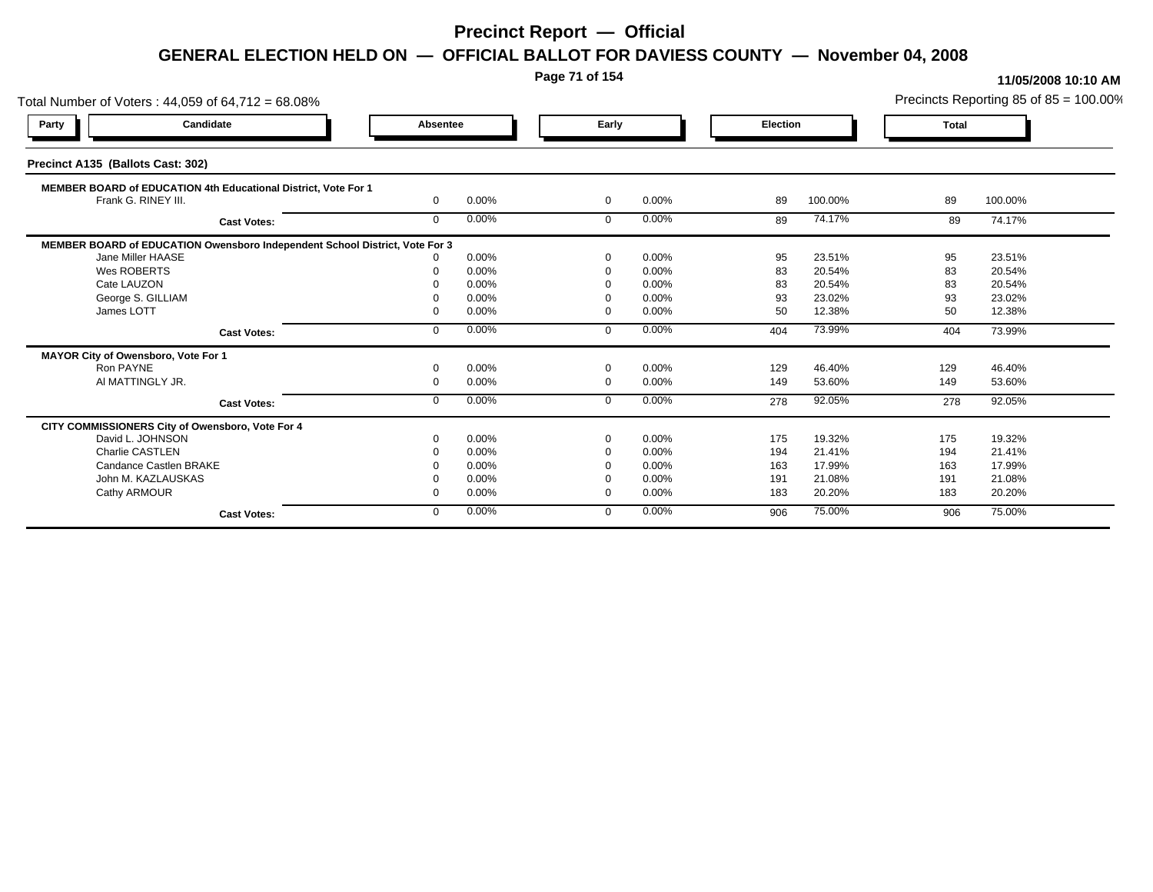**Page 71 of 154**

| Total Number of Voters: 44,059 of 64,712 = 68.08%                           | Precincts Reporting 85 of 85 = 100.00% |       |                |       |          |         |              |         |
|-----------------------------------------------------------------------------|----------------------------------------|-------|----------------|-------|----------|---------|--------------|---------|
| Candidate<br>Party                                                          | Absentee                               |       | Early          |       | Election |         | <b>Total</b> |         |
| Precinct A135 (Ballots Cast: 302)                                           |                                        |       |                |       |          |         |              |         |
| MEMBER BOARD of EDUCATION 4th Educational District, Vote For 1              |                                        |       |                |       |          |         |              |         |
| Frank G. RINEY III.                                                         | $\mathbf{0}$                           | 0.00% | $\mathbf{0}$   | 0.00% | 89       | 100.00% | 89           | 100.00% |
| <b>Cast Votes:</b>                                                          | $\mathbf{0}$                           | 0.00% | $\mathbf 0$    | 0.00% | 89       | 74.17%  | 89           | 74.17%  |
| MEMBER BOARD of EDUCATION Owensboro Independent School District, Vote For 3 |                                        |       |                |       |          |         |              |         |
| Jane Miller HAASE                                                           |                                        | 0.00% | $\Omega$       | 0.00% | 95       | 23.51%  | 95           | 23.51%  |
| Wes ROBERTS                                                                 |                                        | 0.00% | $\Omega$       | 0.00% | 83       | 20.54%  | 83           | 20.54%  |
| Cate LAUZON                                                                 |                                        | 0.00% |                | 0.00% | 83       | 20.54%  | 83           | 20.54%  |
| George S. GILLIAM                                                           |                                        | 0.00% | - 0            | 0.00% | 93       | 23.02%  | 93           | 23.02%  |
| James LOTT                                                                  |                                        | 0.00% | $\Omega$       | 0.00% | 50       | 12.38%  | 50           | 12.38%  |
| <b>Cast Votes:</b>                                                          | $\Omega$                               | 0.00% | $\Omega$       | 0.00% | 404      | 73.99%  | 404          | 73.99%  |
| MAYOR City of Owensboro, Vote For 1                                         |                                        |       |                |       |          |         |              |         |
| Ron PAYNE                                                                   |                                        | 0.00% | $\Omega$       | 0.00% | 129      | 46.40%  | 129          | 46.40%  |
| AI MATTINGLY JR.                                                            | $\Omega$                               | 0.00% | $\overline{0}$ | 0.00% | 149      | 53.60%  | 149          | 53.60%  |
| <b>Cast Votes:</b>                                                          | $\Omega$                               | 0.00% | $\Omega$       | 0.00% | 278      | 92.05%  | 278          | 92.05%  |
| CITY COMMISSIONERS City of Owensboro, Vote For 4                            |                                        |       |                |       |          |         |              |         |
| David L. JOHNSON                                                            |                                        | 0.00% | $\Omega$       | 0.00% | 175      | 19.32%  | 175          | 19.32%  |
| <b>Charlie CASTLEN</b>                                                      |                                        | 0.00% | $\Omega$       | 0.00% | 194      | 21.41%  | 194          | 21.41%  |
| Candance Castlen BRAKE                                                      |                                        | 0.00% |                | 0.00% | 163      | 17.99%  | 163          | 17.99%  |
| John M. KAZLAUSKAS                                                          |                                        | 0.00% |                | 0.00% | 191      | 21.08%  | 191          | 21.08%  |
| Cathy ARMOUR                                                                |                                        | 0.00% | $\Omega$       | 0.00% | 183      | 20.20%  | 183          | 20.20%  |
| <b>Cast Votes:</b>                                                          | $\mathbf{0}$                           | 0.00% | $\Omega$       | 0.00% | 906      | 75.00%  | 906          | 75.00%  |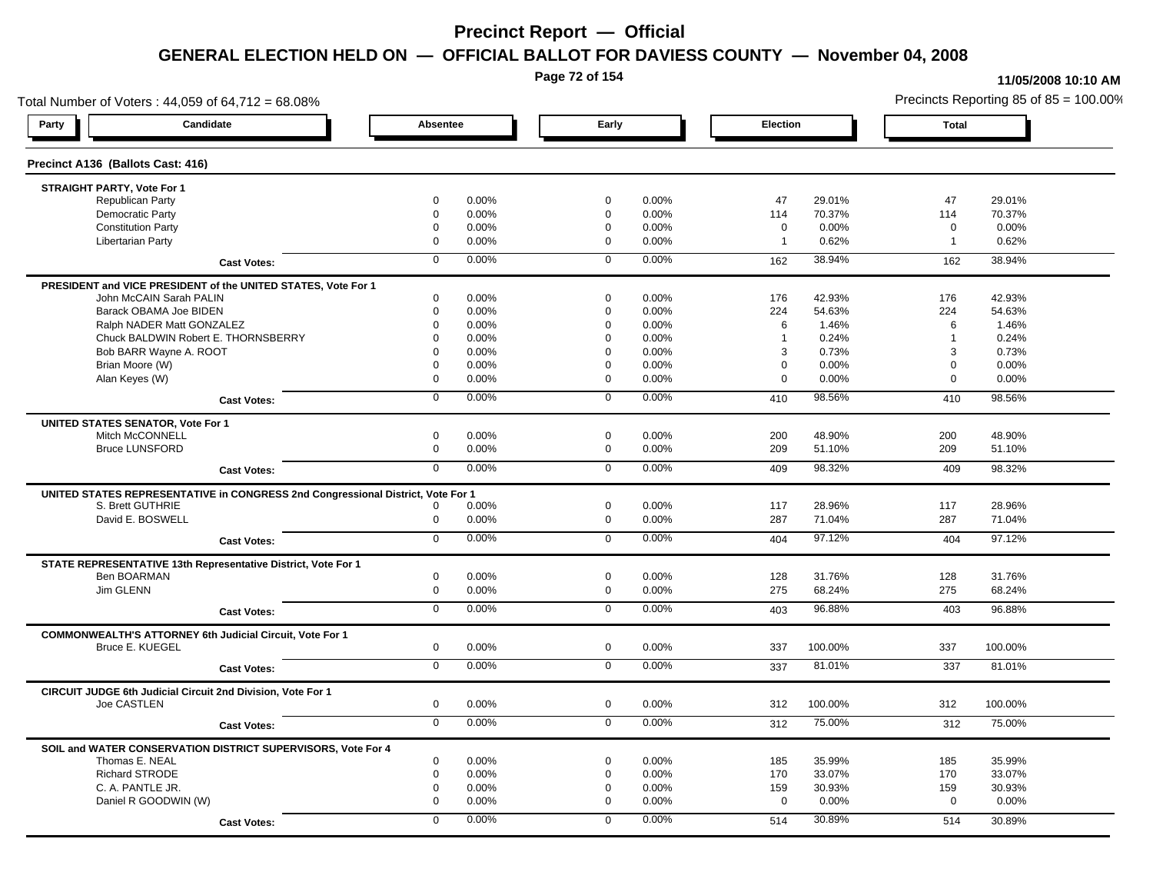**Page 72 of 154**

### **11/05/2008 10:10 AM**

Total Number of Voters : 44,059 of 64,712 = 68.08% Precincts Reporting 85 of 85 = 100.00% **Party Candidate Absentee Early Election Total Precinct A136 (Ballots Cast: 416) STRAIGHT PARTY, Vote For 1** Republican Party 0 0.00% 0 0.00% 47 29.01% 47 29.01% Democratic Party 0 0.00% 0 0.00% 114 70.37% 114 70.37% Constitution Party 0 0.00% 0 0.00% 0 0.00% 0 0.00% Libertarian Party 0 0.00% 0 0.00% 1 0.62% 1 0.62% **Cast Votes:** 0 0.00% 0 0.00% 162 38.94% 162 38.94% **PRESIDENT and VICE PRESIDENT of the UNITED STATES, Vote For 1** John McCAIN Sarah PALIN John McCAIN Sarah PALIN 0 0.00% 0 0.00% 176 42.93% 176 42.93% Barack OBAMA Joe BIDEN 0 0.00% 0 0.00% 224 54.63% 224 54.63% Ralph NADER Matt GONZALEZ  $\begin{array}{cccc} 0 & 0.00\% & 0 & 0.00\% & 0.00\% & 6 & 1.46\% \end{array}$  6 1.46% Chuck BALDWIN Robert E. THORNSBERRY 0 0.00% 0 0.00% 1 0.24% 1 0.24% Bob BARR Wayne A. ROOT **8 20.000 10.000 10.000 10.000 10.000 10.000** 10.00% 3 0.73% 3 0.73% 3 0.73% Brian Moore (W) 0 0.00% 0 0.00% 0 0.00% 0 0.00% Alan Keyes (W) 0 0.00% 0 0.00% 0 0.00% 0 0.00% **Cast Votes:** 0 0.00% 0 0.00% 410 98.56% 410 98.56% **UNITED STATES SENATOR, Vote For 1** Mitch McCONNELL 0 0.00% 0 0.00% 200 48.90% 200 48.90% Bruce LUNSFORD 0 0.00% 0 0.00% 209 51.10% 209 51.10% **Cast Votes:** 0 0.00% 0 0.00% 409 98.32% 409 98.32% **UNITED STATES REPRESENTATIVE in CONGRESS 2nd Congressional District, Vote For 1** S. Brett GUTHRIE 0 0.00% 0 0.00% 117 28.96% 117 28.96% David E. BOSWELL 0 0.00% 0 0.00% 287 71.04% 287 71.04% **Cast Votes:** 0 0.00% 0 0.00% 404 97.12% 404 97.12% **STATE REPRESENTATIVE 13th Representative District, Vote For 1** Ben BOARMAN 0 0.00% 0 0.00% 128 31.76% 128 31.76% Jim GLENN 0 0.00% 0 0.00% 275 68.24% 275 68.24% **Cast Votes:** 0 0.00% 0 0.00% 403 96.88% 403 96.88% **COMMONWEALTH'S ATTORNEY 6th Judicial Circuit, Vote For 1** Bruce E. KUEGEL 0 0.00% 0 0.00% 337 100.00% 337 100.00% **Cast Votes:** 0 0.00% 0 0.00% 337 81.01% 337 81.01% **CIRCUIT JUDGE 6th Judicial Circuit 2nd Division, Vote For 1** Joe CASTLEN 0 0.00% 0 0.00% 312 100.00% 312 100.00% **Cast Votes:** 0 0.00% 0 0.00% 312 75.00% 312 75.00% **SOIL and WATER CONSERVATION DISTRICT SUPERVISORS, Vote For 4** Thomas E. NEAL 0 0.00% 0 0.00% 185 35.99% 185 35.99% Richard STRODE 0 0.00% 0 0.00% 170 33.07% 170 33.07% C. A. PANTLE JR. 0 0.00% 0 0.00% 159 30.93% 159 30.93% Daniel R GOODWIN (W) 0 0.00% 0 0.00% 0 0.00% 0 0.00% **Cast Votes:** 0 0.00% 0 0.00% 514 30.89% 514 30.89%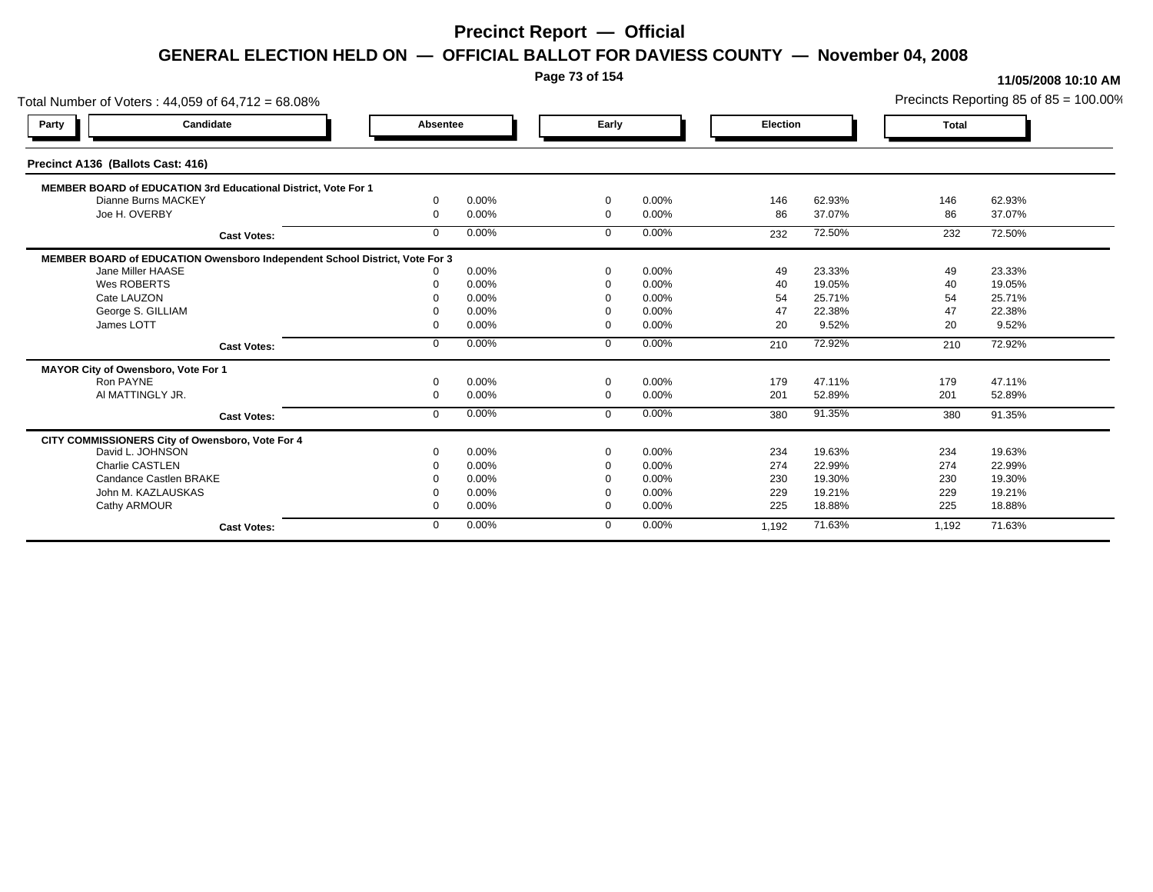**Page 73 of 154**

#### **11/05/2008 10:10 AM**

Total Number of Voters : 44,059 of 64,712 = 68.08% Precincts Reporting 85 of 85 = 100.00% **Party Candidate Absentee Early Election Total Precinct A136 (Ballots Cast: 416) MEMBER BOARD of EDUCATION 3rd Educational District, Vote For 1** Dianne Burns MACKEY Dianne Burns MACKEY 0 0.00% 0 0.00% 146 62.93% 146 62.93% Joe H. OVERBY 0 0.00% 0 0.00% 86 37.07% 86 37.07% **Cast Votes:** 0 0.00% 0 0.00% 232 72.50% 232 72.50% **MEMBER BOARD of EDUCATION Owensboro Independent School District, Vote For 3**<br>10.00% 0.00% Jane Miller HAASE 0 0.00% 0 0.00% 49 23.33% 49 23.33% Wes ROBERTS 0 0.00% 0 0.00% 40 19.05% 40 19.05% Cate LAUZON 0 0.00% 0 0.00% 54 25.71% 54 25.71% George S. GILLIAM 0 0.00% 0 0.00% 47 22.38% 47 22.38% James LOTT 0 0.00% 0 0.00% 20 9.52% 20 9.52% **Cast Votes:** 0 0.00% 0 0.00% 210 72.92% 210 72.92% **MAYOR City of Owensboro, Vote For 1** Ron PAYNE 0 0.00% 0 0.00% 179 47.11% 179 47.11% Al MATTINGLY JR. 0 0.00% 0 0.00% 201 52.89% 201 52.89% **Cast Votes:** 0 0.00% 0 0.00% 380 91.35% 380 91.35% **CITY COMMISSIONERS City of Owensboro, Vote For 4** David L. JOHNSON 0 0.00% 0 0.00% 234 19.63% 234 19.63% Charlie CASTLEN 0 0.00% 0 0.00% 274 22.99% 274 22.99% Candance Castlen BRAKE 0 0.00% 0 0.00% 230 19.30% 230 19.30% John M. KAZLAUSKAS 0 0.00% 0 0.00% 229 19.21% 229 19.21% Cathy ARMOUR 0 0.00% 0 0.00% 225 18.88% 225 18.88% **Cast Votes:** 0 0.00% 0 0.00% 1,192 71.63% 1,192 71.63%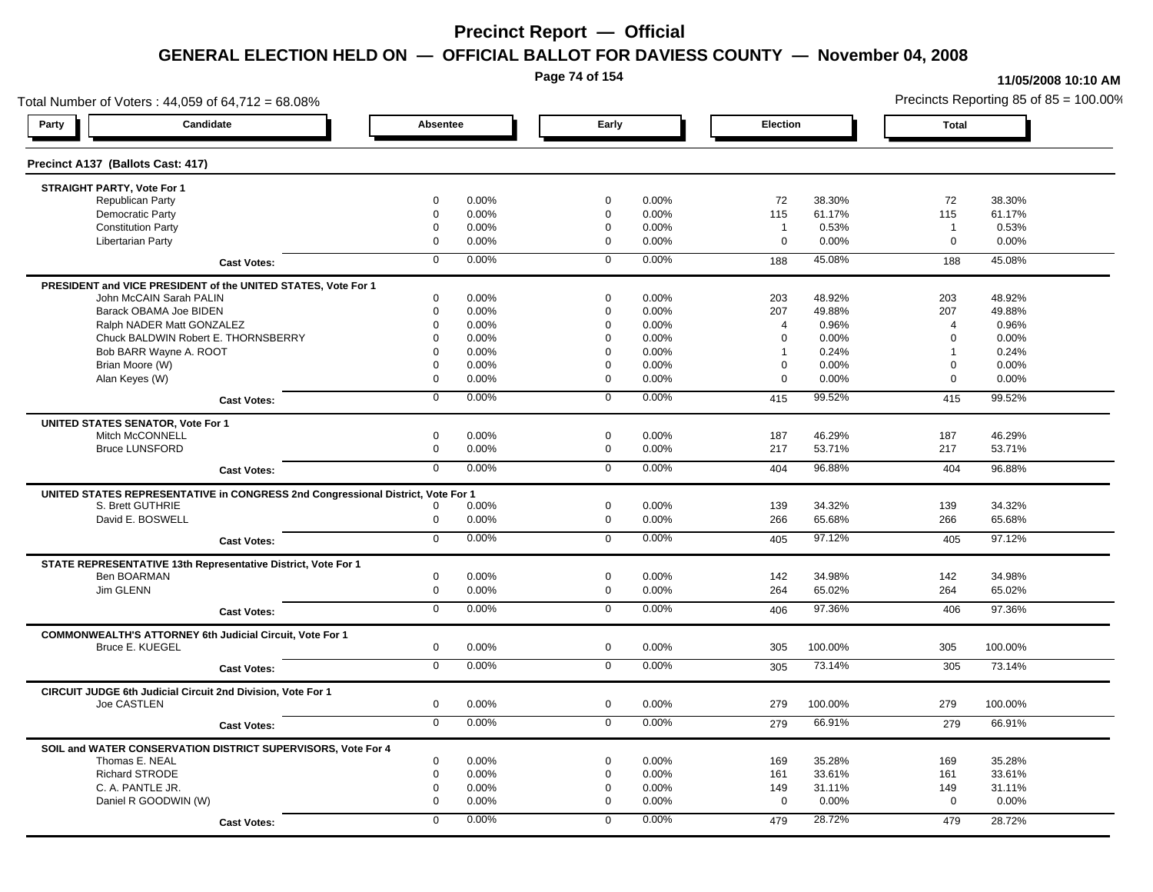**Page 74 of 154**

#### **11/05/2008 10:10 AM**

Total Number of Voters : 44,059 of 64,712 = 68.08% Precincts Reporting 85 of 85 = 100.00% **Party Candidate Absentee Early Election Total Precinct A137 (Ballots Cast: 417) STRAIGHT PARTY, Vote For 1** Republican Party 0 0.00% 0 0.00% 72 38.30% 72 38.30% Democratic Party 0 0.00% 0 0.00% 115 61.17% 115 61.17% Constitution Party 0 0.00% 0 0.00% 1 0.53% 1 0.53% Libertarian Party 0 0.00% 0 0.00% 0 0.00% 0 0.00% **Cast Votes:** 0 0.00% 0 0.00% 188 45.08% 188 45.08% **PRESIDENT and VICE PRESIDENT of the UNITED STATES, Vote For 1** John McCAIN Sarah PALIN John McCAIN Sarah PALIN 0 0.00% 0 0.00% 203 48.92% 203 48.92% Barack OBAMA Joe BIDEN 0 0.00% 0 0.00% 207 49.88% 207 49.88% Ralph NADER Matt GONZALEZ  $\begin{array}{cccc} 0 & 0.00\% & 0.00\% & 0.00\% & 4 & 0.96\% \end{array}$  4 0.96% 4 0.96% Chuck BALDWIN Robert E. THORNSBERRY 0 0.00% 0 0.00% 0 0.00% 0 0.00% Bob BARR Wayne A. ROOT **1** 0.24% **0 0.00%** 1 0.24% 1 0.24% 1 0.24% 1 0.24% 1 0.24% 1 0.24% 1 0.24% 1 0.24% 1 0.24% Brian Moore (W) 0 0.00% 0 0.00% 0 0.00% 0 0.00% Alan Keyes (W) 0 0.00% 0 0.00% 0 0.00% 0 0.00% **Cast Votes:** 0 0.00% 0 0.00% 415 99.52% 415 99.52% **UNITED STATES SENATOR, Vote For 1** Mitch McCONNELL 0 0.00% 0 0.00% 187 46.29% 187 46.29% Bruce LUNSFORD 0 0.00% 0 0.00% 217 53.71% 217 53.71% **Cast Votes:** 0 0.00% 0 0.00% 404 96.88% 404 96.88% **UNITED STATES REPRESENTATIVE in CONGRESS 2nd Congressional District, Vote For 1** S. Brett GUTHRIE 0 0.00% 0 0.00% 139 34.32% 139 34.32% David E. BOSWELL 0 0.00% 0 0.00% 266 65.68% 266 65.68% **Cast Votes:** 0 0.00% 0 0.00% 405 97.12% 405 97.12% **STATE REPRESENTATIVE 13th Representative District, Vote For 1** Ben BOARMAN 0 0.00% 0 0.00% 142 34.98% 142 34.98% Jim GLENN 0 0.00% 0 0.00% 264 65.02% 264 65.02% **Cast Votes:** 0 0.00% 0 0.00% 406 97.36% 406 97.36% **COMMONWEALTH'S ATTORNEY 6th Judicial Circuit, Vote For 1** Bruce E. KUEGEL 0 0.00% 0 0.00% 305 100.00% 305 100.00% **Cast Votes:** 0 0.00% 0 0.00% 305 73.14% 305 73.14% **CIRCUIT JUDGE 6th Judicial Circuit 2nd Division, Vote For 1** Joe CASTLEN 0 0.00% 0 0.00% 279 100.00% 279 100.00% **Cast Votes:** 0 0.00% 0 0.00% 279 66.91% 279 66.91% **SOIL and WATER CONSERVATION DISTRICT SUPERVISORS, Vote For 4** Thomas E. NEAL 0 0.00% 0 0.00% 169 35.28% 169 35.28% Richard STRODE 0 0.00% 0 0.00% 161 33.61% 161 33.61% C. A. PANTLE JR. 0 0.00% 0 0.00% 149 31.11% 149 31.11% Daniel R GOODWIN (W) 0 0.00% 0 0.00% 0 0.00% 0 0.00% **Cast Votes:** 0 0.00% 0 0.00% 479 28.72% 479 28.72%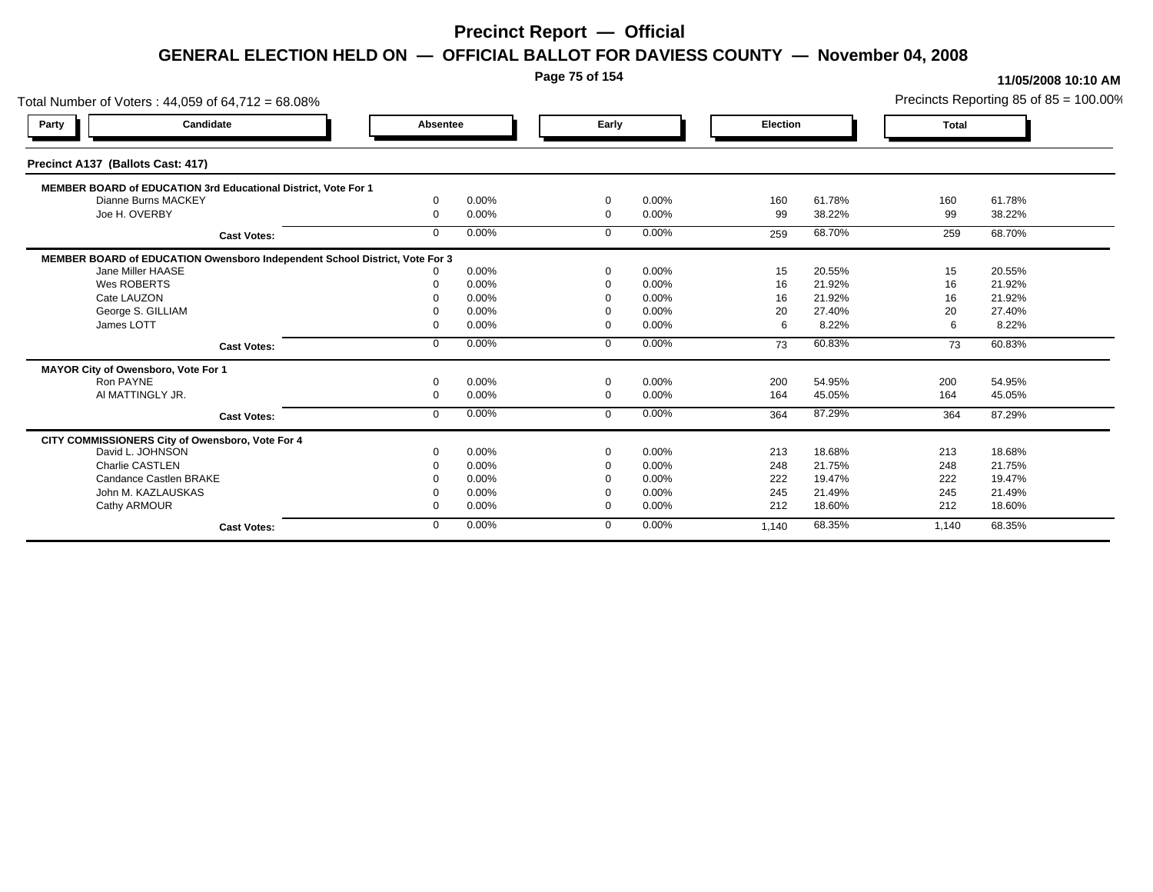**Page 75 of 154**

#### **11/05/2008 10:10 AM**

Total Number of Voters : 44,059 of 64,712 = 68.08% Precincts Reporting 85 of 85 = 100.00% **Party Candidate Absentee Early Election Total Precinct A137 (Ballots Cast: 417) MEMBER BOARD of EDUCATION 3rd Educational District, Vote For 1** Dianne Burns MACKEY Dianne Burns MACKEY 0 0.00% 0 0.00% 160 61.78% 160 61.78% Joe H. OVERBY 0 0.00% 0 0.00% 99 38.22% 99 38.22% **Cast Votes:** 0 0.00% 0 0.00% 259 68.70% 259 68.70% **MEMBER BOARD of EDUCATION Owensboro Independent School District, Vote For 3**<br>10.00% 0.00% Jane Miller HAASE 0 0.00% 0 0.00% 15 20.55% 15 20.55% Wes ROBERTS 0 0.00% 0 0.00% 16 21.92% 16 21.92% Cate LAUZON 0 0.00% 0 0.00% 16 21.92% 16 21.92% George S. GILLIAM 0 0.00% 0 0.00% 20 27.40% 20 27.40% James LOTT 0 0.00% 0 0.00% 6 8.22% 6 8.22% **Cast Votes:** 0 0.00% 0 0.00% 73 60.83% 73 60.83% **MAYOR City of Owensboro, Vote For 1** Ron PAYNE 0 0.00% 0 0.00% 200 54.95% 200 54.95% Al MATTINGLY JR. 0 0.00% 0 0.00% 164 45.05% 164 45.05% **Cast Votes:** 0 0.00% 0 0.00% 364 87.29% 364 87.29% **CITY COMMISSIONERS City of Owensboro, Vote For 4** David L. JOHNSON 0 0.00% 0 0.00% 213 18.68% 213 18.68% Charlie CASTLEN 0 0.00% 0 0.00% 248 21.75% 248 21.75% Candance Castlen BRAKE 0 0.00% 0 0.00% 222 19.47% 222 19.47% John M. KAZLAUSKAS 0 0.00% 0 0.00% 245 21.49% 245 21.49% Cathy ARMOUR 0 0.00% 0 0.00% 212 18.60% 212 18.60% **Cast Votes:** 0 0.00% 0 0.00% 1,140 68.35% 1,140 68.35%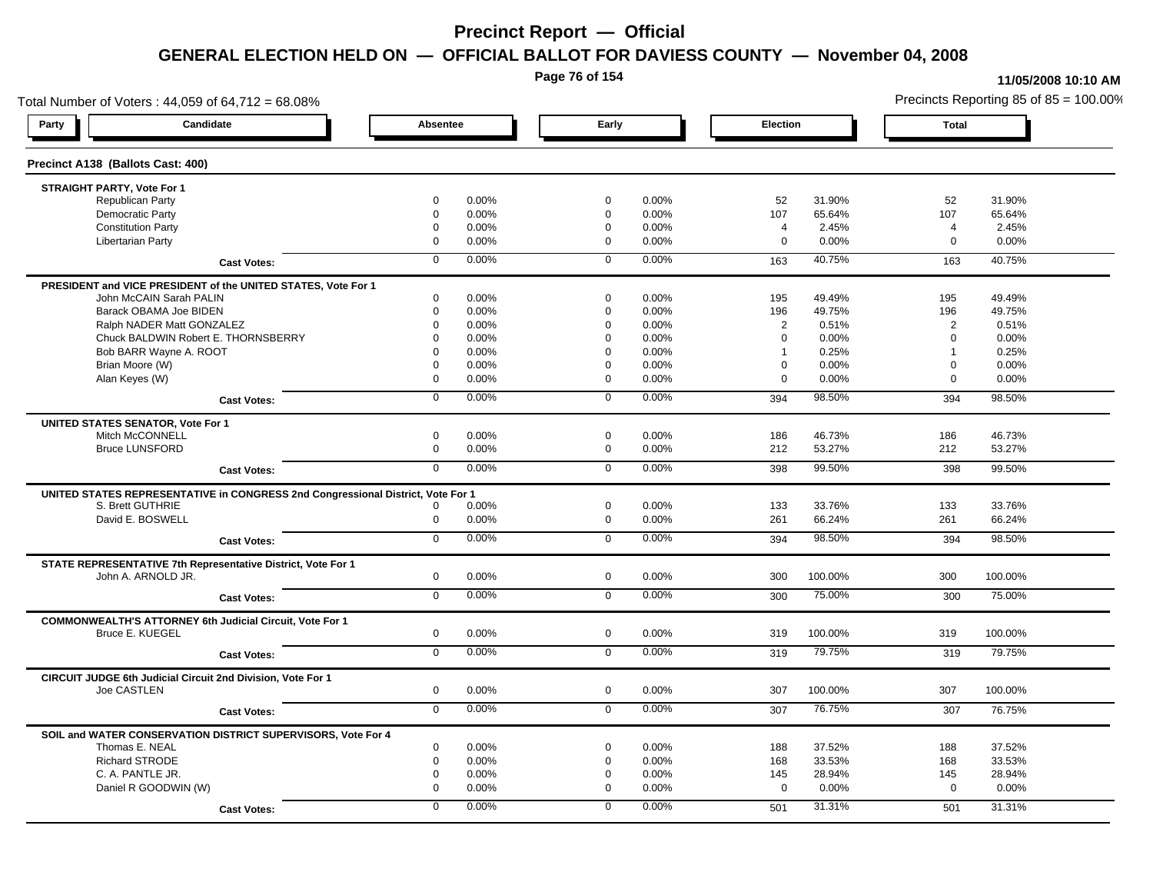**Page 76 of 154**

#### **11/05/2008 10:10 AM**

Total Number of Voters : 44,059 of 64,712 = 68.08% Precincts Reporting 85 of 85 = 100.00% **Party Candidate Absentee Early Election Total Precinct A138 (Ballots Cast: 400) STRAIGHT PARTY, Vote For 1** Republican Party 0 0.00% 0 0.00% 52 31.90% 52 31.90% Democratic Party 0 0.00% 0 0.00% 107 65.64% 107 65.64% Constitution Party 0 0.00% 0 0.00% 4 2.45% 4 2.45% Libertarian Party 0 0.00% 0 0.00% 0 0.00% 0 0.00% **Cast Votes:** 0 0.00% 0 0.00% 163 40.75% 163 40.75% **PRESIDENT and VICE PRESIDENT of the UNITED STATES, Vote For 1** John McCAIN Sarah PALIN John McCAIN Sarah PALIN 0 0.00% 0 0.00% 195 49.49% 195 49.49% Barack OBAMA Joe BIDEN 0 0.00% 0 0.00% 196 49.75% 196 49.75% Ralph NADER Matt GONZALEZ  $\begin{array}{cccc} 0 & 0.00\% & 0 & 0.00\% \end{array}$  0 0.00% 2 0.51% 2 0.51% Chuck BALDWIN Robert E. THORNSBERRY 0 0.00% 0 0.00% 0 0.00% 0 0.00% Bob BARR Wayne A. ROOT **1** 0.25% 0 0.00% 0 0.00% 0 0.00% 1 0.25% 1 0.25% 1 0.25% Brian Moore (W) 0 0.00% 0 0.00% 0 0.00% 0 0.00% Alan Keyes (W) 0 0.00% 0 0.00% 0 0.00% 0 0.00% **Cast Votes:** 0 0.00% 0 0.00% 394 98.50% 394 98.50% **UNITED STATES SENATOR, Vote For 1** Mitch McCONNELL 0 0.00% 0 0.00% 186 46.73% 186 46.73% Bruce LUNSFORD 0 0.00% 0 0.00% 212 53.27% 212 53.27% **Cast Votes:** 0 0.00% 0 0.00% 398 99.50% 398 99.50% **UNITED STATES REPRESENTATIVE in CONGRESS 2nd Congressional District, Vote For 1** S. Brett GUTHRIE 0 0.00% 0 0.00% 133 33.76% 133 33.76% David E. BOSWELL 0 0.00% 0 0.00% 261 66.24% 261 66.24% **Cast Votes:** 0 0.00% 0 0.00% 394 98.50% 394 98.50% **STATE REPRESENTATIVE 7th Representative District, Vote For 1** John A. ARNOLD JR. 0 0.00% 0 0.00% 300 100.00% 300 100.00% **Cast Votes:** 0 0.00% 0 0.00% 300 75.00% 300 75.00% **COMMONWEALTH'S ATTORNEY 6th Judicial Circuit, Vote For 1** Bruce E. KUEGEL 0 0.00% 0 0.00% 319 100.00% 319 100.00% **Cast Votes:** 0 0.00% 0 0.00% 319 79.75% 319 79.75% **CIRCUIT JUDGE 6th Judicial Circuit 2nd Division, Vote For 1** Joe CASTLEN 0 0.00% 0 0.00% 307 100.00% 307 100.00% **Cast Votes:** 0 0.00% 0 0.00% 307 76.75% 307 76.75% **SOIL and WATER CONSERVATION DISTRICT SUPERVISORS, Vote For 4** Thomas E. NEAL 0 0.00% 0 0.00% 188 37.52% 188 37.52% Richard STRODE 0 0.00% 0 0.00% 168 33.53% 168 33.53% C. A. PANTLE JR. 0 0.00% 0 0.00% 145 28.94% 145 28.94% Daniel R GOODWIN (W) 0 0.00% 0 0.00% 0 0.00% 0 0.00% **Cast Votes:** 0 0.00% 0 0.00% 501 31.31% 501 31.31%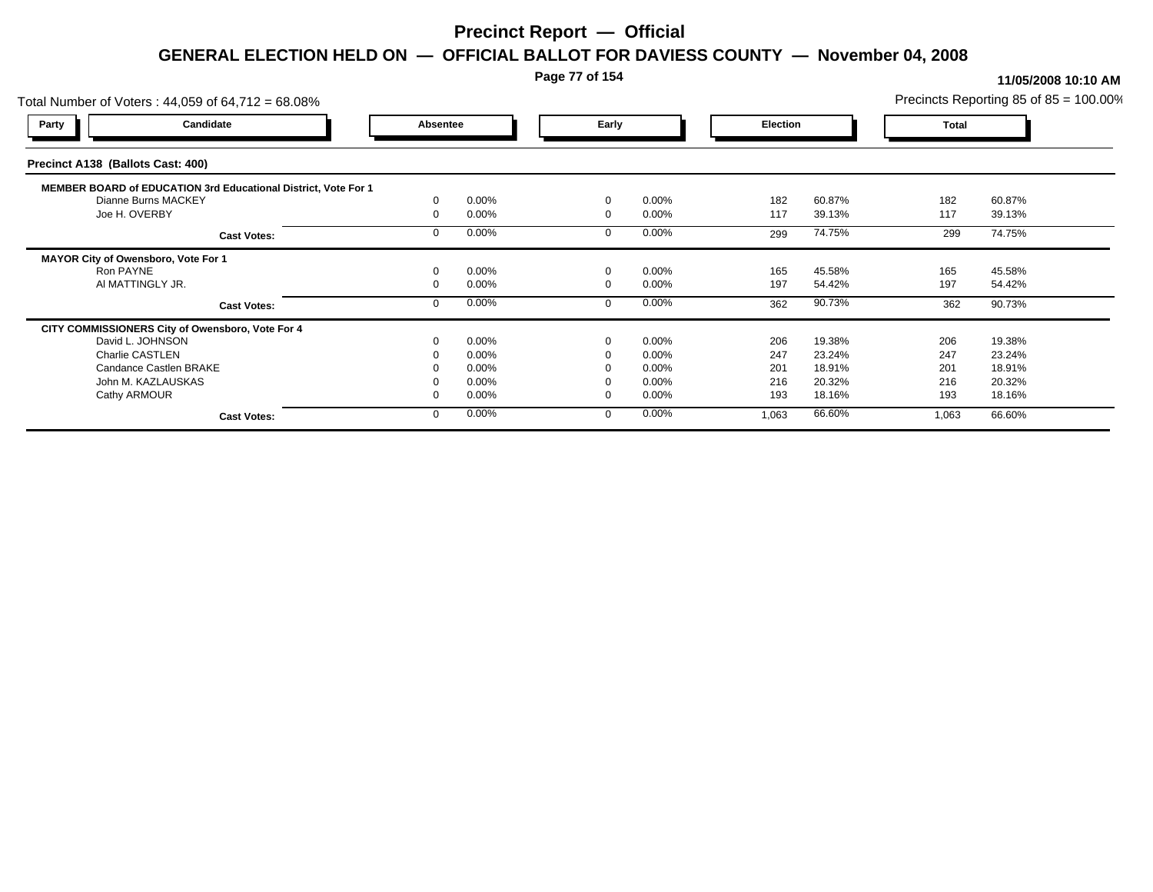### **Page 77 of 154**

| Total Number of Voters: 44,059 of 64,712 = 68.08%              |          |       |          |          |                 |        |              | Precincts Reporting 85 of $85 = 100.00\%$ |
|----------------------------------------------------------------|----------|-------|----------|----------|-----------------|--------|--------------|-------------------------------------------|
| Candidate<br><b>Party</b>                                      | Absentee |       | Early    |          | <b>Election</b> |        | <b>Total</b> |                                           |
| Precinct A138 (Ballots Cast: 400)                              |          |       |          |          |                 |        |              |                                           |
| MEMBER BOARD of EDUCATION 3rd Educational District, Vote For 1 |          |       |          |          |                 |        |              |                                           |
| Dianne Burns MACKEY                                            |          | 0.00% | $\Omega$ | 0.00%    | 182             | 60.87% | 182          | 60.87%                                    |
| Joe H. OVERBY                                                  |          | 0.00% | $\Omega$ | 0.00%    | 117             | 39.13% | 117          | 39.13%                                    |
| <b>Cast Votes:</b>                                             |          | 0.00% |          | 0.00%    | 299             | 74.75% | 299          | 74.75%                                    |
| MAYOR City of Owensboro, Vote For 1                            |          |       |          |          |                 |        |              |                                           |
| Ron PAYNE                                                      |          | 0.00% | $\Omega$ | 0.00%    | 165             | 45.58% | 165          | 45.58%                                    |
| AI MATTINGLY JR.                                               |          | 0.00% |          | 0.00%    | 197             | 54.42% | 197          | 54.42%                                    |
| <b>Cast Votes:</b>                                             |          | 0.00% |          | 0.00%    | 362             | 90.73% | 362          | 90.73%                                    |
| CITY COMMISSIONERS City of Owensboro, Vote For 4               |          |       |          |          |                 |        |              |                                           |
| David L. JOHNSON                                               |          | 0.00% | $\Omega$ | 0.00%    | 206             | 19.38% | 206          | 19.38%                                    |
| Charlie CASTLEN                                                |          | 0.00% |          | 0.00%    | 247             | 23.24% | 247          | 23.24%                                    |
| Candance Castlen BRAKE                                         |          | 0.00% |          | $0.00\%$ | 201             | 18.91% | 201          | 18.91%                                    |
| John M. KAZLAUSKAS                                             |          | 0.00% |          | 0.00%    | 216             | 20.32% | 216          | 20.32%                                    |
| Cathy ARMOUR                                                   |          | 0.00% | $\Omega$ | 0.00%    | 193             | 18.16% | 193          | 18.16%                                    |
| <b>Cast Votes:</b>                                             |          | 0.00% |          | 0.00%    | 1,063           | 66.60% | 1,063        | 66.60%                                    |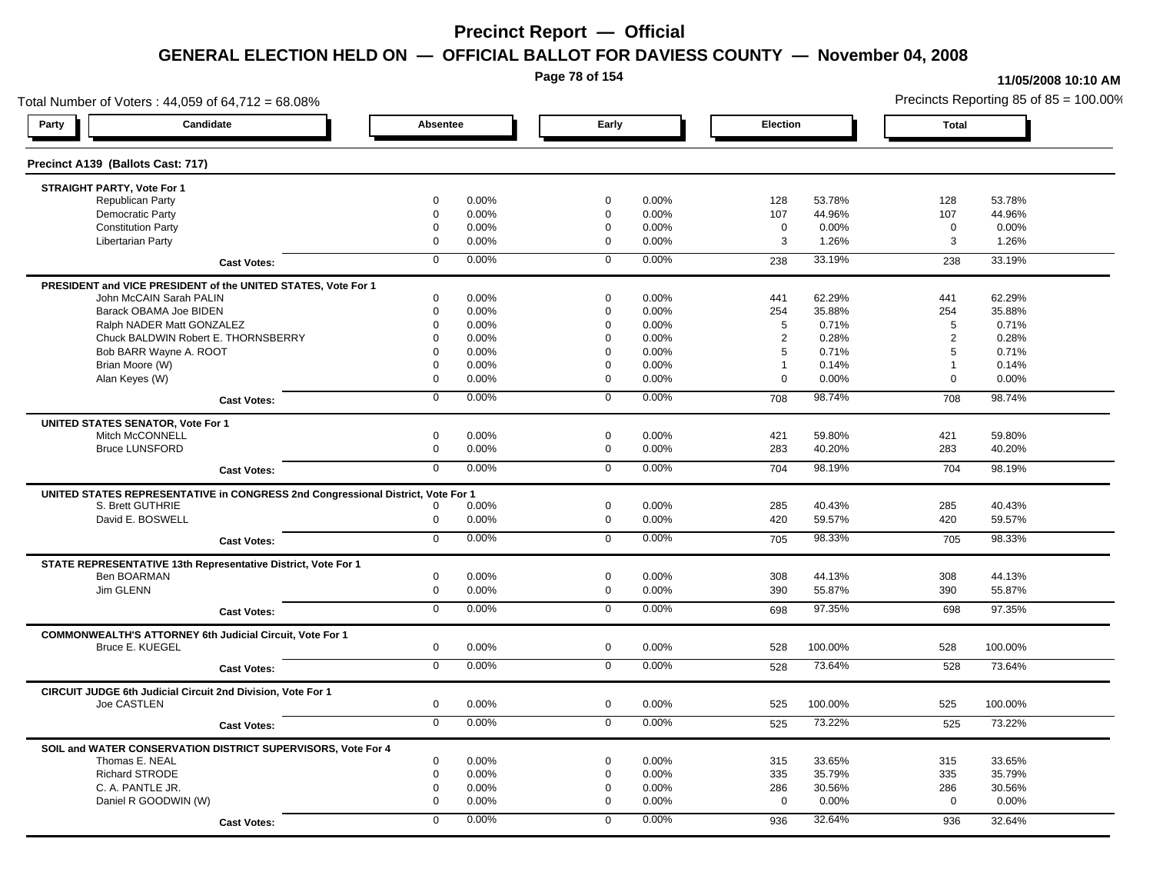**Page 78 of 154**

#### **11/05/2008 10:10 AM**

Total Number of Voters : 44,059 of 64,712 = 68.08% Precincts Reporting 85 of 85 = 100.00% **Party Candidate Absentee Early Election Total Precinct A139 (Ballots Cast: 717) STRAIGHT PARTY, Vote For 1** Republican Party 0 0.00% 0 0.00% 128 53.78% 128 53.78% Democratic Party 0 0.00% 0 0.00% 107 44.96% 107 44.96% Constitution Party 0 0.00% 0 0.00% 0 0.00% 0 0.00% Libertarian Party 0 0.00% 0 0.00% 3 1.26% 3 1.26% **Cast Votes:** 0 0.00% 0 0.00% 238 33.19% 238 33.19% **PRESIDENT and VICE PRESIDENT of the UNITED STATES, Vote For 1** John McCAIN Sarah PALIN John McCAIN Sarah PALIN 0 0.00% 0 0.00% 441 62.29% 441 62.29% Barack OBAMA Joe BIDEN 0 0.00% 0 0.00% 254 35.88% 254 35.88% Ralph NADER Matt GONZALEZ  $0$  0.00% 0 0.00% 5 0.71% 5 0.71% 5 0.71% Chuck BALDWIN Robert E. THORNSBERRY 0 0.00% 0 0.00% 2 0.28% 2 0.28% Bob BARR Wayne A. ROOT **12000 12000 12000 12000 12000** 12000 12000 12000 12000 12000 12000 12000 12000 12000 120<br>
and the contract of the contract of the contract of the contract of the contract of the contract of the cont Brian Moore (W) 0 0.00% 0 0.00% 1 0.14% 1 0.14% Alan Keyes (W) 0 0.00% 0 0.00% 0 0.00% 0 0.00% **Cast Votes:** 0 0.00% 0 0.00% 708 98.74% 708 98.74% **UNITED STATES SENATOR, Vote For 1** Mitch McCONNELL 0 0.00% 0 0.00% 421 59.80% 421 59.80% Bruce LUNSFORD 0 0.00% 0 0.00% 283 40.20% 283 40.20% **Cast Votes:** 0 0.00% 0 0.00% 704 98.19% 704 98.19% **UNITED STATES REPRESENTATIVE in CONGRESS 2nd Congressional District, Vote For 1** S. Brett GUTHRIE 0 0.00% 0 0.00% 285 40.43% 285 40.43% David E. BOSWELL 0 0.00% 0 0.00% 420 59.57% 420 59.57% **Cast Votes:** 0 0.00% 0 0.00% 705 98.33% 705 98.33% **STATE REPRESENTATIVE 13th Representative District, Vote For 1** Ben BOARMAN 0 0.00% 0 0.00% 308 44.13% 308 44.13% Jim GLENN 0 0.00% 0 0.00% 390 55.87% 390 55.87% **Cast Votes:** 0 0.00% 0 0.00% 698 97.35% 698 97.35% **COMMONWEALTH'S ATTORNEY 6th Judicial Circuit, Vote For 1** Bruce E. KUEGEL 0 0.00% 0 0.00% 528 100.00% 528 100.00% **Cast Votes:** 0 0.00% 0 0.00% 528 73.64% 528 73.64% **CIRCUIT JUDGE 6th Judicial Circuit 2nd Division, Vote For 1** Joe CASTLEN 0 0.00% 0 0.00% 525 100.00% 525 100.00% **Cast Votes:** 0 0.00% 0 0.00% 525 73.22% 525 73.22% **SOIL and WATER CONSERVATION DISTRICT SUPERVISORS, Vote For 4** Thomas E. NEAL 0 0.00% 0 0.00% 315 33.65% 315 33.65% Richard STRODE 0 0.00% 0 0.00% 335 35.79% 335 35.79% C. A. PANTLE JR. 0 0.00% 0 0.00% 286 30.56% 286 30.56% Daniel R GOODWIN (W) 0 0.00% 0 0.00% 0 0.00% 0 0.00% **Cast Votes:** 0 0.00% 0 0.00% 936 32.64% 936 32.64%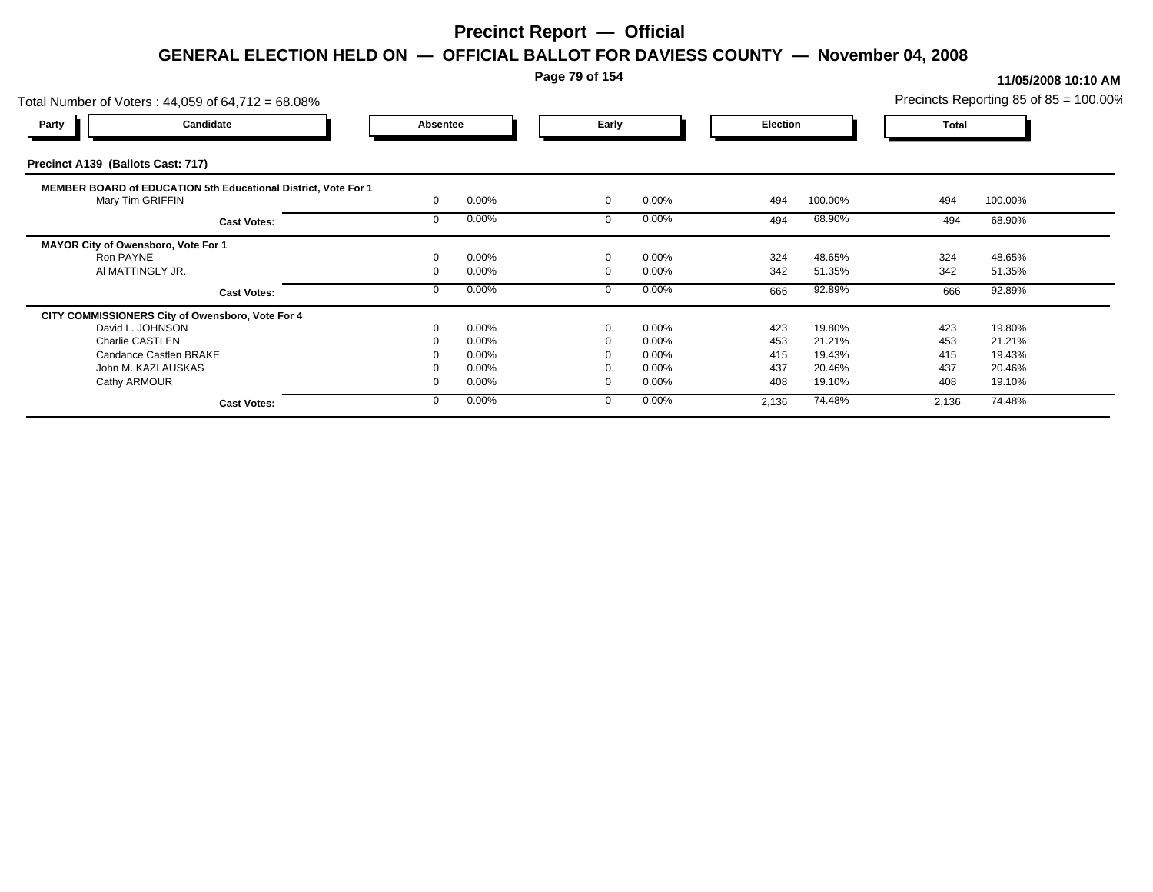### **Page 79 of 154**

| Total Number of Voters: 44,059 of 64,712 = 68.08%              |          |       |          |          |                 |         |              | Precincts Reporting 85 of 85 = 100.00% |
|----------------------------------------------------------------|----------|-------|----------|----------|-----------------|---------|--------------|----------------------------------------|
| Candidate<br>Party                                             | Absentee |       | Early    |          | <b>Election</b> |         | <b>Total</b> |                                        |
| Precinct A139 (Ballots Cast: 717)                              |          |       |          |          |                 |         |              |                                        |
| MEMBER BOARD of EDUCATION 5th Educational District, Vote For 1 |          |       |          |          |                 |         |              |                                        |
| Mary Tim GRIFFIN                                               |          | 0.00% | $\Omega$ | 0.00%    | 494             | 100.00% | 494          | 100.00%                                |
| <b>Cast Votes:</b>                                             |          | 0.00% |          | 0.00%    | 494             | 68.90%  | 494          | 68.90%                                 |
| MAYOR City of Owensboro, Vote For 1                            |          |       |          |          |                 |         |              |                                        |
| Ron PAYNE                                                      |          | 0.00% | $\Omega$ | 0.00%    | 324             | 48.65%  | 324          | 48.65%                                 |
| AI MATTINGLY JR.                                               |          | 0.00% |          | $0.00\%$ | 342             | 51.35%  | 342          | 51.35%                                 |
| <b>Cast Votes:</b>                                             |          | 0.00% | $\Omega$ | 0.00%    | 666             | 92.89%  | 666          | 92.89%                                 |
| CITY COMMISSIONERS City of Owensboro, Vote For 4               |          |       |          |          |                 |         |              |                                        |
| David L. JOHNSON                                               |          | 0.00% | $\Omega$ | $0.00\%$ | 423             | 19.80%  | 423          | 19.80%                                 |
| Charlie CASTLEN                                                |          | 0.00% |          | 0.00%    | 453             | 21.21%  | 453          | 21.21%                                 |
| Candance Castlen BRAKE                                         |          | 0.00% |          | 0.00%    | 415             | 19.43%  | 415          | 19.43%                                 |
| John M. KAZLAUSKAS                                             |          | 0.00% |          | 0.00%    | 437             | 20.46%  | 437          | 20.46%                                 |
| Cathy ARMOUR                                                   |          | 0.00% |          | 0.00%    | 408             | 19.10%  | 408          | 19.10%                                 |
| <b>Cast Votes:</b>                                             |          | 0.00% | $\Omega$ | 0.00%    | 2,136           | 74.48%  | 2,136        | 74.48%                                 |
|                                                                |          |       |          |          |                 |         |              |                                        |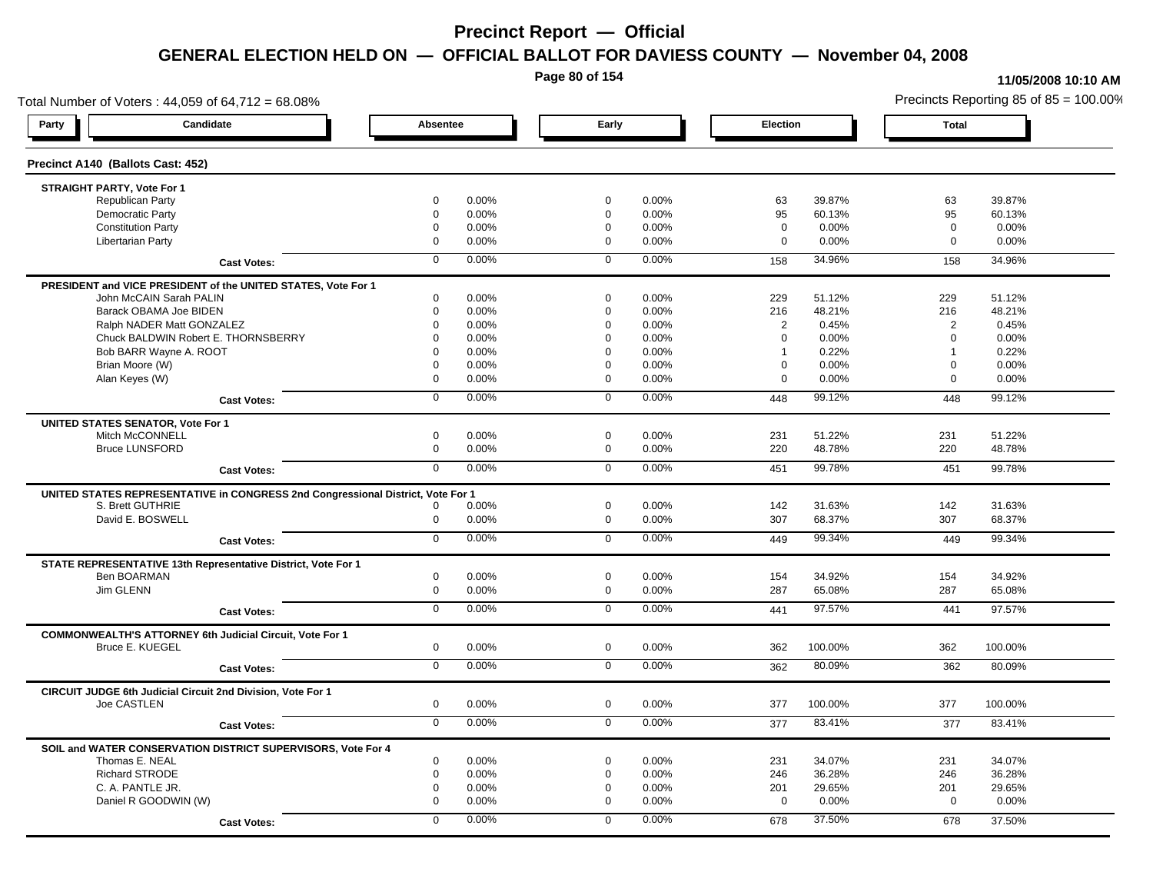**Page 80 of 154**

#### **11/05/2008 10:10 AM**

Total Number of Voters : 44,059 of 64,712 = 68.08% Precincts Reporting 85 of 85 = 100.00% **Party Candidate Absentee Early Election Total Precinct A140 (Ballots Cast: 452) STRAIGHT PARTY, Vote For 1** Republican Party 0 0.00% 0 0.00% 63 39.87% 63 39.87% Democratic Party 0 0.00% 0 0.00% 95 60.13% 95 60.13% Constitution Party 0 0.00% 0 0.00% 0 0.00% 0 0.00% Libertarian Party 0 0.00% 0 0.00% 0 0.00% 0 0.00% **Cast Votes:** 0 0.00% 0 0.00% 158 34.96% 158 34.96% **PRESIDENT and VICE PRESIDENT of the UNITED STATES, Vote For 1** John McCAIN Sarah PALIN John McCAIN Sarah PALIN 0 0.00% 0 0.00% 229 51.12% 229 51.12% Barack OBAMA Joe BIDEN 0 0.00% 0 0.00% 216 48.21% 216 48.21% Ralph NADER Matt GONZALEZ  $0$  0.00% 0 0.00% 0 0.00% 2 0.45% 2 0.45% Chuck BALDWIN Robert E. THORNSBERRY 0 0.00% 0 0.00% 0 0.00% 0 0.00% Bob BARR Wayne A. ROOT **1.2.2 PM CONTROVERSITY CONTROVERSITY OF A CONTROVERSITY OF A CONTROVERSITY OF A CONTROVERSITY OF A CONTROVERSITY OF A CONTROVERSITY OF A CONTROVERSITY OF A CONTROVERSITY OF A CONTROVERSITY OF A CONT** Brian Moore (W) 0 0.00% 0 0.00% 0 0.00% 0 0.00% Alan Keyes (W) 0 0.00% 0 0.00% 0 0.00% 0 0.00% **Cast Votes:** 0 0.00% 0 0.00% 448 99.12% 448 99.12% **UNITED STATES SENATOR, Vote For 1** Mitch McCONNELL 0 0.00% 0 0.00% 231 51.22% 231 51.22% Bruce LUNSFORD 0 0.00% 0 0.00% 220 48.78% 220 48.78% **Cast Votes:** 0 0.00% 0 0.00% 451 99.78% 451 99.78% **UNITED STATES REPRESENTATIVE in CONGRESS 2nd Congressional District, Vote For 1** S. Brett GUTHRIE 0 0.00% 0 0.00% 142 31.63% 142 31.63% David E. BOSWELL 0 0.00% 0 0.00% 307 68.37% 307 68.37% **Cast Votes:** 0 0.00% 0 0.00% 449 99.34% 449 99.34% **STATE REPRESENTATIVE 13th Representative District, Vote For 1** Ben BOARMAN 0 0.00% 0 0.00% 154 34.92% 154 34.92% Jim GLENN 0 0.00% 0 0.00% 287 65.08% 287 65.08% **Cast Votes:** 0 0.00% 0 0.00% 441 97.57% 441 97.57% **COMMONWEALTH'S ATTORNEY 6th Judicial Circuit, Vote For 1** Bruce E. KUEGEL 0 0.00% 0 0.00% 362 100.00% 362 100.00% **Cast Votes:** 0 0.00% 0 0.00% 362 80.09% 362 80.09% **CIRCUIT JUDGE 6th Judicial Circuit 2nd Division, Vote For 1** Joe CASTLEN 0 0.00% 0 0.00% 377 100.00% 377 100.00% **Cast Votes:** 0 0.00% 0 0.00% 377 83.41% 377 83.41% **SOIL and WATER CONSERVATION DISTRICT SUPERVISORS, Vote For 4** Thomas E. NEAL 0 0.00% 0 0.00% 231 34.07% 231 34.07% Richard STRODE 0 0.00% 0 0.00% 246 36.28% 246 36.28% C. A. PANTLE JR. 0 0.00% 0 0.00% 201 29.65% 201 29.65% Daniel R GOODWIN (W) 0 0.00% 0 0.00% 0 0.00% 0 0.00% **Cast Votes:** 0 0.00% 0 0.00% 678 37.50% 678 37.50%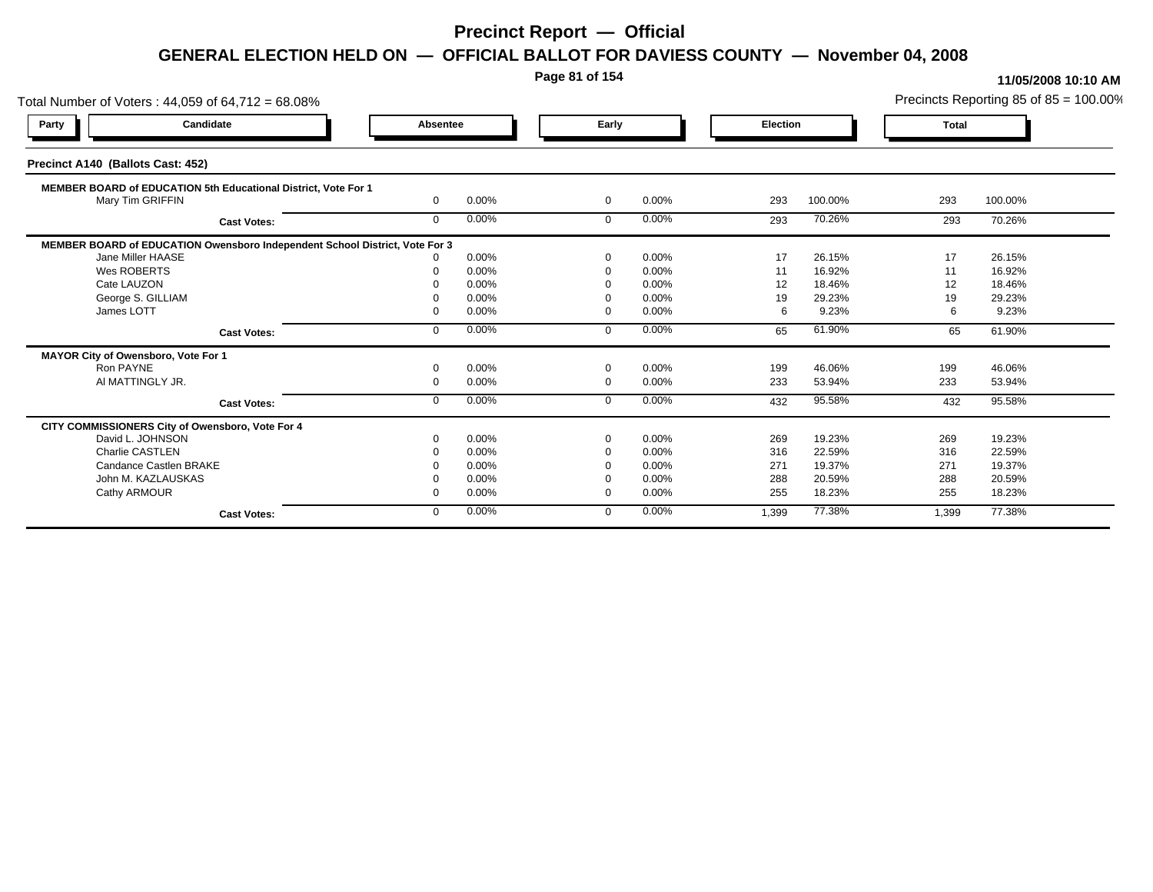**Page 81 of 154**

| Total Number of Voters: 44,059 of 64,712 = 68.08%                           |              |       |              |       |                 |         |              | Precincts Reporting 85 of 85 = 100.00% |
|-----------------------------------------------------------------------------|--------------|-------|--------------|-------|-----------------|---------|--------------|----------------------------------------|
| Candidate<br>Party                                                          | Absentee     |       | Early        |       | <b>Election</b> |         | <b>Total</b> |                                        |
| Precinct A140 (Ballots Cast: 452)                                           |              |       |              |       |                 |         |              |                                        |
| MEMBER BOARD of EDUCATION 5th Educational District, Vote For 1              |              |       |              |       |                 |         |              |                                        |
| Mary Tim GRIFFIN                                                            | $\mathbf{0}$ | 0.00% | $\mathbf{0}$ | 0.00% | 293             | 100.00% | 293          | 100.00%                                |
| <b>Cast Votes:</b>                                                          | $\mathbf{0}$ | 0.00% | $\mathbf 0$  | 0.00% | 293             | 70.26%  | 293          | 70.26%                                 |
| MEMBER BOARD of EDUCATION Owensboro Independent School District, Vote For 3 |              |       |              |       |                 |         |              |                                        |
| Jane Miller HAASE                                                           |              | 0.00% | $\Omega$     | 0.00% | 17              | 26.15%  | 17           | 26.15%                                 |
| Wes ROBERTS                                                                 |              | 0.00% | $\Omega$     | 0.00% | 11              | 16.92%  | 11           | 16.92%                                 |
| Cate LAUZON                                                                 |              | 0.00% |              | 0.00% | 12              | 18.46%  | 12           | 18.46%                                 |
| George S. GILLIAM                                                           |              | 0.00% | - 0          | 0.00% | 19              | 29.23%  | 19           | 29.23%                                 |
| James LOTT                                                                  |              | 0.00% | $\Omega$     | 0.00% | 6               | 9.23%   | 6            | 9.23%                                  |
| <b>Cast Votes:</b>                                                          | $\Omega$     | 0.00% | $\Omega$     | 0.00% | 65              | 61.90%  | 65           | 61.90%                                 |
| MAYOR City of Owensboro, Vote For 1                                         |              |       |              |       |                 |         |              |                                        |
| Ron PAYNE                                                                   |              | 0.00% | $\Omega$     | 0.00% | 199             | 46.06%  | 199          | 46.06%                                 |
| AI MATTINGLY JR.                                                            | $\Omega$     | 0.00% | $\Omega$     | 0.00% | 233             | 53.94%  | 233          | 53.94%                                 |
| <b>Cast Votes:</b>                                                          | $\Omega$     | 0.00% | $\mathbf 0$  | 0.00% | 432             | 95.58%  | 432          | 95.58%                                 |
| CITY COMMISSIONERS City of Owensboro, Vote For 4                            |              |       |              |       |                 |         |              |                                        |
| David L. JOHNSON                                                            |              | 0.00% | $\Omega$     | 0.00% | 269             | 19.23%  | 269          | 19.23%                                 |
| <b>Charlie CASTLEN</b>                                                      |              | 0.00% | $\Omega$     | 0.00% | 316             | 22.59%  | 316          | 22.59%                                 |
| Candance Castlen BRAKE                                                      |              | 0.00% | $\Omega$     | 0.00% | 271             | 19.37%  | 271          | 19.37%                                 |
| John M. KAZLAUSKAS                                                          |              | 0.00% |              | 0.00% | 288             | 20.59%  | 288          | 20.59%                                 |
| Cathy ARMOUR                                                                |              | 0.00% | $\Omega$     | 0.00% | 255             | 18.23%  | 255          | 18.23%                                 |
| <b>Cast Votes:</b>                                                          | 0            | 0.00% | $\Omega$     | 0.00% | 1,399           | 77.38%  | 1,399        | 77.38%                                 |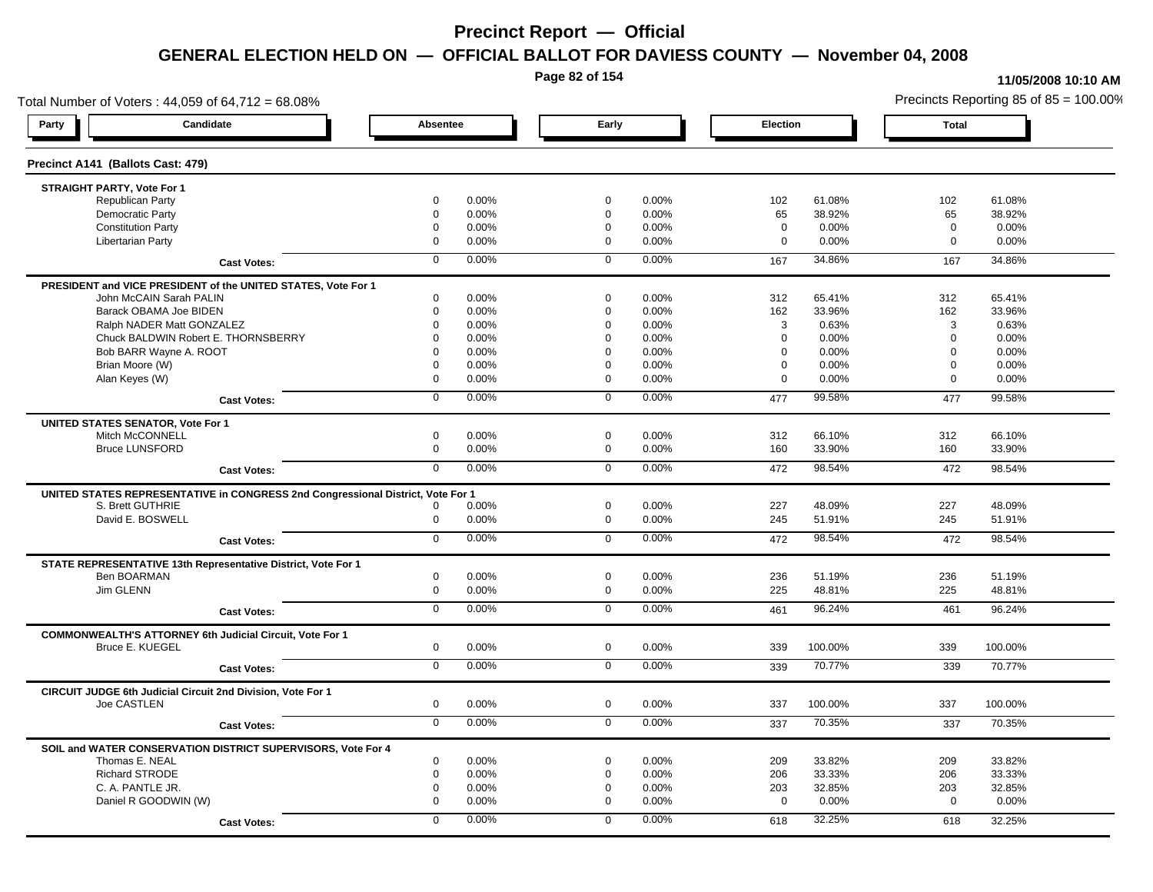**Page 82 of 154**

#### **11/05/2008 10:10 AM**

Total Number of Voters : 44,059 of 64,712 = 68.08% Precincts Reporting 85 of 85 = 100.00% **Party Candidate Absentee Early Election Total Precinct A141 (Ballots Cast: 479) STRAIGHT PARTY, Vote For 1** Republican Party 0 0.00% 0 0.00% 102 61.08% 102 61.08% Democratic Party 0 0.00% 0 0.00% 65 38.92% 65 38.92% Constitution Party 0 0.00% 0 0.00% 0 0.00% 0 0.00% Libertarian Party 0 0.00% 0 0.00% 0 0.00% 0 0.00% **Cast Votes:** 0 0.00% 0 0.00% 167 34.86% 167 34.86% **PRESIDENT and VICE PRESIDENT of the UNITED STATES, Vote For 1** John McCAIN Sarah PALIN John McCAIN Sarah PALIN 0 0.00% 0 0.00% 312 65.41% 312 65.41% Barack OBAMA Joe BIDEN 0 0.00% 0 0.00% 162 33.96% 162 33.96% Ralph NADER Matt GONZALEZ  $\begin{array}{cccc} 0 & 0.00\% & 0 & 0.00\% \end{array}$  0 0.00% 3 0.63% 3 0.63% Chuck BALDWIN Robert E. THORNSBERRY 0 0.00% 0 0.00% 0 0.00% 0 0.00%  $B$ ob BARR Wayne A. ROOT  $0.00\%$   $0.00\%$   $0.00\%$   $0.00\%$   $0.00\%$   $0.00\%$   $0.00\%$   $0.00\%$ Brian Moore (W) 0 0.00% 0 0.00% 0 0.00% 0 0.00% Alan Keyes (W) 0 0.00% 0 0.00% 0 0.00% 0 0.00% **Cast Votes:** 0 0.00% 0 0.00% 477 99.58% 477 99.58% **UNITED STATES SENATOR, Vote For 1** Mitch McCONNELL 0 0.00% 0 0.00% 312 66.10% 312 66.10% Bruce LUNSFORD 0 0.00% 0 0.00% 160 33.90% 160 33.90% **Cast Votes:** 0 0.00% 0 0.00% 472 98.54% 472 98.54% **UNITED STATES REPRESENTATIVE in CONGRESS 2nd Congressional District, Vote For 1** S. Brett GUTHRIE 0 0.00% 0 0.00% 227 48.09% 227 48.09% David E. BOSWELL 0 0.00% 0 0.00% 245 51.91% 245 51.91% **Cast Votes:** 0 0.00% 0 0.00% 472 98.54% 472 98.54% **STATE REPRESENTATIVE 13th Representative District, Vote For 1** Ben BOARMAN 0 0.00% 0 0.00% 236 51.19% 236 51.19% Jim GLENN 0 0.00% 0 0.00% 225 48.81% 225 48.81% **Cast Votes:** 0 0.00% 0 0.00% 461 96.24% 461 96.24% **COMMONWEALTH'S ATTORNEY 6th Judicial Circuit, Vote For 1** Bruce E. KUEGEL 0 0.00% 0 0.00% 339 100.00% 339 100.00% **Cast Votes:** 0 0.00% 0 0.00% 339 70.77% 339 70.77% **CIRCUIT JUDGE 6th Judicial Circuit 2nd Division, Vote For 1** Joe CASTLEN 0 0.00% 0 0.00% 337 100.00% 337 100.00% **Cast Votes:** 0 0.00% 0 0.00% 337 70.35% 337 70.35% **SOIL and WATER CONSERVATION DISTRICT SUPERVISORS, Vote For 4** Thomas E. NEAL 0 0.00% 0 0.00% 209 33.82% 209 33.82% Richard STRODE 0 0.00% 0 0.00% 206 33.33% 206 33.33% C. A. PANTLE JR. 0 0.00% 0 0.00% 203 32.85% 203 32.85% Daniel R GOODWIN (W) 0 0.00% 0 0.00% 0 0.00% 0 0.00% **Cast Votes:** 0 0.00% 0 0.00% 618 32.25% 618 32.25%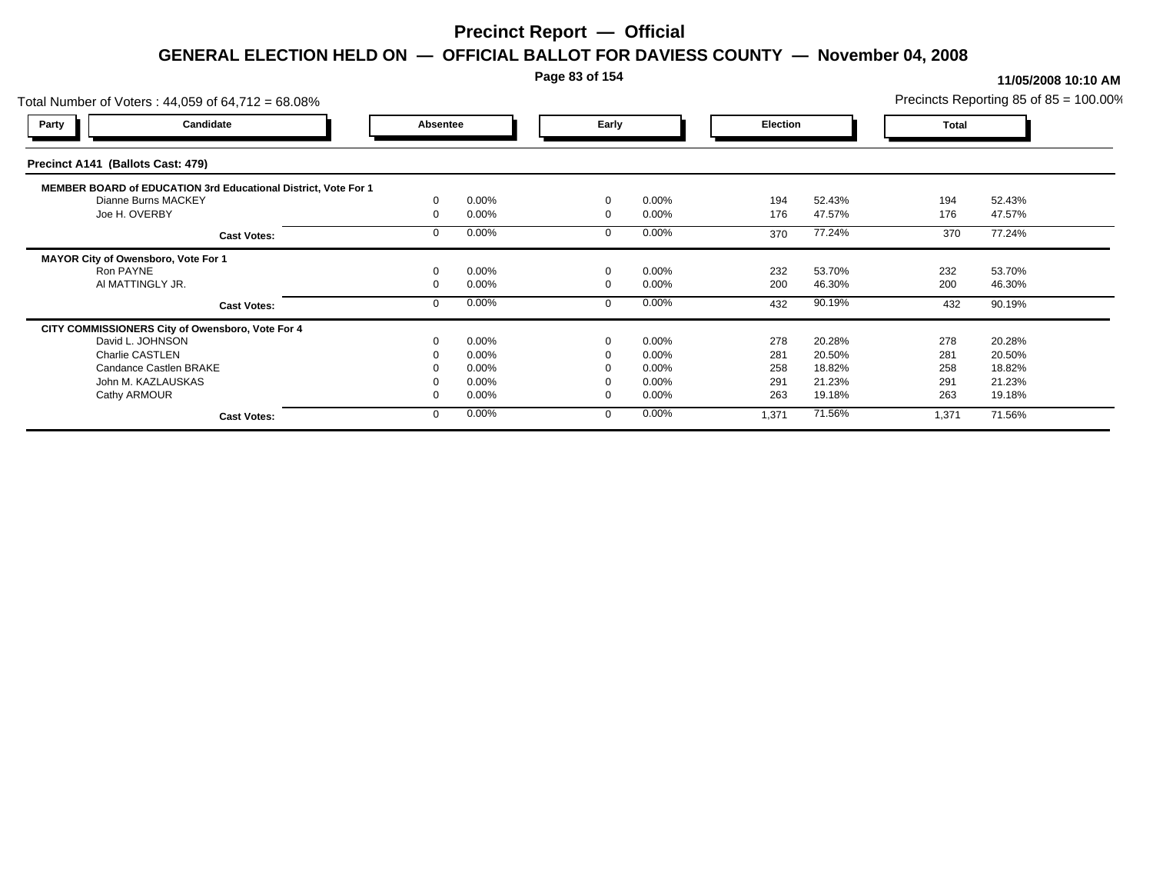### **Page 83 of 154**

| Total Number of Voters: 44,059 of 64,712 = 68.08%              |          |       |          |          |          |        |              | Precincts Reporting 85 of $85 = 100.00\%$ |
|----------------------------------------------------------------|----------|-------|----------|----------|----------|--------|--------------|-------------------------------------------|
| Candidate<br><b>Party</b>                                      | Absentee |       | Early    |          | Election |        | <b>Total</b> |                                           |
| Precinct A141 (Ballots Cast: 479)                              |          |       |          |          |          |        |              |                                           |
| MEMBER BOARD of EDUCATION 3rd Educational District, Vote For 1 |          |       |          |          |          |        |              |                                           |
| Dianne Burns MACKEY                                            |          | 0.00% | $\Omega$ | 0.00%    | 194      | 52.43% | 194          | 52.43%                                    |
| Joe H. OVERBY                                                  |          | 0.00% | $\Omega$ | 0.00%    | 176      | 47.57% | 176          | 47.57%                                    |
| <b>Cast Votes:</b>                                             |          | 0.00% |          | $0.00\%$ | 370      | 77.24% | 370          | 77.24%                                    |
| MAYOR City of Owensboro, Vote For 1                            |          |       |          |          |          |        |              |                                           |
| Ron PAYNE                                                      |          | 0.00% |          | $0.00\%$ | 232      | 53.70% | 232          | 53.70%                                    |
| AI MATTINGLY JR.                                               |          | 0.00% |          | 0.00%    | 200      | 46.30% | 200          | 46.30%                                    |
| <b>Cast Votes:</b>                                             |          | 0.00% |          | 0.00%    | 432      | 90.19% | 432          | 90.19%                                    |
| CITY COMMISSIONERS City of Owensboro, Vote For 4               |          |       |          |          |          |        |              |                                           |
| David L. JOHNSON                                               |          | 0.00% | $\Omega$ | 0.00%    | 278      | 20.28% | 278          | 20.28%                                    |
| Charlie CASTLEN                                                |          | 0.00% |          | 0.00%    | 281      | 20.50% | 281          | 20.50%                                    |
| Candance Castlen BRAKE                                         |          | 0.00% |          | $0.00\%$ | 258      | 18.82% | 258          | 18.82%                                    |
| John M. KAZLAUSKAS                                             |          | 0.00% |          | $0.00\%$ | 291      | 21.23% | 291          | 21.23%                                    |
| Cathy ARMOUR                                                   |          | 0.00% | $\Omega$ | $0.00\%$ | 263      | 19.18% | 263          | 19.18%                                    |
| <b>Cast Votes:</b>                                             |          | 0.00% |          | 0.00%    | 1,371    | 71.56% | 1,371        | 71.56%                                    |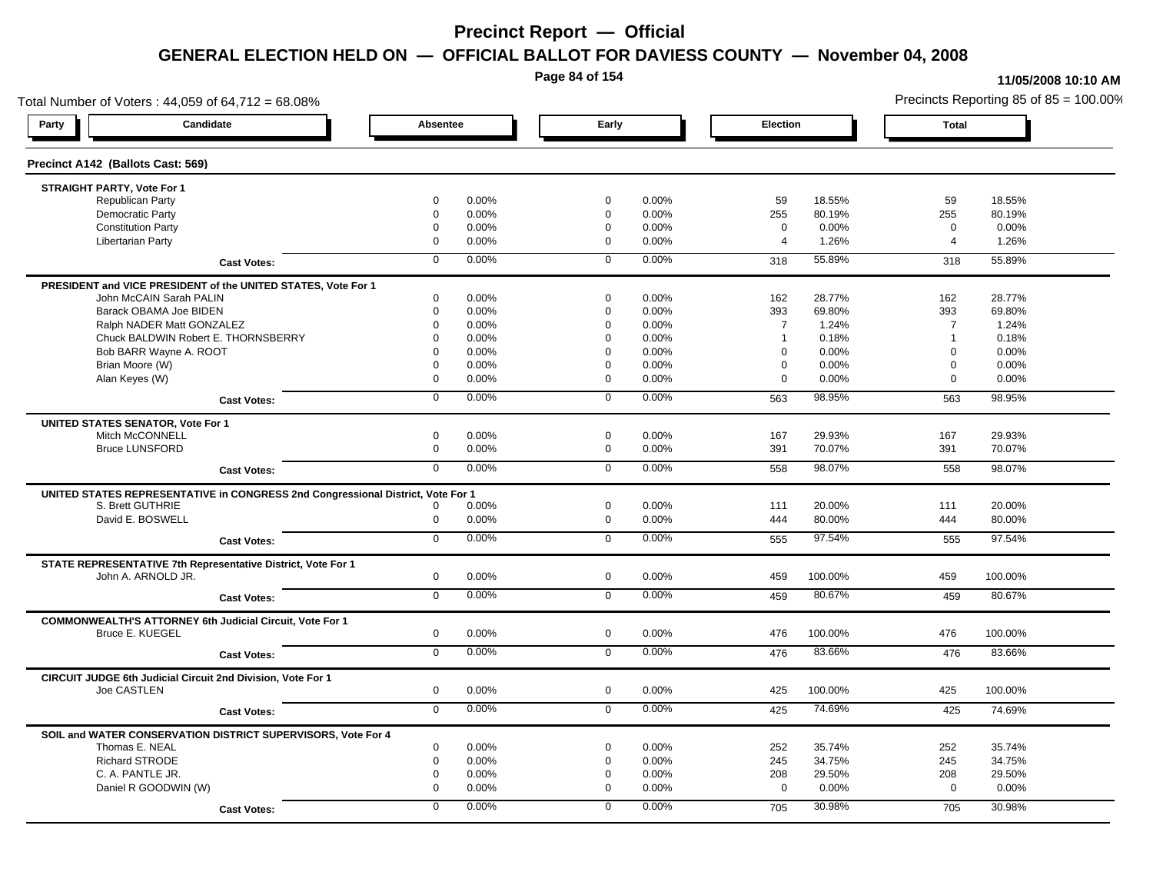**Page 84 of 154**

#### **11/05/2008 10:10 AM**

Total Number of Voters : 44,059 of 64,712 = 68.08% Precincts Reporting 85 of 85 = 100.00% **Party Candidate Absentee Early Election Total Precinct A142 (Ballots Cast: 569) STRAIGHT PARTY, Vote For 1** Republican Party 0 0.00% 0 0.00% 59 18.55% 59 18.55% Democratic Party 0 0.00% 0 0.00% 255 80.19% 255 80.19% Constitution Party 0 0.00% 0 0.00% 0 0.00% 0 0.00% Libertarian Party 0 0.00% 0 0.00% 4 1.26% 4 1.26% **Cast Votes:** 0 0.00% 0 0.00% 318 55.89% 318 55.89% **PRESIDENT and VICE PRESIDENT of the UNITED STATES, Vote For 1** John McCAIN Sarah PALIN John McCAIN Sarah PALIN 0 0.00% 0 0.00% 162 28.77% 162 28.77% Barack OBAMA Joe BIDEN 0 0.00% 0 0.00% 393 69.80% 393 69.80% Ralph NADER Matt GONZALEZ  $0$  0.00% 0 0.00% 7 1.24% 7 1.24% 7 1.24% Chuck BALDWIN Robert E. THORNSBERRY 0 0.00% 0 0.00% 1 0.18% 1 0.18%  $B$ ob BARR Wayne A. ROOT  $0.00\%$   $0.00\%$   $0.00\%$   $0.00\%$   $0.00\%$   $0.00\%$   $0.00\%$   $0.00\%$ Brian Moore (W) 0 0.00% 0 0.00% 0 0.00% 0 0.00% Alan Keyes (W) 0 0.00% 0 0.00% 0 0.00% 0 0.00% **Cast Votes:** 0 0.00% 0 0.00% 563 98.95% 563 98.95% **UNITED STATES SENATOR, Vote For 1** Mitch McCONNELL 0 0.00% 0 0.00% 167 29.93% 167 29.93% Bruce LUNSFORD 0 0.00% 0 0.00% 391 70.07% 391 70.07% **Cast Votes:** 0 0.00% 0 0.00% 558 98.07% 558 98.07% **UNITED STATES REPRESENTATIVE in CONGRESS 2nd Congressional District, Vote For 1** S. Brett GUTHRIE 0 0.00% 0 0.00% 111 20.00% 111 20.00% David E. BOSWELL 0 0.00% 0 0.00% 444 80.00% 444 80.00% **Cast Votes:** 0 0.00% 0 0.00% 555 97.54% 555 97.54% **STATE REPRESENTATIVE 7th Representative District, Vote For 1** John A. ARNOLD JR. 0 0.00% 0 0.00% 459 100.00% 459 100.00% **Cast Votes:** 0 0.00% 0 0.00% 459 80.67% 459 80.67% **COMMONWEALTH'S ATTORNEY 6th Judicial Circuit, Vote For 1** Bruce E. KUEGEL 0 0.00% 0 0.00% 476 100.00% 476 100.00% **Cast Votes:** 0 0.00% 0 0.00% 476 83.66% 476 83.66% **CIRCUIT JUDGE 6th Judicial Circuit 2nd Division, Vote For 1** Joe CASTLEN 0 0.00% 0 0.00% 425 100.00% 425 100.00% **Cast Votes:** 0 0.00% 0 0.00% 425 74.69% 425 74.69% **SOIL and WATER CONSERVATION DISTRICT SUPERVISORS, Vote For 4** Thomas E. NEAL 0 0.00% 0 0.00% 252 35.74% 252 35.74% Richard STRODE 0 0.00% 0 0.00% 245 34.75% 245 34.75% C. A. PANTLE JR. 0 0.00% 0 0.00% 208 29.50% 208 29.50% Daniel R GOODWIN (W) 0 0.00% 0 0.00% 0 0.00% 0 0.00% **Cast Votes:** 0 0.00% 0 0.00% 705 30.98% 705 30.98%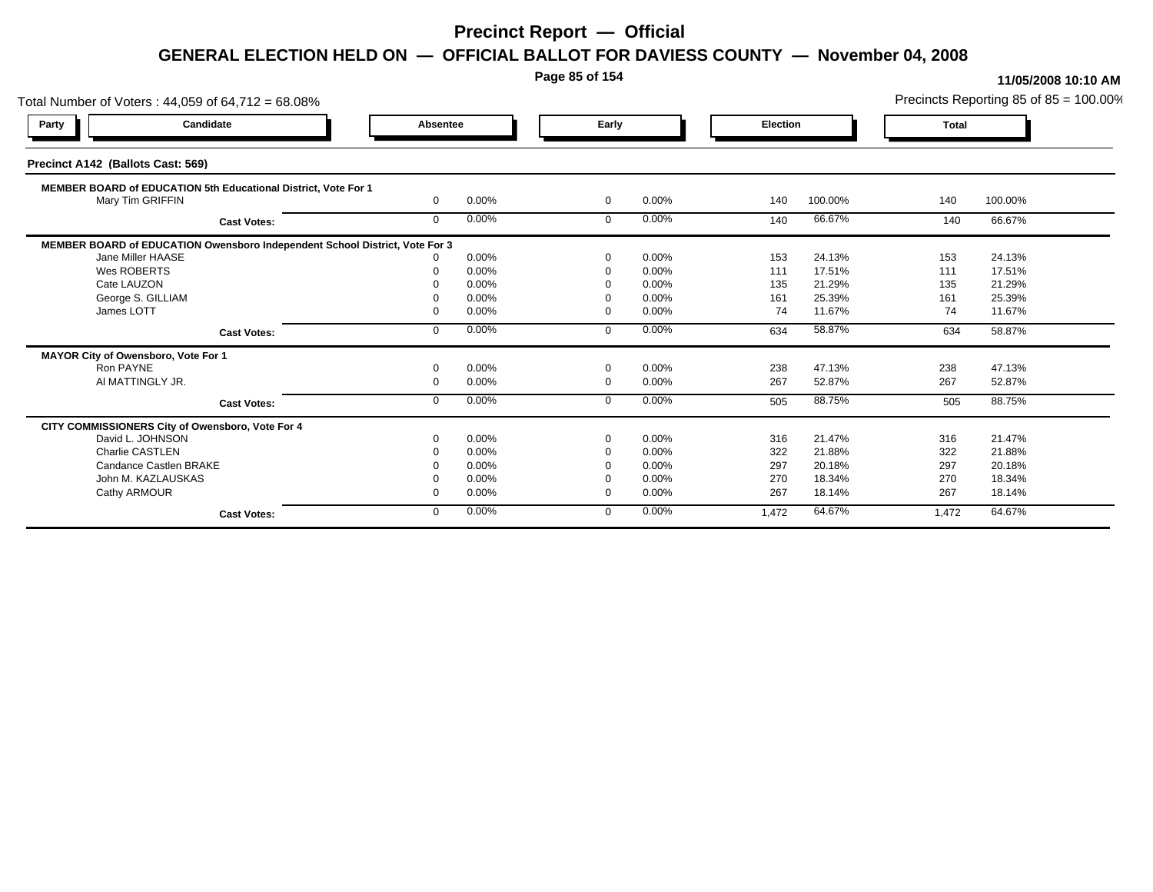**Page 85 of 154**

| Total Number of Voters: 44,059 of 64,712 = 68.08%                           |              |       |                |       |                 |         |              | Precincts Reporting 85 of 85 = 100.00% |
|-----------------------------------------------------------------------------|--------------|-------|----------------|-------|-----------------|---------|--------------|----------------------------------------|
| Candidate<br>Party                                                          | Absentee     |       | Early          |       | <b>Election</b> |         | <b>Total</b> |                                        |
| Precinct A142 (Ballots Cast: 569)                                           |              |       |                |       |                 |         |              |                                        |
| MEMBER BOARD of EDUCATION 5th Educational District, Vote For 1              |              |       |                |       |                 |         |              |                                        |
| Mary Tim GRIFFIN                                                            | $\mathbf{0}$ | 0.00% | $\mathbf{0}$   | 0.00% | 140             | 100.00% | 140          | 100.00%                                |
| <b>Cast Votes:</b>                                                          | $\Omega$     | 0.00% | $\Omega$       | 0.00% | 140             | 66.67%  | 140          | 66.67%                                 |
| MEMBER BOARD of EDUCATION Owensboro Independent School District, Vote For 3 |              |       |                |       |                 |         |              |                                        |
| Jane Miller HAASE                                                           |              | 0.00% | $\Omega$       | 0.00% | 153             | 24.13%  | 153          | 24.13%                                 |
| Wes ROBERTS                                                                 |              | 0.00% | $\Omega$       | 0.00% | 111             | 17.51%  | 111          | 17.51%                                 |
| Cate LAUZON                                                                 |              | 0.00% |                | 0.00% | 135             | 21.29%  | 135          | 21.29%                                 |
| George S. GILLIAM                                                           |              | 0.00% | $\Omega$       | 0.00% | 161             | 25.39%  | 161          | 25.39%                                 |
| James LOTT                                                                  |              | 0.00% | $\Omega$       | 0.00% | 74              | 11.67%  | 74           | 11.67%                                 |
| <b>Cast Votes:</b>                                                          | $\Omega$     | 0.00% | $\Omega$       | 0.00% | 634             | 58.87%  | 634          | 58.87%                                 |
| MAYOR City of Owensboro, Vote For 1                                         |              |       |                |       |                 |         |              |                                        |
| Ron PAYNE                                                                   |              | 0.00% | $\Omega$       | 0.00% | 238             | 47.13%  | 238          | 47.13%                                 |
| AI MATTINGLY JR.                                                            | $\Omega$     | 0.00% | $\overline{0}$ | 0.00% | 267             | 52.87%  | 267          | 52.87%                                 |
| <b>Cast Votes:</b>                                                          | $\Omega$     | 0.00% | $\Omega$       | 0.00% | 505             | 88.75%  | 505          | 88.75%                                 |
| CITY COMMISSIONERS City of Owensboro, Vote For 4                            |              |       |                |       |                 |         |              |                                        |
| David L. JOHNSON                                                            |              | 0.00% | $\Omega$       | 0.00% | 316             | 21.47%  | 316          | 21.47%                                 |
| Charlie CASTLEN                                                             |              | 0.00% |                | 0.00% | 322             | 21.88%  | 322          | 21.88%                                 |
| Candance Castlen BRAKE                                                      |              | 0.00% |                | 0.00% | 297             | 20.18%  | 297          | 20.18%                                 |
| John M. KAZLAUSKAS                                                          |              | 0.00% |                | 0.00% | 270             | 18.34%  | 270          | 18.34%                                 |
| Cathy ARMOUR                                                                |              | 0.00% | $\Omega$       | 0.00% | 267             | 18.14%  | 267          | 18.14%                                 |
| <b>Cast Votes:</b>                                                          | $\Omega$     | 0.00% | $\Omega$       | 0.00% | 1,472           | 64.67%  | 1,472        | 64.67%                                 |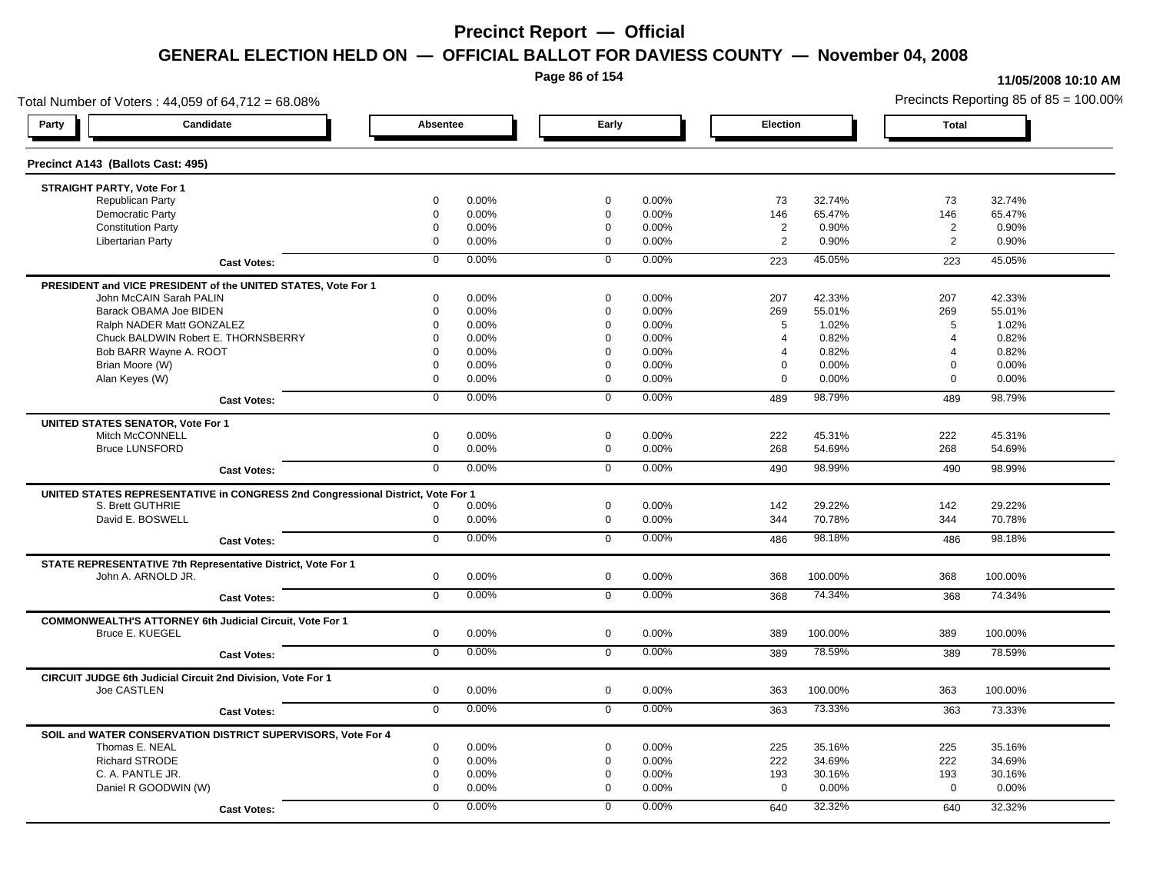**Page 86 of 154**

#### **11/05/2008 10:10 AM**

Total Number of Voters : 44,059 of 64,712 = 68.08% Precincts Reporting 85 of 85 = 100.00% **Party Candidate Absentee Early Election Total Precinct A143 (Ballots Cast: 495) STRAIGHT PARTY, Vote For 1** Republican Party 0 0.00% 0 0.00% 73 32.74% 73 32.74% Democratic Party 0 0.00% 0 0.00% 146 65.47% 146 65.47% Constitution Party 0 0.00% 0 0.00% 2 0.90% 2 0.90% Libertarian Party 0 0.00% 0 0.00% 2 0.90% 2 0.90% **Cast Votes:** 0 0.00% 0 0.00% 223 45.05% 223 45.05% **PRESIDENT and VICE PRESIDENT of the UNITED STATES, Vote For 1** John McCAIN Sarah PALIN John McCAIN Sarah PALIN 0 0.00% 0 0.00% 207 42.33% 207 42.33% Barack OBAMA Joe BIDEN 0 0.00% 0 0.00% 269 55.01% 269 55.01% Ralph NADER Matt GONZALEZ  $\begin{array}{cccc} 6 & 0.00\% & 0.00\% & 0.00\% & 5 & 1.02\% \end{array}$  5 1.02% 5 1.02% Chuck BALDWIN Robert E. THORNSBERRY 0 0.00% 0 0.00% 4 0.82% 4 0.82% Bob BARR Wayne A. ROOT 0 0.00% 0 0.00% 4 0.82% 4 0.82% Brian Moore (W) 0 0.00% 0 0.00% 0 0.00% 0 0.00% Alan Keyes (W) 0 0.00% 0 0.00% 0 0.00% 0 0.00% **Cast Votes:** 0 0.00% 0 0.00% 489 98.79% 489 98.79% **UNITED STATES SENATOR, Vote For 1** Mitch McCONNELL 0 0.00% 0 0.00% 222 45.31% 222 45.31% Bruce LUNSFORD 0 0.00% 0 0.00% 268 54.69% 268 54.69% **Cast Votes:** 0 0.00% 0 0.00% 490 98.99% 490 98.99% **UNITED STATES REPRESENTATIVE in CONGRESS 2nd Congressional District, Vote For 1** S. Brett GUTHRIE 0 0.00% 0 0.00% 142 29.22% 142 29.22% David E. BOSWELL 0 0.00% 0 0.00% 344 70.78% 344 70.78% **Cast Votes:** 0 0.00% 0 0.00% 486 98.18% 486 98.18% **STATE REPRESENTATIVE 7th Representative District, Vote For 1** John A. ARNOLD JR. 0 0.00% 0 0.00% 368 100.00% 368 100.00% **Cast Votes:** 0 0.00% 0 0.00% 368 74.34% 368 74.34% **COMMONWEALTH'S ATTORNEY 6th Judicial Circuit, Vote For 1** Bruce E. KUEGEL 0 0.00% 0 0.00% 389 100.00% 389 100.00% **Cast Votes:** 0 0.00% 0 0.00% 389 78.59% 389 78.59% **CIRCUIT JUDGE 6th Judicial Circuit 2nd Division, Vote For 1** Joe CASTLEN 0 0.00% 0 0.00% 363 100.00% 363 100.00% **Cast Votes:** 0 0.00% 0 0.00% 363 73.33% 363 73.33% **SOIL and WATER CONSERVATION DISTRICT SUPERVISORS, Vote For 4** Thomas E. NEAL 0 0.00% 0 0.00% 225 35.16% 225 35.16% Richard STRODE 0 0.00% 0 0.00% 222 34.69% 222 34.69% C. A. PANTLE JR. 0 0.00% 0 0.00% 193 30.16% 193 30.16% Daniel R GOODWIN (W) 0 0.00% 0 0.00% 0 0.00% 0 0.00% **Cast Votes:** 0 0.00% 0 0.00% 640 32.32% 640 32.32%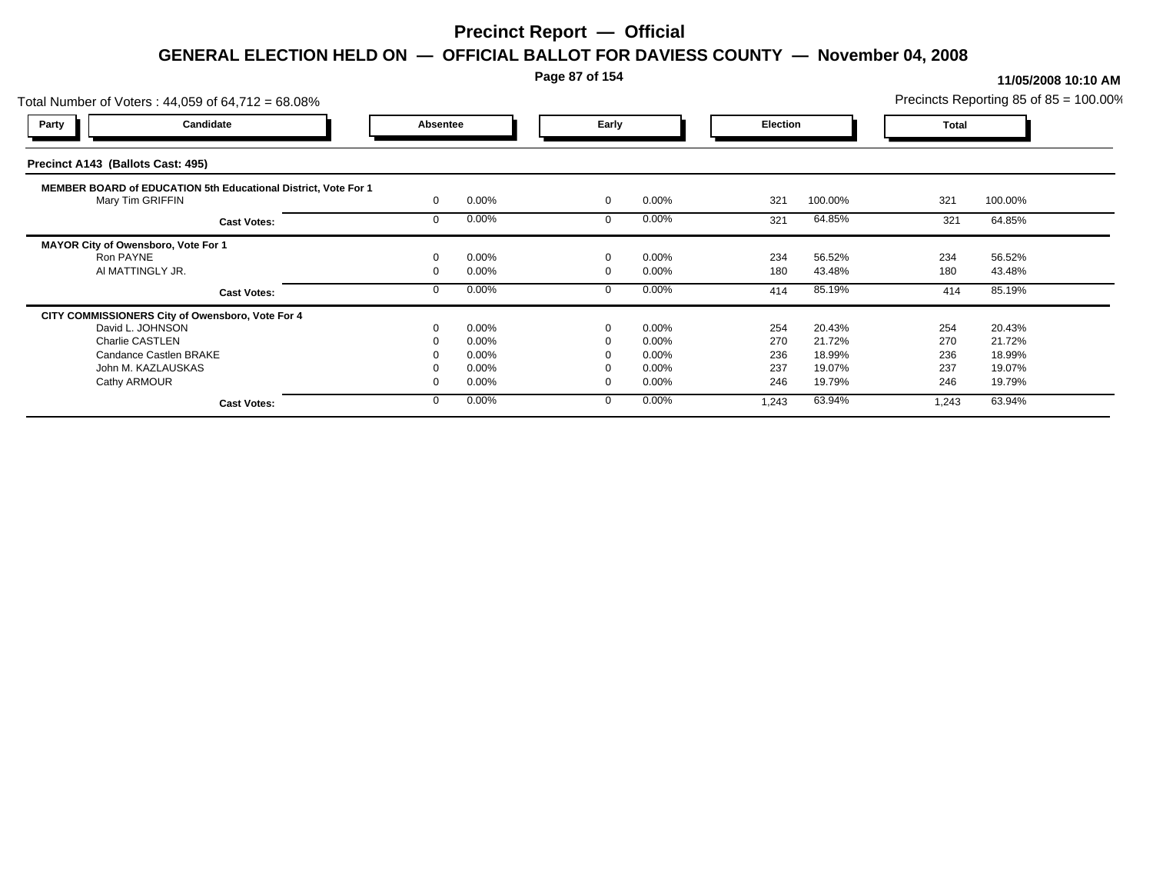### **Page 87 of 154**

|                                     | Total Number of Voters: 44,059 of 64,712 = 68.08%                     |          |                |             |                   |                 |                  |              | Precincts Reporting 85 of 85 = 100.00% |  |
|-------------------------------------|-----------------------------------------------------------------------|----------|----------------|-------------|-------------------|-----------------|------------------|--------------|----------------------------------------|--|
| <b>Party</b>                        | Candidate                                                             | Absentee |                | Early       |                   | <b>Election</b> |                  | <b>Total</b> |                                        |  |
| Precinct A143 (Ballots Cast: 495)   |                                                                       |          |                |             |                   |                 |                  |              |                                        |  |
| Mary Tim GRIFFIN                    | <b>MEMBER BOARD of EDUCATION 5th Educational District, Vote For 1</b> |          | 0.00%          | $\mathbf 0$ | 0.00%             | 321             | 100.00%          | 321          | 100.00%                                |  |
|                                     | <b>Cast Votes:</b>                                                    |          | 0.00%          |             | 0.00%             | 321             | 64.85%           | 321          | 64.85%                                 |  |
| MAYOR City of Owensboro, Vote For 1 |                                                                       |          |                |             |                   |                 |                  |              |                                        |  |
| Ron PAYNE<br>AI MATTINGLY JR.       |                                                                       |          | 0.00%<br>0.00% | $\Omega$    | 0.00%<br>$0.00\%$ | 234<br>180      | 56.52%<br>43.48% | 234<br>180   | 56.52%<br>43.48%                       |  |
|                                     | <b>Cast Votes:</b>                                                    |          | 0.00%          |             | 0.00%             | 414             | 85.19%           | 414          | 85.19%                                 |  |
|                                     | CITY COMMISSIONERS City of Owensboro, Vote For 4                      |          |                |             |                   |                 |                  |              |                                        |  |
| David L. JOHNSON                    |                                                                       |          | 0.00%          | $\mathbf 0$ | 0.00%             | 254             | 20.43%           | 254          | 20.43%                                 |  |
| Charlie CASTLEN                     |                                                                       |          | 0.00%          |             | 0.00%             | 270             | 21.72%           | 270          | 21.72%                                 |  |
|                                     | Candance Castlen BRAKE                                                |          | 0.00%          |             | $0.00\%$          | 236             | 18.99%           | 236          | 18.99%                                 |  |
| John M. KAZLAUSKAS                  |                                                                       |          | 0.00%          |             | 0.00%             | 237             | 19.07%           | 237          | 19.07%                                 |  |
| Cathy ARMOUR                        |                                                                       |          | 0.00%          |             | 0.00%             | 246             | 19.79%           | 246          | 19.79%                                 |  |
|                                     | <b>Cast Votes:</b>                                                    |          | 0.00%          | $\Omega$    | $0.00\%$          | 1,243           | 63.94%           | 1,243        | 63.94%                                 |  |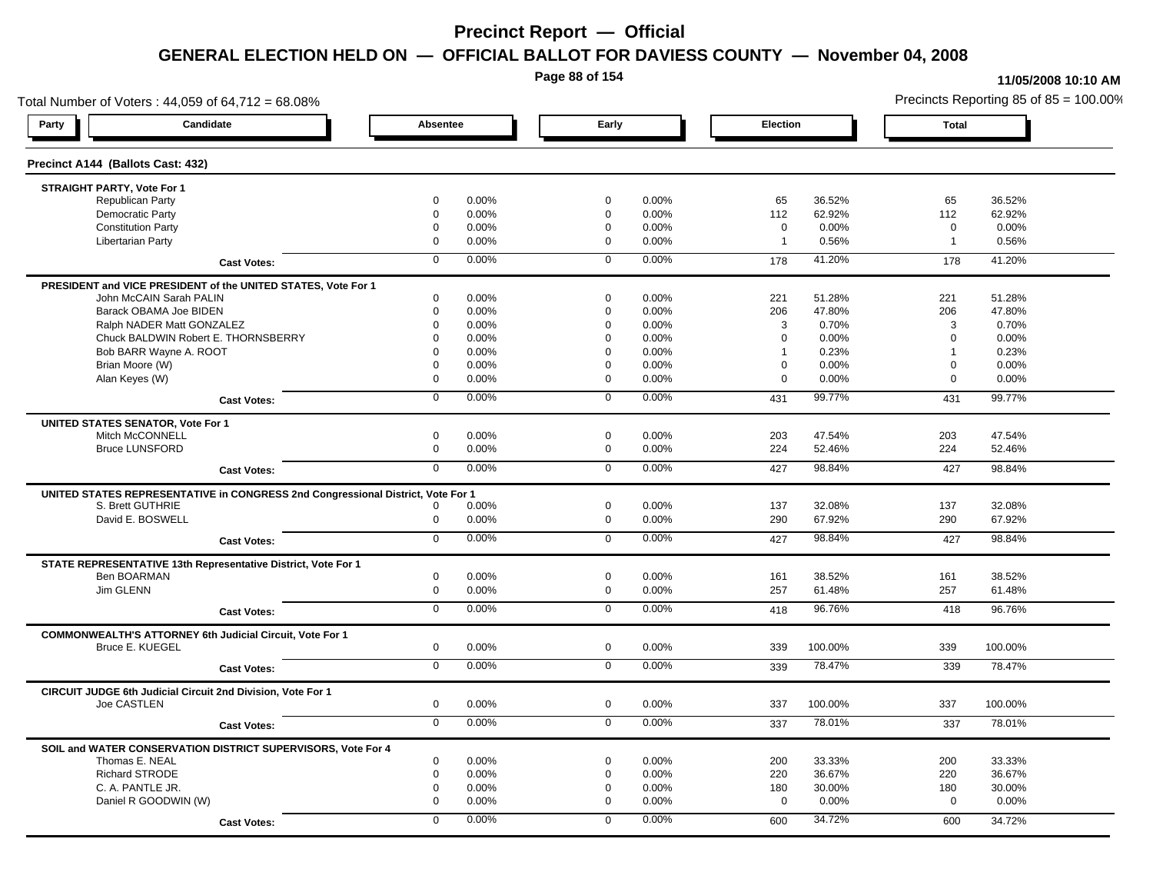**Page 88 of 154**

#### **11/05/2008 10:10 AM**

Total Number of Voters : 44,059 of 64,712 = 68.08% Precincts Reporting 85 of 85 = 100.00% **Party Candidate Absentee Early Election Total Precinct A144 (Ballots Cast: 432) STRAIGHT PARTY, Vote For 1** Republican Party 0 0.00% 0 0.00% 65 36.52% 65 36.52% Democratic Party 0 0.00% 0 0.00% 112 62.92% 112 62.92% Constitution Party 0 0.00% 0 0.00% 0 0.00% 0 0.00% Libertarian Party 0 0.00% 0 0.00% 1 0.56% 1 0.56% **Cast Votes:** 0 0.00% 0 0.00% 178 41.20% 178 41.20% **PRESIDENT and VICE PRESIDENT of the UNITED STATES, Vote For 1** John McCAIN Sarah PALIN John McCAIN Sarah PALIN 0 0.00% 0 0.00% 221 51.28% 221 51.28% Barack OBAMA Joe BIDEN 0 0.00% 0 0.00% 206 47.80% 206 47.80% Ralph NADER Matt GONZALEZ  $0$  0.00% 0 0.00% 3 0.70% 3 0.70% 3 0.70% Chuck BALDWIN Robert E. THORNSBERRY 0 0.00% 0 0.00% 0 0.00% 0 0.00% Bob BARR Wayne A. ROOT **12000 12000 12000 120000 120000 120000 1** 0.23% 1 0.23% 1 0.23% 1 0.23% Brian Moore (W) 0 0.00% 0 0.00% 0 0.00% 0 0.00% Alan Keyes (W) 0 0.00% 0 0.00% 0 0.00% 0 0.00% **Cast Votes:** 0 0.00% 0 0.00% 431 99.77% 431 99.77% **UNITED STATES SENATOR, Vote For 1** Mitch McCONNELL 0 0.00% 0 0.00% 203 47.54% 203 47.54% Bruce LUNSFORD 0 0.00% 0 0.00% 224 52.46% 224 52.46% **Cast Votes:** 0 0.00% 0 0.00% 427 98.84% 427 98.84% **UNITED STATES REPRESENTATIVE in CONGRESS 2nd Congressional District, Vote For 1** S. Brett GUTHRIE 0 0.00% 0 0.00% 137 32.08% 137 32.08% David E. BOSWELL 0 0.00% 0 0.00% 290 67.92% 290 67.92% **Cast Votes:** 0 0.00% 0 0.00% 427 98.84% 427 98.84% **STATE REPRESENTATIVE 13th Representative District, Vote For 1** Ben BOARMAN 0 0.00% 0 0.00% 161 38.52% 161 38.52% Jim GLENN 0 0.00% 0 0.00% 257 61.48% 257 61.48% **Cast Votes:** 0 0.00% 0 0.00% 418 96.76% 418 96.76% **COMMONWEALTH'S ATTORNEY 6th Judicial Circuit, Vote For 1** Bruce E. KUEGEL 0 0.00% 0 0.00% 339 100.00% 339 100.00% **Cast Votes:** 0 0.00% 0 0.00% 339 78.47% 339 78.47% **CIRCUIT JUDGE 6th Judicial Circuit 2nd Division, Vote For 1** Joe CASTLEN 0 0.00% 0 0.00% 337 100.00% 337 100.00% **Cast Votes:** 0 0.00% 0 0.00% 337 78.01% 337 78.01% **SOIL and WATER CONSERVATION DISTRICT SUPERVISORS, Vote For 4** Thomas E. NEAL 0 0.00% 0 0.00% 200 33.33% 200 33.33% Richard STRODE 0 0.00% 0 0.00% 220 36.67% 220 36.67% C. A. PANTLE JR. 0 0.00% 0 0.00% 180 30.00% 180 30.00% Daniel R GOODWIN (W) 0 0.00% 0 0.00% 0 0.00% 0 0.00% **Cast Votes:** 0 0.00% 0 0.00% 600 34.72% 600 34.72%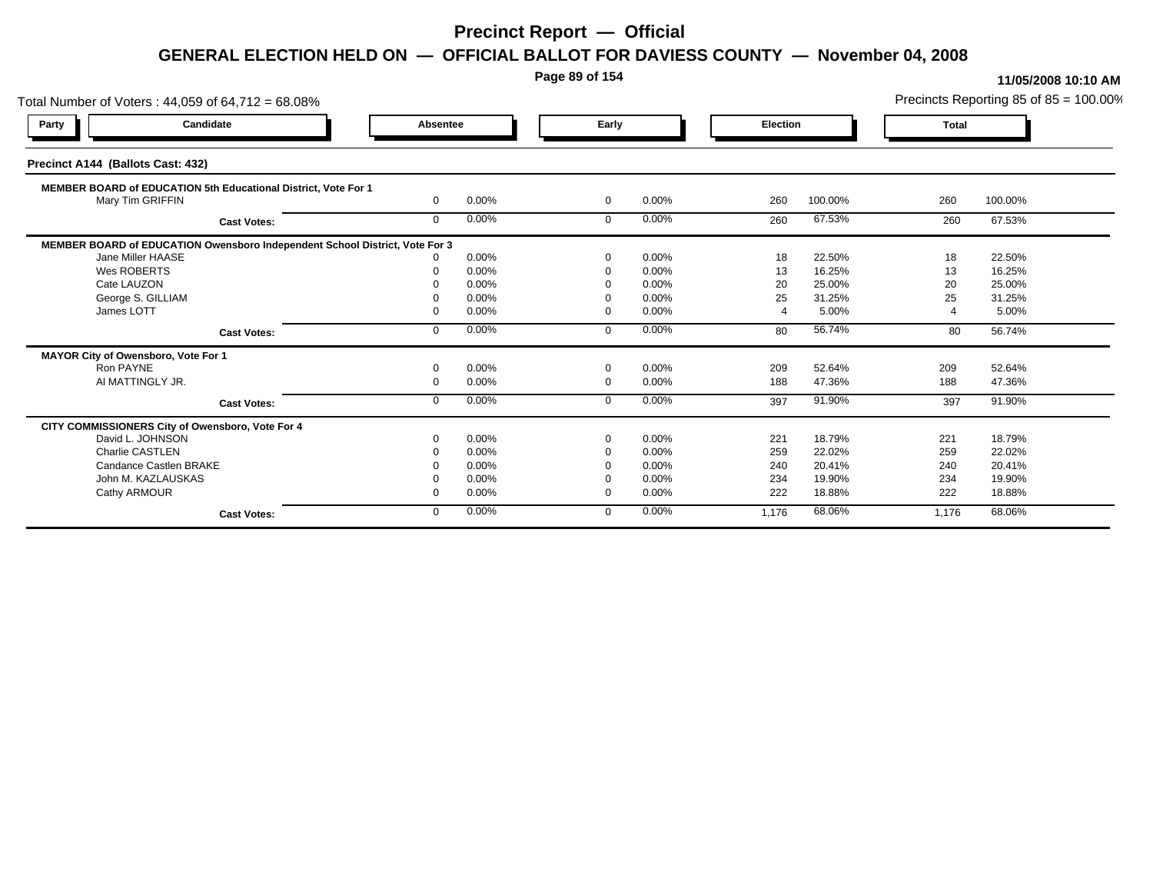**Page 89 of 154**

| Total Number of Voters: 44,059 of 64,712 = 68.08%                           |              |       |                |       |                 |         |              | Precincts Reporting 85 of 85 = 100.00% |
|-----------------------------------------------------------------------------|--------------|-------|----------------|-------|-----------------|---------|--------------|----------------------------------------|
| Candidate<br>Party                                                          | Absentee     |       | Early          |       | <b>Election</b> |         | <b>Total</b> |                                        |
| Precinct A144 (Ballots Cast: 432)                                           |              |       |                |       |                 |         |              |                                        |
| MEMBER BOARD of EDUCATION 5th Educational District, Vote For 1              |              |       |                |       |                 |         |              |                                        |
| Mary Tim GRIFFIN                                                            | $\Omega$     | 0.00% | $\mathbf 0$    | 0.00% | 260             | 100.00% | 260          | 100.00%                                |
| <b>Cast Votes:</b>                                                          | $\mathbf{0}$ | 0.00% | $\mathbf 0$    | 0.00% | 260             | 67.53%  | 260          | 67.53%                                 |
| MEMBER BOARD of EDUCATION Owensboro Independent School District, Vote For 3 |              |       |                |       |                 |         |              |                                        |
| Jane Miller HAASE                                                           |              | 0.00% | $\Omega$       | 0.00% | 18              | 22.50%  | 18           | 22.50%                                 |
| Wes ROBERTS                                                                 |              | 0.00% | $\Omega$       | 0.00% | 13              | 16.25%  | 13           | 16.25%                                 |
| Cate LAUZON                                                                 |              | 0.00% |                | 0.00% | 20              | 25.00%  | 20           | 25.00%                                 |
| George S. GILLIAM                                                           |              | 0.00% | - 0            | 0.00% | 25              | 31.25%  | 25           | 31.25%                                 |
| James LOTT                                                                  |              | 0.00% | $\Omega$       | 0.00% |                 | 5.00%   |              | 5.00%                                  |
| <b>Cast Votes:</b>                                                          | $\Omega$     | 0.00% | $\Omega$       | 0.00% | 80              | 56.74%  | 80           | 56.74%                                 |
| MAYOR City of Owensboro, Vote For 1                                         |              |       |                |       |                 |         |              |                                        |
| Ron PAYNE                                                                   |              | 0.00% | $\Omega$       | 0.00% | 209             | 52.64%  | 209          | 52.64%                                 |
| AI MATTINGLY JR.                                                            | $\Omega$     | 0.00% | $\overline{0}$ | 0.00% | 188             | 47.36%  | 188          | 47.36%                                 |
| <b>Cast Votes:</b>                                                          | $\Omega$     | 0.00% | $\Omega$       | 0.00% | 397             | 91.90%  | 397          | 91.90%                                 |
| CITY COMMISSIONERS City of Owensboro, Vote For 4                            |              |       |                |       |                 |         |              |                                        |
| David L. JOHNSON                                                            |              | 0.00% | $\Omega$       | 0.00% | 221             | 18.79%  | 221          | 18.79%                                 |
| Charlie CASTLEN                                                             |              | 0.00% | $\Omega$       | 0.00% | 259             | 22.02%  | 259          | 22.02%                                 |
| Candance Castlen BRAKE                                                      |              | 0.00% |                | 0.00% | 240             | 20.41%  | 240          | 20.41%                                 |
| John M. KAZLAUSKAS                                                          |              | 0.00% |                | 0.00% | 234             | 19.90%  | 234          | 19.90%                                 |
| Cathy ARMOUR                                                                |              | 0.00% | $\Omega$       | 0.00% | 222             | 18.88%  | 222          | 18.88%                                 |
| <b>Cast Votes:</b>                                                          | $\mathbf{0}$ | 0.00% | $\Omega$       | 0.00% | 1,176           | 68.06%  | 1,176        | 68.06%                                 |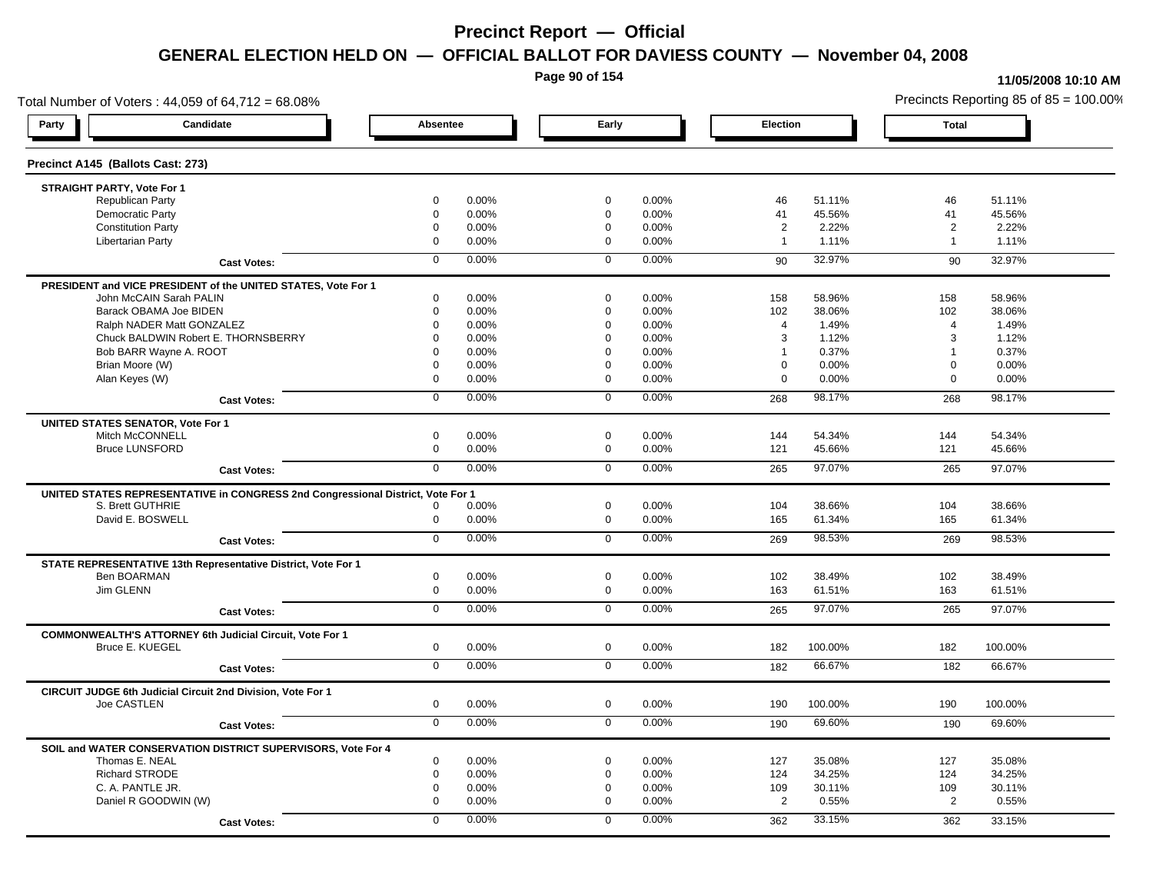**Page 90 of 154**

#### **11/05/2008 10:10 AM**

Total Number of Voters : 44,059 of 64,712 = 68.08% Precincts Reporting 85 of 85 = 100.00% **Party Candidate Absentee Early Election Total Precinct A145 (Ballots Cast: 273) STRAIGHT PARTY, Vote For 1** Republican Party 0 0.00% 0 0.00% 46 51.11% 46 51.11% Democratic Party 0 0.00% 0 0.00% 41 45.56% 41 45.56% Constitution Party 0 0.00% 0 0.00% 2 2.22% 2 2.22% Libertarian Party 0 0.00% 0 0.00% 1 1.11% 1 1.11% **Cast Votes:** 0 0.00% 0 0.00% 90 32.97% 90 32.97% **PRESIDENT and VICE PRESIDENT of the UNITED STATES, Vote For 1** John McCAIN Sarah PALIN John McCAIN Sarah PALIN 0 0.00% 0 0.00% 158 58.96% 158 58.96% Barack OBAMA Joe BIDEN 0 0.00% 0 0.00% 102 38.06% 102 38.06% Ralph NADER Matt GONZALEZ  $\begin{array}{cccc} 0 & 0.00\% & 0 & 0.00\% & 4 & 1.49\% \end{array}$  4 1.49% Chuck BALDWIN Robert E. THORNSBERRY 0 0.00% 0 0.00% 3 1.12% 3 1.12% Bob BARR Wayne A. ROOT **1** 0.37% 1 0.37% 1 0.37% 1 0.37% 1 0.37% 1 0.37% 1 0.37% 1 0.37% Brian Moore (W) 0 0.00% 0 0.00% 0 0.00% 0 0.00% Alan Keyes (W) 0 0.00% 0 0.00% 0 0.00% 0 0.00% **Cast Votes:** 0 0.00% 0 0.00% 268 98.17% 268 98.17% **UNITED STATES SENATOR, Vote For 1** Mitch McCONNELL 0 0.00% 0 0.00% 144 54.34% 144 54.34% Bruce LUNSFORD 0 0.00% 0 0.00% 121 45.66% 121 45.66% **Cast Votes:** 0 0.00% 0 0.00% 265 97.07% 265 97.07% **UNITED STATES REPRESENTATIVE in CONGRESS 2nd Congressional District, Vote For 1** S. Brett GUTHRIE 0 0.00% 0 0.00% 104 38.66% 104 38.66% David E. BOSWELL 0 0.00% 0 0.00% 165 61.34% 165 61.34% **Cast Votes:** 0 0.00% 0 0.00% 269 98.53% 269 98.53% **STATE REPRESENTATIVE 13th Representative District, Vote For 1** Ben BOARMAN 0 0.00% 0 0.00% 102 38.49% 102 38.49% Jim GLENN 0 0.00% 0 0.00% 163 61.51% 163 61.51% **Cast Votes:** 0 0.00% 0 0.00% 265 97.07% 265 97.07% **COMMONWEALTH'S ATTORNEY 6th Judicial Circuit, Vote For 1** Bruce E. KUEGEL 0 0.00% 0 0.00% 182 100.00% 182 100.00% **Cast Votes:** 0 0.00% 0 0.00% 182 66.67% 182 66.67% **CIRCUIT JUDGE 6th Judicial Circuit 2nd Division, Vote For 1** Joe CASTLEN 0 0.00% 0 0.00% 190 100.00% 190 100.00% **Cast Votes:** 0 0.00% 0 0.00% 190 69.60% 190 69.60% **SOIL and WATER CONSERVATION DISTRICT SUPERVISORS, Vote For 4** Thomas E. NEAL 0 0.00% 0 0.00% 127 35.08% 127 35.08% Richard STRODE 0 0.00% 0 0.00% 124 34.25% 124 34.25% C. A. PANTLE JR. 0 0.00% 0 0.00% 109 30.11% 109 30.11% Daniel R GOODWIN (W) 0 0.00% 0 0.00% 2 0.55% 2 0.55% **Cast Votes:** 0 0.00% 0 0.00% 362 33.15% 362 33.15%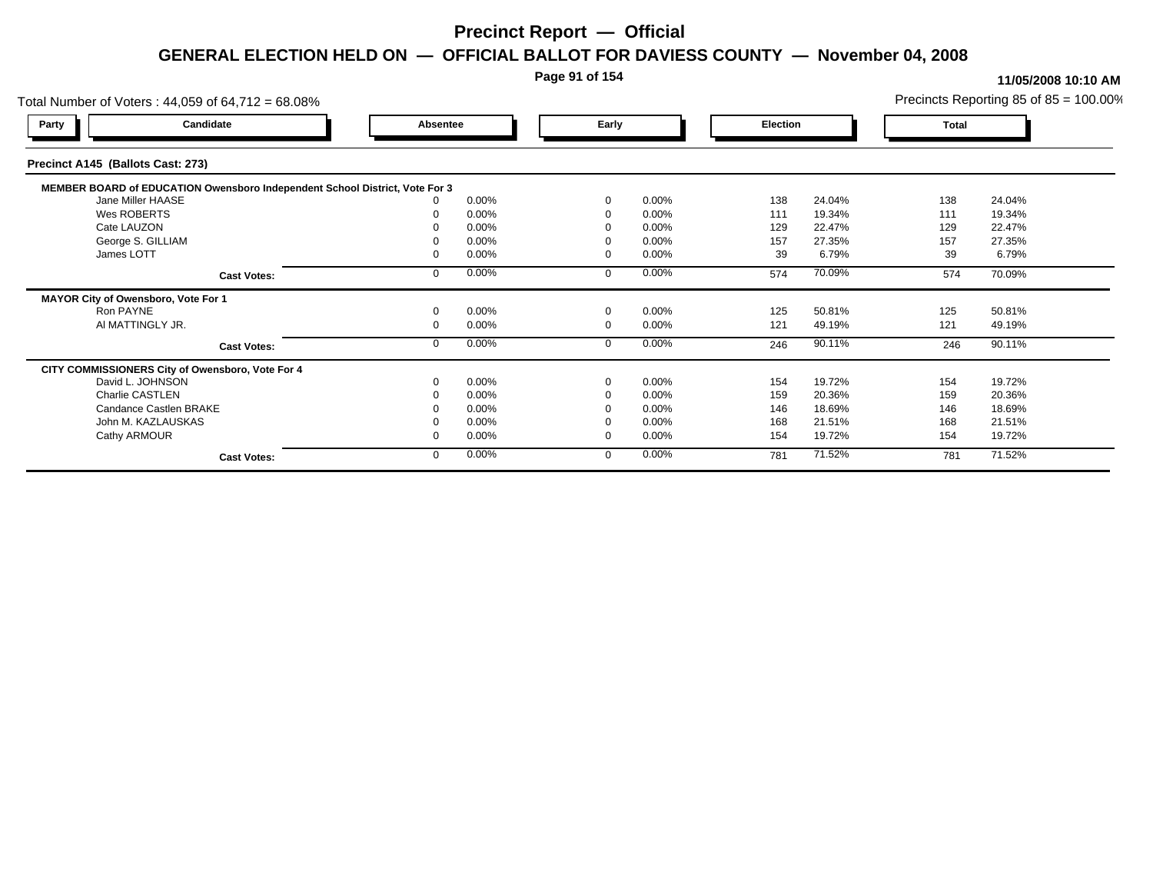### **Page 91 of 154**

| Total Number of Voters: 44,059 of 64,712 = 68.08%                           |          |       |          |          |          |        |       | Precincts Reporting 85 of $85 = 100.00\%$ |
|-----------------------------------------------------------------------------|----------|-------|----------|----------|----------|--------|-------|-------------------------------------------|
| Candidate<br>Party                                                          | Absentee |       | Early    |          | Election |        | Total |                                           |
| Precinct A145 (Ballots Cast: 273)                                           |          |       |          |          |          |        |       |                                           |
| MEMBER BOARD of EDUCATION Owensboro Independent School District, Vote For 3 |          |       |          |          |          |        |       |                                           |
| Jane Miller HAASE                                                           |          | 0.00% | $\Omega$ | $0.00\%$ | 138      | 24.04% | 138   | 24.04%                                    |
| Wes ROBERTS                                                                 |          | 0.00% |          | 0.00%    | 111      | 19.34% | 111   | 19.34%                                    |
| Cate LAUZON                                                                 |          | 0.00% |          | 0.00%    | 129      | 22.47% | 129   | 22.47%                                    |
| George S. GILLIAM                                                           |          | 0.00% |          | 0.00%    | 157      | 27.35% | 157   | 27.35%                                    |
| James LOTT                                                                  |          | 0.00% |          | 0.00%    | 39       | 6.79%  | 39    | 6.79%                                     |
| <b>Cast Votes:</b>                                                          |          | 0.00% | $\Omega$ | 0.00%    | 574      | 70.09% | 574   | 70.09%                                    |
| MAYOR City of Owensboro, Vote For 1                                         |          |       |          |          |          |        |       |                                           |
| Ron PAYNE                                                                   |          | 0.00% | $\Omega$ | 0.00%    | 125      | 50.81% | 125   | 50.81%                                    |
| AI MATTINGLY JR.                                                            |          | 0.00% | $\Omega$ | 0.00%    | 121      | 49.19% | 121   | 49.19%                                    |
| <b>Cast Votes:</b>                                                          |          | 0.00% | $\Omega$ | 0.00%    | 246      | 90.11% | 246   | 90.11%                                    |
| CITY COMMISSIONERS City of Owensboro, Vote For 4                            |          |       |          |          |          |        |       |                                           |
| David L. JOHNSON                                                            |          | 0.00% | $\Omega$ | 0.00%    | 154      | 19.72% | 154   | 19.72%                                    |
| Charlie CASTLEN                                                             |          | 0.00% |          | 0.00%    | 159      | 20.36% | 159   | 20.36%                                    |
| Candance Castlen BRAKE                                                      |          | 0.00% |          | 0.00%    | 146      | 18.69% | 146   | 18.69%                                    |
| John M. KAZLAUSKAS                                                          |          | 0.00% |          | 0.00%    | 168      | 21.51% | 168   | 21.51%                                    |
| Cathy ARMOUR                                                                |          | 0.00% | $\Omega$ | 0.00%    | 154      | 19.72% | 154   | 19.72%                                    |
| <b>Cast Votes:</b>                                                          |          | 0.00% | $\Omega$ | 0.00%    | 781      | 71.52% | 781   | 71.52%                                    |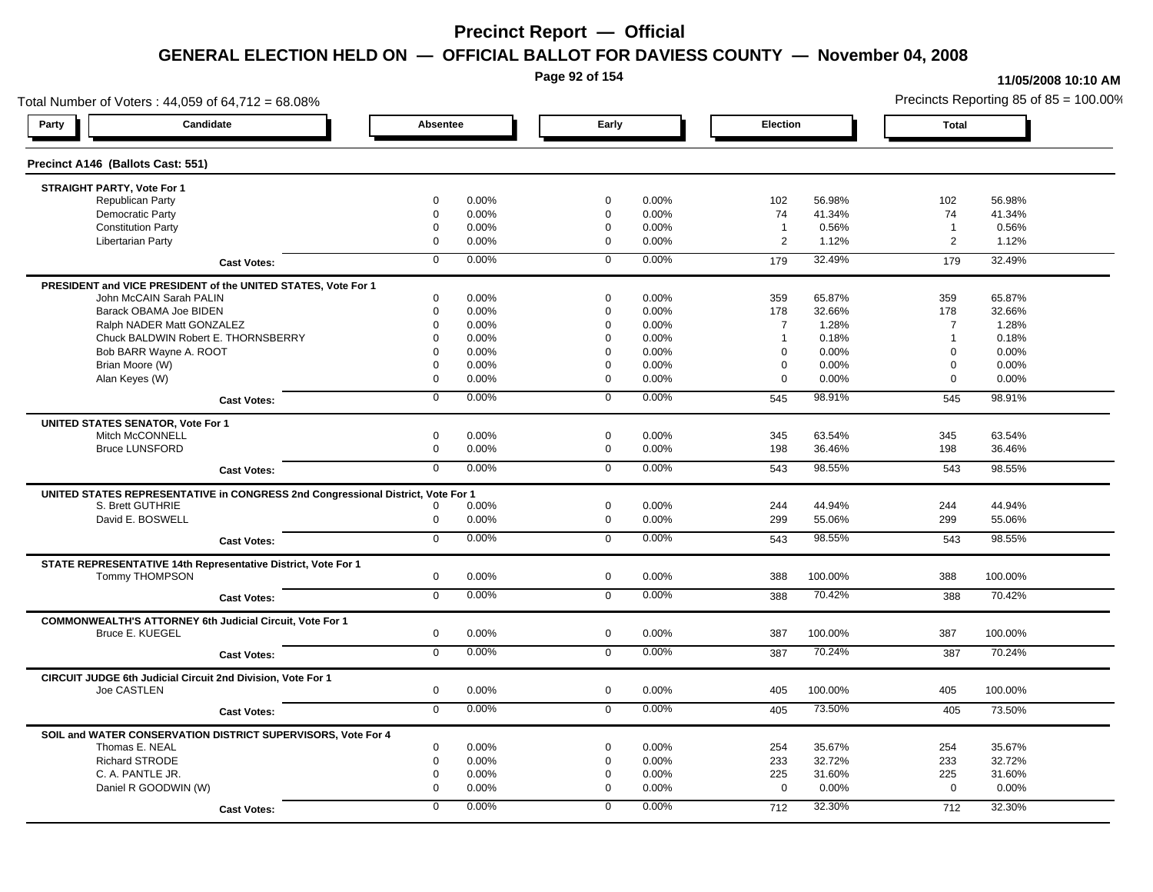**Page 92 of 154**

#### **11/05/2008 10:10 AM**

Total Number of Voters : 44,059 of 64,712 = 68.08% Precincts Reporting 85 of 85 = 100.00% **Party Candidate Absentee Early Election Total Precinct A146 (Ballots Cast: 551) STRAIGHT PARTY, Vote For 1** Republican Party 0 0.00% 0 0.00% 102 56.98% 102 56.98% Democratic Party 0 0.00% 0 0.00% 74 41.34% 74 41.34% Constitution Party 0 0.00% 0 0.00% 1 0.56% 1 0.56% Libertarian Party 0 0.00% 0 0.00% 2 1.12% 2 1.12% **Cast Votes:** 0 0.00% 0 0.00% 179 32.49% 179 32.49% **PRESIDENT and VICE PRESIDENT of the UNITED STATES, Vote For 1** John McCAIN Sarah PALIN John McCAIN Sarah PALIN 0 0.00% 0 0.00% 359 65.87% 359 65.87% Barack OBAMA Joe BIDEN 0 0.00% 0 0.00% 178 32.66% 178 32.66% Ralph NADER Matt GONZALEZ 0 0.00% 0 0.00% 7 1.28% 7 1.28% Chuck BALDWIN Robert E. THORNSBERRY 0 0.00% 0 0.00% 1 0.18% 1 0.18%  $B$ ob BARR Wayne A. ROOT  $0.00\%$   $0.00\%$   $0.00\%$   $0.00\%$   $0.00\%$   $0.00\%$   $0.00\%$   $0.00\%$ Brian Moore (W) 0 0.00% 0 0.00% 0 0.00% 0 0.00% Alan Keyes (W) 0 0.00% 0 0.00% 0 0.00% 0 0.00% **Cast Votes:** 0 0.00% 0 0.00% 545 98.91% 545 98.91% **UNITED STATES SENATOR, Vote For 1** Mitch McCONNELL 0 0.00% 0 0.00% 345 63.54% 345 63.54% Bruce LUNSFORD 0 0.00% 0 0.00% 198 36.46% 198 36.46% **Cast Votes:** 0 0.00% 0 0.00% 543 98.55% 543 98.55% **UNITED STATES REPRESENTATIVE in CONGRESS 2nd Congressional District, Vote For 1** S. Brett GUTHRIE 0 0.00% 0 0.00% 244 44.94% 244 44.94% David E. BOSWELL 0 0.00% 0 0.00% 299 55.06% 299 55.06% **Cast Votes:** 0 0.00% 0 0.00% 543 98.55% 543 98.55% **STATE REPRESENTATIVE 14th Representative District, Vote For 1** Tommy THOMPSON 0 0.00% 0 0.00% 388 100.00% 388 100.00% **Cast Votes:** 0 0.00% 0 0.00% 388 70.42% 388 70.42% **COMMONWEALTH'S ATTORNEY 6th Judicial Circuit, Vote For 1** Bruce E. KUEGEL 0 0.00% 0 0.00% 387 100.00% 387 100.00% **Cast Votes:** 0 0.00% 0 0.00% 387 70.24% 387 70.24% **CIRCUIT JUDGE 6th Judicial Circuit 2nd Division, Vote For 1** Joe CASTLEN 0 0.00% 0 0.00% 405 100.00% 405 100.00% **Cast Votes:** 0 0.00% 0 0.00% 405 73.50% 405 73.50% **SOIL and WATER CONSERVATION DISTRICT SUPERVISORS, Vote For 4** Thomas E. NEAL 0 0.00% 0 0.00% 254 35.67% 254 35.67% Richard STRODE 0 0.00% 0 0.00% 233 32.72% 233 32.72% C. A. PANTLE JR. 0 0.00% 0 0.00% 225 31.60% 225 31.60% Daniel R GOODWIN (W) 0 0.00% 0 0.00% 0 0.00% 0 0.00% **Cast Votes:** 0 0.00% 0 0.00% 712 32.30% 712 32.30%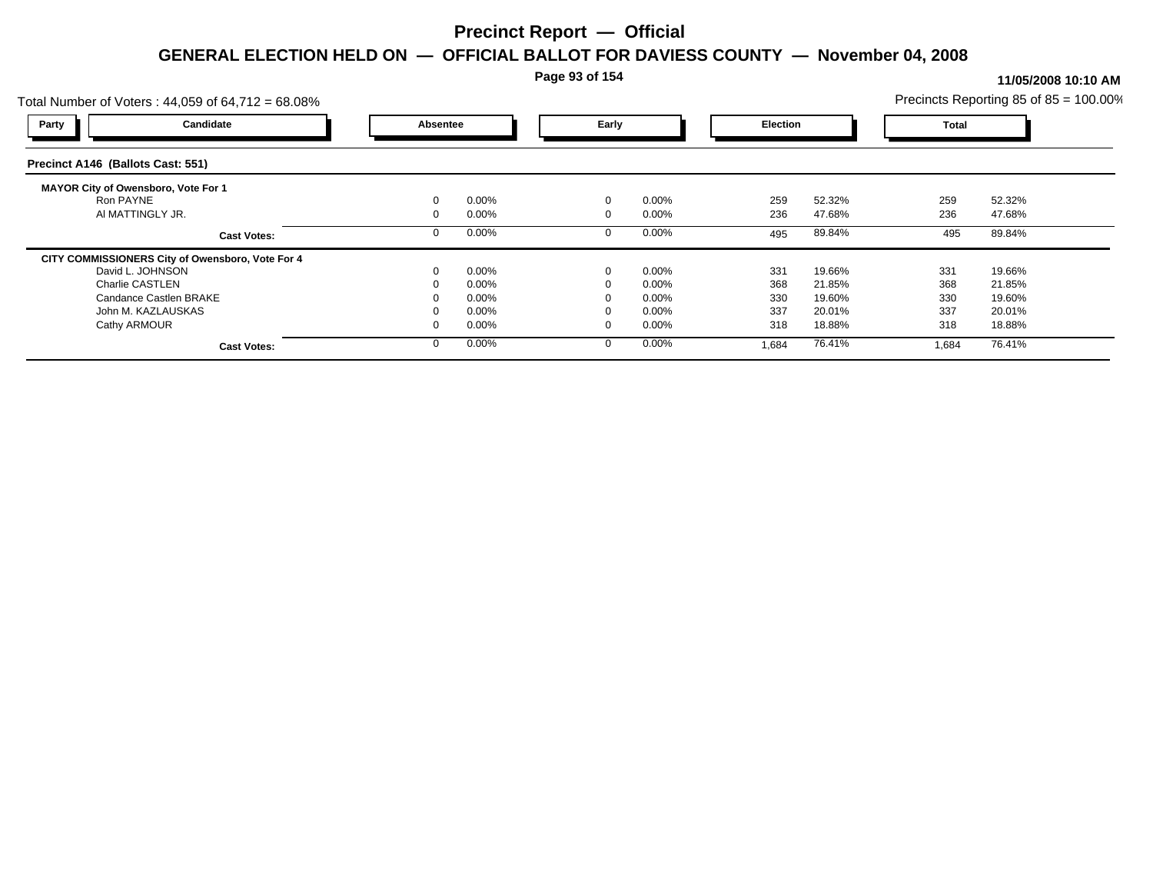**Page 93 of 154**

| Total Number of Voters: 44,059 of 64,712 = 68.08% |          |       |             |          |                 |        |              | Precincts Reporting 85 of $85 = 100.00\%$ |  |
|---------------------------------------------------|----------|-------|-------------|----------|-----------------|--------|--------------|-------------------------------------------|--|
| Candidate<br>Party                                | Absentee |       | Early       |          | <b>Election</b> |        | <b>Total</b> |                                           |  |
| Precinct A146 (Ballots Cast: 551)                 |          |       |             |          |                 |        |              |                                           |  |
| <b>MAYOR City of Owensboro, Vote For 1</b>        |          |       |             |          |                 |        |              |                                           |  |
| Ron PAYNE                                         |          | 0.00% | $\mathbf 0$ | 0.00%    | 259             | 52.32% | 259          | 52.32%                                    |  |
| AI MATTINGLY JR.                                  |          | 0.00% | $\Omega$    | $0.00\%$ | 236             | 47.68% | 236          | 47.68%                                    |  |
| <b>Cast Votes:</b>                                |          | 0.00% |             | $0.00\%$ | 495             | 89.84% | 495          | 89.84%                                    |  |
| CITY COMMISSIONERS City of Owensboro, Vote For 4  |          |       |             |          |                 |        |              |                                           |  |
| David L. JOHNSON                                  |          | 0.00% | $\Omega$    | 0.00%    | 331             | 19.66% | 331          | 19.66%                                    |  |
| Charlie CASTLEN                                   |          | 0.00% |             | $0.00\%$ | 368             | 21.85% | 368          | 21.85%                                    |  |
| Candance Castlen BRAKE                            |          | 0.00% |             | $0.00\%$ | 330             | 19.60% | 330          | 19.60%                                    |  |
| John M. KAZLAUSKAS                                |          | 0.00% |             | $0.00\%$ | 337             | 20.01% | 337          | 20.01%                                    |  |
| Cathy ARMOUR                                      |          | 0.00% | $\Omega$    | $0.00\%$ | 318             | 18.88% | 318          | 18.88%                                    |  |
| <b>Cast Votes:</b>                                |          | 0.00% |             | 0.00%    | 1,684           | 76.41% | 1,684        | 76.41%                                    |  |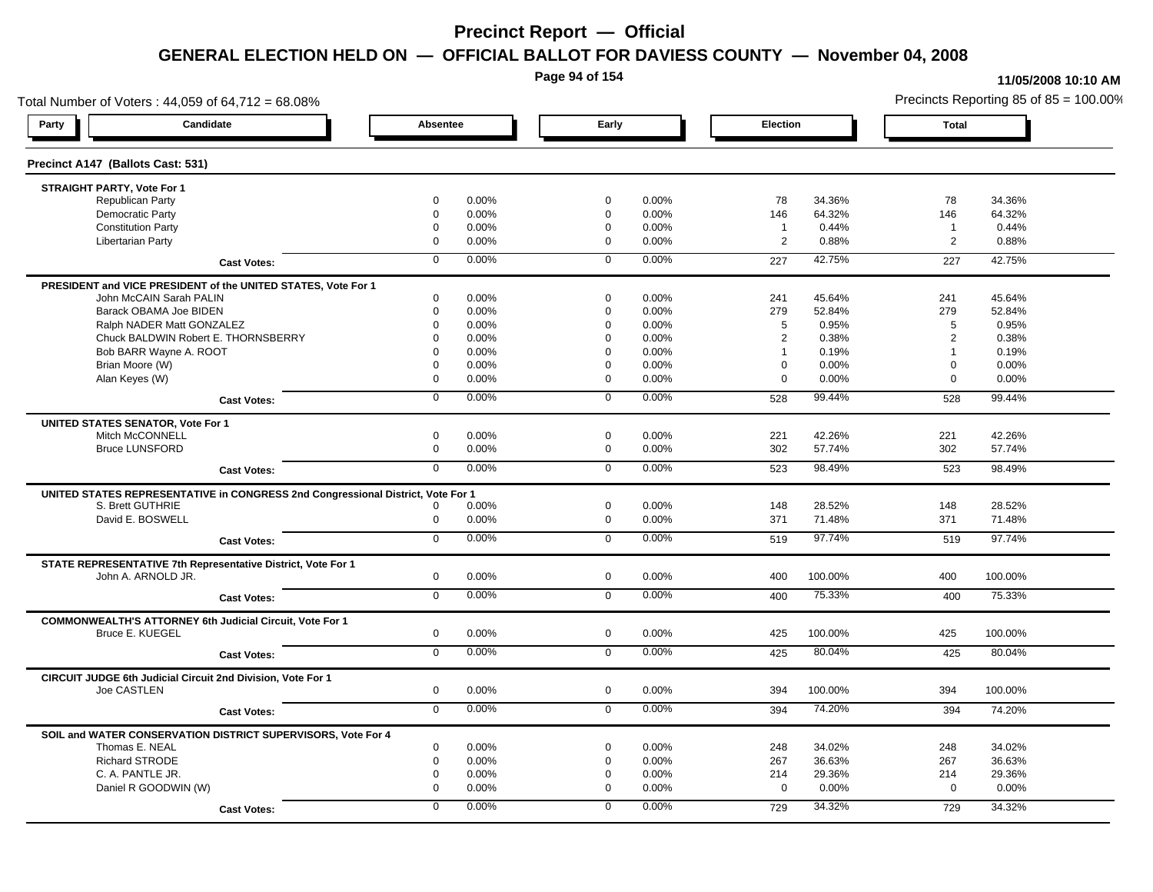**Page 94 of 154**

#### **11/05/2008 10:10 AM**

Total Number of Voters : 44,059 of 64,712 = 68.08% Precincts Reporting 85 of 85 = 100.00% **Party Candidate Absentee Early Election Total Precinct A147 (Ballots Cast: 531) STRAIGHT PARTY, Vote For 1** Republican Party 0 0.00% 0 0.00% 78 34.36% 78 34.36% Democratic Party 0 0.00% 0 0.00% 146 64.32% 146 64.32% Constitution Party 0 0.00% 0 0.00% 1 0.44% 1 0.44% Libertarian Party 0 0.00% 0 0.00% 2 0.88% 2 0.88% **Cast Votes:** 0 0.00% 0 0.00% 227 42.75% 227 42.75% **PRESIDENT and VICE PRESIDENT of the UNITED STATES, Vote For 1** John McCAIN Sarah PALIN John McCAIN Sarah PALIN 0 0.00% 0 0.00% 241 45.64% 241 45.64% Barack OBAMA Joe BIDEN 0 0.00% 0 0.00% 279 52.84% 279 52.84% Ralph NADER Matt GONZALEZ  $0$  0.00% 0 0.00% 5 0.95% 5 0.95% 5 0.95% Chuck BALDWIN Robert E. THORNSBERRY 0 0.00% 0 0.00% 2 0.38% 2 0.38% Bob BARR Wayne A. ROOT **1** 0.19% 0 0.00% 0 0.00% 0 0.00% 1 0.19% 1 0.19% 1 0.19% Brian Moore (W) 0 0.00% 0 0.00% 0 0.00% 0 0.00% Alan Keyes (W) 0 0.00% 0 0.00% 0 0.00% 0 0.00% **Cast Votes:** 0 0.00% 0 0.00% 528 99.44% 528 99.44% **UNITED STATES SENATOR, Vote For 1** Mitch McCONNELL 0 0.00% 0 0.00% 221 42.26% 221 42.26% Bruce LUNSFORD 0 0.00% 0 0.00% 302 57.74% 302 57.74% **Cast Votes:** 0 0.00% 0 0.00% 523 98.49% 523 98.49% **UNITED STATES REPRESENTATIVE in CONGRESS 2nd Congressional District, Vote For 1** S. Brett GUTHRIE 0 0.00% 0 0.00% 148 28.52% 148 28.52% David E. BOSWELL 0 0.00% 0 0.00% 371 71.48% 371 71.48% **Cast Votes:** 0 0.00% 0 0.00% 519 97.74% 519 97.74% **STATE REPRESENTATIVE 7th Representative District, Vote For 1** John A. ARNOLD JR. 0 0.00% 0 0.00% 400 100.00% 400 100.00% **Cast Votes:** 0 0.00% 0 0.00% 400 75.33% 400 75.33% **COMMONWEALTH'S ATTORNEY 6th Judicial Circuit, Vote For 1** Bruce E. KUEGEL 0 0.00% 0 0.00% 425 100.00% 425 100.00% **Cast Votes:** 0 0.00% 0 0.00% 425 80.04% 425 80.04% **CIRCUIT JUDGE 6th Judicial Circuit 2nd Division, Vote For 1** Joe CASTLEN 0 0.00% 0 0.00% 394 100.00% 394 100.00% **Cast Votes:** 0 0.00% 0 0.00% 394 74.20% 394 74.20% **SOIL and WATER CONSERVATION DISTRICT SUPERVISORS, Vote For 4** Thomas E. NEAL 0 0.00% 0 0.00% 248 34.02% 248 34.02% Richard STRODE 0 0.00% 0 0.00% 267 36.63% 267 36.63% C. A. PANTLE JR. 0 0.00% 0 0.00% 214 29.36% 214 29.36% Daniel R GOODWIN (W) 0 0.00% 0 0.00% 0 0.00% 0 0.00% **Cast Votes:** 0 0.00% 0 0.00% 729 34.32% 729 34.32%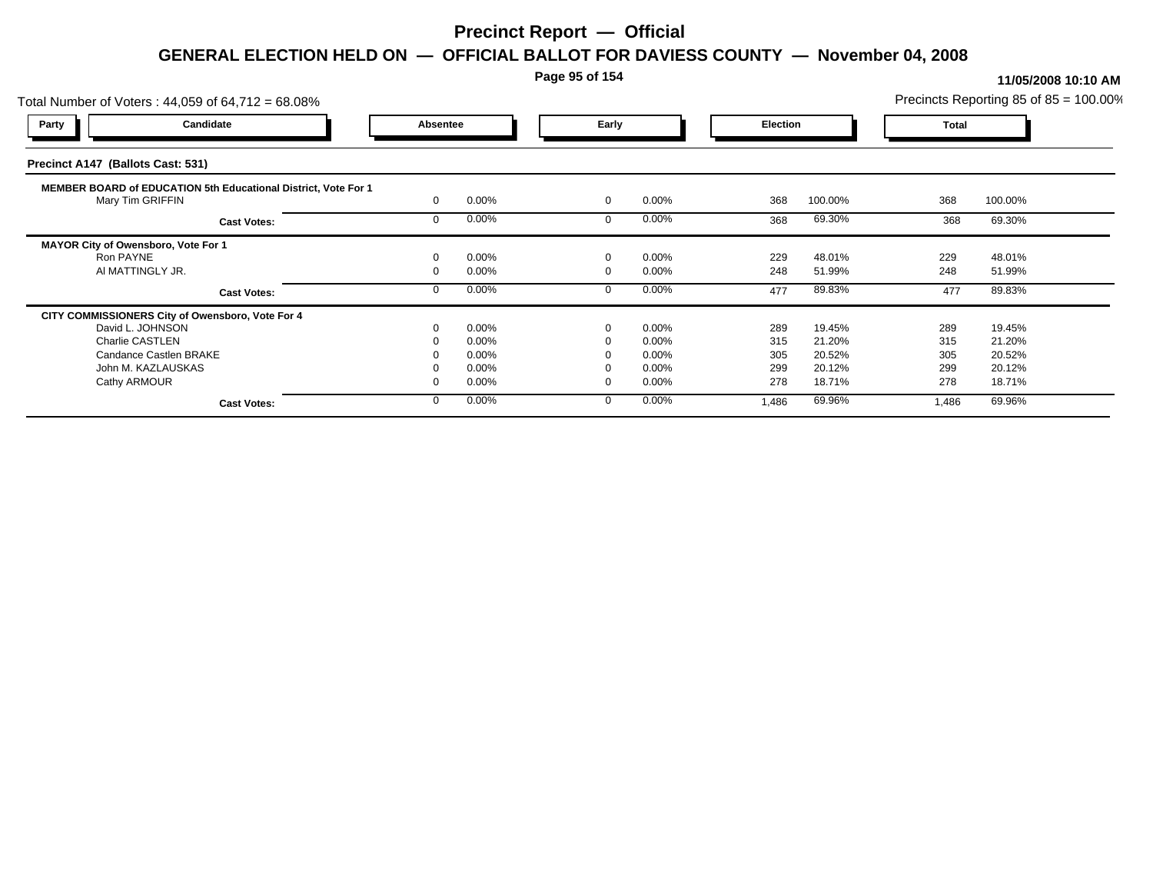### **Page 95 of 154**

| Candidate<br><b>Party</b><br>Early<br>Absentee<br><b>Election</b><br><b>Total</b>                                                                       |
|---------------------------------------------------------------------------------------------------------------------------------------------------------|
|                                                                                                                                                         |
| Precinct A147 (Ballots Cast: 531)                                                                                                                       |
| MEMBER BOARD of EDUCATION 5th Educational District, Vote For 1<br>0.00%<br>368<br>Mary Tim GRIFFIN<br>0.00%<br>$\mathbf 0$<br>368<br>100.00%<br>100.00% |
| 0.00%<br>$0.00\%$<br>69.30%<br>368<br>69.30%<br>368<br><b>Cast Votes:</b>                                                                               |
| MAYOR City of Owensboro, Vote For 1                                                                                                                     |
| 0.00%<br>0.00%<br>48.01%<br>229<br>48.01%<br>Ron PAYNE<br>229<br>$\Omega$                                                                               |
| 248<br>AI MATTINGLY JR.<br>0.00%<br>$0.00\%$<br>248<br>51.99%<br>51.99%                                                                                 |
| 0.00%<br>$0.00\%$<br>89.83%<br>477<br>89.83%<br>477<br><b>Cast Votes:</b>                                                                               |
| CITY COMMISSIONERS City of Owensboro, Vote For 4                                                                                                        |
| 289<br>0.00%<br>0.00%<br>289<br>19.45%<br>19.45%<br>David L. JOHNSON<br>$\Omega$                                                                        |
| Charlie CASTLEN<br>0.00%<br>21.20%<br>0.00%<br>315<br>21.20%<br>315                                                                                     |
| 20.52%<br>305<br>Candance Castlen BRAKE<br>0.00%<br>$0.00\%$<br>305<br>20.52%                                                                           |
| 299<br>20.12%<br>John M. KAZLAUSKAS<br>0.00%<br>$0.00\%$<br>299<br>20.12%                                                                               |
| Cathy ARMOUR<br>0.00%<br>0.00%<br>278<br>278<br>18.71%<br>18.71%                                                                                        |
| $0.00\%$<br>69.96%<br>0.00%<br>69.96%<br>1,486<br>1,486<br><b>Cast Votes:</b>                                                                           |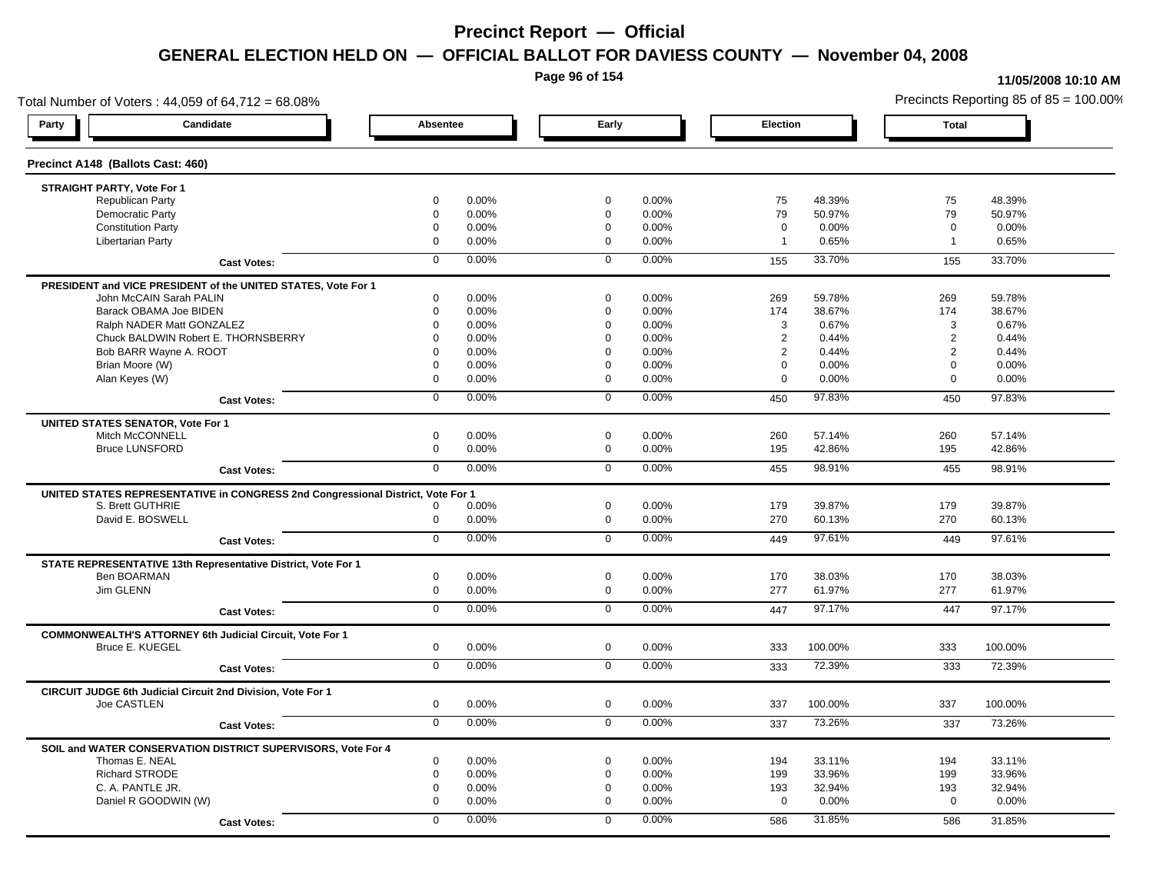**Page 96 of 154**

#### **11/05/2008 10:10 AM**

Total Number of Voters : 44,059 of 64,712 = 68.08% Precincts Reporting 85 of 85 = 100.00% **Party Candidate Absentee Early Election Total Precinct A148 (Ballots Cast: 460) STRAIGHT PARTY, Vote For 1** Republican Party 0 0.00% 0 0.00% 75 48.39% 75 48.39% Democratic Party 0 0.00% 0 0.00% 79 50.97% 79 50.97% Constitution Party 0 0.00% 0 0.00% 0 0.00% 0 0.00% Libertarian Party 0 0.00% 0 0.00% 1 0.65% 1 0.65% **Cast Votes:** 0 0.00% 0 0.00% 155 33.70% 155 33.70% **PRESIDENT and VICE PRESIDENT of the UNITED STATES, Vote For 1** John McCAIN Sarah PALIN John McCAIN Sarah PALIN 0 0.00% 0 0.00% 269 59.78% 269 59.78% Barack OBAMA Joe BIDEN 0 0.00% 0 0.00% 174 38.67% 174 38.67% Ralph NADER Matt GONZALEZ  $0$  0.00%  $0$  0.00%  $0$  0.00%  $3$  0.67%  $3$  0.67%  $3$  0.67% Chuck BALDWIN Robert E. THORNSBERRY 0 0.00% 0 0.00% 2 0.44% 2 0.44% Bob BARR Wayne A. ROOT **2** 0.44% **0 0.00% 0 0.00% 0 0.00% 0 0.00% 0 0.44%** 2 0.44% 2 0.44% Brian Moore (W) 0 0.00% 0 0.00% 0 0.00% 0 0.00% Alan Keyes (W) 0 0.00% 0 0.00% 0 0.00% 0 0.00% **Cast Votes:** 0 0.00% 0 0.00% 450 97.83% 450 97.83% **UNITED STATES SENATOR, Vote For 1** Mitch McCONNELL 0 0.00% 0 0.00% 260 57.14% 260 57.14% Bruce LUNSFORD 0 0.00% 0 0.00% 195 42.86% 195 42.86% **Cast Votes:** 0 0.00% 0 0.00% 455 98.91% 455 98.91% **UNITED STATES REPRESENTATIVE in CONGRESS 2nd Congressional District, Vote For 1** S. Brett GUTHRIE 0 0.00% 0 0.00% 179 39.87% 179 39.87% David E. BOSWELL 0 0.00% 0 0.00% 270 60.13% 270 60.13% **Cast Votes:** 0 0.00% 0 0.00% 449 97.61% 449 97.61% **STATE REPRESENTATIVE 13th Representative District, Vote For 1** Ben BOARMAN 0 0.00% 0 0.00% 170 38.03% 170 38.03% Jim GLENN 0 0.00% 0 0.00% 277 61.97% 277 61.97% **Cast Votes:** 0 0.00% 0 0.00% 447 97.17% 447 97.17% **COMMONWEALTH'S ATTORNEY 6th Judicial Circuit, Vote For 1** Bruce E. KUEGEL 0 0.00% 0 0.00% 333 100.00% 333 100.00% **Cast Votes:** 0 0.00% 0 0.00% 333 72.39% 333 72.39% **CIRCUIT JUDGE 6th Judicial Circuit 2nd Division, Vote For 1** Joe CASTLEN 0 0.00% 0 0.00% 337 100.00% 337 100.00% **Cast Votes:** 0 0.00% 0 0.00% 337 73.26% 337 73.26% **SOIL and WATER CONSERVATION DISTRICT SUPERVISORS, Vote For 4** Thomas E. NEAL 0 0.00% 0 0.00% 194 33.11% 194 33.11% Richard STRODE 0 0.00% 0 0.00% 199 33.96% 199 33.96% C. A. PANTLE JR. 0 0.00% 0 0.00% 193 32.94% 193 32.94% Daniel R GOODWIN (W) 0 0.00% 0 0.00% 0 0.00% 0 0.00% **Cast Votes:** 0 0.00% 0 0.00% 586 31.85% 586 31.85%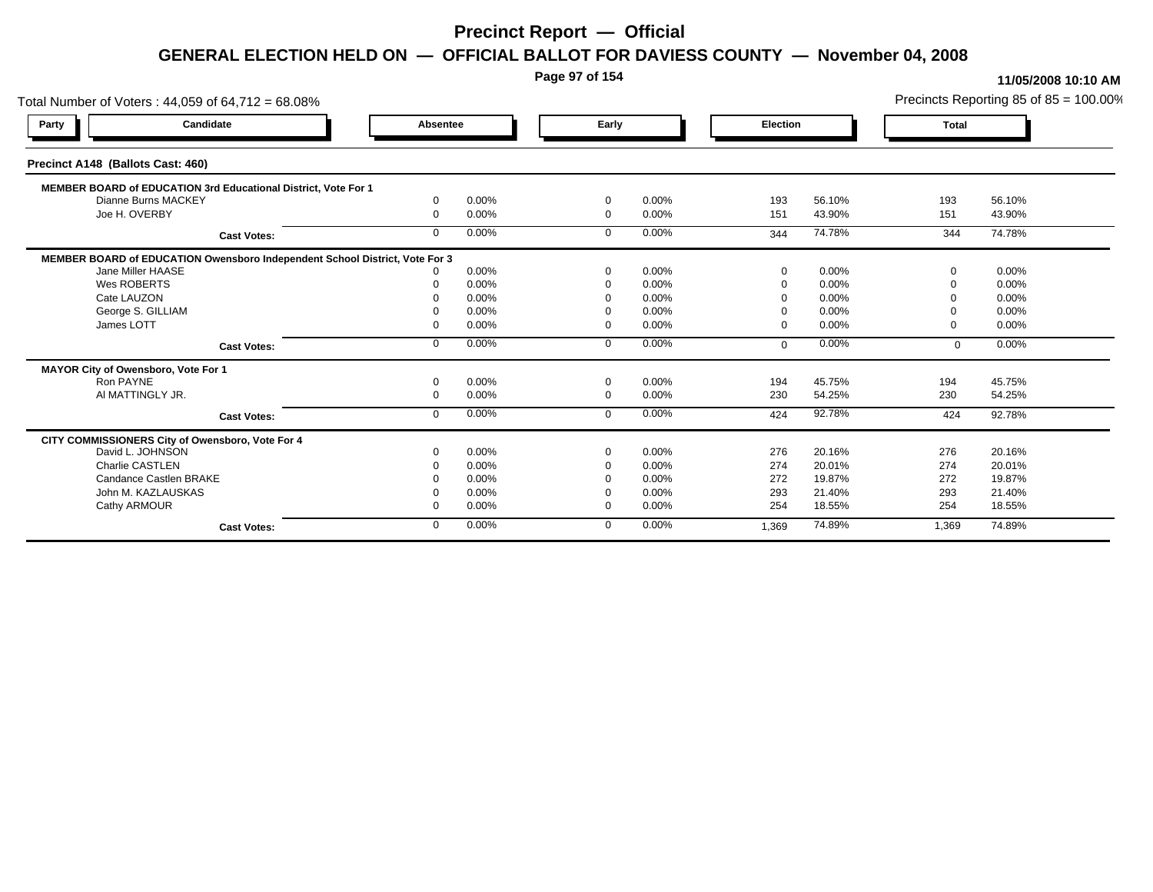**Page 97 of 154**

| Total Number of Voters: 44,059 of 64,712 = 68.08%                           |              |       |                |       |          |        |              | Precincts Reporting 85 of $85 = 100.00\%$ |
|-----------------------------------------------------------------------------|--------------|-------|----------------|-------|----------|--------|--------------|-------------------------------------------|
| Candidate<br>Party                                                          | Absentee     |       | Early          |       | Election |        | <b>Total</b> |                                           |
| Precinct A148 (Ballots Cast: 460)                                           |              |       |                |       |          |        |              |                                           |
| MEMBER BOARD of EDUCATION 3rd Educational District, Vote For 1              |              |       |                |       |          |        |              |                                           |
| Dianne Burns MACKEY                                                         | $\Omega$     | 0.00% | $\overline{0}$ | 0.00% | 193      | 56.10% | 193          | 56.10%                                    |
| Joe H. OVERBY                                                               | $\Omega$     | 0.00% | $\mathbf{0}$   | 0.00% | 151      | 43.90% | 151          | 43.90%                                    |
| <b>Cast Votes:</b>                                                          | $\Omega$     | 0.00% | $\Omega$       | 0.00% | 344      | 74.78% | 344          | 74.78%                                    |
| MEMBER BOARD of EDUCATION Owensboro Independent School District, Vote For 3 |              |       |                |       |          |        |              |                                           |
| Jane Miller HAASE                                                           |              | 0.00% | $\Omega$       | 0.00% | $\Omega$ | 0.00%  | റ            | 0.00%                                     |
| Wes ROBERTS                                                                 |              | 0.00% | $\Omega$       | 0.00% |          | 0.00%  |              | 0.00%                                     |
| Cate LAUZON                                                                 |              | 0.00% |                | 0.00% |          | 0.00%  |              | 0.00%                                     |
| George S. GILLIAM                                                           |              | 0.00% | - 0            | 0.00% |          | 0.00%  |              | 0.00%                                     |
| James LOTT                                                                  |              | 0.00% | $\Omega$       | 0.00% |          | 0.00%  | റ            | 0.00%                                     |
| <b>Cast Votes:</b>                                                          | $\mathbf{0}$ | 0.00% | $\mathbf 0$    | 0.00% | $\Omega$ | 0.00%  | $\mathbf{0}$ | 0.00%                                     |
| MAYOR City of Owensboro, Vote For 1                                         |              |       |                |       |          |        |              |                                           |
| Ron PAYNE                                                                   | $\Omega$     | 0.00% | $\Omega$       | 0.00% | 194      | 45.75% | 194          | 45.75%                                    |
| AI MATTINGLY JR.                                                            |              | 0.00% | $\Omega$       | 0.00% | 230      | 54.25% | 230          | 54.25%                                    |
| <b>Cast Votes:</b>                                                          | $\mathbf{0}$ | 0.00% | $\mathbf{0}$   | 0.00% | 424      | 92.78% | 424          | 92.78%                                    |
| CITY COMMISSIONERS City of Owensboro, Vote For 4                            |              |       |                |       |          |        |              |                                           |
| David L. JOHNSON                                                            |              | 0.00% | $\Omega$       | 0.00% | 276      | 20.16% | 276          | 20.16%                                    |
| <b>Charlie CASTLEN</b>                                                      |              | 0.00% | $\Omega$       | 0.00% | 274      | 20.01% | 274          | 20.01%                                    |
| Candance Castlen BRAKE                                                      |              | 0.00% |                | 0.00% | 272      | 19.87% | 272          | 19.87%                                    |
| John M. KAZLAUSKAS                                                          |              | 0.00% | 0              | 0.00% | 293      | 21.40% | 293          | 21.40%                                    |
| Cathy ARMOUR                                                                |              | 0.00% | $\Omega$       | 0.00% | 254      | 18.55% | 254          | 18.55%                                    |
| <b>Cast Votes:</b>                                                          | $\Omega$     | 0.00% | $\Omega$       | 0.00% | 1,369    | 74.89% | 1,369        | 74.89%                                    |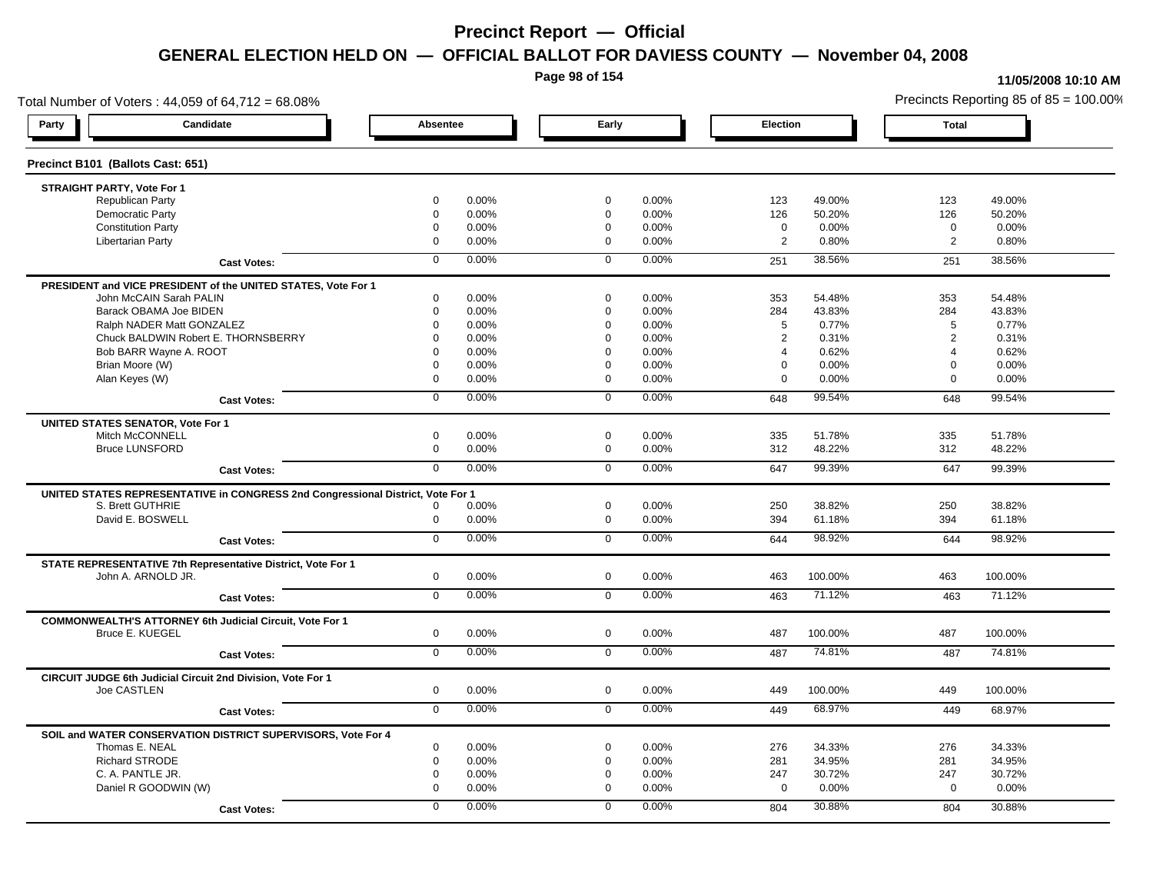**Page 98 of 154**

#### **11/05/2008 10:10 AM**

Total Number of Voters : 44,059 of 64,712 = 68.08% Precincts Reporting 85 of 85 = 100.00% **Party Candidate Absentee Early Election Total Precinct B101 (Ballots Cast: 651) STRAIGHT PARTY, Vote For 1** Republican Party 0 0.00% 0 0.00% 123 49.00% 123 49.00% Democratic Party 0 0.00% 0 0.00% 126 50.20% 126 50.20% Constitution Party 0 0.00% 0 0.00% 0 0.00% 0 0.00% Libertarian Party 0 0.00% 0 0.00% 2 0.80% 2 0.80% **Cast Votes:** 0 0.00% 0 0.00% 251 38.56% 251 38.56% **PRESIDENT and VICE PRESIDENT of the UNITED STATES, Vote For 1** John McCAIN Sarah PALIN John McCAIN Sarah PALIN 0 0.00% 0 0.00% 353 54.48% 353 54.48% Barack OBAMA Joe BIDEN 0 0.00% 0 0.00% 284 43.83% 284 43.83% Ralph NADER Matt GONZALEZ  $0$  0.00% 0 0.00% 5 0.77% 5 0.77% 5 0.77% Chuck BALDWIN Robert E. THORNSBERRY 0 0.00% 0 0.00% 2 0.31% 2 0.31% Bob BARR Wayne A. ROOT 0 0.00% 0 0.00% 4 0.62% 4 0.62% Brian Moore (W) 0 0.00% 0 0.00% 0 0.00% 0 0.00% Alan Keyes (W) 0 0.00% 0 0.00% 0 0.00% 0 0.00% **Cast Votes:** 0 0.00% 0 0.00% 648 99.54% 648 99.54% **UNITED STATES SENATOR, Vote For 1** Mitch McCONNELL 0 0.00% 0 0.00% 335 51.78% 335 51.78% Bruce LUNSFORD 0 0.00% 0 0.00% 312 48.22% 312 48.22% **Cast Votes:** 0 0.00% 0 0.00% 647 99.39% 647 99.39% **UNITED STATES REPRESENTATIVE in CONGRESS 2nd Congressional District, Vote For 1** S. Brett GUTHRIE 0 0.00% 0 0.00% 250 38.82% 250 38.82% David E. BOSWELL 0 0.00% 0 0.00% 394 61.18% 394 61.18% **Cast Votes:** 0 0.00% 0 0.00% 644 98.92% 644 98.92% **STATE REPRESENTATIVE 7th Representative District, Vote For 1** John A. ARNOLD JR. 0 0.00% 0 0.00% 463 100.00% 463 100.00% **Cast Votes:** 0 0.00% 0 0.00% 463 71.12% 463 71.12% **COMMONWEALTH'S ATTORNEY 6th Judicial Circuit, Vote For 1** Bruce E. KUEGEL 0 0.00% 0 0.00% 487 100.00% 487 100.00% **Cast Votes:** 0 0.00% 0 0.00% 487 74.81% 487 74.81% **CIRCUIT JUDGE 6th Judicial Circuit 2nd Division, Vote For 1** Joe CASTLEN 0 0.00% 0 0.00% 449 100.00% 449 100.00% **Cast Votes:** 0 0.00% 0 0.00% 449 68.97% 449 68.97% **SOIL and WATER CONSERVATION DISTRICT SUPERVISORS, Vote For 4** Thomas E. NEAL 0 0.00% 0 0.00% 276 34.33% 276 34.33% Richard STRODE 0 0.00% 0 0.00% 281 34.95% 281 34.95% C. A. PANTLE JR. 0 0.00% 0 0.00% 247 30.72% 247 30.72% Daniel R GOODWIN (W) 0 0.00% 0 0.00% 0 0.00% 0 0.00% **Cast Votes:** 0 0.00% 0 0.00% 804 30.88% 804 30.88%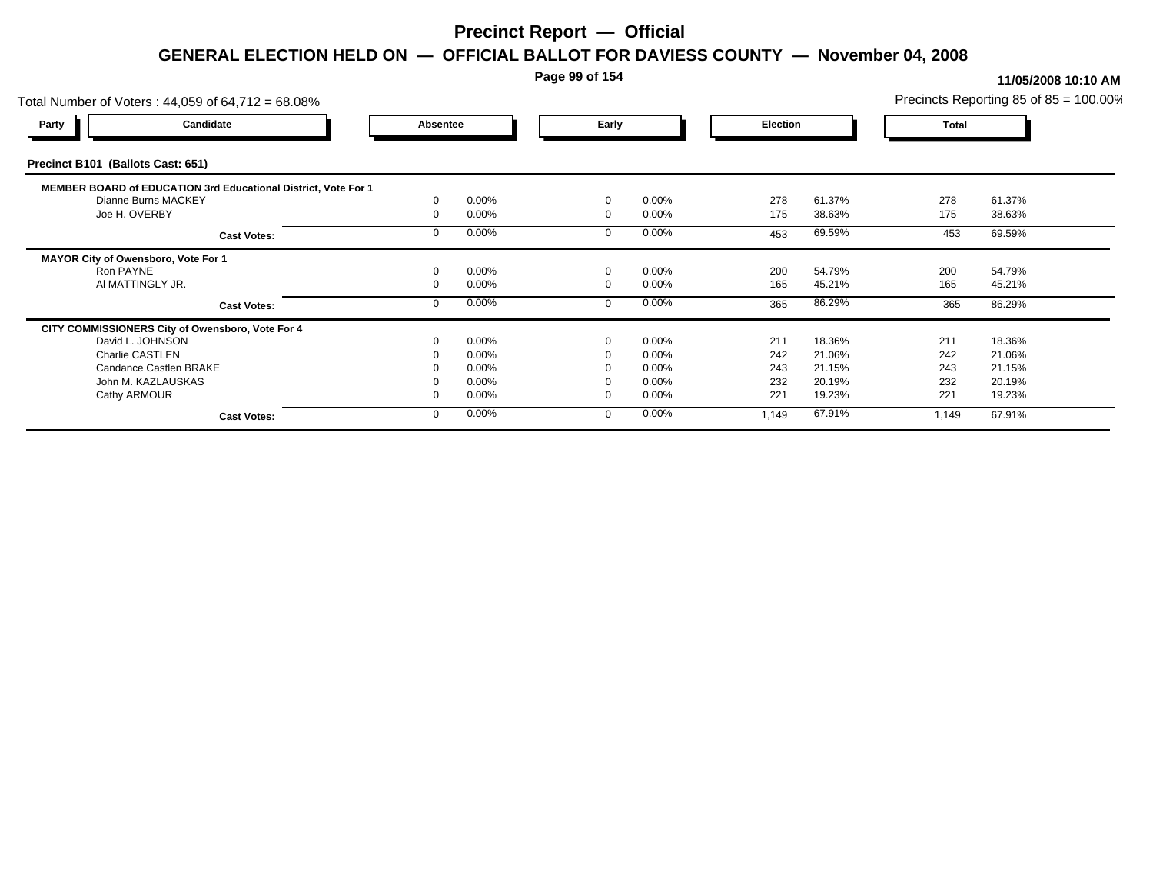### **Page 99 of 154**

| Total Number of Voters: 44,059 of 64,712 = 68.08%              |          |       |          |          |          |        |              | Precincts Reporting 85 of $85 = 100.00\%$ |
|----------------------------------------------------------------|----------|-------|----------|----------|----------|--------|--------------|-------------------------------------------|
| Candidate<br><b>Party</b>                                      | Absentee |       | Early    |          | Election |        | <b>Total</b> |                                           |
| Precinct B101 (Ballots Cast: 651)                              |          |       |          |          |          |        |              |                                           |
| MEMBER BOARD of EDUCATION 3rd Educational District, Vote For 1 |          |       |          |          |          |        |              |                                           |
| Dianne Burns MACKEY                                            |          | 0.00% | $\Omega$ | $0.00\%$ | 278      | 61.37% | 278          | 61.37%                                    |
| Joe H. OVERBY                                                  |          | 0.00% | $\Omega$ | 0.00%    | 175      | 38.63% | 175          | 38.63%                                    |
| <b>Cast Votes:</b>                                             |          | 0.00% |          | 0.00%    | 453      | 69.59% | 453          | 69.59%                                    |
| MAYOR City of Owensboro, Vote For 1                            |          |       |          |          |          |        |              |                                           |
| Ron PAYNE                                                      |          | 0.00% | $\Omega$ | 0.00%    | 200      | 54.79% | 200          | 54.79%                                    |
| AI MATTINGLY JR.                                               |          | 0.00% | $\Omega$ | $0.00\%$ | 165      | 45.21% | 165          | 45.21%                                    |
| <b>Cast Votes:</b>                                             |          | 0.00% |          | 0.00%    | 365      | 86.29% | 365          | 86.29%                                    |
| CITY COMMISSIONERS City of Owensboro, Vote For 4               |          |       |          |          |          |        |              |                                           |
| David L. JOHNSON                                               |          | 0.00% |          | 0.00%    | 211      | 18.36% | 211          | 18.36%                                    |
| Charlie CASTLEN                                                |          | 0.00% |          | 0.00%    | 242      | 21.06% | 242          | 21.06%                                    |
| Candance Castlen BRAKE                                         |          | 0.00% |          | 0.00%    | 243      | 21.15% | 243          | 21.15%                                    |
| John M. KAZLAUSKAS                                             |          | 0.00% |          | $0.00\%$ | 232      | 20.19% | 232          | 20.19%                                    |
| Cathy ARMOUR                                                   |          | 0.00% | $\Omega$ | 0.00%    | 221      | 19.23% | 221          | 19.23%                                    |
| <b>Cast Votes:</b>                                             |          | 0.00% | $\Omega$ | 0.00%    | 1,149    | 67.91% | 1,149        | 67.91%                                    |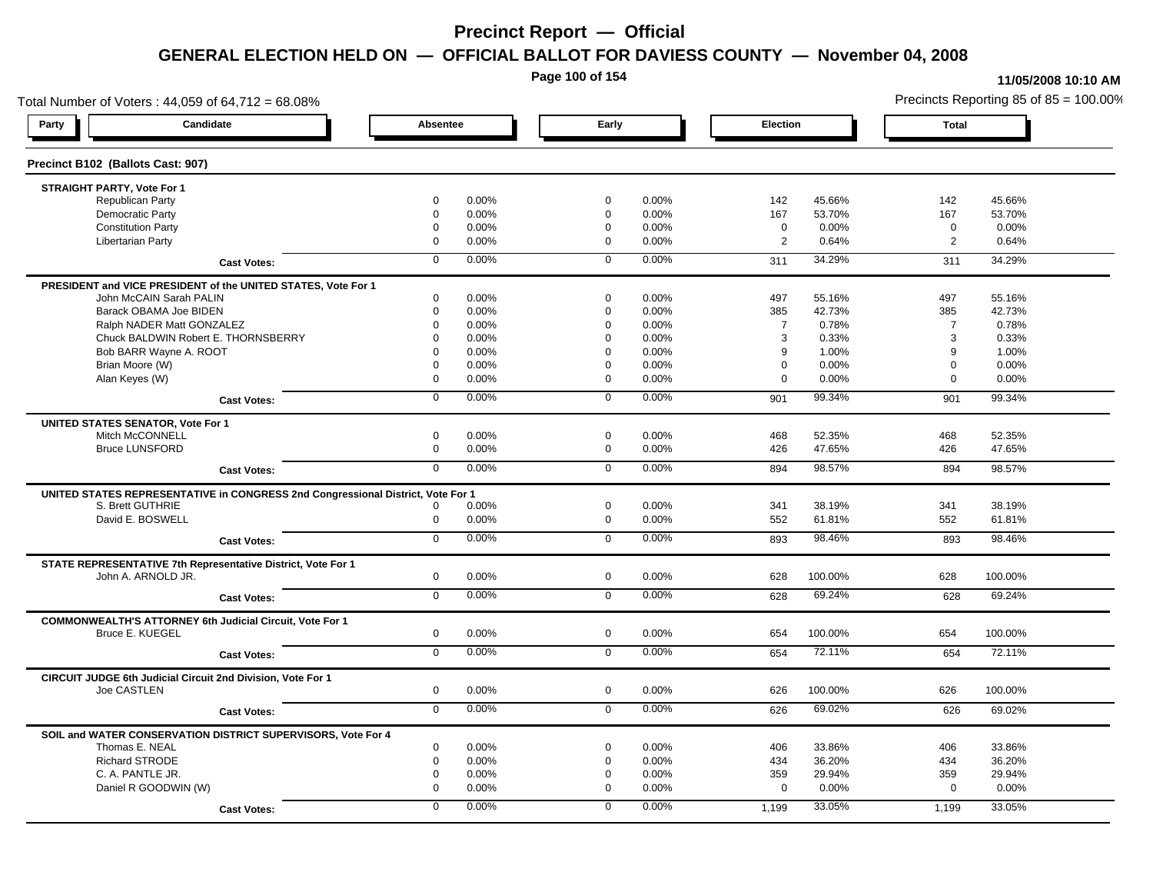**Page 100 of 154**

#### **11/05/2008 10:10 AM**

Total Number of Voters : 44,059 of 64,712 = 68.08% Precincts Reporting 85 of 85 = 100.00% **Party Candidate Absentee Early Election Total Precinct B102 (Ballots Cast: 907) STRAIGHT PARTY, Vote For 1** Republican Party 0 0.00% 0 0.00% 142 45.66% 142 45.66% Democratic Party 0 0.00% 0 0.00% 167 53.70% 167 53.70% Constitution Party 0 0.00% 0 0.00% 0 0.00% 0 0.00% Libertarian Party 0 0.00% 0 0.00% 2 0.64% 2 0.64% **Cast Votes:** 0 0.00% 0 0.00% 311 34.29% 311 34.29% **PRESIDENT and VICE PRESIDENT of the UNITED STATES, Vote For 1** John McCAIN Sarah PALIN John McCAIN Sarah PALIN 0 0.00% 0 0.00% 497 55.16% 497 55.16% Barack OBAMA Joe BIDEN 0 0.00% 0 0.00% 385 42.73% 385 42.73% Ralph NADER Matt GONZALEZ  $0$  0.00% 0 0.00% 7 0.78% 7 0.78% 7 0.78% Chuck BALDWIN Robert E. THORNSBERRY 0 0.00% 0 0.00% 3 0.33% 3 0.33% Bob BARR Wayne A. ROOT COME COME COME COME COME COME COME O 0.00% 0 0.00% 9 1.00% 9 1.00% 9 1.00% Brian Moore (W) 0 0.00% 0 0.00% 0 0.00% 0 0.00% Alan Keyes (W) 0 0.00% 0 0.00% 0 0.00% 0 0.00% **Cast Votes:** 0 0.00% 0 0.00% 901 99.34% 901 99.34% **UNITED STATES SENATOR, Vote For 1** Mitch McCONNELL 0 0.00% 0 0.00% 468 52.35% 468 52.35% Bruce LUNSFORD 0 0.00% 0 0.00% 426 47.65% 426 47.65% **Cast Votes:** 0 0.00% 0 0.00% 894 98.57% 894 98.57% **UNITED STATES REPRESENTATIVE in CONGRESS 2nd Congressional District, Vote For 1** S. Brett GUTHRIE 0 0.00% 0 0.00% 341 38.19% 341 38.19% David E. BOSWELL 0 0.00% 0 0.00% 552 61.81% 552 61.81% **Cast Votes:** 0 0.00% 0 0.00% 893 98.46% 893 98.46% **STATE REPRESENTATIVE 7th Representative District, Vote For 1** John A. ARNOLD JR. 0 0.00% 0 0.00% 628 100.00% 628 100.00% **Cast Votes:** 0 0.00% 0 0.00% 628 69.24% 628 69.24% **COMMONWEALTH'S ATTORNEY 6th Judicial Circuit, Vote For 1** Bruce E. KUEGEL 0 0.00% 0 0.00% 654 100.00% 654 100.00% **Cast Votes:** 0 0.00% 0 0.00% 654 72.11% 654 72.11% **CIRCUIT JUDGE 6th Judicial Circuit 2nd Division, Vote For 1** Joe CASTLEN 0 0.00% 0 0.00% 626 100.00% 626 100.00% **Cast Votes:** 0 0.00% 0 0.00% 626 69.02% 626 69.02% **SOIL and WATER CONSERVATION DISTRICT SUPERVISORS, Vote For 4** Thomas E. NEAL 0 0.00% 0 0.00% 406 33.86% 406 33.86% Richard STRODE 0 0.00% 0 0.00% 434 36.20% 434 36.20% C. A. PANTLE JR. 0 0.00% 0 0.00% 359 29.94% 359 29.94% Daniel R GOODWIN (W) 0 0.00% 0 0.00% 0 0.00% 0 0.00% **Cast Votes:** 0 0.00% 0 0.00% 1,199 33.05% 1,199 33.05%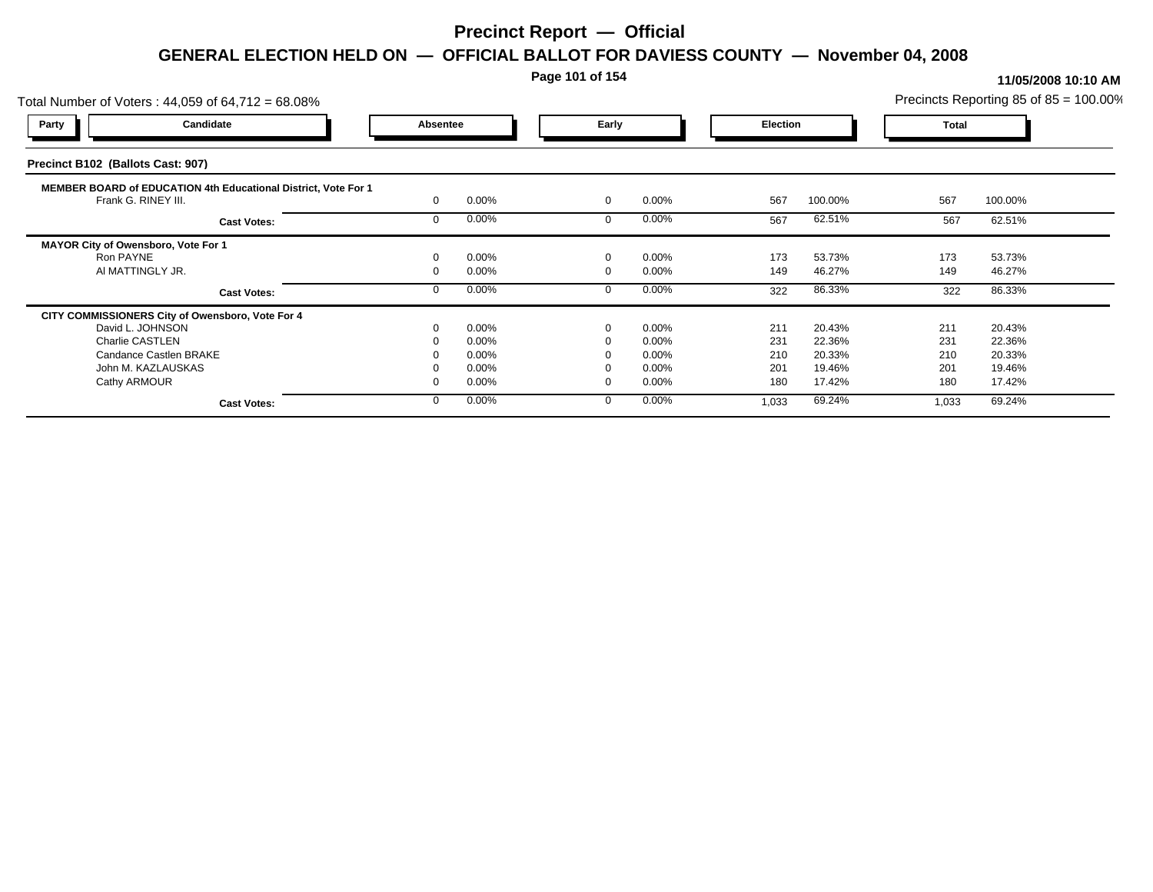### **Page 101 of 154**

| Total Number of Voters: 44,059 of 64,712 = 68.08%                                     |          |       |             |          |                 |         |              | Precincts Reporting 85 of 85 = 100.00% |  |
|---------------------------------------------------------------------------------------|----------|-------|-------------|----------|-----------------|---------|--------------|----------------------------------------|--|
| Candidate<br><b>Party</b>                                                             | Absentee |       | Early       |          | <b>Election</b> |         | <b>Total</b> |                                        |  |
| Precinct B102 (Ballots Cast: 907)                                                     |          |       |             |          |                 |         |              |                                        |  |
| MEMBER BOARD of EDUCATION 4th Educational District, Vote For 1<br>Frank G. RINEY III. |          | 0.00% | $\mathbf 0$ | 0.00%    | 567             | 100.00% | 567          | 100.00%                                |  |
| <b>Cast Votes:</b>                                                                    |          | 0.00% |             | $0.00\%$ | 567             | 62.51%  | 567          | 62.51%                                 |  |
| MAYOR City of Owensboro, Vote For 1                                                   |          |       |             |          |                 |         |              |                                        |  |
| Ron PAYNE                                                                             |          | 0.00% | $\Omega$    | 0.00%    | 173             | 53.73%  | 173          | 53.73%                                 |  |
| AI MATTINGLY JR.                                                                      |          | 0.00% |             | $0.00\%$ | 149             | 46.27%  | 149          | 46.27%                                 |  |
| <b>Cast Votes:</b>                                                                    |          | 0.00% |             | 0.00%    | 322             | 86.33%  | 322          | 86.33%                                 |  |
| CITY COMMISSIONERS City of Owensboro, Vote For 4                                      |          |       |             |          |                 |         |              |                                        |  |
| David L. JOHNSON                                                                      |          | 0.00% | $\Omega$    | 0.00%    | 211             | 20.43%  | 211          | 20.43%                                 |  |
| Charlie CASTLEN                                                                       |          | 0.00% |             | 0.00%    | 231             | 22.36%  | 231          | 22.36%                                 |  |
| Candance Castlen BRAKE                                                                |          | 0.00% |             | $0.00\%$ | 210             | 20.33%  | 210          | 20.33%                                 |  |
| John M. KAZLAUSKAS                                                                    |          | 0.00% |             | 0.00%    | 201             | 19.46%  | 201          | 19.46%                                 |  |
| Cathy ARMOUR                                                                          |          | 0.00% |             | $0.00\%$ | 180             | 17.42%  | 180          | 17.42%                                 |  |
| <b>Cast Votes:</b>                                                                    |          | 0.00% |             | $0.00\%$ | 1,033           | 69.24%  | 1,033        | 69.24%                                 |  |
|                                                                                       |          |       |             |          |                 |         |              |                                        |  |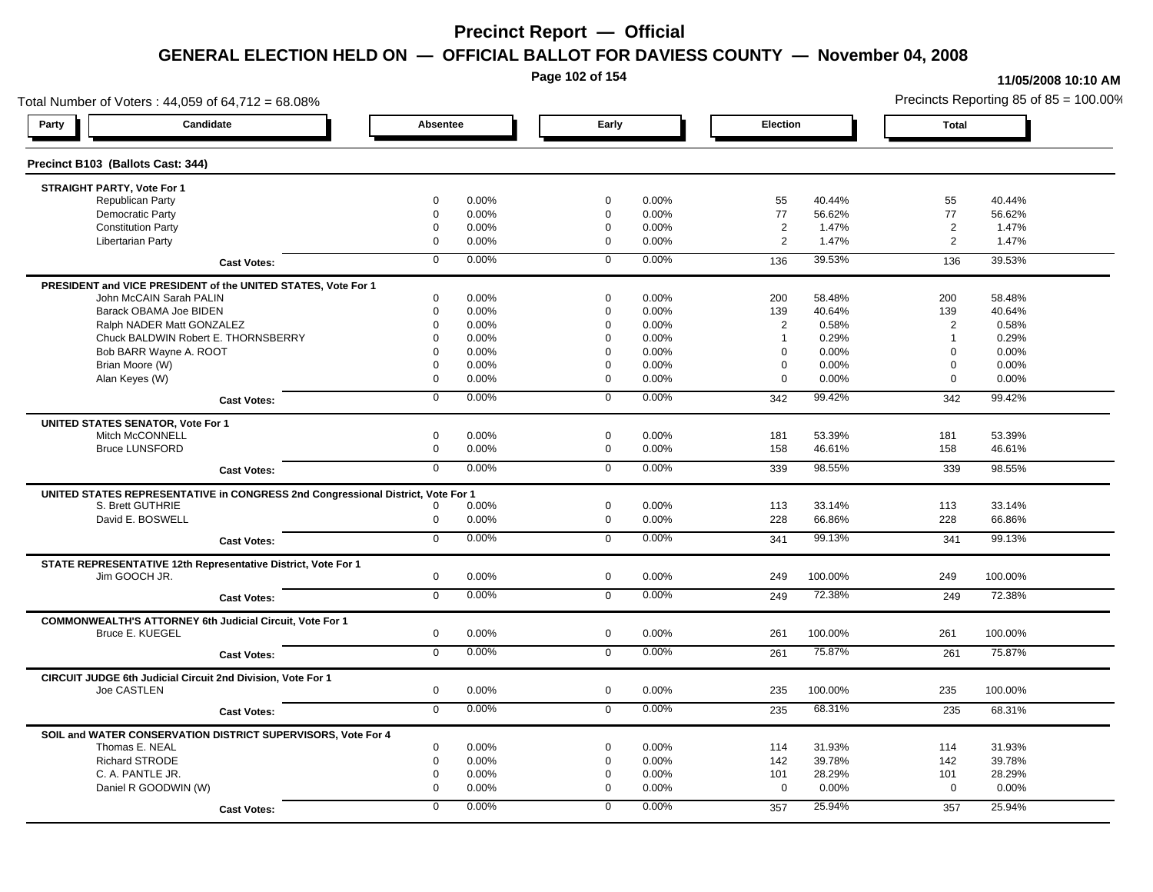**Page 102 of 154**

#### **11/05/2008 10:10 AM**

Total Number of Voters : 44,059 of 64,712 = 68.08% Precincts Reporting 85 of 85 = 100.00% **Party Candidate Absentee Early Election Total Precinct B103 (Ballots Cast: 344) STRAIGHT PARTY, Vote For 1** Republican Party 0 0.00% 0 0.00% 55 40.44% 55 40.44% Democratic Party 0 0.00% 0 0.00% 77 56.62% 77 56.62% Constitution Party 0 0.00% 0 0.00% 2 1.47% 2 1.47% Libertarian Party 0 0.00% 0 0.00% 2 1.47% 2 1.47% **Cast Votes:** 0 0.00% 0 0.00% 136 39.53% 136 39.53% **PRESIDENT and VICE PRESIDENT of the UNITED STATES, Vote For 1** John McCAIN Sarah PALIN John McCAIN Sarah PALIN 0 0.00% 0 0.00% 200 58.48% 200 58.48% Barack OBAMA Joe BIDEN 0 0.00% 0 0.00% 139 40.64% 139 40.64% Ralph NADER Matt GONZALEZ  $0$  0.00% 0 0.00% 0 0.00% 2 0.58% 2 0.58% Chuck BALDWIN Robert E. THORNSBERRY 0 0.00% 0 0.00% 1 0.29% 1 0.29%  $B$ ob BARR Wayne A. ROOT  $0.00\%$   $0.00\%$   $0.00\%$   $0.00\%$   $0.00\%$   $0.00\%$   $0.00\%$   $0.00\%$ Brian Moore (W) 0 0.00% 0 0.00% 0 0.00% 0 0.00% Alan Keyes (W) 0 0.00% 0 0.00% 0 0.00% 0 0.00% **Cast Votes:** 0 0.00% 0 0.00% 342 99.42% 342 99.42% **UNITED STATES SENATOR, Vote For 1** Mitch McCONNELL 0 0.00% 0 0.00% 181 53.39% 181 53.39% Bruce LUNSFORD 0 0.00% 0 0.00% 158 46.61% 158 46.61% **Cast Votes:** 0 0.00% 0 0.00% 339 98.55% 339 98.55% **UNITED STATES REPRESENTATIVE in CONGRESS 2nd Congressional District, Vote For 1** S. Brett GUTHRIE 0 0.00% 0 0.00% 113 33.14% 113 33.14% David E. BOSWELL 0 0.00% 0 0.00% 228 66.86% 228 66.86% **Cast Votes:** 0 0.00% 0 0.00% 341 99.13% 341 99.13% **STATE REPRESENTATIVE 12th Representative District, Vote For 1** Jim GOOCH JR. 0 0.00% 0 0.00% 249 100.00% 249 100.00% **Cast Votes:** 0 0.00% 0 0.00% 249 72.38% 249 72.38% **COMMONWEALTH'S ATTORNEY 6th Judicial Circuit, Vote For 1** Bruce E. KUEGEL 0 0.00% 0 0.00% 261 100.00% 261 100.00% **Cast Votes:** 0 0.00% 0 0.00% 261 75.87% 261 75.87% **CIRCUIT JUDGE 6th Judicial Circuit 2nd Division, Vote For 1** Joe CASTLEN 0 0.00% 0 0.00% 235 100.00% 235 100.00% **Cast Votes:** 0 0.00% 0 0.00% 235 68.31% 235 68.31% **SOIL and WATER CONSERVATION DISTRICT SUPERVISORS, Vote For 4** Thomas E. NEAL 0 0.00% 0 0.00% 114 31.93% 114 31.93% Richard STRODE 0 0.00% 0 0.00% 142 39.78% 142 39.78% C. A. PANTLE JR. 0 0.00% 0 0.00% 101 28.29% 101 28.29% Daniel R GOODWIN (W) 0 0.00% 0 0.00% 0 0.00% 0 0.00% **Cast Votes:** 0 0.00% 0 0.00% 357 25.94% 357 25.94%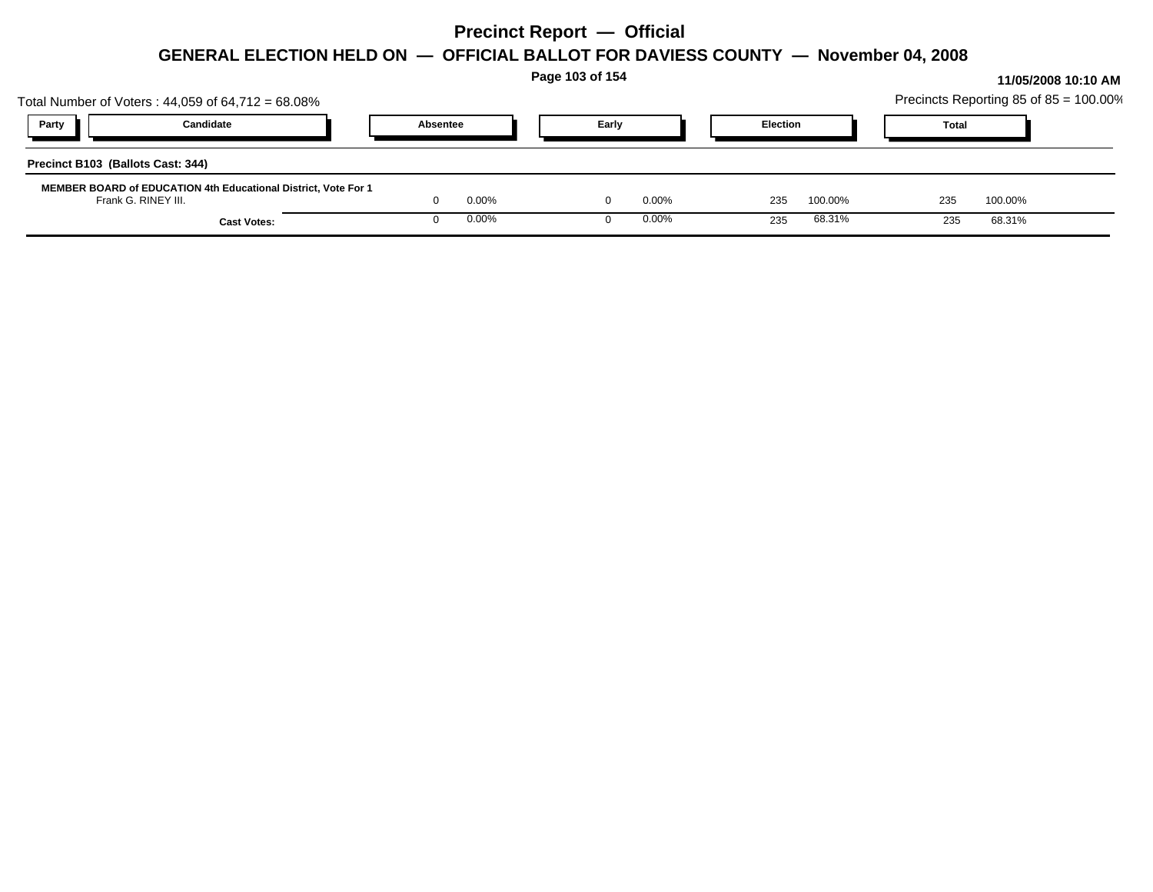|                                   |                                                                                       |          |       | Page 103 of 154 |          |                 |         |              |                                        | 11/05/2008 10:10 AM |
|-----------------------------------|---------------------------------------------------------------------------------------|----------|-------|-----------------|----------|-----------------|---------|--------------|----------------------------------------|---------------------|
|                                   | Total Number of Voters: $44,059$ of $64,712 = 68.08\%$                                |          |       |                 |          |                 |         |              | Precincts Reporting 85 of 85 = 100.00% |                     |
| Party                             | Candidate                                                                             | Absentee |       |                 | Early    | <b>Election</b> |         | <b>Total</b> |                                        |                     |
| Precinct B103 (Ballots Cast: 344) |                                                                                       |          |       |                 |          |                 |         |              |                                        |                     |
|                                   | MEMBER BOARD of EDUCATION 4th Educational District, Vote For 1<br>Frank G. RINEY III. |          | 0.00% |                 | $0.00\%$ | 235             | 100.00% | 235          | 100.00%                                |                     |
|                                   | <b>Cast Votes:</b>                                                                    |          | 0.00% |                 | $0.00\%$ | 235             | 68.31%  | 235          | 68.31%                                 |                     |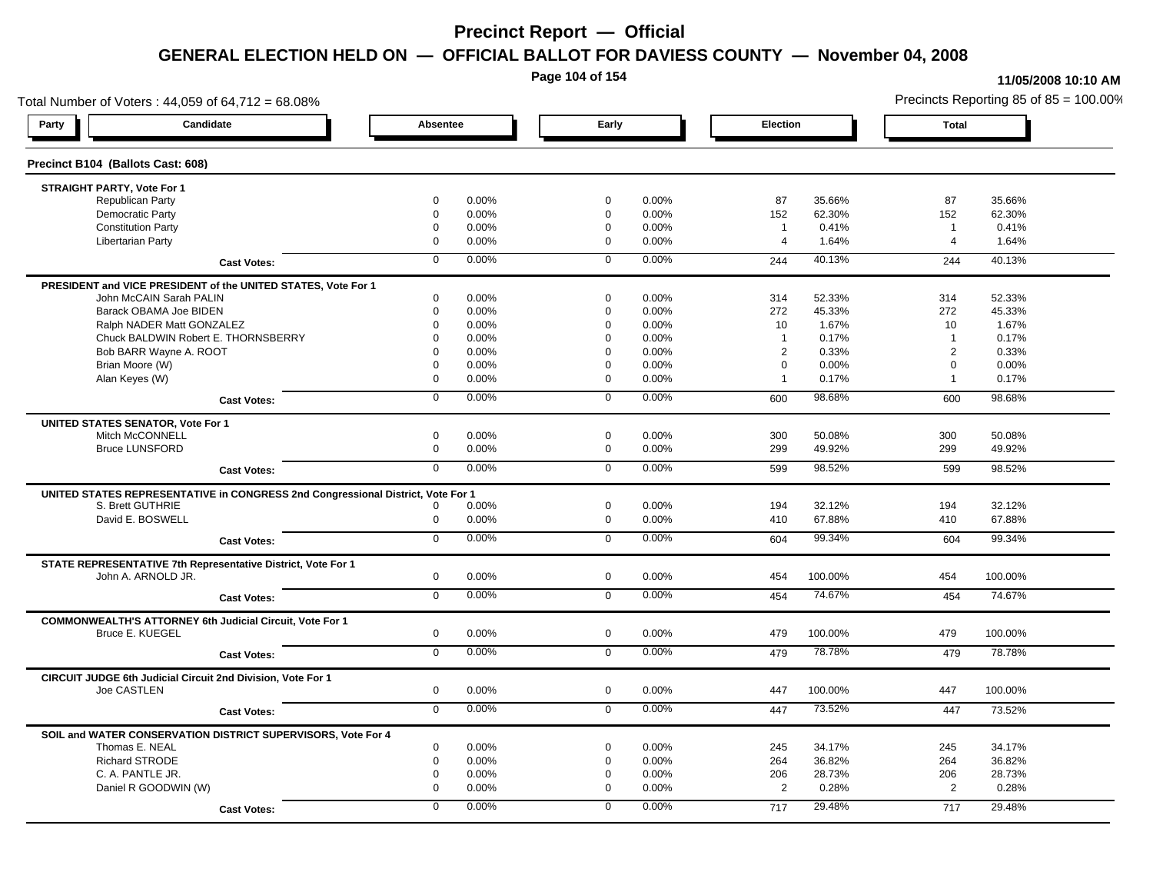**Page 104 of 154**

#### **11/05/2008 10:10 AM**

Total Number of Voters : 44,059 of 64,712 = 68.08% Precincts Reporting 85 of 85 = 100.00% **Party Candidate Absentee Early Election Total Precinct B104 (Ballots Cast: 608) STRAIGHT PARTY, Vote For 1** Republican Party 0 0.00% 0 0.00% 87 35.66% 87 35.66% Democratic Party 0 0.00% 0 0.00% 152 62.30% 152 62.30% Constitution Party 0 0.00% 0 0.00% 1 0.41% 1 0.41% Libertarian Party 0 0.00% 0 0.00% 4 1.64% 4 1.64% **Cast Votes:** 0 0.00% 0 0.00% 244 40.13% 244 40.13% **PRESIDENT and VICE PRESIDENT of the UNITED STATES, Vote For 1** John McCAIN Sarah PALIN John McCAIN Sarah PALIN 0 0.00% 0 0.00% 314 52.33% 314 52.33% Barack OBAMA Joe BIDEN 0 0.00% 0 0.00% 272 45.33% 272 45.33% Ralph NADER Matt GONZALEZ  $\begin{array}{cccc} 0 & 0.00\% & 0 & 0.00\% \end{array}$  0 0.00% 10 1.67% 10 1.67% Chuck BALDWIN Robert E. THORNSBERRY 0 0.00% 0 0.00% 1 0.17% 1 0.17% Bob BARR Wayne A. ROOT **2 2 0.33%** 2 0.33% 2 0.33% 2 0.33% 2 0.33% 2 0.33% Brian Moore (W) 0 0.00% 0 0.00% 0 0.00% 0 0.00% Alan Keyes (W) 0 0.00% 0 0.00% 1 0.17% 1 0.17% **Cast Votes:** 0 0.00% 0 0.00% 600 98.68% 600 98.68% **UNITED STATES SENATOR, Vote For 1** Mitch McCONNELL 0 0.00% 0 0.00% 300 50.08% 300 50.08% Bruce LUNSFORD 0 0.00% 0 0.00% 299 49.92% 299 49.92% **Cast Votes:** 0 0.00% 0 0.00% 599 98.52% 599 98.52% **UNITED STATES REPRESENTATIVE in CONGRESS 2nd Congressional District, Vote For 1** S. Brett GUTHRIE 0 0.00% 0 0.00% 194 32.12% 194 32.12% David E. BOSWELL 0 0.00% 0 0.00% 410 67.88% 410 67.88% **Cast Votes:** 0 0.00% 0 0.00% 604 99.34% 604 99.34% **STATE REPRESENTATIVE 7th Representative District, Vote For 1** John A. ARNOLD JR. 0 0.00% 0 0.00% 454 100.00% 454 100.00% **Cast Votes:** 0 0.00% 0 0.00% 454 74.67% 454 74.67% **COMMONWEALTH'S ATTORNEY 6th Judicial Circuit, Vote For 1** Bruce E. KUEGEL 0 0.00% 0 0.00% 479 100.00% 479 100.00% **Cast Votes:** 0 0.00% 0 0.00% 479 78.78% 479 78.78% **CIRCUIT JUDGE 6th Judicial Circuit 2nd Division, Vote For 1** Joe CASTLEN 0 0.00% 0 0.00% 447 100.00% 447 100.00% **Cast Votes:** 0 0.00% 0 0.00% 447 73.52% 447 73.52% **SOIL and WATER CONSERVATION DISTRICT SUPERVISORS, Vote For 4** Thomas E. NEAL 0 0.00% 0 0.00% 245 34.17% 245 34.17% Richard STRODE 0 0.00% 0 0.00% 264 36.82% 264 36.82% C. A. PANTLE JR. 0 0.00% 0 0.00% 206 28.73% 206 28.73% Daniel R GOODWIN (W) 0 0.00% 0 0.00% 2 0.28% 2 0.28% **Cast Votes:** 0 0.00% 0 0.00% 717 29.48% 717 29.48%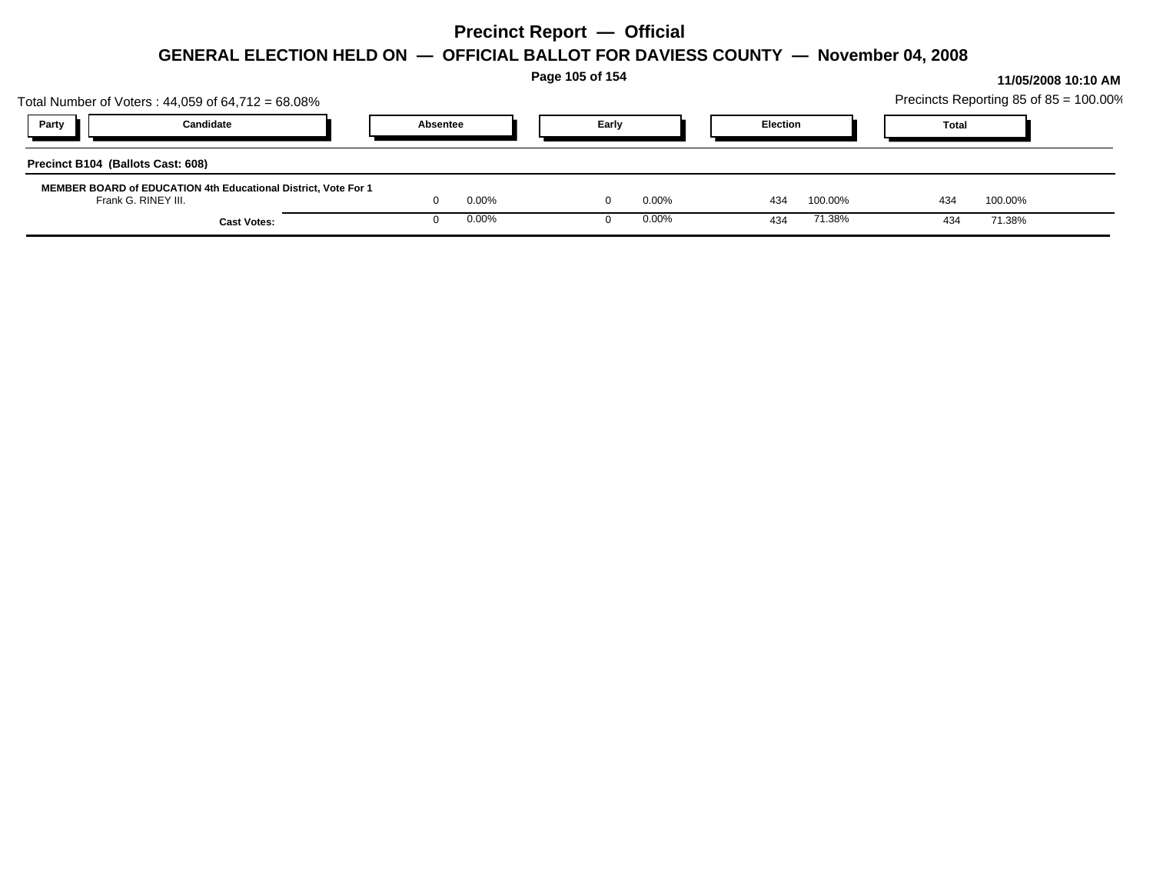|                                                                                       |                    |          |       | Page 105 of 154 |          |                 |         |              |         | 11/05/2008 10:10 AM                    |
|---------------------------------------------------------------------------------------|--------------------|----------|-------|-----------------|----------|-----------------|---------|--------------|---------|----------------------------------------|
| Total Number of Voters: $44,059$ of $64,712 = 68.08\%$                                |                    |          |       |                 |          |                 |         |              |         | Precincts Reporting 85 of 85 = 100.00% |
| Party<br>Candidate                                                                    |                    | Absentee |       | Early           |          | <b>Election</b> |         | <b>Total</b> |         |                                        |
| Precinct B104 (Ballots Cast: 608)                                                     |                    |          |       |                 |          |                 |         |              |         |                                        |
| MEMBER BOARD of EDUCATION 4th Educational District, Vote For 1<br>Frank G. RINEY III. |                    |          | 0.00% |                 | $0.00\%$ | 434             | 100.00% | 434          | 100.00% |                                        |
|                                                                                       | <b>Cast Votes:</b> |          | 0.00% |                 | $0.00\%$ | 434             | 71.38%  | 434          | 71.38%  |                                        |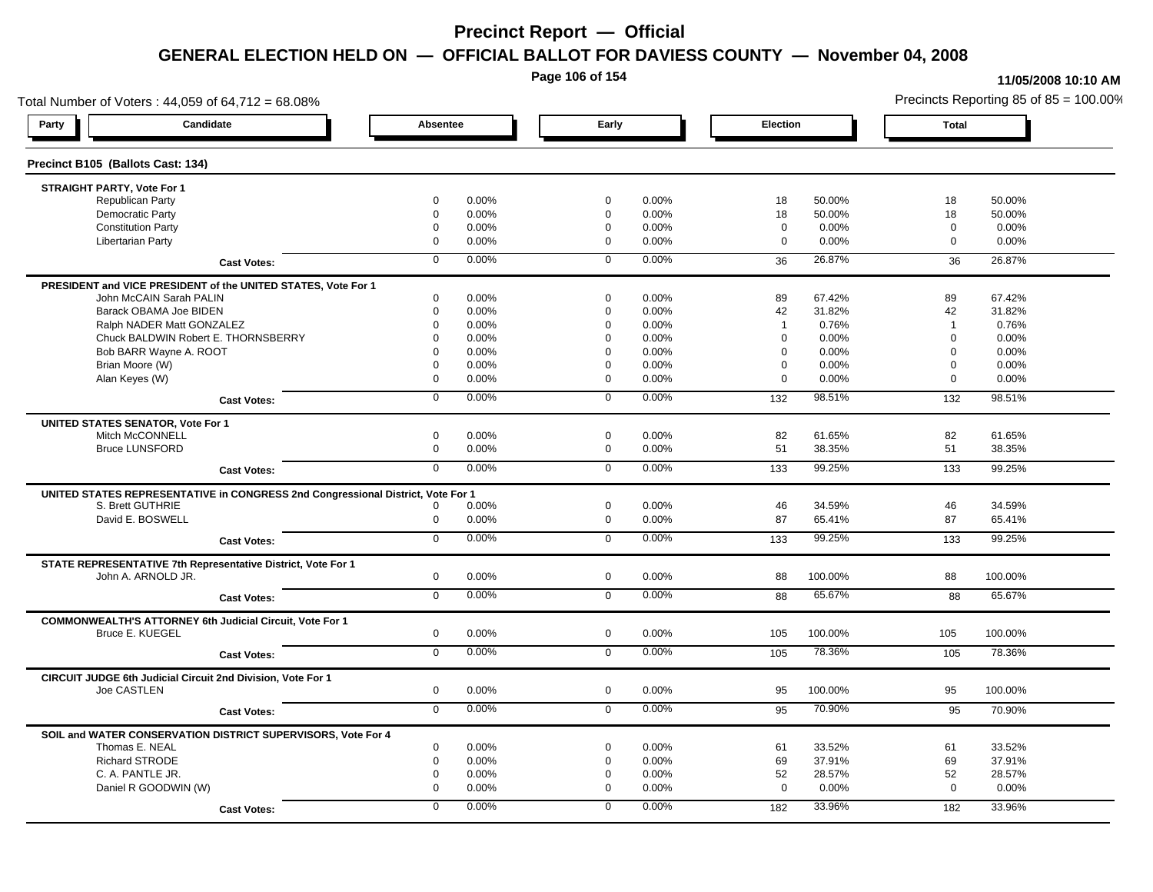**Page 106 of 154**

#### **11/05/2008 10:10 AM**

Total Number of Voters : 44,059 of 64,712 = 68.08% Precincts Reporting 85 of 85 = 100.00% **Party Candidate Absentee Early Election Total Precinct B105 (Ballots Cast: 134) STRAIGHT PARTY, Vote For 1** Republican Party 0 0.00% 0 0.00% 18 50.00% 18 50.00% Democratic Party 0 0.00% 0 0.00% 18 50.00% 18 50.00% Constitution Party 0 0.00% 0 0.00% 0 0.00% 0 0.00% Libertarian Party 0 0.00% 0 0.00% 0 0.00% 0 0.00% **Cast Votes:** 0 0.00% 0 0.00% 36 26.87% 36 26.87% **PRESIDENT and VICE PRESIDENT of the UNITED STATES, Vote For 1** John McCAIN Sarah PALIN John McCAIN Sarah PALIN 0 0.00% 0 0.00% 89 67.42% 89 67.42% Barack OBAMA Joe BIDEN 0 0.00% 0 0.00% 42 31.82% 42 31.82% Ralph NADER Matt GONZALEZ  $0$  0.00% 0 0.00% 1 0.76% 1 0.76% 1 0.76% Chuck BALDWIN Robert E. THORNSBERRY 0 0.00% 0 0.00% 0 0.00% 0 0.00%  $B$ ob BARR Wayne A. ROOT  $0.00\%$   $0.00\%$   $0.00\%$   $0.00\%$   $0.00\%$   $0.00\%$   $0.00\%$   $0.00\%$ Brian Moore (W) 0 0.00% 0 0.00% 0 0.00% 0 0.00% Alan Keyes (W) 0 0.00% 0 0.00% 0 0.00% 0 0.00% **Cast Votes:** 0 0.00% 0 0.00% 132 98.51% 132 98.51% **UNITED STATES SENATOR, Vote For 1** Mitch McCONNELL 0 0.00% 0 0.00% 82 61.65% 82 61.65% Bruce LUNSFORD 0 0.00% 0 0.00% 51 38.35% 51 38.35% **Cast Votes:** 0 0.00% 0 0.00% 133 99.25% 133 99.25% **UNITED STATES REPRESENTATIVE in CONGRESS 2nd Congressional District, Vote For 1** S. Brett GUTHRIE 0 0.00% 0 0.00% 46 34.59% 46 34.59% David E. BOSWELL 0 0.00% 0 0.00% 87 65.41% 87 65.41% **Cast Votes:** 0 0.00% 0 0.00% 133 99.25% 133 99.25% **STATE REPRESENTATIVE 7th Representative District, Vote For 1** John A. ARNOLD JR. 0 0.00% 0 0.00% 88 100.00% 88 100.00% **Cast Votes:** 0 0.00% 0 0.00% 88 65.67% 88 65.67% **COMMONWEALTH'S ATTORNEY 6th Judicial Circuit, Vote For 1** Bruce E. KUEGEL 0 0.00% 0 0.00% 105 100.00% 105 100.00% **Cast Votes:** 0 0.00% 0 0.00% 105 78.36% 105 78.36% **CIRCUIT JUDGE 6th Judicial Circuit 2nd Division, Vote For 1** Joe CASTLEN 0 0.00% 0 0.00% 95 100.00% 95 100.00% **Cast Votes:** 0 0.00% 0 0.00% 95 70.90% 95 70.90% **SOIL and WATER CONSERVATION DISTRICT SUPERVISORS, Vote For 4** Thomas E. NEAL 0 0.00% 0 0.00% 61 33.52% 61 33.52% Richard STRODE 0 0.00% 0 0.00% 69 37.91% 69 37.91% C. A. PANTLE JR. 0 0.00% 0 0.00% 52 28.57% 52 28.57% Daniel R GOODWIN (W) 0 0.00% 0 0.00% 0 0.00% 0 0.00% **Cast Votes:** 0 0.00% 0 0.00% 182 33.96% 182 33.96%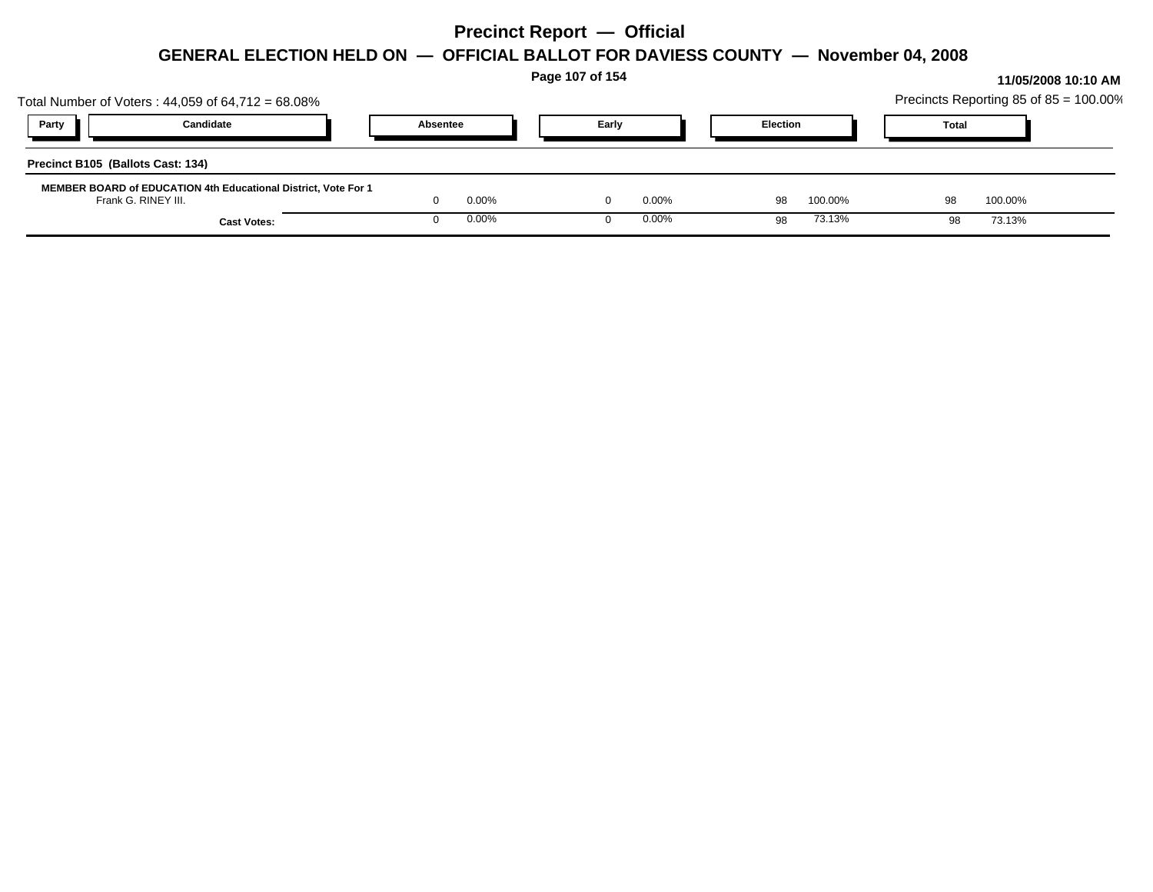|                                                                                              |                    |          |       | Page 107 of 154 |          |                 |         |              |         | 11/05/2008 10:10 AM                    |
|----------------------------------------------------------------------------------------------|--------------------|----------|-------|-----------------|----------|-----------------|---------|--------------|---------|----------------------------------------|
| Total Number of Voters: $44,059$ of $64,712 = 68.08\%$                                       |                    |          |       |                 |          |                 |         |              |         | Precincts Reporting 85 of 85 = 100.00% |
| <b>Party</b>                                                                                 | Candidate          | Absentee |       |                 | Early    | <b>Election</b> |         | <b>Total</b> |         |                                        |
| Precinct B105 (Ballots Cast: 134)                                                            |                    |          |       |                 |          |                 |         |              |         |                                        |
| <b>MEMBER BOARD of EDUCATION 4th Educational District, Vote For 1</b><br>Frank G. RINEY III. |                    |          | 0.00% |                 | $0.00\%$ | 98              | 100.00% | 98           | 100.00% |                                        |
|                                                                                              | <b>Cast Votes:</b> |          | 0.00% |                 | $0.00\%$ | 98              | 73.13%  | 98           | 73.13%  |                                        |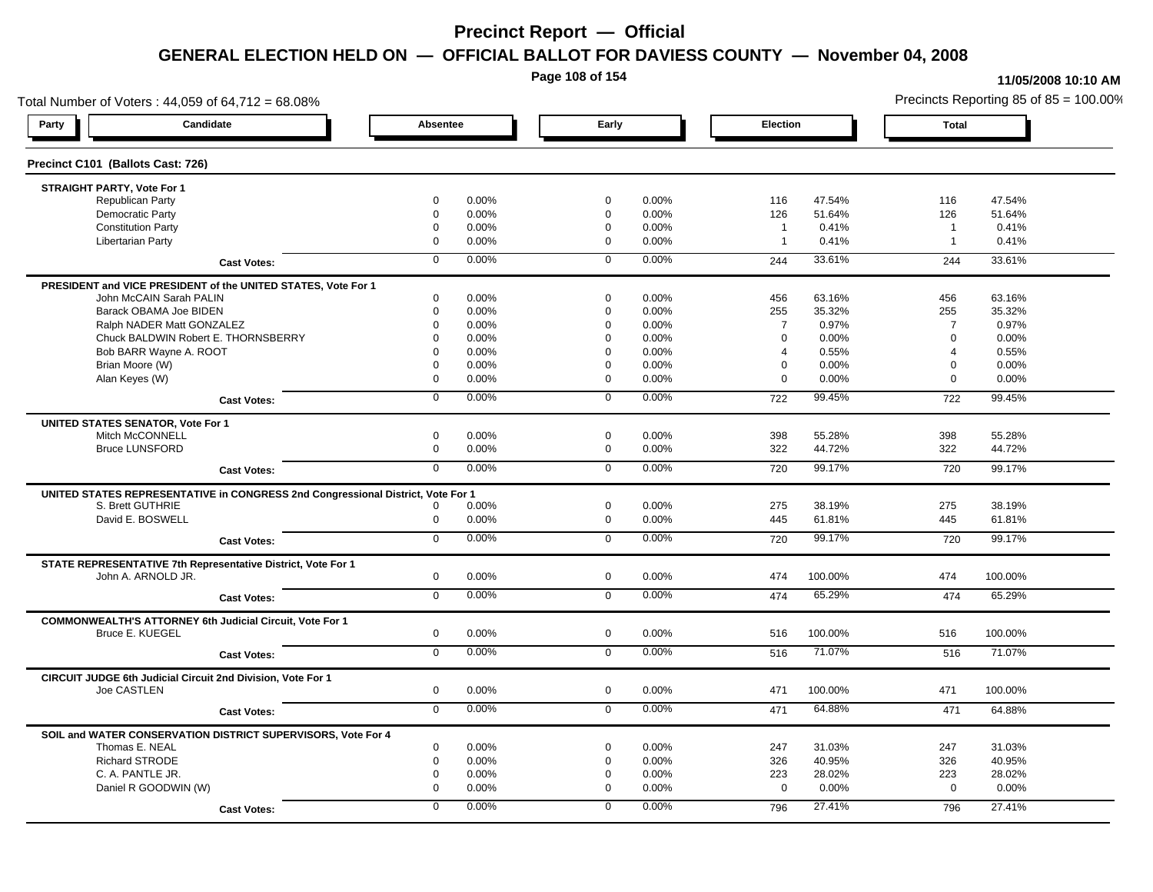**Page 108 of 154**

#### **11/05/2008 10:10 AM**

Total Number of Voters : 44,059 of 64,712 = 68.08% Precincts Reporting 85 of 85 = 100.00% **Party Candidate Absentee Early Election Total Precinct C101 (Ballots Cast: 726) STRAIGHT PARTY, Vote For 1** Republican Party 0 0.00% 0 0.00% 116 47.54% 116 47.54% Democratic Party 0 0.00% 0 0.00% 126 51.64% 126 51.64% Constitution Party 0 0.00% 0 0.00% 1 0.41% 1 0.41% Libertarian Party 0 0.00% 0 0.00% 1 0.41% 1 0.41% **Cast Votes:** 0 0.00% 0 0.00% 244 33.61% 244 33.61% **PRESIDENT and VICE PRESIDENT of the UNITED STATES, Vote For 1** John McCAIN Sarah PALIN John McCAIN Sarah PALIN 0 0.00% 0 0.00% 456 63.16% 456 63.16% Barack OBAMA Joe BIDEN 0 0.00% 0 0.00% 255 35.32% 255 35.32% Ralph NADER Matt GONZALEZ  $0$  0.00% 0 0.00% 7 0.97% 7 0.97% 7 0.97% Chuck BALDWIN Robert E. THORNSBERRY 0 0.00% 0 0.00% 0 0.00% 0 0.00% Bob BARR Wayne A. ROOT **12000 12000 12000 12000 12000** 12000 12000 12000 12000 12000 12000 12000 12000 12000 120<br>and the contract of the contract of the contract of the contract of the contract of the contract of the contr Brian Moore (W) 0 0.00% 0 0.00% 0 0.00% 0 0.00% Alan Keyes (W) 0 0.00% 0 0.00% 0 0.00% 0 0.00% **Cast Votes:** 0 0.00% 0 0.00% 722 99.45% 722 99.45% **UNITED STATES SENATOR, Vote For 1** Mitch McCONNELL 0 0.00% 0 0.00% 398 55.28% 398 55.28% Bruce LUNSFORD 0 0.00% 0 0.00% 322 44.72% 322 44.72% **Cast Votes:** 0 0.00% 0 0.00% 720 99.17% 720 99.17% **UNITED STATES REPRESENTATIVE in CONGRESS 2nd Congressional District, Vote For 1** S. Brett GUTHRIE 0 0.00% 0 0.00% 275 38.19% 275 38.19% David E. BOSWELL 0 0.00% 0 0.00% 445 61.81% 445 61.81% **Cast Votes:** 0 0.00% 0 0.00% 720 99.17% 720 99.17% **STATE REPRESENTATIVE 7th Representative District, Vote For 1** John A. ARNOLD JR. 0 0.00% 0 0.00% 474 100.00% 474 100.00% **Cast Votes:** 0 0.00% 0 0.00% 474 65.29% 474 65.29% **COMMONWEALTH'S ATTORNEY 6th Judicial Circuit, Vote For 1** Bruce E. KUEGEL 0 0.00% 0 0.00% 516 100.00% 516 100.00% **Cast Votes:** 0 0.00% 0 0.00% 516 71.07% 516 71.07% **CIRCUIT JUDGE 6th Judicial Circuit 2nd Division, Vote For 1** Joe CASTLEN 0 0.00% 0 0.00% 471 100.00% 471 100.00% **Cast Votes:** 0 0.00% 0 0.00% 471 64.88% 471 64.88% **SOIL and WATER CONSERVATION DISTRICT SUPERVISORS, Vote For 4** Thomas E. NEAL 0 0.00% 0 0.00% 247 31.03% 247 31.03% Richard STRODE 0 0.00% 0 0.00% 326 40.95% 326 40.95% C. A. PANTLE JR. 0 0.00% 0 0.00% 223 28.02% 223 28.02% Daniel R GOODWIN (W) 0 0.00% 0 0.00% 0 0.00% 0 0.00% **Cast Votes:** 0 0.00% 0 0.00% 796 27.41% 796 27.41%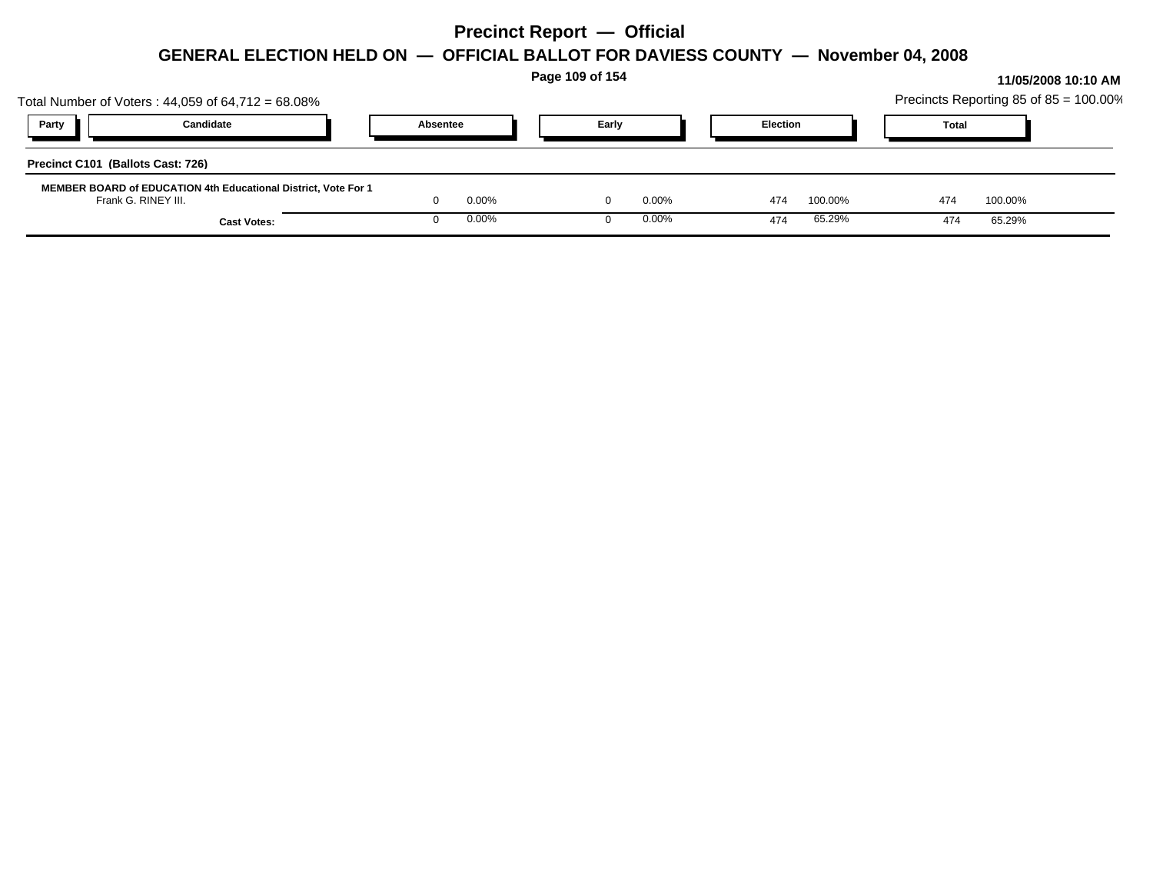|                                                                                              |          |       | Page 109 of 154 |          |                 |         |              |         | 11/05/2008 10:10 AM                    |
|----------------------------------------------------------------------------------------------|----------|-------|-----------------|----------|-----------------|---------|--------------|---------|----------------------------------------|
| Total Number of Voters: $44,059$ of $64,712 = 68.08\%$                                       |          |       |                 |          |                 |         |              |         | Precincts Reporting 85 of 85 = 100.00% |
| Candidate<br>Party                                                                           | Absentee |       |                 | Early    | <b>Election</b> |         | <b>Total</b> |         |                                        |
| Precinct C101 (Ballots Cast: 726)                                                            |          |       |                 |          |                 |         |              |         |                                        |
| <b>MEMBER BOARD of EDUCATION 4th Educational District, Vote For 1</b><br>Frank G. RINEY III. |          | 0.00% |                 | $0.00\%$ | 474             | 100.00% | 474          | 100.00% |                                        |
| <b>Cast Votes:</b>                                                                           |          | 0.00% |                 | 0.00%    | 474             | 65.29%  | 474          | 65.29%  |                                        |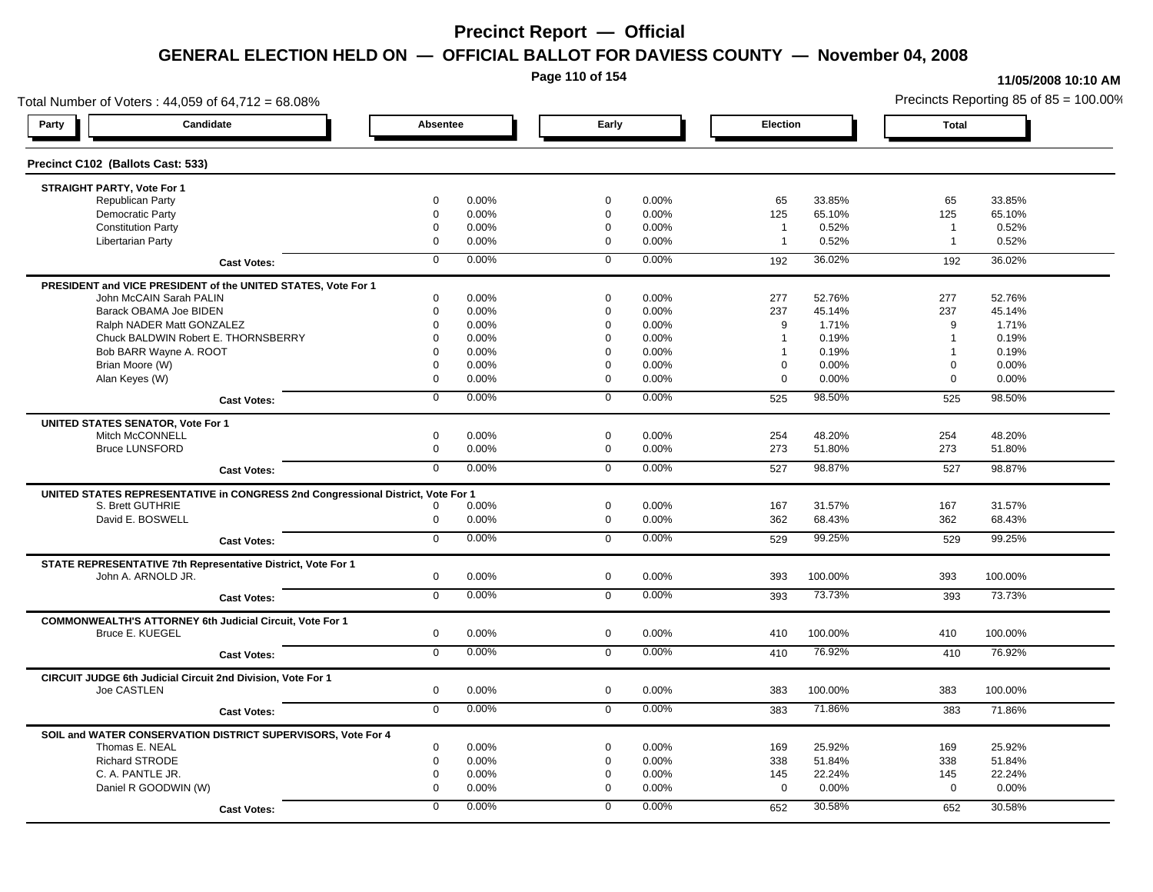**Page 110 of 154**

#### **11/05/2008 10:10 AM**

Total Number of Voters : 44,059 of 64,712 = 68.08% Precincts Reporting 85 of 85 = 100.00% **Party Candidate Absentee Early Election Total Precinct C102 (Ballots Cast: 533) STRAIGHT PARTY, Vote For 1** Republican Party 0 0.00% 0 0.00% 65 33.85% 65 33.85% Democratic Party 0 0.00% 0 0.00% 125 65.10% 125 65.10% Constitution Party 0 0.00% 0 0.00% 1 0.52% 1 0.52% Libertarian Party 0 0.00% 0 0.00% 1 0.52% 1 0.52% **Cast Votes:** 0 0.00% 0 0.00% 192 36.02% 192 36.02% **PRESIDENT and VICE PRESIDENT of the UNITED STATES, Vote For 1** John McCAIN Sarah PALIN John McCAIN Sarah PALIN 0 0.00% 0 0.00% 277 52.76% 277 52.76% Barack OBAMA Joe BIDEN 0 0.00% 0 0.00% 237 45.14% 237 45.14% Ralph NADER Matt GONZALEZ 0 0.00% 0 0.00% 9 1.71% 9 1.71% Chuck BALDWIN Robert E. THORNSBERRY 0 0.00% 0 0.00% 1 0.19% 1 0.19% Bob BARR Wayne A. ROOT **1** 0.19% 0 0.00% 0 0.00% 0 0.00% 1 0.19% 1 0.19% 1 0.19% Brian Moore (W) 0 0.00% 0 0.00% 0 0.00% 0 0.00% Alan Keyes (W) 0 0.00% 0 0.00% 0 0.00% 0 0.00% **Cast Votes:** 0 0.00% 0 0.00% 525 98.50% 525 98.50% **UNITED STATES SENATOR, Vote For 1** Mitch McCONNELL 0 0.00% 0 0.00% 254 48.20% 254 48.20% Bruce LUNSFORD 0 0.00% 0 0.00% 273 51.80% 273 51.80% **Cast Votes:** 0 0.00% 0 0.00% 527 98.87% 527 98.87% **UNITED STATES REPRESENTATIVE in CONGRESS 2nd Congressional District, Vote For 1** S. Brett GUTHRIE 0 0.00% 0 0.00% 167 31.57% 167 31.57% David E. BOSWELL 0 0.00% 0 0.00% 362 68.43% 362 68.43% **Cast Votes:** 0 0.00% 0 0.00% 529 99.25% 529 99.25% **STATE REPRESENTATIVE 7th Representative District, Vote For 1** John A. ARNOLD JR. 0 0.00% 0 0.00% 393 100.00% 393 100.00% **Cast Votes:** 0 0.00% 0 0.00% 393 73.73% 393 73.73% **COMMONWEALTH'S ATTORNEY 6th Judicial Circuit, Vote For 1** Bruce E. KUEGEL 0 0.00% 0 0.00% 410 100.00% 410 100.00% **Cast Votes:** 0 0.00% 0 0.00% 410 76.92% 410 76.92% **CIRCUIT JUDGE 6th Judicial Circuit 2nd Division, Vote For 1** Joe CASTLEN 0 0.00% 0 0.00% 383 100.00% 383 100.00% **Cast Votes:** 0 0.00% 0 0.00% 383 71.86% 383 71.86% **SOIL and WATER CONSERVATION DISTRICT SUPERVISORS, Vote For 4** Thomas E. NEAL 0 0.00% 0 0.00% 169 25.92% 169 25.92% Richard STRODE 0 0.00% 0 0.00% 338 51.84% 338 51.84% C. A. PANTLE JR. 0 0.00% 0 0.00% 145 22.24% 145 22.24% Daniel R GOODWIN (W) 0 0.00% 0 0.00% 0 0.00% 0 0.00% **Cast Votes:** 0 0.00% 0 0.00% 652 30.58% 652 30.58%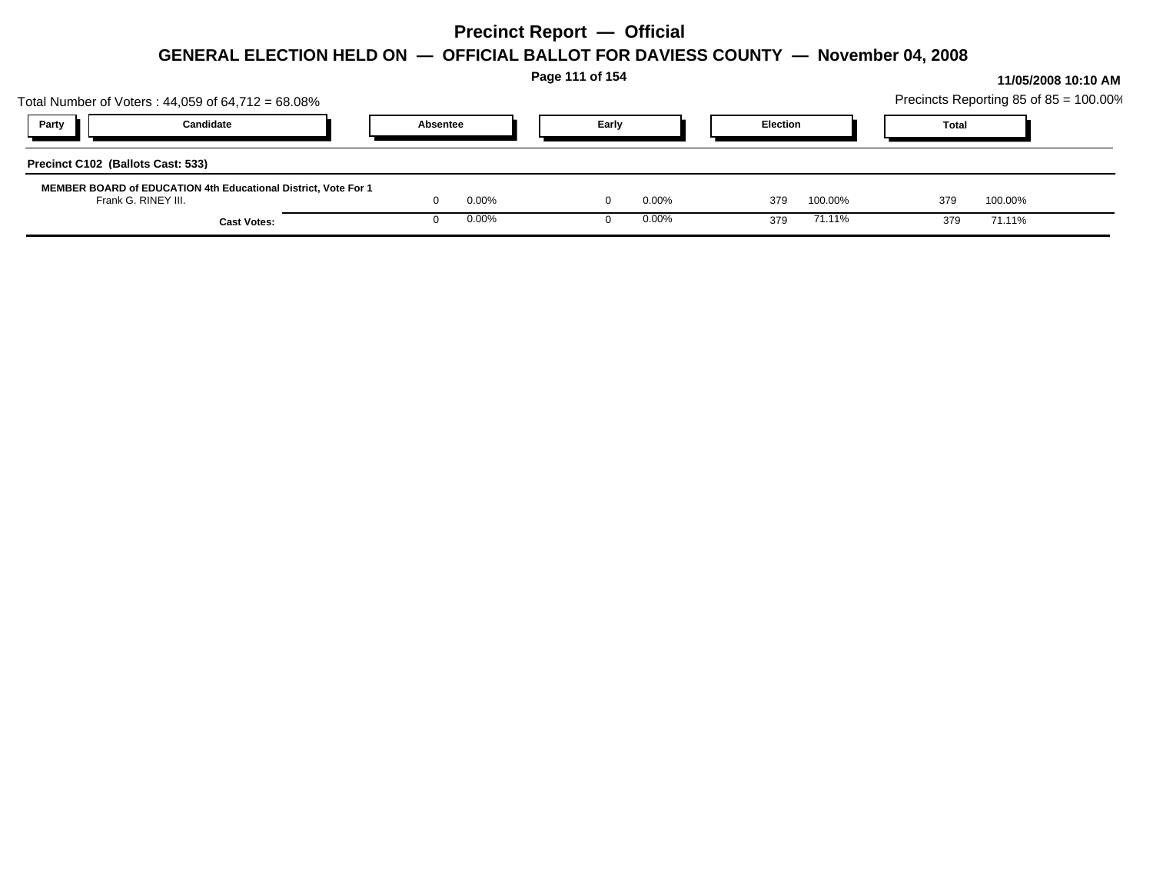|                                                                                       |          |       | Page 111 of 154 |          |                 |         |                                        |         | 11/05/2008 10:10 AM |
|---------------------------------------------------------------------------------------|----------|-------|-----------------|----------|-----------------|---------|----------------------------------------|---------|---------------------|
| Total Number of Voters: $44,059$ of $64,712 = 68.08\%$                                |          |       |                 |          |                 |         | Precincts Reporting 85 of 85 = 100.00% |         |                     |
| Candidate<br>Party                                                                    | Absentee |       | Early           |          | <b>Election</b> |         | <b>Total</b>                           |         |                     |
| Precinct C102 (Ballots Cast: 533)                                                     |          |       |                 |          |                 |         |                                        |         |                     |
| MEMBER BOARD of EDUCATION 4th Educational District, Vote For 1<br>Frank G. RINEY III. |          | 0.00% |                 | $0.00\%$ | 379             | 100.00% | 379                                    | 100.00% |                     |
| <b>Cast Votes:</b>                                                                    |          | 0.00% |                 | $0.00\%$ | 379             | 71.11%  | 379                                    | 71.11%  |                     |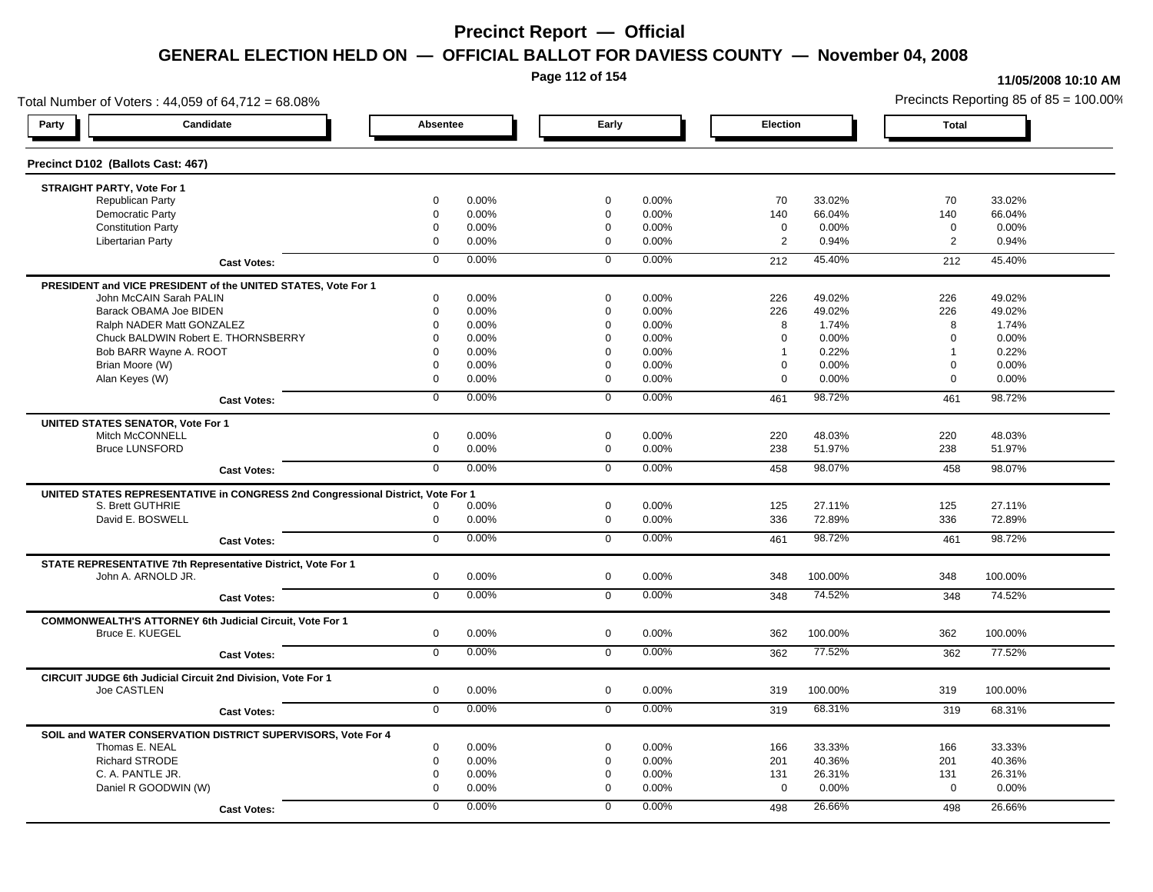**Page 112 of 154**

#### **11/05/2008 10:10 AM**

Total Number of Voters : 44,059 of 64,712 = 68.08% Precincts Reporting 85 of 85 = 100.00% **Party Candidate Absentee Early Election Total Precinct D102 (Ballots Cast: 467) STRAIGHT PARTY, Vote For 1** Republican Party 0 0.00% 0 0.00% 70 33.02% 70 33.02% Democratic Party 0 0.00% 0 0.00% 140 66.04% 140 66.04% Constitution Party 0 0.00% 0 0.00% 0 0.00% 0 0.00% Libertarian Party 0 0.00% 0 0.00% 2 0.94% 2 0.94% **Cast Votes:** 0 0.00% 0 0.00% 212 45.40% 212 45.40% **PRESIDENT and VICE PRESIDENT of the UNITED STATES, Vote For 1** John McCAIN Sarah PALIN John McCAIN Sarah PALIN 0 0.00% 0 0.00% 226 49.02% 226 49.02% Barack OBAMA Joe BIDEN 0 0.00% 0 0.00% 226 49.02% 226 49.02% Ralph NADER Matt GONZALEZ 0 0.00% 0 0.00% 8 1.74% 8 1.74% Chuck BALDWIN Robert E. THORNSBERRY 0 0.00% 0 0.00% 0 0.00% 0 0.00% Bob BARR Wayne A. ROOT **1** 0.22% 1 0.22% 1 0.22% 1 0.22% 1 0.22% 1 0.22% 1 0.22% 1 0.22% 1 0.22% 1 0.22% 1 0.22% 1 0.22% 1 0.22% 1 0.22% 1 0.22% 1 0.22% 1 0.22% 1 0.22% 1 0.22% 1 0.22% 1 0.22% 1 0.22% 1 0.22% 1 0.22% 1 0.2 Brian Moore (W) 0 0.00% 0 0.00% 0 0.00% 0 0.00% Alan Keyes (W) 0 0.00% 0 0.00% 0 0.00% 0 0.00% **Cast Votes:** 0 0.00% 0 0.00% 461 98.72% 461 98.72% **UNITED STATES SENATOR, Vote For 1** Mitch McCONNELL 0 0.00% 0 0.00% 220 48.03% 220 48.03% Bruce LUNSFORD 0 0.00% 0 0.00% 238 51.97% 238 51.97% **Cast Votes:** 0 0.00% 0 0.00% 458 98.07% 458 98.07% **UNITED STATES REPRESENTATIVE in CONGRESS 2nd Congressional District, Vote For 1** S. Brett GUTHRIE 0 0.00% 0 0.00% 125 27.11% 125 27.11% David E. BOSWELL 0 0.00% 0 0.00% 336 72.89% 336 72.89% **Cast Votes:** 0 0.00% 0 0.00% 461 98.72% 461 98.72% **STATE REPRESENTATIVE 7th Representative District, Vote For 1** John A. ARNOLD JR. 0 0.00% 0 0.00% 348 100.00% 348 100.00% **Cast Votes:** 0 0.00% 0 0.00% 348 74.52% 348 74.52% **COMMONWEALTH'S ATTORNEY 6th Judicial Circuit, Vote For 1** Bruce E. KUEGEL 0 0.00% 0 0.00% 362 100.00% 362 100.00% **Cast Votes:** 0 0.00% 0 0.00% 362 77.52% 362 77.52% **CIRCUIT JUDGE 6th Judicial Circuit 2nd Division, Vote For 1** Joe CASTLEN 0 0.00% 0 0.00% 319 100.00% 319 100.00% **Cast Votes:** 0 0.00% 0 0.00% 319 68.31% 319 68.31% **SOIL and WATER CONSERVATION DISTRICT SUPERVISORS, Vote For 4** Thomas E. NEAL 0 0.00% 0 0.00% 166 33.33% 166 33.33% Richard STRODE 0 0.00% 0 0.00% 201 40.36% 201 40.36% C. A. PANTLE JR. 0 0.00% 0 0.00% 131 26.31% 131 26.31% Daniel R GOODWIN (W) 0 0.00% 0 0.00% 0 0.00% 0 0.00% **Cast Votes:** 0 0.00% 0 0.00% 498 26.66% 498 26.66%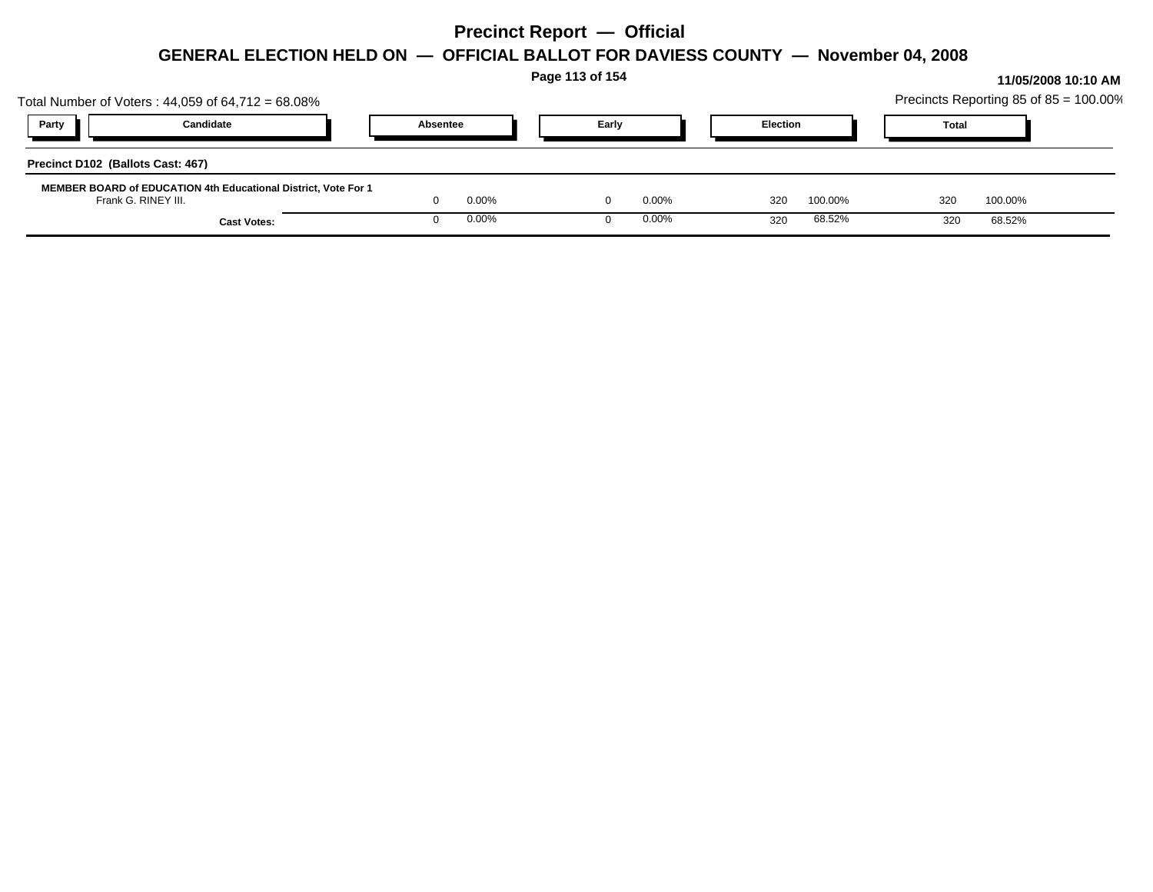|                                                                                       |          |       | Page 113 of 154 |          |                 |         |              |                                        | 11/05/2008 10:10 AM |
|---------------------------------------------------------------------------------------|----------|-------|-----------------|----------|-----------------|---------|--------------|----------------------------------------|---------------------|
| Total Number of Voters: $44,059$ of $64,712 = 68.08\%$                                |          |       |                 |          |                 |         |              | Precincts Reporting 85 of 85 = 100.00% |                     |
| Candidate<br>Party                                                                    | Absentee |       | Early           |          | <b>Election</b> |         | <b>Total</b> |                                        |                     |
| Precinct D102 (Ballots Cast: 467)                                                     |          |       |                 |          |                 |         |              |                                        |                     |
| MEMBER BOARD of EDUCATION 4th Educational District, Vote For 1<br>Frank G. RINEY III. |          | 0.00% |                 | $0.00\%$ | 320             | 100.00% | 320          | 100.00%                                |                     |
| <b>Cast Votes:</b>                                                                    |          | 0.00% |                 | $0.00\%$ | 320             | 68.52%  | 320          | 68.52%                                 |                     |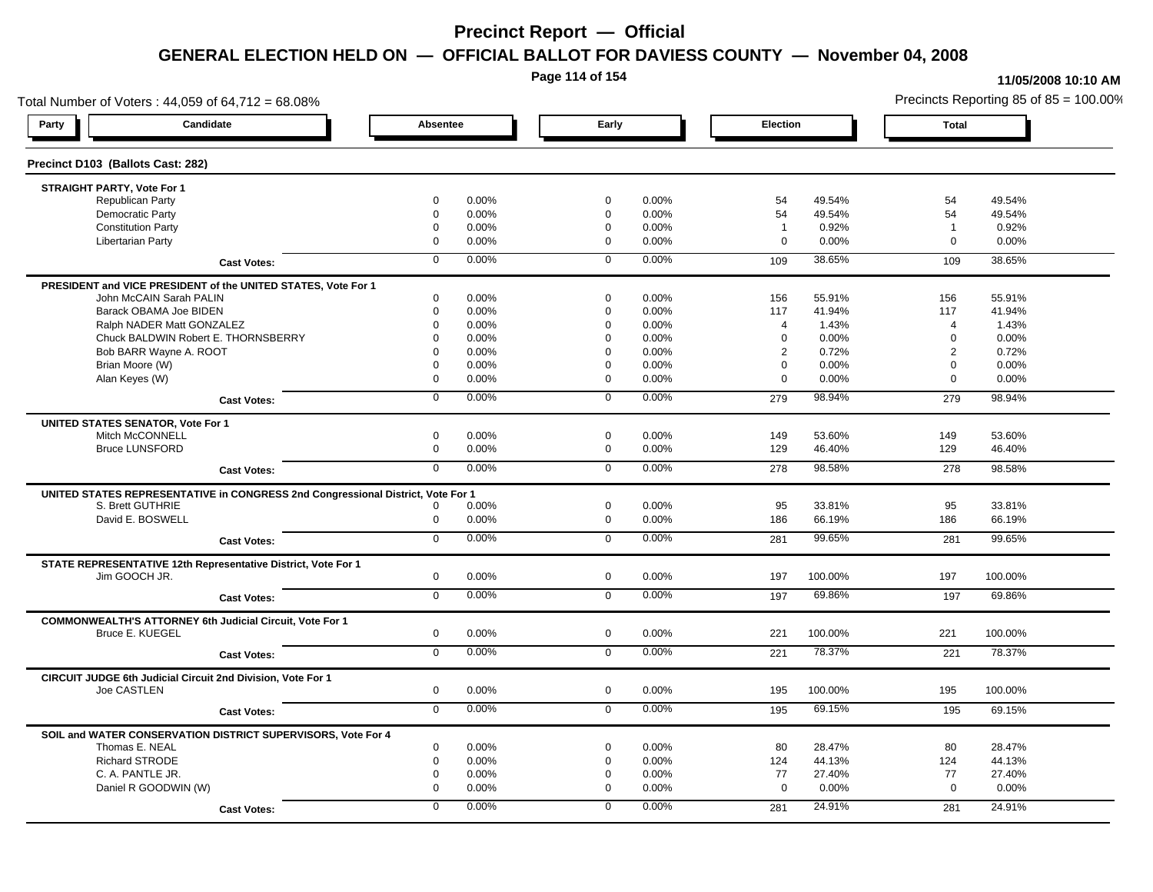**Page 114 of 154**

#### **11/05/2008 10:10 AM**

Total Number of Voters : 44,059 of 64,712 = 68.08% Precincts Reporting 85 of 85 = 100.00% **Party Candidate Absentee Early Election Total Precinct D103 (Ballots Cast: 282) STRAIGHT PARTY, Vote For 1** Republican Party 0 0.00% 0 0.00% 54 49.54% 54 49.54% Democratic Party 0 0.00% 0 0.00% 54 49.54% 54 49.54% Constitution Party 0 0.00% 0 0.00% 1 0.92% 1 0.92% Libertarian Party 0 0.00% 0 0.00% 0 0.00% 0 0.00% **Cast Votes:** 0 0.00% 0 0.00% 109 38.65% 109 38.65% **PRESIDENT and VICE PRESIDENT of the UNITED STATES, Vote For 1** John McCAIN Sarah PALIN John McCAIN Sarah PALIN 0 0.00% 0 0.00% 156 55.91% 156 55.91% Barack OBAMA Joe BIDEN 0 0.00% 0 0.00% 117 41.94% 117 41.94% Ralph NADER Matt GONZALEZ 0 0.00% 0 0.00% 4 1.43% 4 1.43% Chuck BALDWIN Robert E. THORNSBERRY 0 0.00% 0 0.00% 0 0.00% 0 0.00% Bob BARR Wayne A. ROOT **2 2 0.72% 2 0.72% 2 0.72% 2 0.72%** 2 0.72% 2 0.72% 2 0.72% 2 0.72% Brian Moore (W) 0 0.00% 0 0.00% 0 0.00% 0 0.00% Alan Keyes (W) 0 0.00% 0 0.00% 0 0.00% 0 0.00% **Cast Votes:** 0 0.00% 0 0.00% 279 98.94% 279 98.94% **UNITED STATES SENATOR, Vote For 1** Mitch McCONNELL 0 0.00% 0 0.00% 149 53.60% 149 53.60% Bruce LUNSFORD 0 0.00% 0 0.00% 129 46.40% 129 46.40% **Cast Votes:** 0 0.00% 0 0.00% 278 98.58% 278 98.58% **UNITED STATES REPRESENTATIVE in CONGRESS 2nd Congressional District, Vote For 1** S. Brett GUTHRIE 0 0.00% 0 0.00% 95 33.81% 95 33.81% David E. BOSWELL 0 0.00% 0 0.00% 186 66.19% 186 66.19% **Cast Votes:** 0 0.00% 0 0.00% 281 99.65% 281 99.65% **STATE REPRESENTATIVE 12th Representative District, Vote For 1** Jim GOOCH JR. 0 0.00% 0 0.00% 197 100.00% 197 100.00% **Cast Votes:** 0 0.00% 0 0.00% 197 69.86% 197 69.86% **COMMONWEALTH'S ATTORNEY 6th Judicial Circuit, Vote For 1** Bruce E. KUEGEL 0 0.00% 0 0.00% 221 100.00% 221 100.00% **Cast Votes:** 0 0.00% 0 0.00% 221 78.37% 221 78.37% **CIRCUIT JUDGE 6th Judicial Circuit 2nd Division, Vote For 1** Joe CASTLEN 0 0.00% 0 0.00% 195 100.00% 195 100.00% **Cast Votes:** 0 0.00% 0 0.00% 195 69.15% 195 69.15% **SOIL and WATER CONSERVATION DISTRICT SUPERVISORS, Vote For 4** Thomas E. NEAL 0 0.00% 0 0.00% 80 28.47% 80 28.47% Richard STRODE 0 0.00% 0 0.00% 124 44.13% 124 44.13% C. A. PANTLE JR. 0 0.00% 0 0.00% 77 27.40% 77 27.40% Daniel R GOODWIN (W) 0 0.00% 0 0.00% 0 0.00% 0 0.00% **Cast Votes:** 0 0.00% 0 0.00% 281 24.91% 281 24.91%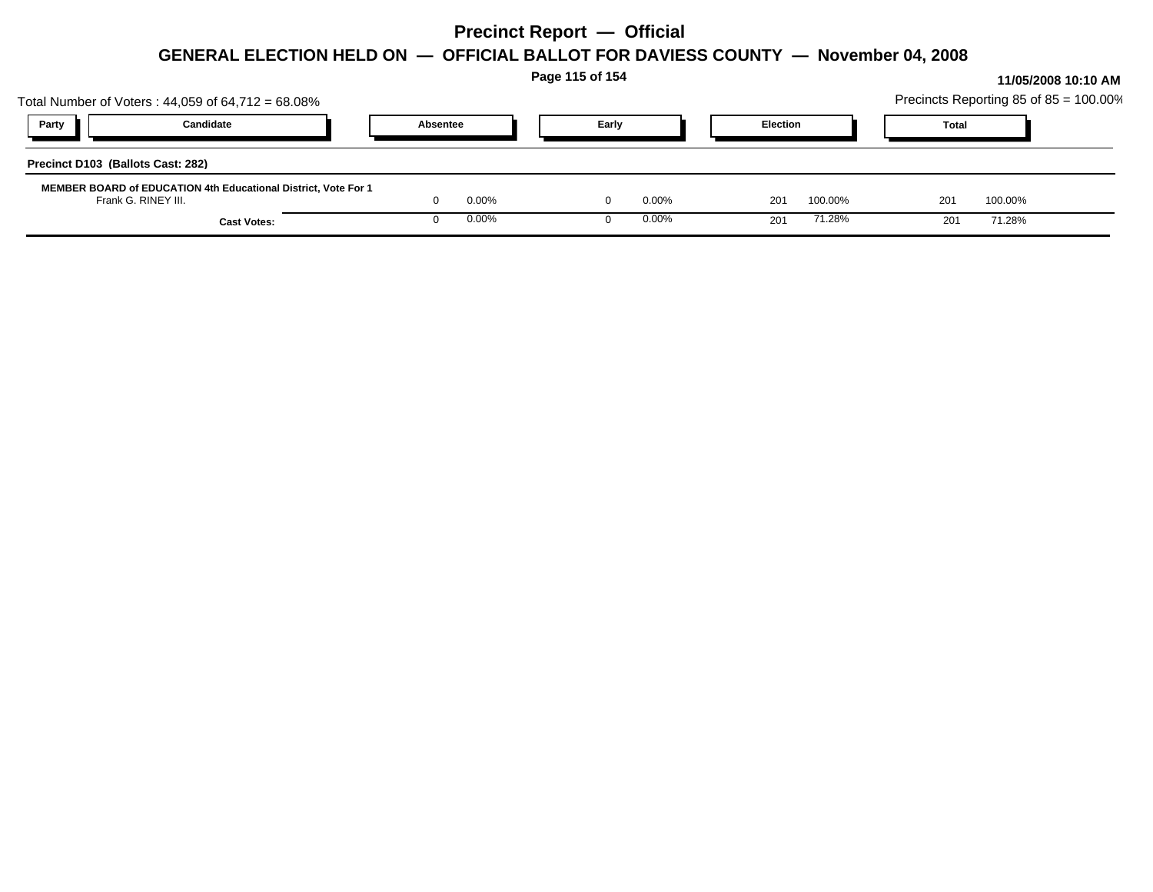|                                                                                                     |          |       | Page 115 of 154 |       | 11/05/2008 10:10 AM<br>Precincts Reporting 85 of 85 = 100.00% |                 |         |  |              |         |  |
|-----------------------------------------------------------------------------------------------------|----------|-------|-----------------|-------|---------------------------------------------------------------|-----------------|---------|--|--------------|---------|--|
| Total Number of Voters: $44,059$ of $64,712 = 68.08\%$                                              |          |       |                 |       |                                                               |                 |         |  |              |         |  |
| Party<br>Candidate                                                                                  | Absentee |       |                 | Early |                                                               | <b>Election</b> |         |  | <b>Total</b> |         |  |
| Precinct D103 (Ballots Cast: 282)<br>MEMBER BOARD of EDUCATION 4th Educational District, Vote For 1 |          |       |                 |       |                                                               |                 |         |  |              |         |  |
| Frank G. RINEY III.                                                                                 |          | 0.00% |                 |       | $0.00\%$                                                      | 201             | 100.00% |  | 201          | 100.00% |  |
| <b>Cast Votes:</b>                                                                                  |          | 0.00% |                 |       | $0.00\%$                                                      | 201             | 71.28%  |  | 201          | 71.28%  |  |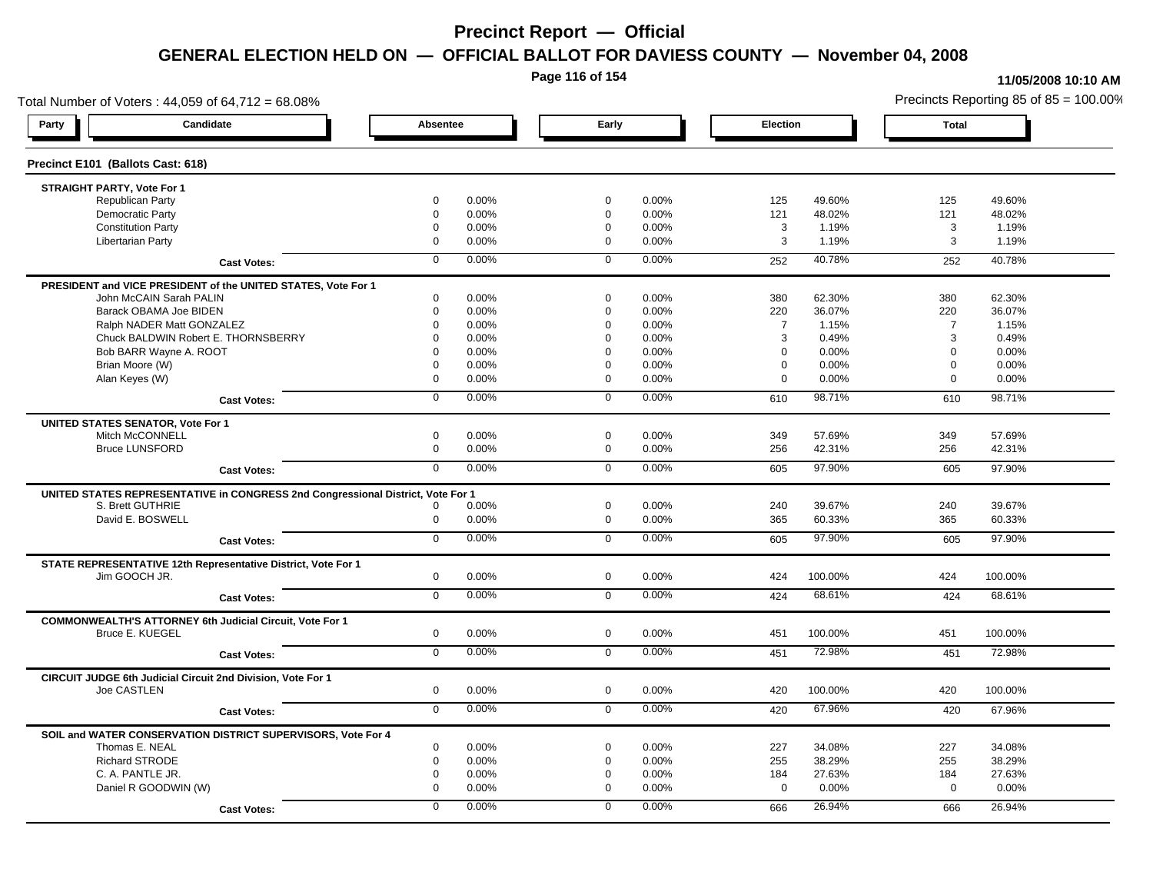**Page 116 of 154**

#### **11/05/2008 10:10 AM**

Total Number of Voters : 44,059 of 64,712 = 68.08% Precincts Reporting 85 of 85 = 100.00% **Party Candidate Absentee Early Election Total Precinct E101 (Ballots Cast: 618) STRAIGHT PARTY, Vote For 1** Republican Party 0 0.00% 0 0.00% 125 49.60% 125 49.60% Democratic Party 0 0.00% 0 0.00% 121 48.02% 121 48.02% Constitution Party 0 0.00% 0 0.00% 3 1.19% 3 1.19% Libertarian Party 0 0.00% 0 0.00% 3 1.19% 3 1.19% **Cast Votes:** 0 0.00% 0 0.00% 252 40.78% 252 40.78% **PRESIDENT and VICE PRESIDENT of the UNITED STATES, Vote For 1** John McCAIN Sarah PALIN John McCAIN Sarah PALIN 0 0.00% 0 0.00% 380 62.30% 380 62.30% Barack OBAMA Joe BIDEN 0 0.00% 0 0.00% 220 36.07% 220 36.07% Ralph NADER Matt GONZALEZ 0 0.00% 0 0.00% 7 1.15% 7 1.15% Chuck BALDWIN Robert E. THORNSBERRY 0 0.00% 0 0.00% 3 0.49% 3 0.49%  $Bob$  BARR Wayne A. ROOT  $0.00\%$   $0.00\%$   $0.00\%$   $0.00\%$   $0.00\%$   $0.00\%$   $0.00\%$   $0.00\%$ Brian Moore (W) 0 0.00% 0 0.00% 0 0.00% 0 0.00% Alan Keyes (W) 0 0.00% 0 0.00% 0 0.00% 0 0.00% **Cast Votes:** 0 0.00% 0 0.00% 610 98.71% 610 98.71% **UNITED STATES SENATOR, Vote For 1** Mitch McCONNELL 0 0.00% 0 0.00% 349 57.69% 349 57.69% Bruce LUNSFORD 0 0.00% 0 0.00% 256 42.31% 256 42.31% **Cast Votes:** 0 0.00% 0 0.00% 605 97.90% 605 97.90% **UNITED STATES REPRESENTATIVE in CONGRESS 2nd Congressional District, Vote For 1** S. Brett GUTHRIE 0 0.00% 0 0.00% 240 39.67% 240 39.67% David E. BOSWELL 0 0.00% 0 0.00% 365 60.33% 365 60.33% **Cast Votes:** 0 0.00% 0 0.00% 605 97.90% 605 97.90% **STATE REPRESENTATIVE 12th Representative District, Vote For 1** Jim GOOCH JR. 0 0.00% 0 0.00% 424 100.00% 424 100.00% **Cast Votes:** 0 0.00% 0 0.00% 424 68.61% 424 68.61% **COMMONWEALTH'S ATTORNEY 6th Judicial Circuit, Vote For 1** Bruce E. KUEGEL 0 0.00% 0 0.00% 451 100.00% 451 100.00% **Cast Votes:** 0 0.00% 0 0.00% 451 72.98% 451 72.98% **CIRCUIT JUDGE 6th Judicial Circuit 2nd Division, Vote For 1** Joe CASTLEN 0 0.00% 0 0.00% 420 100.00% 420 100.00% **Cast Votes:** 0 0.00% 0 0.00% 420 67.96% 420 67.96% **SOIL and WATER CONSERVATION DISTRICT SUPERVISORS, Vote For 4** Thomas E. NEAL 0 0.00% 0 0.00% 227 34.08% 227 34.08% Richard STRODE 0 0.00% 0 0.00% 255 38.29% 255 38.29% C. A. PANTLE JR. 0 0.00% 0 0.00% 184 27.63% 184 27.63% Daniel R GOODWIN (W) 0 0.00% 0 0.00% 0 0.00% 0 0.00% **Cast Votes:** 0 0.00% 0 0.00% 666 26.94% 666 26.94%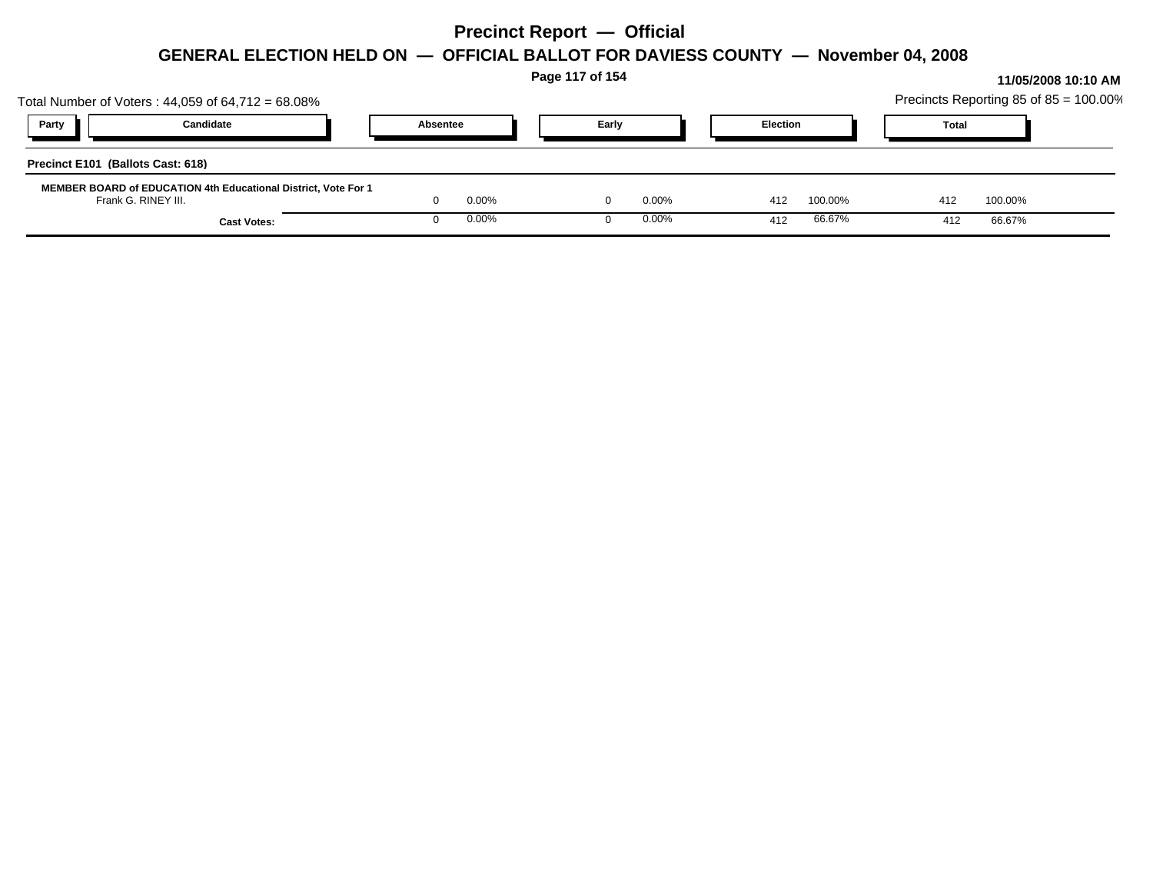|                                                                                       |                    |          |       | Page 117 of 154 | 11/05/2008 10:10 AM |                 |         |  |              |         |                                        |
|---------------------------------------------------------------------------------------|--------------------|----------|-------|-----------------|---------------------|-----------------|---------|--|--------------|---------|----------------------------------------|
| Total Number of Voters: $44,059$ of $64,712 = 68.08\%$                                |                    |          |       |                 |                     |                 |         |  |              |         | Precincts Reporting 85 of 85 = 100.00% |
| Party                                                                                 | Candidate          | Absentee |       | Early           |                     | <b>Election</b> |         |  | <b>Total</b> |         |                                        |
| Precinct E101 (Ballots Cast: 618)                                                     |                    |          |       |                 |                     |                 |         |  |              |         |                                        |
| MEMBER BOARD of EDUCATION 4th Educational District, Vote For 1<br>Frank G. RINEY III. |                    |          | 0.00% |                 | $0.00\%$            | 412             | 100.00% |  | 412          | 100.00% |                                        |
|                                                                                       | <b>Cast Votes:</b> |          | 0.00% |                 | $0.00\%$            | 412             | 66.67%  |  | 412          | 66.67%  |                                        |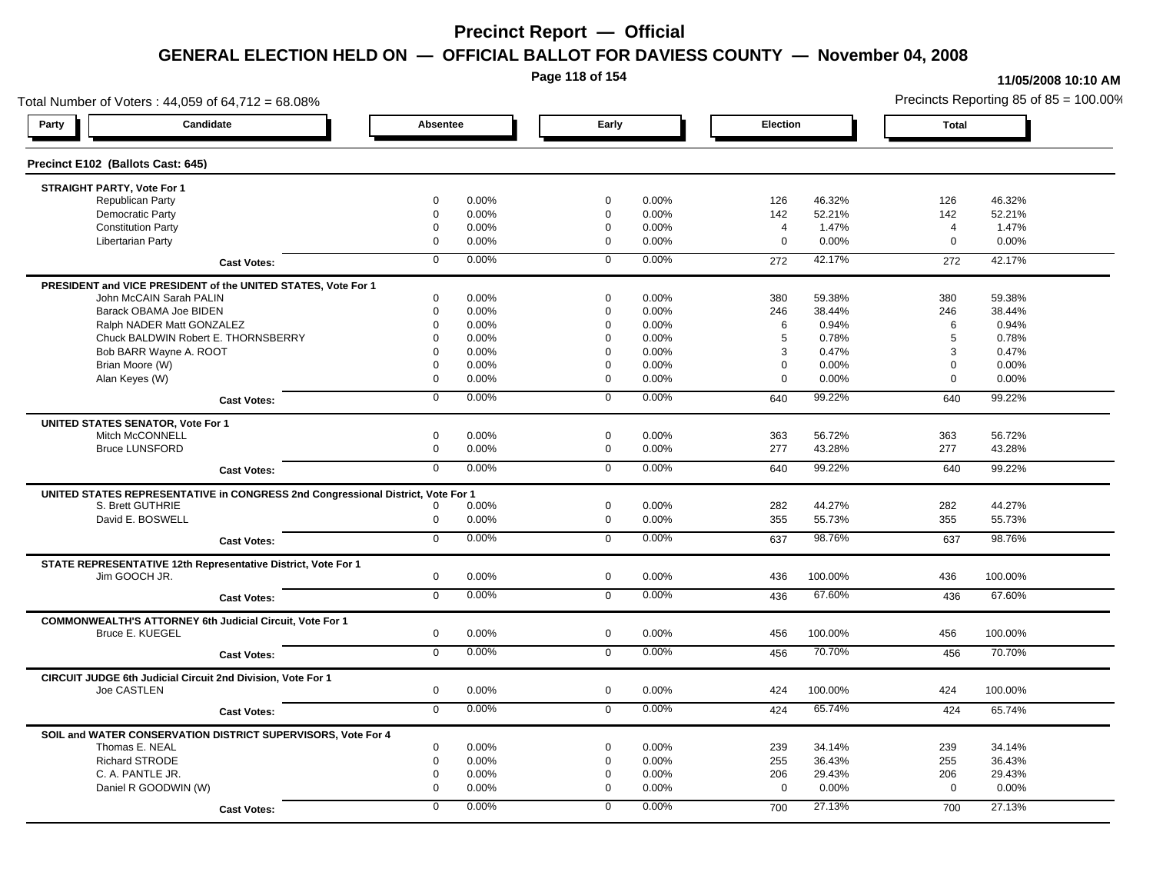**Page 118 of 154**

#### **11/05/2008 10:10 AM**

Total Number of Voters : 44,059 of 64,712 = 68.08% Precincts Reporting 85 of 85 = 100.00% **Party Candidate Absentee Early Election Total Precinct E102 (Ballots Cast: 645) STRAIGHT PARTY, Vote For 1** Republican Party 0 0.00% 0 0.00% 126 46.32% 126 46.32% Democratic Party 0 0.00% 0 0.00% 142 52.21% 142 52.21% Constitution Party 0 0.00% 0 0.00% 4 1.47% 4 1.47% Libertarian Party 0 0.00% 0 0.00% 0 0.00% 0 0.00% **Cast Votes:** 0 0.00% 0 0.00% 272 42.17% 272 42.17% **PRESIDENT and VICE PRESIDENT of the UNITED STATES, Vote For 1** John McCAIN Sarah PALIN John McCAIN Sarah PALIN 0 0.00% 0 0.00% 380 59.38% 380 59.38% Barack OBAMA Joe BIDEN 0 0.00% 0 0.00% 246 38.44% 246 38.44% Ralph NADER Matt GONZALEZ  $\begin{array}{cccc} 0 & 0.00\% & 0 & 0.00\% & 0.94\% & 6 & 0.94\% \end{array}$ Chuck BALDWIN Robert E. THORNSBERRY 0 0.00% 0 0.00% 5 0.78% 5 0.78% Bob BARR Wayne A. ROOT **8 2014 12:000 12:000 12:000 12:000** 10:00% 0 0.00% 3 0.47% 3 0.47% 3 0.47% Brian Moore (W) 0 0.00% 0 0.00% 0 0.00% 0 0.00% Alan Keyes (W) 0 0.00% 0 0.00% 0 0.00% 0 0.00% **Cast Votes:** 0 0.00% 0 0.00% 640 99.22% 640 99.22% **UNITED STATES SENATOR, Vote For 1** Mitch McCONNELL 0 0.00% 0 0.00% 363 56.72% 363 56.72% Bruce LUNSFORD 0 0.00% 0 0.00% 277 43.28% 277 43.28% **Cast Votes:** 0 0.00% 0 0.00% 640 99.22% 640 99.22% **UNITED STATES REPRESENTATIVE in CONGRESS 2nd Congressional District, Vote For 1** S. Brett GUTHRIE 0 0.00% 0 0.00% 282 44.27% 282 44.27% David E. BOSWELL 0 0.00% 0 0.00% 355 55.73% 355 55.73% **Cast Votes:** 0 0.00% 0 0.00% 637 98.76% 637 98.76% **STATE REPRESENTATIVE 12th Representative District, Vote For 1** Jim GOOCH JR. 0 0.00% 0 0.00% 436 100.00% 436 100.00% **Cast Votes:** 0 0.00% 0 0.00% 436 67.60% 436 67.60% **COMMONWEALTH'S ATTORNEY 6th Judicial Circuit, Vote For 1** Bruce E. KUEGEL 0 0.00% 0 0.00% 456 100.00% 456 100.00% **Cast Votes:** 0 0.00% 0 0.00% 456 70.70% 456 70.70% **CIRCUIT JUDGE 6th Judicial Circuit 2nd Division, Vote For 1** Joe CASTLEN 0 0.00% 0 0.00% 424 100.00% 424 100.00% **Cast Votes:** 0 0.00% 0 0.00% 424 65.74% 424 65.74% **SOIL and WATER CONSERVATION DISTRICT SUPERVISORS, Vote For 4** Thomas E. NEAL 0 0.00% 0 0.00% 239 34.14% 239 34.14% Richard STRODE 0 0.00% 0 0.00% 255 36.43% 255 36.43% C. A. PANTLE JR. 0 0.00% 0 0.00% 206 29.43% 206 29.43% Daniel R GOODWIN (W) 0 0.00% 0 0.00% 0 0.00% 0 0.00% **Cast Votes:** 0 0.00% 0 0.00% 700 27.13% 700 27.13%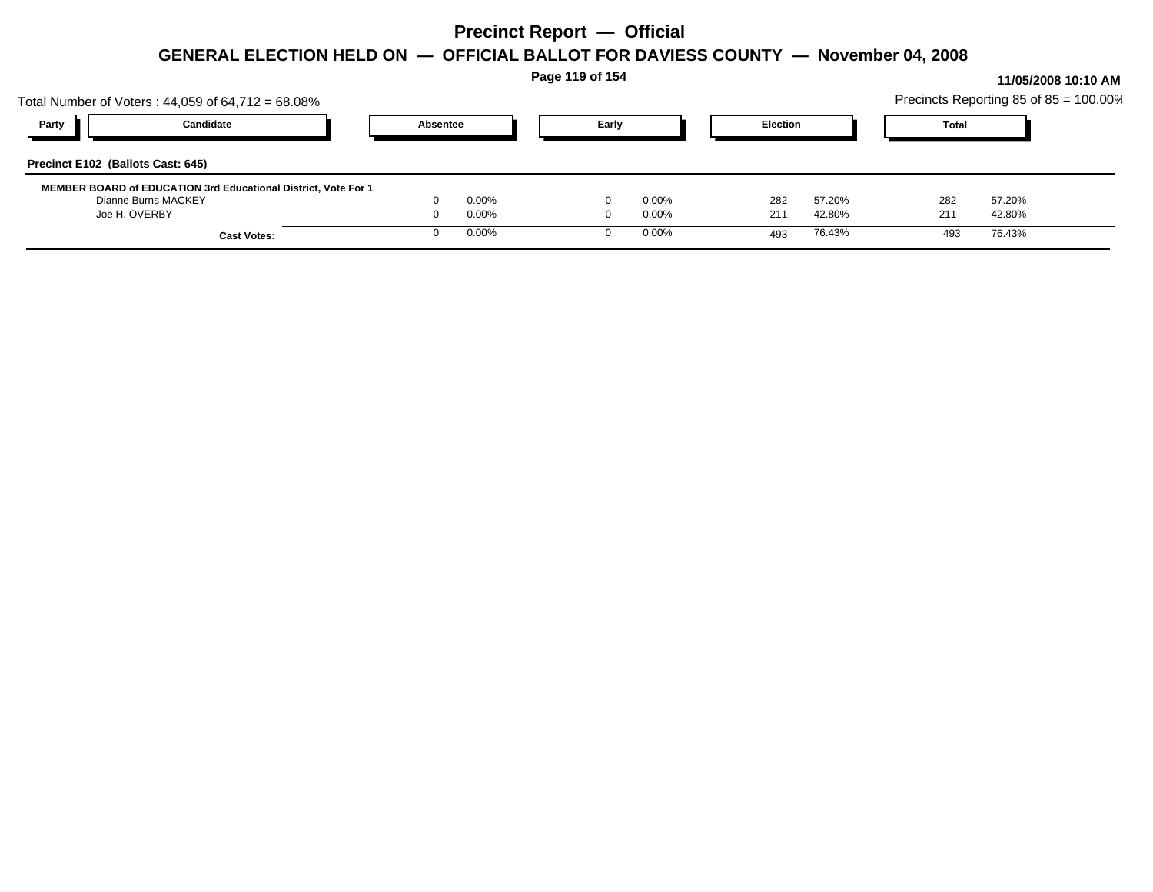| Total Number of Voters: $44,059$ of $64,712 = 68.08\%$                                                 |                    |          |                | Page 119 of 154 |                      |                 |                  |            |              |                  | 11/05/2008 10:10 AM<br>Precincts Reporting 85 of 85 = 100.00% |
|--------------------------------------------------------------------------------------------------------|--------------------|----------|----------------|-----------------|----------------------|-----------------|------------------|------------|--------------|------------------|---------------------------------------------------------------|
| Party<br>Candidate                                                                                     |                    | Absentee |                | Early           |                      | <b>Election</b> |                  |            | <b>Total</b> |                  |                                                               |
| Precinct E102 (Ballots Cast: 645)                                                                      |                    |          |                |                 |                      |                 |                  |            |              |                  |                                                               |
| MEMBER BOARD of EDUCATION 3rd Educational District, Vote For 1<br>Dianne Burns MACKEY<br>Joe H. OVERBY |                    |          | 0.00%<br>0.00% |                 | $0.00\%$<br>$0.00\%$ | 282<br>211      | 57.20%<br>42.80% | 282<br>211 |              | 57.20%<br>42.80% |                                                               |
|                                                                                                        | <b>Cast Votes:</b> |          | 0.00%          |                 | $0.00\%$             | 493             | 76.43%           |            | 493          | 76.43%           |                                                               |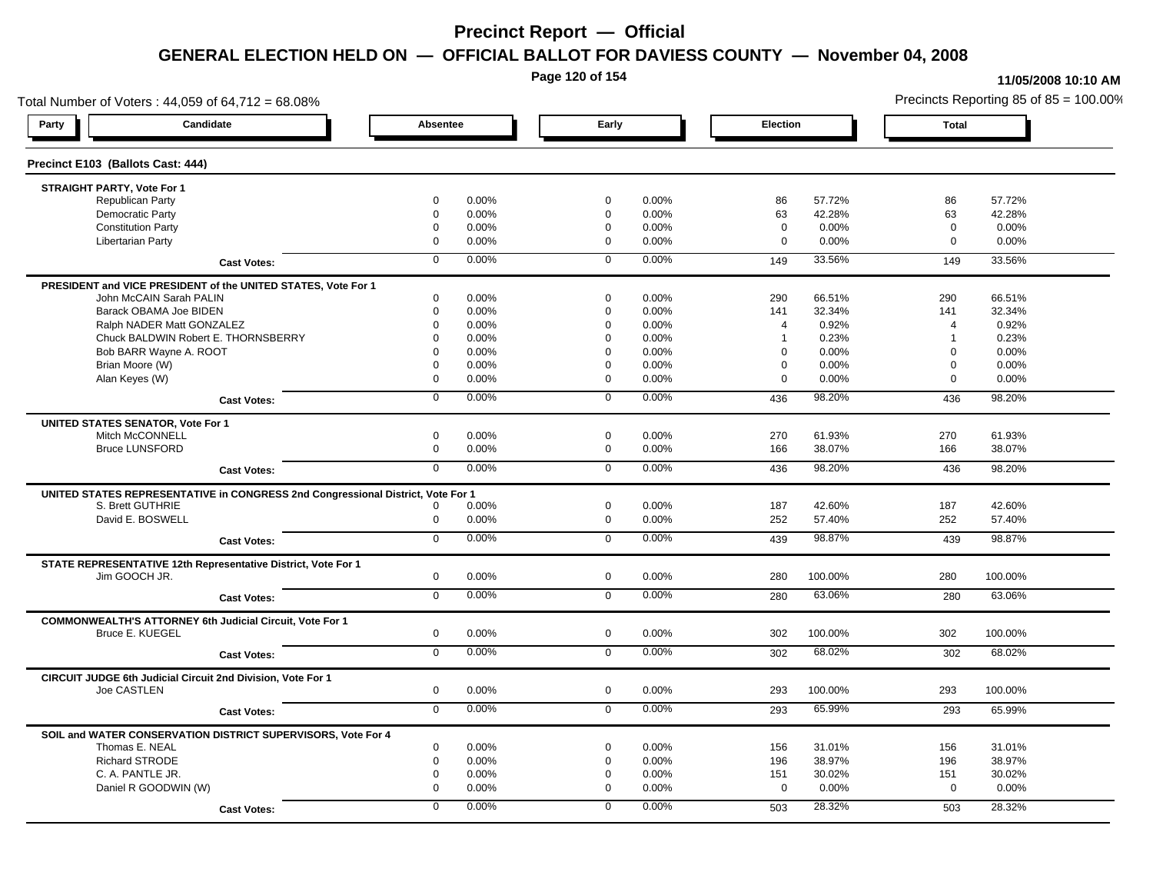**Page 120 of 154**

#### **11/05/2008 10:10 AM**

Total Number of Voters : 44,059 of 64,712 = 68.08% Precincts Reporting 85 of 85 = 100.00% **Party Candidate Absentee Early Election Total Precinct E103 (Ballots Cast: 444) STRAIGHT PARTY, Vote For 1** Republican Party 0 0.00% 0 0.00% 86 57.72% 86 57.72% Democratic Party 0 0.00% 0 0.00% 63 42.28% 63 42.28% Constitution Party 0 0.00% 0 0.00% 0 0.00% 0 0.00% Libertarian Party 0 0.00% 0 0.00% 0 0.00% 0 0.00% **Cast Votes:** 0 0.00% 0 0.00% 149 33.56% 149 33.56% **PRESIDENT and VICE PRESIDENT of the UNITED STATES, Vote For 1** John McCAIN Sarah PALIN John McCAIN Sarah PALIN 0 0.00% 0 0.00% 290 66.51% 290 66.51% Barack OBAMA Joe BIDEN 0 0.00% 0 0.00% 141 32.34% 141 32.34% Ralph NADER Matt GONZALEZ  $\begin{array}{cccc} 0 & 0.00\% & 0 & 0.00\% & 4 & 0.92\% \end{array}$  4 0.92% 4 0.92% Chuck BALDWIN Robert E. THORNSBERRY 0 0.00% 0 0.00% 1 0.23% 1 0.23%  $Bob$  BARR Wayne A. ROOT  $0.00\%$   $0.00\%$   $0.00\%$   $0.00\%$   $0.00\%$   $0.00\%$   $0.00\%$   $0.00\%$ Brian Moore (W) 0 0.00% 0 0.00% 0 0.00% 0 0.00% Alan Keyes (W) 0 0.00% 0 0.00% 0 0.00% 0 0.00% **Cast Votes:** 0 0.00% 0 0.00% 436 98.20% 436 98.20% **UNITED STATES SENATOR, Vote For 1** Mitch McCONNELL 0 0.00% 0 0.00% 270 61.93% 270 61.93% Bruce LUNSFORD 0 0.00% 0 0.00% 166 38.07% 166 38.07% **Cast Votes:** 0 0.00% 0 0.00% 436 98.20% 436 98.20% **UNITED STATES REPRESENTATIVE in CONGRESS 2nd Congressional District, Vote For 1** S. Brett GUTHRIE 0 0.00% 0 0.00% 187 42.60% 187 42.60% David E. BOSWELL 0 0.00% 0 0.00% 252 57.40% 252 57.40% **Cast Votes:** 0 0.00% 0 0.00% 439 98.87% 439 98.87% **STATE REPRESENTATIVE 12th Representative District, Vote For 1** Jim GOOCH JR. 0 0.00% 0 0.00% 280 100.00% 280 100.00% **Cast Votes:** 0 0.00% 0 0.00% 280 63.06% 280 63.06% **COMMONWEALTH'S ATTORNEY 6th Judicial Circuit, Vote For 1** Bruce E. KUEGEL 0 0.00% 0 0.00% 302 100.00% 302 100.00% **Cast Votes:** 0 0.00% 0 0.00% 302 68.02% 302 68.02% **CIRCUIT JUDGE 6th Judicial Circuit 2nd Division, Vote For 1** Joe CASTLEN 0 0.00% 0 0.00% 293 100.00% 293 100.00% **Cast Votes:** 0 0.00% 0 0.00% 293 65.99% 293 65.99% **SOIL and WATER CONSERVATION DISTRICT SUPERVISORS, Vote For 4** Thomas E. NEAL 0 0.00% 0 0.00% 156 31.01% 156 31.01% Richard STRODE 0 0.00% 0 0.00% 196 38.97% 196 38.97% C. A. PANTLE JR. 0 0.00% 0 0.00% 151 30.02% 151 30.02% Daniel R GOODWIN (W) 0 0.00% 0 0.00% 0 0.00% 0 0.00% **Cast Votes:** 0 0.00% 0 0.00% 503 28.32% 503 28.32%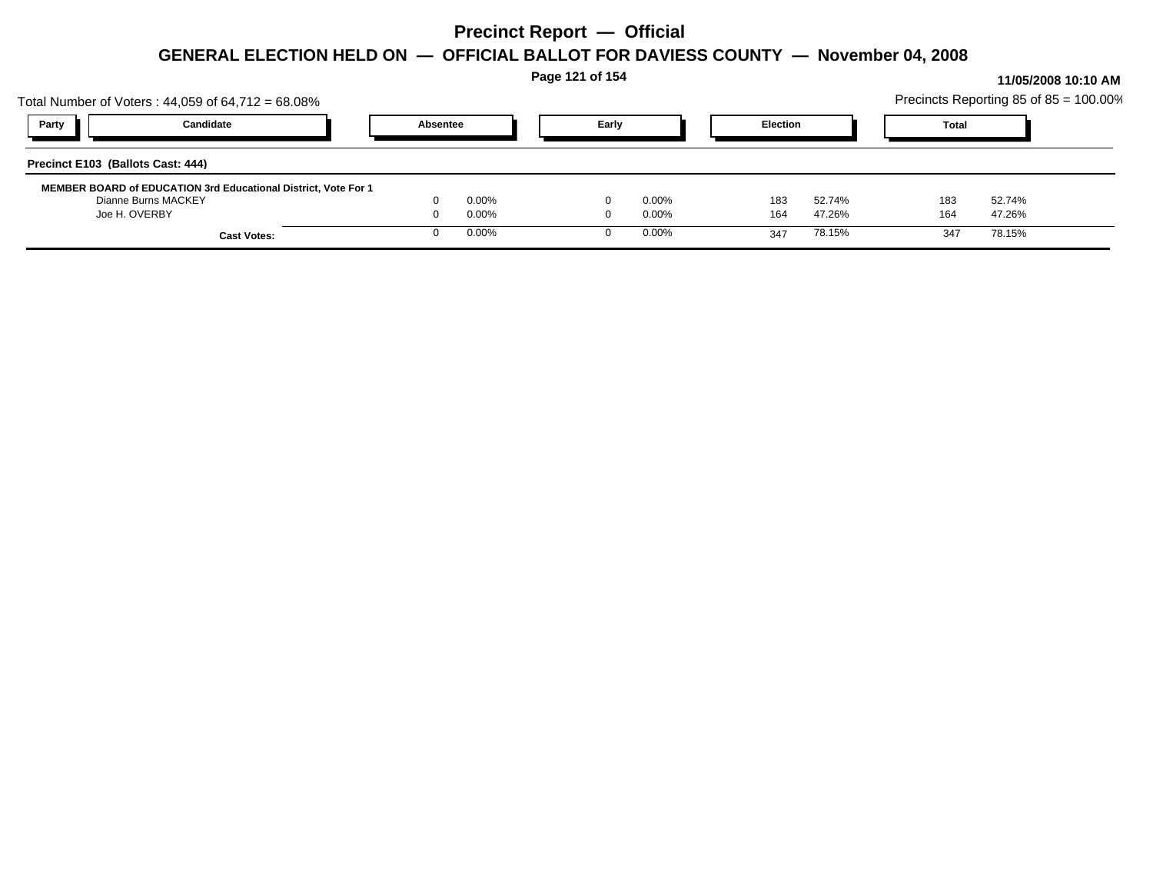| Total Number of Voters: $44,059$ of $64,712 = 68.08\%$                                                        |                    |  |                | Page 121 of 154 |                      |                 |                  |              |                  | 11/05/2008 10:10 AM<br>Precincts Reporting 85 of 85 = 100.00% |
|---------------------------------------------------------------------------------------------------------------|--------------------|--|----------------|-----------------|----------------------|-----------------|------------------|--------------|------------------|---------------------------------------------------------------|
| Candidate<br>Party                                                                                            |                    |  | Absentee       | Early           |                      | <b>Election</b> |                  | <b>Total</b> |                  |                                                               |
| Precinct E103 (Ballots Cast: 444)                                                                             |                    |  |                |                 |                      |                 |                  |              |                  |                                                               |
| <b>MEMBER BOARD of EDUCATION 3rd Educational District, Vote For 1</b><br>Dianne Burns MACKEY<br>Joe H. OVERBY |                    |  | 0.00%<br>0.00% |                 | $0.00\%$<br>$0.00\%$ | 183<br>164      | 52.74%<br>47.26% | 183<br>164   | 52.74%<br>47.26% |                                                               |
|                                                                                                               | <b>Cast Votes:</b> |  | 0.00%          |                 | $0.00\%$             | 347             | 78.15%           | 347          | 78.15%           |                                                               |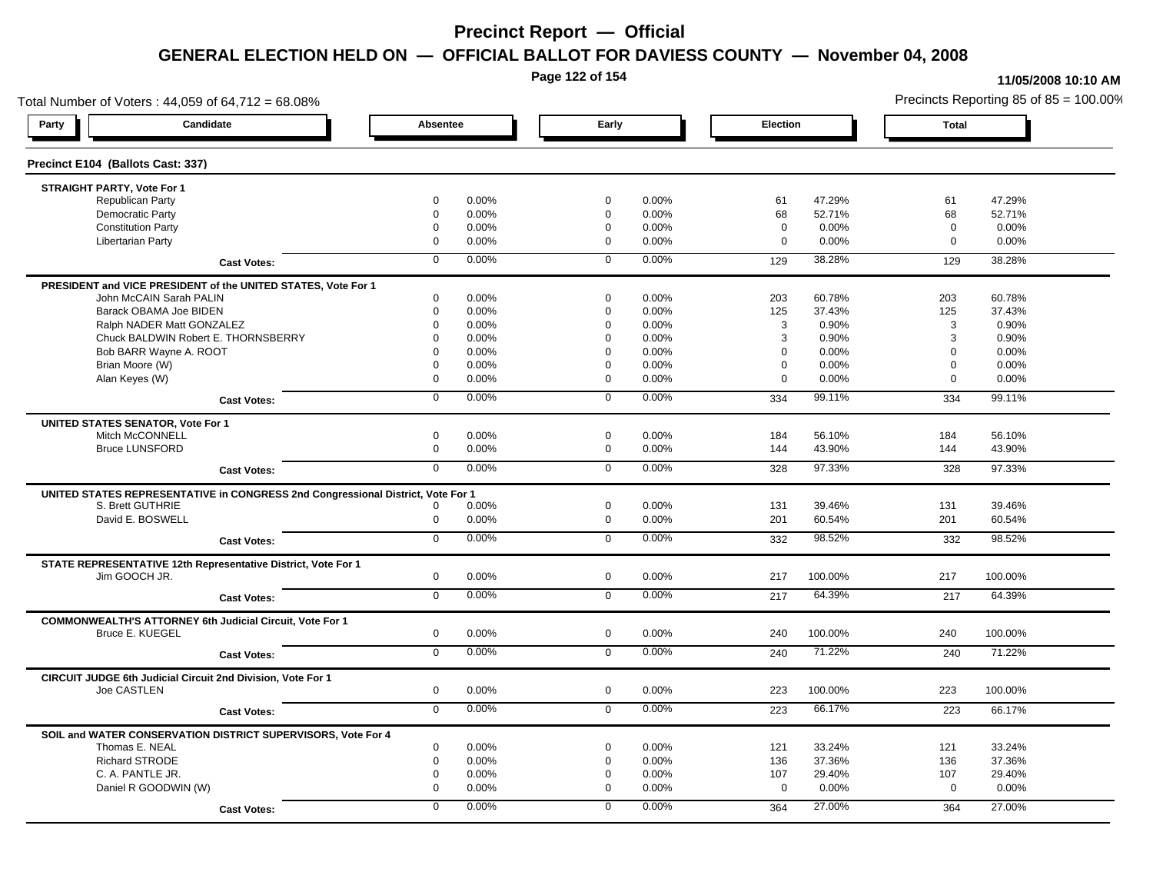**Page 122 of 154**

### **11/05/2008 10:10 AM**

Total Number of Voters : 44,059 of 64,712 = 68.08% Precincts Reporting 85 of 85 = 100.00% **Party Candidate Absentee Early Election Total Precinct E104 (Ballots Cast: 337) STRAIGHT PARTY, Vote For 1** Republican Party 0 0.00% 0 0.00% 61 47.29% 61 47.29% Democratic Party 0 0.00% 0 0.00% 68 52.71% 68 52.71% Constitution Party 0 0.00% 0 0.00% 0 0.00% 0 0.00% Libertarian Party 0 0.00% 0 0.00% 0 0.00% 0 0.00% **Cast Votes:** 0 0.00% 0 0.00% 129 38.28% 129 38.28% **PRESIDENT and VICE PRESIDENT of the UNITED STATES, Vote For 1** John McCAIN Sarah PALIN John McCAIN Sarah PALIN 0 0.00% 0 0.00% 203 60.78% 203 60.78% Barack OBAMA Joe BIDEN 0 0.00% 0 0.00% 125 37.43% 125 37.43% Ralph NADER Matt GONZALEZ  $\begin{array}{cccc} 0 & 0.00\% & 0 & 0.00\% \end{array}$  0 0.00% 3 0.90% 3 0.90% Chuck BALDWIN Robert E. THORNSBERRY 0 0.00% 0 0.00% 3 0.90% 3 0.90%  $Bob$  BARR Wayne A. ROOT  $0.00\%$   $0.00\%$   $0.00\%$   $0.00\%$   $0.00\%$   $0.00\%$   $0.00\%$   $0.00\%$ Brian Moore (W) 0 0.00% 0 0.00% 0 0.00% 0 0.00% Alan Keyes (W) 0 0.00% 0 0.00% 0 0.00% 0 0.00% **Cast Votes:** 0 0.00% 0 0.00% 334 99.11% 334 99.11% **UNITED STATES SENATOR, Vote For 1** Mitch McCONNELL 0 0.00% 0 0.00% 184 56.10% 184 56.10% Bruce LUNSFORD 0 0.00% 0 0.00% 144 43.90% 144 43.90% **Cast Votes:** 0 0.00% 0 0.00% 328 97.33% 328 97.33% **UNITED STATES REPRESENTATIVE in CONGRESS 2nd Congressional District, Vote For 1** S. Brett GUTHRIE 0 0.00% 0 0.00% 131 39.46% 131 39.46% David E. BOSWELL 0 0.00% 0 0.00% 201 60.54% 201 60.54% **Cast Votes:** 0 0.00% 0 0.00% 332 98.52% 332 98.52% **STATE REPRESENTATIVE 12th Representative District, Vote For 1** Jim GOOCH JR. 0 0.00% 0 0.00% 217 100.00% 217 100.00% **Cast Votes:** 0 0.00% 0 0.00% 217 64.39% 217 64.39% **COMMONWEALTH'S ATTORNEY 6th Judicial Circuit, Vote For 1** Bruce E. KUEGEL 0 0.00% 0 0.00% 240 100.00% 240 100.00% **Cast Votes:** 0 0.00% 0 0.00% 240 71.22% 240 71.22% **CIRCUIT JUDGE 6th Judicial Circuit 2nd Division, Vote For 1** Joe CASTLEN 0 0.00% 0 0.00% 223 100.00% 223 100.00% **Cast Votes:** 0 0.00% 0 0.00% 223 66.17% 223 66.17% **SOIL and WATER CONSERVATION DISTRICT SUPERVISORS, Vote For 4** Thomas E. NEAL 0 0.00% 0 0.00% 121 33.24% 121 33.24% Richard STRODE 0 0.00% 0 0.00% 136 37.36% 136 37.36% C. A. PANTLE JR. 0 0.00% 0 0.00% 107 29.40% 107 29.40% Daniel R GOODWIN (W) 0 0.00% 0 0.00% 0 0.00% 0 0.00% **Cast Votes:** 0 0.00% 0 0.00% 364 27.00% 364 27.00%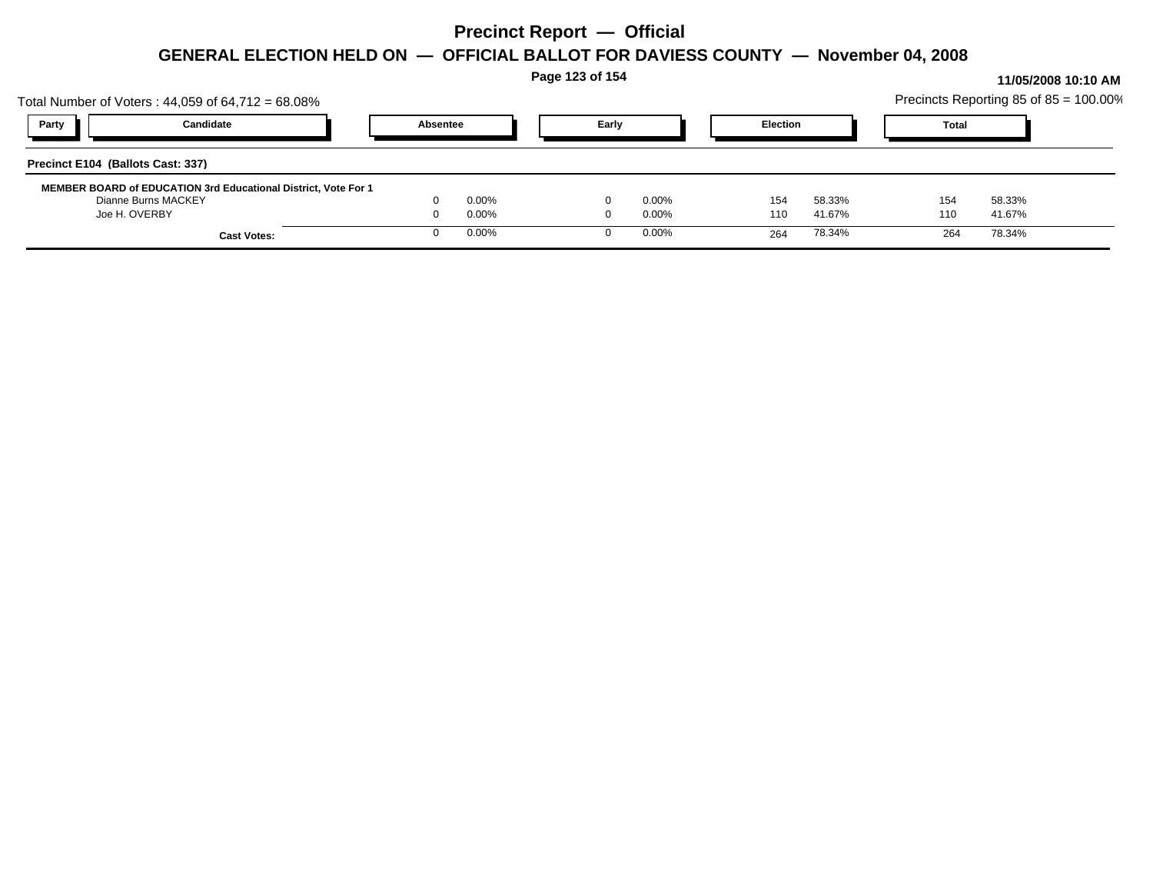| Total Number of Voters: $44,059$ of $64,712 = 68.08\%$                                                 |                    |          |                | Page 123 of 154 |                      |                 |                  |            |              |                  | 11/05/2008 10:10 AM<br>Precincts Reporting 85 of 85 = 100.00% |
|--------------------------------------------------------------------------------------------------------|--------------------|----------|----------------|-----------------|----------------------|-----------------|------------------|------------|--------------|------------------|---------------------------------------------------------------|
| Party<br>Candidate                                                                                     |                    | Absentee |                | Early           |                      | <b>Election</b> |                  |            | <b>Total</b> |                  |                                                               |
| Precinct E104 (Ballots Cast: 337)                                                                      |                    |          |                |                 |                      |                 |                  |            |              |                  |                                                               |
| MEMBER BOARD of EDUCATION 3rd Educational District, Vote For 1<br>Dianne Burns MACKEY<br>Joe H. OVERBY |                    |          | 0.00%<br>0.00% |                 | $0.00\%$<br>$0.00\%$ | 154<br>110      | 58.33%<br>41.67% | 154<br>110 |              | 58.33%<br>41.67% |                                                               |
|                                                                                                        | <b>Cast Votes:</b> |          | 0.00%          |                 | $0.00\%$             | 264             | 78.34%           |            | 264          | 78.34%           |                                                               |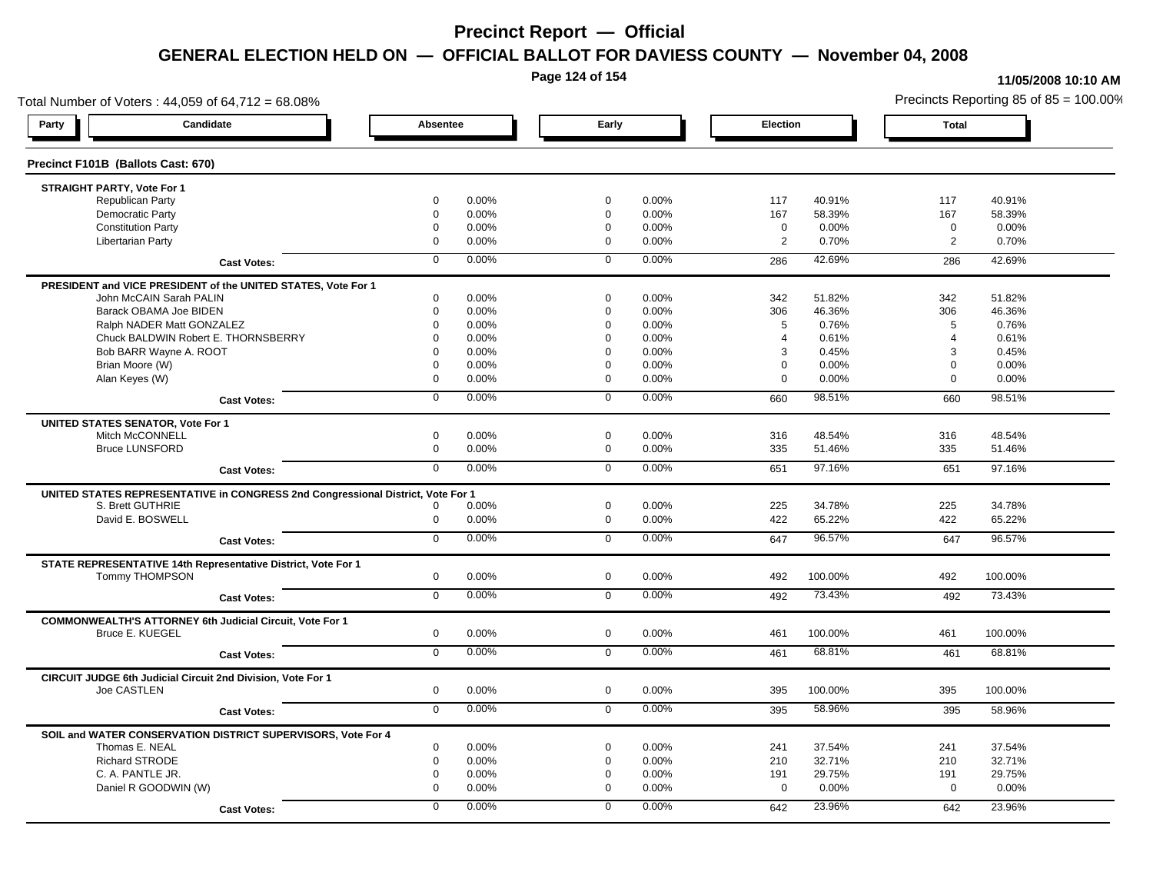**Page 124 of 154**

#### **11/05/2008 10:10 AM**

Total Number of Voters : 44,059 of 64,712 = 68.08% Precincts Reporting 85 of 85 = 100.00% **Party Candidate Absentee Early Election Total Precinct F101B (Ballots Cast: 670) STRAIGHT PARTY, Vote For 1** Republican Party 0 0.00% 0 0.00% 117 40.91% 117 40.91% Democratic Party 0 0.00% 0 0.00% 167 58.39% 167 58.39% Constitution Party 0 0.00% 0 0.00% 0 0.00% 0 0.00% Libertarian Party 0 0.00% 0 0.00% 2 0.70% 2 0.70% **Cast Votes:** 0 0.00% 0 0.00% 286 42.69% 286 42.69% **PRESIDENT and VICE PRESIDENT of the UNITED STATES, Vote For 1** John McCAIN Sarah PALIN John McCAIN Sarah PALIN 0 0.00% 0 0.00% 342 51.82% 342 51.82% Barack OBAMA Joe BIDEN 0 0.00% 0 0.00% 306 46.36% 306 46.36% Ralph NADER Matt GONZALEZ  $0$  0.00% 0 0.00% 5 0.76% 5 0.76% 5 0.76% Chuck BALDWIN Robert E. THORNSBERRY 0 0.00% 0 0.00% 4 0.61% 4 0.61% Bob BARR Wayne A. ROOT **8 20.45%** 0 0.00% 0 0.00% 0 0.00% 0 0.00% 3 0.45% 3 0.45% 3 0.45% Brian Moore (W) 0 0.00% 0 0.00% 0 0.00% 0 0.00% Alan Keyes (W) 0 0.00% 0 0.00% 0 0.00% 0 0.00% **Cast Votes:** 0 0.00% 0 0.00% 660 98.51% 660 98.51% **UNITED STATES SENATOR, Vote For 1** Mitch McCONNELL 0 0.00% 0 0.00% 316 48.54% 316 48.54% Bruce LUNSFORD 0 0.00% 0 0.00% 335 51.46% 335 51.46% **Cast Votes:** 0 0.00% 0 0.00% 651 97.16% 651 97.16% **UNITED STATES REPRESENTATIVE in CONGRESS 2nd Congressional District, Vote For 1** S. Brett GUTHRIE 0 0.00% 0 0.00% 225 34.78% 225 34.78% David E. BOSWELL 0 0.00% 0 0.00% 422 65.22% 422 65.22% **Cast Votes:** 0 0.00% 0 0.00% 647 96.57% 647 96.57% **STATE REPRESENTATIVE 14th Representative District, Vote For 1** Tommy THOMPSON 0 0.00% 0 0.00% 492 100.00% 492 100.00% **Cast Votes:** 0 0.00% 0 0.00% 492 73.43% 492 73.43% **COMMONWEALTH'S ATTORNEY 6th Judicial Circuit, Vote For 1** Bruce E. KUEGEL 0 0.00% 0 0.00% 461 100.00% 461 100.00% **Cast Votes:** 0 0.00% 0 0.00% 461 68.81% 461 68.81% **CIRCUIT JUDGE 6th Judicial Circuit 2nd Division, Vote For 1** Joe CASTLEN 0 0.00% 0 0.00% 395 100.00% 395 100.00% **Cast Votes:** 0 0.00% 0 0.00% 395 58.96% 395 58.96% **SOIL and WATER CONSERVATION DISTRICT SUPERVISORS, Vote For 4** Thomas E. NEAL 0 0.00% 0 0.00% 241 37.54% 241 37.54% Richard STRODE 0 0.00% 0 0.00% 210 32.71% 210 32.71% C. A. PANTLE JR. 0 0.00% 0 0.00% 191 29.75% 191 29.75% Daniel R GOODWIN (W) 0 0.00% 0 0.00% 0 0.00% 0 0.00% **Cast Votes:** 0 0.00% 0 0.00% 642 23.96% 642 23.96%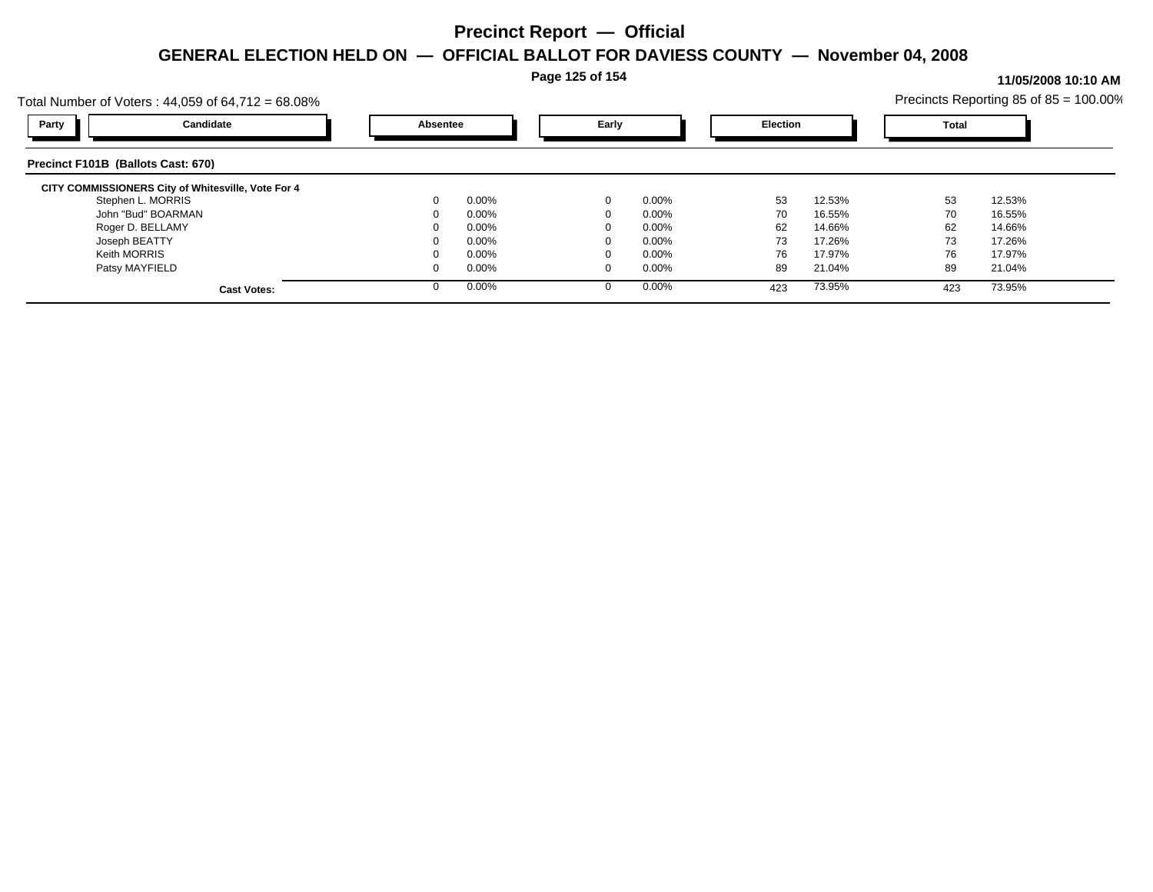**Page 125 of 154**

#### **11/05/2008 10:10 AM**

| Total Number of Voters : 44,059 of 64,712 = 68.08% |          |          |       |          |          |        |       | Precincts Reporting 85 of 85 = 100.00% |
|----------------------------------------------------|----------|----------|-------|----------|----------|--------|-------|----------------------------------------|
| Party<br>Candidate                                 | Absentee |          | Early |          | Election |        | Total |                                        |
| Precinct F101B (Ballots Cast: 670)                 |          |          |       |          |          |        |       |                                        |
| CITY COMMISSIONERS City of Whitesville, Vote For 4 |          |          |       |          |          |        |       |                                        |
| Stephen L. MORRIS                                  | $\Omega$ | $0.00\%$ |       | $0.00\%$ | 53       | 12.53% | 53    | 12.53%                                 |
| John "Bud" BOARMAN                                 |          | $0.00\%$ |       | $0.00\%$ | 70       | 16.55% | 70    | 16.55%                                 |
| Roger D. BELLAMY                                   |          | $0.00\%$ |       | $0.00\%$ | 62       | 14.66% | 62    | 14.66%                                 |
| Joseph BEATTY                                      |          | $0.00\%$ |       | $0.00\%$ | 73       | 17.26% | 73    | 17.26%                                 |
| <b>Keith MORRIS</b>                                |          | $0.00\%$ |       | $0.00\%$ | 76       | 17.97% | 76    | 17.97%                                 |
| Patsy MAYFIELD                                     | $\Omega$ | $0.00\%$ | 0     | $0.00\%$ | 89       | 21.04% | 89    | 21.04%                                 |
| <b>Cast Votes:</b>                                 | $\Omega$ | 0.00%    |       | $0.00\%$ | 423      | 73.95% | 423   | 73.95%                                 |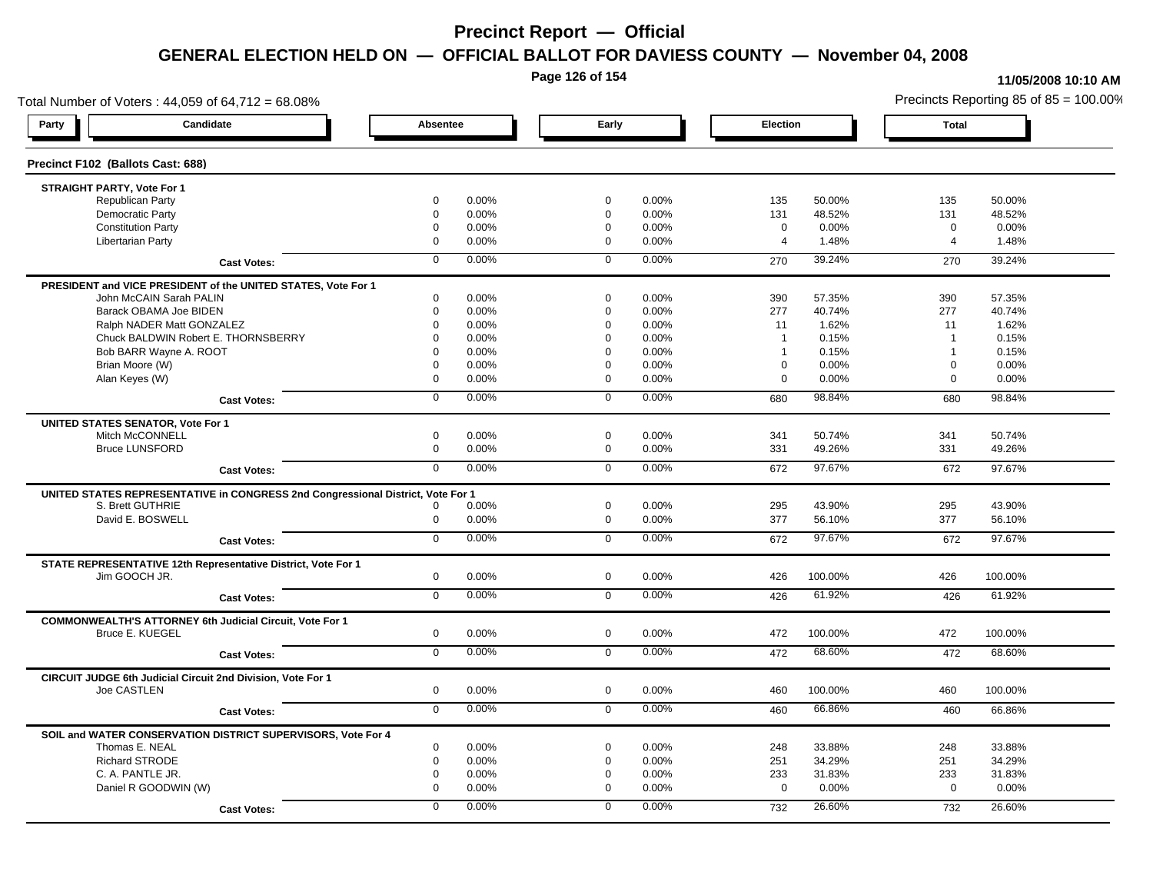**Page 126 of 154**

#### **11/05/2008 10:10 AM**

Total Number of Voters : 44,059 of 64,712 = 68.08% Precincts Reporting 85 of 85 = 100.00% **Party Candidate Absentee Early Election Total Precinct F102 (Ballots Cast: 688) STRAIGHT PARTY, Vote For 1** Republican Party 0 0.00% 0 0.00% 135 50.00% 135 50.00% Democratic Party 0 0.00% 0 0.00% 131 48.52% 131 48.52% Constitution Party 0 0.00% 0 0.00% 0 0.00% 0 0.00% Libertarian Party 0 0.00% 0 0.00% 4 1.48% 4 1.48% **Cast Votes:** 0 0.00% 0 0.00% 270 39.24% 270 39.24% **PRESIDENT and VICE PRESIDENT of the UNITED STATES, Vote For 1** John McCAIN Sarah PALIN John McCAIN Sarah PALIN 0 0.00% 0 0.00% 390 57.35% 390 57.35% Barack OBAMA Joe BIDEN 0 0.00% 0 0.00% 277 40.74% 277 40.74% Ralph NADER Matt GONZALEZ  $\begin{array}{cccc} 0 & 0.00\% & 0 & 0.00\% \end{array}$  0 0.00% 11 1.62% 11 1.62% Chuck BALDWIN Robert E. THORNSBERRY 0 0.00% 0 0.00% 1 0.15% 1 0.15% Bob BARR Wayne A. ROOT **1** 0.15% **0 0.00%** 1 0.00% 0 0.00% 1 0.15% 1 0.15% 1 0.15% Brian Moore (W) 0 0.00% 0 0.00% 0 0.00% 0 0.00% Alan Keyes (W) 0 0.00% 0 0.00% 0 0.00% 0 0.00% **Cast Votes:** 0 0.00% 0 0.00% 680 98.84% 680 98.84% **UNITED STATES SENATOR, Vote For 1** Mitch McCONNELL 0 0.00% 0 0.00% 341 50.74% 341 50.74% Bruce LUNSFORD 0 0.00% 0 0.00% 331 49.26% 331 49.26% **Cast Votes:** 0 0.00% 0 0.00% 672 97.67% 672 97.67% **UNITED STATES REPRESENTATIVE in CONGRESS 2nd Congressional District, Vote For 1** S. Brett GUTHRIE 0 0.00% 0 0.00% 295 43.90% 295 43.90% David E. BOSWELL 0 0.00% 0 0.00% 377 56.10% 377 56.10% **Cast Votes:** 0 0.00% 0 0.00% 672 97.67% 672 97.67% **STATE REPRESENTATIVE 12th Representative District, Vote For 1** Jim GOOCH JR. 0 0.00% 0 0.00% 426 100.00% 426 100.00% **Cast Votes:** 0 0.00% 0 0.00% 426 61.92% 426 61.92% **COMMONWEALTH'S ATTORNEY 6th Judicial Circuit, Vote For 1** Bruce E. KUEGEL 0 0.00% 0 0.00% 472 100.00% 472 100.00% **Cast Votes:** 0 0.00% 0 0.00% 472 68.60% 472 68.60% **CIRCUIT JUDGE 6th Judicial Circuit 2nd Division, Vote For 1** Joe CASTLEN 0 0.00% 0 0.00% 460 100.00% 460 100.00% **Cast Votes:** 0 0.00% 0 0.00% 460 66.86% 460 66.86% **SOIL and WATER CONSERVATION DISTRICT SUPERVISORS, Vote For 4** Thomas E. NEAL 0 0.00% 0 0.00% 248 33.88% 248 33.88% Richard STRODE 0 0.00% 0 0.00% 251 34.29% 251 34.29% C. A. PANTLE JR. 0 0.00% 0 0.00% 233 31.83% 233 31.83% Daniel R GOODWIN (W) 0 0.00% 0 0.00% 0 0.00% 0 0.00% **Cast Votes:** 0 0.00% 0 0.00% 732 26.60% 732 26.60%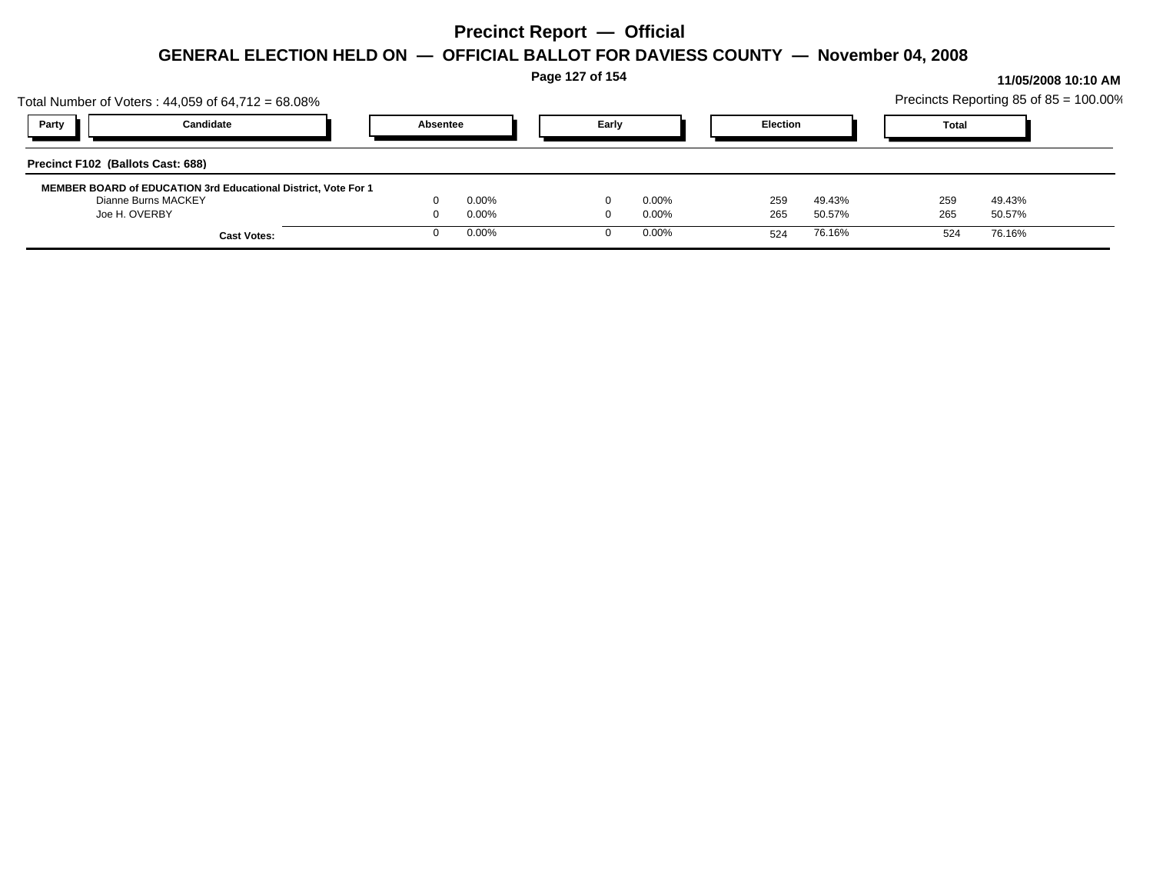| Total Number of Voters: $44,059$ of $64,712 = 68.08\%$                                       |                | Page 127 of 154 |                      |                 |                  | Precincts Reporting 85 of 85 = 100.00% |                  | 11/05/2008 10:10 AM |
|----------------------------------------------------------------------------------------------|----------------|-----------------|----------------------|-----------------|------------------|----------------------------------------|------------------|---------------------|
| Candidate<br>Party                                                                           | Absentee       | Early           |                      | <b>Election</b> |                  | <b>Total</b>                           |                  |                     |
| Precinct F102 (Ballots Cast: 688)                                                            |                |                 |                      |                 |                  |                                        |                  |                     |
| <b>MEMBER BOARD of EDUCATION 3rd Educational District, Vote For 1</b><br>Dianne Burns MACKEY | 0.00%          |                 | $0.00\%$             | 259             | 49.43%           | 259                                    | 49.43%           |                     |
| Joe H. OVERBY<br><b>Cast Votes:</b>                                                          | 0.00%<br>0.00% |                 | $0.00\%$<br>$0.00\%$ | 265<br>524      | 50.57%<br>76.16% | 265<br>524                             | 50.57%<br>76.16% |                     |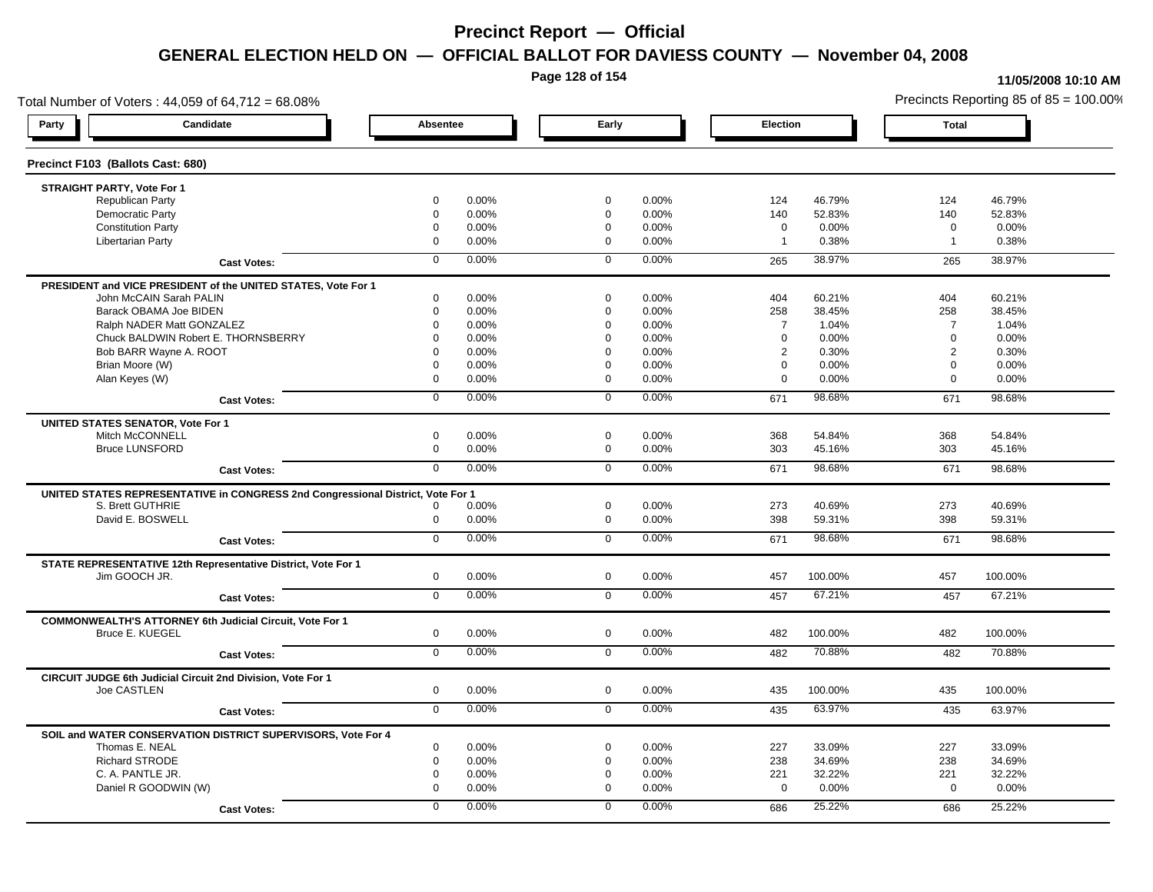**Page 128 of 154**

#### **11/05/2008 10:10 AM**

Total Number of Voters : 44,059 of 64,712 = 68.08% Precincts Reporting 85 of 85 = 100.00% **Party Candidate Absentee Early Election Total Precinct F103 (Ballots Cast: 680) STRAIGHT PARTY, Vote For 1** Republican Party 0 0.00% 0 0.00% 124 46.79% 124 46.79% Democratic Party 0 0.00% 0 0.00% 140 52.83% 140 52.83% Constitution Party 0 0.00% 0 0.00% 0 0.00% 0 0.00% Libertarian Party 0 0.00% 0 0.00% 1 0.38% 1 0.38% **Cast Votes:** 0 0.00% 0 0.00% 265 38.97% 265 38.97% **PRESIDENT and VICE PRESIDENT of the UNITED STATES, Vote For 1** John McCAIN Sarah PALIN John McCAIN Sarah PALIN 0 0.00% 0 0.00% 404 60.21% 404 60.21% Barack OBAMA Joe BIDEN 0 0.00% 0 0.00% 258 38.45% 258 38.45% Ralph NADER Matt GONZALEZ  $0$  0.00% 0 0.00% 7 1.04% 7 1.04% 7 1.04% Chuck BALDWIN Robert E. THORNSBERRY 0 0.00% 0 0.00% 0 0.00% 0 0.00% Bob BARR Wayne A. ROOT **2** 0.30% 0 0.00% 0 0.000% 0 0.00% 0 0.00% 2 0.30% 2 0.30% 2 0.30% Brian Moore (W) 0 0.00% 0 0.00% 0 0.00% 0 0.00% Alan Keyes (W) 0 0.00% 0 0.00% 0 0.00% 0 0.00% **Cast Votes:** 0 0.00% 0 0.00% 671 98.68% 671 98.68% **UNITED STATES SENATOR, Vote For 1** Mitch McCONNELL 0 0.00% 0 0.00% 368 54.84% 368 54.84% Bruce LUNSFORD 0 0.00% 0 0.00% 303 45.16% 303 45.16% **Cast Votes:** 0 0.00% 0 0.00% 671 98.68% 671 98.68% **UNITED STATES REPRESENTATIVE in CONGRESS 2nd Congressional District, Vote For 1** S. Brett GUTHRIE 0 0.00% 0 0.00% 273 40.69% 273 40.69% David E. BOSWELL 0 0.00% 0 0.00% 398 59.31% 398 59.31% **Cast Votes:** 0 0.00% 0 0.00% 671 98.68% 671 98.68% **STATE REPRESENTATIVE 12th Representative District, Vote For 1** Jim GOOCH JR. 0 0.00% 0 0.00% 457 100.00% 457 100.00% **Cast Votes:** 0 0.00% 0 0.00% 457 67.21% 457 67.21% **COMMONWEALTH'S ATTORNEY 6th Judicial Circuit, Vote For 1** Bruce E. KUEGEL 0 0.00% 0 0.00% 482 100.00% 482 100.00% **Cast Votes:** 0 0.00% 0 0.00% 482 70.88% 482 70.88% **CIRCUIT JUDGE 6th Judicial Circuit 2nd Division, Vote For 1** Joe CASTLEN 0 0.00% 0 0.00% 435 100.00% 435 100.00% **Cast Votes:** 0 0.00% 0 0.00% 435 63.97% 435 63.97% **SOIL and WATER CONSERVATION DISTRICT SUPERVISORS, Vote For 4** Thomas E. NEAL 0 0.00% 0 0.00% 227 33.09% 227 33.09% Richard STRODE 0 0.00% 0 0.00% 238 34.69% 238 34.69% C. A. PANTLE JR. 0 0.00% 0 0.00% 221 32.22% 221 32.22% Daniel R GOODWIN (W) 0 0.00% 0 0.00% 0 0.00% 0 0.00% **Cast Votes:** 0 0.00% 0 0.00% 686 25.22% 686 25.22%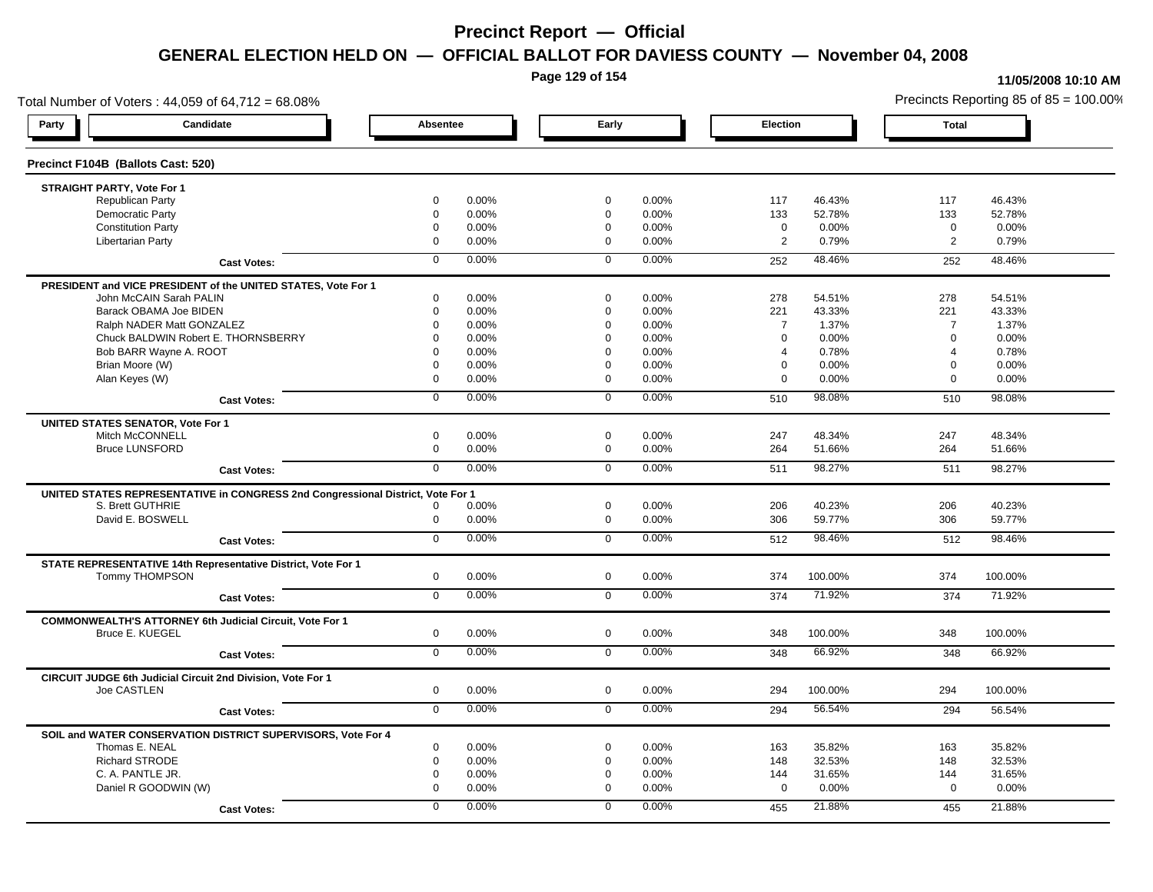**Page 129 of 154**

### **11/05/2008 10:10 AM**

Total Number of Voters : 44,059 of 64,712 = 68.08% Precincts Reporting 85 of 85 = 100.00% **Party Candidate Absentee Early Election Total Precinct F104B (Ballots Cast: 520) STRAIGHT PARTY, Vote For 1** Republican Party 0 0.00% 0 0.00% 117 46.43% 117 46.43% Democratic Party 0 0.00% 0 0.00% 133 52.78% 133 52.78% Constitution Party 0 0.00% 0 0.00% 0 0.00% 0 0.00% Libertarian Party 0 0.00% 0 0.00% 2 0.79% 2 0.79% **Cast Votes:** 0 0.00% 0 0.00% 252 48.46% 252 48.46% **PRESIDENT and VICE PRESIDENT of the UNITED STATES, Vote For 1** John McCAIN Sarah PALIN John McCAIN Sarah PALIN 0 0.00% 0 0.00% 278 54.51% 278 54.51% Barack OBAMA Joe BIDEN 0 0.00% 0 0.00% 221 43.33% 221 43.33% Ralph NADER Matt GONZALEZ  $0$  0.00% 0 0.00% 7 1.37% 7 1.37% 7 1.37% Chuck BALDWIN Robert E. THORNSBERRY 0 0.00% 0 0.00% 0 0.00% 0 0.00% Bob BARR Wayne A. ROOT **8 10.000 1.000 1.000 1.000 1.000 1.000** 1.000 1.000 1.000 1.000 1.000 1.000 1.000 1.000 1<br>a contract de la participation de la participation de la participation de la participation de la participati Brian Moore (W) 0 0.00% 0 0.00% 0 0.00% 0 0.00% Alan Keyes (W) 0 0.00% 0 0.00% 0 0.00% 0 0.00% **Cast Votes:** 0 0.00% 0 0.00% 510 98.08% 510 98.08% **UNITED STATES SENATOR, Vote For 1** Mitch McCONNELL 0 0.00% 0 0.00% 247 48.34% 247 48.34% Bruce LUNSFORD 0 0.00% 0 0.00% 264 51.66% 264 51.66% **Cast Votes:** 0 0.00% 0 0.00% 511 98.27% 511 98.27% **UNITED STATES REPRESENTATIVE in CONGRESS 2nd Congressional District, Vote For 1** S. Brett GUTHRIE 0 0.00% 0 0.00% 206 40.23% 206 40.23% David E. BOSWELL 0 0.00% 0 0.00% 306 59.77% 306 59.77% **Cast Votes:** 0 0.00% 0 0.00% 512 98.46% 512 98.46% **STATE REPRESENTATIVE 14th Representative District, Vote For 1** Tommy THOMPSON 0 0.00% 0 0.00% 374 100.00% 374 100.00% **Cast Votes:** 0 0.00% 0 0.00% 374 71.92% 374 71.92% **COMMONWEALTH'S ATTORNEY 6th Judicial Circuit, Vote For 1** Bruce E. KUEGEL 0 0.00% 0 0.00% 348 100.00% 348 100.00% **Cast Votes:** 0 0.00% 0 0.00% 348 66.92% 348 66.92% **CIRCUIT JUDGE 6th Judicial Circuit 2nd Division, Vote For 1** Joe CASTLEN 0 0.00% 0 0.00% 294 100.00% 294 100.00% **Cast Votes:** 0 0.00% 0 0.00% 294 56.54% 294 56.54% **SOIL and WATER CONSERVATION DISTRICT SUPERVISORS, Vote For 4** Thomas E. NEAL 0 0.00% 0 0.00% 163 35.82% 163 35.82% Richard STRODE 0 0.00% 0 0.00% 148 32.53% 148 32.53% C. A. PANTLE JR. 0 0.00% 0 0.00% 144 31.65% 144 31.65% Daniel R GOODWIN (W) 0 0.00% 0 0.00% 0 0.00% 0 0.00% **Cast Votes:** 0 0.00% 0 0.00% 455 21.88% 455 21.88%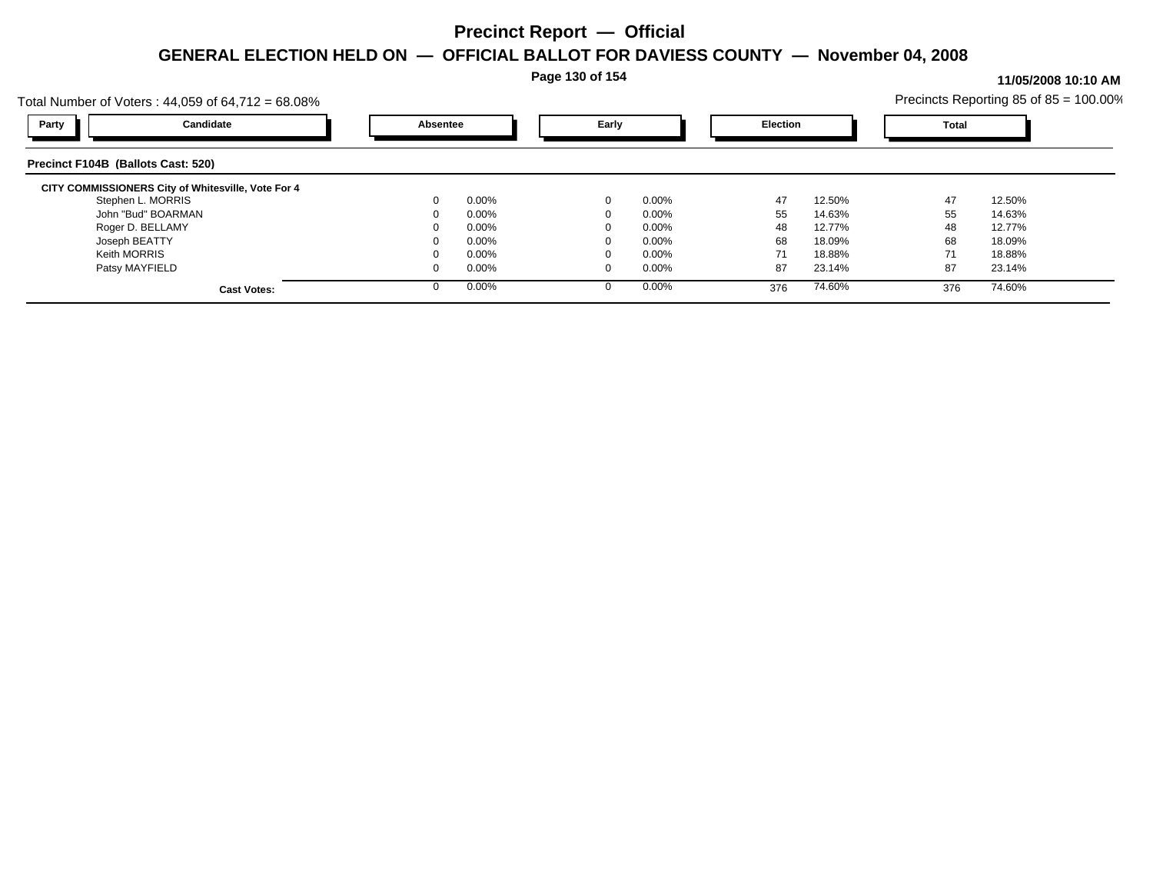**Page 130 of 154**

#### **11/05/2008 10:10 AM**

| Total Number of Voters : 44,059 of 64,712 = 68.08% |                      |               |                 | Precincts Reporting 85 of $85 = 100.00\%$ |
|----------------------------------------------------|----------------------|---------------|-----------------|-------------------------------------------|
| Candidate<br>Party                                 | Absentee             | Early         | <b>Election</b> | <b>Total</b>                              |
| Precinct F104B (Ballots Cast: 520)                 |                      |               |                 |                                           |
| CITY COMMISSIONERS City of Whitesville, Vote For 4 |                      |               |                 |                                           |
| Stephen L. MORRIS                                  | $0.00\%$<br>$\Omega$ | $0.00\%$<br>0 | 47<br>12.50%    | 47<br>12.50%                              |
| John "Bud" BOARMAN                                 | $0.00\%$             | $0.00\%$      | 55<br>14.63%    | 55<br>14.63%                              |
| Roger D. BELLAMY                                   | $0.00\%$             | $0.00\%$      | 48<br>12.77%    | 48<br>12.77%                              |
| Joseph BEATTY                                      | $0.00\%$<br>$\Omega$ | $0.00\%$      | 68<br>18.09%    | 68<br>18.09%                              |
| <b>Keith MORRIS</b>                                | $0.00\%$             | $0.00\%$      | 71<br>18.88%    | 71<br>18.88%                              |
| Patsy MAYFIELD                                     | $0.00\%$<br>$\Omega$ | $0.00\%$      | 87<br>23.14%    | 87<br>23.14%                              |
| <b>Cast Votes:</b>                                 | 0.00%<br>$\Omega$    | $0.00\%$      | 74.60%<br>376   | 74.60%<br>376                             |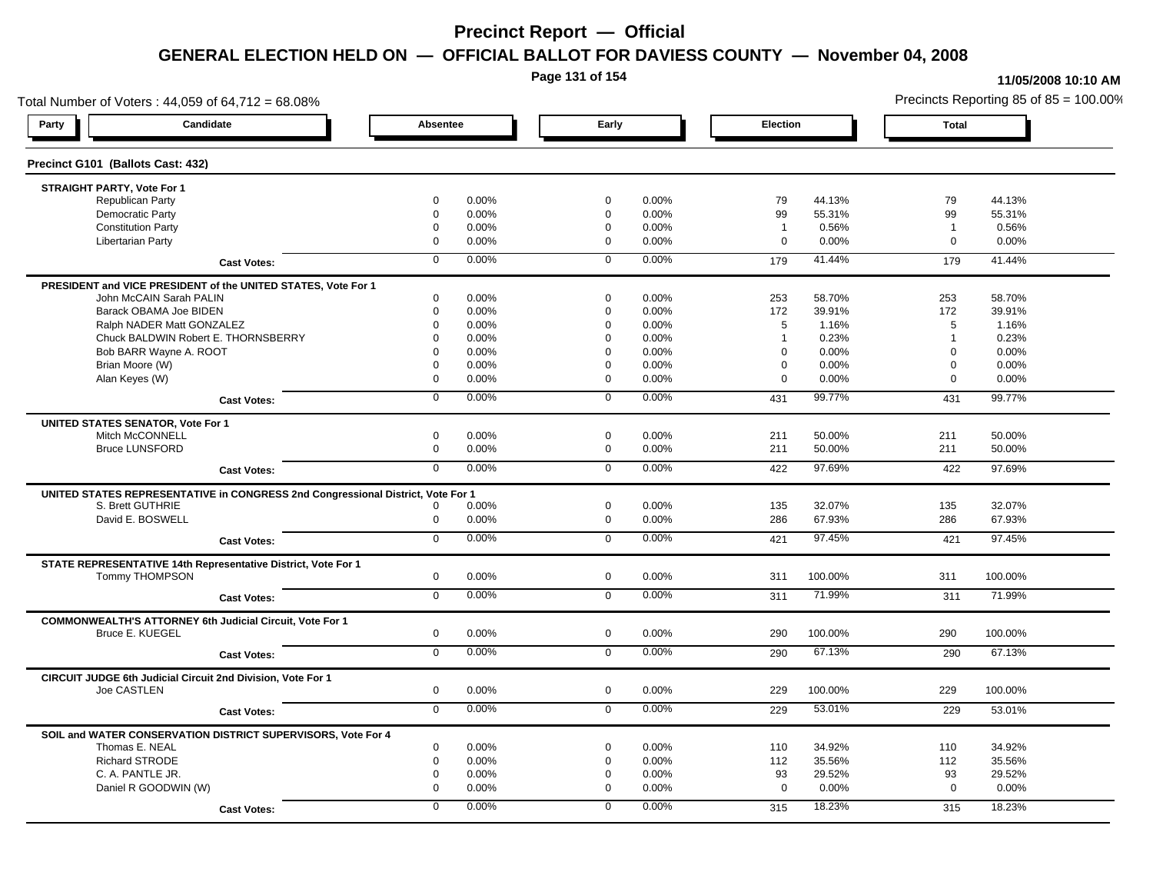**Page 131 of 154**

#### **11/05/2008 10:10 AM**

Total Number of Voters : 44,059 of 64,712 = 68.08% Precincts Reporting 85 of 85 = 100.00% **Party Candidate Absentee Early Election Total Precinct G101 (Ballots Cast: 432) STRAIGHT PARTY, Vote For 1** Republican Party 0 0.00% 0 0.00% 79 44.13% 79 44.13% Democratic Party 0 0.00% 0 0.00% 99 55.31% 99 55.31% Constitution Party 0 0.00% 0 0.00% 1 0.56% 1 0.56% Libertarian Party 0 0.00% 0 0.00% 0 0.00% 0 0.00% **Cast Votes:** 0 0.00% 0 0.00% 179 41.44% 179 41.44% **PRESIDENT and VICE PRESIDENT of the UNITED STATES, Vote For 1** John McCAIN Sarah PALIN John McCAIN Sarah PALIN 0 0.00% 0 0.00% 253 58.70% 253 58.70% Barack OBAMA Joe BIDEN 0 0.00% 0 0.00% 172 39.91% 172 39.91% Ralph NADER Matt GONZALEZ  $\begin{array}{cccc} 6 & 0.00\% & 0.00\% & 0.00\% & 5 & 1.16\% \end{array}$  5 1.16% 5 1.16% Chuck BALDWIN Robert E. THORNSBERRY 0 0.00% 0 0.00% 1 0.23% 1 0.23%  $B$ ob BARR Wayne A. ROOT  $0.00\%$   $0.00\%$   $0.00\%$   $0.00\%$   $0.00\%$   $0.00\%$   $0.00\%$   $0.00\%$ Brian Moore (W) 0 0.00% 0 0.00% 0 0.00% 0 0.00% Alan Keyes (W) 0 0.00% 0 0.00% 0 0.00% 0 0.00% **Cast Votes:** 0 0.00% 0 0.00% 431 99.77% 431 99.77% **UNITED STATES SENATOR, Vote For 1** Mitch McCONNELL 0 0.00% 0 0.00% 211 50.00% 211 50.00% Bruce LUNSFORD 0 0.00% 0 0.00% 211 50.00% 211 50.00% **Cast Votes:** 0 0.00% 0 0.00% 422 97.69% 422 97.69% **UNITED STATES REPRESENTATIVE in CONGRESS 2nd Congressional District, Vote For 1** S. Brett GUTHRIE 0 0.00% 0 0.00% 135 32.07% 135 32.07% David E. BOSWELL 0 0.00% 0 0.00% 286 67.93% 286 67.93% **Cast Votes:** 0 0.00% 0 0.00% 421 97.45% 421 97.45% **STATE REPRESENTATIVE 14th Representative District, Vote For 1** Tommy THOMPSON 0 0.00% 0 0.00% 311 100.00% 311 100.00% **Cast Votes:** 0 0.00% 0 0.00% 311 71.99% 311 71.99% **COMMONWEALTH'S ATTORNEY 6th Judicial Circuit, Vote For 1** Bruce E. KUEGEL 0 0.00% 0 0.00% 290 100.00% 290 100.00% **Cast Votes:** 0 0.00% 0 0.00% 290 67.13% 290 67.13% **CIRCUIT JUDGE 6th Judicial Circuit 2nd Division, Vote For 1** Joe CASTLEN 0 0.00% 0 0.00% 229 100.00% 229 100.00% **Cast Votes:** 0 0.00% 0 0.00% 229 53.01% 229 53.01% **SOIL and WATER CONSERVATION DISTRICT SUPERVISORS, Vote For 4** Thomas E. NEAL 0 0.00% 0 0.00% 110 34.92% 110 34.92% Richard STRODE 0 0.00% 0 0.00% 112 35.56% 112 35.56% C. A. PANTLE JR. 0 0.00% 0 0.00% 93 29.52% 93 29.52% Daniel R GOODWIN (W) 0 0.00% 0 0.00% 0 0.00% 0 0.00% **Cast Votes:** 0 0.00% 0 0.00% 315 18.23% 315 18.23%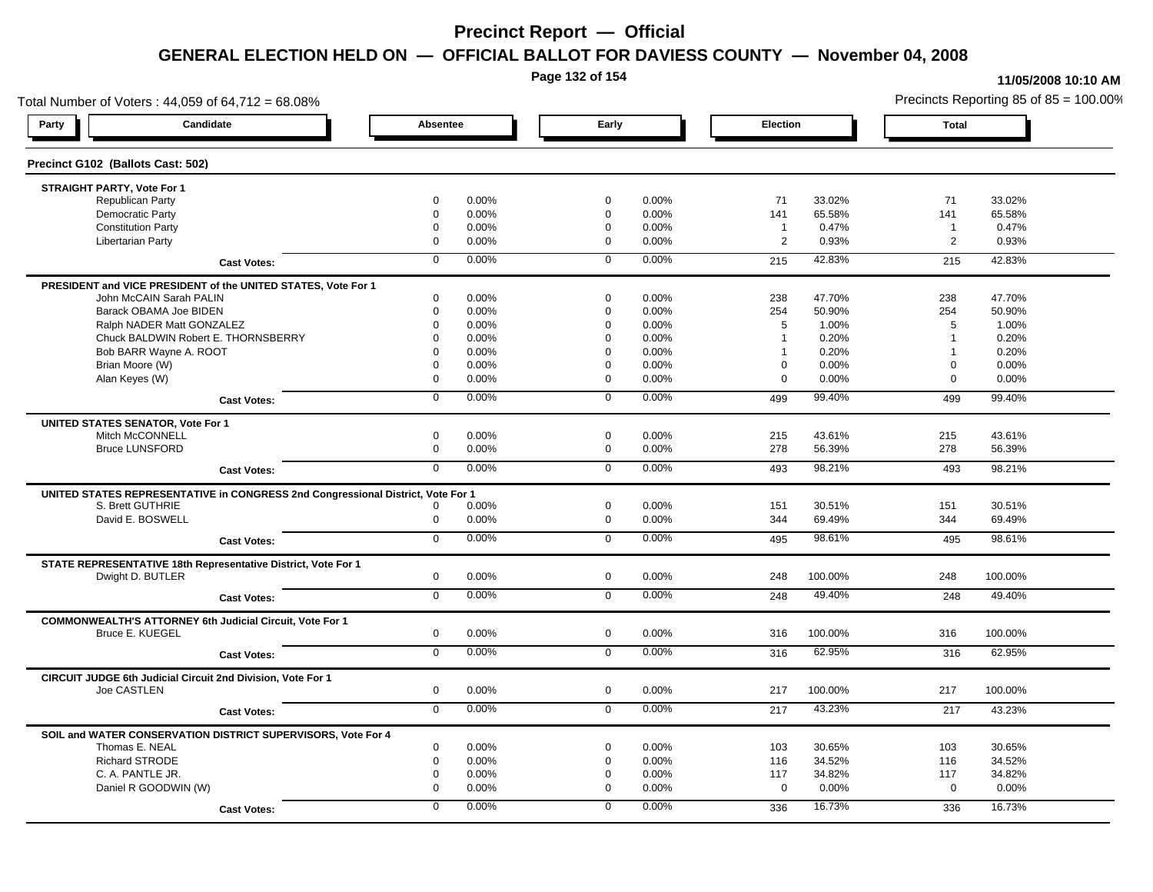**Page 132 of 154**

### **11/05/2008 10:10 AM**

Total Number of Voters : 44,059 of 64,712 = 68.08% Precincts Reporting 85 of 85 = 100.00% **Party Candidate Absentee Early Election Total Precinct G102 (Ballots Cast: 502) STRAIGHT PARTY, Vote For 1** Republican Party 0 0.00% 0 0.00% 71 33.02% 71 33.02% Democratic Party 0 0.00% 0 0.00% 141 65.58% 141 65.58% Constitution Party 0 0.00% 0 0.00% 1 0.47% 1 0.47% Libertarian Party 0 0.00% 0 0.00% 2 0.93% 2 0.93% **Cast Votes:** 0 0.00% 0 0.00% 215 42.83% 215 42.83% **PRESIDENT and VICE PRESIDENT of the UNITED STATES, Vote For 1** John McCAIN Sarah PALIN John McCAIN Sarah PALIN 0 0.00% 0 0.00% 238 47.70% 238 47.70% Barack OBAMA Joe BIDEN 0 0.00% 0 0.00% 254 50.90% 254 50.90% Ralph NADER Matt GONZALEZ  $\begin{array}{cccc} 6 & 0.00\% & 0.00\% & 0.00\% & 5 & 1.00\% \end{array}$  5 1.00% 5 1.00% Chuck BALDWIN Robert E. THORNSBERRY 0 0.00% 0 0.00% 1 0.20% 1 0.20% Bob BARR Wayne A. ROOT **1** 0.20% 0 0.00% 0 0.000% 0 0.00% 1 0.20% 1 0.20% 1 0.20% Brian Moore (W) 0 0.00% 0 0.00% 0 0.00% 0 0.00% Alan Keyes (W) 0 0.00% 0 0.00% 0 0.00% 0 0.00% **Cast Votes:** 0 0.00% 0 0.00% 499 99.40% 499 99.40% **UNITED STATES SENATOR, Vote For 1** Mitch McCONNELL 0 0.00% 0 0.00% 215 43.61% 215 43.61% Bruce LUNSFORD 0 0.00% 0 0.00% 278 56.39% 278 56.39% **Cast Votes:** 0 0.00% 0 0.00% 493 98.21% 493 98.21% **UNITED STATES REPRESENTATIVE in CONGRESS 2nd Congressional District, Vote For 1** S. Brett GUTHRIE 0 0.00% 0 0.00% 151 30.51% 151 30.51% David E. BOSWELL 0 0.00% 0 0.00% 344 69.49% 344 69.49% **Cast Votes:** 0 0.00% 0 0.00% 495 98.61% 495 98.61% **STATE REPRESENTATIVE 18th Representative District, Vote For 1** Dwight D. BUTLER 0 0.00% 0 0.00% 248 100.00% 248 100.00% **Cast Votes:** 0 0.00% 0 0.00% 248 49.40% 248 49.40% **COMMONWEALTH'S ATTORNEY 6th Judicial Circuit, Vote For 1** Bruce E. KUEGEL 0 0.00% 0 0.00% 316 100.00% 316 100.00% **Cast Votes:** 0 0.00% 0 0.00% 316 62.95% 316 62.95% **CIRCUIT JUDGE 6th Judicial Circuit 2nd Division, Vote For 1** Joe CASTLEN 0 0.00% 0 0.00% 217 100.00% 217 100.00% **Cast Votes:** 0 0.00% 0 0.00% 217 43.23% 217 43.23% **SOIL and WATER CONSERVATION DISTRICT SUPERVISORS, Vote For 4** Thomas E. NEAL 0 0.00% 0 0.00% 103 30.65% 103 30.65% Richard STRODE 0 0.00% 0 0.00% 116 34.52% 116 34.52% C. A. PANTLE JR. 0 0.00% 0 0.00% 117 34.82% 117 34.82% Daniel R GOODWIN (W) 0 0.00% 0 0.00% 0 0.00% 0 0.00% **Cast Votes:** 0 0.00% 0 0.00% 336 16.73% 336 16.73%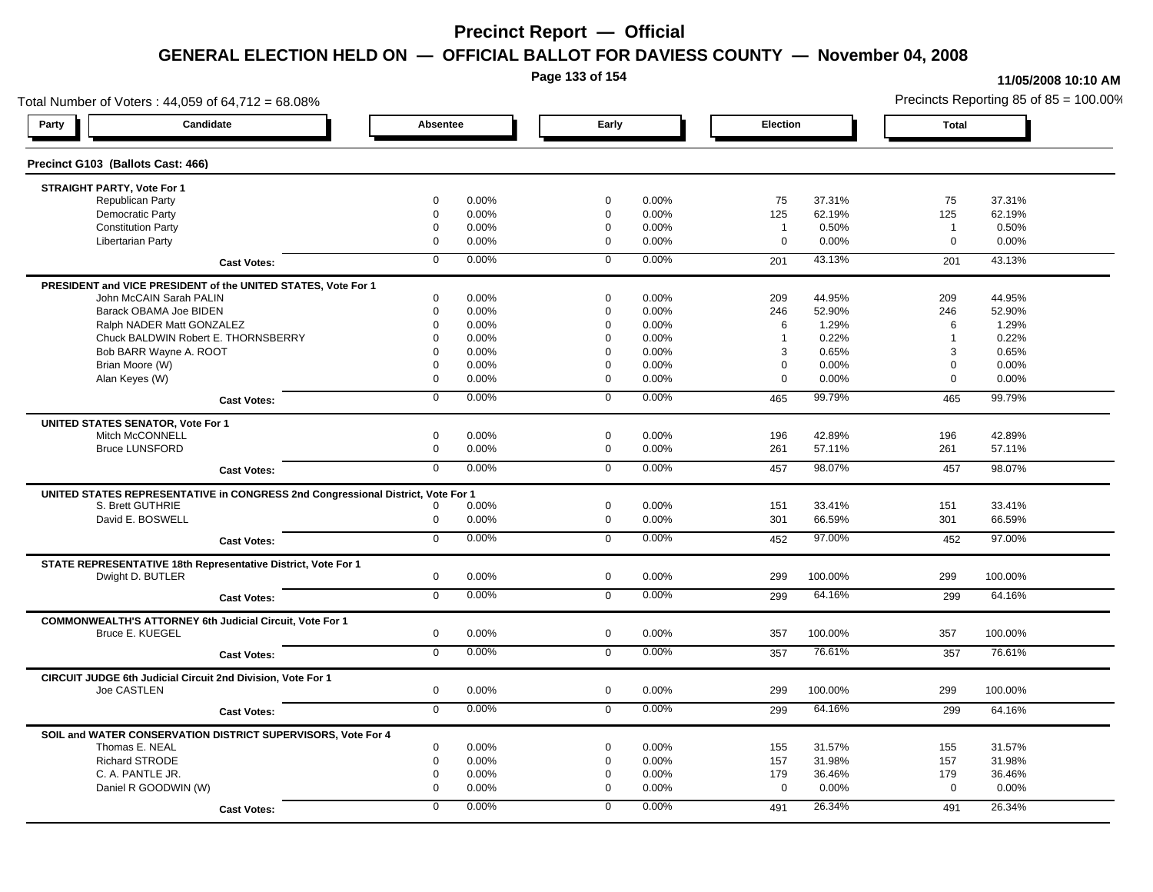**Page 133 of 154**

#### **11/05/2008 10:10 AM**

Total Number of Voters : 44,059 of 64,712 = 68.08% Precincts Reporting 85 of 85 = 100.00% **Party Candidate Absentee Early Election Total Precinct G103 (Ballots Cast: 466) STRAIGHT PARTY, Vote For 1** Republican Party 0 0.00% 0 0.00% 75 37.31% 75 37.31% Democratic Party 0 0.00% 0 0.00% 125 62.19% 125 62.19% Constitution Party 0 0.00% 0 0.00% 1 0.50% 1 0.50% Libertarian Party 0 0.00% 0 0.00% 0 0.00% 0 0.00% **Cast Votes:** 0 0.00% 0 0.00% 201 43.13% 201 43.13% **PRESIDENT and VICE PRESIDENT of the UNITED STATES, Vote For 1** John McCAIN Sarah PALIN John McCAIN Sarah PALIN 0 0.00% 0 0.00% 209 44.95% 209 44.95% Barack OBAMA Joe BIDEN 0 0.00% 0 0.00% 246 52.90% 246 52.90% Ralph NADER Matt GONZALEZ  $\begin{array}{cccc} 0 & 0.00\% & 0 & 0.00\% \end{array}$  0 0.00% 6 1.29% 6 1.29% 6 1.29% Chuck BALDWIN Robert E. THORNSBERRY 0 0.00% 0 0.00% 1 0.22% 1 0.22% Bob BARR Wayne A. ROOT **8 20.000 10.000 10.000 10.000 10.000 10.000** 10.00% 3 0.65% 3 0.65% 3 0.65% 3 0.65% 3 0.65% Brian Moore (W) 0 0.00% 0 0.00% 0 0.00% 0 0.00% Alan Keyes (W) 0 0.00% 0 0.00% 0 0.00% 0 0.00% **Cast Votes:** 0 0.00% 0 0.00% 465 99.79% 465 99.79% **UNITED STATES SENATOR, Vote For 1** Mitch McCONNELL 0 0.00% 0 0.00% 196 42.89% 196 42.89% Bruce LUNSFORD 0 0.00% 0 0.00% 261 57.11% 261 57.11% **Cast Votes:** 0 0.00% 0 0.00% 457 98.07% 457 98.07% **UNITED STATES REPRESENTATIVE in CONGRESS 2nd Congressional District, Vote For 1** S. Brett GUTHRIE 0 0.00% 0 0.00% 151 33.41% 151 33.41% David E. BOSWELL 0 0.00% 0 0.00% 301 66.59% 301 66.59% **Cast Votes:** 0 0.00% 0 0.00% 452 97.00% 452 97.00% **STATE REPRESENTATIVE 18th Representative District, Vote For 1** Dwight D. BUTLER 0 0.00% 0 0.00% 299 100.00% 299 100.00% **Cast Votes:** 0 0.00% 0 0.00% 299 64.16% 299 64.16% **COMMONWEALTH'S ATTORNEY 6th Judicial Circuit, Vote For 1** Bruce E. KUEGEL 0 0.00% 0 0.00% 357 100.00% 357 100.00% **Cast Votes:** 0 0.00% 0 0.00% 357 76.61% 357 76.61% **CIRCUIT JUDGE 6th Judicial Circuit 2nd Division, Vote For 1** Joe CASTLEN 0 0.00% 0 0.00% 299 100.00% 299 100.00% **Cast Votes:** 0 0.00% 0 0.00% 299 64.16% 299 64.16% **SOIL and WATER CONSERVATION DISTRICT SUPERVISORS, Vote For 4** Thomas E. NEAL 0 0.00% 0 0.00% 155 31.57% 155 31.57% Richard STRODE 0 0.00% 0 0.00% 157 31.98% 157 31.98% C. A. PANTLE JR. 0 0.00% 0 0.00% 179 36.46% 179 36.46% Daniel R GOODWIN (W) 0 0.00% 0 0.00% 0 0.00% 0 0.00% **Cast Votes:** 0 0.00% 0 0.00% 491 26.34% 491 26.34%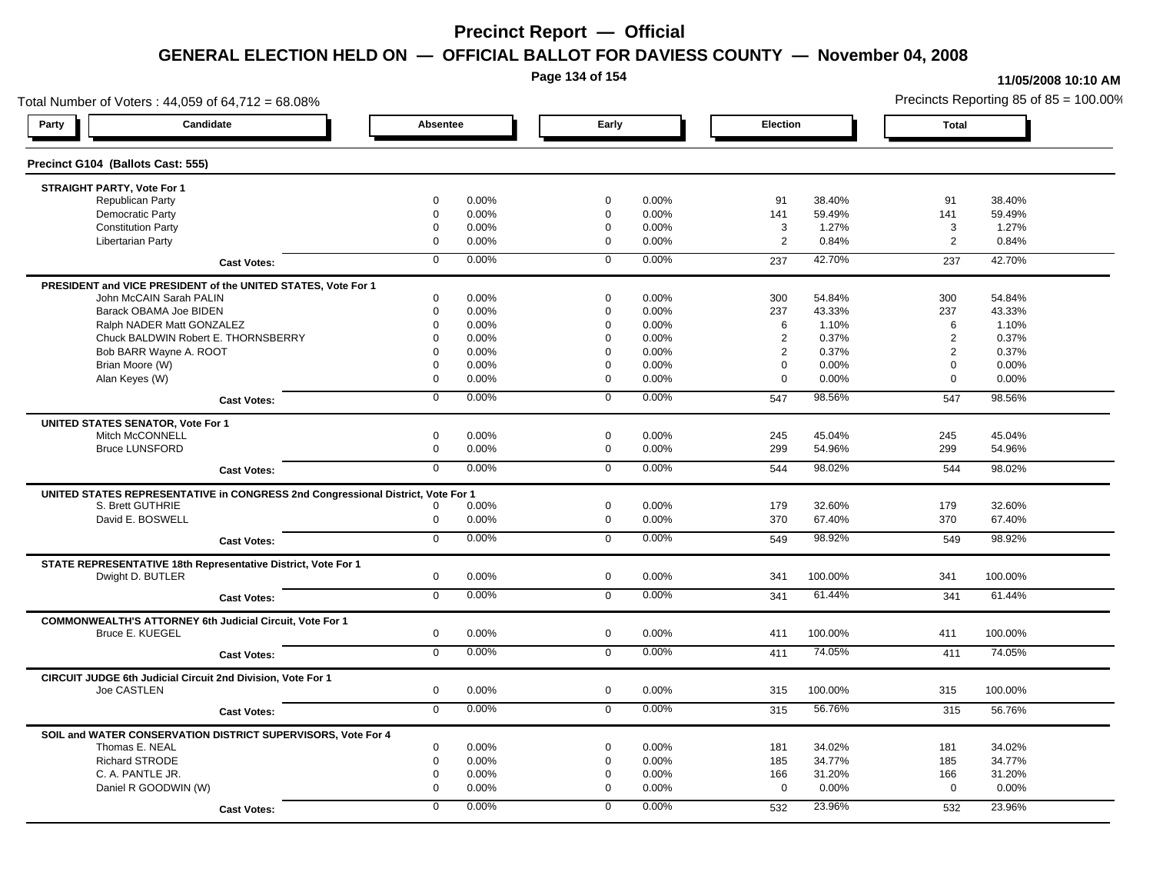**Page 134 of 154**

#### **11/05/2008 10:10 AM**

Total Number of Voters : 44,059 of 64,712 = 68.08% Precincts Reporting 85 of 85 = 100.00% **Party Candidate Absentee Early Election Total Precinct G104 (Ballots Cast: 555) STRAIGHT PARTY, Vote For 1** Republican Party 0 0.00% 0 0.00% 91 38.40% 91 38.40% Democratic Party 0 0.00% 0 0.00% 141 59.49% 141 59.49% Constitution Party 0 0.00% 0 0.00% 3 1.27% 3 1.27% Libertarian Party 0 0.00% 0 0.00% 2 0.84% 2 0.84% **Cast Votes:** 0 0.00% 0 0.00% 237 42.70% 237 42.70% **PRESIDENT and VICE PRESIDENT of the UNITED STATES, Vote For 1** John McCAIN Sarah PALIN John McCAIN Sarah PALIN 0 0.00% 0 0.00% 300 54.84% 300 54.84% Barack OBAMA Joe BIDEN 0 0.00% 0 0.00% 237 43.33% 237 43.33% Ralph NADER Matt GONZALEZ  $\begin{array}{cccc} 0 & 0.00\% & 0 & 0.00\% & 0.00\% & 6 & 1.10\% \end{array}$  6 1.10% Chuck BALDWIN Robert E. THORNSBERRY 0 0.00% 0 0.00% 2 0.37% 2 0.37% Bob BARR Wayne A. ROOT 0 0.00% 0 0.00% 2 0.37% 2 0.37% Brian Moore (W) 0 0.00% 0 0.00% 0 0.00% 0 0.00% Alan Keyes (W) 0 0.00% 0 0.00% 0 0.00% 0 0.00% **Cast Votes:** 0 0.00% 0 0.00% 547 98.56% 547 98.56% **UNITED STATES SENATOR, Vote For 1** Mitch McCONNELL 0 0.00% 0 0.00% 245 45.04% 245 45.04% Bruce LUNSFORD 0 0.00% 0 0.00% 299 54.96% 299 54.96% **Cast Votes:** 0 0.00% 0 0.00% 544 98.02% 544 98.02% **UNITED STATES REPRESENTATIVE in CONGRESS 2nd Congressional District, Vote For 1** S. Brett GUTHRIE 0 0.00% 0 0.00% 179 32.60% 179 32.60% David E. BOSWELL 0 0.00% 0 0.00% 370 67.40% 370 67.40% **Cast Votes:** 0 0.00% 0 0.00% 549 98.92% 549 98.92% **STATE REPRESENTATIVE 18th Representative District, Vote For 1** Dwight D. BUTLER 0 0.00% 0 0.00% 341 100.00% 341 100.00% **Cast Votes:** 0 0.00% 0 0.00% 341 61.44% 341 61.44% **COMMONWEALTH'S ATTORNEY 6th Judicial Circuit, Vote For 1** Bruce E. KUEGEL 0 0.00% 0 0.00% 411 100.00% 411 100.00% **Cast Votes:** 0 0.00% 0 0.00% 411 74.05% 411 74.05% **CIRCUIT JUDGE 6th Judicial Circuit 2nd Division, Vote For 1** Joe CASTLEN 0 0.00% 0 0.00% 315 100.00% 315 100.00% **Cast Votes:** 0 0.00% 0 0.00% 315 56.76% 315 56.76% **SOIL and WATER CONSERVATION DISTRICT SUPERVISORS, Vote For 4** Thomas E. NEAL 0 0.00% 0 0.00% 181 34.02% 181 34.02% Richard STRODE 0 0.00% 0 0.00% 185 34.77% 185 34.77% C. A. PANTLE JR. 0 0.00% 0 0.00% 166 31.20% 166 31.20% Daniel R GOODWIN (W) 0 0.00% 0 0.00% 0 0.00% 0 0.00% **Cast Votes:** 0 0.00% 0 0.00% 532 23.96% 532 23.96%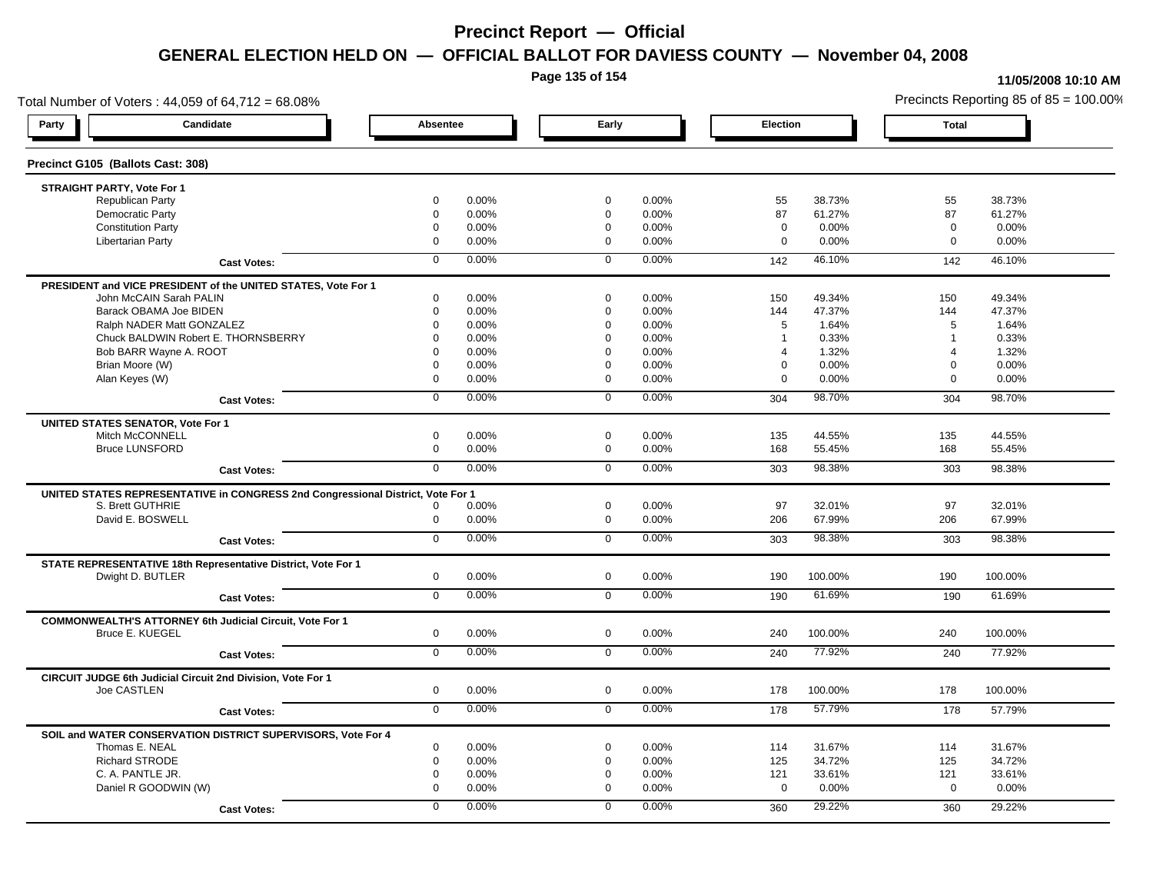**Page 135 of 154**

#### **11/05/2008 10:10 AM**

Total Number of Voters : 44,059 of 64,712 = 68.08% Precincts Reporting 85 of 85 = 100.00% **Party Candidate Absentee Early Election Total Precinct G105 (Ballots Cast: 308) STRAIGHT PARTY, Vote For 1** Republican Party 0 0.00% 0 0.00% 55 38.73% 55 38.73% Democratic Party 0 0.00% 0 0.00% 87 61.27% 87 61.27% Constitution Party 0 0.00% 0 0.00% 0 0.00% 0 0.00% Libertarian Party 0 0.00% 0 0.00% 0 0.00% 0 0.00% **Cast Votes:** 0 0.00% 0 0.00% 142 46.10% 142 46.10% **PRESIDENT and VICE PRESIDENT of the UNITED STATES, Vote For 1** John McCAIN Sarah PALIN John McCAIN Sarah PALIN 0 0.00% 0 0.00% 150 49.34% 150 49.34% Barack OBAMA Joe BIDEN 0 0.00% 0 0.00% 144 47.37% 144 47.37% Ralph NADER Matt GONZALEZ  $0$  0.00% 0 0.00% 5 1.64% 5 1.64% 5 1.64% Chuck BALDWIN Robert E. THORNSBERRY 0 0.00% 0 0.00% 1 0.33% 1 0.33% Bob BARR Wayne A. ROOT **8 1.32%** 0 0.00% 0 0.00% 0 0.00% 0 0.00% 0 1.32% 4 1.32% 4 1.32% 4 1.32% Brian Moore (W) 0 0.00% 0 0.00% 0 0.00% 0 0.00% Alan Keyes (W) 0 0.00% 0 0.00% 0 0.00% 0 0.00% **Cast Votes:** 0 0.00% 0 0.00% 304 98.70% 304 98.70% **UNITED STATES SENATOR, Vote For 1** Mitch McCONNELL 0 0.00% 0 0.00% 135 44.55% 135 44.55% Bruce LUNSFORD 0 0.00% 0 0.00% 168 55.45% 168 55.45% **Cast Votes:** 0 0.00% 0 0.00% 303 98.38% 303 98.38% **UNITED STATES REPRESENTATIVE in CONGRESS 2nd Congressional District, Vote For 1** S. Brett GUTHRIE 0 0.00% 0 0.00% 97 32.01% 97 32.01% David E. BOSWELL 0 0.00% 0 0.00% 206 67.99% 206 67.99% **Cast Votes:** 0 0.00% 0 0.00% 303 98.38% 303 98.38% **STATE REPRESENTATIVE 18th Representative District, Vote For 1** Dwight D. BUTLER 0 0.00% 0 0.00% 190 100.00% 190 100.00% **Cast Votes:** 0 0.00% 0 0.00% 190 61.69% 190 61.69% **COMMONWEALTH'S ATTORNEY 6th Judicial Circuit, Vote For 1** Bruce E. KUEGEL 0 0.00% 0 0.00% 240 100.00% 240 100.00% **Cast Votes:** 0 0.00% 0 0.00% 240 77.92% 240 77.92% **CIRCUIT JUDGE 6th Judicial Circuit 2nd Division, Vote For 1** Joe CASTLEN 0 0.00% 0 0.00% 178 100.00% 178 100.00% **Cast Votes:** 0 0.00% 0 0.00% 178 57.79% 178 57.79% **SOIL and WATER CONSERVATION DISTRICT SUPERVISORS, Vote For 4** Thomas E. NEAL 0 0.00% 0 0.00% 114 31.67% 114 31.67% Richard STRODE 0 0.00% 0 0.00% 125 34.72% 125 34.72% C. A. PANTLE JR. 0 0.00% 0 0.00% 121 33.61% 121 33.61% Daniel R GOODWIN (W) 0 0.00% 0 0.00% 0 0.00% 0 0.00% **Cast Votes:** 0 0.00% 0 0.00% 360 29.22% 360 29.22%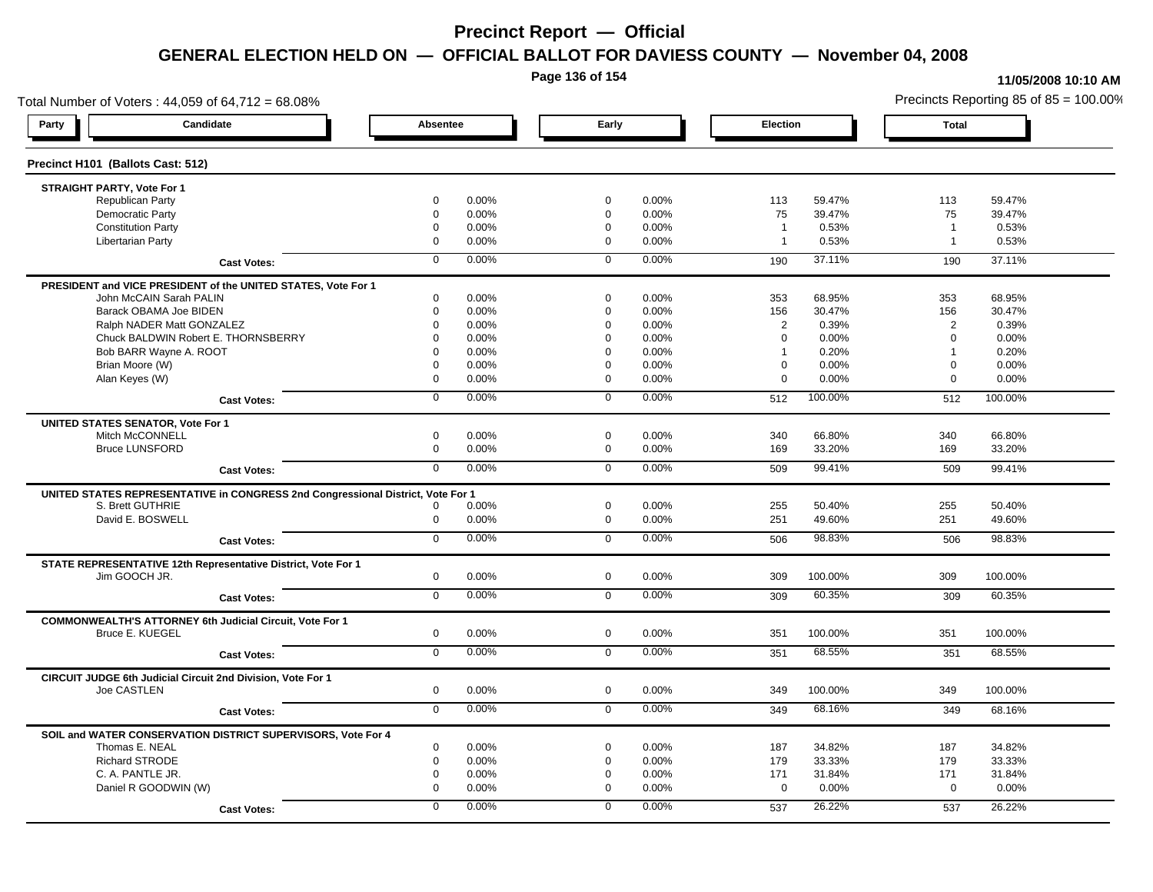**Page 136 of 154**

#### **11/05/2008 10:10 AM**

Total Number of Voters : 44,059 of 64,712 = 68.08% Precincts Reporting 85 of 85 = 100.00% **Party Candidate Absentee Early Election Total Precinct H101 (Ballots Cast: 512) STRAIGHT PARTY, Vote For 1** Republican Party 0 0.00% 0 0.00% 113 59.47% 113 59.47% Democratic Party 0 0.00% 0 0.00% 75 39.47% 75 39.47% Constitution Party 0 0.00% 0 0.00% 1 0.53% 1 0.53% Libertarian Party 0 0.00% 0 0.00% 1 0.53% 1 0.53% **Cast Votes:** 0 0.00% 0 0.00% 190 37.11% 190 37.11% **PRESIDENT and VICE PRESIDENT of the UNITED STATES, Vote For 1** John McCAIN Sarah PALIN John McCAIN Sarah PALIN 0 0.00% 0 0.00% 353 68.95% 353 68.95% Barack OBAMA Joe BIDEN 0 0.00% 0 0.00% 156 30.47% 156 30.47% Ralph NADER Matt GONZALEZ  $0$  0.00% 0 0.00% 0 0.00% 2 0.39% 2 0.39% Chuck BALDWIN Robert E. THORNSBERRY 0 0.00% 0 0.00% 0 0.00% 0 0.00% Bob BARR Wayne A. ROOT **1** 0.20% 0 0.00% 0 0.000% 0 0.00% 1 0.20% 1 0.20% 1 0.20% Brian Moore (W) 0 0.00% 0 0.00% 0 0.00% 0 0.00% Alan Keyes (W) 0 0.00% 0 0.00% 0 0.00% 0 0.00% **Cast Votes:** 0 0.00% 0 0.00% 512 100.00% 512 100.00% **UNITED STATES SENATOR, Vote For 1** Mitch McCONNELL 0 0.00% 0 0.00% 340 66.80% 340 66.80% Bruce LUNSFORD 0 0.00% 0 0.00% 169 33.20% 169 33.20% **Cast Votes:** 0 0.00% 0 0.00% 509 99.41% 509 99.41% **UNITED STATES REPRESENTATIVE in CONGRESS 2nd Congressional District, Vote For 1** S. Brett GUTHRIE 0 0.00% 0 0.00% 255 50.40% 255 50.40% David E. BOSWELL 0 0.00% 0 0.00% 251 49.60% 251 49.60% **Cast Votes:** 0 0.00% 0 0.00% 506 98.83% 506 98.83% **STATE REPRESENTATIVE 12th Representative District, Vote For 1** Jim GOOCH JR. 0 0.00% 0 0.00% 309 100.00% 309 100.00% **Cast Votes:** 0 0.00% 0 0.00% 309 60.35% 309 60.35% **COMMONWEALTH'S ATTORNEY 6th Judicial Circuit, Vote For 1** Bruce E. KUEGEL 0 0.00% 0 0.00% 351 100.00% 351 100.00% **Cast Votes:** 0 0.00% 0 0.00% 351 68.55% 351 68.55% **CIRCUIT JUDGE 6th Judicial Circuit 2nd Division, Vote For 1** Joe CASTLEN 0 0.00% 0 0.00% 349 100.00% 349 100.00% **Cast Votes:** 0 0.00% 0 0.00% 349 68.16% 349 68.16% **SOIL and WATER CONSERVATION DISTRICT SUPERVISORS, Vote For 4** Thomas E. NEAL 0 0.00% 0 0.00% 187 34.82% 187 34.82% Richard STRODE 0 0.00% 0 0.00% 179 33.33% 179 33.33% C. A. PANTLE JR. 0 0.00% 0 0.00% 171 31.84% 171 31.84% Daniel R GOODWIN (W) 0 0.00% 0 0.00% 0 0.00% 0 0.00% **Cast Votes:** 0 0.00% 0 0.00% 537 26.22% 537 26.22%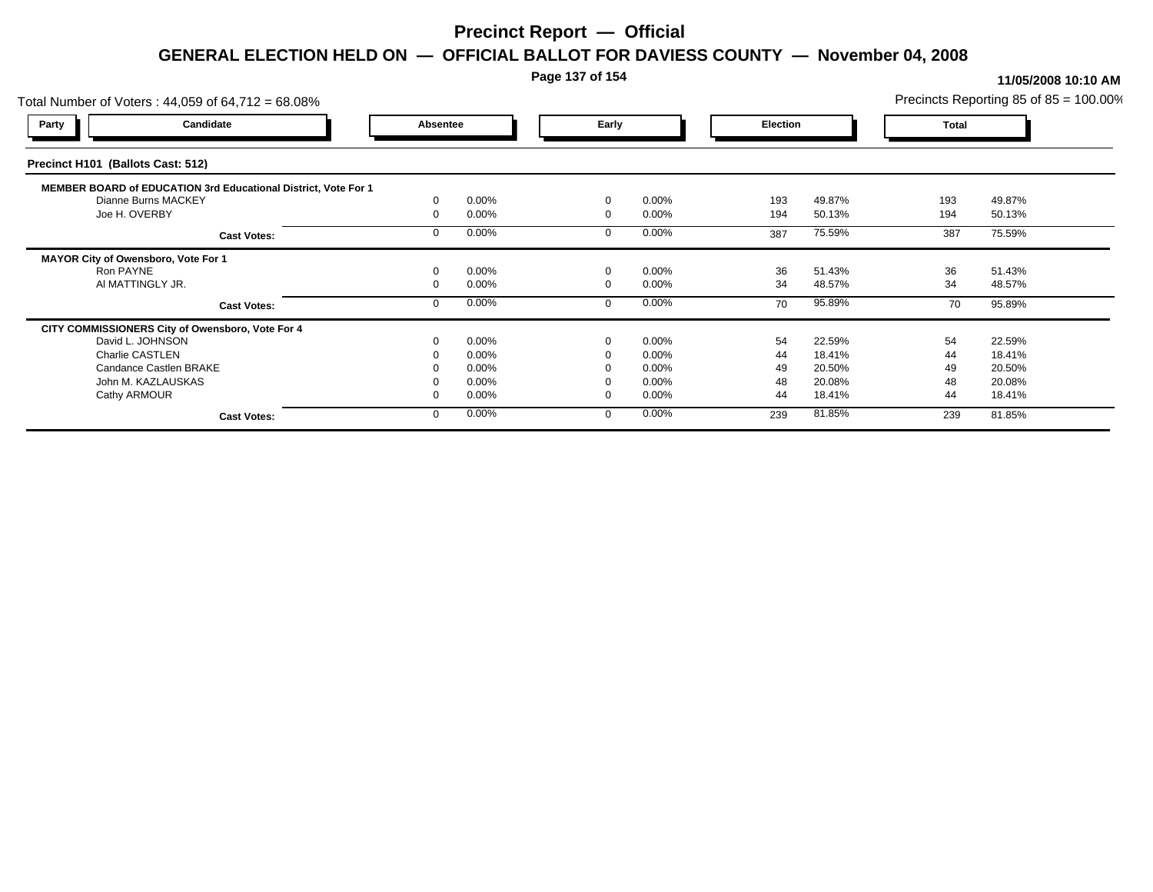### **Page 137 of 154**

### **11/05/2008 10:10 AM**

| Total Number of Voters: 44,059 of 64,712 = 68.08%              |          |       |          |          |                 |        |              | Precincts Reporting 85 of $85 = 100.00\%$ |
|----------------------------------------------------------------|----------|-------|----------|----------|-----------------|--------|--------------|-------------------------------------------|
| Candidate<br><b>Party</b>                                      | Absentee |       | Early    |          | <b>Election</b> |        | <b>Total</b> |                                           |
| Precinct H101 (Ballots Cast: 512)                              |          |       |          |          |                 |        |              |                                           |
| MEMBER BOARD of EDUCATION 3rd Educational District, Vote For 1 |          |       |          |          |                 |        |              |                                           |
| Dianne Burns MACKEY                                            |          | 0.00% | $\Omega$ | 0.00%    | 193             | 49.87% | 193          | 49.87%                                    |
| Joe H. OVERBY                                                  |          | 0.00% | $\Omega$ | 0.00%    | 194             | 50.13% | 194          | 50.13%                                    |
| <b>Cast Votes:</b>                                             |          | 0.00% |          | 0.00%    | 387             | 75.59% | 387          | 75.59%                                    |
| MAYOR City of Owensboro, Vote For 1                            |          |       |          |          |                 |        |              |                                           |
| Ron PAYNE                                                      |          | 0.00% | $\Omega$ | 0.00%    | 36              | 51.43% | 36           | 51.43%                                    |
| AI MATTINGLY JR.                                               |          | 0.00% |          | 0.00%    | 34              | 48.57% | 34           | 48.57%                                    |
| <b>Cast Votes:</b>                                             |          | 0.00% |          | 0.00%    | 70              | 95.89% | 70           | 95.89%                                    |
| CITY COMMISSIONERS City of Owensboro, Vote For 4               |          |       |          |          |                 |        |              |                                           |
| David L. JOHNSON                                               |          | 0.00% | $\Omega$ | 0.00%    | 54              | 22.59% | 54           | 22.59%                                    |
| Charlie CASTLEN                                                |          | 0.00% |          | 0.00%    | 44              | 18.41% | 44           | 18.41%                                    |
| Candance Castlen BRAKE                                         |          | 0.00% |          | $0.00\%$ | 49              | 20.50% | 49           | 20.50%                                    |
| John M. KAZLAUSKAS                                             |          | 0.00% |          | 0.00%    | 48              | 20.08% | 48           | 20.08%                                    |
| Cathy ARMOUR                                                   |          | 0.00% | $\Omega$ | 0.00%    | 44              | 18.41% | 44           | 18.41%                                    |
| <b>Cast Votes:</b>                                             |          | 0.00% |          | 0.00%    | 239             | 81.85% | 239          | 81.85%                                    |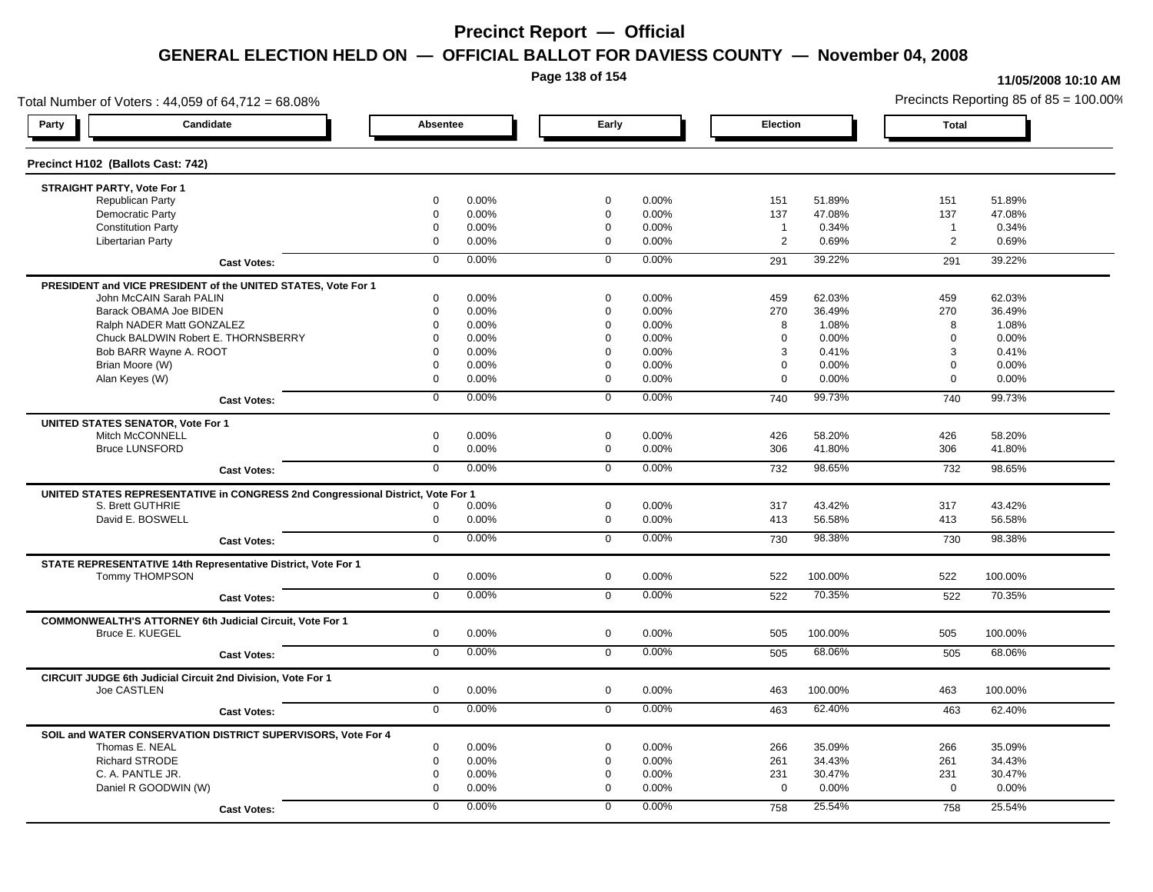**Page 138 of 154**

#### **11/05/2008 10:10 AM**

Total Number of Voters : 44,059 of 64,712 = 68.08% Precincts Reporting 85 of 85 = 100.00% **Party Candidate Absentee Early Election Total Precinct H102 (Ballots Cast: 742) STRAIGHT PARTY, Vote For 1** Republican Party 0 0.00% 0 0.00% 151 51.89% 151 51.89% Democratic Party 0 0.00% 0 0.00% 137 47.08% 137 47.08% Constitution Party 0 0.00% 0 0.00% 1 0.34% 1 0.34% Libertarian Party 0 0.00% 0 0.00% 2 0.69% 2 0.69% **Cast Votes:** 0 0.00% 0 0.00% 291 39.22% 291 39.22% **PRESIDENT and VICE PRESIDENT of the UNITED STATES, Vote For 1** John McCAIN Sarah PALIN John McCAIN Sarah PALIN 0 0.00% 0 0.00% 459 62.03% 459 62.03% Barack OBAMA Joe BIDEN 0 0.00% 0 0.00% 270 36.49% 270 36.49% Ralph NADER Matt GONZALEZ  $\begin{array}{cccc} 0 & 0.00\% & 0 & 0.00\% & 0.00\% & 8 & 1.08\% \end{array}$ Chuck BALDWIN Robert E. THORNSBERRY 0 0.00% 0 0.00% 0 0.00% 0 0.00% Bob BARR Wayne A. ROOT 0 0.00% 0 0.00% 3 0.41% 3 0.41% Brian Moore (W) 0 0.00% 0 0.00% 0 0.00% 0 0.00% Alan Keyes (W) 0 0.00% 0 0.00% 0 0.00% 0 0.00% **Cast Votes:** 0 0.00% 0 0.00% 740 99.73% 740 99.73% **UNITED STATES SENATOR, Vote For 1** Mitch McCONNELL 0 0.00% 0 0.00% 426 58.20% 426 58.20% Bruce LUNSFORD 0 0.00% 0 0.00% 306 41.80% 306 41.80% **Cast Votes:** 0 0.00% 0 0.00% 732 98.65% 732 98.65% **UNITED STATES REPRESENTATIVE in CONGRESS 2nd Congressional District, Vote For 1** S. Brett GUTHRIE 0 0.00% 0 0.00% 317 43.42% 317 43.42% David E. BOSWELL 0 0.00% 0 0.00% 413 56.58% 413 56.58% **Cast Votes:** 0 0.00% 0 0.00% 730 98.38% 730 98.38% **STATE REPRESENTATIVE 14th Representative District, Vote For 1** Tommy THOMPSON 0 0.00% 0 0.00% 522 100.00% 522 100.00% **Cast Votes:** 0 0.00% 0 0.00% 522 70.35% 522 70.35% **COMMONWEALTH'S ATTORNEY 6th Judicial Circuit, Vote For 1** Bruce E. KUEGEL 0 0.00% 0 0.00% 505 100.00% 505 100.00% **Cast Votes:** 0 0.00% 0 0.00% 505 68.06% 505 68.06% **CIRCUIT JUDGE 6th Judicial Circuit 2nd Division, Vote For 1** Joe CASTLEN 0 0.00% 0 0.00% 463 100.00% 463 100.00% **Cast Votes:** 0 0.00% 0 0.00% 463 62.40% 463 62.40% **SOIL and WATER CONSERVATION DISTRICT SUPERVISORS, Vote For 4** Thomas E. NEAL 0 0.00% 0 0.00% 266 35.09% 266 35.09% Richard STRODE 0 0.00% 0 0.00% 261 34.43% 261 34.43% C. A. PANTLE JR. 0 0.00% 0 0.00% 231 30.47% 231 30.47% Daniel R GOODWIN (W) 0 0.00% 0 0.00% 0 0.00% 0 0.00% **Cast Votes:** 0 0.00% 0 0.00% 758 25.54% 758 25.54%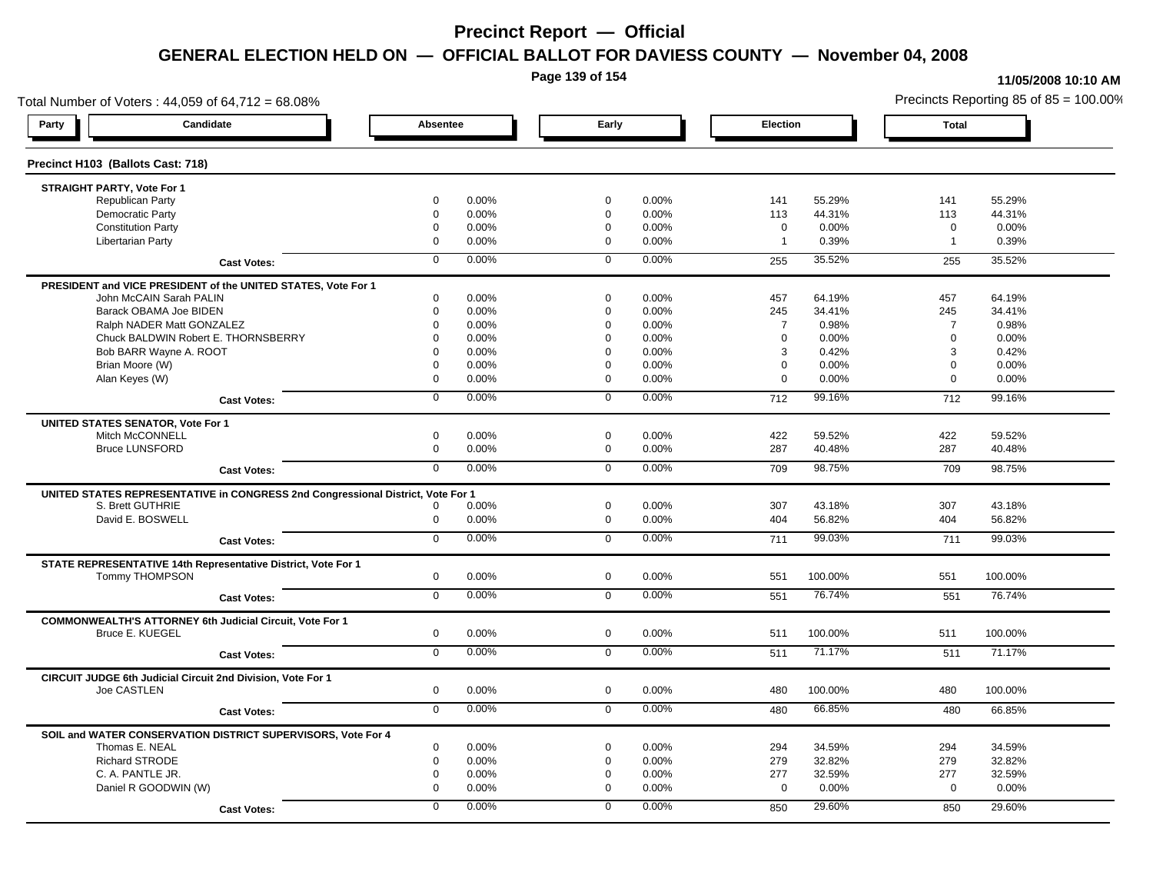**Page 139 of 154**

### **11/05/2008 10:10 AM**

Total Number of Voters : 44,059 of 64,712 = 68.08% Precincts Reporting 85 of 85 = 100.00% **Party Candidate Absentee Early Election Total Precinct H103 (Ballots Cast: 718) STRAIGHT PARTY, Vote For 1** Republican Party 0 0.00% 0 0.00% 141 55.29% 141 55.29% Democratic Party 0 0.00% 0 0.00% 113 44.31% 113 44.31% Constitution Party 0 0.00% 0 0.00% 0 0.00% 0 0.00% Libertarian Party 0 0.00% 0 0.00% 1 0.39% 1 0.39% **Cast Votes:** 0 0.00% 0 0.00% 255 35.52% 255 35.52% **PRESIDENT and VICE PRESIDENT of the UNITED STATES, Vote For 1** John McCAIN Sarah PALIN John McCAIN Sarah PALIN 0 0.00% 0 0.00% 457 64.19% 457 64.19% Barack OBAMA Joe BIDEN 0 0.00% 0 0.00% 245 34.41% 245 34.41% Ralph NADER Matt GONZALEZ  $0$  0.00% 0 0.00% 7 0.98% 7 0.98% 7 0.98% Chuck BALDWIN Robert E. THORNSBERRY 0 0.00% 0 0.00% 0 0.00% 0 0.00% Bob BARR Wayne A. ROOT 0 0.00% 0 0.00% 3 0.42% 3 0.42% Brian Moore (W) 0 0.00% 0 0.00% 0 0.00% 0 0.00% Alan Keyes (W) 0 0.00% 0 0.00% 0 0.00% 0 0.00% **Cast Votes:** 0 0.00% 0 0.00% 712 99.16% 712 99.16% **UNITED STATES SENATOR, Vote For 1** Mitch McCONNELL 0 0.00% 0 0.00% 422 59.52% 422 59.52% Bruce LUNSFORD 0 0.00% 0 0.00% 287 40.48% 287 40.48% **Cast Votes:** 0 0.00% 0 0.00% 709 98.75% 709 98.75% **UNITED STATES REPRESENTATIVE in CONGRESS 2nd Congressional District, Vote For 1** S. Brett GUTHRIE 0 0.00% 0 0.00% 307 43.18% 307 43.18% David E. BOSWELL 0 0.00% 0 0.00% 404 56.82% 404 56.82% **Cast Votes:** 0 0.00% 0 0.00% 711 99.03% 711 99.03% **STATE REPRESENTATIVE 14th Representative District, Vote For 1** Tommy THOMPSON 0 0.00% 0 0.00% 551 100.00% 551 100.00% **Cast Votes:** 0 0.00% 0 0.00% 551 76.74% 551 76.74% **COMMONWEALTH'S ATTORNEY 6th Judicial Circuit, Vote For 1** Bruce E. KUEGEL 0 0.00% 0 0.00% 511 100.00% 511 100.00% **Cast Votes:** 0 0.00% 0 0.00% 511 71.17% 511 71.17% **CIRCUIT JUDGE 6th Judicial Circuit 2nd Division, Vote For 1** Joe CASTLEN 0 0.00% 0 0.00% 480 100.00% 480 100.00% **Cast Votes:** 0 0.00% 0 0.00% 480 66.85% 480 66.85% **SOIL and WATER CONSERVATION DISTRICT SUPERVISORS, Vote For 4** Thomas E. NEAL 0 0.00% 0 0.00% 294 34.59% 294 34.59% Richard STRODE 0 0.00% 0 0.00% 279 32.82% 279 32.82% C. A. PANTLE JR. 0 0.00% 0 0.00% 277 32.59% 277 32.59% Daniel R GOODWIN (W) 0 0.00% 0 0.00% 0 0.00% 0 0.00% **Cast Votes:** 0 0.00% 0 0.00% 850 29.60% 850 29.60%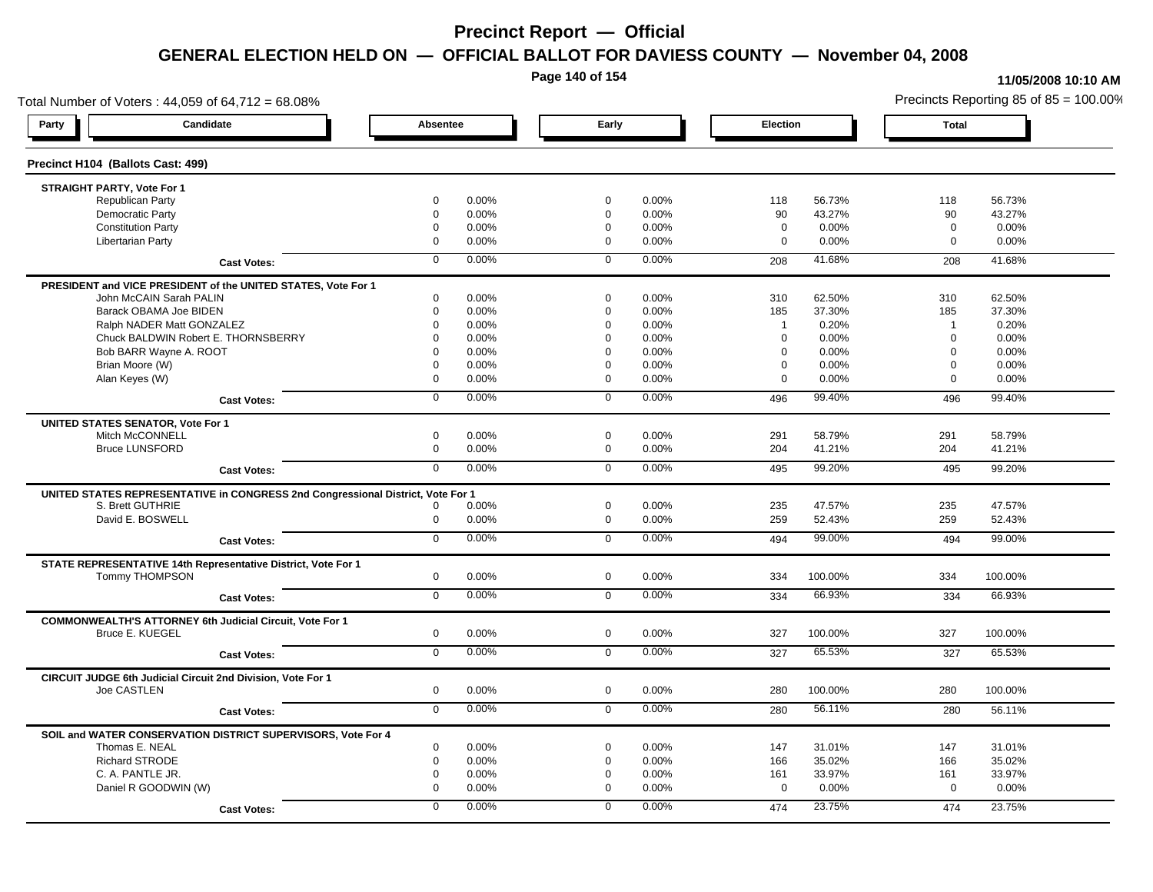**Page 140 of 154**

#### **11/05/2008 10:10 AM**

Total Number of Voters : 44,059 of 64,712 = 68.08% Precincts Reporting 85 of 85 = 100.00% **Party Candidate Absentee Early Election Total Precinct H104 (Ballots Cast: 499) STRAIGHT PARTY, Vote For 1** Republican Party 0 0.00% 0 0.00% 118 56.73% 118 56.73% Democratic Party 0 0.00% 0 0.00% 90 43.27% 90 43.27% Constitution Party 0 0.00% 0 0.00% 0 0.00% 0 0.00% Libertarian Party 0 0.00% 0 0.00% 0 0.00% 0 0.00% **Cast Votes:** 0 0.00% 0 0.00% 208 41.68% 208 41.68% **PRESIDENT and VICE PRESIDENT of the UNITED STATES, Vote For 1** John McCAIN Sarah PALIN John McCAIN Sarah PALIN 0 0.00% 0 0.00% 310 62.50% 310 62.50% Barack OBAMA Joe BIDEN 0 0.00% 0 0.00% 185 37.30% 185 37.30% Ralph NADER Matt GONZALEZ  $\begin{array}{cccc} 0 & 0.00\% & 0 & 0.00\% & 1 & 0.20\% \end{array}$  1 0.20% 1 0.20% Chuck BALDWIN Robert E. THORNSBERRY 0 0.00% 0 0.00% 0 0.00% 0 0.00%  $B$ ob BARR Wayne A. ROOT  $0.00\%$   $0.00\%$   $0.00\%$   $0.00\%$   $0.00\%$   $0.00\%$   $0.00\%$   $0.00\%$ Brian Moore (W) 0 0.00% 0 0.00% 0 0.00% 0 0.00% Alan Keyes (W) 0 0.00% 0 0.00% 0 0.00% 0 0.00% **Cast Votes:** 0 0.00% 0 0.00% 496 99.40% 496 99.40% **UNITED STATES SENATOR, Vote For 1** Mitch McCONNELL 0 0.00% 0 0.00% 291 58.79% 291 58.79% Bruce LUNSFORD 0 0.00% 0 0.00% 204 41.21% 204 41.21% **Cast Votes:** 0 0.00% 0 0.00% 495 99.20% 495 99.20% **UNITED STATES REPRESENTATIVE in CONGRESS 2nd Congressional District, Vote For 1** S. Brett GUTHRIE 0 0.00% 0 0.00% 235 47.57% 235 47.57% David E. BOSWELL 0 0.00% 0 0.00% 259 52.43% 259 52.43% **Cast Votes:** 0 0.00% 0 0.00% 494 99.00% 494 99.00% **STATE REPRESENTATIVE 14th Representative District, Vote For 1** Tommy THOMPSON 0 0.00% 0 0.00% 334 100.00% 334 100.00% **Cast Votes:** 0 0.00% 0 0.00% 334 66.93% 334 66.93% **COMMONWEALTH'S ATTORNEY 6th Judicial Circuit, Vote For 1** Bruce E. KUEGEL 0 0.00% 0 0.00% 327 100.00% 327 100.00% **Cast Votes:** 0 0.00% 0 0.00% 327 65.53% 327 65.53% **CIRCUIT JUDGE 6th Judicial Circuit 2nd Division, Vote For 1** Joe CASTLEN 0 0.00% 0 0.00% 280 100.00% 280 100.00% **Cast Votes:** 0 0.00% 0 0.00% 280 56.11% 280 56.11% **SOIL and WATER CONSERVATION DISTRICT SUPERVISORS, Vote For 4** Thomas E. NEAL 0 0.00% 0 0.00% 147 31.01% 147 31.01% Richard STRODE 0 0.00% 0 0.00% 166 35.02% 166 35.02% C. A. PANTLE JR. 0 0.00% 0 0.00% 161 33.97% 161 33.97% Daniel R GOODWIN (W) 0 0.00% 0 0.00% 0 0.00% 0 0.00% **Cast Votes:** 0 0.00% 0 0.00% 474 23.75% 474 23.75%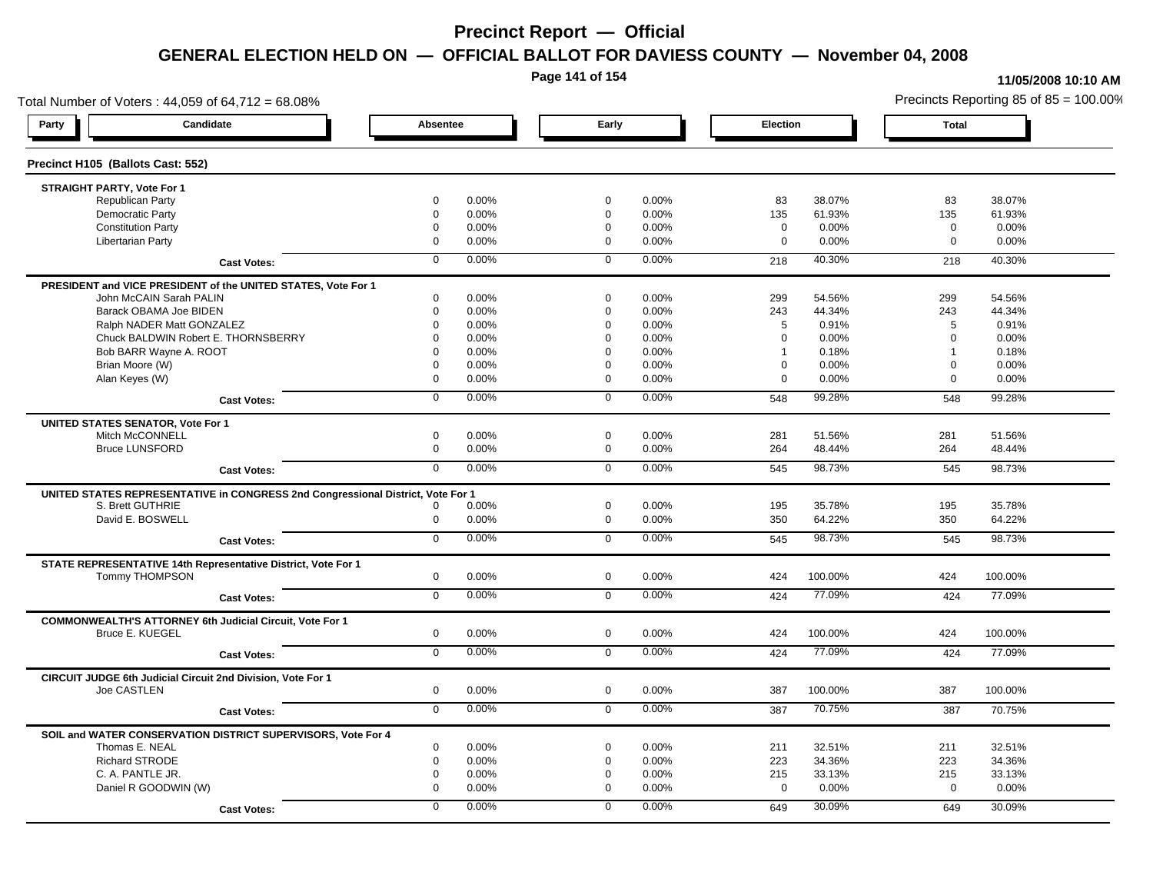**Page 141 of 154**

#### **11/05/2008 10:10 AM**

Total Number of Voters : 44,059 of 64,712 = 68.08% Precincts Reporting 85 of 85 = 100.00% **Party Candidate Absentee Early Election Total Precinct H105 (Ballots Cast: 552) STRAIGHT PARTY, Vote For 1** Republican Party 0 0.00% 0 0.00% 83 38.07% 83 38.07% Democratic Party 0 0.00% 0 0.00% 135 61.93% 135 61.93% Constitution Party 0 0.00% 0 0.00% 0 0.00% 0 0.00% Libertarian Party 0 0.00% 0 0.00% 0 0.00% 0 0.00% **Cast Votes:** 0 0.00% 0 0.00% 218 40.30% 218 40.30% **PRESIDENT and VICE PRESIDENT of the UNITED STATES, Vote For 1** John McCAIN Sarah PALIN John McCAIN Sarah PALIN 0 0.00% 0 0.00% 299 54.56% 299 54.56% Barack OBAMA Joe BIDEN 0 0.00% 0 0.00% 243 44.34% 243 44.34% Ralph NADER Matt GONZALEZ  $\begin{array}{cccc} 0 & 0.00\% & 0 & 0.00\% & 5 & 0.91\% \end{array}$  5 0.91% 5 0.91% Chuck BALDWIN Robert E. THORNSBERRY 0 0.00% 0 0.00% 0 0.00% 0 0.00% Bob BARR Wayne A. ROOT 0 0.00% 0 0.00% 1 0.18% 1 0.18% Brian Moore (W) 0 0.00% 0 0.00% 0 0.00% 0 0.00% Alan Keyes (W) 0 0.00% 0 0.00% 0 0.00% 0 0.00% **Cast Votes:** 0 0.00% 0 0.00% 548 99.28% 548 99.28% **UNITED STATES SENATOR, Vote For 1** Mitch McCONNELL 0 0.00% 0 0.00% 281 51.56% 281 51.56% Bruce LUNSFORD 0 0.00% 0 0.00% 264 48.44% 264 48.44% **Cast Votes:** 0 0.00% 0 0.00% 545 98.73% 545 98.73% **UNITED STATES REPRESENTATIVE in CONGRESS 2nd Congressional District, Vote For 1** S. Brett GUTHRIE 0 0.00% 0 0.00% 195 35.78% 195 35.78% David E. BOSWELL 0 0.00% 0 0.00% 350 64.22% 350 64.22% **Cast Votes:** 0 0.00% 0 0.00% 545 98.73% 545 98.73% **STATE REPRESENTATIVE 14th Representative District, Vote For 1** Tommy THOMPSON 0 0.00% 0 0.00% 424 100.00% 424 100.00% **Cast Votes:** 0 0.00% 0 0.00% 424 77.09% 424 77.09% **COMMONWEALTH'S ATTORNEY 6th Judicial Circuit, Vote For 1** Bruce E. KUEGEL 0 0.00% 0 0.00% 424 100.00% 424 100.00% **Cast Votes:** 0 0.00% 0 0.00% 424 77.09% 424 77.09% **CIRCUIT JUDGE 6th Judicial Circuit 2nd Division, Vote For 1** Joe CASTLEN 0 0.00% 0 0.00% 387 100.00% 387 100.00% **Cast Votes:** 0 0.00% 0 0.00% 387 70.75% 387 70.75% **SOIL and WATER CONSERVATION DISTRICT SUPERVISORS, Vote For 4** Thomas E. NEAL 0 0.00% 0 0.00% 211 32.51% 211 32.51% Richard STRODE 0 0.00% 0 0.00% 223 34.36% 223 34.36% C. A. PANTLE JR. 0 0.00% 0 0.00% 215 33.13% 215 33.13% Daniel R GOODWIN (W) 0 0.00% 0 0.00% 0 0.00% 0 0.00% **Cast Votes:** 0 0.00% 0 0.00% 649 30.09% 649 30.09%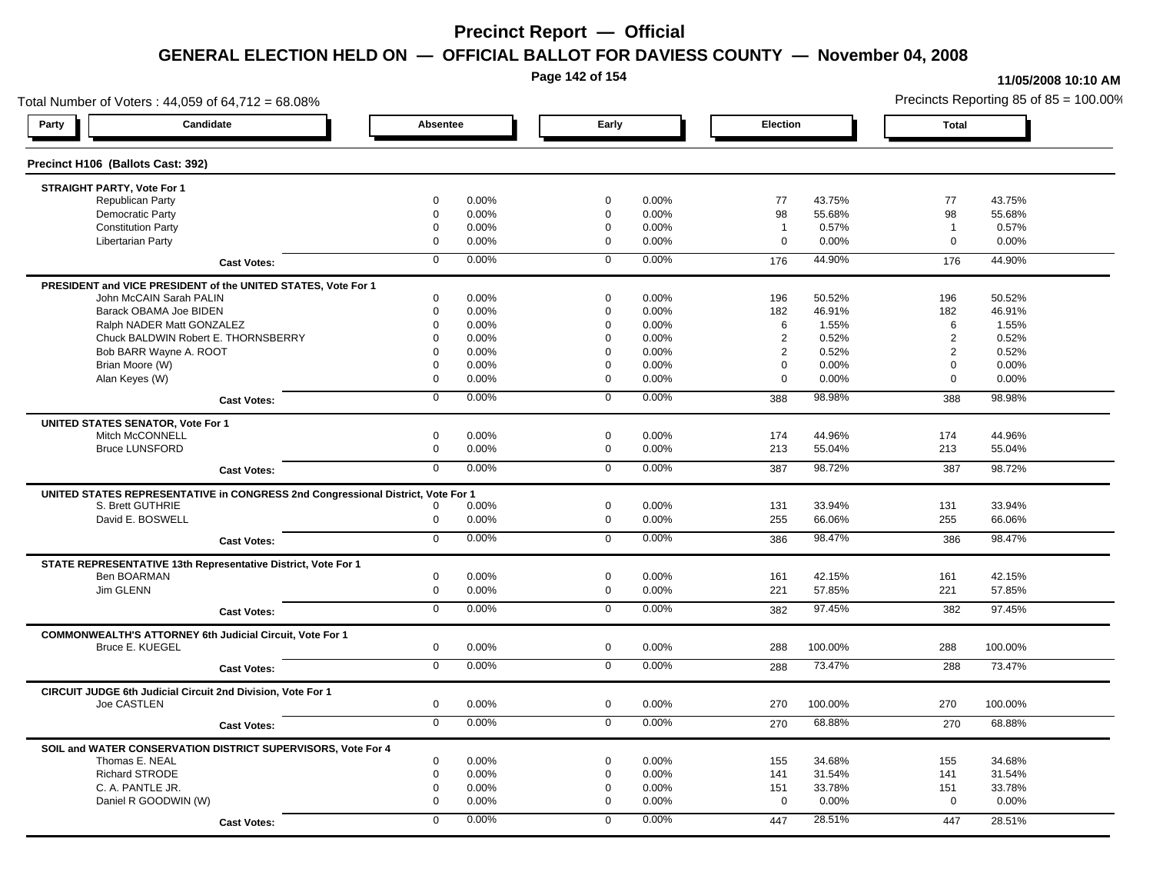**Page 142 of 154**

### **11/05/2008 10:10 AM**

Total Number of Voters : 44,059 of 64,712 = 68.08% Precincts Reporting 85 of 85 = 100.00% **Party Candidate Absentee Early Election Total Precinct H106 (Ballots Cast: 392) STRAIGHT PARTY, Vote For 1** Republican Party 0 0.00% 0 0.00% 77 43.75% 77 43.75% Democratic Party 0 0.00% 0 0.00% 98 55.68% 98 55.68% Constitution Party 0 0.00% 0 0.00% 1 0.57% 1 0.57% Libertarian Party 0 0.00% 0 0.00% 0 0.00% 0 0.00% **Cast Votes:** 0 0.00% 0 0.00% 176 44.90% 176 44.90% **PRESIDENT and VICE PRESIDENT of the UNITED STATES, Vote For 1** John McCAIN Sarah PALIN John McCAIN Sarah PALIN 0 0.00% 0 0.00% 196 50.52% 196 50.52% Barack OBAMA Joe BIDEN 0 0.00% 0 0.00% 182 46.91% 182 46.91% Ralph NADER Matt GONZALEZ  $\begin{array}{cccc} 6 & 1.55\% \\ 6 & 1.55\% \end{array}$  6 1.55% 6 1.55% Chuck BALDWIN Robert E. THORNSBERRY 0 0.00% 0 0.00% 2 0.52% 2 0.52% Bob BARR Wayne A. ROOT **2 2 0.52% 2 0.52% 2 0.52% 2 0.52%** 2 0.52% 2 0.52% 2 0.52% 2 0.52% Brian Moore (W) 0 0.00% 0 0.00% 0 0.00% 0 0.00% Alan Keyes (W) 0 0.00% 0 0.00% 0 0.00% 0 0.00% **Cast Votes:** 0 0.00% 0 0.00% 388 98.98% 388 98.98% **UNITED STATES SENATOR, Vote For 1** Mitch McCONNELL 0 0.00% 0 0.00% 174 44.96% 174 44.96% Bruce LUNSFORD 0 0.00% 0 0.00% 213 55.04% 213 55.04% **Cast Votes:** 0 0.00% 0 0.00% 387 98.72% 387 98.72% **UNITED STATES REPRESENTATIVE in CONGRESS 2nd Congressional District, Vote For 1** S. Brett GUTHRIE 0 0.00% 0 0.00% 131 33.94% 131 33.94% David E. BOSWELL 0 0.00% 0 0.00% 255 66.06% 255 66.06% **Cast Votes:** 0 0.00% 0 0.00% 386 98.47% 386 98.47% **STATE REPRESENTATIVE 13th Representative District, Vote For 1** Ben BOARMAN 0 0.00% 0 0.00% 161 42.15% 161 42.15% Jim GLENN 0 0.00% 0 0.00% 221 57.85% 221 57.85% **Cast Votes:** 0 0.00% 0 0.00% 382 97.45% 382 97.45% **COMMONWEALTH'S ATTORNEY 6th Judicial Circuit, Vote For 1** Bruce E. KUEGEL 0 0.00% 0 0.00% 288 100.00% 288 100.00% **Cast Votes:** 0 0.00% 0 0.00% 288 73.47% 288 73.47% **CIRCUIT JUDGE 6th Judicial Circuit 2nd Division, Vote For 1** Joe CASTLEN 0 0.00% 0 0.00% 270 100.00% 270 100.00% **Cast Votes:** 0 0.00% 0 0.00% 270 68.88% 270 68.88% **SOIL and WATER CONSERVATION DISTRICT SUPERVISORS, Vote For 4** Thomas E. NEAL 0 0.00% 0 0.00% 155 34.68% 155 34.68% Richard STRODE 0 0.00% 0 0.00% 141 31.54% 141 31.54% C. A. PANTLE JR. 0 0.00% 0 0.00% 151 33.78% 151 33.78% Daniel R GOODWIN (W) 0 0.00% 0 0.00% 0 0.00% 0 0.00% **Cast Votes:** 0 0.00% 0 0.00% 447 28.51% 447 28.51%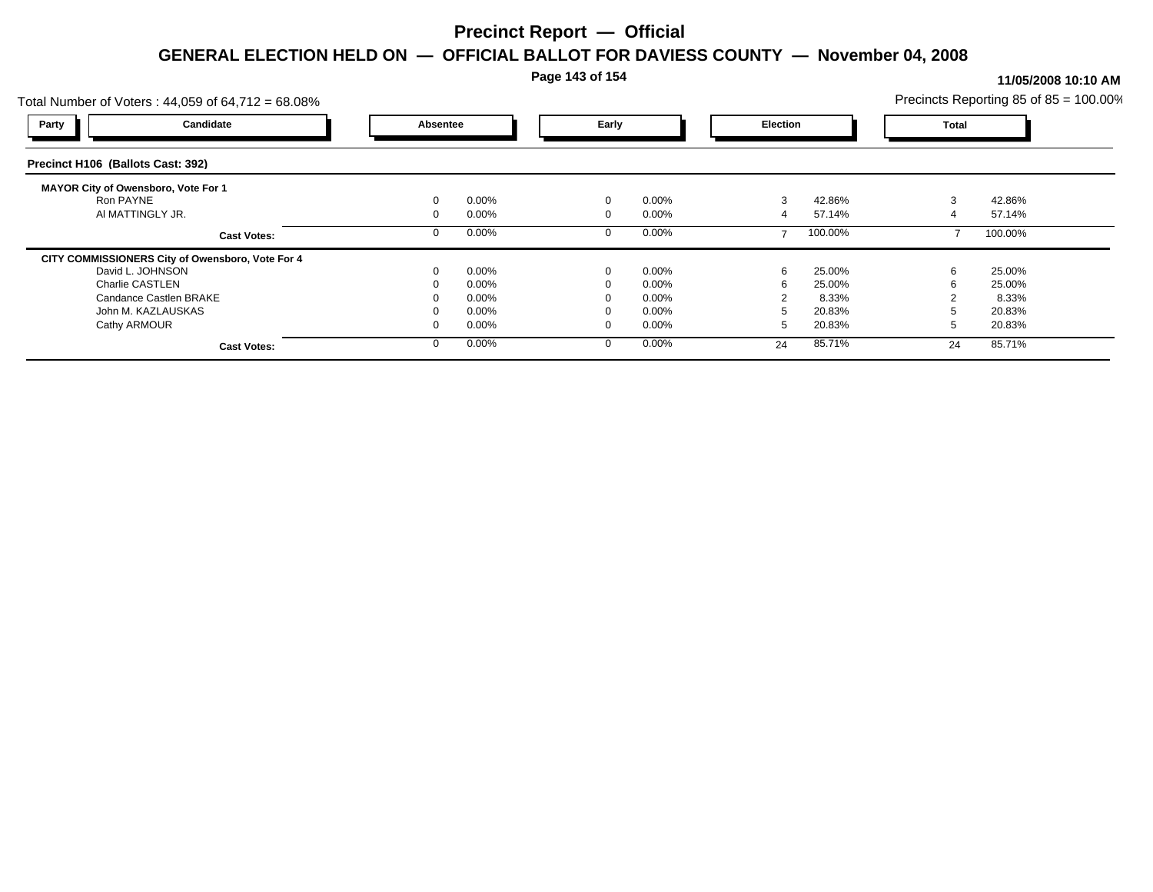**Page 143 of 154**

### **11/05/2008 10:10 AM**

| Total Number of Voters: 44,059 of 64,712 = 68.08% |          |       |             |          |    |                 | Precincts Reporting 85 of $85 = 100.00\%$ |              |  |
|---------------------------------------------------|----------|-------|-------------|----------|----|-----------------|-------------------------------------------|--------------|--|
| Candidate<br>Party                                | Absentee |       | Early       |          |    | <b>Election</b> |                                           | <b>Total</b> |  |
| Precinct H106 (Ballots Cast: 392)                 |          |       |             |          |    |                 |                                           |              |  |
| <b>MAYOR City of Owensboro, Vote For 1</b>        |          |       |             |          |    |                 |                                           |              |  |
| Ron PAYNE                                         |          | 0.00% | $\mathbf 0$ | 0.00%    | 3  | 42.86%          | 3                                         | 42.86%       |  |
| AI MATTINGLY JR.                                  |          | 0.00% | $\Omega$    | $0.00\%$ | 4  | 57.14%          |                                           | 57.14%       |  |
| <b>Cast Votes:</b>                                |          | 0.00% |             | $0.00\%$ |    | 100.00%         |                                           | 100.00%      |  |
| CITY COMMISSIONERS City of Owensboro, Vote For 4  |          |       |             |          |    |                 |                                           |              |  |
| David L. JOHNSON                                  |          | 0.00% | $\Omega$    | 0.00%    | 6  | 25.00%          | 6                                         | 25.00%       |  |
| <b>Charlie CASTLEN</b>                            |          | 0.00% |             | $0.00\%$ |    | 25.00%          |                                           | 25.00%       |  |
| Candance Castlen BRAKE                            |          | 0.00% |             | $0.00\%$ |    | 8.33%           |                                           | 8.33%        |  |
| John M. KAZLAUSKAS                                |          | 0.00% |             | $0.00\%$ |    | 20.83%          |                                           | 20.83%       |  |
| Cathy ARMOUR                                      |          | 0.00% | $\Omega$    | $0.00\%$ |    | 20.83%          |                                           | 20.83%       |  |
| <b>Cast Votes:</b>                                |          | 0.00% |             | 0.00%    | 24 | 85.71%          | 24                                        | 85.71%       |  |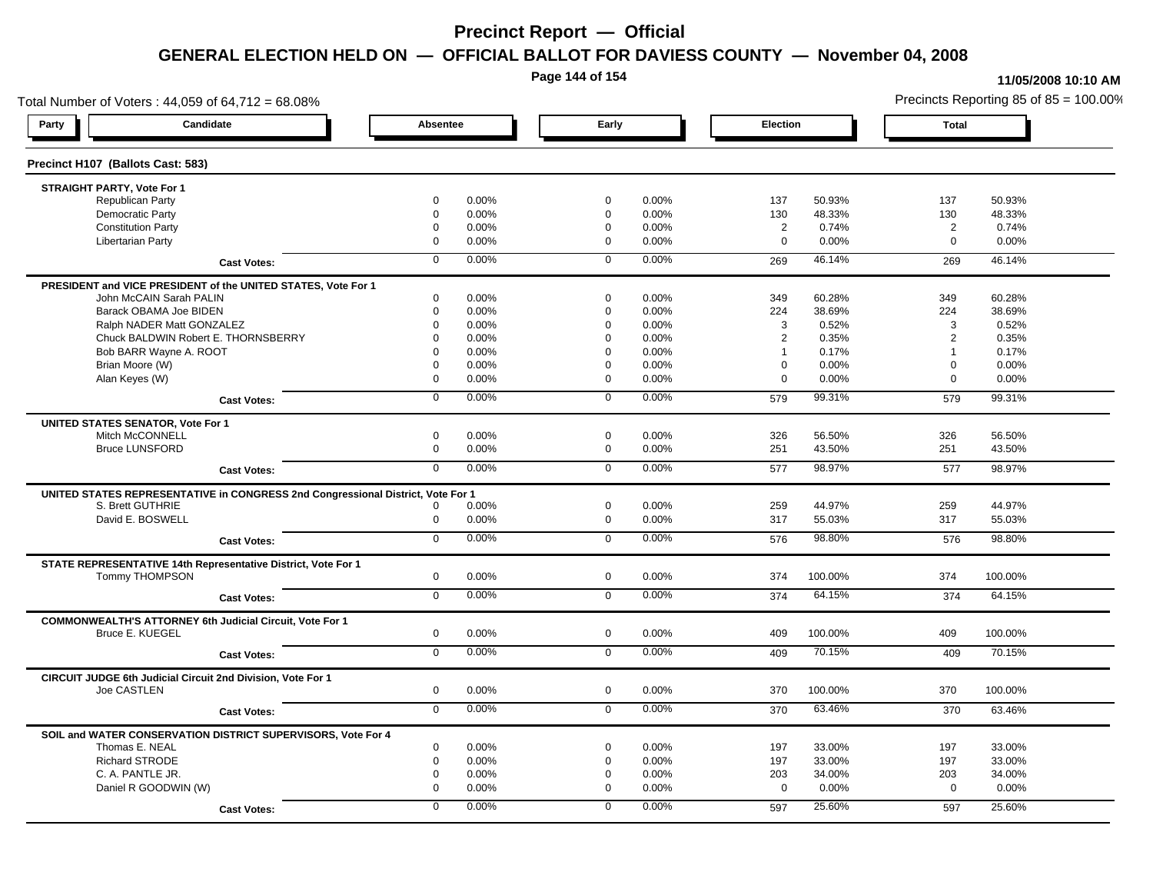**Page 144 of 154**

#### **11/05/2008 10:10 AM**

Total Number of Voters : 44,059 of 64,712 = 68.08% Precincts Reporting 85 of 85 = 100.00% **Party Candidate Absentee Early Election Total Precinct H107 (Ballots Cast: 583) STRAIGHT PARTY, Vote For 1** Republican Party 0 0.00% 0 0.00% 137 50.93% 137 50.93% Democratic Party 0 0.00% 0 0.00% 130 48.33% 130 48.33% Constitution Party 0 0.00% 0 0.00% 2 0.74% 2 0.74% Libertarian Party 0 0.00% 0 0.00% 0 0.00% 0 0.00% **Cast Votes:** 0 0.00% 0 0.00% 269 46.14% 269 46.14% **PRESIDENT and VICE PRESIDENT of the UNITED STATES, Vote For 1** John McCAIN Sarah PALIN John McCAIN Sarah PALIN 0 0.00% 0 0.00% 349 60.28% 349 60.28% Barack OBAMA Joe BIDEN 0 0.00% 0 0.00% 224 38.69% 224 38.69% Ralph NADER Matt GONZALEZ  $\begin{array}{cccc} 0 & 0.00\% & 0 & 0.00\% \end{array}$  0 0.00% 3 0.52% 3 0.52% Chuck BALDWIN Robert E. THORNSBERRY 0 0.00% 0 0.00% 2 0.35% 2 0.35% Bob BARR Wayne A. ROOT **1** 0.17% 1 0.17% 1 0.17% 1 0.17% 1 0.17% 1 0.17% 1 0.17% 1 0.17% Brian Moore (W) 0 0.00% 0 0.00% 0 0.00% 0 0.00% Alan Keyes (W) 0 0.00% 0 0.00% 0 0.00% 0 0.00% **Cast Votes:** 0 0.00% 0 0.00% 579 99.31% 579 99.31% **UNITED STATES SENATOR, Vote For 1** Mitch McCONNELL 0 0.00% 0 0.00% 326 56.50% 326 56.50% Bruce LUNSFORD 0 0.00% 0 0.00% 251 43.50% 251 43.50% **Cast Votes:** 0 0.00% 0 0.00% 577 98.97% 577 98.97% **UNITED STATES REPRESENTATIVE in CONGRESS 2nd Congressional District, Vote For 1** S. Brett GUTHRIE 0 0.00% 0 0.00% 259 44.97% 259 44.97% David E. BOSWELL 0 0.00% 0 0.00% 317 55.03% 317 55.03% **Cast Votes:** 0 0.00% 0 0.00% 576 98.80% 576 98.80% **STATE REPRESENTATIVE 14th Representative District, Vote For 1** Tommy THOMPSON 0 0.00% 0 0.00% 374 100.00% 374 100.00% **Cast Votes:** 0 0.00% 0 0.00% 374 64.15% 374 64.15% **COMMONWEALTH'S ATTORNEY 6th Judicial Circuit, Vote For 1** Bruce E. KUEGEL 0 0.00% 0 0.00% 409 100.00% 409 100.00% **Cast Votes:** 0 0.00% 0 0.00% 409 70.15% 409 70.15% **CIRCUIT JUDGE 6th Judicial Circuit 2nd Division, Vote For 1** Joe CASTLEN 0 0.00% 0 0.00% 370 100.00% 370 100.00% **Cast Votes:** 0 0.00% 0 0.00% 370 63.46% 370 63.46% **SOIL and WATER CONSERVATION DISTRICT SUPERVISORS, Vote For 4** Thomas E. NEAL 0 0.00% 0 0.00% 197 33.00% 197 33.00% Richard STRODE 0 0.00% 0 0.00% 197 33.00% 197 33.00% C. A. PANTLE JR. 0 0.00% 0 0.00% 203 34.00% 203 34.00% Daniel R GOODWIN (W) 0 0.00% 0 0.00% 0 0.00% 0 0.00% **Cast Votes:** 0 0.00% 0 0.00% 597 25.60% 597 25.60%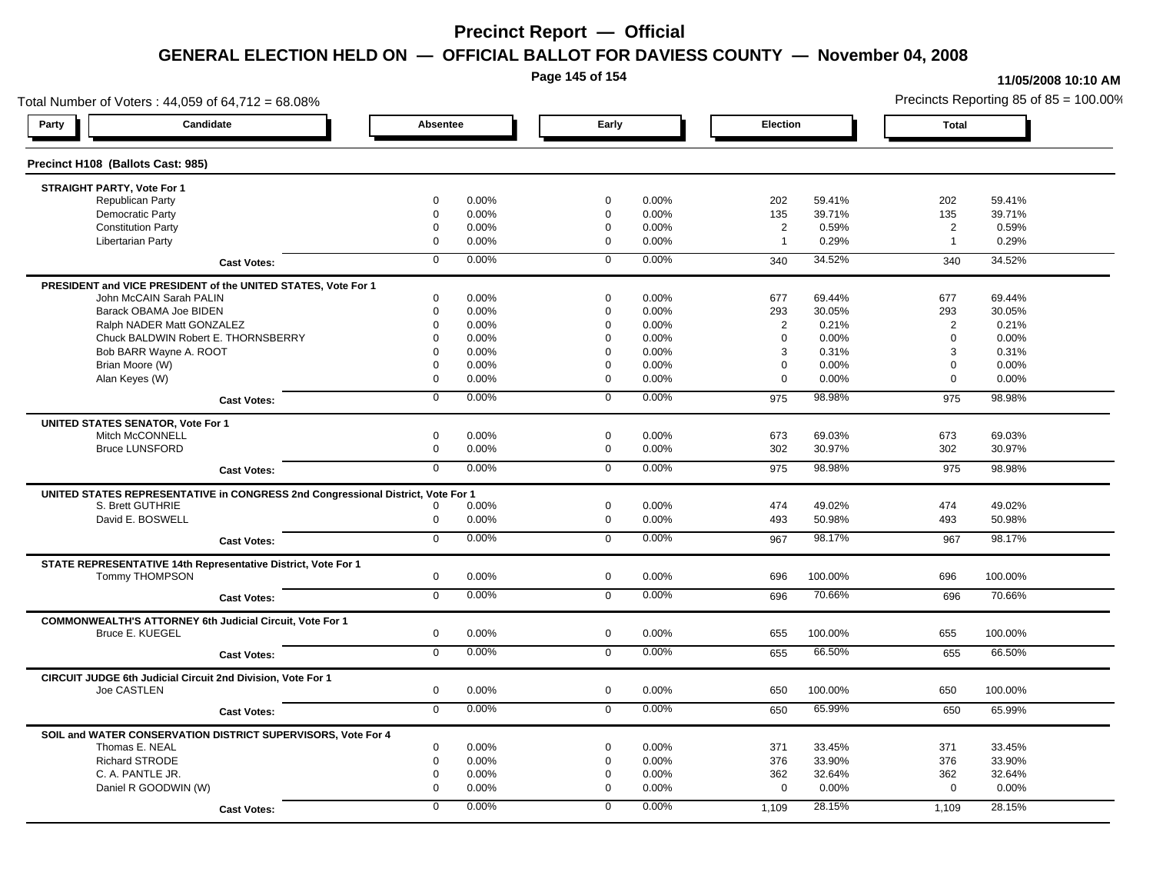**Page 145 of 154**

#### **11/05/2008 10:10 AM**

Total Number of Voters : 44,059 of 64,712 = 68.08% Precincts Reporting 85 of 85 = 100.00% **Party Candidate Absentee Early Election Total Precinct H108 (Ballots Cast: 985) STRAIGHT PARTY, Vote For 1** Republican Party 0 0.00% 0 0.00% 202 59.41% 202 59.41% Democratic Party 0 0.00% 0 0.00% 135 39.71% 135 39.71% Constitution Party 0 0.00% 0 0.00% 2 0.59% 2 0.59% Libertarian Party 0 0.00% 0 0.00% 1 0.29% 1 0.29% **Cast Votes:** 0 0.00% 0 0.00% 340 34.52% 340 34.52% **PRESIDENT and VICE PRESIDENT of the UNITED STATES, Vote For 1** John McCAIN Sarah PALIN John McCAIN Sarah PALIN 0 0.00% 0 0.00% 677 69.44% 677 69.44% Barack OBAMA Joe BIDEN 0 0.00% 0 0.00% 293 30.05% 293 30.05% Ralph NADER Matt GONZALEZ  $0$  0.00% 0 0.00% 0 0.00% 2 0.21% 2 0.21% Chuck BALDWIN Robert E. THORNSBERRY 0 0.00% 0 0.00% 0 0.00% 0 0.00% Bob BARR Wayne A. ROOT 0 0.00% 0 0.00% 3 0.31% 3 0.31% Brian Moore (W) 0 0.00% 0 0.00% 0 0.00% 0 0.00% Alan Keyes (W) 0 0.00% 0 0.00% 0 0.00% 0 0.00% **Cast Votes:** 0 0.00% 0 0.00% 975 98.98% 975 98.98% **UNITED STATES SENATOR, Vote For 1** Mitch McCONNELL 0 0.00% 0 0.00% 673 69.03% 673 69.03% Bruce LUNSFORD 0 0.00% 0 0.00% 302 30.97% 302 30.97% **Cast Votes:** 0 0.00% 0 0.00% 975 98.98% 975 98.98% **UNITED STATES REPRESENTATIVE in CONGRESS 2nd Congressional District, Vote For 1** S. Brett GUTHRIE 0 0.00% 0 0.00% 474 49.02% 474 49.02% David E. BOSWELL 0 0.00% 0 0.00% 493 50.98% 493 50.98% **Cast Votes:** 0 0.00% 0 0.00% 967 98.17% 967 98.17% **STATE REPRESENTATIVE 14th Representative District, Vote For 1** Tommy THOMPSON 0 0.00% 0 0.00% 696 100.00% 696 100.00% **Cast Votes:** 0 0.00% 0 0.00% 696 70.66% 696 70.66% **COMMONWEALTH'S ATTORNEY 6th Judicial Circuit, Vote For 1** Bruce E. KUEGEL 0 0.00% 0 0.00% 655 100.00% 655 100.00% **Cast Votes:** 0 0.00% 0 0.00% 655 66.50% 655 66.50% **CIRCUIT JUDGE 6th Judicial Circuit 2nd Division, Vote For 1** Joe CASTLEN 0 0.00% 0 0.00% 650 100.00% 650 100.00% **Cast Votes:** 0 0.00% 0 0.00% 650 65.99% 650 65.99% **SOIL and WATER CONSERVATION DISTRICT SUPERVISORS, Vote For 4** Thomas E. NEAL 0 0.00% 0 0.00% 371 33.45% 371 33.45% Richard STRODE 0 0.00% 0 0.00% 376 33.90% 376 33.90% C. A. PANTLE JR. 0 0.00% 0 0.00% 362 32.64% 362 32.64% Daniel R GOODWIN (W) 0 0.00% 0 0.00% 0 0.00% 0 0.00% **Cast Votes:** 0 0.00% 0 0.00% 1,109 28.15% 1,109 28.15%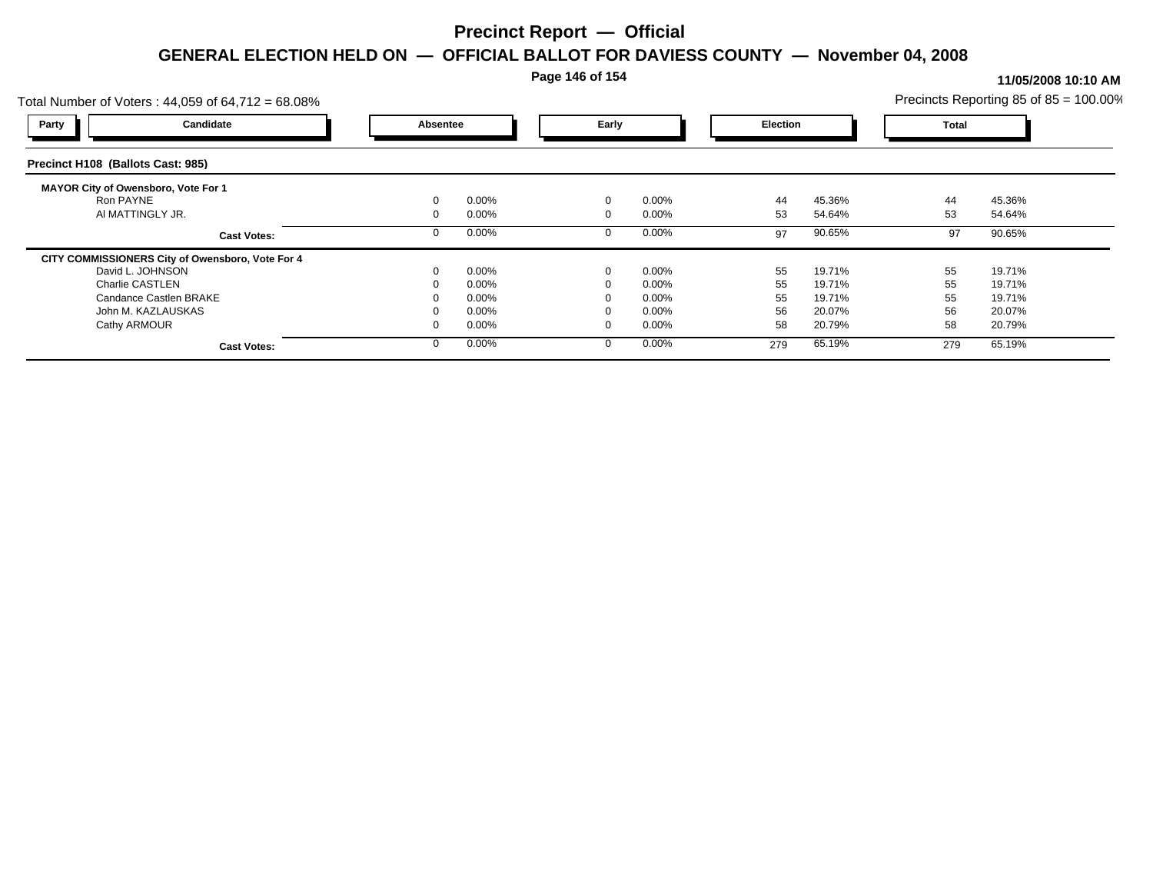**Page 146 of 154**

### **11/05/2008 10:10 AM**

| Total Number of Voters: 44,059 of 64,712 = 68.08% |          |       |             |          |     | Precincts Reporting 85 of $85 = 100.00\%$ |     |              |  |
|---------------------------------------------------|----------|-------|-------------|----------|-----|-------------------------------------------|-----|--------------|--|
| Candidate<br>Party                                | Absentee |       | Early       |          |     | <b>Election</b>                           |     | <b>Total</b> |  |
| Precinct H108 (Ballots Cast: 985)                 |          |       |             |          |     |                                           |     |              |  |
| <b>MAYOR City of Owensboro, Vote For 1</b>        |          |       |             |          |     |                                           |     |              |  |
| Ron PAYNE                                         |          | 0.00% | $\mathbf 0$ | 0.00%    | 44  | 45.36%                                    | 44  | 45.36%       |  |
| AI MATTINGLY JR.                                  |          | 0.00% | $\Omega$    | $0.00\%$ | 53  | 54.64%                                    | 53  | 54.64%       |  |
| <b>Cast Votes:</b>                                |          | 0.00% |             | 0.00%    | 97  | 90.65%                                    | 97  | 90.65%       |  |
| CITY COMMISSIONERS City of Owensboro, Vote For 4  |          |       |             |          |     |                                           |     |              |  |
| David L. JOHNSON                                  |          | 0.00% | $\Omega$    | 0.00%    | 55  | 19.71%                                    | 55  | 19.71%       |  |
| Charlie CASTLEN                                   |          | 0.00% |             | $0.00\%$ | 55  | 19.71%                                    | 55  | 19.71%       |  |
| Candance Castlen BRAKE                            |          | 0.00% |             | $0.00\%$ | 55  | 19.71%                                    | 55  | 19.71%       |  |
| John M. KAZLAUSKAS                                |          | 0.00% |             | $0.00\%$ | 56  | 20.07%                                    | 56  | 20.07%       |  |
| Cathy ARMOUR                                      |          | 0.00% | $\Omega$    | $0.00\%$ | 58  | 20.79%                                    | 58  | 20.79%       |  |
| <b>Cast Votes:</b>                                |          | 0.00% |             | 0.00%    | 279 | 65.19%                                    | 279 | 65.19%       |  |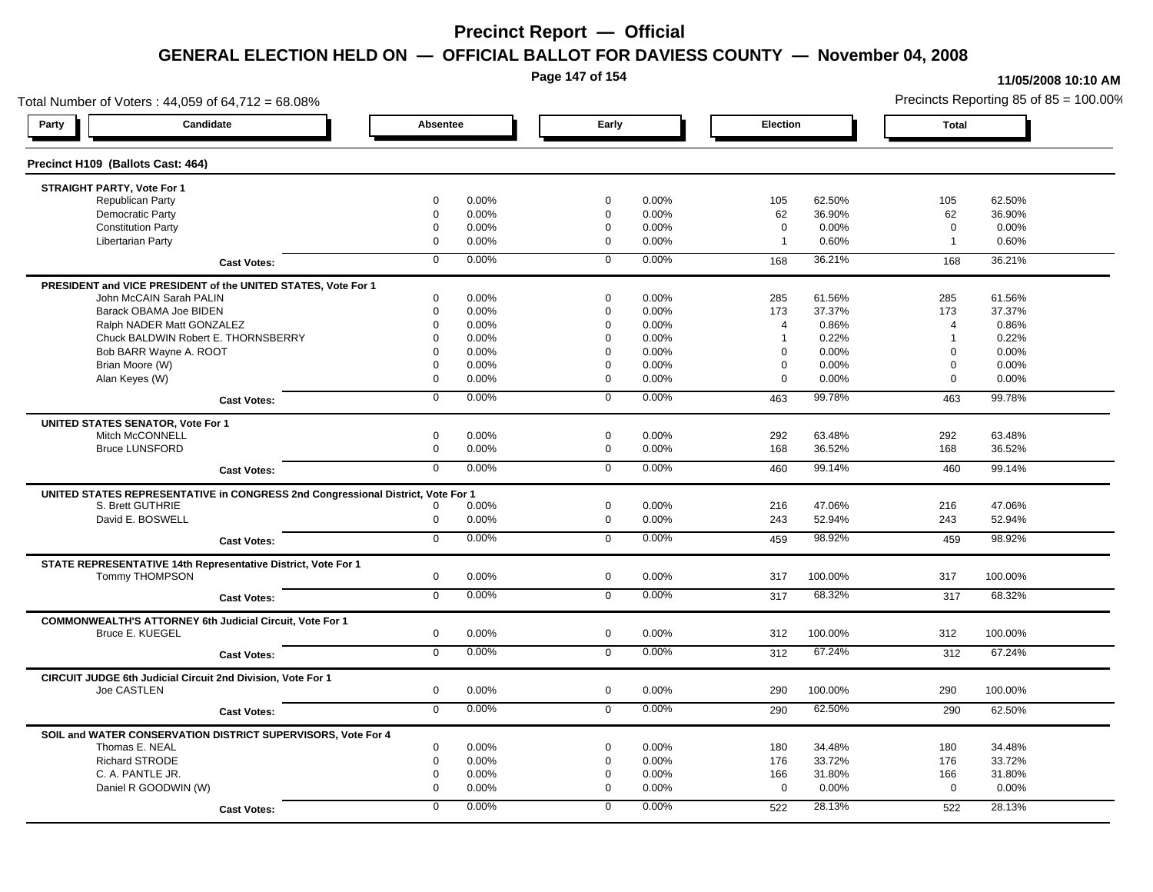**Page 147 of 154**

### **11/05/2008 10:10 AM**

Total Number of Voters : 44,059 of 64,712 = 68.08% Precincts Reporting 85 of 85 = 100.00% **Party Candidate Absentee Early Election Total Precinct H109 (Ballots Cast: 464) STRAIGHT PARTY, Vote For 1** Republican Party 0 0.00% 0 0.00% 105 62.50% 105 62.50% Democratic Party 0 0.00% 0 0.00% 62 36.90% 62 36.90% Constitution Party 0 0.00% 0 0.00% 0 0.00% 0 0.00% Libertarian Party 0 0.00% 0 0.00% 1 0.60% 1 0.60% **Cast Votes:** 0 0.00% 0 0.00% 168 36.21% 168 36.21% **PRESIDENT and VICE PRESIDENT of the UNITED STATES, Vote For 1** John McCAIN Sarah PALIN John McCAIN Sarah PALIN 0 0.00% 0 0.00% 285 61.56% 285 61.56% Barack OBAMA Joe BIDEN 0 0.00% 0 0.00% 173 37.37% 173 37.37% Ralph NADER Matt GONZALEZ  $0$  0.00% 0 0.00% 4 0.86% 4 0.86% 4 0.86% Chuck BALDWIN Robert E. THORNSBERRY 0 0.00% 0 0.00% 1 0.22% 1 0.22%  $B$ ob BARR Wayne A. ROOT  $0.00\%$   $0.00\%$   $0.00\%$   $0.00\%$   $0.00\%$   $0.00\%$   $0.00\%$   $0.00\%$ Brian Moore (W) 0 0.00% 0 0.00% 0 0.00% 0 0.00% Alan Keyes (W) 0 0.00% 0 0.00% 0 0.00% 0 0.00% **Cast Votes:** 0 0.00% 0 0.00% 463 99.78% 463 99.78% **UNITED STATES SENATOR, Vote For 1** Mitch McCONNELL 0 0.00% 0 0.00% 292 63.48% 292 63.48% Bruce LUNSFORD 0 0.00% 0 0.00% 168 36.52% 168 36.52% **Cast Votes:** 0 0.00% 0 0.00% 460 99.14% 460 99.14% **UNITED STATES REPRESENTATIVE in CONGRESS 2nd Congressional District, Vote For 1** S. Brett GUTHRIE 0 0.00% 0 0.00% 216 47.06% 216 47.06% David E. BOSWELL 0 0.00% 0 0.00% 243 52.94% 243 52.94% **Cast Votes:** 0 0.00% 0 0.00% 459 98.92% 459 98.92% **STATE REPRESENTATIVE 14th Representative District, Vote For 1** Tommy THOMPSON 0 0.00% 0 0.00% 317 100.00% 317 100.00% **Cast Votes:** 0 0.00% 0 0.00% 317 68.32% 317 68.32% **COMMONWEALTH'S ATTORNEY 6th Judicial Circuit, Vote For 1** Bruce E. KUEGEL 0 0.00% 0 0.00% 312 100.00% 312 100.00% **Cast Votes:** 0 0.00% 0 0.00% 312 67.24% 312 67.24% **CIRCUIT JUDGE 6th Judicial Circuit 2nd Division, Vote For 1** Joe CASTLEN 0 0.00% 0 0.00% 290 100.00% 290 100.00% **Cast Votes:** 0 0.00% 0 0.00% 290 62.50% 290 62.50% **SOIL and WATER CONSERVATION DISTRICT SUPERVISORS, Vote For 4** Thomas E. NEAL 0 0.00% 0 0.00% 180 34.48% 180 34.48% Richard STRODE 0 0.00% 0 0.00% 176 33.72% 176 33.72% C. A. PANTLE JR. 0 0.00% 0 0.00% 166 31.80% 166 31.80% Daniel R GOODWIN (W) 0 0.00% 0 0.00% 0 0.00% 0 0.00% **Cast Votes:** 0 0.00% 0 0.00% 522 28.13% 522 28.13%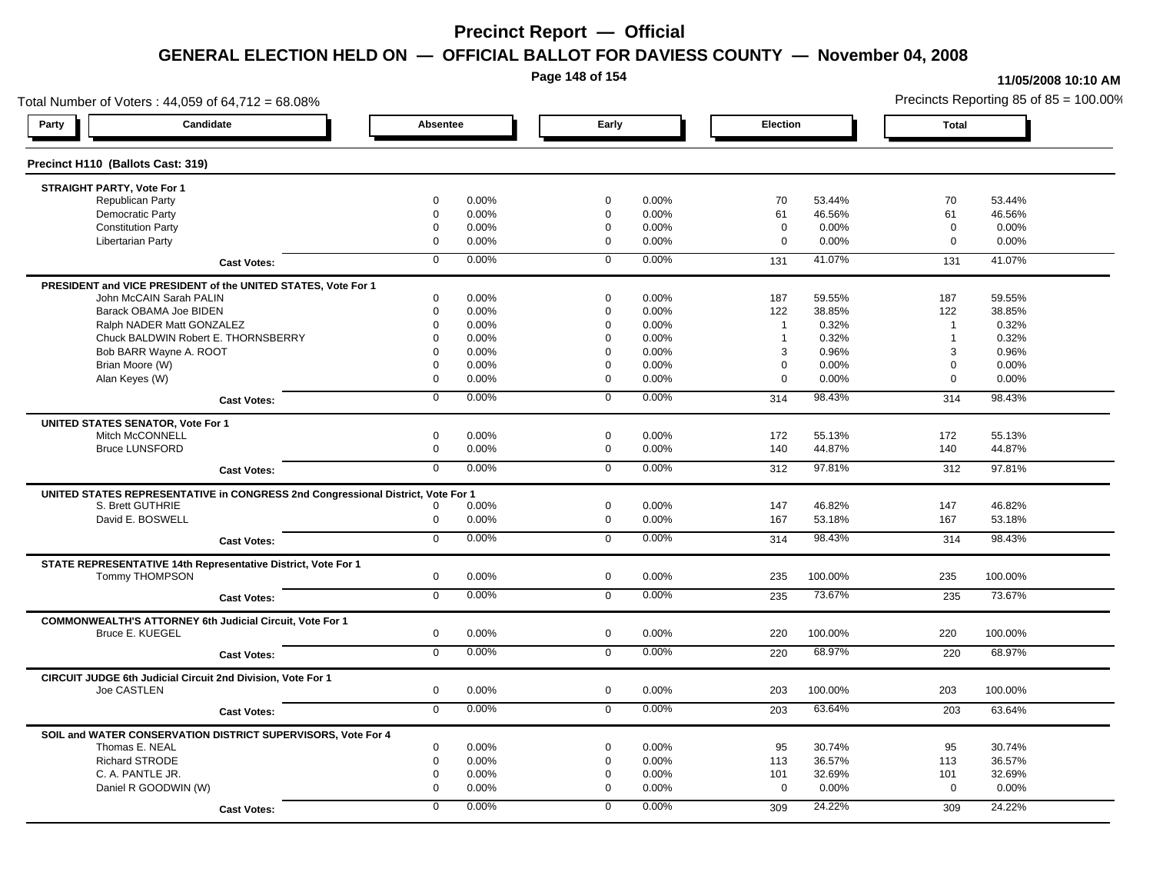**Page 148 of 154**

#### **11/05/2008 10:10 AM**

Total Number of Voters : 44,059 of 64,712 = 68.08% Precincts Reporting 85 of 85 = 100.00% **Party Candidate Absentee Early Election Total Precinct H110 (Ballots Cast: 319) STRAIGHT PARTY, Vote For 1** Republican Party 0 0.00% 0 0.00% 70 53.44% 70 53.44% Democratic Party 0 0.00% 0 0.00% 61 46.56% 61 46.56% Constitution Party 0 0.00% 0 0.00% 0 0.00% 0 0.00% Libertarian Party 0 0.00% 0 0.00% 0 0.00% 0 0.00% **Cast Votes:** 0 0.00% 0 0.00% 131 41.07% 131 41.07% **PRESIDENT and VICE PRESIDENT of the UNITED STATES, Vote For 1** John McCAIN Sarah PALIN John McCAIN Sarah PALIN 0 0.00% 0 0.00% 187 59.55% 187 59.55% Barack OBAMA Joe BIDEN 0 0.00% 0 0.00% 122 38.85% 122 38.85% Ralph NADER Matt GONZALEZ  $\begin{array}{cccc} 0 & 0.00\% & 0 & 0.00\% & 1 & 0.32\% \end{array}$  1 0.32% 1 0.32% Chuck BALDWIN Robert E. THORNSBERRY 0 0.00% 0 0.00% 1 0.32% 1 0.32% Bob BARR Wayne A. ROOT 0 0.00% 0 0.00% 3 0.96% 3 0.96% Brian Moore (W) 0 0.00% 0 0.00% 0 0.00% 0 0.00% Alan Keyes (W) 0 0.00% 0 0.00% 0 0.00% 0 0.00% **Cast Votes:** 0 0.00% 0 0.00% 314 98.43% 314 98.43% **UNITED STATES SENATOR, Vote For 1** Mitch McCONNELL 0 0.00% 0 0.00% 172 55.13% 172 55.13% Bruce LUNSFORD 0 0.00% 0 0.00% 140 44.87% 140 44.87% **Cast Votes:** 0 0.00% 0 0.00% 312 97.81% 312 97.81% **UNITED STATES REPRESENTATIVE in CONGRESS 2nd Congressional District, Vote For 1** S. Brett GUTHRIE 0 0.00% 0 0.00% 147 46.82% 147 46.82% David E. BOSWELL 0 0.00% 0 0.00% 167 53.18% 167 53.18% **Cast Votes:** 0 0.00% 0 0.00% 314 98.43% 314 98.43% **STATE REPRESENTATIVE 14th Representative District, Vote For 1** Tommy THOMPSON 0 0.00% 0 0.00% 235 100.00% 235 100.00% **Cast Votes:** 0 0.00% 0 0.00% 235 73.67% 235 73.67% **COMMONWEALTH'S ATTORNEY 6th Judicial Circuit, Vote For 1** Bruce E. KUEGEL 0 0.00% 0 0.00% 220 100.00% 220 100.00% **Cast Votes:** 0 0.00% 0 0.00% 220 68.97% 220 68.97% **CIRCUIT JUDGE 6th Judicial Circuit 2nd Division, Vote For 1** Joe CASTLEN 0 0.00% 0 0.00% 203 100.00% 203 100.00% **Cast Votes:** 0 0.00% 0 0.00% 203 63.64% 203 63.64% **SOIL and WATER CONSERVATION DISTRICT SUPERVISORS, Vote For 4** Thomas E. NEAL 0 0.00% 0 0.00% 95 30.74% 95 30.74% Richard STRODE 0 0.00% 0 0.00% 113 36.57% 113 36.57% C. A. PANTLE JR. 0 0.00% 0 0.00% 101 32.69% 101 32.69% Daniel R GOODWIN (W) 0 0.00% 0 0.00% 0 0.00% 0 0.00% **Cast Votes:** 0 0.00% 0 0.00% 309 24.22% 309 24.22%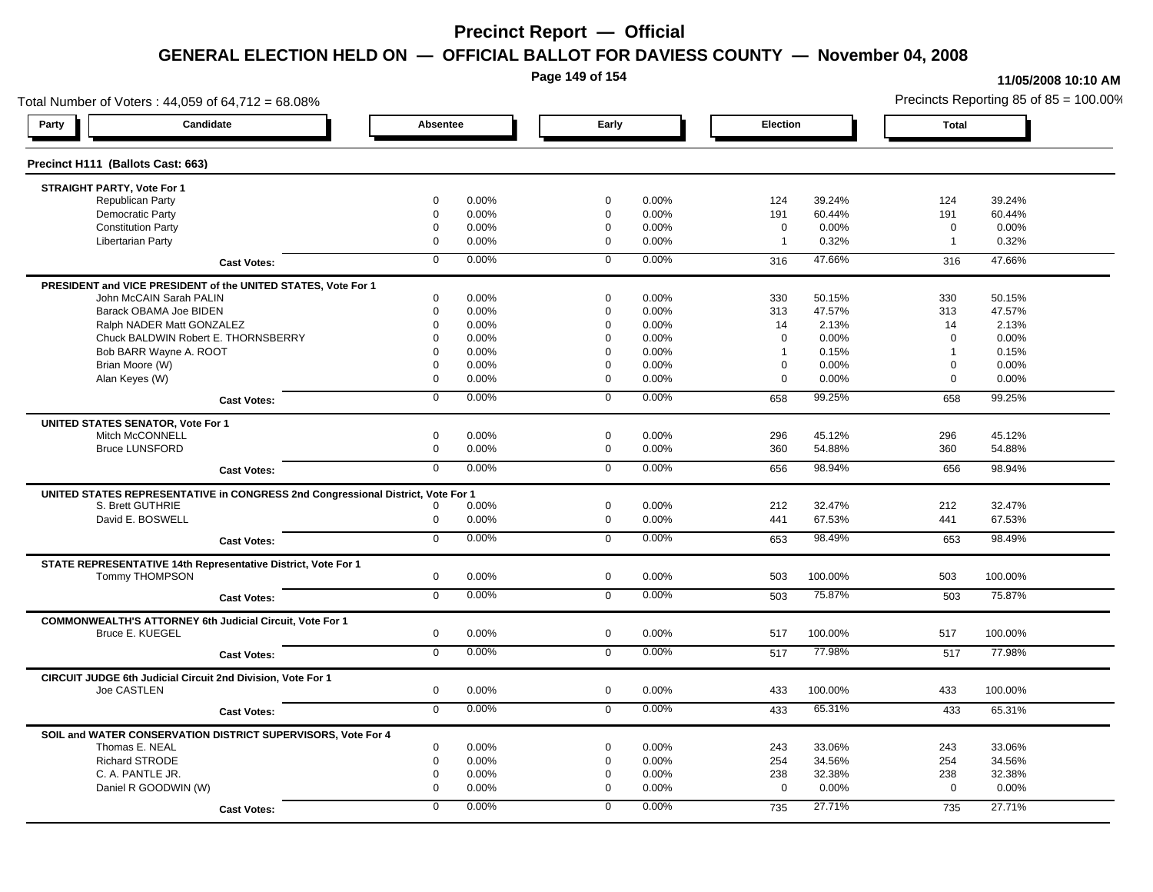**Page 149 of 154**

#### **11/05/2008 10:10 AM**

Total Number of Voters : 44,059 of 64,712 = 68.08% Precincts Reporting 85 of 85 = 100.00% **Party Candidate Absentee Early Election Total Precinct H111 (Ballots Cast: 663) STRAIGHT PARTY, Vote For 1** Republican Party 0 0.00% 0 0.00% 124 39.24% 124 39.24% Democratic Party 0 0.00% 0 0.00% 191 60.44% 191 60.44% Constitution Party 0 0.00% 0 0.00% 0 0.00% 0 0.00% Libertarian Party 0 0.00% 0 0.00% 1 0.32% 1 0.32% **Cast Votes:** 0 0.00% 0 0.00% 316 47.66% 316 47.66% **PRESIDENT and VICE PRESIDENT of the UNITED STATES, Vote For 1** John McCAIN Sarah PALIN John McCAIN Sarah PALIN 0 0.00% 0 0.00% 330 50.15% 330 50.15% Barack OBAMA Joe BIDEN 0 0.00% 0 0.00% 313 47.57% 313 47.57% Ralph NADER Matt GONZALEZ  $0$  0.00% 0 0.00% 14 2.13% 14 2.13% 14 2.13% Chuck BALDWIN Robert E. THORNSBERRY 0 0.00% 0 0.00% 0 0.00% 0 0.00% Bob BARR Wayne A. ROOT **1** 0.15% **0 0.00%** 1 0.00% 0 0.00% 1 0.15% 1 0.15% 1 0.15% Brian Moore (W) 0 0.00% 0 0.00% 0 0.00% 0 0.00% Alan Keyes (W) 0 0.00% 0 0.00% 0 0.00% 0 0.00% **Cast Votes:** 0 0.00% 0 0.00% 658 99.25% 658 99.25% **UNITED STATES SENATOR, Vote For 1** Mitch McCONNELL 0 0.00% 0 0.00% 296 45.12% 296 45.12% Bruce LUNSFORD 0 0.00% 0 0.00% 360 54.88% 360 54.88% **Cast Votes:** 0 0.00% 0 0.00% 656 98.94% 656 98.94% **UNITED STATES REPRESENTATIVE in CONGRESS 2nd Congressional District, Vote For 1** S. Brett GUTHRIE 0 0.00% 0 0.00% 212 32.47% 212 32.47% David E. BOSWELL 0 0.00% 0 0.00% 441 67.53% 441 67.53% **Cast Votes:** 0 0.00% 0 0.00% 653 98.49% 653 98.49% **STATE REPRESENTATIVE 14th Representative District, Vote For 1** Tommy THOMPSON 0 0.00% 0 0.00% 503 100.00% 503 100.00% **Cast Votes:** 0 0.00% 0 0.00% 503 75.87% 503 75.87% **COMMONWEALTH'S ATTORNEY 6th Judicial Circuit, Vote For 1** Bruce E. KUEGEL 0 0.00% 0 0.00% 517 100.00% 517 100.00% **Cast Votes:** 0 0.00% 0 0.00% 517 77.98% 517 77.98% **CIRCUIT JUDGE 6th Judicial Circuit 2nd Division, Vote For 1** Joe CASTLEN 0 0.00% 0 0.00% 433 100.00% 433 100.00% **Cast Votes:** 0 0.00% 0 0.00% 433 65.31% 433 65.31% **SOIL and WATER CONSERVATION DISTRICT SUPERVISORS, Vote For 4** Thomas E. NEAL 0 0.00% 0 0.00% 243 33.06% 243 33.06% Richard STRODE 0 0.00% 0 0.00% 254 34.56% 254 34.56% C. A. PANTLE JR. 0 0.00% 0 0.00% 238 32.38% 238 32.38% Daniel R GOODWIN (W) 0 0.00% 0 0.00% 0 0.00% 0 0.00% **Cast Votes:** 0 0.00% 0 0.00% 735 27.71% 735 27.71%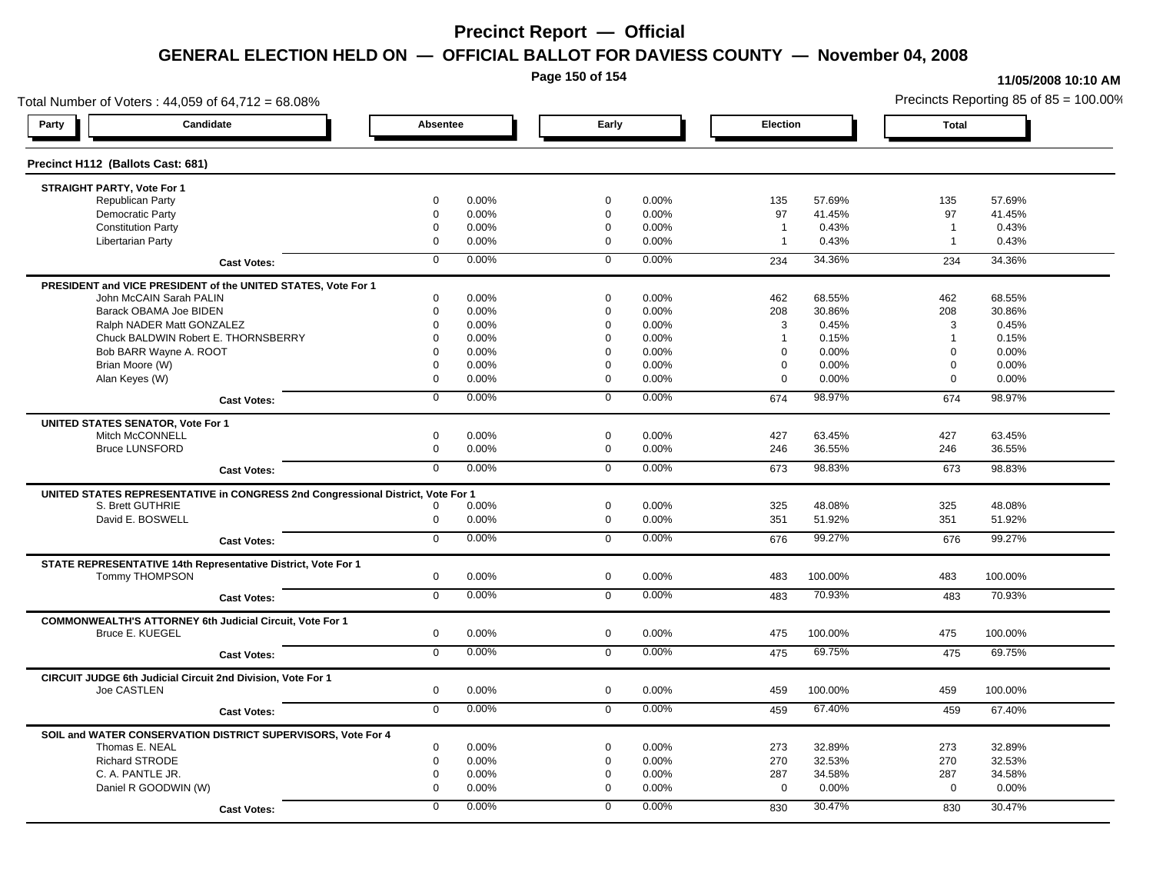**Page 150 of 154**

#### **11/05/2008 10:10 AM**

Total Number of Voters : 44,059 of 64,712 = 68.08% Precincts Reporting 85 of 85 = 100.00% **Party Candidate Absentee Early Election Total Precinct H112 (Ballots Cast: 681) STRAIGHT PARTY, Vote For 1** Republican Party 0 0.00% 0 0.00% 135 57.69% 135 57.69% Democratic Party 0 0.00% 0 0.00% 97 41.45% 97 41.45% Constitution Party 0 0.00% 0 0.00% 1 0.43% 1 0.43% Libertarian Party 0 0.00% 0 0.00% 1 0.43% 1 0.43% **Cast Votes:** 0 0.00% 0 0.00% 234 34.36% 234 34.36% **PRESIDENT and VICE PRESIDENT of the UNITED STATES, Vote For 1** John McCAIN Sarah PALIN John McCAIN Sarah PALIN 0 0.00% 0 0.00% 462 68.55% 462 68.55% Barack OBAMA Joe BIDEN 0 0.00% 0 0.00% 208 30.86% 208 30.86% Ralph NADER Matt GONZALEZ  $0$  0.00%  $0$  0.00%  $0$  0.00% 3 0.45% 3 0.45% Chuck BALDWIN Robert E. THORNSBERRY 0 0.00% 0 0.00% 1 0.15% 1 0.15%  $B$ ob BARR Wayne A. ROOT  $0.00\%$   $0.00\%$   $0.00\%$   $0.00\%$   $0.00\%$   $0.00\%$   $0.00\%$   $0.00\%$ Brian Moore (W) 0 0.00% 0 0.00% 0 0.00% 0 0.00% Alan Keyes (W) 0 0.00% 0 0.00% 0 0.00% 0 0.00% **Cast Votes:** 0 0.00% 0 0.00% 674 98.97% 674 98.97% **UNITED STATES SENATOR, Vote For 1** Mitch McCONNELL 0 0.00% 0 0.00% 427 63.45% 427 63.45% Bruce LUNSFORD 0 0.00% 0 0.00% 246 36.55% 246 36.55% **Cast Votes:** 0 0.00% 0 0.00% 673 98.83% 673 98.83% **UNITED STATES REPRESENTATIVE in CONGRESS 2nd Congressional District, Vote For 1** S. Brett GUTHRIE 0 0.00% 0 0.00% 325 48.08% 325 48.08% David E. BOSWELL 0 0.00% 0 0.00% 351 51.92% 351 51.92% **Cast Votes:** 0 0.00% 0 0.00% 676 99.27% 676 99.27% **STATE REPRESENTATIVE 14th Representative District, Vote For 1** Tommy THOMPSON 0 0.00% 0 0.00% 483 100.00% 483 100.00% **Cast Votes:** 0 0.00% 0 0.00% 483 70.93% 483 70.93% **COMMONWEALTH'S ATTORNEY 6th Judicial Circuit, Vote For 1** Bruce E. KUEGEL 0 0.00% 0 0.00% 475 100.00% 475 100.00% **Cast Votes:** 0 0.00% 0 0.00% 475 69.75% 475 69.75% **CIRCUIT JUDGE 6th Judicial Circuit 2nd Division, Vote For 1** Joe CASTLEN 0 0.00% 0 0.00% 459 100.00% 459 100.00% **Cast Votes:** 0 0.00% 0 0.00% 459 67.40% 459 67.40% **SOIL and WATER CONSERVATION DISTRICT SUPERVISORS, Vote For 4** Thomas E. NEAL 0 0.00% 0 0.00% 273 32.89% 273 32.89% Richard STRODE 0 0.00% 0 0.00% 270 32.53% 270 32.53% C. A. PANTLE JR. 0 0.00% 0 0.00% 287 34.58% 287 34.58% Daniel R GOODWIN (W) 0 0.00% 0 0.00% 0 0.00% 0 0.00% **Cast Votes:** 0 0.00% 0 0.00% 830 30.47% 830 30.47%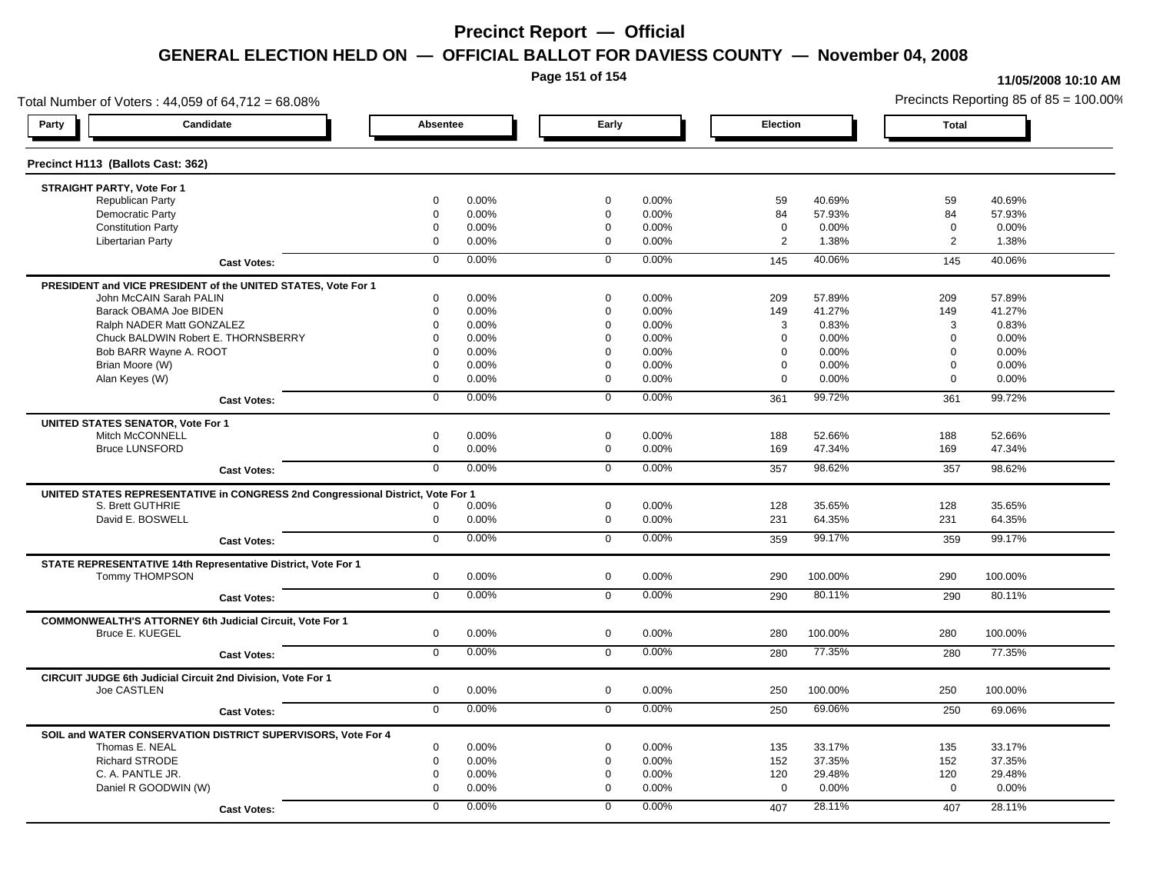**Page 151 of 154**

#### **11/05/2008 10:10 AM**

Total Number of Voters : 44,059 of 64,712 = 68.08% Precincts Reporting 85 of 85 = 100.00% **Party Candidate Absentee Early Election Total Precinct H113 (Ballots Cast: 362) STRAIGHT PARTY, Vote For 1** Republican Party 0 0.00% 0 0.00% 59 40.69% 59 40.69% Democratic Party 0 0.00% 0 0.00% 84 57.93% 84 57.93% Constitution Party 0 0.00% 0 0.00% 0 0.00% 0 0.00% Libertarian Party 0 0.00% 0 0.00% 2 1.38% 2 1.38% **Cast Votes:** 0 0.00% 0 0.00% 145 40.06% 145 40.06% **PRESIDENT and VICE PRESIDENT of the UNITED STATES, Vote For 1** John McCAIN Sarah PALIN John McCAIN Sarah PALIN 0 0.00% 0 0.00% 209 57.89% 209 57.89% Barack OBAMA Joe BIDEN 0 0.00% 0 0.00% 149 41.27% 149 41.27% Ralph NADER Matt GONZALEZ  $0$  0.00%  $0$  0.00%  $0$  0.00%  $3$  0.83% 3 0.83% Chuck BALDWIN Robert E. THORNSBERRY 0 0.00% 0 0.00% 0 0.00% 0 0.00%  $B$ ob BARR Wayne A. ROOT  $0.00\%$   $0.00\%$   $0.00\%$   $0.00\%$   $0.00\%$   $0.00\%$   $0.00\%$   $0.00\%$ Brian Moore (W) 0 0.00% 0 0.00% 0 0.00% 0 0.00% Alan Keyes (W) 0 0.00% 0 0.00% 0 0.00% 0 0.00% **Cast Votes:** 0 0.00% 0 0.00% 361 99.72% 361 99.72% **UNITED STATES SENATOR, Vote For 1** Mitch McCONNELL 0 0.00% 0 0.00% 188 52.66% 188 52.66% Bruce LUNSFORD 0 0.00% 0 0.00% 169 47.34% 169 47.34% **Cast Votes:** 0 0.00% 0 0.00% 357 98.62% 357 98.62% **UNITED STATES REPRESENTATIVE in CONGRESS 2nd Congressional District, Vote For 1** S. Brett GUTHRIE 0 0.00% 0 0.00% 128 35.65% 128 35.65% David E. BOSWELL 0 0.00% 0 0.00% 231 64.35% 231 64.35% **Cast Votes:** 0 0.00% 0 0.00% 359 99.17% 359 99.17% **STATE REPRESENTATIVE 14th Representative District, Vote For 1** Tommy THOMPSON 0 0.00% 0 0.00% 290 100.00% 290 100.00% **Cast Votes:** 0 0.00% 0 0.00% 290 80.11% 290 80.11% **COMMONWEALTH'S ATTORNEY 6th Judicial Circuit, Vote For 1** Bruce E. KUEGEL 0 0.00% 0 0.00% 280 100.00% 280 100.00% **Cast Votes:** 0 0.00% 0 0.00% 280 77.35% 280 77.35% **CIRCUIT JUDGE 6th Judicial Circuit 2nd Division, Vote For 1** Joe CASTLEN 0 0.00% 0 0.00% 250 100.00% 250 100.00% **Cast Votes:** 0 0.00% 0 0.00% 250 69.06% 250 69.06% **SOIL and WATER CONSERVATION DISTRICT SUPERVISORS, Vote For 4** Thomas E. NEAL 0 0.00% 0 0.00% 135 33.17% 135 33.17% Richard STRODE 0 0.00% 0 0.00% 152 37.35% 152 37.35% C. A. PANTLE JR. 0 0.00% 0 0.00% 120 29.48% 120 29.48% Daniel R GOODWIN (W) 0 0.00% 0 0.00% 0 0.00% 0 0.00% **Cast Votes:** 0 0.00% 0 0.00% 407 28.11% 407 28.11%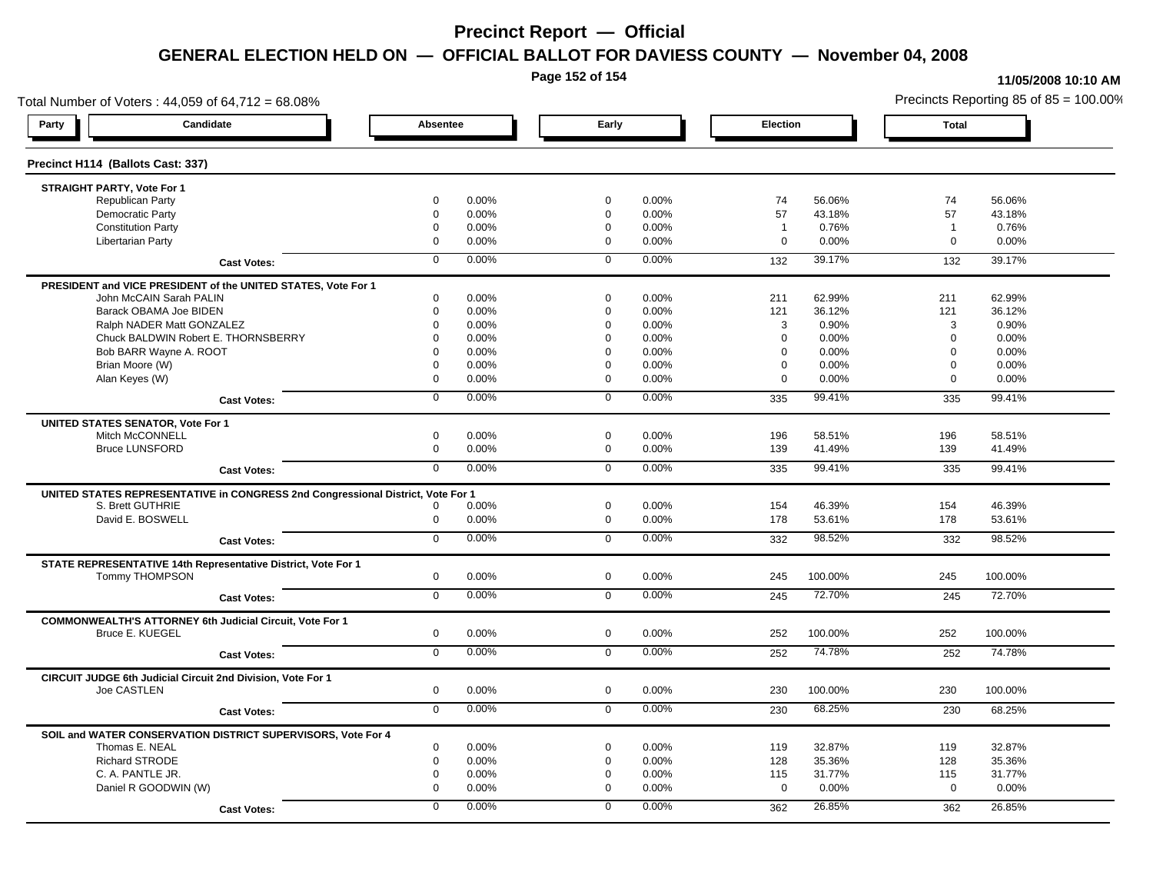**Page 152 of 154**

#### **11/05/2008 10:10 AM**

Total Number of Voters : 44,059 of 64,712 = 68.08% Precincts Reporting 85 of 85 = 100.00% **Party Candidate Absentee Early Election Total Precinct H114 (Ballots Cast: 337) STRAIGHT PARTY, Vote For 1** Republican Party 0 0.00% 0 0.00% 74 56.06% 74 56.06% Democratic Party 0 0.00% 0 0.00% 57 43.18% 57 43.18% Constitution Party 0 0.00% 0 0.00% 1 0.76% 1 0.76% Libertarian Party 0 0.00% 0 0.00% 0 0.00% 0 0.00% **Cast Votes:** 0 0.00% 0 0.00% 132 39.17% 132 39.17% **PRESIDENT and VICE PRESIDENT of the UNITED STATES, Vote For 1** John McCAIN Sarah PALIN John McCAIN Sarah PALIN 0 0.00% 0 0.00% 211 62.99% 211 62.99% Barack OBAMA Joe BIDEN 0 0.00% 0 0.00% 121 36.12% 121 36.12% Ralph NADER Matt GONZALEZ  $\begin{array}{cccc} 0 & 0.00\% & 0 & 0.00\% \end{array}$  0 0.00% 3 0.90% 3 0.90% Chuck BALDWIN Robert E. THORNSBERRY 0 0.00% 0 0.00% 0 0.00% 0 0.00%  $B$ ob BARR Wayne A. ROOT  $0.00\%$   $0.00\%$   $0.00\%$   $0.00\%$   $0.00\%$   $0.00\%$   $0.00\%$   $0.00\%$ Brian Moore (W) 0 0.00% 0 0.00% 0 0.00% 0 0.00% Alan Keyes (W) 0 0.00% 0 0.00% 0 0.00% 0 0.00% **Cast Votes:** 0 0.00% 0 0.00% 335 99.41% 335 99.41% **UNITED STATES SENATOR, Vote For 1** Mitch McCONNELL 0 0.00% 0 0.00% 196 58.51% 196 58.51% Bruce LUNSFORD 0 0.00% 0 0.00% 139 41.49% 139 41.49% **Cast Votes:** 0 0.00% 0 0.00% 335 99.41% 335 99.41% **UNITED STATES REPRESENTATIVE in CONGRESS 2nd Congressional District, Vote For 1** S. Brett GUTHRIE 0 0.00% 0 0.00% 154 46.39% 154 46.39% David E. BOSWELL 0 0.00% 0 0.00% 178 53.61% 178 53.61% **Cast Votes:** 0 0.00% 0 0.00% 332 98.52% 332 98.52% **STATE REPRESENTATIVE 14th Representative District, Vote For 1** Tommy THOMPSON 0 0.00% 0 0.00% 245 100.00% 245 100.00% **Cast Votes:** 0 0.00% 0 0.00% 245 72.70% 245 72.70% **COMMONWEALTH'S ATTORNEY 6th Judicial Circuit, Vote For 1** Bruce E. KUEGEL 0 0.00% 0 0.00% 252 100.00% 252 100.00% **Cast Votes:** 0 0.00% 0 0.00% 252 74.78% 252 74.78% **CIRCUIT JUDGE 6th Judicial Circuit 2nd Division, Vote For 1** Joe CASTLEN 0 0.00% 0 0.00% 230 100.00% 230 100.00% **Cast Votes:** 0 0.00% 0 0.00% 230 68.25% 230 68.25% **SOIL and WATER CONSERVATION DISTRICT SUPERVISORS, Vote For 4** Thomas E. NEAL 0 0.00% 0 0.00% 119 32.87% 119 32.87% Richard STRODE 0 0.00% 0 0.00% 128 35.36% 128 35.36% C. A. PANTLE JR. 0 0.00% 0 0.00% 115 31.77% 115 31.77% Daniel R GOODWIN (W) 0 0.00% 0 0.00% 0 0.00% 0 0.00% **Cast Votes:** 0 0.00% 0 0.00% 362 26.85% 362 26.85%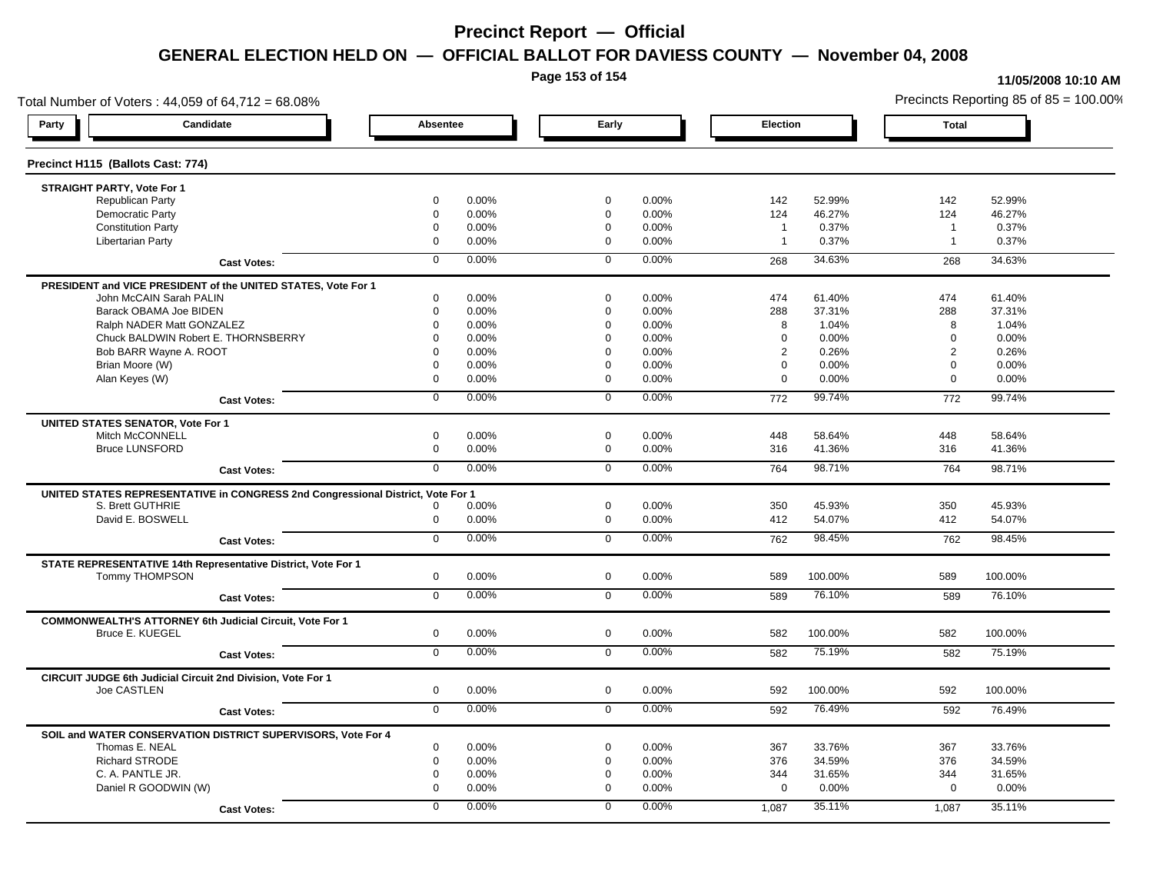**Page 153 of 154**

#### **11/05/2008 10:10 AM**

Total Number of Voters : 44,059 of 64,712 = 68.08% Precincts Reporting 85 of 85 = 100.00% **Party Candidate Absentee Early Election Total Precinct H115 (Ballots Cast: 774) STRAIGHT PARTY, Vote For 1** Republican Party 0 0.00% 0 0.00% 142 52.99% 142 52.99% Democratic Party 0 0.00% 0 0.00% 124 46.27% 124 46.27% Constitution Party 0 0.00% 0 0.00% 1 0.37% 1 0.37% Libertarian Party 0 0.00% 0 0.00% 1 0.37% 1 0.37% **Cast Votes:** 0 0.00% 0 0.00% 268 34.63% 268 34.63% **PRESIDENT and VICE PRESIDENT of the UNITED STATES, Vote For 1** John McCAIN Sarah PALIN John McCAIN Sarah PALIN 0 0.00% 0 0.00% 474 61.40% 474 61.40% Barack OBAMA Joe BIDEN 0 0.00% 0 0.00% 288 37.31% 288 37.31% Ralph NADER Matt GONZALEZ  $\begin{array}{cccc} 0 & 0.00\% & 0 & 0.00\% & 8 & 1.04\% \end{array}$  8 1.04% 8 1.04% Chuck BALDWIN Robert E. THORNSBERRY 0 0.00% 0 0.00% 0 0.00% 0 0.00% Bob BARR Wayne A. ROOT **2 2 0.26% 0 0.00% 0 0.00% 0 0.00% 0 0.00%** 2 0.26% 2 0.26% 2 0.26% Brian Moore (W) 0 0.00% 0 0.00% 0 0.00% 0 0.00% Alan Keyes (W) 0 0.00% 0 0.00% 0 0.00% 0 0.00% **Cast Votes:** 0 0.00% 0 0.00% 772 99.74% 772 99.74% **UNITED STATES SENATOR, Vote For 1** Mitch McCONNELL 0 0.00% 0 0.00% 448 58.64% 448 58.64% Bruce LUNSFORD 0 0.00% 0 0.00% 316 41.36% 316 41.36% **Cast Votes:** 0 0.00% 0 0.00% 764 98.71% 764 98.71% **UNITED STATES REPRESENTATIVE in CONGRESS 2nd Congressional District, Vote For 1** S. Brett GUTHRIE 0 0.00% 0 0.00% 350 45.93% 350 45.93% David E. BOSWELL 0 0.00% 0 0.00% 412 54.07% 412 54.07% **Cast Votes:** 0 0.00% 0 0.00% 762 98.45% 762 98.45% **STATE REPRESENTATIVE 14th Representative District, Vote For 1** Tommy THOMPSON 0 0.00% 0 0.00% 589 100.00% 589 100.00% **Cast Votes:** 0 0.00% 0 0.00% 589 76.10% 589 76.10% **COMMONWEALTH'S ATTORNEY 6th Judicial Circuit, Vote For 1** Bruce E. KUEGEL 0 0.00% 0 0.00% 582 100.00% 582 100.00% **Cast Votes:** 0 0.00% 0 0.00% 582 75.19% 582 75.19% **CIRCUIT JUDGE 6th Judicial Circuit 2nd Division, Vote For 1** Joe CASTLEN 0 0.00% 0 0.00% 592 100.00% 592 100.00% **Cast Votes:** 0 0.00% 0 0.00% 592 76.49% 592 76.49% **SOIL and WATER CONSERVATION DISTRICT SUPERVISORS, Vote For 4** Thomas E. NEAL 0 0.00% 0 0.00% 367 33.76% 367 33.76% Richard STRODE 0 0.00% 0 0.00% 376 34.59% 376 34.59% C. A. PANTLE JR. 0 0.00% 0 0.00% 344 31.65% 344 31.65% Daniel R GOODWIN (W) 0 0.00% 0 0.00% 0 0.00% 0 0.00% **Cast Votes:** 0 0.00% 0 0.00% 1,087 35.11% 1,087 35.11%